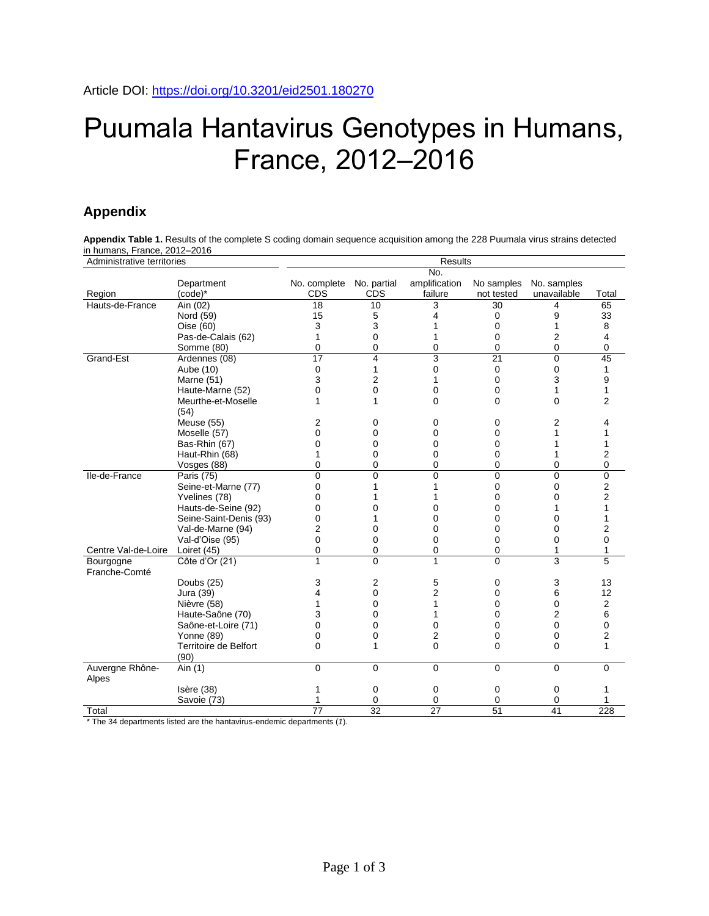# Puumala Hantavirus Genotypes in Humans, France, 2012–2016

# **Appendix**

**Appendix Table 1.** Results of the complete S coding domain sequence acquisition among the 228 Puumala virus strains detected in humans, France, 2012–2016

| Administrative territories |                        | <b>Results</b>  |                         |                |                 |                |                |  |  |  |  |  |
|----------------------------|------------------------|-----------------|-------------------------|----------------|-----------------|----------------|----------------|--|--|--|--|--|
|                            |                        |                 |                         | No.            |                 |                |                |  |  |  |  |  |
|                            | Department             | No. complete    | No. partial             | amplification  | No samples      | No. samples    |                |  |  |  |  |  |
| Region                     | (code)*                | <b>CDS</b>      | <b>CDS</b>              | failure        | not tested      | unavailable    | Total          |  |  |  |  |  |
| Hauts-de-France            | Ain (02)               | $\overline{18}$ | 10                      | 3              | 30              | 4              | 65             |  |  |  |  |  |
|                            | Nord (59)              | 15              | 5                       | 4              | 0               | 9              | 33             |  |  |  |  |  |
|                            | Oise (60)              | 3               | 3                       | 1              | 0               | 1              | 8              |  |  |  |  |  |
|                            | Pas-de-Calais (62)     | 1               | 0                       | 1              | 0               | 2              | 4              |  |  |  |  |  |
|                            | Somme (80)             | 0               | 0                       | 0              | 0               | 0              | 0              |  |  |  |  |  |
| Grand-Est                  | Ardennes (08)          | 17              | $\overline{\mathbf{4}}$ | 3              | $\overline{21}$ | $\overline{0}$ | 45             |  |  |  |  |  |
|                            | Aube (10)              | 0               | 1                       | 0              | 0               | 0              | $\mathbf{1}$   |  |  |  |  |  |
|                            | <b>Marne (51)</b>      | 3               | $\overline{2}$          | 1              | 0               | 3              | 9              |  |  |  |  |  |
|                            | Haute-Marne (52)       | 0               | 0                       | 0              | 0               | 1              | $\mathbf{1}$   |  |  |  |  |  |
|                            | Meurthe-et-Moselle     | 1               | 1                       | $\Omega$       | $\Omega$        | 0              | $\overline{2}$ |  |  |  |  |  |
|                            | (54)                   |                 |                         |                |                 |                |                |  |  |  |  |  |
|                            | Meuse (55)             | 2               | 0                       | 0              | 0               | 2              | 4              |  |  |  |  |  |
|                            | Moselle (57)           | $\Omega$        | 0                       | 0              | 0               | 1              | 1              |  |  |  |  |  |
|                            | Bas-Rhin (67)          | $\mathbf 0$     | 0                       | 0              | 0               | 1              | 1              |  |  |  |  |  |
|                            | Haut-Rhin (68)         | 1               | 0                       | 0              | 0               | 1              | $\overline{2}$ |  |  |  |  |  |
|                            | Vosges (88)            | 0               | 0                       | 0              | 0               | 0              | 0              |  |  |  |  |  |
| Ile-de-France              | Paris (75)             | $\mathbf 0$     | 0                       | 0              | 0               | 0              | $\mathbf 0$    |  |  |  |  |  |
|                            | Seine-et-Marne (77)    | 0               | 1                       | 1              | 0               | 0              | 2              |  |  |  |  |  |
|                            | Yvelines (78)          | $\mathbf 0$     | 1                       | 1              | 0               | 0              | 2              |  |  |  |  |  |
|                            | Hauts-de-Seine (92)    | $\mathbf 0$     | 0                       | 0              | 0               | 1              | $\mathbf{1}$   |  |  |  |  |  |
|                            | Seine-Saint-Denis (93) | $\mathbf 0$     | 1                       | $\Omega$       | 0               | 0              | $\mathbf{1}$   |  |  |  |  |  |
|                            | Val-de-Marne (94)      | $\overline{2}$  | 0                       | $\Omega$       | $\mathbf 0$     | $\mathbf{0}$   | 2              |  |  |  |  |  |
|                            | Val-d'Oise (95)        | 0               | 0                       | 0              | 0               | 0              | $\mathbf 0$    |  |  |  |  |  |
| Centre Val-de-Loire        | Loiret (45)            | 0               | 0                       | 0              | 0               | 1              | 1              |  |  |  |  |  |
| Bourgogne<br>Franche-Comté | Côte d'Or (21)         | 1               | 0                       | 1              | $\Omega$        | 3              | 5              |  |  |  |  |  |
|                            | Doubs (25)             | 3               | $\overline{2}$          | 5              | 0               | 3              | 13             |  |  |  |  |  |
|                            | Jura (39)              | 4               | 0                       | $\overline{2}$ | 0               | 6              | 12             |  |  |  |  |  |
|                            | Nièvre (58)            | 1               | $\Omega$                | 1              | $\Omega$        | $\Omega$       | $\overline{2}$ |  |  |  |  |  |
|                            | Haute-Saône (70)       | 3               | $\overline{0}$          |                | $\Omega$        | $\overline{2}$ | 6              |  |  |  |  |  |
|                            | Saône-et-Loire (71)    | $\mathbf 0$     | 0                       | 0              | 0               | 0              | 0              |  |  |  |  |  |
|                            | Yonne (89)             | $\mathbf 0$     | 0                       | 2              | 0               | 0              | 2              |  |  |  |  |  |
|                            | Territoire de Belfort  | $\mathbf 0$     | 1                       | $\Omega$       | $\Omega$        | $\Omega$       | 1              |  |  |  |  |  |
|                            | (90)                   |                 |                         |                |                 |                |                |  |  |  |  |  |
| Auvergne Rhône-<br>Alpes   | Ain (1)                | $\mathbf 0$     | $\mathbf 0$             | $\mathbf 0$    | $\Omega$        | 0              | 0              |  |  |  |  |  |
|                            | Isère (38)             | 1               | 0                       | 0              | 0               | 0              | 1              |  |  |  |  |  |
|                            | Savoie (73)            |                 | 0                       | 0              | 0               | 0              |                |  |  |  |  |  |
| Total                      |                        | 77              | 32                      | 27             | 51              | 41             | 228            |  |  |  |  |  |

\* The 34 departments listed are the hantavirus-endemic departments (*1*).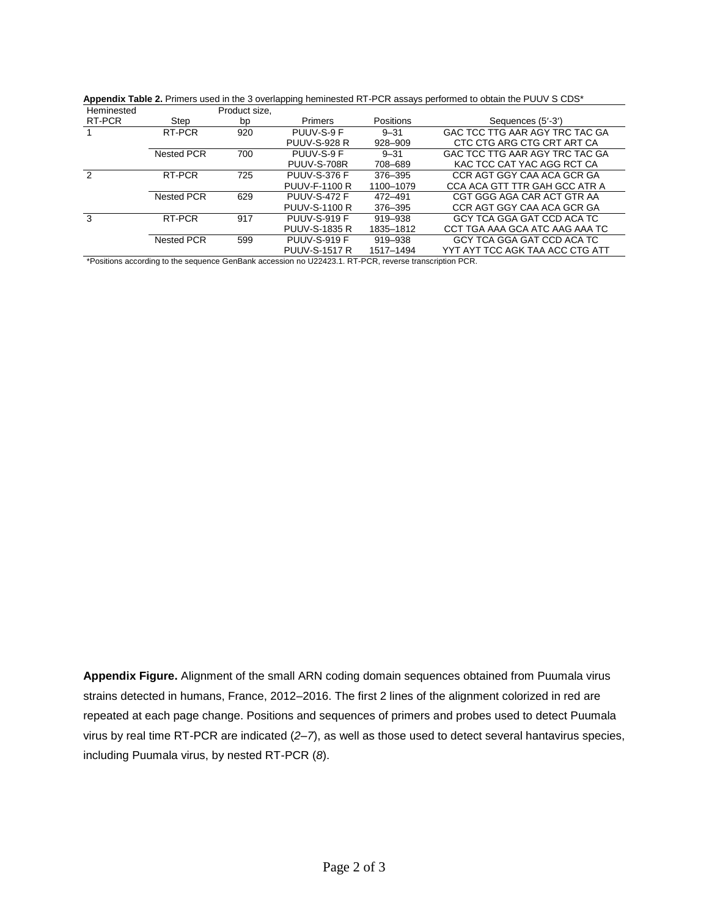| Heminested |                                                                                                                                                                                                                                    | Product size, |                      |           |                                 |
|------------|------------------------------------------------------------------------------------------------------------------------------------------------------------------------------------------------------------------------------------|---------------|----------------------|-----------|---------------------------------|
| RT-PCR     | Step                                                                                                                                                                                                                               | bp            | Primers              | Positions | Sequences (5'-3')               |
|            | RT-PCR                                                                                                                                                                                                                             | 920           | PUUV-S-9 F           | $9 - 31$  | GAC TCC TTG AAR AGY TRC TAC GA  |
|            |                                                                                                                                                                                                                                    |               | <b>PUUV-S-928 R</b>  | 928-909   | CTC CTG ARG CTG CRT ART CA      |
|            | <b>Nested PCR</b>                                                                                                                                                                                                                  | 700           | PUUV-S-9 F           | $9 - 31$  | GAC TCC TTG AAR AGY TRC TAC GA  |
|            |                                                                                                                                                                                                                                    |               | PUUV-S-708R          | 708–689   | KAC TCC CAT YAC AGG RCT CA      |
|            | RT-PCR                                                                                                                                                                                                                             | 725           | <b>PUUV-S-376 F</b>  | 376-395   | CCR AGT GGY CAA ACA GCR GA      |
|            |                                                                                                                                                                                                                                    |               | PUUV-F-1100 R        | 1100-1079 | CCA ACA GTT TTR GAH GCC ATR A   |
|            | <b>Nested PCR</b>                                                                                                                                                                                                                  | 629           | <b>PUUV-S-472 F</b>  | 472-491   | CGT GGG AGA CAR ACT GTR AA      |
|            |                                                                                                                                                                                                                                    |               | <b>PUUV-S-1100 R</b> | 376-395   | CCR AGT GGY CAA ACA GCR GA      |
| 3          | RT-PCR                                                                                                                                                                                                                             | 917           | PUUV-S-919 F         | 919-938   | GCY TCA GGA GAT CCD ACA TC      |
|            |                                                                                                                                                                                                                                    |               | <b>PUUV-S-1835 R</b> | 1835-1812 | CCT TGA AAA GCA ATC AAG AAA TC  |
|            | <b>Nested PCR</b>                                                                                                                                                                                                                  | 599           | <b>PUUV-S-919 F</b>  | 919-938   | GCY TCA GGA GAT CCD ACA TC      |
|            |                                                                                                                                                                                                                                    |               | <b>PUUV-S-1517 R</b> | 1517-1494 | YYT AYT TCC AGK TAA ACC CTG ATT |
|            | $\bullet$ . The contract of the contract of the contract of the contract of the contract of the contract of the contract of the contract of the contract of the contract of the contract of the contract of the contract of the co |               |                      |           | $\cdots$ $\sim$                 |

**Appendix Table 2.** Primers used in the 3 overlapping heminested RT-PCR assays performed to obtain the PUUV S CDS\*

\*Positions according to the sequence GenBank accession no U22423.1. RT-PCR, reverse transcription PCR.

**Appendix Figure.** Alignment of the small ARN coding domain sequences obtained from Puumala virus strains detected in humans, France, 2012–2016. The first 2 lines of the alignment colorized in red are repeated at each page change. Positions and sequences of primers and probes used to detect Puumala virus by real time RT-PCR are indicated (*2–7*), as well as those used to detect several hantavirus species, including Puumala virus, by nested RT-PCR (*8*).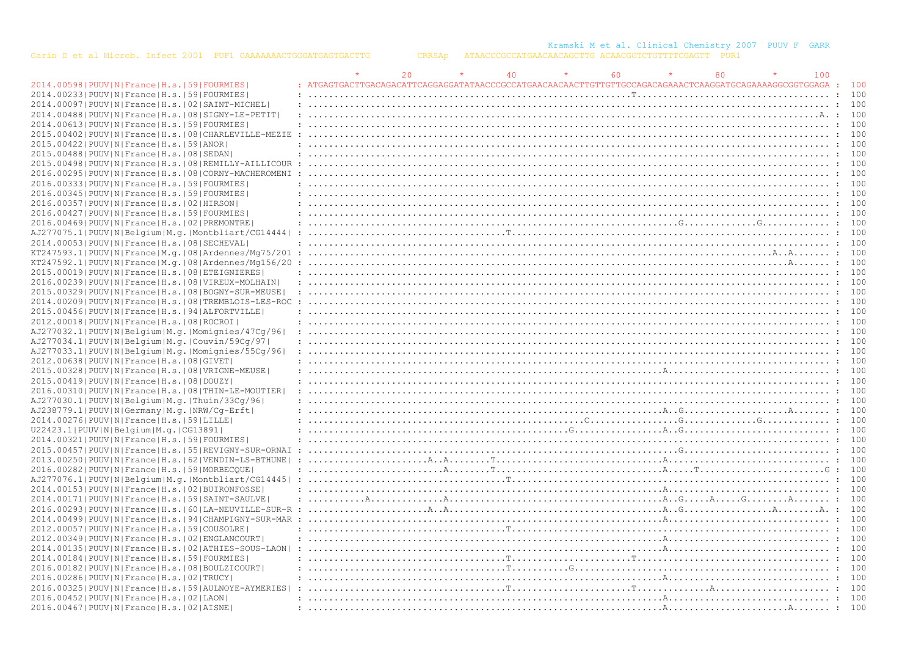|                                                                |                                                                                                                                                                                                                                                                                                                                                                                                                                                                                                                                      | 20 |                                                                                                                                           | 40 | 60 | 80 | 100 |       |
|----------------------------------------------------------------|--------------------------------------------------------------------------------------------------------------------------------------------------------------------------------------------------------------------------------------------------------------------------------------------------------------------------------------------------------------------------------------------------------------------------------------------------------------------------------------------------------------------------------------|----|-------------------------------------------------------------------------------------------------------------------------------------------|----|----|----|-----|-------|
| 2014.00598   PUUV   N   France   H.s.   59   FOURMIES          |                                                                                                                                                                                                                                                                                                                                                                                                                                                                                                                                      |    |                                                                                                                                           |    |    |    |     | : 100 |
| 2014.00233 PUUV N France H.s.  59 FOURMIES                     |                                                                                                                                                                                                                                                                                                                                                                                                                                                                                                                                      |    |                                                                                                                                           |    |    |    |     | 100   |
| 2014.00097   PUUV   N   France   H.s.   02   SAINT-MICHEL      |                                                                                                                                                                                                                                                                                                                                                                                                                                                                                                                                      |    |                                                                                                                                           |    |    |    |     | 100   |
| 2014.00488   PUUV   N   France   H.s.   08   SIGNY-LE-PETIT    |                                                                                                                                                                                                                                                                                                                                                                                                                                                                                                                                      |    |                                                                                                                                           |    |    |    |     | 100   |
| 2014.00613 PUUV N France H.s. 59 FOURMIES                      |                                                                                                                                                                                                                                                                                                                                                                                                                                                                                                                                      |    |                                                                                                                                           |    |    |    |     |       |
| 2015.00402   PUUV   N   France   H.s.   08   CHARLEVILLE-MEZIE |                                                                                                                                                                                                                                                                                                                                                                                                                                                                                                                                      |    |                                                                                                                                           |    |    |    |     |       |
| 2015.00422 PUUV N France H.s. 59 ANOR                          |                                                                                                                                                                                                                                                                                                                                                                                                                                                                                                                                      |    |                                                                                                                                           |    |    |    |     | 100   |
| 2015.00488   PUUV   N   France   H.s.   08   SEDAN             |                                                                                                                                                                                                                                                                                                                                                                                                                                                                                                                                      |    |                                                                                                                                           |    |    |    |     |       |
| 2015.00498   PUUV   N   France   H.s.   08   REMILLY-AILLICOUR |                                                                                                                                                                                                                                                                                                                                                                                                                                                                                                                                      |    |                                                                                                                                           |    |    |    |     |       |
| 2016.00295   PUUV   N   France   H.s.   08   CORNY-MACHEROMENI |                                                                                                                                                                                                                                                                                                                                                                                                                                                                                                                                      |    |                                                                                                                                           |    |    |    |     | 100   |
| 2016.00333 PUUV N France H.s. 59 FOURMIES                      |                                                                                                                                                                                                                                                                                                                                                                                                                                                                                                                                      |    |                                                                                                                                           |    |    |    |     |       |
| 2016.00345 PUUV N France H.s. 59 FOURMIES                      |                                                                                                                                                                                                                                                                                                                                                                                                                                                                                                                                      |    |                                                                                                                                           |    |    |    |     |       |
| 2016.00357   PUUV   N   France   H.s.   02   HIRSON            | $\overline{1}, \overline{2}, \overline{3}, \overline{4}, \overline{5}, \overline{5}, \overline{6}, \overline{7}, \overline{7}, \overline{8}, \overline{9}, \overline{1}, \overline{1}, \overline{2}, \overline{3}, \overline{3}, \overline{4}, \overline{5}, \overline{5}, \overline{1}, \overline{2}, \overline{2}, \overline{3}, \overline{3}, \overline{2}, \overline{2}, \overline{3}, \overline{3}, \overline{2}, \overline{3}, \overline{3}, \overline{2}, \overline{3}, \overline{3}, \overline{3}, \overline{3}, \overline{$ |    |                                                                                                                                           |    |    |    |     | 100   |
| 2016.00427 PUUV N France H.s. 59 FOURMIES                      |                                                                                                                                                                                                                                                                                                                                                                                                                                                                                                                                      |    |                                                                                                                                           |    |    |    |     | 100   |
| 2016.00469   PUUV   N   France   H.s.   02   PREMONTRE         |                                                                                                                                                                                                                                                                                                                                                                                                                                                                                                                                      |    |                                                                                                                                           |    |    |    |     |       |
|                                                                |                                                                                                                                                                                                                                                                                                                                                                                                                                                                                                                                      |    |                                                                                                                                           |    |    |    |     |       |
| AJ277075.1 PUUV N Belgium M.g. Montbliart/CG14444              |                                                                                                                                                                                                                                                                                                                                                                                                                                                                                                                                      |    |                                                                                                                                           |    |    |    |     |       |
| 2014.000531PUUVINIFranceIH.s.1081SECHEVALI                     |                                                                                                                                                                                                                                                                                                                                                                                                                                                                                                                                      |    |                                                                                                                                           |    |    |    |     | 100   |
| KT247593.1 PUUV N France M.g. 08 Ardennes/Mg75/201             |                                                                                                                                                                                                                                                                                                                                                                                                                                                                                                                                      |    |                                                                                                                                           |    |    |    |     |       |
| $KT247592.1$  PUUV N France M.q. 08 Ardennes/Mq156/20          |                                                                                                                                                                                                                                                                                                                                                                                                                                                                                                                                      |    |                                                                                                                                           |    |    |    |     |       |
| 2015.00019 PUUV N France H.s. 08 ETEIGNIERES                   |                                                                                                                                                                                                                                                                                                                                                                                                                                                                                                                                      |    |                                                                                                                                           |    |    |    |     |       |
| 2016.00239   PUUV   N   France   H.s.   08   VIREUX-MOLHAIN    |                                                                                                                                                                                                                                                                                                                                                                                                                                                                                                                                      |    |                                                                                                                                           |    |    |    |     |       |
| 2015.00329 PUUV N France H.s. 08 BOGNY-SUR-MEUSE               |                                                                                                                                                                                                                                                                                                                                                                                                                                                                                                                                      |    |                                                                                                                                           |    |    |    |     |       |
| 2014.00209 PUUV N France H.s. 08 TREMBLOIS-LES-ROC             |                                                                                                                                                                                                                                                                                                                                                                                                                                                                                                                                      |    |                                                                                                                                           |    |    |    |     |       |
| 2015.00456   PUUV   N   France   H.s.   94   ALFORTVILLE       |                                                                                                                                                                                                                                                                                                                                                                                                                                                                                                                                      |    |                                                                                                                                           |    |    |    |     | 100   |
| 2012.00018   PUUV   N   France   H.s.   08   ROCROI            |                                                                                                                                                                                                                                                                                                                                                                                                                                                                                                                                      |    |                                                                                                                                           |    |    |    |     | 100   |
| AJ277032.1 PUUV N Belgium M.g. Momignies/47Cg/96               |                                                                                                                                                                                                                                                                                                                                                                                                                                                                                                                                      |    |                                                                                                                                           |    |    |    |     |       |
| AJ277034.1 PUUV N Belgium M.g. Couvin/59Cg/97                  |                                                                                                                                                                                                                                                                                                                                                                                                                                                                                                                                      |    |                                                                                                                                           |    |    |    |     | 100   |
| AJ277033.1 PUUV N Belgium M.g. Momignies/55Cg/96               |                                                                                                                                                                                                                                                                                                                                                                                                                                                                                                                                      |    |                                                                                                                                           |    |    |    |     | 100   |
| 2012.00638 PUUV N France H.s. 08 GIVET                         |                                                                                                                                                                                                                                                                                                                                                                                                                                                                                                                                      |    |                                                                                                                                           |    |    |    |     |       |
| 2015.00328   PUUV   N   France   H.s.   08   VRIGNE-MEUSE      |                                                                                                                                                                                                                                                                                                                                                                                                                                                                                                                                      |    |                                                                                                                                           |    |    |    |     |       |
| 2015.00419 PUUV N France H.s. 08 DOUZY                         |                                                                                                                                                                                                                                                                                                                                                                                                                                                                                                                                      |    |                                                                                                                                           |    |    |    |     | 100   |
| 2016.00310   PUUV   N   France   H.s.   08   THIN-LE-MOUTIER   |                                                                                                                                                                                                                                                                                                                                                                                                                                                                                                                                      |    | $\mathcal{L}^{(1)}$ . The contract of the contract of the contract of the contract of the contract of the contract of $\mathcal{L}^{(1)}$ |    |    |    |     | 100   |
| AJ277030.1 PUUV N Belgium M.g. Thuin/33Cq/96                   |                                                                                                                                                                                                                                                                                                                                                                                                                                                                                                                                      |    |                                                                                                                                           |    |    |    |     |       |
| AJ238779.1  PUUV   N   Germany   M. q.   NRW/Cq-Erft           |                                                                                                                                                                                                                                                                                                                                                                                                                                                                                                                                      |    |                                                                                                                                           |    |    |    |     |       |
| 2014.00276 PUUV N France H.s. 59 LILLE                         |                                                                                                                                                                                                                                                                                                                                                                                                                                                                                                                                      |    |                                                                                                                                           |    |    |    |     | 100   |
| U22423.1 PUUV N Belgium M.g. CG13891                           |                                                                                                                                                                                                                                                                                                                                                                                                                                                                                                                                      |    |                                                                                                                                           |    |    |    |     |       |
| 2014.00321  PUUV   N   France   H.s.   59   FOURMIES           |                                                                                                                                                                                                                                                                                                                                                                                                                                                                                                                                      |    |                                                                                                                                           |    |    |    |     | 100   |
| 2015.00457   PUUV   N   France   H.s.   55   REVIGNY-SUR-ORNAI |                                                                                                                                                                                                                                                                                                                                                                                                                                                                                                                                      |    |                                                                                                                                           |    |    |    |     | 100   |
| 2013.00250   PUUV   N   France   H.s.   62   VENDIN-LS-BTHUNE  |                                                                                                                                                                                                                                                                                                                                                                                                                                                                                                                                      |    |                                                                                                                                           |    |    |    |     |       |
| 2016.00282   PUUV   N   France   H.s.   59   MORBECOUE         |                                                                                                                                                                                                                                                                                                                                                                                                                                                                                                                                      |    |                                                                                                                                           |    |    |    |     | : 100 |
| AJ277076.1 PUUV N Belgium M.g. Montbliart/CG14445              |                                                                                                                                                                                                                                                                                                                                                                                                                                                                                                                                      |    |                                                                                                                                           |    |    |    |     |       |
| 2014.00153 PUUV N France H.s. 02 BUIRONFOSSE                   |                                                                                                                                                                                                                                                                                                                                                                                                                                                                                                                                      |    |                                                                                                                                           |    |    |    |     | 100   |
|                                                                | $\ldots, \ldots, A, \ldots, \ldots, A, \ldots, A, \ldots, \ldots, \ldots, \ldots, \ldots, \ldots, \ldots, A, \ldots, A, \ldots, \ldots, A, \ldots, A, \ldots, \ldots, A, \ldots, \ldots, \ldots$                                                                                                                                                                                                                                                                                                                                     |    |                                                                                                                                           |    |    |    |     |       |
| 2014.00171 PUUV N France H.s. 59 SAINT-SAULVE                  |                                                                                                                                                                                                                                                                                                                                                                                                                                                                                                                                      |    |                                                                                                                                           |    |    |    |     |       |
|                                                                |                                                                                                                                                                                                                                                                                                                                                                                                                                                                                                                                      |    |                                                                                                                                           |    |    |    |     |       |
| 2014.00499   PUUV   N   France   H.s.   94   CHAMPIGNY-SUR-MAR |                                                                                                                                                                                                                                                                                                                                                                                                                                                                                                                                      |    |                                                                                                                                           |    |    |    |     |       |
| 2012.00057 PUUV N France H.s. 59 COUSOLRE                      |                                                                                                                                                                                                                                                                                                                                                                                                                                                                                                                                      |    |                                                                                                                                           |    |    |    |     |       |
| 2012.00349   PUUV   N   France   H.s.   02   ENGLANCOURT       |                                                                                                                                                                                                                                                                                                                                                                                                                                                                                                                                      |    |                                                                                                                                           |    |    |    |     |       |
| 2014.00135 PUUV N France H.s. 02 ATHIES-SOUS-LAON              |                                                                                                                                                                                                                                                                                                                                                                                                                                                                                                                                      |    |                                                                                                                                           |    |    |    |     |       |
| 2014.00184   PUUV   N   France   H.s.   59   FOURMIES          |                                                                                                                                                                                                                                                                                                                                                                                                                                                                                                                                      |    |                                                                                                                                           |    |    |    |     | 100   |
| 2016.00182   PUUV   N   France   H.s.   08   BOULZICOURT       |                                                                                                                                                                                                                                                                                                                                                                                                                                                                                                                                      |    |                                                                                                                                           |    |    |    |     |       |
| 2016.00286  PUUV  N   France   H.s.   02   TRUCY               |                                                                                                                                                                                                                                                                                                                                                                                                                                                                                                                                      |    |                                                                                                                                           |    |    |    |     |       |
| 2016.00325   PUUV   N   France   H.s.   59   AULNOYE-AYMERIES  |                                                                                                                                                                                                                                                                                                                                                                                                                                                                                                                                      |    |                                                                                                                                           |    |    |    |     | 100   |
| 2016.00452 PUUV N France H.s. 02 LAON                          |                                                                                                                                                                                                                                                                                                                                                                                                                                                                                                                                      |    |                                                                                                                                           |    |    |    |     | 100   |
| 2016.00467   PUUV   N   France   H.s.   02   AISNE             |                                                                                                                                                                                                                                                                                                                                                                                                                                                                                                                                      |    |                                                                                                                                           |    |    |    |     |       |
|                                                                |                                                                                                                                                                                                                                                                                                                                                                                                                                                                                                                                      |    |                                                                                                                                           |    |    |    |     |       |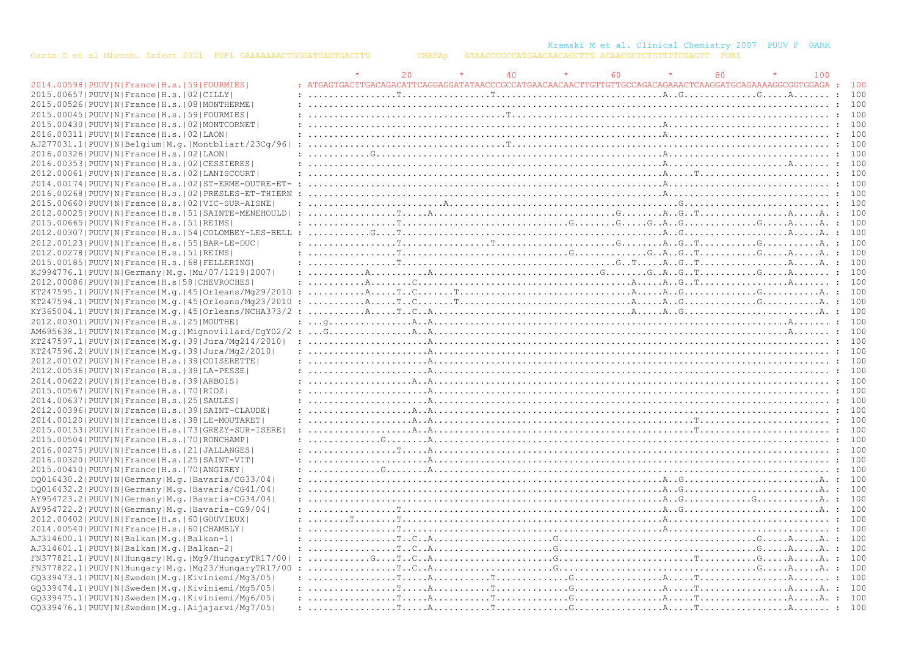Kramski M et al. Clinical Chemistry 2007 PUUV F GARR

|                                                                |                                                                                                                                                                                                                                                                                                                                                                                                                                                             | 20 | 40 | 60 | 80 | 100 |     |
|----------------------------------------------------------------|-------------------------------------------------------------------------------------------------------------------------------------------------------------------------------------------------------------------------------------------------------------------------------------------------------------------------------------------------------------------------------------------------------------------------------------------------------------|----|----|----|----|-----|-----|
| 2014.00598   PUUV   N   France   H.s.   59   FOURMIES          |                                                                                                                                                                                                                                                                                                                                                                                                                                                             |    |    |    |    |     |     |
| 2015.00657   PUUV   N   France   H.s.   02   CILLY             |                                                                                                                                                                                                                                                                                                                                                                                                                                                             |    |    |    |    |     | 100 |
| 2015.00526   PUUV   N   France   H.s.   08   MONTHERME         |                                                                                                                                                                                                                                                                                                                                                                                                                                                             |    |    |    |    |     | 100 |
| 2015.00045 PUUV N France H.s. 59 FOURMIES                      |                                                                                                                                                                                                                                                                                                                                                                                                                                                             |    |    |    |    |     |     |
| 2015.00430   PUUV   N   France   H.s.   02   MONTCORNET        |                                                                                                                                                                                                                                                                                                                                                                                                                                                             |    |    |    |    |     |     |
| 2016.00311  PUUV   N   France   H.s.   02   LAON               |                                                                                                                                                                                                                                                                                                                                                                                                                                                             |    |    |    |    |     |     |
| AJ277031.1  PUUV   N   Belgium   M.g.   Montbliart/23Cq/96     |                                                                                                                                                                                                                                                                                                                                                                                                                                                             |    |    |    |    |     |     |
| 2016.00326 PUUV N France H.s. 02 LAON                          |                                                                                                                                                                                                                                                                                                                                                                                                                                                             |    |    |    |    |     |     |
| 2016.00353 PUUV N France H.s. 02 CESSIERES                     |                                                                                                                                                                                                                                                                                                                                                                                                                                                             |    |    |    |    |     |     |
| 2012.00061   PUUV   N   France   H.s.   02   LANISCOURT        |                                                                                                                                                                                                                                                                                                                                                                                                                                                             |    |    |    |    |     |     |
|                                                                |                                                                                                                                                                                                                                                                                                                                                                                                                                                             |    |    |    |    |     |     |
| 2014.00174   PUUV   N   France   H.s.   02   ST-ERME-OUTRE-ET- |                                                                                                                                                                                                                                                                                                                                                                                                                                                             |    |    |    |    |     |     |
| 2016.00268   PUUV   N   France   H.s.   02   PRESLES-ET-THIERN |                                                                                                                                                                                                                                                                                                                                                                                                                                                             |    |    |    |    |     |     |
| 2015.00660   PUUV   N   France   H.s.   02   VIC-SUR-AISNE     | $: \ldots \ldots \ldots \ldots \ldots \ldots \ldots$                                                                                                                                                                                                                                                                                                                                                                                                        |    |    |    |    |     |     |
| 2012.00025 PUUV N France H.s. 51 SAINTE-MENEHOULD              |                                                                                                                                                                                                                                                                                                                                                                                                                                                             |    |    |    |    |     |     |
| 2015.00665 PUUV N France H.s. 51 REIMS                         |                                                                                                                                                                                                                                                                                                                                                                                                                                                             |    |    |    |    |     |     |
|                                                                |                                                                                                                                                                                                                                                                                                                                                                                                                                                             |    |    |    |    |     |     |
| 2012.00123   PUUV   N   France   H.s.   55   BAR-LE-DUC        |                                                                                                                                                                                                                                                                                                                                                                                                                                                             |    |    |    |    |     |     |
| 2012.00278   PUUV   N   France   H.s.   51   REIMS             |                                                                                                                                                                                                                                                                                                                                                                                                                                                             |    |    |    |    |     |     |
| 2015.00185 PUUV N France H.s. 68 FELLERING                     |                                                                                                                                                                                                                                                                                                                                                                                                                                                             |    |    |    |    |     |     |
| KJ994776.1  PUUV   N   Germany   M.q.   Mu / 07 / 1219   2007  |                                                                                                                                                                                                                                                                                                                                                                                                                                                             |    |    |    |    |     |     |
| 2012.00086 PUUV N France H.s 58 CHEVROCHES                     |                                                                                                                                                                                                                                                                                                                                                                                                                                                             |    |    |    |    |     |     |
| $KT247595.1 PUUV N France M,q. 45  Orleans/Mq29/2010$          |                                                                                                                                                                                                                                                                                                                                                                                                                                                             |    |    |    |    |     | 100 |
| KT247594.1 PUUV N France M.q. 45 Orleans/Mq23/2010             |                                                                                                                                                                                                                                                                                                                                                                                                                                                             |    |    |    |    |     |     |
|                                                                |                                                                                                                                                                                                                                                                                                                                                                                                                                                             |    |    |    |    |     |     |
| 2012.00301 PUUV N France H.s.   25   MOUTHE                    |                                                                                                                                                                                                                                                                                                                                                                                                                                                             |    |    |    |    |     |     |
| AM695638.1 PUUV N France M.q. Miqnovillard/CqY02/2             | $\ldots, G_{i_1}, \ldots, G_{i_k}, \ldots, G_{i_k}, \ldots, G_{i_k}, \ldots, G_{i_k}, \ldots, G_{i_k}, \ldots, G_{i_k}, \ldots, G_{i_k}, \ldots, G_{i_k}, \ldots, G_{i_k}, \ldots, G_{i_k}, \ldots, G_{i_k}, \ldots, G_{i_k}, \ldots, G_{i_k}, \ldots, G_{i_k}, \ldots, G_{i_k}, \ldots, G_{i_k}, \ldots, G_{i_k}, \ldots, G_{i_k}, \ldots, G_{i_k}, \ldots, G_{i_k}, \ldots, G_{i_k}, \ldots, G_{i_k}, \ldots, G_{i_k}, \ldots$                            |    |    |    |    |     |     |
| KT247597.1 PUUV N France M.g. 39 Jura/Mg214/2010               |                                                                                                                                                                                                                                                                                                                                                                                                                                                             |    |    |    |    |     |     |
| KT247596.2 PUUV N France M.g.   39 Jura/Mg2/2010               |                                                                                                                                                                                                                                                                                                                                                                                                                                                             |    |    |    |    |     |     |
|                                                                |                                                                                                                                                                                                                                                                                                                                                                                                                                                             |    |    |    |    |     |     |
| 2012.00102 PUUV N France H.s. 39 COISERETTE                    |                                                                                                                                                                                                                                                                                                                                                                                                                                                             |    |    |    |    |     |     |
| 2012.00536  PUUV  N   France   H.s.   39   LA-PESSE            |                                                                                                                                                                                                                                                                                                                                                                                                                                                             |    |    |    |    |     |     |
| 2014.00622 PUUV N France H.s. 39 ARBOIS                        | $: \ldots, \ldots, \ldots, \ldots, \mathbb{A} \ldots, \mathbb{A} \ldots, \ldots, \ldots, \mathbb{A} \ldots, \mathbb{A} \ldots, \mathbb{A} \ldots, \mathbb{A} \ldots, \mathbb{A} \ldots, \mathbb{A} \ldots, \mathbb{A} \ldots, \mathbb{A} \ldots, \mathbb{A} \ldots, \mathbb{A} \ldots, \mathbb{A} \ldots, \mathbb{A} \ldots, \mathbb{A} \ldots, \mathbb{A} \ldots, \mathbb{A} \ldots, \mathbb{A} \ldots, \mathbb{A} \ldots, \mathbb{A$                      |    |    |    |    |     |     |
| 2015.00567 PUUV N France H.s. 70 RIOZ                          |                                                                                                                                                                                                                                                                                                                                                                                                                                                             |    |    |    |    |     |     |
| 2014.00637   PUUV   N   France   H.s.   25   SAULES            |                                                                                                                                                                                                                                                                                                                                                                                                                                                             |    |    |    |    |     |     |
| 2012.00396   PUUV   N   France   H.s.   39   SAINT-CLAUDE      | $: \ldots, \ldots, \ldots, \ldots, \mathbb{A} \ldots, \mathbb{A} \ldots, \ldots, \ldots, \mathbb{A} \ldots, \mathbb{A} \ldots, \mathbb{A} \ldots, \mathbb{A} \ldots, \mathbb{A} \ldots, \mathbb{A} \ldots, \mathbb{A} \ldots, \mathbb{A} \ldots, \mathbb{A} \ldots, \mathbb{A} \ldots, \mathbb{A} \ldots, \mathbb{A} \ldots, \mathbb{A} \ldots, \mathbb{A} \ldots, \mathbb{A} \ldots, \mathbb{A} \ldots, \mathbb{A} \ldots, \mathbb{A$                      |    |    |    |    |     |     |
| 2014.00120   PUUV   N   France   H.s.   38   LE-MOUTARET       | $: \ldots, \ldots, \ldots, \ldots, \mathbb{A} \ldots, \mathbb{A} \ldots, \ldots, \ldots, \mathbb{A} \ldots, \mathbb{A} \ldots, \mathbb{A} \ldots, \mathbb{A} \ldots, \mathbb{A} \ldots, \mathbb{A} \ldots, \mathbb{A} \ldots, \mathbb{A} \ldots, \mathbb{A} \ldots, \mathbb{A} \ldots, \mathbb{A} \ldots, \mathbb{A} \ldots, \mathbb{A} \ldots, \mathbb{A} \ldots, \mathbb{A} \ldots, \mathbb{A} \ldots, \mathbb{A} \ldots, \mathbb{A$                      |    |    |    |    |     |     |
| 2015.00153   PUUV   N   France   H.s.   73   GREZY-SUR-ISERE   |                                                                                                                                                                                                                                                                                                                                                                                                                                                             |    |    |    |    |     |     |
| 2015.00504   PUUV   N   France   H.s.   70   RONCHAMP          |                                                                                                                                                                                                                                                                                                                                                                                                                                                             |    |    |    |    |     |     |
| 2016.00275   PUUV   N   France   H.s.   21   JALLANGES         | $: \ldots, \ldots, \ldots, \ldots, \texttt{r}, \ldots, \texttt{A}, \ldots, \ldots, \ldots, \texttt{A}, \ldots, \texttt{A}, \ldots, \texttt{A}, \ldots, \texttt{A}, \ldots, \texttt{A}, \ldots, \texttt{A}, \ldots, \texttt{A}, \ldots, \texttt{A}, \ldots, \texttt{A}, \ldots, \texttt{A}, \ldots, \texttt{A}, \ldots, \texttt{A}, \ldots, \texttt{A}, \ldots, \texttt{A}, \ldots, \texttt{A}, \ldots, \texttt{A}, \ldots, \texttt{A}, \ldots, \texttt{A$   |    |    |    |    |     |     |
| 2016.00320  PUUV   N   France   H.s.   25   SAINT-VIT          |                                                                                                                                                                                                                                                                                                                                                                                                                                                             |    |    |    |    |     |     |
| 2015.00410 PUUV N France H.s. 70 ANGIREY                       |                                                                                                                                                                                                                                                                                                                                                                                                                                                             |    |    |    |    |     |     |
| DQ016430.2 PUUV N Germany M.q. Bavaria/CG33/04                 |                                                                                                                                                                                                                                                                                                                                                                                                                                                             |    |    |    |    |     |     |
| DO016432.2   PUUV   N   Germany   M.g.   Bavaria/CG41/04       |                                                                                                                                                                                                                                                                                                                                                                                                                                                             |    |    |    |    |     |     |
| AY954723.2 PUUV N Germany M.g. Bavaria-CG34/04                 |                                                                                                                                                                                                                                                                                                                                                                                                                                                             |    |    |    |    |     | 100 |
| AY954722.2   PUUV   N   Germany   M. g.   Bavaria-CG9/04       |                                                                                                                                                                                                                                                                                                                                                                                                                                                             |    |    |    |    |     |     |
| 2012.00402   PUUV   N   France   H.s.   60   GOUVIEUX          |                                                                                                                                                                                                                                                                                                                                                                                                                                                             |    |    |    |    |     |     |
| 2014.00540 PUUV N France H.s. 60 CHAMBLY                       |                                                                                                                                                                                                                                                                                                                                                                                                                                                             |    |    |    |    |     |     |
| AJ314600.1 PUUV N Balkan M.g. Balkan-1                         |                                                                                                                                                                                                                                                                                                                                                                                                                                                             |    |    |    |    |     | 100 |
| AJ314601.1 PUUV N Balkan M.g. Balkan-2                         |                                                                                                                                                                                                                                                                                                                                                                                                                                                             |    |    |    |    |     |     |
|                                                                |                                                                                                                                                                                                                                                                                                                                                                                                                                                             |    |    |    |    |     |     |
| FN377821.1  PUUV   N   Hungary   M.g.   Mg9/HungaryTR17/00     |                                                                                                                                                                                                                                                                                                                                                                                                                                                             |    |    |    |    |     |     |
| $FN377822.1 PUUV N Hungary M,q.$ $Mq23/HungaryTR17/00$         |                                                                                                                                                                                                                                                                                                                                                                                                                                                             |    |    |    |    |     |     |
| GQ339473.1 PUUV N Sweden M.q. Kiviniemi/Mq3/05                 |                                                                                                                                                                                                                                                                                                                                                                                                                                                             |    |    |    |    |     |     |
| GO339474.1 PUUV N Sweden M.g. Kiviniemi/Mg5/05                 |                                                                                                                                                                                                                                                                                                                                                                                                                                                             |    |    |    |    |     | 100 |
| GQ339475.1 PUUV N Sweden M.g. Kiviniemi/Mg6/05                 | $: \ldots, \ldots, \ldots, \ldots, \mathbb{F}, \ldots, \mathbb{A}, \ldots, \mathbb{F}, \ldots, \mathbb{F}, \ldots, \mathbb{G}, \ldots, \mathbb{G}, \ldots, \mathbb{G}, \ldots, \mathbb{A}, \ldots, \mathbb{F}, \ldots, \mathbb{A}, \ldots, \mathbb{A}, \ldots, \mathbb{A}, \ldots, \mathbb{A}, \ldots, \mathbb{A}, \ldots, \mathbb{A}, \ldots, \mathbb{A}, \ldots, \mathbb{A}, \ldots, \mathbb{A}, \ldots, \mathbb{A}, \ldots, \mathbb{A}, \ldots, \mathbb$ |    |    |    |    |     | 100 |
| GO339476.1 PUUV N Sweden M.g. Aijajarvi/Mg7/05                 |                                                                                                                                                                                                                                                                                                                                                                                                                                                             |    |    |    |    |     |     |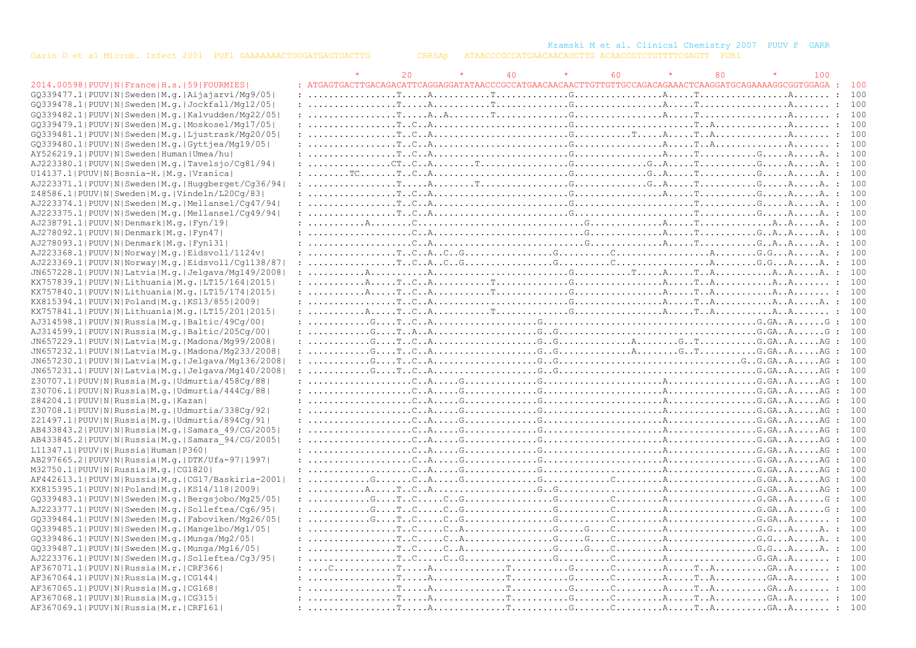Kramski M et al. Clinical Chemistry 2007 PUUV F GARR

|                                                            |                                                                                                                                                                                                                                                                                                                                                                                                                                                                                                                       | 20 <sup>o</sup> | 40 | 60 | 80 | 100 |       |
|------------------------------------------------------------|-----------------------------------------------------------------------------------------------------------------------------------------------------------------------------------------------------------------------------------------------------------------------------------------------------------------------------------------------------------------------------------------------------------------------------------------------------------------------------------------------------------------------|-----------------|----|----|----|-----|-------|
| 2014.00598   PUUV   N   France   H.s.   59   FOURMIES      |                                                                                                                                                                                                                                                                                                                                                                                                                                                                                                                       |                 |    |    |    |     |       |
| GO339477.1 PUUV N Sweden M.g. Aijajarvi/Mg9/05             |                                                                                                                                                                                                                                                                                                                                                                                                                                                                                                                       |                 |    |    |    |     |       |
| GQ339478.1 PUUV N Sweden M.g. Jockfall/Mg12/05             |                                                                                                                                                                                                                                                                                                                                                                                                                                                                                                                       |                 |    |    |    |     |       |
| GO339482.1 PUUV N Sweden M.q. Kalvudden/Mg22/05            |                                                                                                                                                                                                                                                                                                                                                                                                                                                                                                                       |                 |    |    |    |     |       |
| GQ339479.1 PUUV N Sweden M.q. Moskosel/Mq17/05             |                                                                                                                                                                                                                                                                                                                                                                                                                                                                                                                       |                 |    |    |    |     |       |
| GO339481.1 PUUV N Sweden M.g. Ljustrask/Mg20/05            |                                                                                                                                                                                                                                                                                                                                                                                                                                                                                                                       |                 |    |    |    |     |       |
| GQ339480.1 PUUV N Sweden M.g. Gyttjea/Mq19/05              |                                                                                                                                                                                                                                                                                                                                                                                                                                                                                                                       |                 |    |    |    |     |       |
| AY526219.1 PUUV N Sweden Human Umea/hu                     |                                                                                                                                                                                                                                                                                                                                                                                                                                                                                                                       |                 |    |    |    |     |       |
| AJ223380.1 PUUV N Sweden M.g. Tavelsjo/Cq81/94             |                                                                                                                                                                                                                                                                                                                                                                                                                                                                                                                       |                 |    |    |    |     |       |
| U14137.1 PUUV N Bosnia-H. M.q. Vranica                     |                                                                                                                                                                                                                                                                                                                                                                                                                                                                                                                       |                 |    |    |    |     |       |
| AJ223371.1 PUUV N Sweden M.q. Huqqberqet/Cq36/94           |                                                                                                                                                                                                                                                                                                                                                                                                                                                                                                                       |                 |    |    |    |     |       |
| Z48586.1 PUUV N Sweden M.g. Vindeln/L20Cq/83               |                                                                                                                                                                                                                                                                                                                                                                                                                                                                                                                       |                 |    |    |    |     |       |
| AJ223374.1 PUUV N Sweden M.q. Mellansel/Cq47/94            |                                                                                                                                                                                                                                                                                                                                                                                                                                                                                                                       |                 |    |    |    |     |       |
|                                                            |                                                                                                                                                                                                                                                                                                                                                                                                                                                                                                                       |                 |    |    |    |     |       |
| AJ223375.1 PUUV N Sweden M.q. Mellansel/Cq49/94            |                                                                                                                                                                                                                                                                                                                                                                                                                                                                                                                       |                 |    |    |    |     |       |
| AJ238791.1 PUUV N Denmark M.q. Fyn/19                      |                                                                                                                                                                                                                                                                                                                                                                                                                                                                                                                       |                 |    |    |    |     |       |
| AJ278092.1 PUUV N Denmark M.g. Fyn47                       |                                                                                                                                                                                                                                                                                                                                                                                                                                                                                                                       |                 |    |    |    |     |       |
| AJ278093.1 PUUV N Denmark M.q. Fyn131                      | $: \ldots, \ldots, \ldots, \ldots, \mathbb{C} \ldots \mathbb{A}, \ldots, \ldots, \ldots, \ldots, \mathbb{C} \ldots, \mathbb{C} \ldots, \mathbb{C} \ldots, \mathbb{C} \ldots, \mathbb{C} \ldots, \mathbb{C} \ldots, \mathbb{C} \ldots, \mathbb{A} \ldots, \mathbb{A} \ldots, \mathbb{A} \ldots, \mathbb{A} \ldots, \mathbb{A} \ldots, \mathbb{A} \ldots, \mathbb{A} \ldots, \mathbb{A} \ldots, \mathbb{A} \ldots, \mathbb{A} \ldots, \math$                                                                            |                 |    |    |    |     | 100   |
| AJ223368.1 PUUV N Norway M.g. Eidsvoll/1124v               |                                                                                                                                                                                                                                                                                                                                                                                                                                                                                                                       |                 |    |    |    |     |       |
| AJ223369.1 PUUV N Norway M.g. Eidsvoll/Cq1138/87           | $: \ldots \ldots \ldots \ldots \ldots$ $T \ldots C \ldots A \ldots C \ldots G \ldots \ldots \ldots G \ldots \ldots \ldots C \ldots \ldots \ldots \ldots \ldots \ldots \ldots A \ldots \ldots A \ldots \ldots A \ldots \ldots A \ldots \ldots \ldots \ldots C \ldots \ldots \ldots \ldots \ldots A \ldots \ldots A \ldots \ldots A \ldots \ldots A \ldots \ldots A \ldots \ldots A \ldots \ldots A \ldots \ldots A \ldots \ldots A \ldots \ldots \ldots A \ldots \ldots \ldots A \ldots \ldots \ldots A \ldots \ldots$ |                 |    |    |    |     |       |
| $JN657228.1$  PUUV N Latvia M.q. Jelqava/Mq149/2008        |                                                                                                                                                                                                                                                                                                                                                                                                                                                                                                                       |                 |    |    |    |     |       |
| KX757839.1  PUUV   N   Lithuania   M. g.   LT15/164   2015 |                                                                                                                                                                                                                                                                                                                                                                                                                                                                                                                       |                 |    |    |    |     |       |
| KX757840.1 PUUV N Lithuania M.g. LT15/174 2015             |                                                                                                                                                                                                                                                                                                                                                                                                                                                                                                                       |                 |    |    |    |     |       |
| KX815394.1  PUUV   N   Poland   M.q.   KS13/855   2009     |                                                                                                                                                                                                                                                                                                                                                                                                                                                                                                                       |                 |    |    |    |     |       |
| KX757841.1  PUUV   N   Lithuania   M. g.   LT15/201   2015 |                                                                                                                                                                                                                                                                                                                                                                                                                                                                                                                       |                 |    |    |    |     |       |
| AJ314598.1 PUUV N Russia M.g. Baltic/49Cq/00               |                                                                                                                                                                                                                                                                                                                                                                                                                                                                                                                       |                 |    |    |    |     | : 100 |
| AJ314599.1  PUUV   N   Russia   M.g.   Baltic/205Cq/00     |                                                                                                                                                                                                                                                                                                                                                                                                                                                                                                                       |                 |    |    |    |     | : 100 |
| JN657229.1 PUUV N Latvia M.g. Madona/Mg99/2008             |                                                                                                                                                                                                                                                                                                                                                                                                                                                                                                                       |                 |    |    |    |     |       |
| JN657232.1 PUUV N Latvia M.g. Madona/Mg233/2008            | $: \ldots, \ldots, G, \ldots, \ldots, G, A, \ldots, \ldots, \ldots, G, G, \ldots, G, G, \ldots, G, \ldots, G, G, \ldots, G, G, \ldots, G, G, \ldots, G, G, \ldots, G, G, \ldots, G, G, \ldots, G, G, \ldots, G, G, \ldots, G, G, \ldots, G, G, \ldots, G, G, \ldots, G, G, \ldots, G, G, \ldots, G, G, \ldots, G, G, \ldots, G, G, \ldots, G, G, \ldots, G, G, \ldots, G, G, \ldots, G, G, \ldots, G, G$                                                                                                              |                 |    |    |    |     | : 100 |
| JN657230.1 PUUV N Latvia M.g. Jelgava/Mg136/2008           | $: \ldots, \ldots, G, \ldots, \ldots, G, \ldots, G, \ldots, \ldots, G, \ldots, G, \ldots, \ldots, \ldots, \ldots, \ldots, G, \ldots, G, \ldots, G, \ldots, G, G, \ldots, G, G, \ldots, G, \ldots, G, \ldots, G, \ldots, G, \ldots, G, \ldots, G, \ldots, G, \ldots, G, \ldots, G, \ldots, G, \ldots, G, \ldots, G, \ldots, G, \ldots, G, \ldots, G, \ldots, G, \ldots, G, \ldots, G, \ldots, G, \ldots, G, \ldots, G, \$                                                                                              |                 |    |    |    |     | : 100 |
| $JN657231.1 PUUV N Latvia M,q. Jelqava/Mq140/2008 $        |                                                                                                                                                                                                                                                                                                                                                                                                                                                                                                                       |                 |    |    |    |     |       |
| Z30707.1 PUUV N Russia M.g. Udmurtia/458Cg/88              |                                                                                                                                                                                                                                                                                                                                                                                                                                                                                                                       |                 |    |    |    |     | 100   |
| Z30706.1 PUUV N Russia M.g. Udmurtia/444Cq/88              |                                                                                                                                                                                                                                                                                                                                                                                                                                                                                                                       |                 |    |    |    |     |       |
| Z84204.1 PUUV N Russia M.q. Kazan                          |                                                                                                                                                                                                                                                                                                                                                                                                                                                                                                                       |                 |    |    |    |     | : 100 |
| Z30708.1 PUUV N Russia M.g. Udmurtia/338Cq/92              |                                                                                                                                                                                                                                                                                                                                                                                                                                                                                                                       |                 |    |    |    |     |       |
| Z21497.1 PUUV N Russia M.g. Udmurtia/894Cg/91              |                                                                                                                                                                                                                                                                                                                                                                                                                                                                                                                       |                 |    |    |    |     |       |
| AB433843.2   PUUV   N   Russia   M.g.   Samara 49/CG/2005  |                                                                                                                                                                                                                                                                                                                                                                                                                                                                                                                       |                 |    |    |    |     | : 100 |
| AB433845.2 PUUV N Russia M.g. Samara 94/CG/2005            |                                                                                                                                                                                                                                                                                                                                                                                                                                                                                                                       |                 |    |    |    |     |       |
| L11347.1  PUUV   N   Russia   Human   P360                 |                                                                                                                                                                                                                                                                                                                                                                                                                                                                                                                       |                 |    |    |    |     |       |
| AB297665.2 PUUV N Russia M.g. DTK/Ufa-97 1997              |                                                                                                                                                                                                                                                                                                                                                                                                                                                                                                                       |                 |    |    |    |     | : 100 |
| M32750.1 PUUV N Russia M.q. CG1820                         |                                                                                                                                                                                                                                                                                                                                                                                                                                                                                                                       |                 |    |    |    |     | : 100 |
| AF442613.1 PUUV N Russia M.g.  CG17/Baskiria-2001          |                                                                                                                                                                                                                                                                                                                                                                                                                                                                                                                       |                 |    |    |    |     |       |
| KX815395.1  PUUV   N   Poland   M.g.   KS14/118   2009     |                                                                                                                                                                                                                                                                                                                                                                                                                                                                                                                       |                 |    |    |    |     | : 100 |
| GQ339483.1 PUUV N Sweden M.q. Bergsjobo/Mg25/05            |                                                                                                                                                                                                                                                                                                                                                                                                                                                                                                                       |                 |    |    |    |     | : 100 |
| AJ223377.1 PUUV N Sweden M.g. Solleftea/Cq6/95             |                                                                                                                                                                                                                                                                                                                                                                                                                                                                                                                       |                 |    |    |    |     | : 100 |
| GQ339484.1 PUUV N Sweden M.q. Faboviken/Mq26/05            |                                                                                                                                                                                                                                                                                                                                                                                                                                                                                                                       |                 |    |    |    |     |       |
| GQ339485.1 PUUV N Sweden M.q. Mangelbo/Mg1/05              |                                                                                                                                                                                                                                                                                                                                                                                                                                                                                                                       |                 |    |    |    |     |       |
| $GQ339486.1$   PUUV N Sweden M.q. Munga/Mg2/05             |                                                                                                                                                                                                                                                                                                                                                                                                                                                                                                                       |                 |    |    |    |     | 100   |
| G0339487.1 PUUV N Sweden M.g. Munga/Mg16/05                |                                                                                                                                                                                                                                                                                                                                                                                                                                                                                                                       |                 |    |    |    |     |       |
| AJ223376.1 PUUV N Sweden M.g. Solleftea/Cq3/95             |                                                                                                                                                                                                                                                                                                                                                                                                                                                                                                                       |                 |    |    |    |     |       |
| AF367071.1 PUUV N Russia M.r. CRF366                       |                                                                                                                                                                                                                                                                                                                                                                                                                                                                                                                       |                 |    |    |    |     |       |
| AF367064.1  PUUV   N   Russia   M. q.   CG144              |                                                                                                                                                                                                                                                                                                                                                                                                                                                                                                                       |                 |    |    |    |     |       |
| AF367065.1  PUUV   N   Russia   M.q.   CG168               |                                                                                                                                                                                                                                                                                                                                                                                                                                                                                                                       |                 |    |    |    |     |       |
| AF367068.1 PUUV N Russia M.g. CG315                        |                                                                                                                                                                                                                                                                                                                                                                                                                                                                                                                       |                 |    |    |    |     |       |
| AF367069.1 PUUV N Russia M.r. CRF161                       |                                                                                                                                                                                                                                                                                                                                                                                                                                                                                                                       |                 |    |    |    |     |       |
|                                                            |                                                                                                                                                                                                                                                                                                                                                                                                                                                                                                                       |                 |    |    |    |     |       |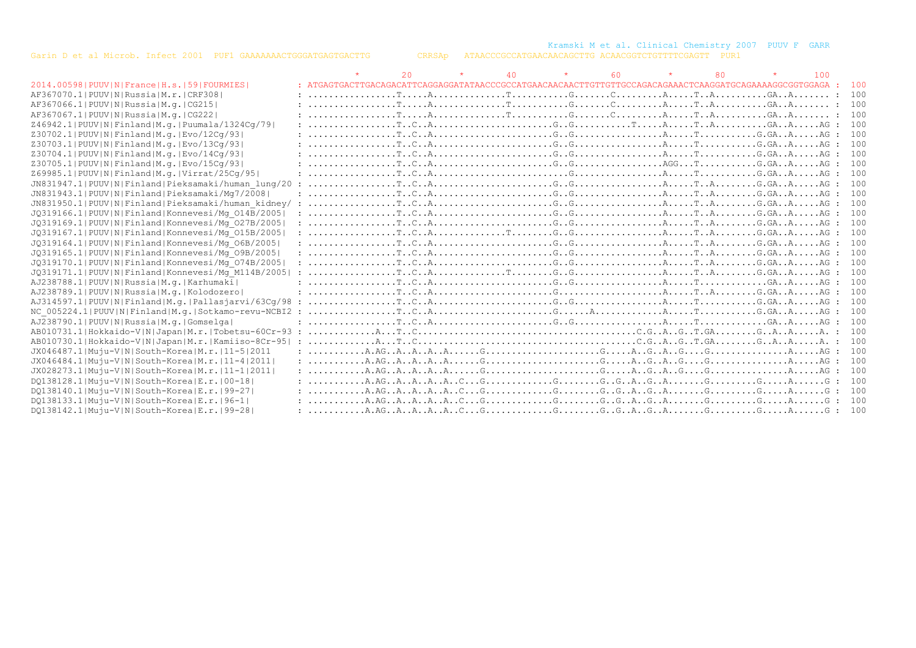Kramski M et al. Clinical Chemistry 2007 PUUV F GARR

|                                                         |                                                                                                                                                                                                                                                           | 20 | $\star$ | 40 | $\star$ | -60 |  | 100 |       |
|---------------------------------------------------------|-----------------------------------------------------------------------------------------------------------------------------------------------------------------------------------------------------------------------------------------------------------|----|---------|----|---------|-----|--|-----|-------|
| 2014.00598   PUUV   N   France   H.s.   59   FOURMIES   |                                                                                                                                                                                                                                                           |    |         |    |         |     |  |     | - 100 |
| AF367070.1  PUUV   N   Russia   M.r.   CRF308           |                                                                                                                                                                                                                                                           |    |         |    |         |     |  |     | 100   |
| AF367066.1  PUUV   N   Russia   M. g.   CG215           |                                                                                                                                                                                                                                                           |    |         |    |         |     |  |     | 100   |
| AF367067.1  PUUV   N   Russia   M. g.   CG222           |                                                                                                                                                                                                                                                           |    |         |    |         |     |  |     | 100   |
| Z46942.1  PUUV   N   Finland   M.q.   Puumala/1324Cq/79 |                                                                                                                                                                                                                                                           |    |         |    |         |     |  |     | 100   |
| Z30702.1 PUUV N Finland M.g. Evo/12Cq/93                |                                                                                                                                                                                                                                                           |    |         |    |         |     |  |     | 100   |
| Z30703.1 PUUV N Finland M.g. Evo/13Cq/93                |                                                                                                                                                                                                                                                           |    |         |    |         |     |  |     | 100   |
| Z30704.1 PUUV N Finland M.g. Evo/14Cq/93                |                                                                                                                                                                                                                                                           |    |         |    |         |     |  |     | 100   |
| Z30705.1 PUUV N Finland M.g. Evo/15Cq/93                | $: \ldots \ldots \ldots \ldots \ldots \ldots$                                                                                                                                                                                                             |    |         |    |         |     |  |     | 100   |
| Z69985.1 PUUV N Finland M.g. Virrat/25Cq/95             |                                                                                                                                                                                                                                                           |    |         |    |         |     |  |     | 100   |
| JN831947.1 PUUV N Finland Pieksamaki/human lung/20      |                                                                                                                                                                                                                                                           |    |         |    |         |     |  |     | 100   |
| JN831943.1 PUUV N Finland Pieksamaki/Mq7/2008           |                                                                                                                                                                                                                                                           |    |         |    |         |     |  |     | 100   |
| JN831950.1 PUUV N Finland Pieksamaki/human kidney/      |                                                                                                                                                                                                                                                           |    |         |    |         |     |  |     | 100   |
| JQ319166.1 PUUV N Finland Konnevesi/Mq 014B/2005        |                                                                                                                                                                                                                                                           |    |         |    |         |     |  |     | 100   |
| JQ319169.1 PUUV N Finland Konnevesi/Mq 027B/2005        |                                                                                                                                                                                                                                                           |    |         |    |         |     |  |     | 100   |
| JQ319167.1 PUUV N Finland Konnevesi/Mq 015B/2005        |                                                                                                                                                                                                                                                           |    |         |    |         |     |  |     | 100   |
| JQ319164.1 PUUV N Finland Konnevesi/Mq 06B/2005         |                                                                                                                                                                                                                                                           |    |         |    |         |     |  |     | 100   |
| JQ319165.1 PUUV N Finland Konnevesi/Mq 09B/2005         |                                                                                                                                                                                                                                                           |    |         |    |         |     |  |     | 100   |
| JQ319170.1 PUUV N Finland Konnevesi/Mq 074B/2005        |                                                                                                                                                                                                                                                           |    |         |    |         |     |  |     | 100   |
| JQ319171.1 PUUV N Finland Konnevesi/Mq M114B/2005       |                                                                                                                                                                                                                                                           |    |         |    |         |     |  |     | 100   |
| AJ238788.1 PUUV N Russia M.g. Karhumaki                 |                                                                                                                                                                                                                                                           |    |         |    |         |     |  |     | 100   |
| AJ238789.1 PUUV N Russia M.q. Kolodozero                |                                                                                                                                                                                                                                                           |    |         |    |         |     |  |     | 100   |
| $AJ314597.1 PUV N Finland M,q. Pallasjarvi/63Cq/98$     |                                                                                                                                                                                                                                                           |    |         |    |         |     |  |     | 100   |
| NC 005224.1 PUUV N Finland M.g. Sotkamo-revu-NCBI2 :    |                                                                                                                                                                                                                                                           |    |         |    |         |     |  |     | 100   |
| AJ238790.1 PUUV N Russia M.g. Gomselga                  |                                                                                                                                                                                                                                                           |    |         |    |         |     |  |     | 100   |
| AB010731.1 Hokkaido-V N Japan M.r. Tobetsu-60Cr-93 :    |                                                                                                                                                                                                                                                           |    |         |    |         |     |  |     | 100   |
| AB010730.1 Hokkaido-V N Japan M.r. Kamiiso-8Cr-95       |                                                                                                                                                                                                                                                           |    |         |    |         |     |  |     | 100   |
| JX046487.1 Muju-V N South-Korea M.r.   11-5 2011        |                                                                                                                                                                                                                                                           |    |         |    |         |     |  |     | 100   |
| JX046484.1 Muju-V N South-Korea M.r.   11-4  2011       |                                                                                                                                                                                                                                                           |    |         |    |         |     |  |     | 100   |
| JX028273.1 Muju-V N South-Korea M.r. 11-1 2011          |                                                                                                                                                                                                                                                           |    |         |    |         |     |  |     | 100   |
| DQ138128.1 Muju-V N South-Korea E.r. 00-18              |                                                                                                                                                                                                                                                           |    |         |    |         |     |  |     | 100   |
| DO138140.1 Muju-V N South-Korea E.r. 99-27              |                                                                                                                                                                                                                                                           |    |         |    |         |     |  |     | 100   |
| DQ138133.1 Muju-V N South-Korea E.r. 96-1               |                                                                                                                                                                                                                                                           |    |         |    |         |     |  |     | 100   |
| DQ138142.1 Muju-V N South-Korea E.r. 99-28              | : A.AGAAA $A_1, A_2, A_3, A_4, A_5, A_6, A_7, A_8, A_9, A_1, A_1, A_2, A_3, A_4, A_5, A_6, A_7, A_8, A_9, A_1, A_2, A_3, A_4, A_5, A_6, A_7, A_8, A_9, A_9, A_1, A_2, A_3, A_1, A_2, A_3, A_4, A_5, A_6, A_7, A_8, A_9, A_1, A_2, A_3, A_4, A_5, A_6, A_$ |    |         |    |         |     |  |     |       |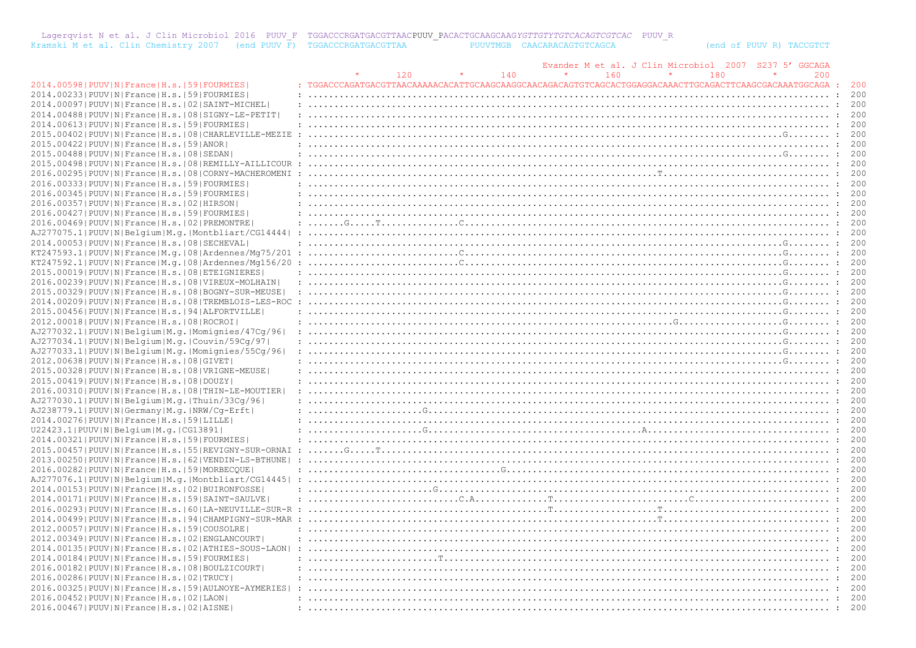Lagerqvist N et al. J Clin Microbiol 2016 PUUV F TGGACCCRGATGACGTTAACPUUV\_PACACTGCAAGCAAG*YGTTGTYTGTCACAGTCGTCAC* PUUV\_R<br>Kramski M et al. Clin Chemistry 2007 (end PUUV F) TGGACCCRGATGACGTTAA PUUVTMGB CAACARACAGTGTCAGCA (en

|                                                                |                                                                                                                                                                                                                                                                                                                                                                                                                                                                                                                                      |                                                                                                                                                                                                                                     |     | Evander M et al. J Clin Microbiol | 2007 | S237<br>GGCAGA |         |       |
|----------------------------------------------------------------|--------------------------------------------------------------------------------------------------------------------------------------------------------------------------------------------------------------------------------------------------------------------------------------------------------------------------------------------------------------------------------------------------------------------------------------------------------------------------------------------------------------------------------------|-------------------------------------------------------------------------------------------------------------------------------------------------------------------------------------------------------------------------------------|-----|-----------------------------------|------|----------------|---------|-------|
|                                                                |                                                                                                                                                                                                                                                                                                                                                                                                                                                                                                                                      | 120                                                                                                                                                                                                                                 | 140 | 160                               | 180  |                | 200     |       |
| 2014.00598   PUUV   N   France   H.s.   59   FOURMIES          |                                                                                                                                                                                                                                                                                                                                                                                                                                                                                                                                      |                                                                                                                                                                                                                                     |     |                                   |      |                |         |       |
| 2014.00233 PUUV N France H.s. 59 FOURMIES                      |                                                                                                                                                                                                                                                                                                                                                                                                                                                                                                                                      |                                                                                                                                                                                                                                     |     |                                   |      |                |         | 200   |
| 2014.00097 PUUV N France H.s. 02 SAINT-MICHEL                  |                                                                                                                                                                                                                                                                                                                                                                                                                                                                                                                                      |                                                                                                                                                                                                                                     |     |                                   |      |                |         | - 200 |
| 2014.00488   PUUV   N   France   H.s.   08   SIGNY-LE-PETIT    |                                                                                                                                                                                                                                                                                                                                                                                                                                                                                                                                      |                                                                                                                                                                                                                                     |     |                                   |      |                |         | 200   |
| 2014.00613 PUUV N France H.s. 59 FOURMIES                      |                                                                                                                                                                                                                                                                                                                                                                                                                                                                                                                                      |                                                                                                                                                                                                                                     |     |                                   |      |                |         | 200   |
|                                                                |                                                                                                                                                                                                                                                                                                                                                                                                                                                                                                                                      |                                                                                                                                                                                                                                     |     |                                   |      |                |         |       |
| 2015.00402   PUUV   N   France   H.s.   08   CHARLEVILLE-MEZIE |                                                                                                                                                                                                                                                                                                                                                                                                                                                                                                                                      |                                                                                                                                                                                                                                     |     |                                   |      |                |         |       |
| 2015.00422   PUUV   N   France   H.s.   59   ANOR              |                                                                                                                                                                                                                                                                                                                                                                                                                                                                                                                                      |                                                                                                                                                                                                                                     |     |                                   |      |                |         | 200   |
| 2015.00488 PUUV N France H.s. 08 SEDAN                         |                                                                                                                                                                                                                                                                                                                                                                                                                                                                                                                                      |                                                                                                                                                                                                                                     |     |                                   |      |                |         |       |
| 2015.00498   PUUV   N   France   H.s.   08   REMILLY-AILLICOUR |                                                                                                                                                                                                                                                                                                                                                                                                                                                                                                                                      |                                                                                                                                                                                                                                     |     |                                   |      |                |         | 200   |
| 2016.00295 PUUV N France H.s. 08 CORNY-MACHEROMENI             |                                                                                                                                                                                                                                                                                                                                                                                                                                                                                                                                      |                                                                                                                                                                                                                                     |     |                                   |      |                |         | 200   |
| 2016.00333  PUUV   N   France   H.s.   59   FOURMIES           |                                                                                                                                                                                                                                                                                                                                                                                                                                                                                                                                      |                                                                                                                                                                                                                                     |     |                                   |      |                |         |       |
| 2016.00345 PUUV N France H.s. 59 FOURMIES                      |                                                                                                                                                                                                                                                                                                                                                                                                                                                                                                                                      |                                                                                                                                                                                                                                     |     |                                   |      |                |         |       |
| 2016.00357 PUUV N France H.s. 02 HIRSON                        |                                                                                                                                                                                                                                                                                                                                                                                                                                                                                                                                      |                                                                                                                                                                                                                                     |     |                                   |      |                |         | 200   |
| 2016.00427   PUUV   N   France   H.s.   59   FOURMIES          | $\overline{1}, \overline{1}, \overline{1}, \overline{1}, \overline{1}, \overline{1}, \overline{1}, \overline{1}, \overline{1}, \overline{1}, \overline{1}, \overline{1}, \overline{1}, \overline{1}, \overline{1}, \overline{1}, \overline{1}, \overline{1}, \overline{1}, \overline{1}, \overline{1}, \overline{1}, \overline{1}, \overline{1}, \overline{1}, \overline{1}, \overline{1}, \overline{1}, \overline{1}, \overline{1}, \overline{1}, \overline{1}, \overline{1}, \overline{1}, \overline{1}, \overline{1}, \overline{$ |                                                                                                                                                                                                                                     |     |                                   |      |                |         | 200   |
| 2016.00469 PUUV N France H.s. 02 PREMONTRE                     |                                                                                                                                                                                                                                                                                                                                                                                                                                                                                                                                      |                                                                                                                                                                                                                                     |     |                                   |      |                |         |       |
| AJ277075.1 PUUV N Belgium M.g. Montbliart/CG14444              |                                                                                                                                                                                                                                                                                                                                                                                                                                                                                                                                      |                                                                                                                                                                                                                                     |     |                                   |      |                |         | 200   |
|                                                                |                                                                                                                                                                                                                                                                                                                                                                                                                                                                                                                                      |                                                                                                                                                                                                                                     |     |                                   |      |                |         |       |
| 2014.00053 PUUV N France H.s. 08 SECHEVAL                      |                                                                                                                                                                                                                                                                                                                                                                                                                                                                                                                                      |                                                                                                                                                                                                                                     |     |                                   |      |                |         | 200   |
| KT247593.1 PUUV N France M.q. 08 Ardennes/Mq75/201             |                                                                                                                                                                                                                                                                                                                                                                                                                                                                                                                                      |                                                                                                                                                                                                                                     |     |                                   |      |                |         |       |
| $KT247592.1 PUUV N France M,q. 08 Ardennes/Mq156/20$           |                                                                                                                                                                                                                                                                                                                                                                                                                                                                                                                                      |                                                                                                                                                                                                                                     |     |                                   |      |                |         | 200   |
| 2015.00019 PUUV N France H.s. 08 ETEIGNIERES                   |                                                                                                                                                                                                                                                                                                                                                                                                                                                                                                                                      |                                                                                                                                                                                                                                     |     |                                   |      |                |         | 200   |
| 2016.00239   PUUV   N   France   H.s.   08   VIREUX-MOLHAIN    |                                                                                                                                                                                                                                                                                                                                                                                                                                                                                                                                      |                                                                                                                                                                                                                                     |     |                                   |      |                |         |       |
| 2015.00329   PUUV   N   France   H.s.   08   BOGNY-SUR-MEUSE   |                                                                                                                                                                                                                                                                                                                                                                                                                                                                                                                                      |                                                                                                                                                                                                                                     |     |                                   |      |                |         | 200   |
| 2014.00209   PUUV   N   France   H.s.   08   TREMBLOIS-LES-ROC |                                                                                                                                                                                                                                                                                                                                                                                                                                                                                                                                      |                                                                                                                                                                                                                                     |     |                                   |      |                |         | 200   |
| 2015.00456 PUUV N France H.s. 94 ALFORTVILLE                   |                                                                                                                                                                                                                                                                                                                                                                                                                                                                                                                                      |                                                                                                                                                                                                                                     |     |                                   |      |                |         |       |
| 2012.00018   PUUV   N   France   H.s.   08   ROCROI            |                                                                                                                                                                                                                                                                                                                                                                                                                                                                                                                                      |                                                                                                                                                                                                                                     |     |                                   |      |                |         | 200   |
| AJ277032.1 PUUV N Belgium M.g. Momignies/47Cg/96               |                                                                                                                                                                                                                                                                                                                                                                                                                                                                                                                                      |                                                                                                                                                                                                                                     |     |                                   |      |                |         | 200   |
|                                                                |                                                                                                                                                                                                                                                                                                                                                                                                                                                                                                                                      |                                                                                                                                                                                                                                     |     |                                   |      |                |         |       |
| AJ277034.1 PUUV N Belgium M.g. Couvin/59Cq/97                  |                                                                                                                                                                                                                                                                                                                                                                                                                                                                                                                                      |                                                                                                                                                                                                                                     |     |                                   |      |                |         |       |
| AJ277033.1 PUUV N Belgium M.g. Momignies/55Cg/96               |                                                                                                                                                                                                                                                                                                                                                                                                                                                                                                                                      |                                                                                                                                                                                                                                     |     |                                   |      |                | . 200   |       |
| 2012.00638 PUUV N France H.s. 08 GIVET                         |                                                                                                                                                                                                                                                                                                                                                                                                                                                                                                                                      |                                                                                                                                                                                                                                     |     |                                   |      |                |         | 200   |
| 2015.00328   PUUV   N   France   H.s.   08   VRIGNE-MEUSE      |                                                                                                                                                                                                                                                                                                                                                                                                                                                                                                                                      |                                                                                                                                                                                                                                     |     |                                   |      |                |         |       |
| 2015.00419 PUUV N France H.s. 08 DOUZY                         |                                                                                                                                                                                                                                                                                                                                                                                                                                                                                                                                      |                                                                                                                                                                                                                                     |     |                                   |      |                |         | 200   |
| 2016.00310 PUUV N France H.s. 08 THIN-LE-MOUTIER               |                                                                                                                                                                                                                                                                                                                                                                                                                                                                                                                                      |                                                                                                                                                                                                                                     |     |                                   |      |                | $\cdot$ | 200   |
| AJ277030.1 PUUV N Belgium M.g. Thuin/33Cq/96                   |                                                                                                                                                                                                                                                                                                                                                                                                                                                                                                                                      |                                                                                                                                                                                                                                     |     |                                   |      |                |         |       |
| AJ238779.1 PUUV N Germany M.g. NRW/Cg-Erft                     |                                                                                                                                                                                                                                                                                                                                                                                                                                                                                                                                      |                                                                                                                                                                                                                                     |     |                                   |      |                |         | 200   |
| 2014.00276 PUUV N France H.s. 59 LILLE                         |                                                                                                                                                                                                                                                                                                                                                                                                                                                                                                                                      |                                                                                                                                                                                                                                     |     |                                   |      |                |         | 200   |
| U22423.1 PUUV N Belgium M.g. CG13891                           |                                                                                                                                                                                                                                                                                                                                                                                                                                                                                                                                      |                                                                                                                                                                                                                                     |     |                                   |      |                |         |       |
| 2014.00321  PUUV   N   France   H.s.   59   FOURMIES           |                                                                                                                                                                                                                                                                                                                                                                                                                                                                                                                                      |                                                                                                                                                                                                                                     |     |                                   |      |                |         | - 200 |
| 2015.00457   PUUV   N   France   H.s.   55   REVIGNY-SUR-ORNAI |                                                                                                                                                                                                                                                                                                                                                                                                                                                                                                                                      | $\ldots$ G, $\ldots$ , The continuous continuous continuous continuous continuous continuous continuous continuous continuous continuous continuous continuous continuous continuous continuous continuous continuous continuous co |     |                                   |      |                |         | 200   |
| 2013.00250 PUUV N France H.s. 62 VENDIN-LS-BTHUNE              |                                                                                                                                                                                                                                                                                                                                                                                                                                                                                                                                      |                                                                                                                                                                                                                                     |     |                                   |      |                |         |       |
|                                                                |                                                                                                                                                                                                                                                                                                                                                                                                                                                                                                                                      |                                                                                                                                                                                                                                     |     |                                   |      |                |         |       |
| 2016.00282   PUUV   N   France   H.s.   59   MORBECOUE         |                                                                                                                                                                                                                                                                                                                                                                                                                                                                                                                                      |                                                                                                                                                                                                                                     |     |                                   |      |                |         | 200   |
| AJ277076.1 PUUV N Belgium M.g. Montbliart/CG14445              |                                                                                                                                                                                                                                                                                                                                                                                                                                                                                                                                      |                                                                                                                                                                                                                                     |     |                                   |      |                |         | 200   |
| 2014.00153 PUUV N France H.s. 02 BUIRONFOSSE                   |                                                                                                                                                                                                                                                                                                                                                                                                                                                                                                                                      |                                                                                                                                                                                                                                     |     |                                   |      |                |         |       |
| 2014.00171 PUUV N France H.s. 59 SAINT-SAULVE                  |                                                                                                                                                                                                                                                                                                                                                                                                                                                                                                                                      |                                                                                                                                                                                                                                     |     |                                   |      |                |         | 200   |
| 2016.00293   PUUV   N   France   H.s.   60   LA-NEUVILLE-SUR-R |                                                                                                                                                                                                                                                                                                                                                                                                                                                                                                                                      |                                                                                                                                                                                                                                     |     |                                   |      |                |         | 200   |
| 2014.00499 PUUV N France H.s. 94 CHAMPIGNY-SUR-MAR             |                                                                                                                                                                                                                                                                                                                                                                                                                                                                                                                                      |                                                                                                                                                                                                                                     |     |                                   |      |                |         | 200   |
| 2012.00057 PUUV N France H.s. 59 COUSOLRE                      |                                                                                                                                                                                                                                                                                                                                                                                                                                                                                                                                      |                                                                                                                                                                                                                                     |     |                                   |      |                |         | 200   |
| 2012.00349 PUUV N France H.s. 02 ENGLANCOURT                   |                                                                                                                                                                                                                                                                                                                                                                                                                                                                                                                                      |                                                                                                                                                                                                                                     |     |                                   |      |                |         | 200   |
| 2014.00135 PUUV N France H.s. 02 ATHIES-SOUS-LAON              |                                                                                                                                                                                                                                                                                                                                                                                                                                                                                                                                      |                                                                                                                                                                                                                                     |     |                                   |      |                |         |       |
| 2014.00184   PUUV   N   France   H.s.   59   FOURMIES          |                                                                                                                                                                                                                                                                                                                                                                                                                                                                                                                                      |                                                                                                                                                                                                                                     |     |                                   |      |                |         | 200   |
| 2016.00182   PUUV   N   France   H.s.   08   BOULZICOURT       |                                                                                                                                                                                                                                                                                                                                                                                                                                                                                                                                      |                                                                                                                                                                                                                                     |     |                                   |      |                |         | 200   |
|                                                                |                                                                                                                                                                                                                                                                                                                                                                                                                                                                                                                                      |                                                                                                                                                                                                                                     |     |                                   |      |                |         |       |
| 2016.00286 PUUV N France H.s. 02 TRUCY                         |                                                                                                                                                                                                                                                                                                                                                                                                                                                                                                                                      |                                                                                                                                                                                                                                     |     |                                   |      |                |         | 200   |
| 2016.00325 PUUV N France H.s. 59 AULNOYE-AYMERIES              |                                                                                                                                                                                                                                                                                                                                                                                                                                                                                                                                      |                                                                                                                                                                                                                                     |     |                                   |      |                |         | 200   |
| 2016.00452 PUUV N France H.s. 02 LAON                          |                                                                                                                                                                                                                                                                                                                                                                                                                                                                                                                                      |                                                                                                                                                                                                                                     |     |                                   |      |                |         | 200   |
| 2016.00467 PUUV N France H.s. 02 AISNE                         |                                                                                                                                                                                                                                                                                                                                                                                                                                                                                                                                      |                                                                                                                                                                                                                                     |     |                                   |      |                |         | 200   |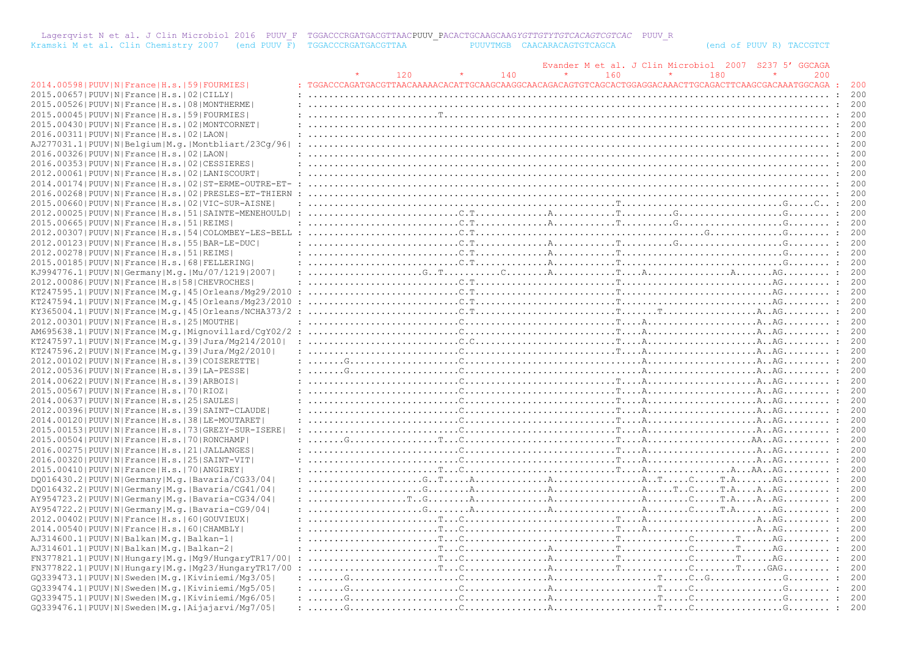Lagerqvist N et al. J Clin Microbiol 2016 PUUV\_F TGGACCCRGATGACGTTAACPUUV\_PACACTGCAAGCAAG*YGTTGTYTGTCACAGTCGTCAC* PUUV\_R Kramski M et al. Clin Chemistry 2007 (end PUUV F) TGGACCCRGATGACGTTAA PUUVTMGB CAACARACAGTGTCAGCA (end of PUUV R) TACCGTCT

|                                                                |     |     |     | Evander M et al. J Clin Microbiol 2007 | S2375' | GGCAGA |       |
|----------------------------------------------------------------|-----|-----|-----|----------------------------------------|--------|--------|-------|
|                                                                | 120 | 140 | 160 | 180                                    |        | 200    |       |
| 2014.00598   PUUV   N   France   H.s.   59   FOURMIES          |     |     |     |                                        |        |        |       |
| 2015.00657 PUUV N France H.s. 02 CILLY                         |     |     |     |                                        |        |        | 200   |
| 2015.00526   PUUV   N   France   H.s.   08   MONTHERME         |     |     |     |                                        |        |        | - 200 |
| 2015.00045   PUUV   N   France   H.s.   59   FOURMIES          |     |     |     |                                        |        |        | 200   |
|                                                                |     |     |     |                                        |        |        | 200   |
| 2015.00430   PUUV   N   France   H.s.   02   MONTCORNET        |     |     |     |                                        |        |        |       |
| 2016.00311 PUUV N France H.s. 02 LAON                          |     |     |     |                                        |        |        |       |
| AJ277031.1 PUUV N Belgium M.g. Montbliart/23Cq/96              |     |     |     |                                        |        |        | 200   |
| 2016.00326  PUUV   N   France   H.s.   02   LAON               |     |     |     |                                        |        |        | 200   |
| 2016.00353 PUUV N France H.s. 02 CESSIERES                     |     |     |     |                                        |        |        | 200   |
| 2012.00061 PUUV N France H.s. 02 LANISCOURT                    |     |     |     |                                        |        |        |       |
| 2014.00174 PUUV N France H.s. 02 ST-ERME-OUTRE-ET-             |     |     |     |                                        |        |        | 200   |
| 2016.00268   PUUV   N   France   H.s.   02   PRESLES-ET-THIERN |     |     |     |                                        |        |        |       |
| 2015.00660   PUUV   N   France   H.s.   02   VIC-SUR-AISNE     |     |     |     |                                        |        |        |       |
| 2012.00025 PUUV N France H.s. 51 SAINTE-MENEHOULD              |     |     |     |                                        |        |        | 200   |
| 2015.00665 PUUV N France H.s. 51 REIMS                         |     |     |     |                                        |        |        | 200   |
|                                                                |     |     |     |                                        |        |        |       |
| 2012.00307 PUUV N France H.s. 54 COLOMBEY-LES-BELL             |     |     |     |                                        |        |        | 200   |
| 2012.00123   PUUV   N   France   H.s.   55   BAR-LE-DUC        |     |     |     |                                        |        |        | - 200 |
| 2012.00278   PUUV   N   France   H.s.   51   REIMS             |     |     |     |                                        |        |        | 200   |
| 2015.00185 PUUV N France H.s. 68 FELLERING                     |     |     |     |                                        |        |        | 200   |
| KJ994776.1  PUUV   N   Germany   M. q.   Mu / 07 / 1219   2007 |     |     |     |                                        |        |        | 200   |
| 2012.00086 PUUV N France H.s 58 CHEVROCHES                     |     |     |     |                                        |        |        | 200   |
| KT247595.1 PUUV N France M.g. 45 Orleans/Mg29/2010             |     |     |     |                                        |        |        |       |
| $KT247594.1 PUUV N Frame M,q. 45 Orleans/Mq23/2010$            |     |     |     |                                        |        |        | 200   |
| $KY365004.1 PUUV N France M,q. 45 Orleans/NCHA373/2$           |     |     |     |                                        |        |        | 200   |
| 2012.00301   PUUV   N   France   H.s.   25   MOUTHE            |     |     |     |                                        |        |        | 200   |
|                                                                |     |     |     |                                        |        |        |       |
| AM695638.1 PUUV N France M.g. Mignovillard/CqY02/2             |     |     |     |                                        |        |        | 200   |
| KT247597.1 PUUV N France M.g. 39 Jura/Mg214/2010               |     |     |     |                                        |        |        | 200   |
| KT247596.2 PUUV N France M.q. 39 Jura/Mq2/2010                 |     |     |     |                                        |        |        | 200   |
| 2012.00102 PUUV N France H.s. 39 COISERETTE                    |     |     |     |                                        |        |        | 200   |
| 2012.00536 PUUV N France H.s. 39 LA-PESSE                      |     |     |     |                                        |        |        | 200   |
| 2014.00622 PUUV N France H.s. 39 ARBOIS                        |     |     |     |                                        |        |        | 200   |
| 2015.00567 PUUV N France H.s. 70 RIOZ                          |     |     |     |                                        |        |        | 200   |
| 2014.00637   PUUV   N   France   H.s.   25   SAULES            |     |     |     |                                        |        |        | 200   |
| 2012.00396 PUUV N France H.s. 39 SAINT-CLAUDE                  |     |     |     |                                        |        |        |       |
| 2014.00120   PUUV   N   France   H.s.   38   LE-MOUTARET       |     |     |     |                                        |        |        | 200   |
| 2015.00153 PUUV N France H.s. 73 GREZY-SUR-ISERE               |     |     |     |                                        |        |        | 200   |
| 2015.00504   PUUV   N   France   H.s.   70   RONCHAMP          |     |     |     |                                        |        |        |       |
|                                                                |     |     |     |                                        |        |        |       |
| 2016.00275   PUUV   N   France   H.s.   21   JALLANGES         |     |     |     |                                        |        |        | 200   |
| 2016.00320  PUUV   N   France   H.s.   25   SAINT-VIT          |     |     |     |                                        |        |        | 200   |
| 2015.00410 PUUV N France H.s. 70 ANGIREY                       |     |     |     |                                        |        |        |       |
| DO016430.2   PUUV   N   Germany   M.g.   Bavaria/CG33/04       |     |     |     |                                        |        |        | 200   |
| DQ016432.2   PUUV   N   Germany   M.g.   Bavaria/CG41/04       |     |     |     |                                        |        |        | 200   |
| AY954723.2   PUUV   N   Germany   M.g.   Bavaria-CG34/04       |     |     |     |                                        |        |        | 200   |
| AY954722.2   PUUV   N   Germany   M.q.   Bavaria-CG9/04        |     |     |     |                                        |        |        | 200   |
| 2012.00402 PUUV N France H.s. 60 GOUVIEUX                      |     |     |     |                                        |        |        | 200   |
| 2014.00540 PUUV N France H.s. 60 CHAMBLY                       |     |     |     |                                        |        |        |       |
| AJ314600.1 PUUV N Balkan M.q. Balkan-1                         |     |     |     |                                        |        |        | 200   |
|                                                                |     |     |     |                                        |        |        | 200   |
| AJ314601.1  PUUV  N  Balkan   M.q.   Balkan-2                  |     |     |     |                                        |        |        |       |
| FN377821.1 PUUV N Hungary M.g. Mg9/HungaryTR17/00              |     |     |     |                                        |        |        |       |
| FN377822.1 PUUV N Hungary M.g. Mg23/HungaryTR17/00             |     |     |     |                                        |        |        |       |
| GO339473.1 PUUV N Sweden M.g. Kiviniemi/Mg3/05                 |     |     |     |                                        |        |        | 200   |
| GO339474.1 PUUV N Sweden M.g. Kiviniemi/Mg5/05                 |     |     |     |                                        |        |        |       |
| GO339475.1 PUUV N Sweden M.g. Kiviniemi/Mg6/05                 |     |     |     |                                        |        |        | 200   |
| GQ339476.1 PUUV N Sweden M.g. Aijajarvi/Mg7/05                 |     |     |     |                                        |        |        | 200   |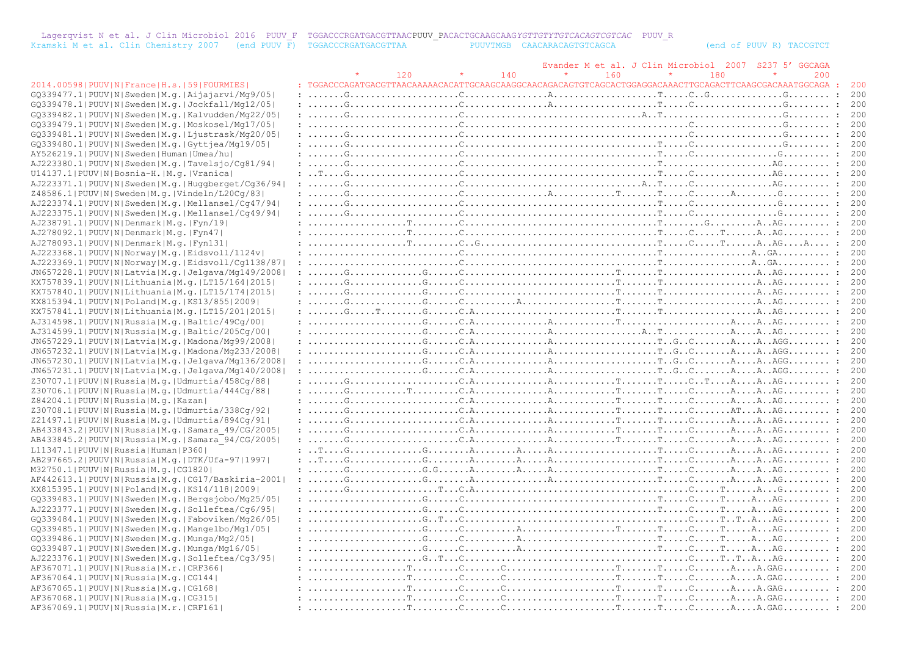Lagerqvist N et al. J Clin Microbiol 2016 PUUV\_F TGGACCCRGATGACGTTAACPUUV\_PACACTGCAAGCAAG*YGTTGTYTGTCACAGTCGTCAC* PUUV\_R Kramski M et al. Clin Chemistry 2007 (end PUUV F) TGGACCCRGATGACGTTAA PUUVTMGB CAACARACAGTGTCAGCA (end of PUUV R) TACCGTCT

|                                                            |                                                                                                                                                                                                                                                                                                                                                                                                                                                             |     |     |     |         |     | Evander M et al. J Clin Microbiol 2007 S237 5' GGCAGA |  |
|------------------------------------------------------------|-------------------------------------------------------------------------------------------------------------------------------------------------------------------------------------------------------------------------------------------------------------------------------------------------------------------------------------------------------------------------------------------------------------------------------------------------------------|-----|-----|-----|---------|-----|-------------------------------------------------------|--|
|                                                            |                                                                                                                                                                                                                                                                                                                                                                                                                                                             | 120 | 140 | 160 | $\star$ | 180 | 200                                                   |  |
| 2014.00598   PUUV   N   France   H.s.   59   FOURMIES      |                                                                                                                                                                                                                                                                                                                                                                                                                                                             |     |     |     |         |     |                                                       |  |
| GQ339477.1 PUUV N Sweden M.g. Aijajarvi/Mg9/05             |                                                                                                                                                                                                                                                                                                                                                                                                                                                             |     |     |     |         |     |                                                       |  |
| GQ339478.1 PUUV N Sweden M.q. Jockfall/Mq12/05             |                                                                                                                                                                                                                                                                                                                                                                                                                                                             |     |     |     |         |     |                                                       |  |
| GQ339482.1 PUUV N Sweden M.q. Kalvudden/Mq22/05            |                                                                                                                                                                                                                                                                                                                                                                                                                                                             |     |     |     |         |     |                                                       |  |
| GQ339479.1 PUUV N Sweden M.q. Moskosel/Mq17/05             |                                                                                                                                                                                                                                                                                                                                                                                                                                                             |     |     |     |         |     |                                                       |  |
| GQ339481.1 PUUV N Sweden M.q. Ljustrask/Mq20/05            |                                                                                                                                                                                                                                                                                                                                                                                                                                                             |     |     |     |         |     |                                                       |  |
| GQ339480.1 PUUV N Sweden M.g. Gyttjea/Mg19/05              |                                                                                                                                                                                                                                                                                                                                                                                                                                                             |     |     |     |         |     |                                                       |  |
| AY526219.1 PUUV N Sweden Human Umea/hu                     |                                                                                                                                                                                                                                                                                                                                                                                                                                                             |     |     |     |         |     |                                                       |  |
| AJ223380.1 PUUV N Sweden M.g. Tavelsjo/Cg81/94             |                                                                                                                                                                                                                                                                                                                                                                                                                                                             |     |     |     |         |     |                                                       |  |
| U14137.1 PUUV N Bosnia-H. M.g. Vranica                     |                                                                                                                                                                                                                                                                                                                                                                                                                                                             |     |     |     |         |     |                                                       |  |
| AJ223371.1 PUUV N Sweden M.g. Huqqberget/Cq36/94           |                                                                                                                                                                                                                                                                                                                                                                                                                                                             |     |     |     |         |     |                                                       |  |
| Z48586.1 PUUV N Sweden M.g. Vindeln/L20Cq/83               |                                                                                                                                                                                                                                                                                                                                                                                                                                                             |     |     |     |         |     |                                                       |  |
| AJ223374.1 PUUV N Sweden M.q. Mellansel/Cq47/94            |                                                                                                                                                                                                                                                                                                                                                                                                                                                             |     |     |     |         |     |                                                       |  |
| AJ223375.1 PUUV N Sweden M.g. Mellansel/Cg49/94            |                                                                                                                                                                                                                                                                                                                                                                                                                                                             |     |     |     |         |     |                                                       |  |
| AJ238791.1 PUUV N Denmark M.g. Fyn/19                      |                                                                                                                                                                                                                                                                                                                                                                                                                                                             |     |     |     |         |     |                                                       |  |
| AJ278092.1 PUUV N Denmark M.q. Fyn47                       |                                                                                                                                                                                                                                                                                                                                                                                                                                                             |     |     |     |         |     |                                                       |  |
| AJ278093.1  PUUV   N   Denmark   M.q.   Fyn131             |                                                                                                                                                                                                                                                                                                                                                                                                                                                             |     |     |     |         |     |                                                       |  |
| AJ223368.1 PUUV N Norway M.q. Eidsvoll/1124v               |                                                                                                                                                                                                                                                                                                                                                                                                                                                             |     |     |     |         |     |                                                       |  |
| AJ223369.1 PUUV N Norway M.g. Eidsvoll/Cq1138/87           |                                                                                                                                                                                                                                                                                                                                                                                                                                                             |     |     |     |         |     |                                                       |  |
| JN657228.1 PUUV N Latvia M.g. Jelgava/Mg149/2008           |                                                                                                                                                                                                                                                                                                                                                                                                                                                             |     |     |     |         |     |                                                       |  |
| KX757839.1  PUUV   N   Lithuania   M.q.   LT15/164   2015  | $: \ldots \ldots \ldots \ldots \ldots \ldots \ldots \ldots$                                                                                                                                                                                                                                                                                                                                                                                                 |     |     |     |         |     |                                                       |  |
| KX757840.1  PUUV   N   Lithuania   M. q.   LT15/174   2015 |                                                                                                                                                                                                                                                                                                                                                                                                                                                             |     |     |     |         |     |                                                       |  |
| KX815394.1 PUUV N Poland M.g. KS13/855 2009                |                                                                                                                                                                                                                                                                                                                                                                                                                                                             |     |     |     |         |     |                                                       |  |
| KX757841.1 PUUV N Lithuania M.g. LT15/201 2015             |                                                                                                                                                                                                                                                                                                                                                                                                                                                             |     |     |     |         |     |                                                       |  |
| AJ314598.1 PUUV N Russia M.g. Baltic/49Cq/00               | $: \ldots, \ldots, \ldots, \ldots, G, \ldots, G, \ldots, G, \ldots, G, \ldots, G, \ldots, G, \ldots, G, \ldots, G, \ldots, G, \ldots, G, \ldots, G, \ldots, G, \ldots, G, \ldots, G, \ldots, G, \ldots, G, \ldots, G, \ldots, G, \ldots, G, \ldots, G, \ldots, G, \ldots, G, \ldots, G, \ldots, G, \ldots, G, \ldots, G, \ldots, G, \ldots, G, \ldots, G, \ldots, G, \ldots, G, \ldots, G, \ldots, G, \ldots, G, \ldots$                                    |     |     |     |         |     |                                                       |  |
| AJ314599.1 PUUV N Russia M.g. Baltic/205Cg/00              |                                                                                                                                                                                                                                                                                                                                                                                                                                                             |     |     |     |         |     |                                                       |  |
| JN657229.1  PUUV   N   Latvia   M.g.   Madona/Mg99/2008    |                                                                                                                                                                                                                                                                                                                                                                                                                                                             |     |     |     |         |     |                                                       |  |
| JN657232.1 PUUV N Latvia M.g. Madona/Mg233/2008            | $: \ldots, \ldots, \ldots, \ldots, G, \ldots, G, \ldots, G, \ldots, \ldots, G, \ldots, \ldots, G, \ldots, G, \ldots, G, \ldots, G, \ldots, G, \ldots, G, \ldots, G, \ldots, G, \ldots, G, \ldots, G, \ldots, G, \ldots, G, \ldots, G, \ldots, G, \ldots, G, \ldots, G, \ldots, G, \ldots, G, \ldots, G, \ldots, G, \ldots, G, \ldots, G, \ldots, G, \ldots, G, \ldots, G, \ldots, G, \ldots, G, \ldots, G, \ldots, G, \$                                    |     |     |     |         |     |                                                       |  |
|                                                            | $: \ldots, \ldots, \ldots, \ldots, G, \ldots, G, \ldots, G, \ldots, \ldots, G, \ldots, \ldots, G, \ldots, G, \ldots, G, \ldots, G, \ldots, G, \ldots, G, \ldots, G, \ldots, G, \ldots, G, \ldots, G, \ldots, G, \ldots, G, \ldots, G, \ldots, G, \ldots, G, \ldots, G, \ldots, G, \ldots, G, \ldots, G, \ldots, G, \ldots, G, \ldots, G, \ldots, G, \ldots, G, \ldots, G, \ldots, G, \ldots, G, \ldots, G, \ldots, G, \$                                    |     |     |     |         |     |                                                       |  |
| JN657230.1 PUUV N Latvia M.g. Jelgava/Mg136/2008           |                                                                                                                                                                                                                                                                                                                                                                                                                                                             |     |     |     |         |     |                                                       |  |
| JN657231.1 PUUV N Latvia M.g. Jelgava/Mg140/2008           |                                                                                                                                                                                                                                                                                                                                                                                                                                                             |     |     |     |         |     |                                                       |  |
| Z30707.1 PUUV N Russia M.g. Udmurtia/458Cq/88              |                                                                                                                                                                                                                                                                                                                                                                                                                                                             |     |     |     |         |     |                                                       |  |
| Z30706.1 PUUV N Russia M.g. Udmurtia/444Cq/88              |                                                                                                                                                                                                                                                                                                                                                                                                                                                             |     |     |     |         |     |                                                       |  |
| Z84204.1 PUUV N Russia M.q. Kazan                          |                                                                                                                                                                                                                                                                                                                                                                                                                                                             |     |     |     |         |     |                                                       |  |
| Z30708.1 PUUV N Russia M.g. Udmurtia/338Cq/92              |                                                                                                                                                                                                                                                                                                                                                                                                                                                             |     |     |     |         |     |                                                       |  |
| Z21497.1  PUUV   N   Russia   M.g.   Udmurtia / 894Cq / 91 |                                                                                                                                                                                                                                                                                                                                                                                                                                                             |     |     |     |         |     |                                                       |  |
| AB433843.2 PUUV N Russia M.g. Samara 49/CG/2005            |                                                                                                                                                                                                                                                                                                                                                                                                                                                             |     |     |     |         |     |                                                       |  |
| AB433845.2   PUUV   N   Russia   M.g.   Samara 94/CG/2005  |                                                                                                                                                                                                                                                                                                                                                                                                                                                             |     |     |     |         |     |                                                       |  |
| L11347.1 PUUV N Russia Human P360                          | $: \ldots, G, \ldots, G, \ldots, G, \ldots, G, \ldots, G, \ldots, G, \ldots, G, \ldots, G, \ldots, G, \ldots, G, \ldots, G, \ldots, G, \ldots, G, \ldots, G, \ldots, G, \ldots, G, \ldots, G, \ldots, G, \ldots, G, \ldots, G, \ldots, G, \ldots, G, \ldots, G, \ldots, G, \ldots, G, \ldots, G, \ldots, G, \ldots, G, \ldots, G, \ldots, G, \ldots, G, \ldots, G, \ldots, G, \ldots, G, \ldots, G, \ldots, G, \ldots$                                      |     |     |     |         |     |                                                       |  |
| AB297665.2 PUUV N Russia M.g. DTK/Ufa-97 1997              | $\ldots$ $\ldots$ $\ldots$ $\ldots$ $\ldots$ $\ldots$ $\ldots$ $\ldots$ $\ldots$ $\ldots$ $\ldots$ $\ldots$ $\ldots$ $\ldots$ $\ldots$ $\ldots$ $\ldots$ $\ldots$ $\ldots$ $\ldots$ $\ldots$ $\ldots$ $\ldots$ $\ldots$ $\ldots$ $\ldots$ $\ldots$ $\ldots$ $\ldots$ $\ldots$ $\ldots$ $\ldots$ $\ldots$ $\ldots$ $\ldots$ $\ldots$ $\ldots$                                                                                                                |     |     |     |         |     |                                                       |  |
| M32750.1 PUUV N Russia M.q. CG1820                         |                                                                                                                                                                                                                                                                                                                                                                                                                                                             |     |     |     |         |     |                                                       |  |
| $AF442613.1 PUUV N Russia M.q. CG17/Baskiria-2001 $        |                                                                                                                                                                                                                                                                                                                                                                                                                                                             |     |     |     |         |     |                                                       |  |
| KX815395.1 PUUV N Poland M.g. KS14/118 2009                |                                                                                                                                                                                                                                                                                                                                                                                                                                                             |     |     |     |         |     |                                                       |  |
| GQ339483.1 PUUV N Sweden M.q. Bergsjobo/Mg25/05            | $: \ldots, \ldots, \ldots, \ldots, \mathbb{G}, \ldots, \mathbb{C}, \ldots, \ldots, \ldots, \ldots, \ldots, \ldots, \mathbb{G}, \ldots, \mathbb{G}, \ldots, \mathbb{G}, \ldots, \mathbb{G}, \ldots, \mathbb{G}, \ldots, \mathbb{G}, \ldots, \mathbb{G}, \ldots, \mathbb{G}, \ldots, \mathbb{G}, \ldots, \mathbb{G}, \ldots, \mathbb{G}, \ldots, \mathbb{G}, \ldots, \mathbb{G}, \ldots, \mathbb{G}, \ldots, \mathbb{G}, \ldots, \mathbb{G}, \ldots, \mathbb$ |     |     |     |         |     |                                                       |  |
| AJ223377.1 PUUV N Sweden M.g. Solleftea/Cq6/95             |                                                                                                                                                                                                                                                                                                                                                                                                                                                             |     |     |     |         |     |                                                       |  |
| GQ339484.1 PUUV N Sweden M.q. Faboviken/Mq26/05            |                                                                                                                                                                                                                                                                                                                                                                                                                                                             |     |     |     |         |     |                                                       |  |
| GQ339485.1 PUUV N Sweden M.g. Mangelbo/Mg1/05              | $: \ldots, \ldots, \ldots, \ldots, G, \ldots, G, \ldots, G, \ldots, G, \ldots, G, \ldots, G, \ldots, G, \ldots, G, \ldots, G, \ldots, G, \ldots, G, \ldots, G, \ldots, G, \ldots, G, \ldots, G, \ldots, G, \ldots, G, \ldots, G, \ldots, G, \ldots, G, \ldots, G, \ldots, G, \ldots, G, \ldots, G, \ldots, G, \ldots, G, \ldots, G, \ldots, G, \ldots, G, \ldots, G, \ldots, G, \ldots, G, \ldots, G, \ldots, G, \ldots$                                    |     |     |     |         |     |                                                       |  |
| GQ339486.1 PUUV N Sweden M.g. Munga/Mg2/05                 | $: \ldots, \ldots, \ldots, \ldots, \mathbb{G}, \ldots, \mathbb{C}, \ldots, \mathbb{A}, \ldots, \mathbb{A}, \ldots, \ldots, \ldots, \mathbb{G}, \ldots, \mathbb{G}, \ldots, \mathbb{G}, \ldots, \mathbb{G}, \ldots, \mathbb{G}, \ldots, \mathbb{G}, \ldots, \mathbb{G}, \ldots, \mathbb{G}, \ldots, \mathbb{G}, \ldots, \mathbb{G}, \ldots, \mathbb{G}, \ldots, \mathbb{G}, \ldots, \mathbb{G}, \ldots, \mathbb{G}, \ldots, \mathbb{G}, \ldots, \mathbb{G$   |     |     |     |         |     |                                                       |  |
| GQ339487.1   PUUV   N   Sweden   M.q.   Munga/Mg16/05      |                                                                                                                                                                                                                                                                                                                                                                                                                                                             |     |     |     |         |     |                                                       |  |
| AJ223376.1 PUUV N Sweden M.q. Solleftea/Cq3/95             |                                                                                                                                                                                                                                                                                                                                                                                                                                                             |     |     |     |         |     |                                                       |  |
| AF367071.1  PUUV   N   Russia   M.r.   CRF366              |                                                                                                                                                                                                                                                                                                                                                                                                                                                             |     |     |     |         |     |                                                       |  |
| AF367064.1 PUUV N Russia M.g.   CG144                      | $: \ldots, \ldots, \ldots, \ldots, \mathbb{T}, \ldots, \ldots, \mathbb{C}, \ldots, \mathbb{C}, \ldots, \ldots, \mathbb{C}, \ldots, \mathbb{C}, \ldots, \mathbb{C}, \ldots, \mathbb{C}, \ldots, \mathbb{A}, \ldots, \mathbb{A}, \mathbb{GAG}, \ldots, \ldots, \mathbb{C}$                                                                                                                                                                                    |     |     |     |         |     |                                                       |  |
| AF367065.1  PUUV   N   Russia   M.q.   CG168               |                                                                                                                                                                                                                                                                                                                                                                                                                                                             |     |     |     |         |     |                                                       |  |
| AF367068.1 PUUV N Russia M.q. CG315                        |                                                                                                                                                                                                                                                                                                                                                                                                                                                             |     |     |     |         |     |                                                       |  |
| AF367069.1 PUUV N Russia M.r. CRF161                       |                                                                                                                                                                                                                                                                                                                                                                                                                                                             |     |     |     |         |     |                                                       |  |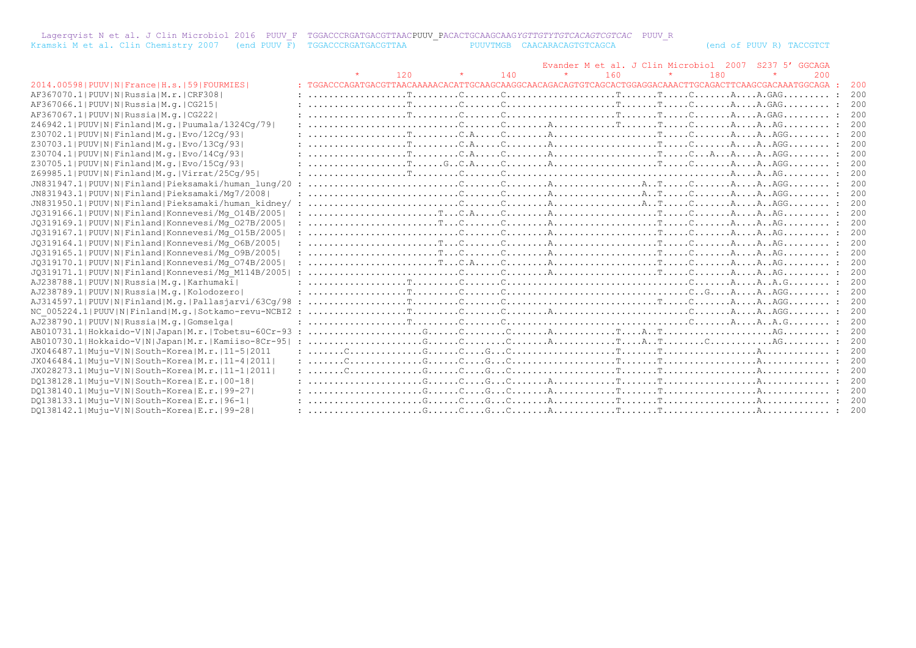|                                                                       |  | Lagerqvist N et al. J Clin Microbiol 2016 PUUV F TGGACCCRGATGACGTTAACPUUV PACACTGCAAGCAAGYGTTGTYTGTCACAGTCGTCAC PUUV R |  |
|-----------------------------------------------------------------------|--|------------------------------------------------------------------------------------------------------------------------|--|
| Kramski M et al. Clin Chemistry 2007 (end PUUV F) TGGACCCRGATGACGTTAA |  | PUUVTMGB CAACARACAGTGTCAGCA                                                                                            |  |

(end of PUUV R) TACCGTCT

|                                                         |     |     |     | Evander M et al. J Clin Microbiol 2007 |     | S237 5' GGCAGA |     |
|---------------------------------------------------------|-----|-----|-----|----------------------------------------|-----|----------------|-----|
|                                                         | 120 | 140 | 160 |                                        | 180 | 200            |     |
| 2014.00598   PUUV   N   France   H.s.   59   FOURMIES   |     |     |     |                                        |     |                | 200 |
| AF367070.1 PUUV N Russia M.r. CRF308                    |     |     |     |                                        |     |                |     |
| AF367066.1  PUUV   N   Russia   M.q.   CG215            |     |     |     |                                        |     |                | 200 |
| AF367067.1 PUUV N Russia M.g.   CG222                   |     |     |     |                                        |     |                | 200 |
| Z46942.1  PUUV   N   Finland   M.g.   Puumala/1324Cq/79 |     |     |     |                                        |     |                | 200 |
| Z30702.1 PUUV N Finland M.g. Evo/12Cq/93                |     |     |     |                                        |     |                | 200 |
| Z30703.1  PUUV   N   Finland   M.q.   Evo / 13Cq / 93   |     |     |     |                                        |     |                | 200 |
| Z30704.1 PUUV N Finland M.g. Evo/14Cq/93                |     |     |     |                                        |     |                | 200 |
| Z30705.1 PUUV N Finland M.g. Evo/15Cq/93                |     |     |     |                                        |     |                | 200 |
| Z69985.1 PUUV N Finland M.g. Virrat/25Cq/95             |     |     |     |                                        |     |                | 200 |
| JN831947.1 PUUV N Finland Pieksamaki/human lung/20      |     |     |     |                                        |     |                | 200 |
| JN831943.1 PUUV N Finland Pieksamaki/Mq7/2008           |     |     |     |                                        |     |                | 200 |
| JN831950.1 PUUV N Finland Pieksamaki/human kidney/ :    |     |     |     |                                        |     |                | 200 |
| JQ319166.1 PUUV N Finland Konnevesi/Mq 014B/2005        |     |     |     |                                        |     |                | 200 |
| J0319169.1 PUUV N Finland Konnevesi/Mq 027B/2005        |     |     |     |                                        |     |                | 200 |
| JQ319167.1 PUUV N Finland Konnevesi/Mq 015B/2005        |     |     |     |                                        |     |                | 200 |
| JQ319164.1 PUUV N Finland Konnevesi/Mq 06B/2005         |     |     |     |                                        |     |                | 200 |
| JQ319165.1 PUUV N Finland Konnevesi/Mq 09B/2005         |     |     |     |                                        |     |                | 200 |
| JQ319170.1  PUUV   N   Finland   Konnevesi/Mq 074B/2005 |     |     |     |                                        |     |                | 200 |
| JQ319171.1 PUUV N Finland Konnevesi/Mq M114B/2005       |     |     |     |                                        |     |                | 200 |
| AJ238788.1 PUUV N Russia M.g. Karhumaki                 |     |     |     |                                        |     |                | 200 |
| AJ238789.1 PUUV N Russia M.g. Kolodozero                |     |     |     |                                        |     |                | 200 |
| AJ314597.1 PUUV N Finland M.g. Pallasjarvi/63Cq/98      |     |     |     |                                        |     |                |     |
| NC 005224.1 PUUV N Finland M.g. Sotkamo-revu-NCBI2      |     |     |     |                                        |     |                |     |
| AJ238790.1 PUUV N Russia M.g. Gomselga                  |     |     |     |                                        |     |                | 200 |
| AB010731.1 Hokkaido-V N Japan M.r. Tobetsu-60Cr-93      |     |     |     |                                        |     |                | 200 |
| AB010730.1 Hokkaido-V N Japan M.r. Kamiiso-8Cr-95       |     |     |     |                                        |     |                |     |
| JX046487.1 Muju-V N South-Korea M.r. 11-5 2011          |     |     |     |                                        |     |                | 200 |
| JX046484.1 Muju-V N South-Korea M.r. 11-4 2011          |     |     |     |                                        |     |                |     |
| JX028273.1 Muju-V N South-Korea M.r. 11-1 2011          |     |     |     |                                        |     |                |     |
| DO138128.1 Muju-V N South-Korea E.r. 00-18              |     |     |     |                                        |     |                |     |
| DO138140.1 Muju-V N South-Korea E.r. 99-27              |     |     |     |                                        |     |                |     |
| DO138133.1 Muju-V N South-Korea E.r. 96-1               |     |     |     |                                        |     |                |     |
| DO138142.1 Muju-V N South-Korea E.r.   99-28            |     |     |     |                                        |     |                |     |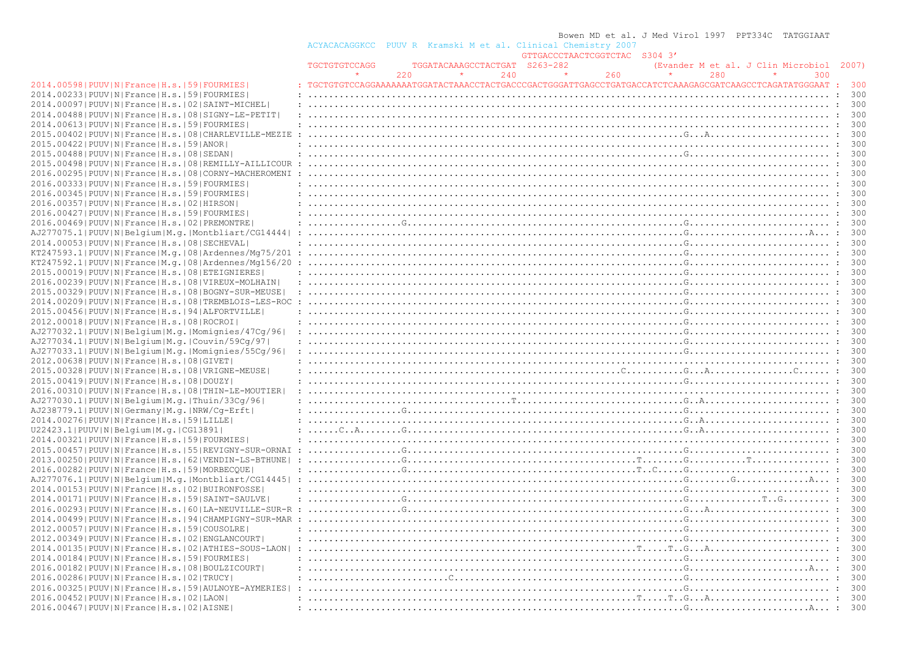|                                                                |               |     |                               |     | Bowen MD et al. J Med Virol 1997 PPT334C TATGGIAAT                                                                                                                                                                                              |     |                                          |     |     |
|----------------------------------------------------------------|---------------|-----|-------------------------------|-----|-------------------------------------------------------------------------------------------------------------------------------------------------------------------------------------------------------------------------------------------------|-----|------------------------------------------|-----|-----|
|                                                                |               |     |                               |     | ACYACACAGGKCC PUUV R Kramski M et al. Clinical Chemistry 2007                                                                                                                                                                                   |     |                                          |     |     |
|                                                                |               |     |                               |     | GTTGACCCTAACTCGGTCTAC S304 3'                                                                                                                                                                                                                   |     |                                          |     |     |
|                                                                | TGCTGTGTCCAGG |     | TGGATACAAAGCCTACTGAT S263-282 |     |                                                                                                                                                                                                                                                 |     | (Evander M et al. J Clin Microbiol 2007) |     |     |
|                                                                | $\star$       | 220 |                               | 240 | 260<br>$\sim$ 100 $\pm$                                                                                                                                                                                                                         | 280 |                                          | 300 |     |
| 2014.00598   PUUV   N   France   H.s.   59   FOURMIES          |               |     |                               |     | TGCTGTGTCCAGGAAAAAAATGGATACTAAACCTACTGACCCGACTGGGATTGAGCCTGATGACCATCTCAAAGAGCGATCAAGCCTCAGATATGGGAAT : 300                                                                                                                                      |     |                                          |     |     |
| 2014.00233 PUUV N France H.s. 59 FOURMIES                      |               |     |                               |     |                                                                                                                                                                                                                                                 |     |                                          |     | 300 |
| 2014.00097   PUUV   N   France   H.s.   02   SAINT-MICHEL      |               |     |                               |     |                                                                                                                                                                                                                                                 |     |                                          |     |     |
|                                                                |               |     |                               |     |                                                                                                                                                                                                                                                 |     |                                          |     |     |
| 2014.00488   PUUV   N   France   H.s.   08   SIGNY-LE-PETIT    |               |     |                               |     |                                                                                                                                                                                                                                                 |     |                                          |     |     |
| 2014.00613 PUUV N France H.s. 59 FOURMIES                      |               |     |                               |     |                                                                                                                                                                                                                                                 |     |                                          |     |     |
| 2015.00402   PUUV   N   France   H.s.   08   CHARLEVILLE-MEZIE |               |     |                               |     |                                                                                                                                                                                                                                                 |     |                                          |     |     |
| 2015.00422   PUUV   N   France   H.s.   59   ANOR              |               |     |                               |     |                                                                                                                                                                                                                                                 |     |                                          |     |     |
| 2015.00488 PUUV N France H.s. 08 SEDAN                         |               |     |                               |     |                                                                                                                                                                                                                                                 |     |                                          |     |     |
| 2015.00498   PUUV   N   France   H.s.   08   REMILLY-AILLICOUR |               |     |                               |     |                                                                                                                                                                                                                                                 |     |                                          |     |     |
| 2016.00295 PUUV N France H.s. 08 CORNY-MACHEROMENI             |               |     |                               |     |                                                                                                                                                                                                                                                 |     |                                          |     |     |
| 2016.00333 PUUV N France H.s. 59 FOURMIES                      |               |     |                               |     |                                                                                                                                                                                                                                                 |     |                                          |     |     |
| 2016.00345 PUUV N France H.s. 59 FOURMIES                      |               |     |                               |     |                                                                                                                                                                                                                                                 |     |                                          |     |     |
| 2016.00357 PUUV N France H.s. 02 HIRSON                        |               |     |                               |     |                                                                                                                                                                                                                                                 |     |                                          |     |     |
| 2016.00427 PUUV N France H.s. 59 FOURMIES                      |               |     |                               |     |                                                                                                                                                                                                                                                 |     |                                          |     |     |
| 2016.00469 PUUV N France H.s. 02 PREMONTRE                     |               |     |                               |     | $: \ldots \ldots \ldots \ldots \mathbb{G} \ldots \mathbb{G} \ldots \ldots \ldots \ldots \ldots \ldots \ldots \ldots \ldots \ldots \ldots \ldots \mathbb{G} \ldots \ldots \ldots \ldots \ldots \ldots \ldots \ldots \ldots \ldots \ldots \vdots$ |     |                                          |     |     |
| AJ277075.1 PUUV N Belgium M.g. Montbliart/CG14444              |               |     |                               |     |                                                                                                                                                                                                                                                 |     |                                          |     |     |
| 2014.00053 PUUV N France H.s. 08 SECHEVAL                      |               |     |                               |     |                                                                                                                                                                                                                                                 |     |                                          |     |     |
|                                                                |               |     |                               |     |                                                                                                                                                                                                                                                 |     |                                          |     |     |
| $KT247593.1 PUUV N France M,q. 08 Ardennes/Mq75/201:$          |               |     |                               |     |                                                                                                                                                                                                                                                 |     |                                          |     |     |
| KT247592.1 PUUV N France M.q. 08 Ardennes/Mq156/20             |               |     |                               |     |                                                                                                                                                                                                                                                 |     |                                          |     |     |
| 2015.00019   PUUV   N   France   H.s.   08   ETEIGNIERES       |               |     |                               |     |                                                                                                                                                                                                                                                 |     |                                          |     |     |
| 2016.00239   PUUV   N   France   H.s.   08   VIREUX-MOLHAIN    |               |     |                               |     |                                                                                                                                                                                                                                                 |     |                                          |     |     |
| 2015.00329 PUUV N France H.s. 08 BOGNY-SUR-MEUSE               |               |     |                               |     |                                                                                                                                                                                                                                                 |     |                                          |     |     |
| 2014.00209 PUUV N France H.s. 08 TREMBLOIS-LES-ROC             |               |     |                               |     |                                                                                                                                                                                                                                                 |     |                                          |     |     |
| 2015.00456 PUUV N France H.s. 94 ALFORTVILLE                   |               |     |                               |     |                                                                                                                                                                                                                                                 |     |                                          |     |     |
| 2012.00018   PUUV   N   France   H.s.   08   ROCROI            |               |     |                               |     |                                                                                                                                                                                                                                                 |     |                                          |     |     |
| AJ277032.1 PUUV N Belgium M.g. Momignies/47Cg/96               |               |     |                               |     |                                                                                                                                                                                                                                                 |     |                                          |     |     |
| AJ277034.1 PUUV N Belgium M.g. Couvin/59Cq/97                  |               |     |                               |     |                                                                                                                                                                                                                                                 |     |                                          |     |     |
| AJ277033.1 PUUV N Belgium M.g. Momignies/55Cg/96               |               |     |                               |     |                                                                                                                                                                                                                                                 |     |                                          |     |     |
| 2012.00638 PUUV N France H.s. 08 GIVET                         |               |     |                               |     |                                                                                                                                                                                                                                                 |     |                                          |     |     |
| 2015.00328   PUUV   N   France   H.s.   08   VRIGNE-MEUSE      |               |     |                               |     |                                                                                                                                                                                                                                                 |     |                                          |     |     |
| 2015.00419 PUUV N France H.s. 08 DOUZY                         |               |     |                               |     |                                                                                                                                                                                                                                                 |     |                                          |     | 300 |
| 2016.00310 PUUV N France H.s. 08 THIN-LE-MOUTIER               |               |     |                               |     |                                                                                                                                                                                                                                                 |     |                                          |     |     |
|                                                                |               |     |                               |     |                                                                                                                                                                                                                                                 |     |                                          |     |     |
| AJ277030.1 PUUV N Belgium M.g. Thuin/33Cq/96                   |               |     |                               |     |                                                                                                                                                                                                                                                 |     |                                          |     |     |
| AJ238779.1 PUUV N Germany M.g. NRW/Cq-Erft                     |               |     |                               |     |                                                                                                                                                                                                                                                 |     |                                          |     |     |
| 2014.00276 PUUV N France H.s. 59 LILLE                         |               |     |                               |     |                                                                                                                                                                                                                                                 |     |                                          |     |     |
| U22423.1 PUUV N Belgium M.g. CG13891                           |               |     |                               |     |                                                                                                                                                                                                                                                 |     |                                          |     |     |
| 2014.00321  PUUV   N   France   H.s.   59   FOURMIES           |               |     |                               |     |                                                                                                                                                                                                                                                 |     |                                          |     |     |
| 2015.00457   PUUV   N   France   H.s.   55   REVIGNY-SUR-ORNAI |               |     |                               |     | $\ldots \ldots \ldots \ldots \ldots \ldots$                                                                                                                                                                                                     |     |                                          |     |     |
| 2013.00250 PUUV N France H.s. 62 VENDIN-LS-BTHUNE              |               |     |                               |     |                                                                                                                                                                                                                                                 |     |                                          |     |     |
| 2016.00282   PUUV   N   France   H.s.   59   MORBECQUE         |               |     |                               |     |                                                                                                                                                                                                                                                 |     |                                          |     | 300 |
| AJ277076.1 PUUV N Belgium M.g. Montbliart/CG14445              |               |     |                               |     |                                                                                                                                                                                                                                                 |     |                                          |     |     |
| 2014.00153 PUUV N France H.s. 02 BUIRONFOSSE                   |               |     |                               |     |                                                                                                                                                                                                                                                 |     |                                          |     | 300 |
| 2014.00171 PUUV N France H.s. 59 SAINT-SAULVE                  |               |     |                               |     |                                                                                                                                                                                                                                                 |     |                                          |     |     |
|                                                                |               |     |                               |     |                                                                                                                                                                                                                                                 |     |                                          |     | 300 |
| 2014.00499 PUUV N France H.s. 94 CHAMPIGNY-SUR-MAR             |               |     |                               |     |                                                                                                                                                                                                                                                 |     |                                          |     |     |
|                                                                |               |     |                               |     |                                                                                                                                                                                                                                                 |     |                                          |     |     |
| 2012.00057 PUUV N France H.s. 59 COUSOLRE                      |               |     |                               |     |                                                                                                                                                                                                                                                 |     |                                          |     |     |
| 2012.00349   PUUV   N   France   H.s.   02   ENGLANCOURT       |               |     |                               |     |                                                                                                                                                                                                                                                 |     |                                          |     |     |
| 2014.00135 PUUV N France H.s. 02 ATHIES-SOUS-LAON              |               |     |                               |     |                                                                                                                                                                                                                                                 |     |                                          |     |     |
| 2014.00184   PUUV   N   France   H.s.   59   FOURMIES          |               |     |                               |     |                                                                                                                                                                                                                                                 |     |                                          |     |     |
| 2016.00182   PUUV   N   France   H.s.   08   BOULZICOURT       |               |     |                               |     |                                                                                                                                                                                                                                                 |     |                                          |     |     |
| 2016.00286 PUUV N France H.s. 02 TRUCY                         |               |     |                               |     |                                                                                                                                                                                                                                                 |     |                                          |     |     |
| 2016.00325 PUUV N France H.s. 59 AULNOYE-AYMERIES              |               |     |                               |     |                                                                                                                                                                                                                                                 |     |                                          |     |     |
| 2016.00452 PUUV N France H.s. 02 LAON                          |               |     |                               |     |                                                                                                                                                                                                                                                 |     |                                          |     |     |
| 2016.00467 PUUV N France H.s.   02   AISNE                     |               |     |                               |     |                                                                                                                                                                                                                                                 |     |                                          |     |     |
|                                                                |               |     |                               |     |                                                                                                                                                                                                                                                 |     |                                          |     |     |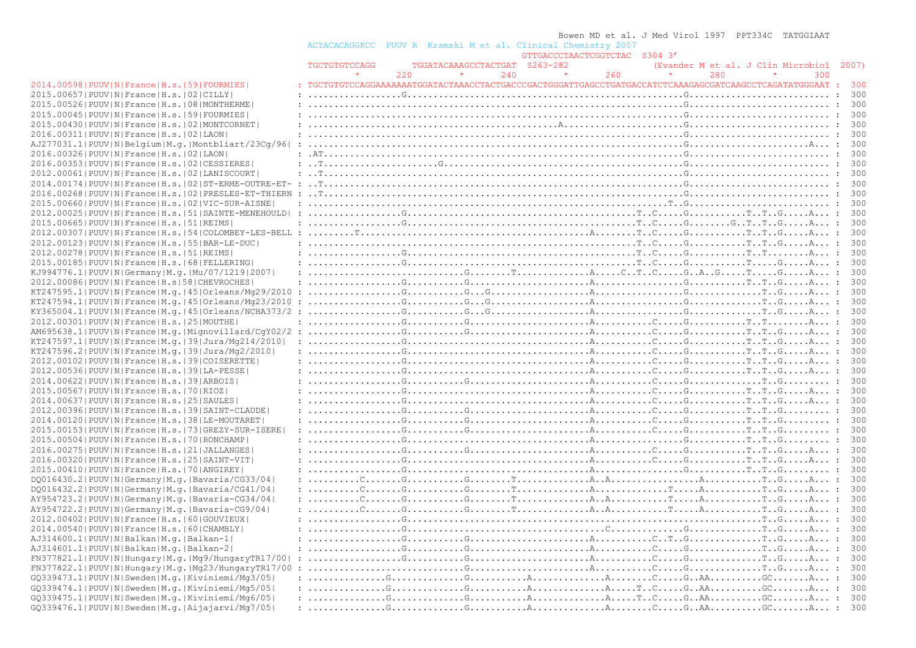|                                                                 |                                                                                                                                                                                                                                                                                                                                                                                                                                                           |     |                               |     | Bowen MD et al. J Med Virol 1997 PPT334C TATGGIAAT |         |     |         |                                          |       |
|-----------------------------------------------------------------|-----------------------------------------------------------------------------------------------------------------------------------------------------------------------------------------------------------------------------------------------------------------------------------------------------------------------------------------------------------------------------------------------------------------------------------------------------------|-----|-------------------------------|-----|----------------------------------------------------|---------|-----|---------|------------------------------------------|-------|
|                                                                 | ACYACACAGGKCC PUUV R Kramski M et al. Clinical Chemistry 2007                                                                                                                                                                                                                                                                                                                                                                                             |     |                               |     |                                                    |         |     |         |                                          |       |
|                                                                 |                                                                                                                                                                                                                                                                                                                                                                                                                                                           |     |                               |     | GTTGACCCTAACTCGGTCTAC S304 3'                      |         |     |         |                                          |       |
|                                                                 | TGCTGTGTCCAGG                                                                                                                                                                                                                                                                                                                                                                                                                                             |     | TGGATACAAAGCCTACTGAT S263-282 |     |                                                    |         |     |         | (Evander M et al. J Clin Microbiol 2007) |       |
|                                                                 | $\star$                                                                                                                                                                                                                                                                                                                                                                                                                                                   | 220 | $\star$                       | 240 | $\sim$ $\sim$ $\star$ $\sim$<br>260                | $\star$ | 280 | $\star$ | 300                                      |       |
| 2014.00598   PUUV   N   France   H.s.   59   FOURMIES           | : TGCTGTGTCCAGGAAAAAAATGGATACTAAACCTACTGACCCGACTGGGATTGAGCCTGATGACCATCTCAAAGAGCGATCAAGCCTCAGATATGGGAAT : 300                                                                                                                                                                                                                                                                                                                                              |     |                               |     |                                                    |         |     |         |                                          |       |
| 2015.00657 PUUV N France H.s. 02 CILLY                          |                                                                                                                                                                                                                                                                                                                                                                                                                                                           |     |                               |     |                                                    |         |     |         |                                          |       |
| 2015.00526 PUUV N France H.s. 08 MONTHERME                      |                                                                                                                                                                                                                                                                                                                                                                                                                                                           |     |                               |     |                                                    |         |     |         |                                          |       |
| 2015.00045 PUUV N France H.s. 59 FOURMIES                       |                                                                                                                                                                                                                                                                                                                                                                                                                                                           |     |                               |     |                                                    |         |     |         |                                          |       |
| 2015.00430   PUUV   N   France   H.s.   02   MONTCORNET         |                                                                                                                                                                                                                                                                                                                                                                                                                                                           |     |                               |     |                                                    |         |     |         |                                          |       |
| 2016.00311 PUUV N France H.s. 02 LAON                           |                                                                                                                                                                                                                                                                                                                                                                                                                                                           |     |                               |     |                                                    |         |     |         |                                          |       |
|                                                                 |                                                                                                                                                                                                                                                                                                                                                                                                                                                           |     |                               |     |                                                    |         |     |         |                                          |       |
| AJ277031.1 PUUV N Belgium M.g. Montbliart/23Cq/96               |                                                                                                                                                                                                                                                                                                                                                                                                                                                           |     |                               |     |                                                    |         |     |         |                                          |       |
| 2016.00326  PUUV   N   France   H.s.   02   LAON                |                                                                                                                                                                                                                                                                                                                                                                                                                                                           |     |                               |     |                                                    |         |     |         |                                          |       |
| 2016.00353 PUUV N France H.s. 02 CESSIERES                      |                                                                                                                                                                                                                                                                                                                                                                                                                                                           |     |                               |     |                                                    |         |     |         |                                          |       |
| 2012.00061 PUUV N France H.s. 02 LANISCOURT                     |                                                                                                                                                                                                                                                                                                                                                                                                                                                           |     |                               |     |                                                    |         |     |         |                                          |       |
|                                                                 |                                                                                                                                                                                                                                                                                                                                                                                                                                                           |     |                               |     |                                                    |         |     |         |                                          |       |
| 2016.00268 PUUV N France H.s. 02 PRESLES-ET-THIERN :            |                                                                                                                                                                                                                                                                                                                                                                                                                                                           |     |                               |     |                                                    |         |     |         |                                          |       |
| 2015.00660   PUUV   N   France   H.s.   02   VIC-SUR-AISNE      |                                                                                                                                                                                                                                                                                                                                                                                                                                                           |     |                               |     |                                                    |         |     |         |                                          |       |
| 2012.00025 PUUV N France H.s. 51 SAINTE-MENEHOULD               | $\ldots \ldots \ldots \ldots \ldots \ldots$                                                                                                                                                                                                                                                                                                                                                                                                               |     |                               |     |                                                    |         |     |         |                                          |       |
| 2015.00665 PUUV N France H.s. 51 REIMS                          |                                                                                                                                                                                                                                                                                                                                                                                                                                                           |     |                               |     |                                                    |         |     |         |                                          |       |
| 2012.00307 PUUV N France H.s. 54 COLOMBEY-LES-BELL              |                                                                                                                                                                                                                                                                                                                                                                                                                                                           |     |                               |     |                                                    |         |     |         |                                          |       |
| 2012.00123 PUUV N France H.s. 55 BAR-LE-DUC                     |                                                                                                                                                                                                                                                                                                                                                                                                                                                           |     |                               |     |                                                    |         |     |         |                                          |       |
| 2012.00278   PUUV   N   France   H.s.   51   REIMS              |                                                                                                                                                                                                                                                                                                                                                                                                                                                           |     |                               |     |                                                    |         |     |         |                                          |       |
| 2015.00185 PUUV N France H.s. 68 FELLERING                      | $: \ldots \ldots \ldots \ldots \ldots \ldots$                                                                                                                                                                                                                                                                                                                                                                                                             |     |                               |     |                                                    |         |     |         |                                          |       |
| KJ994776.1  PUUV   N   Germany   M. g.   Mu / 07 / 1219   2007  |                                                                                                                                                                                                                                                                                                                                                                                                                                                           |     |                               |     |                                                    |         |     |         |                                          |       |
| 2012.00086 PUUV N France H.s 58 CHEVROCHES                      |                                                                                                                                                                                                                                                                                                                                                                                                                                                           |     |                               |     |                                                    |         |     |         |                                          |       |
| KT247595.1 PUUV N France M.q. 45 Orleans/Mg29/2010              |                                                                                                                                                                                                                                                                                                                                                                                                                                                           |     |                               |     |                                                    |         |     |         |                                          |       |
| KT247594.1 PUUV N France M.q. 45 Orleans/Mg23/2010              |                                                                                                                                                                                                                                                                                                                                                                                                                                                           |     |                               |     |                                                    |         |     |         |                                          |       |
| $KY365004.1 PUUV N France M,q. 45 Orleans/NCHA373/2:$           |                                                                                                                                                                                                                                                                                                                                                                                                                                                           |     |                               |     |                                                    |         |     |         |                                          |       |
|                                                                 |                                                                                                                                                                                                                                                                                                                                                                                                                                                           |     |                               |     |                                                    |         |     |         |                                          |       |
| 2012.00301 PUUV N France H.s. 25 MOUTHE                         |                                                                                                                                                                                                                                                                                                                                                                                                                                                           |     |                               |     |                                                    |         |     |         |                                          |       |
| AM695638.1 PUUV N France M.g. Mignovillard/CqY02/2              |                                                                                                                                                                                                                                                                                                                                                                                                                                                           |     |                               |     |                                                    |         |     |         |                                          |       |
| KT247597.1  PUUV   N   France   M.g.   39   Jura / Mg214 / 2010 |                                                                                                                                                                                                                                                                                                                                                                                                                                                           |     |                               |     |                                                    |         |     |         |                                          |       |
| KT247596.2 PUUV N France M.g. 39 Jura/Mg2/2010                  | $: \ldots, \ldots, \ldots, \mathbb{G}, \ldots, \mathbb{G}, \ldots, \mathbb{G}, \ldots, \mathbb{G}, \ldots, \mathbb{G}, \ldots, \mathbb{G}, \ldots, \mathbb{G}, \ldots, \mathbb{G}, \ldots, \mathbb{G}, \ldots, \mathbb{G}, \ldots, \mathbb{G}, \ldots, \mathbb{G}, \ldots, \mathbb{G}, \ldots, \mathbb{G}, \ldots, \mathbb{G}, \ldots, \mathbb{G}, \ldots, \mathbb{G}, \ldots, \mathbb{G}, \ldots, \mathbb{G}, \ldots, \mathbb{G}, \ldots, \mathbb{G}, \$ |     |                               |     |                                                    |         |     |         |                                          | 300   |
| 2012.00102 PUUV N France H.s. 39 COISERETTE                     |                                                                                                                                                                                                                                                                                                                                                                                                                                                           |     |                               |     |                                                    |         |     |         |                                          |       |
| 2012.00536  PUUV   N   France   H.s.   39   LA-PESSE            |                                                                                                                                                                                                                                                                                                                                                                                                                                                           |     |                               |     |                                                    |         |     |         |                                          |       |
| 2014.00622 PUUV N France H.s. 39 ARBOIS                         |                                                                                                                                                                                                                                                                                                                                                                                                                                                           |     |                               |     |                                                    |         |     |         |                                          |       |
| 2015.00567 PUUV N France H.s. 70 RIOZ                           |                                                                                                                                                                                                                                                                                                                                                                                                                                                           |     |                               |     |                                                    |         |     |         |                                          |       |
| 2014.00637 PUUV N France H.s.  25 SAULES                        |                                                                                                                                                                                                                                                                                                                                                                                                                                                           |     |                               |     |                                                    |         |     |         |                                          | 300   |
| 2012.00396 PUUV N France H.s. 39 SAINT-CLAUDE                   |                                                                                                                                                                                                                                                                                                                                                                                                                                                           |     |                               |     |                                                    |         |     |         |                                          |       |
| 2014.00120 PUUV N France H.s. 38 LE-MOUTARET                    |                                                                                                                                                                                                                                                                                                                                                                                                                                                           |     |                               |     |                                                    |         |     |         |                                          |       |
| 2015.00153 PUUV N France H.s. 73 GREZY-SUR-ISERE                |                                                                                                                                                                                                                                                                                                                                                                                                                                                           |     |                               |     |                                                    |         |     |         |                                          |       |
| 2015.00504   PUUV   N   France   H.s.   70   RONCHAMP           |                                                                                                                                                                                                                                                                                                                                                                                                                                                           |     |                               |     |                                                    |         |     |         |                                          | 300   |
| 2016.00275   PUUV   N   France   H.s.   21   JALLANGES          |                                                                                                                                                                                                                                                                                                                                                                                                                                                           |     |                               |     |                                                    |         |     |         |                                          |       |
| 2016.00320 PUUV N France H.s. 25 SAINT-VIT                      |                                                                                                                                                                                                                                                                                                                                                                                                                                                           |     |                               |     |                                                    |         |     |         |                                          |       |
| 2015.00410   PUUV   N   France   H.s.   70   ANGIREY            |                                                                                                                                                                                                                                                                                                                                                                                                                                                           |     |                               |     |                                                    |         |     |         |                                          |       |
| DO016430.2   PUUV   N   Germany   M.g.   Bavaria/CG33/04        | $: \ldots, \ldots, C, \ldots, G, \ldots, G, \ldots, G, \ldots, T, \ldots, \ldots, C, A, A, \ldots, \ldots, C, \ldots, A, \ldots, G, \ldots, A, \ldots, G, \ldots, G, \ldots, G, \ldots, G, \ldots, G, \ldots, G, \ldots, G, \ldots, G, \ldots, G, \ldots, G, \ldots, G, \ldots, G, \ldots, G, \ldots, G, \ldots, G, \ldots, G, \ldots, G, \ldots, G, \ldots, G, \ldots, G, \ldots, G, \ldots, G, \ldots, G, \ldots, G$                                    |     |                               |     |                                                    |         |     |         |                                          |       |
| DQ016432.2   PUUV   N   Germany   M.g.   Bavaria/CG41/04        |                                                                                                                                                                                                                                                                                                                                                                                                                                                           |     |                               |     |                                                    |         |     |         |                                          |       |
| AY954723.2   PUUV   N   Germany   M.g.   Bavaria-CG34/04        |                                                                                                                                                                                                                                                                                                                                                                                                                                                           |     |                               |     |                                                    |         |     |         |                                          |       |
| AY954722.2   PUUV   N   Germany   M.g.   Bavaria-CG9/04         |                                                                                                                                                                                                                                                                                                                                                                                                                                                           |     |                               |     |                                                    |         |     |         |                                          |       |
| 2012.00402 PUUV N France H.s. 60 GOUVIEUX                       |                                                                                                                                                                                                                                                                                                                                                                                                                                                           |     |                               |     |                                                    |         |     |         |                                          | 300   |
|                                                                 |                                                                                                                                                                                                                                                                                                                                                                                                                                                           |     |                               |     |                                                    |         |     |         |                                          |       |
| 2014.00540 PUUV N France H.s. 60 CHAMBLY                        |                                                                                                                                                                                                                                                                                                                                                                                                                                                           |     |                               |     |                                                    |         |     |         |                                          |       |
| AJ314600.1 PUUV N Balkan M.g. Balkan-1                          |                                                                                                                                                                                                                                                                                                                                                                                                                                                           |     |                               |     |                                                    |         |     |         |                                          | 300   |
| AJ314601.1 PUUV N Balkan M.g. Balkan-2                          |                                                                                                                                                                                                                                                                                                                                                                                                                                                           |     |                               |     |                                                    |         |     |         |                                          | - 300 |
| $FN377821.1 PUUV N Hungary M,q. Mq9/HungaryTR17/00 $            |                                                                                                                                                                                                                                                                                                                                                                                                                                                           |     |                               |     |                                                    |         |     |         |                                          | - 300 |
| $FN377822.1 PUUV N Hungary M,q. Mq23/HungaryTR17/00$            |                                                                                                                                                                                                                                                                                                                                                                                                                                                           |     |                               |     |                                                    |         |     |         |                                          | - 300 |
| $GQ339473.1 PUUV N Sweden M.q. Kiviniemi/Mq3/05 $               |                                                                                                                                                                                                                                                                                                                                                                                                                                                           |     |                               |     |                                                    |         |     |         |                                          | - 300 |
| GQ339474.1 PUUV N Sweden M.g. Kiviniemi/Mg5/05                  |                                                                                                                                                                                                                                                                                                                                                                                                                                                           |     |                               |     |                                                    |         |     |         |                                          | - 300 |
| $GQ339475.1 PUUV N Sweden M.q. Kiviniemi/Mq6/05 $               |                                                                                                                                                                                                                                                                                                                                                                                                                                                           |     |                               |     |                                                    |         |     |         |                                          | - 300 |
| GQ339476.1 PUUV N Sweden M.q. Aijajarvi/Mq7/05                  |                                                                                                                                                                                                                                                                                                                                                                                                                                                           |     |                               |     |                                                    |         |     |         |                                          |       |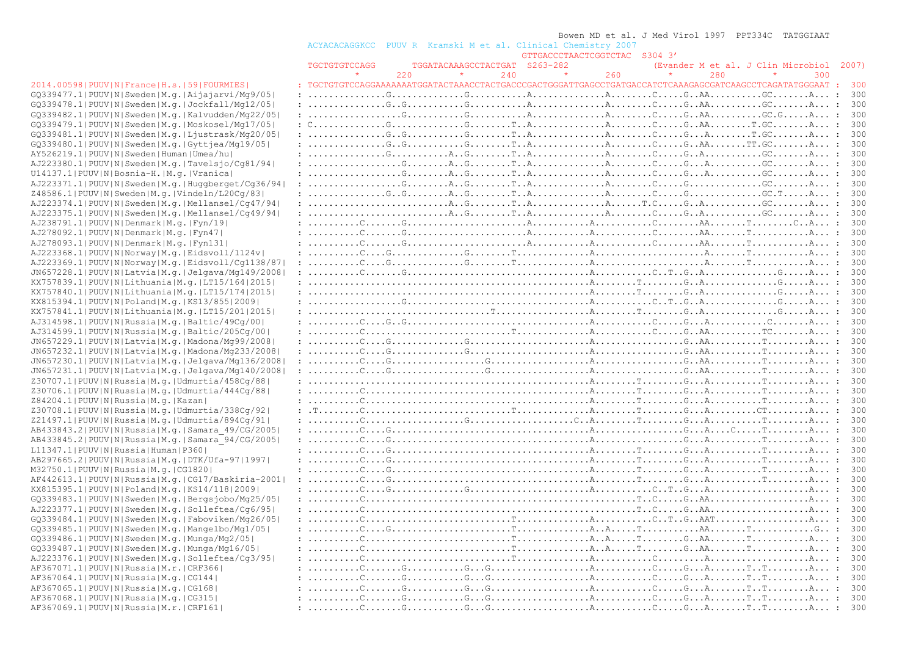#### Bowen MD et al. J Med Virol 1997 PPT334C TATGGIAAT

ACYACACAGGKCC PUUV R Kramski M et al. Clinical Chemistry 2007

| GTTGACCCTAACTCGGTCTAC S304 3' |  |
|-------------------------------|--|
|                               |  |

|                                                                                              | TGCTGTGTCCAGG                                                                                                                                                                                                                                                                                                                                                                                                                                               | TGGATACAAAGCCTACTGAT S263-282 |     |     |     | (Evander M et al. J Clin Microbiol 2007) |     |
|----------------------------------------------------------------------------------------------|-------------------------------------------------------------------------------------------------------------------------------------------------------------------------------------------------------------------------------------------------------------------------------------------------------------------------------------------------------------------------------------------------------------------------------------------------------------|-------------------------------|-----|-----|-----|------------------------------------------|-----|
|                                                                                              |                                                                                                                                                                                                                                                                                                                                                                                                                                                             | $\star$<br>220                | 240 | 260 | 280 |                                          | 300 |
| 2014.00598   PUUV   N   France   H.s.   59   FOURMIES                                        | : TGCTGTGTCCAGGAAAAAAATGGATACTAAACCTACTGACCCGACTGGGATTGAGCCTGATGACCATCTCAAAGAGCGATCAAGCCTCAGATATGGGAAT : 300                                                                                                                                                                                                                                                                                                                                                |                               |     |     |     |                                          |     |
| GQ339477.1 PUUV N Sweden M.g. Aijajarvi/Mg9/05                                               |                                                                                                                                                                                                                                                                                                                                                                                                                                                             |                               |     |     |     |                                          | 300 |
| GQ339478.1 PUUV N Sweden M.g. Jockfall/Mg12/05                                               |                                                                                                                                                                                                                                                                                                                                                                                                                                                             |                               |     |     |     |                                          | 300 |
| GQ339482.1 PUUV N Sweden M.q. Kalvudden/Mq22/05                                              |                                                                                                                                                                                                                                                                                                                                                                                                                                                             |                               |     |     |     |                                          | 300 |
| GQ339479.1 PUUV N Sweden M.g. Moskosel/Mg17/05                                               |                                                                                                                                                                                                                                                                                                                                                                                                                                                             |                               |     |     |     |                                          | 300 |
| GQ339481.1 PUUV N Sweden M.q. Ljustrask/Mq20/05                                              |                                                                                                                                                                                                                                                                                                                                                                                                                                                             |                               |     |     |     |                                          | 300 |
| GQ339480.1 PUUV N Sweden M.g. Gyttjea/Mg19/05                                                |                                                                                                                                                                                                                                                                                                                                                                                                                                                             |                               |     |     |     |                                          | 300 |
| AY526219.1 PUUV N Sweden Human Umea/hu                                                       |                                                                                                                                                                                                                                                                                                                                                                                                                                                             |                               |     |     |     |                                          | 300 |
| AJ223380.1 PUUV N Sweden M.g. Tavelsjo/Cq81/94                                               |                                                                                                                                                                                                                                                                                                                                                                                                                                                             |                               |     |     |     |                                          | 300 |
| U14137.1 PUUV N Bosnia-H. M.q. Vranica                                                       |                                                                                                                                                                                                                                                                                                                                                                                                                                                             |                               |     |     |     |                                          | 300 |
| $AJ223371.1$  PUUV N Sweden M.q. Huqqberqet/Cq36/94                                          | $: \ldots, \ldots, \ldots, \mathbb{G}, \ldots, \mathbb{A}, \mathbb{G}, \ldots, \mathbb{T}, \mathbb{A}, \ldots, \ldots, \mathbb{A}, \ldots, \mathbb{G}, \ldots, \mathbb{G}, \ldots, \ldots, \mathbb{G}, \ldots, \mathbb{G}, \ldots, \mathbb{A}, \ldots, \mathbb{G}$                                                                                                                                                                                          |                               |     |     |     |                                          | 300 |
| Z48586.1 PUUV N Sweden M.g. Vindeln/L20Cq/83                                                 |                                                                                                                                                                                                                                                                                                                                                                                                                                                             |                               |     |     |     |                                          | 300 |
| AJ223374.1 PUUV N Sweden M.q. Mellansel/Cq47/94                                              |                                                                                                                                                                                                                                                                                                                                                                                                                                                             |                               |     |     |     |                                          | 300 |
| AJ223375.1 PUUV N Sweden M.g. Mellansel/Cq49/94                                              |                                                                                                                                                                                                                                                                                                                                                                                                                                                             |                               |     |     |     |                                          | 300 |
| AJ238791.1 PUUV N Denmark M.q. Fyn/19                                                        |                                                                                                                                                                                                                                                                                                                                                                                                                                                             |                               |     |     |     |                                          | 300 |
| AJ278092.1 PUUV N Denmark M.g. Fyn47                                                         |                                                                                                                                                                                                                                                                                                                                                                                                                                                             |                               |     |     |     |                                          | 300 |
| AJ278093.1 PUUV N Denmark M.q. Fyn131                                                        |                                                                                                                                                                                                                                                                                                                                                                                                                                                             |                               |     |     |     |                                          | 300 |
| AJ223368.1 PUUV N Norway M.q. Eidsvoll/1124v                                                 |                                                                                                                                                                                                                                                                                                                                                                                                                                                             |                               |     |     |     |                                          | 300 |
| AJ223369.1 PUUV N Norway M.g. Eidsvoll/Cg1138/87                                             |                                                                                                                                                                                                                                                                                                                                                                                                                                                             |                               |     |     |     |                                          | 300 |
| JN657228.1 PUUV N Latvia M.g. Jelgava/Mg149/2008                                             |                                                                                                                                                                                                                                                                                                                                                                                                                                                             |                               |     |     |     |                                          | 300 |
| KX757839.1  PUUV   N   Lithuania   M. g.   LT15/164   2015                                   |                                                                                                                                                                                                                                                                                                                                                                                                                                                             |                               |     |     |     |                                          | 300 |
| KX757840.1  PUUV   N   Lithuania   M.g.   LT15/174   2015                                    |                                                                                                                                                                                                                                                                                                                                                                                                                                                             |                               |     |     |     |                                          | 300 |
| KX815394.1  PUUV   N   Poland   M. q.   KS13/855   2009                                      |                                                                                                                                                                                                                                                                                                                                                                                                                                                             |                               |     |     |     |                                          | 300 |
| KX757841.1  PUUV   N   Lithuania   M. g.   LT15/201  2015                                    |                                                                                                                                                                                                                                                                                                                                                                                                                                                             |                               |     |     |     |                                          | 300 |
| AJ314598.1 PUUV N Russia M.g. Baltic/49Cg/00                                                 |                                                                                                                                                                                                                                                                                                                                                                                                                                                             |                               |     |     |     |                                          |     |
| AJ314599.1 PUUV N Russia M.g. Baltic/205Cg/00                                                |                                                                                                                                                                                                                                                                                                                                                                                                                                                             |                               |     |     |     |                                          | 300 |
| JN657229.1   PUUV   N   Latvia   M.g.   Madona/Mg99/2008                                     |                                                                                                                                                                                                                                                                                                                                                                                                                                                             |                               |     |     |     |                                          | 300 |
| JN657232.1 PUUV N Latvia M.g. Madona/Mg233/2008                                              |                                                                                                                                                                                                                                                                                                                                                                                                                                                             |                               |     |     |     |                                          |     |
| JN657230.1 PUUV N Latvia M.g. Jelgava/Mg136/2008                                             |                                                                                                                                                                                                                                                                                                                                                                                                                                                             |                               |     |     |     |                                          | 300 |
| JN657231.1 PUUV N Latvia M.g. Jelgava/Mg140/2008                                             |                                                                                                                                                                                                                                                                                                                                                                                                                                                             |                               |     |     |     |                                          | 300 |
| Z30707.1 PUUV N Russia M.g. Udmurtia/458Cg/88                                                |                                                                                                                                                                                                                                                                                                                                                                                                                                                             |                               |     |     |     |                                          | 300 |
| Z30706.1 PUUV N Russia M.g. Udmurtia/444Cg/88                                                |                                                                                                                                                                                                                                                                                                                                                                                                                                                             |                               |     |     |     |                                          | 300 |
| Z84204.1 PUUV N Russia M.g. Kazan                                                            |                                                                                                                                                                                                                                                                                                                                                                                                                                                             |                               |     |     |     |                                          | 300 |
| Z30708.1 PUUV N Russia M.g. Udmurtia/338Cq/92                                                |                                                                                                                                                                                                                                                                                                                                                                                                                                                             |                               |     |     |     |                                          | 300 |
| Z21497.1  PUUV   N   Russia   M.g.   Udmurtia / 894Cq / 91                                   |                                                                                                                                                                                                                                                                                                                                                                                                                                                             |                               |     |     |     |                                          | 300 |
| AB433843.2 PUUV N Russia M.g. Samara 49/CG/2005                                              |                                                                                                                                                                                                                                                                                                                                                                                                                                                             |                               |     |     |     |                                          | 300 |
| AB433845.2 PUUV N Russia M.g. Samara 94/CG/2005                                              |                                                                                                                                                                                                                                                                                                                                                                                                                                                             |                               |     |     |     |                                          | 300 |
| L11347.1 PUUV N Russia Human P360                                                            |                                                                                                                                                                                                                                                                                                                                                                                                                                                             |                               |     |     |     |                                          | 300 |
| AB297665.2 PUUV N Russia M.q. DTK/Ufa-97 1997                                                |                                                                                                                                                                                                                                                                                                                                                                                                                                                             |                               |     |     |     |                                          | 300 |
| M32750.1 PUUV N Russia M.q. CG1820                                                           |                                                                                                                                                                                                                                                                                                                                                                                                                                                             |                               |     |     |     |                                          | 300 |
| AF442613.1 PUUV N Russia M.g. CG17/Baskiria-2001                                             |                                                                                                                                                                                                                                                                                                                                                                                                                                                             |                               |     |     |     |                                          | 300 |
| KX815395.1 PUUV N Poland M.g. KS14/118 2009                                                  |                                                                                                                                                                                                                                                                                                                                                                                                                                                             |                               |     |     |     |                                          | 300 |
| GQ339483.1 PUUV N Sweden M.g. Bergsjobo/Mg25/05                                              |                                                                                                                                                                                                                                                                                                                                                                                                                                                             |                               |     |     |     |                                          | 300 |
| AJ223377.1 PUUV N Sweden M.q. Solleftea/Cq6/95                                               |                                                                                                                                                                                                                                                                                                                                                                                                                                                             |                               |     |     |     |                                          | 300 |
| GQ339484.1 PUUV N Sweden M.g. Faboviken/Mg26/05                                              |                                                                                                                                                                                                                                                                                                                                                                                                                                                             |                               |     |     |     |                                          | 300 |
| GQ339485.1 PUUV N Sweden M.g. Mangelbo/Mg1/05 <br>GQ339486.1 PUUV N Sweden M.g. Munga/Mg2/05 | $: \ldots, \ldots, \mathbb{C}, \ldots, \ldots, \ldots, \ldots, \ldots, \mathbb{T}, \ldots, \ldots, \ldots, \mathbb{C}, \ldots, \mathbb{C}, \ldots, \mathbb{C}, \ldots, \mathbb{C}, \ldots, \mathbb{C}, \ldots, \mathbb{C}, \ldots, \mathbb{C}, \ldots, \mathbb{C}, \ldots, \mathbb{C}, \ldots, \mathbb{C}, \ldots, \mathbb{C}, \ldots, \mathbb{C}, \ldots, \mathbb{C}, \ldots, \mathbb{C}, \ldots, \mathbb{C}, \ldots, \mathbb{C}, \ldots, \mathbb{C}, \ld$ |                               |     |     |     |                                          | 300 |
| GQ339487.1   PUUV   N   Sweden   M.g.   Munga / Mg16/05                                      |                                                                                                                                                                                                                                                                                                                                                                                                                                                             |                               |     |     |     |                                          | 300 |
| AJ223376.1 PUUV N Sweden M.g. Solleftea/Cq3/95                                               |                                                                                                                                                                                                                                                                                                                                                                                                                                                             |                               |     |     |     |                                          | 300 |
| AF367071.1 PUUV N Russia M.r. CRF366                                                         |                                                                                                                                                                                                                                                                                                                                                                                                                                                             |                               |     |     |     |                                          | 300 |
| AF367064.1  PUUV   N   Russia   M.q.   CG144                                                 |                                                                                                                                                                                                                                                                                                                                                                                                                                                             |                               |     |     |     |                                          | 300 |
| AF367065.1 PUUV N Russia M.g. CG168                                                          |                                                                                                                                                                                                                                                                                                                                                                                                                                                             |                               |     |     |     |                                          | 300 |
| AF367068.1 PUUV N Russia M.g. CG315                                                          |                                                                                                                                                                                                                                                                                                                                                                                                                                                             |                               |     |     |     |                                          | 300 |
| AF367069.1 PUUV N Russia M.r. CRF161                                                         |                                                                                                                                                                                                                                                                                                                                                                                                                                                             |                               |     |     |     |                                          | 300 |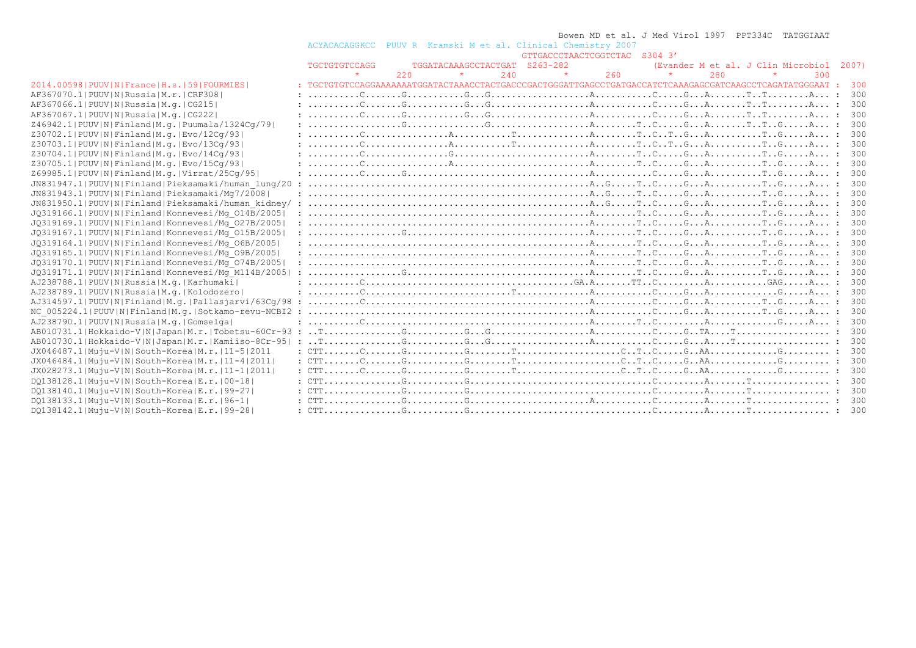|                                                              |                                                                                                          |     |                               |     |         |                                                 | Bowen MD et al. J Med Virol 1997 PPT334C TATGGIAAT |     |                                          |     |
|--------------------------------------------------------------|----------------------------------------------------------------------------------------------------------|-----|-------------------------------|-----|---------|-------------------------------------------------|----------------------------------------------------|-----|------------------------------------------|-----|
|                                                              | ACYACACAGGKCC                                                                                            |     |                               |     |         | PUUV R Kramski M et al. Clinical Chemistry 2007 |                                                    |     |                                          |     |
|                                                              |                                                                                                          |     |                               |     |         | GTTGACCCTAACTCGGTCTAC S304 3'                   |                                                    |     |                                          |     |
|                                                              | TGCTGTGTCCAGG                                                                                            |     | TGGATACAAAGCCTACTGAT S263-282 |     |         |                                                 |                                                    |     | (Evander M et al. J Clin Microbiol 2007) |     |
|                                                              |                                                                                                          | 220 |                               | 240 | $\star$ | 260                                             |                                                    | 280 | 300                                      |     |
| 2014.00598   PUUV   N   France   H.s.   59   FOURMIES        | : TGCTGTGTCCAGGAAAAAAATGGATACTAAACCTACTGACCCGACTGGGATTGAGCCTGATGACCATCTCAAAGAGCGATCAAGCCTCAGATATGGGAAT : |     |                               |     |         |                                                 |                                                    |     |                                          | 300 |
| AF367070.1  PUUV   N   Russia   M.r.   CRF308                |                                                                                                          |     |                               |     |         |                                                 |                                                    |     |                                          | 300 |
| AF367066.1 PUUV N Russia M.q. CG215                          |                                                                                                          |     |                               |     |         |                                                 |                                                    |     |                                          | 300 |
| AF367067.1 PUUV N Russia M.g.   CG222                        |                                                                                                          |     |                               |     |         |                                                 |                                                    |     |                                          | 300 |
| Z46942.1 PUUV N Finland M.q. Puumala/1324Cq/79               |                                                                                                          |     |                               |     |         |                                                 |                                                    |     |                                          | 300 |
| Z30702.1  PUUV   N   Finland   M. q.   Evo / 12Cq / 93       |                                                                                                          |     |                               |     |         |                                                 |                                                    |     |                                          | 300 |
| Z30703.1  PUUV   N   Finland   M.q.   Evo/13Cq/93            |                                                                                                          |     |                               |     |         |                                                 |                                                    |     |                                          | 300 |
| Z30704.1  PUUV   N   Finland   M.q.   Evo / 14Cq / 93        |                                                                                                          |     |                               |     |         |                                                 |                                                    |     |                                          | 300 |
| Z30705.1 PUUV N Finland M.q. Evo/15Cq/93                     |                                                                                                          |     |                               |     |         |                                                 |                                                    |     |                                          | 300 |
| Z69985.1 PUUV N Finland M.g. Virrat/25Cq/95                  |                                                                                                          |     |                               |     |         |                                                 |                                                    |     |                                          | 300 |
| JN831947.1 PUUV N Finland Pieksamaki/human lung/20           |                                                                                                          |     |                               |     |         |                                                 |                                                    |     |                                          | 300 |
| JN831943.1 PUUV N Finland Pieksamaki/Mq7/2008                |                                                                                                          |     |                               |     |         |                                                 |                                                    |     |                                          | 300 |
| JN831950.1 PUUV N Finland Pieksamaki/human kidney/ :         |                                                                                                          |     |                               |     |         |                                                 |                                                    |     |                                          | 300 |
| JQ319166.1 PUUV N Finland Konnevesi/Mq 014B/2005             |                                                                                                          |     |                               |     |         |                                                 |                                                    |     |                                          | 300 |
| JQ319169.1 PUUV N Finland Konnevesi/Mq 027B/2005             |                                                                                                          |     |                               |     |         |                                                 |                                                    |     |                                          | 300 |
| JQ319167.1 PUUV N Finland Konnevesi/Mg <sup>O15B</sup> /2005 |                                                                                                          |     |                               |     |         |                                                 |                                                    |     |                                          | 300 |
| JQ319164.1 PUUV N Finland Konnevesi/Mq 06B/2005              |                                                                                                          |     |                               |     |         |                                                 |                                                    |     |                                          | 300 |
| JQ319165.1 PUUV N Finland Konnevesi/Mq 09B/2005              |                                                                                                          |     |                               |     |         |                                                 |                                                    |     |                                          | 300 |
| JQ319170.1 PUUV N Finland Konnevesi/Mq 074B/2005             |                                                                                                          |     |                               |     |         |                                                 |                                                    |     |                                          | 300 |
| JQ319171.1 PUUV N Finland Konnevesi/Mq M114B/2005            |                                                                                                          |     |                               |     |         |                                                 |                                                    |     |                                          | 300 |
| AJ238788.1 PUUV N Russia M.g. Karhumaki                      |                                                                                                          |     |                               |     |         |                                                 |                                                    |     |                                          | 300 |
| AJ238789.1 PUUV N Russia M.g. Kolodozero                     |                                                                                                          |     |                               |     |         |                                                 |                                                    |     |                                          | 300 |
|                                                              |                                                                                                          |     |                               |     |         |                                                 |                                                    |     |                                          | 300 |
| NC 005224.1 PUUV N Finland M.g. Sotkamo-revu-NCBI2 :         |                                                                                                          |     |                               |     |         |                                                 |                                                    |     |                                          | 300 |
| AJ238790.1 PUUV N Russia M.g. Gomselga                       |                                                                                                          |     |                               |     |         |                                                 |                                                    |     |                                          | 300 |
|                                                              |                                                                                                          |     |                               |     |         |                                                 |                                                    |     |                                          | 300 |
|                                                              |                                                                                                          |     |                               |     |         |                                                 |                                                    |     |                                          | 300 |
| JX046487.1 Muju-V N South-Korea M.r. 11-5 2011               |                                                                                                          |     |                               |     |         |                                                 |                                                    |     |                                          | 300 |
| JX046484.1 Muju-V N South-Korea M.r.   11-4  2011            |                                                                                                          |     |                               |     |         |                                                 |                                                    |     |                                          | 300 |
| JX028273.1 Muju-V N South-Korea M.r.   11-1 2011             |                                                                                                          |     |                               |     |         |                                                 |                                                    |     |                                          | 300 |
| DQ138128.1 Muju-V N South-Korea E.r. 00-18                   |                                                                                                          |     |                               |     |         |                                                 |                                                    |     |                                          | 300 |
| D0138140.1 Muju-V N South-Korea E.r.   99-27                 |                                                                                                          |     |                               |     |         |                                                 |                                                    |     |                                          | 300 |
| DO138133.1 Muju-V N South-Korea E.r. 96-1                    |                                                                                                          |     |                               |     |         |                                                 |                                                    |     |                                          | 300 |
| DO138142.1 Muju-V N South-Korea E.r.   99-28                 |                                                                                                          |     |                               |     |         |                                                 |                                                    |     |                                          | 300 |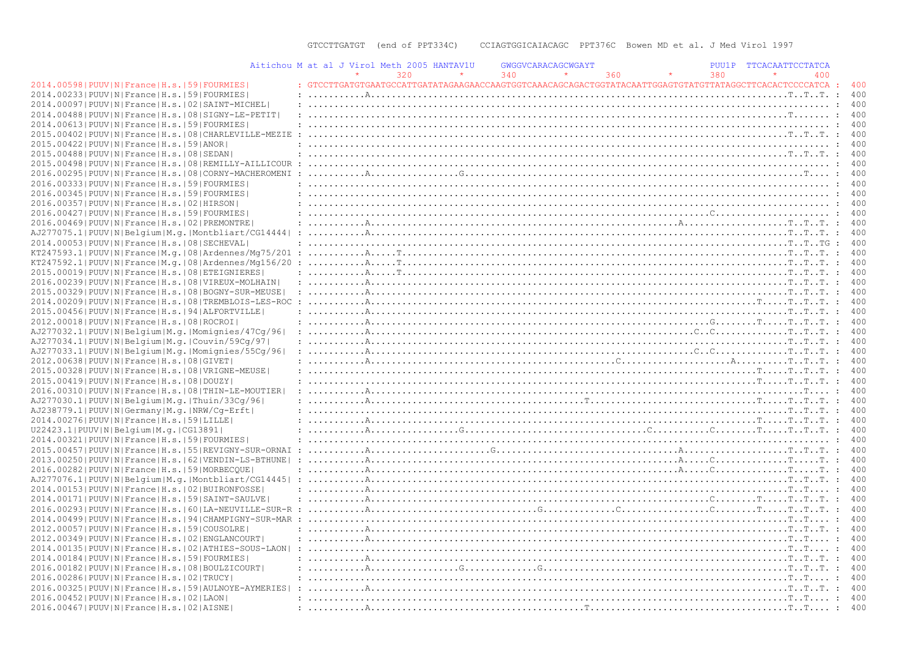| Aitichou M at al J Virol Meth 2005 HANTAV1U                    |  |     |                                                                                                                                                                                                                                                                                                                                                                                                                                                                  | GWGGVCARACAGCWGAYT |     |     | PUU1P TTCACAATTCCTATCA |     |                  |
|----------------------------------------------------------------|--|-----|------------------------------------------------------------------------------------------------------------------------------------------------------------------------------------------------------------------------------------------------------------------------------------------------------------------------------------------------------------------------------------------------------------------------------------------------------------------|--------------------|-----|-----|------------------------|-----|------------------|
|                                                                |  | 320 |                                                                                                                                                                                                                                                                                                                                                                                                                                                                  | 340                | 360 | 380 |                        | 400 |                  |
| 2014.00598 PUUV N France H.s. 59 FOURMIES                      |  |     | : GTCCTTGATGTGAATGCCATTGATATAGAAGAACCAAGTGGTCAAACAGCAGACTGGTATACAATTGGAGTGTATGTTATAGGCTTCACACTCCCCATCA : 400                                                                                                                                                                                                                                                                                                                                                     |                    |     |     |                        |     |                  |
| 2014.00233 PUUV N France H.s. 59 FOURMIES                      |  |     |                                                                                                                                                                                                                                                                                                                                                                                                                                                                  |                    |     |     |                        |     | 400              |
| 2014.00097 PUUV N France H.s. 02 SAINT-MICHEL                  |  |     |                                                                                                                                                                                                                                                                                                                                                                                                                                                                  |                    |     |     |                        |     | 400              |
| 2014.00488   PUUV   N   France   H.s.   08   SIGNY-LE-PETIT    |  |     |                                                                                                                                                                                                                                                                                                                                                                                                                                                                  |                    |     |     |                        |     | 400              |
| 2014.00613 PUUV N France H.s. 59 FOURMIES                      |  |     |                                                                                                                                                                                                                                                                                                                                                                                                                                                                  |                    |     |     |                        |     | 400              |
| 2015.00402   PUUV   N   France   H.s.   08   CHARLEVILLE-MEZIE |  |     |                                                                                                                                                                                                                                                                                                                                                                                                                                                                  |                    |     |     |                        |     |                  |
| 2015.00422   PUUV   N   France   H.s.   59   ANOR              |  |     |                                                                                                                                                                                                                                                                                                                                                                                                                                                                  |                    |     |     |                        |     | : 400            |
| 2015.00488 PUUV N France H.s. 08 SEDAN                         |  |     |                                                                                                                                                                                                                                                                                                                                                                                                                                                                  |                    |     |     |                        |     | 400              |
| 2015.00498   PUUV   N   France   H.s.   08   REMILLY-AILLICOUR |  |     |                                                                                                                                                                                                                                                                                                                                                                                                                                                                  |                    |     |     |                        |     | 400              |
|                                                                |  |     |                                                                                                                                                                                                                                                                                                                                                                                                                                                                  |                    |     |     |                        |     |                  |
| 2016.00295 PUUV N France H.s. 08 CORNY-MACHEROMENI             |  |     |                                                                                                                                                                                                                                                                                                                                                                                                                                                                  |                    |     |     |                        |     |                  |
| 2016.00333 PUUV N France H.s. 59 FOURMIES                      |  |     |                                                                                                                                                                                                                                                                                                                                                                                                                                                                  |                    |     |     |                        |     | 400              |
| 2016.00345 PUUV N France H.s. 59 FOURMIES                      |  |     |                                                                                                                                                                                                                                                                                                                                                                                                                                                                  |                    |     |     |                        |     | 400              |
| 2016.00357 PUUV N France H.s. 02 HIRSON                        |  |     |                                                                                                                                                                                                                                                                                                                                                                                                                                                                  |                    |     |     |                        |     | 400              |
| 2016.00427   PUUV   N   France   H.s.   59   FOURMIES          |  |     |                                                                                                                                                                                                                                                                                                                                                                                                                                                                  |                    |     |     |                        |     | 400              |
| 2016.00469   PUUV   N   France   H.s.   02   PREMONTRE         |  |     |                                                                                                                                                                                                                                                                                                                                                                                                                                                                  |                    |     |     |                        |     | 400              |
| AJ277075.1 PUUV N Belgium M.g. Montbliart/CG14444              |  |     |                                                                                                                                                                                                                                                                                                                                                                                                                                                                  |                    |     |     |                        |     | : 400            |
| 2014.00053 PUUV N France H.s. 08 SECHEVAL                      |  |     |                                                                                                                                                                                                                                                                                                                                                                                                                                                                  |                    |     |     |                        |     | : 400            |
| KT247593.1 PUUV N France M.q. 08 Ardennes/Mq75/201             |  |     |                                                                                                                                                                                                                                                                                                                                                                                                                                                                  |                    |     |     |                        |     | 400<br>$\cdot$ . |
| $KT247592.1 PUUV N France M.q. 08 Ardennes/Mq156/20$           |  |     | $: \ldots \ldots \ldots \mathbb{R} \ldots \mathbb{T} \ldots \mathbb{T} \ldots \mathbb{R} \ldots \mathbb{R} \ldots \mathbb{R} \ldots \mathbb{R} \ldots \mathbb{R} \ldots \mathbb{R} \ldots \mathbb{R} \ldots \mathbb{R} \ldots \mathbb{R} \ldots \mathbb{R} \ldots \mathbb{R} \ldots \mathbb{R} \ldots \mathbb{R} \ldots \mathbb{R} \ldots \mathbb{R} \ldots \mathbb{R} \ldots \mathbb{R} \ldots \mathbb{R} \ldots \mathbb{R} \ldots \mathbb{R} \ldots \mathbb{R$ |                    |     |     |                        |     | : 400            |
| 2015.00019 PUUV N France H.s. 08 ETEIGNIERES                   |  |     |                                                                                                                                                                                                                                                                                                                                                                                                                                                                  |                    |     |     |                        |     | 400              |
| 2016.00239   PUUV   N   France   H.s.   08   VIREUX-MOLHAIN    |  |     |                                                                                                                                                                                                                                                                                                                                                                                                                                                                  |                    |     |     |                        |     | 400<br>$\cdot$   |
| 2015.00329   PUUV   N   France   H.s.   08   BOGNY-SUR-MEUSE   |  |     |                                                                                                                                                                                                                                                                                                                                                                                                                                                                  |                    |     |     |                        |     |                  |
| 2014.00209   PUUV   N   France   H.s.   08   TREMBLOIS-LES-ROC |  |     |                                                                                                                                                                                                                                                                                                                                                                                                                                                                  |                    |     |     |                        |     | 400              |
| 2015.00456 PUUV N France H.s. 94 ALFORTVILLE                   |  |     |                                                                                                                                                                                                                                                                                                                                                                                                                                                                  |                    |     |     |                        |     | $\cdot$ .<br>400 |
| 2012.00018 PUUV N France H.s. 08 ROCROI                        |  |     |                                                                                                                                                                                                                                                                                                                                                                                                                                                                  |                    |     |     |                        |     |                  |
| AJ277032.1 PUUV N Belgium M.g. Momignies/47Cg/96               |  |     |                                                                                                                                                                                                                                                                                                                                                                                                                                                                  |                    |     |     |                        |     | 400              |
| AJ277034.1 PUUV N Belgium M.g. Couvin/59Cg/97                  |  |     |                                                                                                                                                                                                                                                                                                                                                                                                                                                                  |                    |     |     |                        |     | 400<br>$\sim$    |
| AJ277033.1 PUUV N Belgium M.g. Momignies/55Cg/96               |  |     |                                                                                                                                                                                                                                                                                                                                                                                                                                                                  |                    |     |     |                        |     |                  |
| 2012.00638 PUUV N France H.s. 08 GIVET                         |  |     |                                                                                                                                                                                                                                                                                                                                                                                                                                                                  |                    |     |     |                        |     | 400              |
| 2015.00328   PUUV   N   France   H.s.   08   VRIGNE-MEUSE      |  |     |                                                                                                                                                                                                                                                                                                                                                                                                                                                                  |                    |     |     |                        |     | 400<br>$\cdot$   |
| 2015.00419 PUUV N France H.s. 08 DOUZY                         |  |     |                                                                                                                                                                                                                                                                                                                                                                                                                                                                  |                    |     |     |                        |     |                  |
| 2016.00310   PUUV   N   France   H.s.   08   THIN-LE-MOUTIER   |  |     |                                                                                                                                                                                                                                                                                                                                                                                                                                                                  |                    |     |     |                        |     |                  |
| AJ277030.1 PUUV N Belgium M.g. Thuin/33Cq/96                   |  |     |                                                                                                                                                                                                                                                                                                                                                                                                                                                                  |                    |     |     |                        |     | 400              |
| AJ238779.1  PUUV   N   Germany   M.q.   NRW/Cq-Erft            |  |     |                                                                                                                                                                                                                                                                                                                                                                                                                                                                  |                    |     |     |                        |     |                  |
|                                                                |  |     |                                                                                                                                                                                                                                                                                                                                                                                                                                                                  |                    |     |     |                        |     | : 400            |
| 2014.00276 PUUV N France H.s. 59 LILLE                         |  |     |                                                                                                                                                                                                                                                                                                                                                                                                                                                                  |                    |     |     |                        |     | 400              |
| U22423.1 PUUV N Belgium M.g. CG13891                           |  |     |                                                                                                                                                                                                                                                                                                                                                                                                                                                                  |                    |     |     |                        |     |                  |
| 2014.00321  PUUV   N   France   H.s.   59   FOURMIES           |  |     |                                                                                                                                                                                                                                                                                                                                                                                                                                                                  |                    |     |     |                        |     | 400              |
| 2015.00457   PUUV   N   France   H.s.   55   REVIGNY-SUR-ORNAI |  |     |                                                                                                                                                                                                                                                                                                                                                                                                                                                                  |                    |     |     |                        |     | 400              |
| 2013.00250 PUUV N France H.s. 62 VENDIN-LS-BTHUNE              |  |     |                                                                                                                                                                                                                                                                                                                                                                                                                                                                  |                    |     |     |                        |     | 400              |
| 2016.00282 PUUV N France H.s. 59 MORBECOUE                     |  |     |                                                                                                                                                                                                                                                                                                                                                                                                                                                                  |                    |     |     |                        |     | 400              |
| AJ277076.1 PUUV N Belgium M.g. Montbliart/CG14445              |  |     |                                                                                                                                                                                                                                                                                                                                                                                                                                                                  |                    |     |     |                        |     | 400              |
| 2014.00153 PUUV N France H.s. 02 BUIRONFOSSE                   |  |     |                                                                                                                                                                                                                                                                                                                                                                                                                                                                  |                    |     |     |                        |     | 400              |
| 2014.00171 PUUV N France H.s. 59 SAINT-SAULVE                  |  |     |                                                                                                                                                                                                                                                                                                                                                                                                                                                                  |                    |     |     |                        |     | 400              |
| 2016.00293   PUUV   N   France   H.s.   60   LA-NEUVILLE-SUR-R |  |     |                                                                                                                                                                                                                                                                                                                                                                                                                                                                  |                    |     |     |                        |     | : 400            |
| 2014.00499   PUUV   N   France   H.s.   94   CHAMPIGNY-SUR-MAR |  |     |                                                                                                                                                                                                                                                                                                                                                                                                                                                                  |                    |     |     |                        |     | 400              |
| 2012.00057 PUUV N France H.s. 59 COUSOLRE                      |  |     |                                                                                                                                                                                                                                                                                                                                                                                                                                                                  |                    |     |     |                        |     |                  |
| 2012.00349 PUUV N France H.s. 02 ENGLANCOURT                   |  |     |                                                                                                                                                                                                                                                                                                                                                                                                                                                                  |                    |     |     |                        |     |                  |
| 2014.00135   PUUV   N   France   H.s.   02   ATHIES-SOUS-LAON  |  |     |                                                                                                                                                                                                                                                                                                                                                                                                                                                                  |                    |     |     |                        |     | 400              |
| 2014.00184 PUUV N France H.s. 59 FOURMIES                      |  |     |                                                                                                                                                                                                                                                                                                                                                                                                                                                                  |                    |     |     |                        |     |                  |
| 2016.00182 PUUV N France H.s. 08 BOULZICOURT                   |  |     |                                                                                                                                                                                                                                                                                                                                                                                                                                                                  |                    |     |     |                        |     | : 400            |
| 2016.00286 PUUV N France H.s. 02 TRUCY                         |  |     |                                                                                                                                                                                                                                                                                                                                                                                                                                                                  |                    |     |     |                        |     | 400              |
| 2016.00325 PUUV N France H.s. 59 AULNOYE-AYMERIES              |  |     |                                                                                                                                                                                                                                                                                                                                                                                                                                                                  |                    |     |     |                        |     |                  |
| 2016.00452 PUUV N France H.s. 02 LAON                          |  |     |                                                                                                                                                                                                                                                                                                                                                                                                                                                                  |                    |     |     |                        |     |                  |
| 2016.00467   PUUV   N   France   H.s.   02   AISNE             |  |     |                                                                                                                                                                                                                                                                                                                                                                                                                                                                  |                    |     |     |                        |     | 400              |
|                                                                |  |     |                                                                                                                                                                                                                                                                                                                                                                                                                                                                  |                    |     |     |                        |     |                  |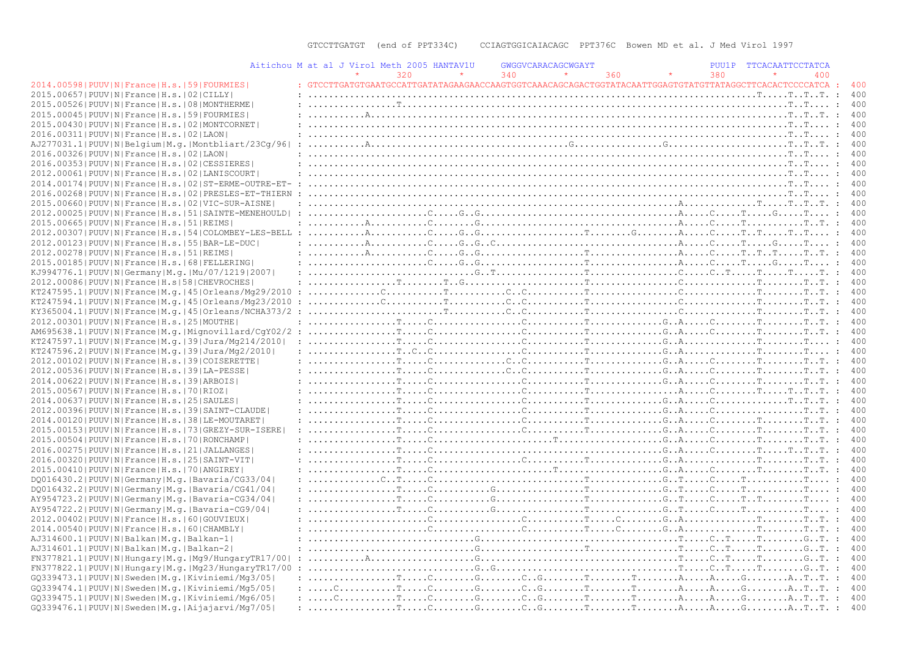|                                                                | Aitichou M at al J Virol Meth 2005 HANTAV1U | GWGGVCARACAGCWGAYT                                                                                                                                                                                                                                                                                                                                                                                                                                          |     | PUU1P | TTCACAATTCCTATCA |             |     |
|----------------------------------------------------------------|---------------------------------------------|-------------------------------------------------------------------------------------------------------------------------------------------------------------------------------------------------------------------------------------------------------------------------------------------------------------------------------------------------------------------------------------------------------------------------------------------------------------|-----|-------|------------------|-------------|-----|
|                                                                | 320                                         | 340                                                                                                                                                                                                                                                                                                                                                                                                                                                         | 360 | 380   | 400              |             |     |
| 2014.00598   PUUV   N   France   H.s.   59   FOURMIES          |                                             | : GTCCTTGATGTGAATGCCATTGATATAGAAGAACCAAGTGGTCAAACAGCAGACTGGTATACAATTGGAGTGTATGTTATAGGCTTCACACTCCCCATCA : 400                                                                                                                                                                                                                                                                                                                                                |     |       |                  |             |     |
| 2015.00657 PUUV N France H.s.   02 CILLY                       |                                             |                                                                                                                                                                                                                                                                                                                                                                                                                                                             |     |       |                  |             | 400 |
| 2015.00526 PUUV N France H.s. 08 MONTHERME                     |                                             |                                                                                                                                                                                                                                                                                                                                                                                                                                                             |     |       |                  |             |     |
| 2015.00045 PUUV N France H.s. 59 FOURMIES                      |                                             |                                                                                                                                                                                                                                                                                                                                                                                                                                                             |     |       |                  |             |     |
| 2015.00430 PUUV N France H.s. 02 MONTCORNET                    |                                             |                                                                                                                                                                                                                                                                                                                                                                                                                                                             |     |       |                  |             | 400 |
| 2016.00311 PUUV N France H.s. 02 LAON                          |                                             |                                                                                                                                                                                                                                                                                                                                                                                                                                                             |     |       |                  |             |     |
| AJ277031.1 PUUV N Belgium M.g. Montbliart/23Cq/96              |                                             |                                                                                                                                                                                                                                                                                                                                                                                                                                                             |     |       |                  |             |     |
| 2016.00326 PUUV N France H.s. 02 LAON                          |                                             |                                                                                                                                                                                                                                                                                                                                                                                                                                                             |     |       |                  |             | 400 |
| 2016.00353 PUUV N France H.s. 02 CESSIERES                     |                                             |                                                                                                                                                                                                                                                                                                                                                                                                                                                             |     |       |                  |             |     |
| 2012.00061 PUUV N France H.s. 02 LANISCOURT                    |                                             |                                                                                                                                                                                                                                                                                                                                                                                                                                                             |     |       |                  |             |     |
| 2014.00174   PUUV   N   France   H.s.   02   ST-ERME-OUTRE-ET- |                                             |                                                                                                                                                                                                                                                                                                                                                                                                                                                             |     |       |                  |             | 400 |
| 2016.00268   PUUV   N   France   H.s.   02   PRESLES-ET-THIERN |                                             |                                                                                                                                                                                                                                                                                                                                                                                                                                                             |     |       |                  |             |     |
| 2015.00660 PUUV N France H.s. 02 VIC-SUR-AISNE                 |                                             |                                                                                                                                                                                                                                                                                                                                                                                                                                                             |     |       |                  |             |     |
| 2012.00025 PUUV N France H.s. 51 SAINTE-MENEHOULD              |                                             |                                                                                                                                                                                                                                                                                                                                                                                                                                                             |     |       |                  |             | 400 |
| 2015.00665 PUUV N France H.s. 51 REIMS                         |                                             | $: \ldots, \ldots, A, \ldots, \ldots, C, \ldots, G, \ldots, \ldots, \ldots, \ldots, \ldots, \ldots, A, \ldots, C, \ldots, T, \ldots, T, \ldots, T, \ldots, T, \ldots, T$                                                                                                                                                                                                                                                                                    |     |       |                  |             |     |
|                                                                |                                             |                                                                                                                                                                                                                                                                                                                                                                                                                                                             |     |       |                  |             |     |
|                                                                |                                             |                                                                                                                                                                                                                                                                                                                                                                                                                                                             |     |       |                  |             |     |
| 2012.00123  PUUV   N   France   H.s.   55   BAR-LE-DUC         |                                             |                                                                                                                                                                                                                                                                                                                                                                                                                                                             |     |       |                  |             | 400 |
| 2012.00278   PUUV   N   France   H.s.   51   REIMS             |                                             |                                                                                                                                                                                                                                                                                                                                                                                                                                                             |     |       |                  |             |     |
| 2015.00185 PUUV N France H.s. 68 FELLERING                     |                                             |                                                                                                                                                                                                                                                                                                                                                                                                                                                             |     |       |                  |             |     |
| KJ994776.1  PUUV   N   Germany   M.q.   Mu / 07 / 1219   2007  |                                             |                                                                                                                                                                                                                                                                                                                                                                                                                                                             |     |       |                  |             | 400 |
| 2012.00086 PUUV N France H.s 58 CHEVROCHES                     |                                             |                                                                                                                                                                                                                                                                                                                                                                                                                                                             |     |       |                  |             |     |
|                                                                |                                             |                                                                                                                                                                                                                                                                                                                                                                                                                                                             |     |       |                  |             |     |
| KT247594.1 PUUV N France M.q. 45 Orleans/Mq23/2010             |                                             |                                                                                                                                                                                                                                                                                                                                                                                                                                                             |     |       |                  | : 400       |     |
|                                                                |                                             |                                                                                                                                                                                                                                                                                                                                                                                                                                                             |     |       |                  | $\cdot$ 400 |     |
| 2012.00301 PUUV N France H.s. 25 MOUTHE                        |                                             |                                                                                                                                                                                                                                                                                                                                                                                                                                                             |     |       |                  |             |     |
|                                                                |                                             |                                                                                                                                                                                                                                                                                                                                                                                                                                                             |     |       |                  | : 400       |     |
| KT247597.1 PUUV N France M.q. 39 Jura/Mq214/2010               |                                             |                                                                                                                                                                                                                                                                                                                                                                                                                                                             |     |       |                  |             |     |
| KT247596.2 PUUV N France M.q. 39 Jura/Mq2/2010                 |                                             |                                                                                                                                                                                                                                                                                                                                                                                                                                                             |     |       |                  |             |     |
| 2012.00102 PUUV N France H.s. 39 COISERETTE                    |                                             |                                                                                                                                                                                                                                                                                                                                                                                                                                                             |     |       |                  | : 400       |     |
| 2012.00536  PUUV  N   France   H.s.   39   LA-PESSE            |                                             |                                                                                                                                                                                                                                                                                                                                                                                                                                                             |     |       |                  |             | 400 |
| 2014.00622 PUUV N France H.s. 39 ARBOIS                        |                                             |                                                                                                                                                                                                                                                                                                                                                                                                                                                             |     |       |                  |             |     |
| 2015.00567 PUUV N France H.s. 70 RIOZ                          |                                             |                                                                                                                                                                                                                                                                                                                                                                                                                                                             |     |       |                  | : 400       |     |
| 2014.00637 PUUV N France H.s. 25 SAULES                        |                                             |                                                                                                                                                                                                                                                                                                                                                                                                                                                             |     |       |                  |             |     |
| 2012.00396 PUUV N France H.s. 39 SAINT-CLAUDE                  |                                             |                                                                                                                                                                                                                                                                                                                                                                                                                                                             |     |       |                  |             |     |
| 2014.00120   PUUV   N   France   H.s.   38   LE-MOUTARET       |                                             |                                                                                                                                                                                                                                                                                                                                                                                                                                                             |     |       |                  | : 400       |     |
| 2015.00153 PUUV N France H.s. 73 GREZY-SUR-ISERE               |                                             |                                                                                                                                                                                                                                                                                                                                                                                                                                                             |     |       |                  |             | 400 |
| 2015.00504   PUUV   N   France   H.s.   70   RONCHAMP          |                                             |                                                                                                                                                                                                                                                                                                                                                                                                                                                             |     |       |                  |             |     |
| 2016.00275 PUUV N France H.s. 21 JALLANGES                     |                                             |                                                                                                                                                                                                                                                                                                                                                                                                                                                             |     |       |                  | : 400       |     |
| 2016.00320 PUUV N France H.s. 25 SAINT-VIT                     |                                             |                                                                                                                                                                                                                                                                                                                                                                                                                                                             |     |       |                  |             |     |
| 2015.00410 PUUV N France H.s. 70 ANGIREY                       |                                             |                                                                                                                                                                                                                                                                                                                                                                                                                                                             |     |       |                  |             |     |
| DQ016430.2 PUUV N Germany M.q. Bavaria/CG33/04                 |                                             |                                                                                                                                                                                                                                                                                                                                                                                                                                                             |     |       |                  |             |     |
| DQ016432.2   PUUV   N   Germany   M.q.   Bavaria/CG41/04       |                                             |                                                                                                                                                                                                                                                                                                                                                                                                                                                             |     |       |                  |             | 400 |
| AY954723.2   PUUV   N   Germany   M.g.   Bavaria-CG34/04       |                                             |                                                                                                                                                                                                                                                                                                                                                                                                                                                             |     |       |                  |             |     |
| AY954722.2   PUUV   N   Germany   M.q.   Bavaria-CG9/04        |                                             |                                                                                                                                                                                                                                                                                                                                                                                                                                                             |     |       |                  |             |     |
| 2012.00402   PUUV   N   France   H.s.   60   GOUVIEUX          |                                             |                                                                                                                                                                                                                                                                                                                                                                                                                                                             |     |       |                  |             |     |
| 2014.00540 PUUV N France H.s. 60 CHAMBLY                       |                                             |                                                                                                                                                                                                                                                                                                                                                                                                                                                             |     |       |                  |             |     |
| AJ314600.1 PUUV N Balkan M.g. Balkan-1                         |                                             |                                                                                                                                                                                                                                                                                                                                                                                                                                                             |     |       |                  |             |     |
| AJ314601.1 PUUV N Balkan M.g. Balkan-2                         |                                             |                                                                                                                                                                                                                                                                                                                                                                                                                                                             |     |       |                  |             |     |
| FN377821.1  PUUV   N   Hungary   M.g.   Mg9/ Hungary TR17/00   |                                             | $: \ldots, \ldots, \mathbb{A}, \ldots, \ldots, \ldots, \mathbb{G}, \ldots, \mathbb{G}, \ldots, \mathbb{G}, \ldots, \mathbb{G}, \ldots, \mathbb{G}, \ldots, \mathbb{G}, \ldots, \mathbb{G}, \ldots, \mathbb{G}, \ldots, \mathbb{G}, \ldots, \mathbb{G}, \ldots, \mathbb{G}, \ldots, \mathbb{G}, \ldots, \mathbb{G}, \ldots, \mathbb{G}, \ldots, \mathbb{G}, \ldots, \mathbb{G}, \ldots, \mathbb{G}, \ldots, \mathbb{G}, \ldots, \mathbb{G}, \ldots, \mathbb$ |     |       |                  |             |     |
|                                                                |                                             |                                                                                                                                                                                                                                                                                                                                                                                                                                                             |     |       |                  |             |     |
| FN377822.1 PUUV N Hungary M.g. Mg23/HungaryTR17/00             |                                             |                                                                                                                                                                                                                                                                                                                                                                                                                                                             |     |       |                  |             |     |
| GQ339473.1 PUUV N Sweden M.g. Kiviniemi/Mg3/05                 |                                             |                                                                                                                                                                                                                                                                                                                                                                                                                                                             |     |       |                  |             |     |
| GQ339474.1 PUUV N Sweden M.g. Kiviniemi/Mg5/05                 |                                             |                                                                                                                                                                                                                                                                                                                                                                                                                                                             |     |       |                  |             | 400 |
| GQ339475.1 PUUV N Sweden M.g. Kiviniemi/Mg6/05                 |                                             |                                                                                                                                                                                                                                                                                                                                                                                                                                                             |     |       |                  |             |     |
| GO339476.1 PUUV N Sweden M.g. Aijajarvi/Mg7/05                 |                                             |                                                                                                                                                                                                                                                                                                                                                                                                                                                             |     |       |                  |             |     |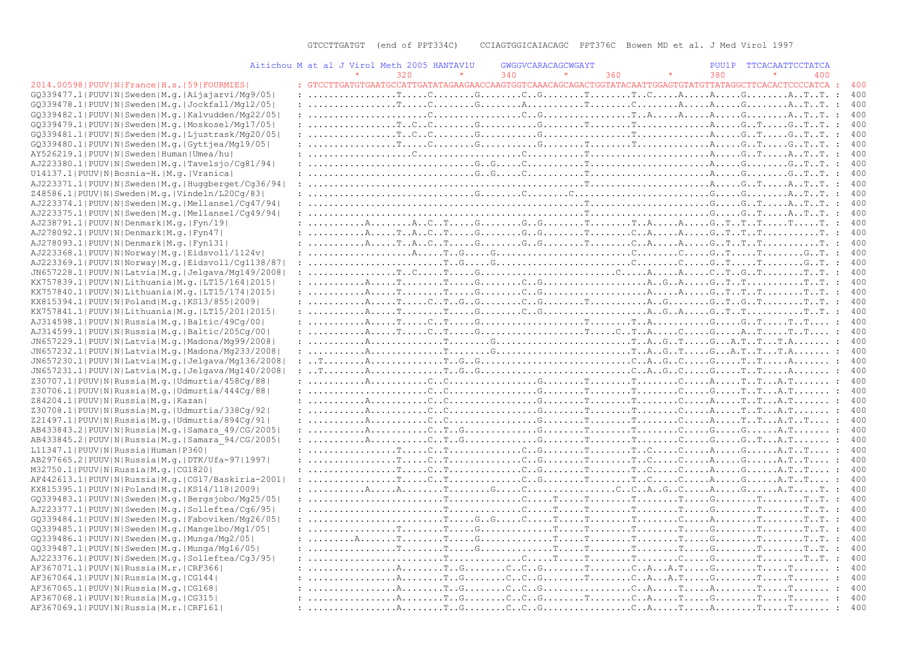|                                                                                                   | Aitichou M at al J Virol Meth 2005 HANTAV1U                                                                                                                                                                                                                                                                                                                                                                              | GWGGVCARACAGCWGAYT |            | PUU1P TTCACAATTCCTATCA |
|---------------------------------------------------------------------------------------------------|--------------------------------------------------------------------------------------------------------------------------------------------------------------------------------------------------------------------------------------------------------------------------------------------------------------------------------------------------------------------------------------------------------------------------|--------------------|------------|------------------------|
|                                                                                                   | 320                                                                                                                                                                                                                                                                                                                                                                                                                      | 340                | 380<br>360 | 400                    |
| 2014.00598   PUUV   N   France   H.s.   59   FOURMIES                                             | : GTCCTTGATGTGAATGCCATTGATATAGAAGAACCAAGTGGTCAAACAGCAGACTGGTATACAATTGGAGTGTATGTTATAGGCTTCACACTCCCCATCA :                                                                                                                                                                                                                                                                                                                 |                    |            | 400                    |
| GQ339477.1 PUUV N Sweden M.q. Aijajarvi/Mq9/05                                                    |                                                                                                                                                                                                                                                                                                                                                                                                                          |                    |            | 400                    |
| GQ339478.1 PUUV N Sweden M.q. Jockfall/Mq12/05                                                    |                                                                                                                                                                                                                                                                                                                                                                                                                          |                    |            | 400                    |
| GQ339482.1 PUUV N Sweden M.q. Kalvudden/Mq22/05                                                   |                                                                                                                                                                                                                                                                                                                                                                                                                          |                    |            | 400                    |
| GQ339479.1 PUUV N Sweden M.q. Moskosel/Mq17/05                                                    |                                                                                                                                                                                                                                                                                                                                                                                                                          |                    |            | $\cdot$ :<br>400       |
| GQ339481.1 PUUV N Sweden M.q. Ljustrask/Mq20/05                                                   |                                                                                                                                                                                                                                                                                                                                                                                                                          |                    |            | 400                    |
| GQ339480.1 PUUV N Sweden M.g. Gyttjea/Mq19/05                                                     |                                                                                                                                                                                                                                                                                                                                                                                                                          |                    |            | 400                    |
| AY526219.1 PUUV N Sweden Human Umea/hu                                                            |                                                                                                                                                                                                                                                                                                                                                                                                                          |                    |            | $\cdot$ :<br>400       |
| AJ223380.1 PUUV N Sweden M.g. Tavelsjo/Cg81/94                                                    |                                                                                                                                                                                                                                                                                                                                                                                                                          |                    |            | 400                    |
| U14137.1 PUUV N Bosnia-H. M.g. Vranica                                                            |                                                                                                                                                                                                                                                                                                                                                                                                                          |                    |            | 400                    |
| AJ223371.1 PUUV N Sweden M.q. Huqqberqet/Cq36/94                                                  |                                                                                                                                                                                                                                                                                                                                                                                                                          |                    |            | $\cdot$ :<br>400       |
| Z48586.1 PUUV N Sweden M.g. Vindeln/L20Cq/83                                                      |                                                                                                                                                                                                                                                                                                                                                                                                                          |                    |            | 400                    |
| AJ223374.1 PUUV N Sweden M.g. Mellansel/Cg47/94                                                   |                                                                                                                                                                                                                                                                                                                                                                                                                          |                    |            | 400                    |
| AJ223375.1 PUUV N Sweden M.q. Mellansel/Cq49/94                                                   |                                                                                                                                                                                                                                                                                                                                                                                                                          |                    |            |                        |
| AJ238791.1 PUUV N Denmark M.q. Fyn/19                                                             |                                                                                                                                                                                                                                                                                                                                                                                                                          |                    |            | 400                    |
| AJ278092.1 PUUV N Denmark M.q. Fyn47                                                              |                                                                                                                                                                                                                                                                                                                                                                                                                          |                    |            | 400                    |
| AJ278093.1 PUUV N Denmark M.g. Fyn131                                                             |                                                                                                                                                                                                                                                                                                                                                                                                                          |                    |            | 400                    |
| AJ223368.1 PUUV N Norway M.q. Eidsvoll/1124v                                                      |                                                                                                                                                                                                                                                                                                                                                                                                                          |                    |            | 400                    |
| AJ223369.1 PUUV N Norway M.g. Eidsvoll/Cq1138/87                                                  |                                                                                                                                                                                                                                                                                                                                                                                                                          |                    |            | 400                    |
| JN657228.1 PUUV N Latvia M.g. Jelgava/Mg149/2008                                                  |                                                                                                                                                                                                                                                                                                                                                                                                                          |                    |            | 400                    |
| KX757839.1 PUUV N Lithuania M.q. LT15/164 2015                                                    |                                                                                                                                                                                                                                                                                                                                                                                                                          |                    |            | -400                   |
| KX757840.1 PUUV N Lithuania M.q. LT15/174 2015                                                    | $: \ldots, \ldots, A, \ldots, T, \ldots, T, \ldots, G, \ldots, G, \ldots, G, \ldots, \ldots, \ldots, A, \ldots, A, \ldots, G, \ldots, T, \ldots, T, \ldots, T, \ldots, T, \ldots, T, \ldots, T, \ldots, G, \ldots, G, \ldots, G, \ldots, G, \ldots, G, \ldots, G, \ldots, G, \ldots, G, \ldots, G, \ldots, G, \ldots, G, \ldots, G, \ldots, G, \ldots, G, \ldots, G, \ldots, G, \ldots, G, \ldots, G, \ldots, G, \ldots$ |                    |            | 400                    |
| KX815394.1  PUUV   N   Poland   M.q.   KS13/855   2009                                            |                                                                                                                                                                                                                                                                                                                                                                                                                          |                    |            |                        |
| KX757841.1 PUUV N Lithuania M.g. LT15/201 2015                                                    |                                                                                                                                                                                                                                                                                                                                                                                                                          |                    |            |                        |
| AJ314598.1 PUUV N Russia M.q. Baltic/49Cq/00                                                      |                                                                                                                                                                                                                                                                                                                                                                                                                          |                    |            | 400                    |
| AJ314599.1 PUUV N Russia M.g. Baltic/205Cg/00                                                     |                                                                                                                                                                                                                                                                                                                                                                                                                          |                    |            | 400                    |
|                                                                                                   |                                                                                                                                                                                                                                                                                                                                                                                                                          |                    |            | 400                    |
| JN657229.1 PUUV N Latvia M.g. Madona/Mg99/2008<br>JN657232.1 PUUV N Latvia M.g. Madona/Mg233/2008 |                                                                                                                                                                                                                                                                                                                                                                                                                          |                    |            | 400                    |
| JN657230.1 PUUV N Latvia M.g. Jelgava/Mg136/2008                                                  |                                                                                                                                                                                                                                                                                                                                                                                                                          |                    |            | 400                    |
| JN657231.1 PUUV N Latvia M.g. Jelgava/Mg140/2008                                                  |                                                                                                                                                                                                                                                                                                                                                                                                                          |                    |            | 400                    |
|                                                                                                   |                                                                                                                                                                                                                                                                                                                                                                                                                          |                    |            | 400                    |
| Z30707.1 PUUV N Russia M.g. Udmurtia/458Cg/88                                                     |                                                                                                                                                                                                                                                                                                                                                                                                                          |                    |            |                        |
| Z30706.1 PUUV N Russia M.g. Udmurtia/444Cq/88                                                     |                                                                                                                                                                                                                                                                                                                                                                                                                          |                    |            | 400                    |
| Z84204.1 PUUV N Russia M.q. Kazan                                                                 |                                                                                                                                                                                                                                                                                                                                                                                                                          |                    |            | 400                    |
| Z30708.1  PUUV   N   Russia   M.g.   Udmurtia / 338Cg / 92                                        |                                                                                                                                                                                                                                                                                                                                                                                                                          |                    |            | 400                    |
| Z21497.1 PUUV N Russia M.g. Udmurtia/894Cg/91                                                     |                                                                                                                                                                                                                                                                                                                                                                                                                          |                    |            | 400                    |
| AB433843.2 PUUV N Russia M.g. Samara 49/CG/2005                                                   |                                                                                                                                                                                                                                                                                                                                                                                                                          |                    |            | 400                    |
| AB433845.2 PUUV N Russia M.g. Samara 94/CG/2005                                                   |                                                                                                                                                                                                                                                                                                                                                                                                                          |                    |            | 400                    |
| L11347.1  PUUV   N   Russia   Human   P360                                                        |                                                                                                                                                                                                                                                                                                                                                                                                                          |                    |            | 400                    |
| AB297665.2 PUUV N Russia M.g. DTK/Ufa-97 1997                                                     |                                                                                                                                                                                                                                                                                                                                                                                                                          |                    |            | 400                    |
| M32750.1 PUUV N Russia M.q. CG1820                                                                |                                                                                                                                                                                                                                                                                                                                                                                                                          |                    |            | 400                    |
| AF442613.1 PUUV N Russia M.g. CG17/Baskiria-2001                                                  |                                                                                                                                                                                                                                                                                                                                                                                                                          |                    |            | 400                    |
| KX815395.1  PUUV   N   Poland   M.q.   KS14/118   2009                                            |                                                                                                                                                                                                                                                                                                                                                                                                                          |                    |            | 400                    |
| GQ339483.1 PUUV N Sweden M.g. Bergsjobo/Mg25/05                                                   |                                                                                                                                                                                                                                                                                                                                                                                                                          |                    |            | 400                    |
| AJ223377.1 PUUV N Sweden M.q. Solleftea/Cq6/95                                                    |                                                                                                                                                                                                                                                                                                                                                                                                                          |                    |            |                        |
| GQ339484.1 PUUV N Sweden M.q. Faboviken/Mq26/05                                                   |                                                                                                                                                                                                                                                                                                                                                                                                                          |                    |            | 400                    |
| GQ339485.1 PUUV N Sweden M.q. Mangelbo/Mg1/05                                                     |                                                                                                                                                                                                                                                                                                                                                                                                                          |                    |            |                        |
| GQ339486.1 PUUV N Sweden M.q. Munga/Mg2/05                                                        |                                                                                                                                                                                                                                                                                                                                                                                                                          |                    |            |                        |
| GQ339487.1 PUUV N Sweden M.g. Munga/Mg16/05                                                       |                                                                                                                                                                                                                                                                                                                                                                                                                          |                    |            |                        |
| AJ223376.1 PUUV N Sweden M.q. Solleftea/Cq3/95                                                    |                                                                                                                                                                                                                                                                                                                                                                                                                          |                    |            |                        |
| AF367071.1  PUUV   N   Russia   M.r.   CRF366                                                     |                                                                                                                                                                                                                                                                                                                                                                                                                          |                    |            | 400                    |
| AF367064.1  PUUV   N   Russia   M.q.   CG144                                                      |                                                                                                                                                                                                                                                                                                                                                                                                                          |                    |            | 400                    |
| AF367065.1 PUUV N Russia M.q. CG168                                                               |                                                                                                                                                                                                                                                                                                                                                                                                                          |                    |            | 400                    |
| AF367068.1  PUUV   N   Russia   M. q.   CG315                                                     |                                                                                                                                                                                                                                                                                                                                                                                                                          |                    |            |                        |
| AF367069.1 PUUV N Russia M.r. CRF161                                                              |                                                                                                                                                                                                                                                                                                                                                                                                                          |                    |            |                        |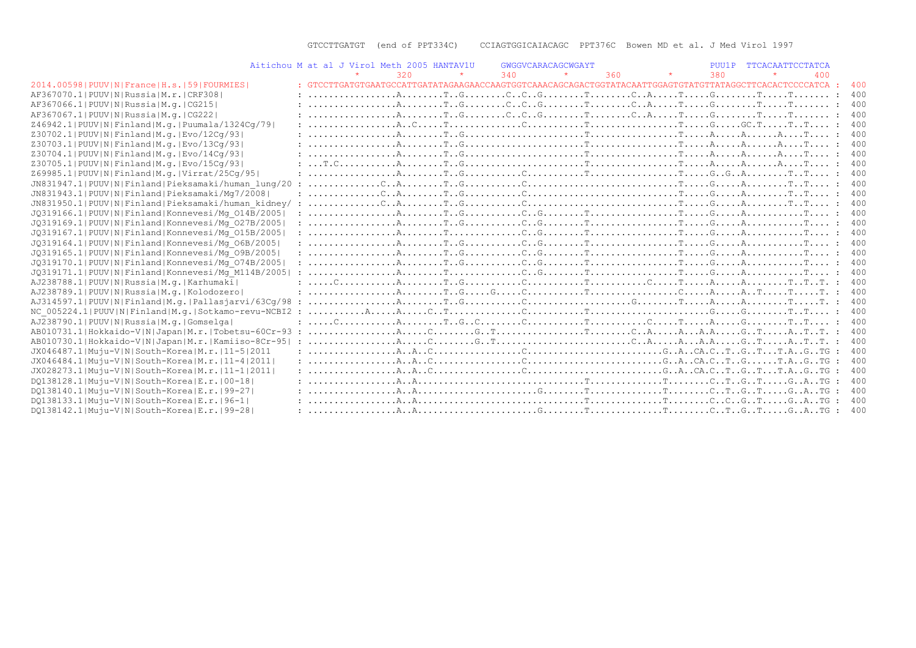|                                                         | Aitichou M at al J Virol Meth 2005 HANTAV1U |     |                                                                                                                                                                                                                                                                                                                                                                                                                                                                      |     | GWGGVCARACAGCWGAYT |     |         | PUU1P | TTCACAATTCCTATCA |     |     |
|---------------------------------------------------------|---------------------------------------------|-----|----------------------------------------------------------------------------------------------------------------------------------------------------------------------------------------------------------------------------------------------------------------------------------------------------------------------------------------------------------------------------------------------------------------------------------------------------------------------|-----|--------------------|-----|---------|-------|------------------|-----|-----|
|                                                         |                                             | 320 |                                                                                                                                                                                                                                                                                                                                                                                                                                                                      | 340 |                    | 360 | $\star$ | 380   |                  | 400 |     |
| 2014.00598   PUUV   N   France   H.s.   59   FOURMIES   |                                             |     | : GTCCTTGATGTGAATGCCATTGATATAGAAGAACCAAGTGGTCAAACAGCAGACTGGTATACAATTGGAGTGTATGTTATGGCTTCACACTCCCCATCA :                                                                                                                                                                                                                                                                                                                                                              |     |                    |     |         |       |                  |     | 400 |
| AF367070.11PUUVINIRussialM.r.ICRF3081                   |                                             |     |                                                                                                                                                                                                                                                                                                                                                                                                                                                                      |     |                    |     |         |       |                  |     | 400 |
| AF367066.1  PUUV   N   Russia   M. g.   CG215           |                                             |     |                                                                                                                                                                                                                                                                                                                                                                                                                                                                      |     |                    |     |         |       |                  |     | 400 |
| AF367067.1  PUUV   N   Russia   M.q.   CG222            |                                             |     |                                                                                                                                                                                                                                                                                                                                                                                                                                                                      |     |                    |     |         |       |                  |     | 400 |
| Z46942.1  PUUV   N   Finland   M.q.   Puumala/1324Cq/79 |                                             |     |                                                                                                                                                                                                                                                                                                                                                                                                                                                                      |     |                    |     |         |       |                  |     | 400 |
| Z30702.1 PUUV N Finland M.g. Evo/12Cq/93                |                                             |     |                                                                                                                                                                                                                                                                                                                                                                                                                                                                      |     |                    |     |         |       |                  |     | 400 |
| Z30703.1  PUUV   N   Finland   M. q.   Evo / 13Cq / 93  |                                             |     |                                                                                                                                                                                                                                                                                                                                                                                                                                                                      |     |                    |     |         |       |                  |     | 400 |
| Z30704.1 PUUV N Finland M.g. Evo/14Cq/93                |                                             |     |                                                                                                                                                                                                                                                                                                                                                                                                                                                                      |     |                    |     |         |       |                  |     | 400 |
| Z30705.1 PUUV N Finland M.g. Evo/15Cq/93                |                                             |     |                                                                                                                                                                                                                                                                                                                                                                                                                                                                      |     |                    |     |         |       |                  |     |     |
| Z69985.1 PUUV N Finland M.g. Virrat/25Cq/95             |                                             |     |                                                                                                                                                                                                                                                                                                                                                                                                                                                                      |     |                    |     |         |       |                  |     |     |
| JN831947.1 PUUV N Finland Pieksamaki/human lung/20      |                                             |     |                                                                                                                                                                                                                                                                                                                                                                                                                                                                      |     |                    |     |         |       |                  |     | 400 |
| JN831943.1 PUUV N Finland Pieksamaki/Mg7/2008           |                                             |     |                                                                                                                                                                                                                                                                                                                                                                                                                                                                      |     |                    |     |         |       |                  |     | 400 |
| JN831950.1 PUUV N Finland Pieksamaki/human kidney/      |                                             |     |                                                                                                                                                                                                                                                                                                                                                                                                                                                                      |     |                    |     |         |       |                  |     | 400 |
| JQ319166.1 PUUV N Finland Konnevesi/Mq 014B/2005        |                                             |     |                                                                                                                                                                                                                                                                                                                                                                                                                                                                      |     |                    |     |         |       |                  |     | 400 |
| JQ319169.1 PUUV N Finland Konnevesi/Mq 027B/2005        |                                             |     |                                                                                                                                                                                                                                                                                                                                                                                                                                                                      |     |                    |     |         |       |                  |     |     |
| JQ319167.1 PUUV N Finland Konnevesi/Mq 015B/2005        |                                             |     |                                                                                                                                                                                                                                                                                                                                                                                                                                                                      |     |                    |     |         |       |                  |     | 400 |
| JQ319164.1 PUUV N Finland Konnevesi/Mq 06B/2005         |                                             |     |                                                                                                                                                                                                                                                                                                                                                                                                                                                                      |     |                    |     |         |       |                  |     | 400 |
| JQ319165.1 PUUV N Finland Konnevesi/Mq 09B/2005         |                                             |     |                                                                                                                                                                                                                                                                                                                                                                                                                                                                      |     |                    |     |         |       |                  |     | 400 |
| JQ319170.1 PUUV N Finland Konnevesi/Mq 074B/2005        |                                             |     | $: \ldots, \ldots, \ldots, \mathbb{A}, \ldots, \mathbb{T} \ldots \mathbb{G}, \ldots, \ldots, \mathbb{C} \ldots \mathbb{G}, \ldots, \mathbb{T} \ldots, \mathbb{T} \ldots, \mathbb{C} \ldots, \mathbb{C} \ldots, \mathbb{C} \ldots, \mathbb{A}, \ldots, \ldots, \mathbb{C} \ldots, \mathbb{T} \ldots, \mathbb{T} \ldots, \mathbb{T} \ldots, \mathbb{T} \ldots, \mathbb{T} \ldots, \mathbb{T} \ldots, \mathbb{T} \ldots, \mathbb{T} \ldots, \mathbb{T} \ldots, \mathbb$ |     |                    |     |         |       |                  |     | 400 |
| JQ319171.1 PUUV N Finland Konnevesi/Mq M114B/2005       |                                             |     |                                                                                                                                                                                                                                                                                                                                                                                                                                                                      |     |                    |     |         |       |                  |     | 400 |
| AJ238788.1 PUUV N Russia M.g. Karhumaki                 |                                             |     |                                                                                                                                                                                                                                                                                                                                                                                                                                                                      |     |                    |     |         |       |                  |     |     |
| AJ238789.1 PUUV N Russia M.g. Kolodozero                |                                             |     |                                                                                                                                                                                                                                                                                                                                                                                                                                                                      |     |                    |     |         |       |                  |     | 400 |
| AJ314597.1 PUUV N Finland M.q. Pallasjarvi/63Cq/98 :    |                                             |     |                                                                                                                                                                                                                                                                                                                                                                                                                                                                      |     |                    |     |         |       |                  |     | 400 |
| NC 005224.1 PUUV N Finland M.g. Sotkamo-revu-NCBI2 :    |                                             |     |                                                                                                                                                                                                                                                                                                                                                                                                                                                                      |     |                    |     |         |       |                  |     | 400 |
| AJ238790.1 PUUV N Russia M.g. Gomselga                  |                                             |     |                                                                                                                                                                                                                                                                                                                                                                                                                                                                      |     |                    |     |         |       |                  |     | 400 |
| AB010731.1 Hokkaido-V N Japan M.r. Tobetsu-60Cr-93      |                                             |     |                                                                                                                                                                                                                                                                                                                                                                                                                                                                      |     |                    |     |         |       |                  |     | 400 |
| AB010730.1 Hokkaido-V N Japan M.r. Kamiiso-8Cr-95       |                                             |     |                                                                                                                                                                                                                                                                                                                                                                                                                                                                      |     |                    |     |         |       |                  |     | 400 |
| JX046487.1 Muju-V N South-Korea M.r. 11-5 2011          |                                             |     |                                                                                                                                                                                                                                                                                                                                                                                                                                                                      |     |                    |     |         |       |                  |     | 400 |
| JX046484.1 Muju-V N South-Korea M.r.   11-4   2011      |                                             |     |                                                                                                                                                                                                                                                                                                                                                                                                                                                                      |     |                    |     |         |       |                  |     | 400 |
| JX028273.1 Muju-V N South-Korea M.r. 11-1 2011          |                                             |     |                                                                                                                                                                                                                                                                                                                                                                                                                                                                      |     |                    |     |         |       |                  |     | 400 |
| DQ138128.1 Muju-V N South-Korea E.r. 00-18              |                                             |     |                                                                                                                                                                                                                                                                                                                                                                                                                                                                      |     |                    |     |         |       |                  |     | 400 |
| DO138140.1 Muju-V N South-Korea E.r. 99-27              |                                             |     |                                                                                                                                                                                                                                                                                                                                                                                                                                                                      |     |                    |     |         |       |                  |     | 400 |
| DO138133.1 Muju-V N South-Korea E.r. 96-1               |                                             |     |                                                                                                                                                                                                                                                                                                                                                                                                                                                                      |     |                    |     |         |       |                  |     | 400 |
| DO138142.1 Muju-V N South-Korea E.r. 99-28              |                                             |     |                                                                                                                                                                                                                                                                                                                                                                                                                                                                      |     |                    |     |         |       |                  |     |     |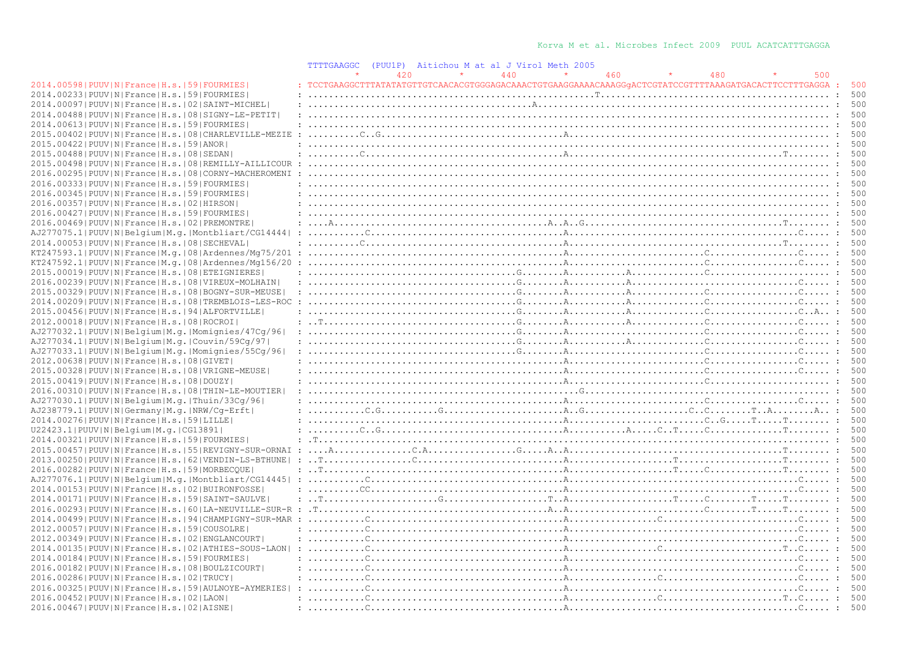|                                                                | TTTTGAAGGC |     | (PUU1P) Aitichou M at al J Virol Meth 2005)                                                                                                                                                                                                                                                                                                                                                                                                                                                                        |     |     |     |     |
|----------------------------------------------------------------|------------|-----|--------------------------------------------------------------------------------------------------------------------------------------------------------------------------------------------------------------------------------------------------------------------------------------------------------------------------------------------------------------------------------------------------------------------------------------------------------------------------------------------------------------------|-----|-----|-----|-----|
|                                                                |            | 420 | 440                                                                                                                                                                                                                                                                                                                                                                                                                                                                                                                | 460 | 480 | 500 |     |
| 2014.00598   PUUV   N   France   H.s.   59   FOURMIES          |            |     | : TCCTGAAGGCTTTATATATGTTGTCAACACGTGGGAGACAAACTGTGAAGGAAAACAAAGGGACTCGTATCCGTTTTAAAGATGACACTTCCTTTGAGGA :                                                                                                                                                                                                                                                                                                                                                                                                           |     |     |     | 500 |
| 2014.00233 PUUV N France H.s. 59 FOURMIES                      |            |     |                                                                                                                                                                                                                                                                                                                                                                                                                                                                                                                    |     |     |     | 500 |
| 2014.00097   PUUV   N   France   H.s.   02   SAINT-MICHEL      |            |     |                                                                                                                                                                                                                                                                                                                                                                                                                                                                                                                    |     |     |     | 500 |
| 2014.00488   PUUV   N   France   H.s.   08   SIGNY-LE-PETIT    |            |     |                                                                                                                                                                                                                                                                                                                                                                                                                                                                                                                    |     |     |     | 500 |
| 2014.00613 PUUV N France H.s. 59 FOURMIES                      |            |     |                                                                                                                                                                                                                                                                                                                                                                                                                                                                                                                    |     |     |     | 500 |
| 2015.00402   PUUV   N   France   H.s.   08   CHARLEVILLE-MEZIE |            |     |                                                                                                                                                                                                                                                                                                                                                                                                                                                                                                                    |     |     |     |     |
|                                                                |            |     |                                                                                                                                                                                                                                                                                                                                                                                                                                                                                                                    |     |     |     |     |
| 2015.00422 PUUV N France H.s. 59 ANOR                          |            |     |                                                                                                                                                                                                                                                                                                                                                                                                                                                                                                                    |     |     |     | 500 |
| 2015.00488 PUUV N France H.s. 08 SEDAN                         |            |     |                                                                                                                                                                                                                                                                                                                                                                                                                                                                                                                    |     |     |     | 500 |
| 2015.00498   PUUV   N   France   H.s.   08   REMILLY-AILLICOUR |            |     |                                                                                                                                                                                                                                                                                                                                                                                                                                                                                                                    |     |     |     | 500 |
| 2016.00295 PUUV N France H.s. 08 CORNY-MACHEROMENI             |            |     |                                                                                                                                                                                                                                                                                                                                                                                                                                                                                                                    |     |     |     | 500 |
| 2016.00333 PUUV N France H.s.  59 FOURMIES                     |            |     |                                                                                                                                                                                                                                                                                                                                                                                                                                                                                                                    |     |     |     | 500 |
| 2016.00345 PUUV N France H.s. 59 FOURMIES                      |            |     |                                                                                                                                                                                                                                                                                                                                                                                                                                                                                                                    |     |     |     |     |
| 2016.00357 PUUV N France H.s. 02 HIRSON                        |            |     |                                                                                                                                                                                                                                                                                                                                                                                                                                                                                                                    |     |     |     | 500 |
| 2016.00427   PUUV   N   France   H.s.   59   FOURMIES          |            |     |                                                                                                                                                                                                                                                                                                                                                                                                                                                                                                                    |     |     |     | 500 |
| 2016.00469 PUUV N France H.s. 02 PREMONTRE                     |            |     |                                                                                                                                                                                                                                                                                                                                                                                                                                                                                                                    |     |     |     | 500 |
| AJ277075.1 PUUV N Belgium M.g. Montbliart/CG14444              |            |     |                                                                                                                                                                                                                                                                                                                                                                                                                                                                                                                    |     |     |     | 500 |
| 2014.00053 PUUV N France H.s. 08 SECHEVAL                      |            |     |                                                                                                                                                                                                                                                                                                                                                                                                                                                                                                                    |     |     |     | 500 |
| $KT247593.1 PUUV N France M,q. 08 Ardennes/Mq75/201$           |            |     |                                                                                                                                                                                                                                                                                                                                                                                                                                                                                                                    |     |     |     | 500 |
|                                                                |            |     |                                                                                                                                                                                                                                                                                                                                                                                                                                                                                                                    |     |     |     | 500 |
| $KT247592.1$  PUUV N France M.q. 08 Ardennes/Mq156/20          |            |     |                                                                                                                                                                                                                                                                                                                                                                                                                                                                                                                    |     |     |     |     |
| 2015.00019   PUUV   N   France   H.s.   08   ETEIGNIERES       |            |     |                                                                                                                                                                                                                                                                                                                                                                                                                                                                                                                    |     |     |     | 500 |
| 2016.00239   PUUV   N   France   H.s.   08   VIREUX-MOLHAIN    |            |     |                                                                                                                                                                                                                                                                                                                                                                                                                                                                                                                    |     |     |     | 500 |
| 2015.00329   PUUV   N   France   H.s.   08   BOGNY-SUR-MEUSE   |            |     |                                                                                                                                                                                                                                                                                                                                                                                                                                                                                                                    |     |     |     | 500 |
| 2014.00209 PUUV N France H.s. 08 TREMBLOIS-LES-ROC             |            |     |                                                                                                                                                                                                                                                                                                                                                                                                                                                                                                                    |     |     |     | 500 |
| 2015.00456 PUUV N France H.s. 94 ALFORTVILLE                   |            |     |                                                                                                                                                                                                                                                                                                                                                                                                                                                                                                                    |     |     |     | 500 |
| 2012.00018 PUUV N France H.s. 08 ROCROI                        |            |     |                                                                                                                                                                                                                                                                                                                                                                                                                                                                                                                    |     |     |     | 500 |
| AJ277032.1 PUUV N Belgium M.g. Momignies/47Cg/96               |            |     |                                                                                                                                                                                                                                                                                                                                                                                                                                                                                                                    |     |     |     | 500 |
| AJ277034.1 PUUV N Belgium M.g. Couvin/59Cg/97                  |            |     | $: \ldots, \ldots, \ldots, \ldots, \ldots, \ldots, \ldots, \ldots, \mathbb{R}, \ldots, \ldots, \mathbb{R}, \ldots, \ldots, \mathbb{R}, \ldots, \ldots, \mathbb{C}, \ldots, \ldots, \mathbb{C}, \ldots, \mathbb{C}, \ldots, \mathbb{C}, \ldots, \mathbb{C}$                                                                                                                                                                                                                                                         |     |     |     | 500 |
| AJ277033.1 PUUV N Belgium M.g. Momignies/55Cg/96               |            |     |                                                                                                                                                                                                                                                                                                                                                                                                                                                                                                                    |     |     |     | 500 |
| 2012.00638 PUUV N France H.s. 08 GIVET                         |            |     |                                                                                                                                                                                                                                                                                                                                                                                                                                                                                                                    |     |     |     | 500 |
| 2015.00328   PUUV   N   France   H.s.   08   VRIGNE-MEUSE      |            |     |                                                                                                                                                                                                                                                                                                                                                                                                                                                                                                                    |     |     |     | 500 |
| 2015.00419 PUUV N France H.s. 08 DOUZY                         |            |     |                                                                                                                                                                                                                                                                                                                                                                                                                                                                                                                    |     |     |     | 500 |
| 2016.00310 PUUV N France H.s. 08 THIN-LE-MOUTIER               |            |     |                                                                                                                                                                                                                                                                                                                                                                                                                                                                                                                    |     |     |     | 500 |
| AJ277030.1 PUUV N Belgium M.g. Thuin/33Cg/96                   |            |     |                                                                                                                                                                                                                                                                                                                                                                                                                                                                                                                    |     |     |     | 500 |
| AJ238779.1 PUUV N Germany M.g. NRW/Cq-Erft                     |            |     |                                                                                                                                                                                                                                                                                                                                                                                                                                                                                                                    |     |     |     | 500 |
| 2014.00276 PUUV N France H.s. 59 LILLE                         |            |     |                                                                                                                                                                                                                                                                                                                                                                                                                                                                                                                    |     |     |     | 500 |
| U22423.1 PUUV N Belgium M.g. CG13891                           |            |     |                                                                                                                                                                                                                                                                                                                                                                                                                                                                                                                    |     |     |     | 500 |
| 2014.00321 PUUV N France H.s. 59 FOURMIES                      |            |     |                                                                                                                                                                                                                                                                                                                                                                                                                                                                                                                    |     |     |     | 500 |
|                                                                |            |     |                                                                                                                                                                                                                                                                                                                                                                                                                                                                                                                    |     |     |     | 500 |
| 2015.00457 PUUV N France H.s. 55 REVIGNY-SUR-ORNAI             |            |     |                                                                                                                                                                                                                                                                                                                                                                                                                                                                                                                    |     |     |     | 500 |
| 2013.00250   PUUV   N   France   H.s.   62   VENDIN-LS-BTHUNE  |            |     |                                                                                                                                                                                                                                                                                                                                                                                                                                                                                                                    |     |     |     |     |
| 2016.00282 PUUV N France H.s. 59 MORBECQUE                     |            |     |                                                                                                                                                                                                                                                                                                                                                                                                                                                                                                                    |     |     |     | 500 |
|                                                                |            |     |                                                                                                                                                                                                                                                                                                                                                                                                                                                                                                                    |     |     |     | 500 |
| 2014.00153 PUUV N France H.s. 02 BUIRONFOSSE                   |            |     | $: \ldots \ldots \ldots \text{CC}, \ldots \ldots \ldots \ldots \ldots \ldots \ldots \ldots \ldots \ldots \text{AC}, \ldots \text{AC}, \ldots \text{AC}, \ldots \text{AC}, \ldots \text{AC}, \ldots \text{AC}, \ldots \text{AC}, \ldots \text{AC}, \ldots \text{AC}, \ldots \text{AC}, \ldots \text{AC}, \ldots \text{AC}, \ldots \text{AC}, \ldots \text{AC}, \ldots \text{AC}, \ldots \text{AC}, \ldots \text{AC}, \ldots \text{AC}, \ldots \text{AC}, \ldots \text{AC}, \ldots \text{AC}, \ldots \text{AC}, \ld$ |     |     |     | 500 |
| 2014.00171 PUUV N France H.s. 59 SAINT-SAULVE                  |            |     |                                                                                                                                                                                                                                                                                                                                                                                                                                                                                                                    |     |     |     | 500 |
|                                                                |            |     |                                                                                                                                                                                                                                                                                                                                                                                                                                                                                                                    |     |     |     | 500 |
| 2014.00499 PUUV N France H.s. 94 CHAMPIGNY-SUR-MAR             |            |     | $: \ldots \ldots \ldots$                                                                                                                                                                                                                                                                                                                                                                                                                                                                                           |     |     |     | 500 |
| 2012.00057 PUUV N France H.s. 59 COUSOLRE                      |            |     |                                                                                                                                                                                                                                                                                                                                                                                                                                                                                                                    |     |     |     | 500 |
| 2012.00349   PUUV   N   France   H.s.   02   ENGLANCOURT       |            |     |                                                                                                                                                                                                                                                                                                                                                                                                                                                                                                                    |     |     |     | 500 |
| 2014.00135   PUUV   N   France   H.s.   02   ATHIES-SOUS-LAON  |            |     | $: \ldots \ldots \ldots$                                                                                                                                                                                                                                                                                                                                                                                                                                                                                           |     |     |     | 500 |
| 2014.00184 PUUV N France H.s. 59 FOURMIES                      |            |     |                                                                                                                                                                                                                                                                                                                                                                                                                                                                                                                    |     |     |     | 500 |
| 2016.00182 PUUV N France H.s. 08 BOULZICOURT                   |            |     | $: \ldots \ldots \ldots$                                                                                                                                                                                                                                                                                                                                                                                                                                                                                           |     |     |     | 500 |
| 2016.00286 PUUV N France H.s. 02 TRUCY                         |            |     | $: \ldots, \ldots, \mathbb{C}, \ldots, \ldots, \ldots, \ldots, \ldots, \mathbb{C}, \ldots, \mathbb{C}, \ldots, \ldots, \mathbb{C}, \ldots, \ldots, \mathbb{C}, \ldots, \mathbb{C}, \ldots, \mathbb{C}, \ldots, \mathbb{C}, \ldots, \mathbb{C}, \ldots, \mathbb{C}, \ldots, \mathbb{C}, \ldots, \mathbb{C}, \ldots, \mathbb{C}, \ldots, \mathbb{C}, \ldots, \mathbb{C}, \ldots, \mathbb{C}, \ldots, \mathbb{C}, \ldots, \mathbb{C}, \ldots, \mathbb{C}, \$                                                          |     |     |     | 500 |
| 2016.00325 PUUV N France H.s.  59 AULNOYE-AYMERIES             |            |     | $: \ldots, \ldots, \mathbb{C}, \ldots, \mathbb{C}, \ldots, \mathbb{C}, \ldots, \mathbb{C}, \ldots, \mathbb{C}, \ldots, \mathbb{C}, \ldots, \mathbb{C}, \ldots, \mathbb{C}, \ldots, \mathbb{C}, \ldots, \mathbb{C}, \ldots, \mathbb{C}, \ldots, \mathbb{C}, \ldots, \mathbb{C}, \ldots, \mathbb{C}, \ldots, \mathbb{C}, \ldots, \mathbb{C}, \ldots, \mathbb{C}, \ldots, \mathbb{C}, \ldots, \mathbb{C}, \ldots, \mathbb{C}, \ldots, \mathbb{C}, \ldots, \$                                                          |     |     |     | 500 |
| 2016.00452 PUUV N France H.s. 02 LAON                          |            |     |                                                                                                                                                                                                                                                                                                                                                                                                                                                                                                                    |     |     |     | 500 |
| 2016.00467   PUUV   N   France   H.s.   02   AISNE             |            |     | $: \ldots, \mathbb{C}, \ldots, \mathbb{C}, \ldots, \mathbb{C}$                                                                                                                                                                                                                                                                                                                                                                                                                                                     |     |     |     | 500 |
|                                                                |            |     |                                                                                                                                                                                                                                                                                                                                                                                                                                                                                                                    |     |     |     |     |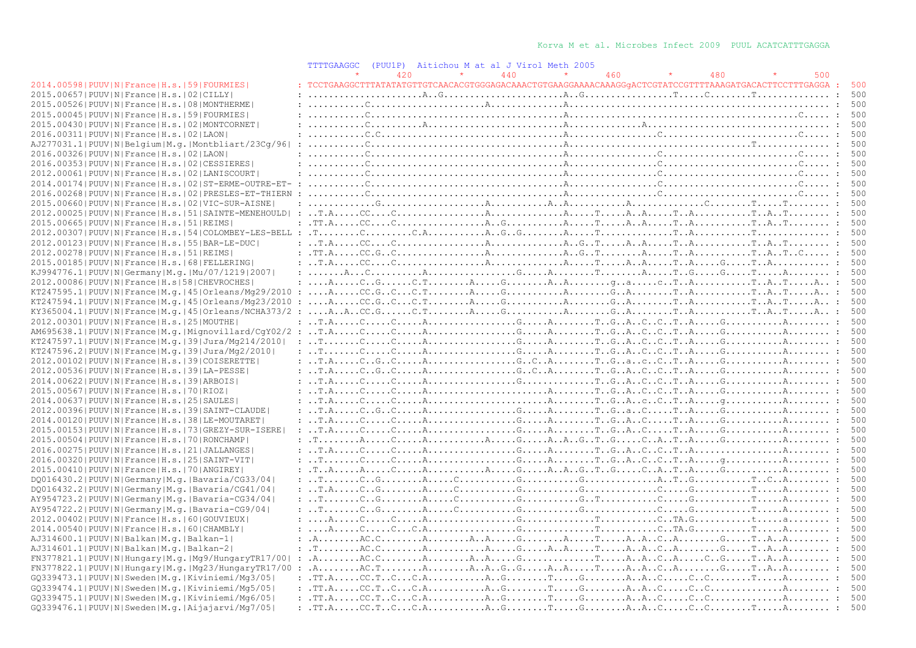|                                                                  | <b>TTTTGAAGGC</b> | (PUU1P) | Aitichou M at al J Virol Meth 2005                                                                                                                                                                                                                                                                                                                                                                                     |     |     |     |     |
|------------------------------------------------------------------|-------------------|---------|------------------------------------------------------------------------------------------------------------------------------------------------------------------------------------------------------------------------------------------------------------------------------------------------------------------------------------------------------------------------------------------------------------------------|-----|-----|-----|-----|
|                                                                  |                   | 420     | 440                                                                                                                                                                                                                                                                                                                                                                                                                    | 460 | 480 | 500 |     |
| 2014.00598   PUUV   N   France   H.s.   59   FOURMIES            |                   |         | : TCCTGAAGGCTTTATATATGTTGTCAACACGTGGGAGACAAACTGTGAAGGAAAACAAAGGGACTCGTATCCGTTTTAAAGATGACACTTCCTTTGAGGA :                                                                                                                                                                                                                                                                                                               |     |     |     | 500 |
| 2015.00657 PUUV N France H.s. 02 CILLY                           |                   |         |                                                                                                                                                                                                                                                                                                                                                                                                                        |     |     |     | 500 |
| 2015.00526 PUUV N France H.s. 08 MONTHERME                       |                   |         |                                                                                                                                                                                                                                                                                                                                                                                                                        |     |     |     | 500 |
| 2015.00045 PUUV N France H.s. 59 FOURMIES                        |                   |         | $: \ldots \ldots \ldots$                                                                                                                                                                                                                                                                                                                                                                                               |     |     |     | 500 |
| 2015.00430 PUUV N France H.s. 02 MONTCORNET                      |                   |         |                                                                                                                                                                                                                                                                                                                                                                                                                        |     |     |     | 500 |
| 2016.00311 PUUV N France H.s. 02 LAON                            |                   |         | $: \ldots \ldots \ldots \ldots$                                                                                                                                                                                                                                                                                                                                                                                        |     |     |     | 500 |
| AJ277031.1 PUUV N Belgium M.g. Montbliart/23Cq/96                |                   |         |                                                                                                                                                                                                                                                                                                                                                                                                                        |     |     |     | 500 |
| 2016.00326 PUUV N France H.s. 02 LAON                            |                   |         |                                                                                                                                                                                                                                                                                                                                                                                                                        |     |     |     | 500 |
| 2016.00353 PUUV N France H.s. 02 CESSIERES                       |                   |         |                                                                                                                                                                                                                                                                                                                                                                                                                        |     |     |     | 500 |
| 2012.00061 PUUV N France H.s. 02 LANISCOURT                      |                   |         |                                                                                                                                                                                                                                                                                                                                                                                                                        |     |     |     | 500 |
| 2014.00174   PUUV   N   France   H.s.   02   ST-ERME-OUTRE-ET- : |                   |         |                                                                                                                                                                                                                                                                                                                                                                                                                        |     |     |     | 500 |
| 2016.00268   PUUV   N   France   H.s.   02   PRESLES-ET-THIERN   |                   |         |                                                                                                                                                                                                                                                                                                                                                                                                                        |     |     |     | 500 |
| 2015.00660   PUUV   N   France   H.s.   02   VIC-SUR-AISNE       |                   |         |                                                                                                                                                                                                                                                                                                                                                                                                                        |     |     |     | 500 |
| 2012.00025 PUUV N France H.s. 51 SAINTE-MENEHOULD                |                   |         |                                                                                                                                                                                                                                                                                                                                                                                                                        |     |     |     | 500 |
|                                                                  |                   |         |                                                                                                                                                                                                                                                                                                                                                                                                                        |     |     |     |     |
| 2015.00665 PUUV N France H.s. 51 REIMS                           |                   |         |                                                                                                                                                                                                                                                                                                                                                                                                                        |     |     |     | 500 |
|                                                                  |                   |         |                                                                                                                                                                                                                                                                                                                                                                                                                        |     |     |     | 500 |
| 2012.00123  PUUV   N   France   H.s.   55   BAR-LE-DUC           |                   |         |                                                                                                                                                                                                                                                                                                                                                                                                                        |     |     |     | 500 |
| 2012.00278   PUUV   N   France   H.s.   51   REIMS               |                   |         |                                                                                                                                                                                                                                                                                                                                                                                                                        |     |     |     | 500 |
| 2015.00185 PUUV N France H.s. 68 FELLERING                       |                   |         |                                                                                                                                                                                                                                                                                                                                                                                                                        |     |     |     | 500 |
| KJ994776.1 PUUV N Germany M.g. Mu/07/1219 2007                   |                   |         |                                                                                                                                                                                                                                                                                                                                                                                                                        |     |     |     | 500 |
| 2012.00086 PUUV N France H.s 58 CHEVROCHES                       |                   |         |                                                                                                                                                                                                                                                                                                                                                                                                                        |     |     |     | 500 |
|                                                                  |                   |         |                                                                                                                                                                                                                                                                                                                                                                                                                        |     |     |     | 500 |
| KT247594.1 PUUV N France M.q. 45 Orleans/Mg23/2010               | $\cdot$           |         | $\dots, A, \dots, CC, G, C, \dots, C, T, \dots, A, \dots, G, \dots, A, \dots, G, A, \dots, G, A, \dots, T, A, \dots, T, A, T, \dots, A, \dots;$                                                                                                                                                                                                                                                                        |     |     |     | 500 |
| $KY365004.1 PUUV N France M.q. 45 Orleans/NCHA373/2$             |                   |         |                                                                                                                                                                                                                                                                                                                                                                                                                        |     |     |     | 500 |
| 2012.00301 PUUV N France H.s. 25 MOUTHE                          |                   |         |                                                                                                                                                                                                                                                                                                                                                                                                                        |     |     |     | 500 |
|                                                                  |                   |         |                                                                                                                                                                                                                                                                                                                                                                                                                        |     |     |     | 500 |
| KT247597.1 PUUV N France M.q. 39 Jura/Mq214/2010                 |                   |         |                                                                                                                                                                                                                                                                                                                                                                                                                        |     |     |     | 500 |
| KT247596.2 PUUV N France M.g. 39 Jura/Mg2/2010                   |                   |         |                                                                                                                                                                                                                                                                                                                                                                                                                        |     |     |     | 500 |
| 2012.00102 PUUV N France H.s. 39 COISERETTE                      |                   |         |                                                                                                                                                                                                                                                                                                                                                                                                                        |     |     |     | 500 |
| 2012.00536 PUUV N France H.s. 39 LA-PESSE                        |                   |         |                                                                                                                                                                                                                                                                                                                                                                                                                        |     |     |     | 500 |
| 2014.00622 PUUV N France H.s. 39 ARBOIS                          |                   |         |                                                                                                                                                                                                                                                                                                                                                                                                                        |     |     |     | 500 |
| 2015.00567 PUUV N France H.s. 70 RIOZ                            |                   |         |                                                                                                                                                                                                                                                                                                                                                                                                                        |     |     |     | 500 |
| 2014.00637 PUUV N France H.s. 25 SAULES                          |                   |         |                                                                                                                                                                                                                                                                                                                                                                                                                        |     |     |     | 500 |
| 2012.00396 PUUV N France H.s. 39 SAINT-CLAUDE                    |                   |         | $: \ldots, T.A. \ldots, C. \ldots, C. \ldots, A. \ldots, \ldots, G. \ldots, A. \ldots, T. \ldots, C. \ldots, T. \ldots, A. \ldots, G. \ldots, G. \ldots, A. \ldots, A. \ldots, A. \ldots, A. \ldots, A. \ldots, A. \ldots, A. \ldots, A. \ldots, A. \ldots, A. \ldots, A. \ldots, A. \ldots, A. \ldots, A. \ldots, A. \ldots, A. \ldots, A. \ldots, A. \ldots, A. \ldots, A. \ldots, A. \ldots, A. \ldots, A. \ldots,$ |     |     |     | 500 |
| 2014.00120   PUUV   N   France   H.s.   38   LE-MOUTARET         |                   |         |                                                                                                                                                                                                                                                                                                                                                                                                                        |     |     |     | 500 |
| 2015.00153 PUUV N France H.s. 73 GREZY-SUR-ISERE                 |                   |         |                                                                                                                                                                                                                                                                                                                                                                                                                        |     |     |     | 500 |
| 2015.00504   PUUV   N   France   H.s.   70   RONCHAMP            |                   |         |                                                                                                                                                                                                                                                                                                                                                                                                                        |     |     |     | 500 |
| 2016.00275 PUUV N France H.s. 21 JALLANGES                       |                   |         |                                                                                                                                                                                                                                                                                                                                                                                                                        |     |     |     | 500 |
| 2016.00320 PUUV N France H.s. 25 SAINT-VIT                       |                   |         |                                                                                                                                                                                                                                                                                                                                                                                                                        |     |     |     | 500 |
| 2015.00410 PUUV N France H.s. 70 ANGIREY                         |                   |         |                                                                                                                                                                                                                                                                                                                                                                                                                        |     |     |     | 500 |
|                                                                  |                   |         |                                                                                                                                                                                                                                                                                                                                                                                                                        |     |     |     | 500 |
| DQ016430.2   PUUV   N   Germany   M.g.   Bavaria/CG33/04         |                   |         |                                                                                                                                                                                                                                                                                                                                                                                                                        |     |     |     | 500 |
| DQ016432.2   PUUV   N   Germany   M.g.   Bavaria/CG41/04         |                   |         |                                                                                                                                                                                                                                                                                                                                                                                                                        |     |     |     |     |
| AY954723.2   PUUV   N   Germany   M.q.   Bavaria-CG34/04         |                   |         |                                                                                                                                                                                                                                                                                                                                                                                                                        |     |     |     | 500 |
| AY954722.2   PUUV   N   Germany   M. g.   Bavaria-CG9/04         |                   |         |                                                                                                                                                                                                                                                                                                                                                                                                                        |     |     |     | 500 |
| 2012.00402 PUUV N France H.s. 60 GOUVIEUX                        |                   |         |                                                                                                                                                                                                                                                                                                                                                                                                                        |     |     |     | 500 |
| 2014.00540 PUUV N France H.s. 60 CHAMBLY                         |                   |         |                                                                                                                                                                                                                                                                                                                                                                                                                        |     |     |     | 500 |
| AJ314600.1  PUUV   N   Balkan   M.g.   Balkan-1                  |                   |         | : $A_{1}, \ldots, A_{n}$ , $A_{n}, \ldots, A_{n}$ , $A_{n}, \ldots, A_{n}$ , $A_{n}, \ldots, A_{n}$ , $A_{n}, \ldots, A_{n}$ , $A_{n}, \ldots, A_{n}$ , $A_{n}, \ldots, A_{n}$ , $A_{n}, \ldots, A_{n}$                                                                                                                                                                                                                |     |     |     | 500 |
| AJ314601.1 PUUV N Balkan M.q. Balkan-2                           |                   |         | $: 1, 2, \ldots, A, C, C, \ldots, A, \ldots, A, \ldots, B, \ldots, B, \ldots, A, A, \ldots, A, A, C, A, \ldots, B, \ldots, B, \ldots, B, \ldots, A, \ldots, A, \ldots, A, \ldots, B, \ldots, B, \ldots, B, \ldots, B, \ldots, B, \ldots, B, \ldots, B, \ldots, B, \ldots, B, \ldots, B, \ldots, B, \ldots, B, \ldots, B, \ldots, B, \ldots, B, \ldots, B, \ldots, B, \ldots, B, \ldots, B, \ldots, B, \ldots$          |     |     |     | 500 |
| FN377821.1 PUUV N Hungary M.g. Mg9/HungaryTR17/00                |                   |         |                                                                                                                                                                                                                                                                                                                                                                                                                        |     |     |     | 500 |
| $FN377822.1 PUUV N Hungary M,q.  Mq23/HungaryTR17/00$            |                   |         | $A_1, \ldots, A_C, T, \ldots, A_1, \ldots, A_1, A_2, G_1, G_2, \ldots, A_2, A_3, \ldots, A_4, \ldots, A_1, G_2, A_3, \ldots, G_4, \ldots, T, A_1, A_2, \ldots, I_4, \ldots, I_5, \ldots, I_6, \ldots, I_7, \ldots, I_7, \ldots, I_8, \ldots, I_8, \ldots, I_9, \ldots, I_{10}$                                                                                                                                         |     |     |     | 500 |
| GQ339473.1 PUUV N Sweden M.g. Kiviniemi/Mq3/05                   |                   |         | : $TT.A. \ldots CC.T. C. \ldots C.A. \ldots \ldots A. G. \ldots T. \ldots G. \ldots G. \ldots A. A. C. \ldots C. \ldots C. \ldots T. \ldots A. \ldots \ldots$                                                                                                                                                                                                                                                          |     |     |     | 500 |
| GO339474.1 PUUV N Sweden M.g. Kiviniemi/Mg5/05                   |                   |         |                                                                                                                                                                                                                                                                                                                                                                                                                        |     |     |     | 500 |
| GQ339475.1 PUUV N Sweden M.g. Kiviniemi/Mg6/05                   |                   |         | $: .T.T.A. \ldots .C.C.T. .C \ldots .C.A. \ldots A. . G. \ldotsT \ldots . G. \ldots . A. . A. . C \ldots . C \ldots . C \ldots . A \ldots . A \ldots . A \ldots A \ldots$                                                                                                                                                                                                                                              |     |     |     | 500 |
| GQ339476.1 PUUV N Sweden M.g. Aijajarvi/Mg7/05                   |                   |         |                                                                                                                                                                                                                                                                                                                                                                                                                        |     |     |     | 500 |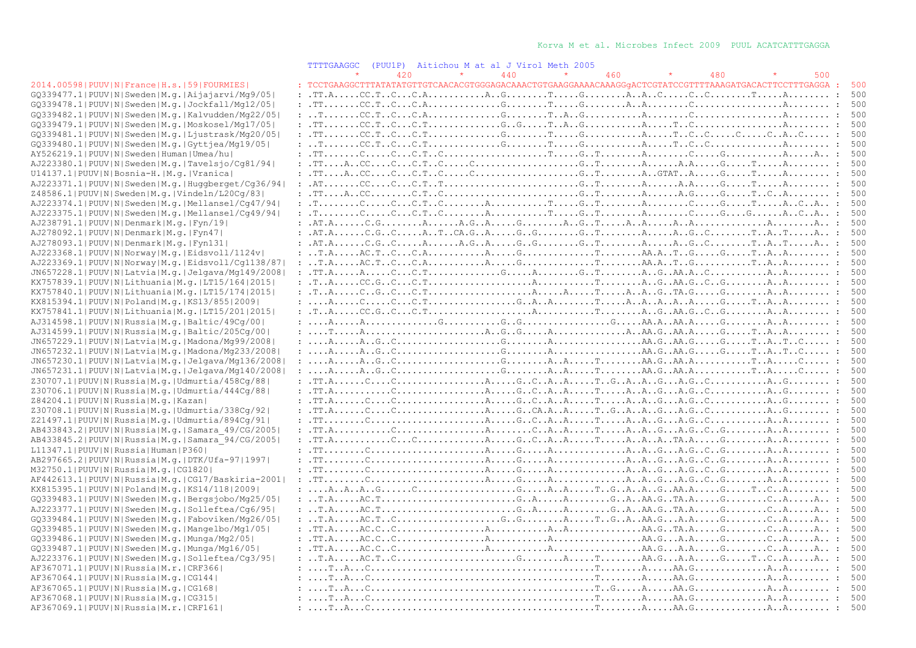### TTTTGAAGGC (PUU1P) Aitichou M at al J Virol Meth 2005

|                                                                                              | 111100000<br>$1 + 00 + 11$<br>Altruou nat<br>QT A ATTAT<br>THE CHILL AVVS<br>$\star$<br>$\star$                                                                                                                                                                                                                                                                                                                                     |
|----------------------------------------------------------------------------------------------|-------------------------------------------------------------------------------------------------------------------------------------------------------------------------------------------------------------------------------------------------------------------------------------------------------------------------------------------------------------------------------------------------------------------------------------|
|                                                                                              | 440<br>480<br>500<br>420<br>460<br>: TCCTGAAGGCTTTATATATGTTGTCAACACGTGGGAGACAAACTGTGAAGGAAAACAAAGGqACTCGTATCCGTTTTAAAGATGACACTTCCTTTGAGGA :                                                                                                                                                                                                                                                                                         |
| 2014.00598 PUUV N France H.s. 59 FOURMIES <br>GQ339477.1 PUUV N Sweden M.q. Aijajarvi/Mq9/05 | $: .\texttt{T.A.} \ldots .\texttt{C.C.} \texttt{T.}. \texttt{C.} \ldots .\texttt{A.} \ldots .\texttt{A.}. \texttt{C.} \ldots .\texttt{C.} \ldots .\texttt{C.} \ldots .\texttt{C.} \ldots .\texttt{C.} \ldots .\texttt{A.} \ldots .\texttt{A.} \ldots .\texttt{A.} \ldots .\texttt{A.} \ldots .\texttt{A.} \ldots .\texttt{A.} \ldots .\texttt{A.} \ldots .\texttt{A.} \ldots .\texttt{A.} \ldots .\texttt{A.} \ldots$               |
| GQ339478.1 PUUV N Sweden M.g. Jockfall/Mg12/05                                               |                                                                                                                                                                                                                                                                                                                                                                                                                                     |
|                                                                                              |                                                                                                                                                                                                                                                                                                                                                                                                                                     |
| GQ339482.1 PUUV N Sweden M.g. Kalvudden/Mg22/05                                              |                                                                                                                                                                                                                                                                                                                                                                                                                                     |
| GQ339479.1 PUUV N Sweden M.q. Moskosel/Mq17/05                                               |                                                                                                                                                                                                                                                                                                                                                                                                                                     |
| GQ339481.1 PUUV N Sweden M.g. Ljustrask/Mg20/05                                              |                                                                                                                                                                                                                                                                                                                                                                                                                                     |
| GQ339480.1 PUUV N Sweden M.g. Gyttjea/Mg19/05                                                |                                                                                                                                                                                                                                                                                                                                                                                                                                     |
| AY526219.1 PUUV N Sweden Human Umea/hu                                                       |                                                                                                                                                                                                                                                                                                                                                                                                                                     |
| AJ223380.1 PUUV N Sweden M.g. Tavelsjo/Cg81/94                                               |                                                                                                                                                                                                                                                                                                                                                                                                                                     |
| U14137.1 PUUV N Bosnia-H. M.g. Vranica                                                       |                                                                                                                                                                                                                                                                                                                                                                                                                                     |
| AJ223371.1 PUUV N Sweden M.g. Huggberget/Cg36/94                                             |                                                                                                                                                                                                                                                                                                                                                                                                                                     |
| Z48586.1 PUUV N Sweden M.g. Vindeln/L20Cg/83                                                 |                                                                                                                                                                                                                                                                                                                                                                                                                                     |
| AJ223374.1 PUUV N Sweden M.g. Mellansel/Cg47/94                                              |                                                                                                                                                                                                                                                                                                                                                                                                                                     |
| AJ223375.1 PUUV N Sweden M.g. Mellansel/Cg49/94                                              |                                                                                                                                                                                                                                                                                                                                                                                                                                     |
| AJ238791.1 PUUV N Denmark M.q. Fyn/19                                                        |                                                                                                                                                                                                                                                                                                                                                                                                                                     |
| AJ278092.1 PUUV N Denmark M.g. Fyn47                                                         | $: \ldots$ .AT.A $\dots$ C.GC. $\ldots$ .ATCA.GA. $\dots$ .GG. $\ldots$ G.T. $\ldots$ AGC $\ldots$ TATA $: \ldots$                                                                                                                                                                                                                                                                                                                  |
| AJ278093.1 PUUV N Denmark M.q. Fyn131                                                        |                                                                                                                                                                                                                                                                                                                                                                                                                                     |
| AJ223368.1 PUUV N Norway M.g. Eidsvoll/1124v                                                 |                                                                                                                                                                                                                                                                                                                                                                                                                                     |
| AJ223369.1 PUUV N Norway M.g. Eidsvoll/Cg1138/87                                             |                                                                                                                                                                                                                                                                                                                                                                                                                                     |
| JN657228.1 PUUV N Latvia M.g. Jelgava/Mg149/2008                                             | $: .T.T.A. \ldots A. \ldots .C. \ldots C.T. \ldots . \ldots .G. \ldots .A. \ldots .G. \ldots .G. \ldots .A. \ldots G. \ldots A. \ldots G. \ldots A. \ldots A. \ldots A. \ldots A. \ldots .$                                                                                                                                                                                                                                         |
| KX757839.1 PUUV N Lithuania M.q. LT15/164 2015                                               |                                                                                                                                                                                                                                                                                                                                                                                                                                     |
| KX757840.1 PUUV N Lithuania M.g. LT15/174 2015                                               |                                                                                                                                                                                                                                                                                                                                                                                                                                     |
| KX815394.1 PUUV N Poland M.q. KS13/855 2009                                                  | $: \ldots A, \ldots, C, \ldots, C, \ldots, C, T, \ldots, \ldots, C, \ldots, G, A, A, \ldots, T, \ldots, A, A, A, \ldots, A, A, \ldots, G, \ldots, T, A, A, \ldots, \ldots, T, A, \ldots, C, \ldots, C, \ldots, C, \ldots, C, \ldots, C, \ldots, C, \ldots, C, \ldots, C, \ldots, C, \ldots, C, \ldots, C, \ldots, C, \ldots, C, \ldots, C, \ldots, C, \ldots, T, \ldots, A, \ldots, A, \ldots, C, \ldots, C, \ld$                   |
| KX757841.1 PUUV N Lithuania M.g. LT15/201 2015                                               |                                                                                                                                                                                                                                                                                                                                                                                                                                     |
|                                                                                              |                                                                                                                                                                                                                                                                                                                                                                                                                                     |
| AJ314598.1 PUUV N Russia M.g. Baltic/49Cg/00                                                 |                                                                                                                                                                                                                                                                                                                                                                                                                                     |
| AJ314599.1 PUUV N Russia M.g. Baltic/205Cg/00                                                |                                                                                                                                                                                                                                                                                                                                                                                                                                     |
| JN657229.1 PUUV N Latvia M.g. Madona/Mg99/2008                                               |                                                                                                                                                                                                                                                                                                                                                                                                                                     |
| JN657232.1 PUUV N Latvia M.g. Madona/Mg233/2008                                              |                                                                                                                                                                                                                                                                                                                                                                                                                                     |
| JN657230.1 PUUV N Latvia M.g. Jelgava/Mg136/2008                                             |                                                                                                                                                                                                                                                                                                                                                                                                                                     |
| JN657231.1 PUUV N Latvia M.g. Jelgava/Mg140/2008                                             |                                                                                                                                                                                                                                                                                                                                                                                                                                     |
| Z30707.1 PUUV N Russia M.g. Udmurtia/458Cg/88                                                |                                                                                                                                                                                                                                                                                                                                                                                                                                     |
| Z30706.1 PUUV N Russia M.g. Udmurtia/444Cq/88                                                |                                                                                                                                                                                                                                                                                                                                                                                                                                     |
| Z84204.1 PUUV N Russia M.g. Kazan                                                            |                                                                                                                                                                                                                                                                                                                                                                                                                                     |
| Z30708.1 PUUV N Russia M.g. Udmurtia/338Cq/92                                                |                                                                                                                                                                                                                                                                                                                                                                                                                                     |
| Z21497.1 PUUV N Russia M.g. Udmurtia/894Cg/91                                                |                                                                                                                                                                                                                                                                                                                                                                                                                                     |
| AB433843.2 PUUV N Russia M.g. Samara 49/CG/2005                                              | $: .\texttt{T.A.} \dots .\texttt{C.} \dots .\texttt{C.} \dots .\texttt{A.} \dots .\texttt{C.} \dots .\texttt{A.} \dots .\texttt{A.} \dots .\texttt{A.} \dots .\texttt{A.} \dots .\texttt{C.} \dots .\texttt{A.} \dots .\texttt{A.} \dots .\texttt{A.} \dots .\texttt{A.} \dots .\texttt{A.} \dots .\texttt{A.} \dots .\texttt{A.} \dots .\texttt{A.} \dots .\texttt{A.} \dots .\texttt{A.} \dots .\texttt{A.} \dots .\texttt{A.} \$ |
| AB433845.2 PUUV N Russia M.g. Samara 94/CG/2005                                              | $: .\texttt{T.A.} \dots .\texttt{C.} \dots .\texttt{C.} \dots .\texttt{A.} \dots .\texttt{A.} \dots .\texttt{A.} \dots .\texttt{A.} \dots .\texttt{A.} \dots .\texttt{A.} \dots .\texttt{A.} \dots .\texttt{A.} \dots .\texttt{A.} \dots .\texttt{A.} \dots .\texttt{A.} \dots .\texttt{A.} \dots .\texttt{A.} \dots .\texttt{A.} \dots .\texttt{A.} \dots .\texttt{A.} \dots .\texttt{A.} \dots .\texttt{A.} \dots .\texttt{A.} \$ |
| L11347.1 PUUV N Russia Human P360                                                            |                                                                                                                                                                                                                                                                                                                                                                                                                                     |
| AB297665.2 PUUV N Russia M.g. DTK/Ufa-97 1997                                                | $: .\texttt{T}. \dots .\texttt{C} \dots .\dots .\dots .\dots .\dots .\texttt{A} \dots .\texttt{G} \dots .\texttt{A} \dots .\dots .\dots .\dots .\dots .\texttt{A} \dots .\texttt{B} \dots .\texttt{B} \dots .\texttt{B} \dots .\dots .\dots .\dots .\dots .\dots .\dots .$                                                                                                                                                          |
| M32750.1 PUUV N Russia M.g. CG1820                                                           |                                                                                                                                                                                                                                                                                                                                                                                                                                     |
| AF442613.1 PUUV N Russia M.g. CG17/Baskiria-2001                                             | : .TT.                                                                                                                                                                                                                                                                                                                                                                                                                              |
| KX815395.1 PUUV N Poland M.q. KS14/118 2009                                                  |                                                                                                                                                                                                                                                                                                                                                                                                                                     |
| GQ339483.1 PUUV N Sweden M.g. Bergsjobo/Mg25/05                                              |                                                                                                                                                                                                                                                                                                                                                                                                                                     |
| AJ223377.1 PUUV N Sweden M.g. Solleftea/Cq6/95                                               |                                                                                                                                                                                                                                                                                                                                                                                                                                     |
| GQ339484.1 PUUV N Sweden M.g. Faboviken/Mg26/05                                              |                                                                                                                                                                                                                                                                                                                                                                                                                                     |
|                                                                                              |                                                                                                                                                                                                                                                                                                                                                                                                                                     |
| GQ339485.1 PUUV N Sweden M.g. Mangelbo/Mg1/05                                                |                                                                                                                                                                                                                                                                                                                                                                                                                                     |
| GQ339486.1 PUUV N Sweden M.q. Munga/Mg2/05                                                   |                                                                                                                                                                                                                                                                                                                                                                                                                                     |
| GQ339487.1   PUUV   N   Sweden   M.g.   Munga/Mg16/05                                        |                                                                                                                                                                                                                                                                                                                                                                                                                                     |
| AJ223376.1 PUUV N Sweden M.g. Solleftea/Cg3/95                                               |                                                                                                                                                                                                                                                                                                                                                                                                                                     |
| AF367071.1 PUUV N Russia M.r. CRF366                                                         |                                                                                                                                                                                                                                                                                                                                                                                                                                     |
| AF367064.1 PUUV N Russia M.g. CG144                                                          |                                                                                                                                                                                                                                                                                                                                                                                                                                     |
| AF367065.1 PUUV N Russia M.q. CG168                                                          |                                                                                                                                                                                                                                                                                                                                                                                                                                     |
| AF367068.1 PUUV N Russia M.g. CG315                                                          |                                                                                                                                                                                                                                                                                                                                                                                                                                     |
| AF367069.1 PUUV N Russia M.r. CRF161                                                         |                                                                                                                                                                                                                                                                                                                                                                                                                                     |
|                                                                                              |                                                                                                                                                                                                                                                                                                                                                                                                                                     |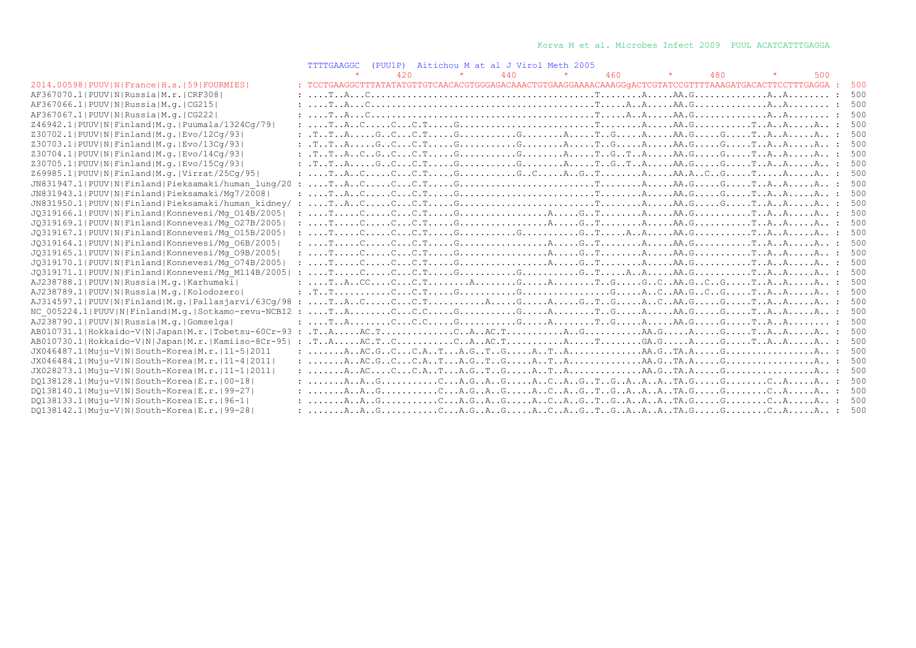|                                                         | <b>TTTTGAAGGC</b>                                                                                                                                                                                                                                                                                                                                                                                                                                                                                                 |     |         | (PUU1P) Aitichou M at al J Virol Meth 2005 |         |     |         |     |         |     |     |
|---------------------------------------------------------|-------------------------------------------------------------------------------------------------------------------------------------------------------------------------------------------------------------------------------------------------------------------------------------------------------------------------------------------------------------------------------------------------------------------------------------------------------------------------------------------------------------------|-----|---------|--------------------------------------------|---------|-----|---------|-----|---------|-----|-----|
|                                                         |                                                                                                                                                                                                                                                                                                                                                                                                                                                                                                                   | 420 | $\star$ | 440                                        | $\star$ | 460 | $\star$ | 480 | $\star$ | 500 |     |
| 2014.00598   PUUV   N   France   H.s.   59   FOURMIES   | : TCCTGAAGGCTTTATATATGTTGTCAACACGTGGGAGACAAACTGTGAAGGAAAACAAAGGqACTCGTATCCGTTTTAAAGATGACACTTCCTTTGAGGA :                                                                                                                                                                                                                                                                                                                                                                                                          |     |         |                                            |         |     |         |     |         |     | 500 |
| AF367070.1 PUUV N Russia M.r. CRF308                    |                                                                                                                                                                                                                                                                                                                                                                                                                                                                                                                   |     |         |                                            |         |     |         |     |         |     | 500 |
| AF367066.1 PUUV N Russia M.q. CG215                     |                                                                                                                                                                                                                                                                                                                                                                                                                                                                                                                   |     |         |                                            |         |     |         |     |         |     | 500 |
| AF367067.1  PUUV   N   Russia   M.q.   CG222            |                                                                                                                                                                                                                                                                                                                                                                                                                                                                                                                   |     |         |                                            |         |     |         |     |         |     | 500 |
| Z46942.1  PUUV   N   Finland   M.g.   Puumala/1324Cq/79 |                                                                                                                                                                                                                                                                                                                                                                                                                                                                                                                   |     |         |                                            |         |     |         |     |         |     | 500 |
| Z30702.1 PUUV N Finland M.g. Evo/12Cq/93                |                                                                                                                                                                                                                                                                                                                                                                                                                                                                                                                   |     |         |                                            |         |     |         |     |         |     | 500 |
| Z30703.1 PUUV N Finland M.g. Evo/13Cq/93                |                                                                                                                                                                                                                                                                                                                                                                                                                                                                                                                   |     |         |                                            |         |     |         |     |         |     | 500 |
| Z30704.1 PUUV N Finland M.g. Evo/14Cg/93                |                                                                                                                                                                                                                                                                                                                                                                                                                                                                                                                   |     |         |                                            |         |     |         |     |         |     | 500 |
| Z30705.1 PUUV N Finland M.g. Evo/15Cq/93                |                                                                                                                                                                                                                                                                                                                                                                                                                                                                                                                   |     |         |                                            |         |     |         |     |         |     | 500 |
| Z69985.1 PUUV N Finland M.g. Virrat/25Cq/95             |                                                                                                                                                                                                                                                                                                                                                                                                                                                                                                                   |     |         |                                            |         |     |         |     |         |     | 500 |
| JN831947.1 PUUV N Finland Pieksamaki/human lung/20      |                                                                                                                                                                                                                                                                                                                                                                                                                                                                                                                   |     |         |                                            |         |     |         |     |         |     | 500 |
| JN831943.1 PUUV N Finland Pieksamaki/Mq7/2008           | $: \ldots, \text{T. A. C.} \ldots, \text{C. } \ldots, \text{C. } \text{T. } \ldots, \text{G. } \ldots, \text{G. } \ldots, \text{G. } \ldots, \text{G. } \ldots, \text{G. } \ldots, \text{G. } \ldots, \text{G. } \ldots, \text{A. } \ldots, \text{A. } \ldots, \text{A. } \ldots, \text{A. } \ldots, \text{A. } \ldots, \text{A. } \ldots, \text{A. } \ldots, \text{A. } \ldots, \text{A. } \ldots, \text{A. } \ldots, \text{A. } \$                                                                              |     |         |                                            |         |     |         |     |         |     | 500 |
| JN831950.1 PUUV N Finland Pieksamaki/human kidney/      |                                                                                                                                                                                                                                                                                                                                                                                                                                                                                                                   |     |         |                                            |         |     |         |     |         |     | 500 |
| JQ319166.1 PUUV N Finland Konnevesi/Mg 014B/2005        |                                                                                                                                                                                                                                                                                                                                                                                                                                                                                                                   |     |         |                                            |         |     |         |     |         |     | 500 |
| JQ319169.1 PUUV N Finland Konnevesi/Mq 027B/2005        | : $T_1, \ldots, C_2, \ldots, C_n, \ldots, C_n, \ldots, C_n, \ldots, C_n, \ldots, C_n, \ldots, C_n, \ldots, C_n, \ldots, C_n, \ldots, C_n, \ldots, C_n, \ldots, C_n, \ldots, C_n, \ldots, C_n, \ldots, C_n, \ldots, C_n, \ldots, C_n, \ldots, C_n, \ldots, C_n, \ldots, C_n, \ldots, C_n, \ldots, C_n, \ldots, C_n, \ldots, C_n, \ldots, C_n, \ldots, C_n, \ldots, C_n, \ldots, C_n, \ldots, C_n, \ldots, C$                                                                                                       |     |         |                                            |         |     |         |     |         |     | 500 |
| JQ319167.1 PUUV N Finland Konnevesi/Mg 015B/2005        |                                                                                                                                                                                                                                                                                                                                                                                                                                                                                                                   |     |         |                                            |         |     |         |     |         |     | 500 |
| JQ319164.1 PUUV N Finland Konnevesi/Mq 06B/2005         |                                                                                                                                                                                                                                                                                                                                                                                                                                                                                                                   |     |         |                                            |         |     |         |     |         |     | 500 |
| JQ319165.1 PUUV N Finland Konnevesi/Mq 09B/2005         |                                                                                                                                                                                                                                                                                                                                                                                                                                                                                                                   |     |         |                                            |         |     |         |     |         |     | 500 |
| JQ319170.1  PUUV   N   Finland   Konnevesi/Mg 074B/2005 |                                                                                                                                                                                                                                                                                                                                                                                                                                                                                                                   |     |         |                                            |         |     |         |     |         |     | 500 |
| JQ319171.1 PUUV N Finland Konnevesi/Mq M114B/2005       |                                                                                                                                                                                                                                                                                                                                                                                                                                                                                                                   |     |         |                                            |         |     |         |     |         |     | 500 |
| AJ238788.1 PUUV N Russia M.q. Karhumaki                 |                                                                                                                                                                                                                                                                                                                                                                                                                                                                                                                   |     |         |                                            |         |     |         |     |         |     | 500 |
| AJ238789.1 PUUV N Russia M.g. Kolodozero                |                                                                                                                                                                                                                                                                                                                                                                                                                                                                                                                   |     |         |                                            |         |     |         |     |         |     | 500 |
| AJ314597.1 PUUV N Finland M.q. Pallasjarvi/63Cq/98 :    |                                                                                                                                                                                                                                                                                                                                                                                                                                                                                                                   |     |         |                                            |         |     |         |     |         |     | 500 |
| NC 005224.1 PUUV N Finland M.g. Sotkamo-revu-NCBI2 :    |                                                                                                                                                                                                                                                                                                                                                                                                                                                                                                                   |     |         |                                            |         |     |         |     |         |     | 500 |
| AJ238790.1 PUUV N Russia M.g. Gomselga                  |                                                                                                                                                                                                                                                                                                                                                                                                                                                                                                                   |     |         |                                            |         |     |         |     |         |     | 500 |
|                                                         |                                                                                                                                                                                                                                                                                                                                                                                                                                                                                                                   |     |         |                                            |         |     |         |     |         |     | 500 |
|                                                         |                                                                                                                                                                                                                                                                                                                                                                                                                                                                                                                   |     |         |                                            |         |     |         |     |         |     | 500 |
| JX046487.1 Muju-V N South-Korea M.r. 11-5 2011          |                                                                                                                                                                                                                                                                                                                                                                                                                                                                                                                   |     |         |                                            |         |     |         |     |         |     | 500 |
| JX046484.1 Muju-V N South-Korea M.r. 11-4 2011          | $: \ldots \ldots A \ldots AC \ldots C \ldots C \ldots C \ldots A \ldots T \ldots A \ldots C \ldots A \ldots T \ldots A \ldots C \ldots A \ldots A \ldots A \ldots C \ldots C \ldots A \ldots C \ldots A \ldots C \ldots A \ldots C \ldots A \ldots C \ldots A \ldots C \ldots A \ldots C \ldots A \ldots C \ldots A \ldots C \ldots A \ldots C \ldots A \ldots C \ldots A \ldots C \ldots A \ldots C \ldots A \ldots C \ldots A \ldots C \ldots C \ldots C \ldots A \ldots C \ldots C \ldots A \ldots C \ldots A$ |     |         |                                            |         |     |         |     |         |     | 500 |
| JX028273.1 Muju-V N South-Korea M.r. 11-1 2011          |                                                                                                                                                                                                                                                                                                                                                                                                                                                                                                                   |     |         |                                            |         |     |         |     |         |     | 500 |
| DQ138128.1 Muju-V N South-Korea E.r. 00-18              | $: \ldots \ldots A \ldots A \ldots G \ldots \ldots C \ldots A \ldots G \ldots A \ldots G \ldots A \ldots G \ldots T \ldots G \ldots A \ldots A \ldots T A \ldots G \ldots G \ldots G \ldots G \ldots A \ldots A \ldots A \ldots$                                                                                                                                                                                                                                                                                  |     |         |                                            |         |     |         |     |         |     | 500 |
| DQ138140.1 Muju-V N South-Korea E.r. 99-27              |                                                                                                                                                                                                                                                                                                                                                                                                                                                                                                                   |     |         |                                            |         |     |         |     |         |     | 500 |
| DQ138133.1 Muju-V N South-Korea E.r. 96-1               |                                                                                                                                                                                                                                                                                                                                                                                                                                                                                                                   |     |         |                                            |         |     |         |     |         |     | 500 |
| DQ138142.1 Muju-V N South-Korea E.r. 99-28              |                                                                                                                                                                                                                                                                                                                                                                                                                                                                                                                   |     |         |                                            |         |     |         |     |         |     | 500 |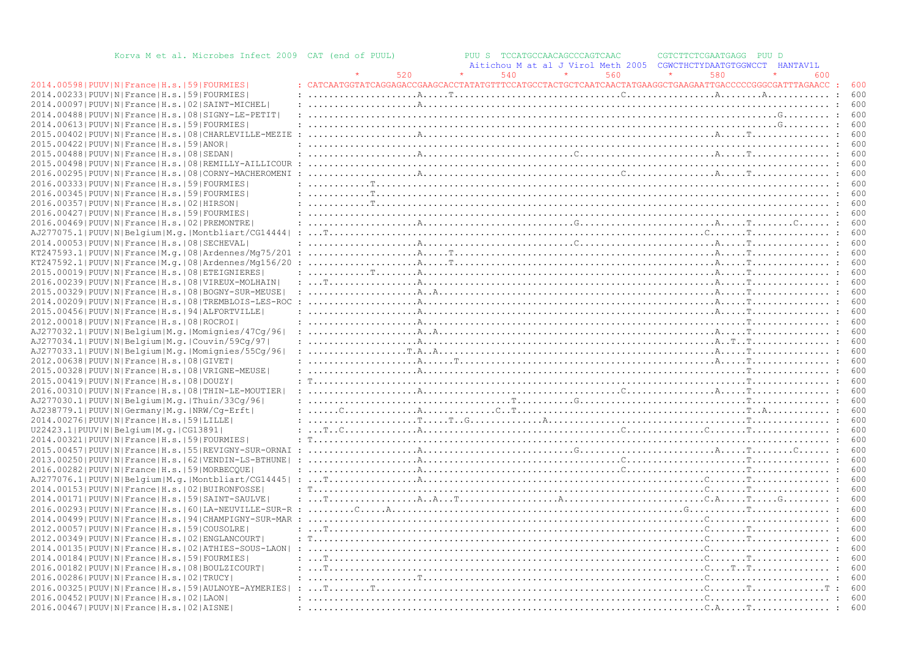| Korva M et al. Microbes Infect 2009 CAT (end of PUUL)          |     | PUU S TCCATGCCAACAGCCCAGTCAAC<br>CGTCTTCTCGAATGAGG PUU D<br>Aitichou M at al J Virol Meth 2005<br>CGWCTHCTYDAATGTGGWCCT HANTAV1L                                                                                                                                                                                                                                                                                                                                                                           |     |
|----------------------------------------------------------------|-----|------------------------------------------------------------------------------------------------------------------------------------------------------------------------------------------------------------------------------------------------------------------------------------------------------------------------------------------------------------------------------------------------------------------------------------------------------------------------------------------------------------|-----|
|                                                                | 520 | 540<br>560<br>580<br>600                                                                                                                                                                                                                                                                                                                                                                                                                                                                                   |     |
| 2014.00598   PUUV   N   France   H.s.   59   FOURMIES          |     |                                                                                                                                                                                                                                                                                                                                                                                                                                                                                                            | 600 |
| 2014.00233 PUUV N France H.s. 59 FOURMIES                      |     |                                                                                                                                                                                                                                                                                                                                                                                                                                                                                                            | 600 |
| 2014.00097 PUUV N France H.s. 02 SAINT-MICHEL                  |     |                                                                                                                                                                                                                                                                                                                                                                                                                                                                                                            | 600 |
| 2014.00488   PUUV   N   France   H.s.   08   SIGNY-LE-PETIT    |     |                                                                                                                                                                                                                                                                                                                                                                                                                                                                                                            |     |
| 2014.00613 PUUV N France H.s. 59 FOURMIES                      |     |                                                                                                                                                                                                                                                                                                                                                                                                                                                                                                            |     |
|                                                                |     |                                                                                                                                                                                                                                                                                                                                                                                                                                                                                                            | 600 |
| 2015.00402   PUUV   N   France   H.s.   08   CHARLEVILLE-MEZIE |     |                                                                                                                                                                                                                                                                                                                                                                                                                                                                                                            |     |
| 2015.00422   PUUV   N   France   H.s.   59   ANOR              |     |                                                                                                                                                                                                                                                                                                                                                                                                                                                                                                            | 600 |
| 2015.00488   PUUV   N   France   H.s.   08   SEDAN             |     |                                                                                                                                                                                                                                                                                                                                                                                                                                                                                                            | 600 |
| 2015.00498   PUUV   N   France   H.s.   08   REMILLY-AILLICOUR |     |                                                                                                                                                                                                                                                                                                                                                                                                                                                                                                            | 600 |
| 2016.00295 PUUV N France H.s. 08 CORNY-MACHEROMENI             |     | 600                                                                                                                                                                                                                                                                                                                                                                                                                                                                                                        |     |
| 2016.00333   PUUV   N   France   H.s.   59   FOURMIES          |     |                                                                                                                                                                                                                                                                                                                                                                                                                                                                                                            | 600 |
| 2016.00345 PUUV N France H.s. 59 FOURMIES                      |     |                                                                                                                                                                                                                                                                                                                                                                                                                                                                                                            | 600 |
| 2016.00357 PUUV N France H.s.   02   HIRSON                    |     |                                                                                                                                                                                                                                                                                                                                                                                                                                                                                                            | 600 |
| 2016.00427 PUUV N France H.s. 59 FOURMIES                      |     |                                                                                                                                                                                                                                                                                                                                                                                                                                                                                                            |     |
| 2016.00469 PUUV N France H.s. 02 PREMONTRE                     |     |                                                                                                                                                                                                                                                                                                                                                                                                                                                                                                            | 600 |
| AJ277075.1 PUUV N Belgium M.g. Montbliart/CG14444              |     |                                                                                                                                                                                                                                                                                                                                                                                                                                                                                                            | 600 |
| 2014.00053 PUUV N France H.s. 08 SECHEVAL                      |     | $: \ldots, \ldots, \ldots, \ldots, \mathbb{A}, \ldots, \ldots, \ldots, \ldots, \ldots, \mathbb{C}, \ldots, \ldots, \ldots, \ldots, \ldots, \mathbb{A}, \ldots, \mathbb{T}, \ldots, \ldots, \ldots, \mathbb{C}, \ldots, \mathbb{T}, \ldots, \mathbb{T}, \ldots, \mathbb{T}, \ldots, \mathbb{T}, \ldots, \mathbb{T}, \ldots, \mathbb{T}, \ldots, \mathbb{T}, \ldots, \mathbb{T}, \ldots, \mathbb{T}, \ldots, \mathbb{T}, \ldots, \mathbb{T}, \ldots, \mathbb{T}, \ldots, \mathbb{T}, \$                      | 600 |
| KT247593.1 PUUV N France M.g. 08 Ardennes/Mg75/201             |     |                                                                                                                                                                                                                                                                                                                                                                                                                                                                                                            | 600 |
| KT247592.1 PUUV N France M.q. 08 Ardennes/Mq156/20             |     |                                                                                                                                                                                                                                                                                                                                                                                                                                                                                                            | 600 |
| 2015.00019 PUUV N France H.s. 08 ETEIGNIERES                   |     |                                                                                                                                                                                                                                                                                                                                                                                                                                                                                                            | 600 |
| 2016.00239   PUUV   N   France   H.s.   08   VIREUX-MOLHAIN    |     |                                                                                                                                                                                                                                                                                                                                                                                                                                                                                                            | 600 |
| 2015.00329   PUUV   N   France   H.s.   08   BOGNY-SUR-MEUSE   |     |                                                                                                                                                                                                                                                                                                                                                                                                                                                                                                            | 600 |
| 2014.00209   PUUV   N   France   H.s.   08   TREMBLOIS-LES-ROC |     |                                                                                                                                                                                                                                                                                                                                                                                                                                                                                                            | 600 |
| 2015.00456 PUUV N France H.s. 94 ALFORTVILLE                   |     |                                                                                                                                                                                                                                                                                                                                                                                                                                                                                                            | 600 |
| 2012.00018   PUUV   N   France   H.s.   08   ROCROI            |     | 600                                                                                                                                                                                                                                                                                                                                                                                                                                                                                                        |     |
| AJ277032.1 PUUV N Belgium M.g. Momignies/47Cq/96               |     | $: \ldots, \ldots, \ldots, \ldots, \mathbb{A} \ldots, \mathbb{A} \ldots, \ldots, \mathbb{A} \ldots, \mathbb{A} \ldots, \mathbb{A} \ldots, \mathbb{A} \ldots, \mathbb{A} \ldots, \mathbb{A} \ldots, \mathbb{A} \ldots, \mathbb{A} \ldots, \mathbb{A} \ldots, \mathbb{A} \ldots, \mathbb{A} \ldots, \mathbb{A} \ldots, \mathbb{A} \ldots, \mathbb{A} \ldots, \mathbb{A} \ldots, \mathbb{A} \ldots, \mathbb{A} \ldots, \mathbb{A} \ldots$                                                                     | 600 |
| AJ277034.1 PUUV N Belgium M.g. Couvin/59Cg/97                  |     |                                                                                                                                                                                                                                                                                                                                                                                                                                                                                                            |     |
| AJ277033.1 PUUV N Belgium M.g. Momignies/55Cq/96               |     |                                                                                                                                                                                                                                                                                                                                                                                                                                                                                                            | 600 |
| 2012.00638 PUUV N France H.s. 08 GIVET                         |     |                                                                                                                                                                                                                                                                                                                                                                                                                                                                                                            | 600 |
| 2015.00328   PUUV   N   France   H.s.   08   VRIGNE-MEUSE      |     |                                                                                                                                                                                                                                                                                                                                                                                                                                                                                                            |     |
|                                                                |     |                                                                                                                                                                                                                                                                                                                                                                                                                                                                                                            | 600 |
| 2015.00419   PUUV   N   France   H.s.   08   DOUZY             |     |                                                                                                                                                                                                                                                                                                                                                                                                                                                                                                            |     |
| 2016.00310 PUUV N France H.s. 08 THIN-LE-MOUTIER               |     |                                                                                                                                                                                                                                                                                                                                                                                                                                                                                                            |     |
| AJ277030.1 PUUV N Belgium M.g. Thuin/33Cg/96                   |     | 600                                                                                                                                                                                                                                                                                                                                                                                                                                                                                                        |     |
| AJ238779.1 PUUV N Germany M.g. NRW/Cq-Erft                     |     |                                                                                                                                                                                                                                                                                                                                                                                                                                                                                                            | 600 |
| 2014.00276 PUUV N France H.s. 59 LILLE                         |     |                                                                                                                                                                                                                                                                                                                                                                                                                                                                                                            | 600 |
| U22423.1 PUUV N Belgium M.g. CG13891                           |     |                                                                                                                                                                                                                                                                                                                                                                                                                                                                                                            | 600 |
| 2014.00321 PUUV N France H.s. 59 FOURMIES                      |     |                                                                                                                                                                                                                                                                                                                                                                                                                                                                                                            | 600 |
| 2015.00457 PUUV N France H.s. 55 REVIGNY-SUR-ORNAI             |     |                                                                                                                                                                                                                                                                                                                                                                                                                                                                                                            |     |
| 2013.00250   PUUV   N   France   H.s.   62   VENDIN-LS-BTHUNE  |     | $: \ldots, \ldots, \ldots, \ldots, \mathbb{A}, \ldots, \ldots, \ldots, \ldots, \ldots, \ldots, \ldots, \mathbb{C}, \ldots, \ldots, \ldots, \ldots, \ldots, \mathbb{T}, \ldots, \ldots, \ldots, \mathbb{T}, \ldots, \ldots, \mathbb{T}, \ldots, \mathbb{T}, \ldots, \mathbb{T}, \ldots, \mathbb{T}, \ldots, \mathbb{T}, \ldots, \mathbb{T}, \ldots, \mathbb{T}, \ldots, \mathbb{T}, \ldots, \mathbb{T}, \ldots, \mathbb{T}, \ldots, \mathbb{T}, \ldots, \mathbb{T}, \ldots, \mathbb{T},$                    | 600 |
| 2016.00282   PUUV   N   France   H.s.   59   MORBECQUE         |     |                                                                                                                                                                                                                                                                                                                                                                                                                                                                                                            |     |
| AJ277076.1 PUUV N Belgium M.g. Montbliart/CG14445              |     |                                                                                                                                                                                                                                                                                                                                                                                                                                                                                                            | 600 |
| 2014.00153 PUUV N France H.s. 02 BUIRONFOSSE                   |     |                                                                                                                                                                                                                                                                                                                                                                                                                                                                                                            | 600 |
| 2014.00171 PUUV N France H.s. 59 SAINT-SAULVE                  |     |                                                                                                                                                                                                                                                                                                                                                                                                                                                                                                            |     |
| 2016.00293 PUUV N France H.s. 60 LA-NEUVILLE-SUR-R             |     |                                                                                                                                                                                                                                                                                                                                                                                                                                                                                                            | 600 |
| 2014.00499   PUUV   N   France   H.s.   94   CHAMPIGNY-SUR-MAR |     |                                                                                                                                                                                                                                                                                                                                                                                                                                                                                                            | 600 |
| 2012.00057 PUUV N France H.s. 59 COUSOLRE                      |     |                                                                                                                                                                                                                                                                                                                                                                                                                                                                                                            | 600 |
| 2012.00349   PUUV   N   France   H.s.   02   ENGLANCOURT       |     |                                                                                                                                                                                                                                                                                                                                                                                                                                                                                                            | 600 |
| 2014.00135 PUUV N France H.s.   02 ATHIES-SOUS-LAON            |     |                                                                                                                                                                                                                                                                                                                                                                                                                                                                                                            | 600 |
| 2014.00184   PUUV   N   France   H.s.   59   FOURMIES          |     |                                                                                                                                                                                                                                                                                                                                                                                                                                                                                                            | 600 |
| 2016.00182   PUUV   N   France   H.s.   08   BOULZICOURT       |     | $: \ldots$ , $\mathbb{T} \ldots \mathbb{T} \ldots \mathbb{T} \ldots \mathbb{T} \ldots \mathbb{T} \ldots \mathbb{T} \ldots \mathbb{T} \ldots \mathbb{T} \ldots \mathbb{T} \ldots \mathbb{T} \ldots \mathbb{T} \ldots \mathbb{T} \ldots \mathbb{T} \ldots \mathbb{T} \ldots \mathbb{T} \ldots \mathbb{T} \ldots \mathbb{T} \ldots \mathbb{T} \ldots \mathbb{T} \ldots \mathbb{T} \ldots \mathbb{T} \ldots \mathbb{T} \ldots \mathbb{T} \ldots \mathbb{T} \ldots \mathbb{T} \ldots \mathbb{T} \ldots \mathbb$ | 600 |
| 2016.00286   PUUV   N   France   H.s.   02   TRUCY             |     |                                                                                                                                                                                                                                                                                                                                                                                                                                                                                                            | 600 |
| 2016.00325 PUUV N France H.s. 59 AULNOYE-AYMERIES              |     |                                                                                                                                                                                                                                                                                                                                                                                                                                                                                                            | 600 |
| 2016.00452 PUUV N France H.s. 02 LAON                          |     |                                                                                                                                                                                                                                                                                                                                                                                                                                                                                                            | 600 |
| 2016.00467   PUUV   N   France   H.s.   02   AISNE             |     |                                                                                                                                                                                                                                                                                                                                                                                                                                                                                                            | 600 |
|                                                                |     |                                                                                                                                                                                                                                                                                                                                                                                                                                                                                                            |     |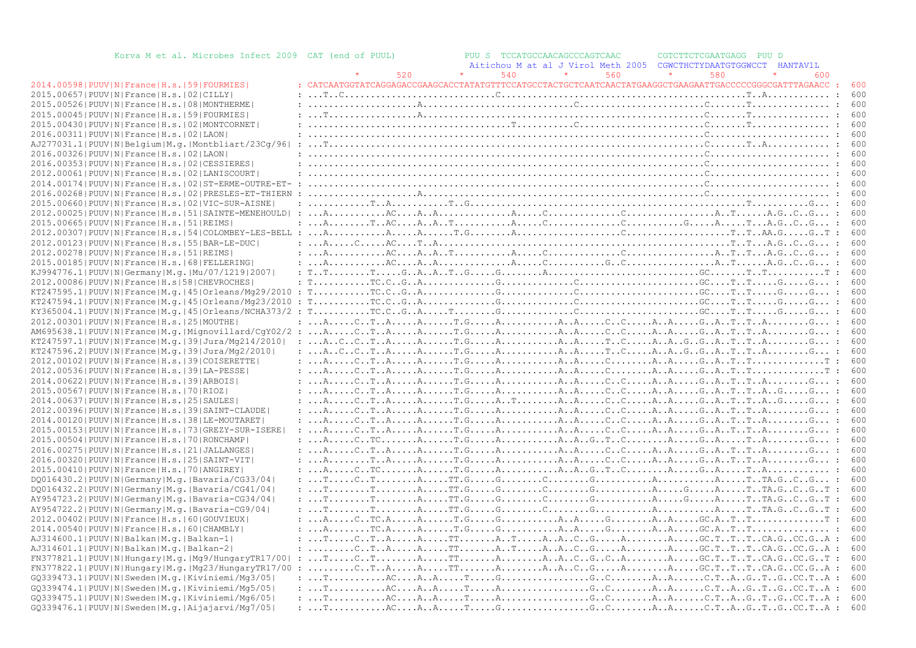| Korva M et al. Microbes Infect 2009 CAT (end of PUUL)          |     | PUU S TCCATGCCAACAGCCCAGTCAAC                                                                                                                                                                                                                                                                                                                                                                                                                                  | CGTCTTCTCGAATGAGG<br>PUU D     |                      |
|----------------------------------------------------------------|-----|----------------------------------------------------------------------------------------------------------------------------------------------------------------------------------------------------------------------------------------------------------------------------------------------------------------------------------------------------------------------------------------------------------------------------------------------------------------|--------------------------------|----------------------|
|                                                                |     | Aitichou M at al J Virol Meth 2005                                                                                                                                                                                                                                                                                                                                                                                                                             | CGWCTHCTYDAATGTGGWCCT HANTAV1L |                      |
|                                                                | 520 | 540<br>560                                                                                                                                                                                                                                                                                                                                                                                                                                                     | 580<br>600                     |                      |
| 2014.00598   PUUV   N   France   H.s.   59   FOURMIES          |     |                                                                                                                                                                                                                                                                                                                                                                                                                                                                |                                |                      |
| 2015.00657 PUUV N France H.s. 02 CILLY                         |     |                                                                                                                                                                                                                                                                                                                                                                                                                                                                |                                | 600                  |
| 2015.00526 PUUV N France H.s. 08 MONTHERME                     |     | $: \ldots, \ldots, \ldots, \ldots, \mathbb{A}, \ldots, \ldots, \ldots, \ldots, \ldots, \ldots, \mathbb{C}, \ldots, \ldots, \ldots, \ldots, \ldots, \mathbb{C}, \ldots, \ldots, \mathbb{T}, \ldots, \ldots, \ldots, \mathbb{C}, \ldots, \mathbb{C}, \ldots, \mathbb{C}, \ldots, \mathbb{C}, \ldots, \mathbb{C}, \ldots, \mathbb{C}, \ldots, \mathbb{C}, \ldots, \mathbb{C}, \ldots, \mathbb{C}, \ldots, \mathbb{C}, \ldots, \mathbb{C}, \ldots, \mathbb{C},$    |                                | 600                  |
|                                                                |     |                                                                                                                                                                                                                                                                                                                                                                                                                                                                |                                |                      |
| 2015.00045 PUUV N France H.s. 59 FOURMIES                      |     |                                                                                                                                                                                                                                                                                                                                                                                                                                                                |                                | 600                  |
| 2015.00430 PUUV N France H.s. 02 MONTCORNET                    |     |                                                                                                                                                                                                                                                                                                                                                                                                                                                                |                                | 600                  |
| 2016.00311 PUUV N France H.s. 02 LAON                          |     |                                                                                                                                                                                                                                                                                                                                                                                                                                                                |                                |                      |
| AJ277031.1 PUUV N Belgium M.g. Montbliart/23Cq/96              |     |                                                                                                                                                                                                                                                                                                                                                                                                                                                                |                                | 600                  |
| 2016.00326 PUUV N France H.s. 02 LAON                          |     |                                                                                                                                                                                                                                                                                                                                                                                                                                                                |                                | 600                  |
| 2016.00353 PUUV N France H.s. 02 CESSIERES                     |     |                                                                                                                                                                                                                                                                                                                                                                                                                                                                |                                |                      |
| 2012.00061 PUUV N France H.s. 02 LANISCOURT                    |     |                                                                                                                                                                                                                                                                                                                                                                                                                                                                |                                | 600                  |
| 2014.00174   PUUV   N   France   H.s.   02   ST-ERME-OUTRE-ET- |     |                                                                                                                                                                                                                                                                                                                                                                                                                                                                |                                |                      |
| 2016.00268   PUUV   N   France   H.s.   02   PRESLES-ET-THIERN |     |                                                                                                                                                                                                                                                                                                                                                                                                                                                                |                                | 600                  |
| 2015.00660 PUUV N France H.s. 02 VIC-SUR-AISNE                 |     |                                                                                                                                                                                                                                                                                                                                                                                                                                                                |                                | 600                  |
| 2012.00025 PUUV N France H.s. 51 SAINTE-MENEHOULD              |     |                                                                                                                                                                                                                                                                                                                                                                                                                                                                |                                |                      |
| 2015.00665  PUUV   N   France   H.s.   51   REIMS              |     |                                                                                                                                                                                                                                                                                                                                                                                                                                                                |                                | 600                  |
|                                                                |     |                                                                                                                                                                                                                                                                                                                                                                                                                                                                |                                | $\cdot$ .<br>600     |
| 2012.00123  PUUV   N   France   H.s.   55   BAR-LE-DUC         |     |                                                                                                                                                                                                                                                                                                                                                                                                                                                                |                                | 600                  |
| 2012.00278   PUUV   N   France   H.s.   51   REIMS             |     |                                                                                                                                                                                                                                                                                                                                                                                                                                                                |                                | 600                  |
|                                                                |     |                                                                                                                                                                                                                                                                                                                                                                                                                                                                |                                |                      |
| 2015.00185 PUUV N France H.s. 68 FELLERING                     |     |                                                                                                                                                                                                                                                                                                                                                                                                                                                                |                                | 600                  |
| KJ994776.1  PUUV   N   Germany   M. q.   Mu / 07 / 1219   2007 |     |                                                                                                                                                                                                                                                                                                                                                                                                                                                                |                                | 600                  |
| 2012.00086 PUUV N France H.s 58 CHEVROCHES                     |     |                                                                                                                                                                                                                                                                                                                                                                                                                                                                |                                | 600                  |
|                                                                |     |                                                                                                                                                                                                                                                                                                                                                                                                                                                                |                                | 600                  |
| KT247594.1 PUUV N France M.g. 45 Orleans/Mg23/2010             |     | : $T_1, \ldots, T_r, T_r, G_1, G_2, \ldots, G_r, \ldots, G_r, \ldots, G_r, \ldots, G_r, \ldots, G_r, \ldots, G_r, \ldots, G_r, \ldots, G_r, \ldots, G_r, \ldots, G_r, \ldots, G_r, \ldots, G_r, \ldots, G_r, \ldots, G_r, \ldots, G_r, \ldots, G_r, \ldots, G_r, \ldots, G_r, \ldots, G_r, \ldots, G_r, \ldots, G_r, \ldots, G_r, \ldots, G_r, \ldots, G_r, \ldots, G_r, \ldots, G_r, \ldots, G_r, \ldots, G_r,$                                               |                                | 600                  |
|                                                                |     |                                                                                                                                                                                                                                                                                                                                                                                                                                                                |                                | 600                  |
| 2012.00301  PUUV   N   France   H.s.   25   MOUTHE             |     | $: \ldots A, \ldots, C, T, A, \ldots, A, \ldots, T, G, \ldots, A, \ldots, A, \ldots, G, C, \ldots, A, A, \ldots, G, A, \ldots, T, T, A, \ldots, G, \ldots;$                                                                                                                                                                                                                                                                                                    |                                |                      |
|                                                                |     |                                                                                                                                                                                                                                                                                                                                                                                                                                                                |                                | 600                  |
| KT247597.1 PUUV N France M.q. 39 Jura/Mq214/2010               |     |                                                                                                                                                                                                                                                                                                                                                                                                                                                                |                                |                      |
| KT247596.2 PUUV N France M.q. 39 Jura/Mq2/2010                 |     | : $A_1, C_1, C_2, T_1, A_2, \ldots, A_n, \ldots, T, G_2, \ldots, A_n, \ldots, T, A_n, \ldots, T, G_3, \ldots, T, A_n, \ldots, T, A_n, \ldots, T, \ldots, T, \ldots, G_3, \ldots;$                                                                                                                                                                                                                                                                              |                                |                      |
| 2012.00102   PUUV   N   France   H.s.   39   COISERETTE        |     | $: \ldots A, \ldots, C, T, A, \ldots, A, \ldots, T, G, \ldots, A, \ldots, A, A, \ldots, C, \ldots, A, A, \ldots, G, A, T, T, \ldots, \ldots, C, T, T, \ldots, \ldots, T$ : 600                                                                                                                                                                                                                                                                                 |                                |                      |
| 2012.00536  PUUV  N   France   H.s.   39   LA-PESSE            |     | $: \ldots A, \ldots, C, T, A, \ldots, A, \ldots, T, G, \ldots, A, \ldots, A, A, \ldots, C, \ldots, A, A, \ldots, G, A, T, T, \ldots, \ldots, C, T, T, \ldots, \ldots, T$ : 600                                                                                                                                                                                                                                                                                 |                                |                      |
| 2014.00622 PUUV N France H.s. 39 ARBOIS                        |     |                                                                                                                                                                                                                                                                                                                                                                                                                                                                |                                | 600                  |
| 2015.00567 PUUV N France H.s. 70 RIOZ                          |     |                                                                                                                                                                                                                                                                                                                                                                                                                                                                |                                | 600                  |
| 2014.00637 PUUV N France H.s. 25 SAULES                        |     |                                                                                                                                                                                                                                                                                                                                                                                                                                                                |                                | 600                  |
|                                                                |     |                                                                                                                                                                                                                                                                                                                                                                                                                                                                |                                |                      |
| 2012.00396   PUUV   N   France   H.s.   39   SAINT-CLAUDE      |     |                                                                                                                                                                                                                                                                                                                                                                                                                                                                |                                |                      |
| 2014.00120   PUUV   N   France   H.s.   38   LE-MOUTARET       |     | $\ldots$ , , $\ldots$ , $\ldots$ , $\ldots$ , $\ldots$ , $\ldots$ , $\ldots$ , $\ldots$ , $\ldots$ , $\ldots$ , $\ldots$ , $\ldots$ , $\ldots$ , $\ldots$ , $\ldots$ , $\ldots$ , $\ldots$ , $\ldots$ , $\ldots$ , $\ldots$ , $\ldots$ , $\ldots$ , $\ldots$ , $\ldots$ , $\ldots$ , $\ldots$ , $\ldots$ , $\ldots$ , $\ldots$ , $\ldots$ , $\ldots$ ,                                                                                                         |                                | 600                  |
| 2015.00153 PUUV N France H.s. 73 GREZY-SUR-ISERE               |     | $: \ldots A, \ldots C, T, A, \ldots A, \ldots T, G, \ldots A, \ldots A, \ldots A, A, \ldots C, C, \ldots A, A, \ldots G, A, T, T, T, A, \ldots C, \ldots G, \ldots I$                                                                                                                                                                                                                                                                                          |                                | 600                  |
| 2015.00504   PUUV   N   France   H.s.   70   RONCHAMP          |     | : $A$ $CTCAT.GAAAAAGTCAGATATAG$                                                                                                                                                                                                                                                                                                                                                                                                                                |                                | 600                  |
| 2016.00275   PUUV   N   France   H.s.   21   JALLANGES         |     | : $A$ $CTAAT. GAAAACCAAGATTAG$                                                                                                                                                                                                                                                                                                                                                                                                                                 |                                | 600                  |
| 2016.00320 PUUV N France H.s. 25 SAINT-VIT                     |     |                                                                                                                                                                                                                                                                                                                                                                                                                                                                |                                | 600                  |
| 2015.00410 PUUV N France H.s. 70 ANGIREY                       |     |                                                                                                                                                                                                                                                                                                                                                                                                                                                                |                                | 600                  |
| DO016430.2   PUUV   N   Germany   M. g.   Bavaria/CG33/04      |     |                                                                                                                                                                                                                                                                                                                                                                                                                                                                |                                | 600                  |
| DQ016432.2   PUUV   N   Germany   M.g.   Bavaria/CG41/04       |     |                                                                                                                                                                                                                                                                                                                                                                                                                                                                |                                | 600<br>$\mathcal{L}$ |
| AY954723.2   PUUV   N   Germany   M. g.   Bavaria-CG34/04      |     |                                                                                                                                                                                                                                                                                                                                                                                                                                                                |                                | 600                  |
| AY954722.2   PUUV   N   Germany   M. g.   Bavaria-CG9/04       |     |                                                                                                                                                                                                                                                                                                                                                                                                                                                                |                                | : 600                |
| 2012.00402   PUUV   N   France   H.s.   60   GOUVIEUX          |     | $: \ldots A, \ldots C, T C, A, \ldots A, \ldots T, G, \ldots G, \ldots G, \ldots A, A, \ldots G, \ldots A, A, \ldots G, A, \ldots G, A, \ldots T, \ldots \ldots \ldots \ldots T$                                                                                                                                                                                                                                                                               |                                | 600<br>$\cdot$ :     |
| 2014.00540 PUUV N France H.s. 60 CHAMBLY                       |     |                                                                                                                                                                                                                                                                                                                                                                                                                                                                |                                | 600                  |
| AJ314600.1 PUUV N Balkan M.q. Balkan-1                         |     | $: \ldots$ T $\ldots$ . C $\ldots$ T $\ldots$ A $\ldots$ . A $\ldots$ T $\ldots$ $\ldots$ A $\ldots$ T $\ldots$ . A $\ldots$ A $\ldots$ C $\ldots$ A $\ldots$ . A $\ldots$ . GC $\ldots$ T $\ldots$ T $\ldots$ C $\ldots$ G $\ldots$ G $\ldots$ C $\ldots$ G $\ldots$ C $\ldots$ G $\ldots$ C $\ldots$ A $\ldots$                                                                                                                                              |                                | 600                  |
| AJ314601.1 PUUV N Balkan M.g. Balkan-2                         |     |                                                                                                                                                                                                                                                                                                                                                                                                                                                                |                                | 600                  |
| FN377821.1  PUUV   N   Hungary   M.g.   Mg9/HungaryTR17/00     |     | $: \ldots$ $\mathbb{T} \ldots \ldots \mathbb{C} \ldots \mathbb{T} \ldots \ldots \mathbb{A} \ldots \ldots \mathbb{C} \ldots \mathbb{A} \ldots \mathbb{A} \ldots \mathbb{A} \ldots \mathbb{C} \ldots \mathbb{A} \ldots \mathbb{C} \ldots \mathbb{A} \ldots \ldots \mathbb{C} \ldots \mathbb{C} \ldots \mathbb{C} \ldots \mathbb{C} \ldots \mathbb{C} \ldots \mathbb{C} \ldots \mathbb{C} \ldots \mathbb{C} \ldots \mathbb{C} \ldots \mathbb{C} \ldots \mathbb{C$ |                                | 600                  |
| FN377822.1  PUUV   N   Hungary   M.g.   Mg23/ Hungary TR17/00  |     |                                                                                                                                                                                                                                                                                                                                                                                                                                                                |                                | 600                  |
|                                                                |     |                                                                                                                                                                                                                                                                                                                                                                                                                                                                |                                |                      |
| GO339473.1 PUUV N Sweden M.g. Kiviniemi/Mg3/05                 |     |                                                                                                                                                                                                                                                                                                                                                                                                                                                                |                                | 600                  |
| GQ339474.1 PUUV N Sweden M.g. Kiviniemi/Mg5/05                 |     |                                                                                                                                                                                                                                                                                                                                                                                                                                                                |                                | 600                  |
| GQ339475.1 PUUV N Sweden M.g. Kiviniemi/Mq6/05                 |     |                                                                                                                                                                                                                                                                                                                                                                                                                                                                |                                | 600                  |
| GO339476.1 PUUV N Sweden M.g. Aijajarvi/Mg7/05                 |     |                                                                                                                                                                                                                                                                                                                                                                                                                                                                |                                | 600                  |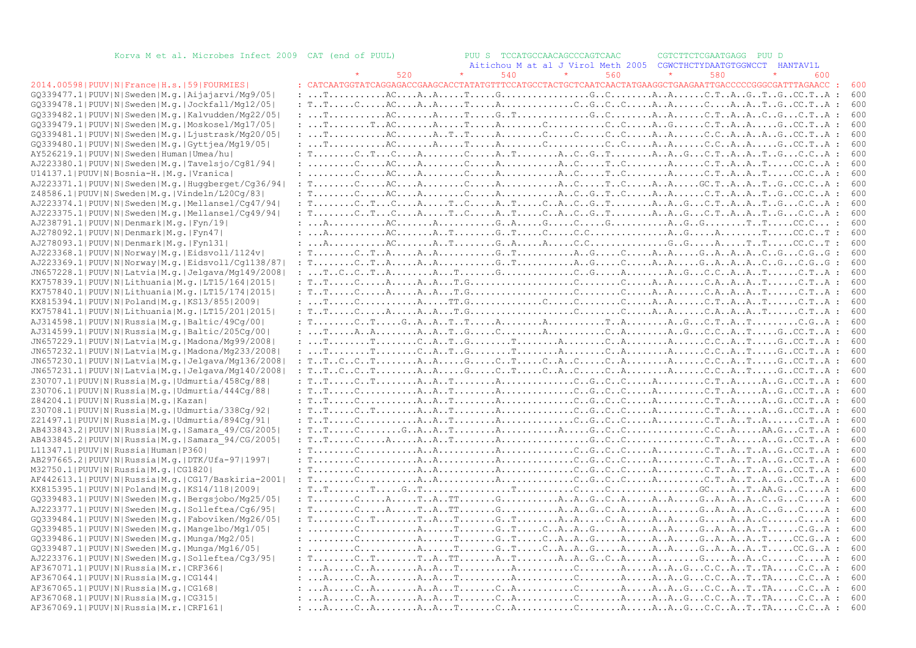| Korva M et al. Microbes Infect 2009 CAT (end of PUUL)                                                |     | PUU S TCCATGCCAACAGCCCAGTCAAC                                                                                                                                                                                                                                                                                                                                                                                                                                                                                                                                                                                                                                                                                                                                                               | CGTCTTCTCGAATGAGG<br>PUU D       |            |
|------------------------------------------------------------------------------------------------------|-----|---------------------------------------------------------------------------------------------------------------------------------------------------------------------------------------------------------------------------------------------------------------------------------------------------------------------------------------------------------------------------------------------------------------------------------------------------------------------------------------------------------------------------------------------------------------------------------------------------------------------------------------------------------------------------------------------------------------------------------------------------------------------------------------------|----------------------------------|------------|
|                                                                                                      |     | Aitichou M at al J Virol Meth 2005                                                                                                                                                                                                                                                                                                                                                                                                                                                                                                                                                                                                                                                                                                                                                          | CGWCTHCTYDAATGTGGWCCT HANTAV1L   |            |
|                                                                                                      | 520 | 540<br>560                                                                                                                                                                                                                                                                                                                                                                                                                                                                                                                                                                                                                                                                                                                                                                                  | 580<br>600                       |            |
| 2014.00598 PUUV N France H.s. 59 FOURMIES <br>GQ339477.1 PUUV N Sweden M.g. Aijajarvi/Mg9/05         |     |                                                                                                                                                                                                                                                                                                                                                                                                                                                                                                                                                                                                                                                                                                                                                                                             | $\cdot$ .                        | 600<br>600 |
| GQ339478.1 PUUV N Sweden M.g. Jockfall/Mg12/05                                                       |     | : $T_{1}, T_{2}, \ldots, C_{n}, R_{n}, \ldots, R_{n}, R_{n}, \ldots, R_{n}, R_{n}, \ldots, C_{n}, G_{n}, G_{n}, G_{n}, G_{n}, G_{n}, R_{n}, \ldots, C_{n}, R_{n}, R_{n}, T_{n}, G_{n}, G_{n}, R_{n}, R_{n}, \ldots, R_{n}, R_{n}, R_{n}, \ldots, R_{n}, R_{n}, R_{n}, \ldots, R_{n}, R_{n}, \ldots, R_{n}, R_{n}, \ldots, R_{n}, R_{n}, \ldots, R_{n}, R_{n}, \ldots, R_{n}, R_{n}, \ldots, R_{n}, R_{n}, \ld$                                                                                                                                                                                                                                                                                                                                                                              |                                  | 600        |
| GQ339482.1 PUUV N Sweden M.g. Kalvudden/Mg22/05                                                      |     | $: \ldots$ . T $\ldots$ . AC $\ldots$ . AC $\ldots$ . A. $\ldots$ . T $\ldots$ . G. T $\ldots$ . $\ldots$ . G. C. C. $\ldots$ . A. A. $\ldots$ . C. T. A. A. C. G. $\ldots$ C. T. A. $\vdots$                                                                                                                                                                                                                                                                                                                                                                                                                                                                                                                                                                                               |                                  | 600        |
| GQ339479.1 PUUV N Sweden M.g. Moskosel/Mg17/05                                                       |     | : $T_1, \ldots, T_r, R, \ldots, R, \ldots, T, \ldots, R, \ldots, R, \ldots, C, \ldots, C, \ldots, R, \ldots, G, \ldots, C, T, \ldots, R, \ldots, G, \ldots, G, \ldots, R, \ldots, G, \ldots, R, \ldots, G, \ldots, G, \ldots, G, \ldots, G, \ldots, G, \ldots, G, \ldots, G, \ldots, G, \ldots, G, \ldots, G, \ldots, G, \ldots, G, \ldots, G, \ldots, G, \ldots, G, \ldots, G, \ldots, G, \ldots, G, \ld$                                                                                                                                                                                                                                                                                                                                                                                  |                                  | 600        |
| GQ339481.1 PUUV N Sweden M.g. Ljustrask/Mq20/05                                                      |     |                                                                                                                                                                                                                                                                                                                                                                                                                                                                                                                                                                                                                                                                                                                                                                                             |                                  | 600        |
| GQ339480.1 PUUV N Sweden M.g. Gyttjea/Mg19/05                                                        |     |                                                                                                                                                                                                                                                                                                                                                                                                                                                                                                                                                                                                                                                                                                                                                                                             |                                  | 600        |
| AY526219.1 PUUV N Sweden Human Umea/hu                                                               |     |                                                                                                                                                                                                                                                                                                                                                                                                                                                                                                                                                                                                                                                                                                                                                                                             |                                  | 600        |
| AJ223380.1 PUUV N Sweden M.g. Tavelsjo/Cq81/94                                                       |     | $: \ldots \ldots \ldots \ldots$ AC $\ldots \ldots$ A. $\ldots \ldots \ldots$ A. $\ldots \ldots \ldots \ldots \ldots \ldots \ldots$ A. $\ldots \ldots \ldots \ldots \ldots \ldots$ C.TA. $\ldots$ T $\ldots \ldots$ CC.CA :                                                                                                                                                                                                                                                                                                                                                                                                                                                                                                                                                                  |                                  | 600        |
| U14137.1 PUUV N Bosnia-H. M.g. Vranica                                                               |     | $: \ldots \ldots \ldots \ldots \ldots$ AC $\dots \ldots$ A $\dots \ldots \ldots$ A $\dots \ldots \ldots \ldots$ A $\dots \ldots \ldots \ldots \ldots \ldots \ldots$ A $\dots \ldots \ldots \ldots \ldots$ A $\dots \ldots \ldots \ldots \ldots \ldots$ A $\dots \ldots \ldots \ldots \ldots \ldots \ldots \ldots$                                                                                                                                                                                                                                                                                                                                                                                                                                                                           |                                  | 600        |
| AJ223371.1 PUUV N Sweden M.g. Huqqberget/Cq36/94                                                     |     | $: T \ldots \ldots \ldots \ldots \ldots$ AC $\ldots \ldots$ A $\ldots \ldots \ldots$ A $\ldots \ldots \ldots \ldots \ldots \ldots$ A $\ldots \ldots \ldots \ldots$ A $\ldots \ldots \ldots$ A $\ldots \ldots \ldots \ldots$ A $\ldots \ldots \ldots \ldots$ A $\ldots \ldots \ldots \ldots$ A $\ldots \ldots \ldots \ldots$ A $\ldots \ldots \ldots \ldots$ A $\ldots \ldots \ldots \ldots$ A $\ldots \ldots \ldots \ldots \ldots$ A $\ldots \ldots \ldots$                                                                                                                                                                                                                                                                                                                                 |                                  | 600        |
| Z48586.1 PUUV N Sweden M.g. Vindeln/L20Cq/83                                                         |     |                                                                                                                                                                                                                                                                                                                                                                                                                                                                                                                                                                                                                                                                                                                                                                                             |                                  | 600        |
| AJ223374.1 PUUV N Sweden M.g. Mellansel/Cg47/94                                                      |     | $: T \dots \dots C \dots T \dots C \dots A \dots T \dots C \dots A \dots A \dots C \dots A \dots C \dots G \dots T \dots \dots A \dots A \dots C \dots C \dots A \dots A \dots C \dots C \dots A$                                                                                                                                                                                                                                                                                                                                                                                                                                                                                                                                                                                           | $\cdot$ :                        | 600        |
| AJ223375.1 PUUV N Sweden M.g. Mellansel/Cq49/94                                                      |     |                                                                                                                                                                                                                                                                                                                                                                                                                                                                                                                                                                                                                                                                                                                                                                                             |                                  | 600        |
| AJ238791.1 PUUV N Denmark M.q. Fyn/19                                                                |     |                                                                                                                                                                                                                                                                                                                                                                                                                                                                                                                                                                                                                                                                                                                                                                                             |                                  | 600        |
| AJ278092.1 PUUV N Denmark M.g. Fyn47 <br>AJ278093.1 PUUV N Denmark M.g. Fyn131                       |     | $\colon \ldots \mathbb{A}, \ldots \ldots \mathbb{A}, \mathbb{C}, \ldots \mathbb{A}, \ldots \mathbb{A}, \ldots \mathbb{C}, \ldots \mathbb{C}, \ldots \mathbb{C}, \ldots \mathbb{C}, \mathbb{C}, \ldots \mathbb{C}, \ldots \mathbb{A}, \ldots \mathbb{A}, \ldots \mathbb{C}, \ldots \mathbb{C}, \ldots \mathbb{C}, \mathbb{C}, \ldots \mathbb{C}, \ldots \mathbb{C}, \ldots \mathbb{C}, \ldots \mathbb{C}, \ldots \mathbb{C}, \ldots \mathbb{C}, \ldots \mathbb{C}, \ldots \mathbb{C$<br>$: \ldots \mathsf{A}, \ldots \mathsf{A}, \ldots \mathsf{A}, \mathsf{C}, \ldots \mathsf{A}, \ldots \mathsf{A}, \ldots \mathsf{A}, \ldots \mathsf{A}, \ldots \mathsf{C}, \mathsf{C}, \ldots \mathsf{C}, \ldots \mathsf{C}, \ldots \mathsf{A}, \ldots \mathsf{C}, \ldots \mathsf{C}, \ldots \mathsf{T}$ | $\ddot{\cdot}$<br>$\ddot{\cdot}$ | 600<br>600 |
| AJ223368.1 PUUV N Norway M.g. Eidsvoll/1124v                                                         |     | $: T \ldots \ldots \ldots C \ldots T \ldots A \ldots A \ldots A \ldots G \ldots G \ldots G \ldots A \ldots C \ldots A \ldots A \ldots A \ldots A \ldots A \ldots A \ldots A \ldots C \ldots G \ldots G \ldots G \ldots G$                                                                                                                                                                                                                                                                                                                                                                                                                                                                                                                                                                   |                                  | 600        |
| AJ223369.1 PUUV N Norway M.g. Eidsvoll/Cq1138/87                                                     |     | $: T \ldots \ldots C \ldots T \ldots A \ldots A \ldots A \ldots C \ldots G \ldots T \ldots \ldots A \ldots A \ldots C \ldots A \ldots A \ldots A \ldots A \ldots A \ldots A \ldots A \ldots A \ldots C \ldots C \ldots G \ldots G \ldots G$                                                                                                                                                                                                                                                                                                                                                                                                                                                                                                                                                 | $\mathbf{r}$                     | 600        |
| JN657228.1 PUUV N Latvia M.g. Jelgava/Mg149/2008                                                     |     |                                                                                                                                                                                                                                                                                                                                                                                                                                                                                                                                                                                                                                                                                                                                                                                             |                                  | 600        |
| KX757839.1 PUUV N Lithuania M.q. LT15/164 2015                                                       |     |                                                                                                                                                                                                                                                                                                                                                                                                                                                                                                                                                                                                                                                                                                                                                                                             |                                  | 600        |
| KX757840.1 PUUV N Lithuania M.g. LT15/174 2015                                                       |     |                                                                                                                                                                                                                                                                                                                                                                                                                                                                                                                                                                                                                                                                                                                                                                                             |                                  | 600        |
| KX815394.1 PUUV N Poland M.g. KS13/855 2009                                                          |     |                                                                                                                                                                                                                                                                                                                                                                                                                                                                                                                                                                                                                                                                                                                                                                                             |                                  | 600        |
| KX757841.1 PUUV N Lithuania M.g. LT15/201 2015                                                       |     |                                                                                                                                                                                                                                                                                                                                                                                                                                                                                                                                                                                                                                                                                                                                                                                             |                                  | 600        |
| AJ314598.1 PUUV N Russia M.q. Baltic/49Cq/00                                                         |     | : $T_{1}, \ldots, T_{n}, T_{n}, \ldots, T_{n}, T_{n}, \ldots, T_{n}, \ldots, T_{n}, \ldots, T_{n}, \ldots, T_{n}, \ldots, T_{n}, \ldots, T_{n}, \ldots, T_{n}, \ldots, T_{n}, \ldots, T_{n}, \ldots, T_{n}, \ldots, T_{n}, \ldots, T_{n}, \ldots, T_{n}, \ldots, T_{n}, \ldots, T_{n}, \ldots, T_{n}, \ldots, T_{n}, \ldots, T_{n}, \ldots, T_{n}, \ldots, T_{n}, \ldots, T_{n}, \ldots, T_{n}, \ldots, T_{n}, \ldots, T_{$                                                                                                                                                                                                                                                                                                                                                                 |                                  | 600        |
| AJ314599.1 PUUV N Russia M.q. Baltic/205Cq/00                                                        |     | $: \ldots$ $. \ldots$ $. \ldots$ $. \ldots$ $. \ldots$ $. \ldots$ $. \ldots$ $. \ldots$ $. \ldots$ $. \ldots$ $. \ldots$ $. \ldots$ $. \ldots$ $. \ldots$ $. \ldots$ $. \ldots$ $. \ldots$ $. \ldots$ $. \ldots$ $. \ldots$ $. \ldots$ $. \ldots$ $. \ldots$ $. \ldots$ $. \ldots$ $. \ldots$ $. \ldots$ $. \ldots$ $. \ldots$ $. \ldots$ $. \ldots$ $. \ld$                                                                                                                                                                                                                                                                                                                                                                                                                                |                                  | 600        |
| JN657229.1 PUUV N Latvia M.g. Madona/Mg99/2008                                                       |     |                                                                                                                                                                                                                                                                                                                                                                                                                                                                                                                                                                                                                                                                                                                                                                                             |                                  | 600        |
| JN657232.1 PUUV N Latvia M.g. Madona/Mg233/2008 <br>JN657230.1 PUUV N Latvia M.g. Jelgava/Mg136/2008 |     |                                                                                                                                                                                                                                                                                                                                                                                                                                                                                                                                                                                                                                                                                                                                                                                             |                                  | 600<br>600 |
| JN657231.1 PUUV N Latvia M.g. Jelgava/Mg140/2008                                                     |     | : $TTCCTAAAGCTCACAACCATGCTA$                                                                                                                                                                                                                                                                                                                                                                                                                                                                                                                                                                                                                                                                                                                                                                |                                  | 600        |
| Z30707.1 PUUV N Russia M.g. Udmurtia/458Cg/88                                                        |     | : $T_1, T_2, \ldots, C_n, T_2, \ldots, A_n, T_3, \ldots, T_n, A_3, \ldots, C_n, G_1, G_2, \ldots, G_n, G_3, \ldots, G_n, G_3, \ldots, G_n, G_3, G_3, G_4, G_5, G_6, G_7, \ldots, G_n, G_n, G_7, G_8, G_9, G_9, G_9, G_{10}, G_{11}, G_{12}, G_{13}, G_{14}, G_{15}, G_{16}, G_{17}, G_{18}, G_{19}, G_{10}, G_{11}, G_{12}, G_{13}, G_{14}, G_{15$                                                                                                                                                                                                                                                                                                                                                                                                                                          |                                  | 600        |
| Z30706.1 PUUV N Russia M.g. Udmurtia/444Cq/88                                                        |     |                                                                                                                                                                                                                                                                                                                                                                                                                                                                                                                                                                                                                                                                                                                                                                                             |                                  | 600        |
| Z84204.1 PUUV N Russia M.g. Kazan                                                                    |     |                                                                                                                                                                                                                                                                                                                                                                                                                                                                                                                                                                                                                                                                                                                                                                                             |                                  | 600        |
| Z30708.1 PUUV N Russia M.g. Udmurtia/338Cq/92                                                        |     |                                                                                                                                                                                                                                                                                                                                                                                                                                                                                                                                                                                                                                                                                                                                                                                             |                                  | 600        |
| Z21497.1 PUUV N Russia M.g. Udmurtia/894Cq/91                                                        |     | $: T_{1}, T_{2}, \ldots, C_{n}, \ldots, C_{n}, A_{n}, A_{n}, \ldots, A_{n}, \ldots, C_{n}, C_{n}, C_{n}, C_{n}, C_{n}, C_{n}, \ldots, C_{n}, C_{n}, C_{n}, A_{n}, \ldots, C_{n}, A_{n}, \ldots, C_{n}, A_{n}, \ldots, C_{n}, A_{n}, \ldots, C_{n}, A_{n}, \ldots, C_{n}, A_{n}, \ldots, C_{n}, A_{n}, \ldots, C_{n}, A_{n}, \ldots, C_{n}, A_{n}, \ldots, C_{n}, A_{n}, \ldots, C_{n}, A_{n}, \ldots, A_{n}, \ldots$                                                                                                                                                                                                                                                                                                                                                                        |                                  | 600        |
| AB433843.2 PUUV N Russia M.g. Samara 49/CG/2005                                                      |     | : $T_1, T_2, \ldots, C_2, \ldots, C_3, A_1, A_2, \ldots, A_1, \ldots, A_2, \ldots, A_3, \ldots, G_3, C_2, C_3, \ldots, C_3, C_3, \ldots, A_4, \ldots, A_5, \ldots, C_5, A_6, \ldots, C_6, A_7, \ldots, A_7, \ldots, A_8, \ldots, C_7, A_8, \ldots, C_8, A_9, \ldots, A_{10}, \ldots, A_{11}, \ldots, A_{10}, \ldots, A_{11}, \ldots, A_{10}, \ldots, A_{11},$                                                                                                                                                                                                                                                                                                                                                                                                                               |                                  | 600        |
| AB433845.2 PUUV N Russia M.g. Samara 94/CG/2005                                                      |     | : $T_1, T_2, \ldots, C_2, \ldots, A_1, \ldots, A_2, \ldots, A_1, \ldots, A_2, \ldots, A_2, \ldots, G_1, C_2, \ldots, C_2, \ldots, C_1, \ldots, A_2, \ldots, A_2, \ldots, A_2, \ldots, A_2, \ldots, A_2, \ldots, A_2, \ldots, A_2, \ldots, A_2, \ldots, A_2, \ldots, A_2, \ldots, A_2, \ldots, A_2, \ldots, A_2, \ldots, A_2, \ldots, A_2, \ldots, A_2, \ldots, A_$                                                                                                                                                                                                                                                                                                                                                                                                                          |                                  | 600        |
| L11347.1 PUUV N Russia Human P360                                                                    |     |                                                                                                                                                                                                                                                                                                                                                                                                                                                                                                                                                                                                                                                                                                                                                                                             |                                  | 600        |
| AB297665.2 PUUV N Russia M.q. DTK/Ufa-97 1997                                                        |     |                                                                                                                                                                                                                                                                                                                                                                                                                                                                                                                                                                                                                                                                                                                                                                                             |                                  | 600        |
| M32750.1 PUUV N Russia M.q. CG1820                                                                   |     |                                                                                                                                                                                                                                                                                                                                                                                                                                                                                                                                                                                                                                                                                                                                                                                             |                                  | 600        |
| AF442613.1 PUUV N Russia M.g. CG17/Baskiria-2001 <br>KX815395.1 PUUV N Poland M.g. KS14/118 2009     |     | $: \mathcal{T}.\ldots.\ldots.\mathcal{C}.\ldots.\ldots.\mathcal{A}.\ldots.\ldots.\mathcal{A}.\ldots.\ldots.\mathcal{C}.\ldots.\mathcal{C}.\ldots.\mathcal{C}.\ldots.\mathcal{C}.\ldots.\mathcal{C}.\ldots.\mathcal{C}.\mathcal{T}.\mathcal{A}.\ldots.\mathcal{C}.\mathcal{C}.\ldots.\mathcal{A}.\ldots.\mathcal{C}.\mathcal{C}.\ldots.\mathcal{A}.\ldots.\mathcal{C}.\mathcal{C}.\ldots.\mathcal{A}.\ldots.\mathcal{C}.\ldots.\mathcal{C}.\ldots.\mathcal{A}.\ldots.\mathcal{C}.\ld$                                                                                                                                                                                                                                                                                                        |                                  | 600        |
| GQ339483.1 PUUV N Sweden M.q. Bergsjobo/Mg25/05                                                      |     | : $T_{\dots}$ $T_{\dots}$ $T_{\dots}$ $T_{\dots}$ $T_{\dots}$ $T_{\dots}$ $T_{\dots}$ $T_{\dots}$ $T_{\dots}$ $T_{\dots}$ $T_{\dots}$ $T_{\dots}$ $T_{\dots}$ $T_{\dots}$ $T_{\dots}$ $T_{\dots}$ $T_{\dots}$ $T_{\dots}$ $T_{\dots}$ $T_{\dots}$ $T_{\dots}$ $T_{\dots}$ $T_{\dots}$ $T_{\dots}$ $T_{\dots}$ $T_{\dots}$ $T_{\dots}$ $T_{$<br>$: T. \ldots \ldots C. \ldots A. \ldots T. A. T T. \ldots G. \ldots G. \ldots A. . A. . G. . C. . A. \ldots A. . A. . A. . A. . A. . C. . G. C. A. :$                                                                                                                                                                                                                                                                                        |                                  | 600<br>600 |
| AJ223377.1 PUUV N Sweden M.g. Solleftea/Cq6/95                                                       |     | $: T. \ldots \ldots C. \ldots A. \ldots T. A. T T. \ldots G. \ldots G. \ldots A. . A. . G. . C. . A. \ldots A. \ldots G. . A. . A. . A. . C. . G. C. A. :$                                                                                                                                                                                                                                                                                                                                                                                                                                                                                                                                                                                                                                  |                                  | 600        |
| GQ339484.1 PUUV N Sweden M.q. Faboviken/Mq26/05                                                      |     | $: T_{1}, \ldots, C_{n}, T_{1}, \ldots, T_{n}, A_{n}, T_{1}, \ldots, G_{n}, T_{1}, \ldots, A_{n}, A_{n}, \ldots, A_{n}, A_{n}, \ldots, A_{n}, A_{n}, \ldots, C_{n}, A_{n}, \ldots, A_{n}, A_{n}, \ldots, C_{n}, A_{n}, A_{n}, \ldots, C_{n}, A_{n}, \ldots, A_{n}, A_{n}, \ldots, C_{n}, A_{n}, \ldots, C_{n}, A_{n}, \ldots, C_{n}, A_{n}, \ldots, C_{n}, A_{n}, \ldots, C_{n}, A_{n}, \ldots, C_{n}, A_{n}, \ldots$                                                                                                                                                                                                                                                                                                                                                                       |                                  | 600        |
| GQ339485.1 PUUV N Sweden M.g. Mangelbo/Mg1/05                                                        |     |                                                                                                                                                                                                                                                                                                                                                                                                                                                                                                                                                                                                                                                                                                                                                                                             |                                  | 600        |
| GQ339486.1 PUUV N Sweden M.g. Munga/Mg2/05                                                           |     |                                                                                                                                                                                                                                                                                                                                                                                                                                                                                                                                                                                                                                                                                                                                                                                             |                                  | 600        |
| GQ339487.1 PUUV N Sweden M.g. Munga/Mg16/05                                                          |     |                                                                                                                                                                                                                                                                                                                                                                                                                                                                                                                                                                                                                                                                                                                                                                                             |                                  | 600        |
| AJ223376.1 PUUV N Sweden M.q. Solleftea/Cq3/95                                                       |     |                                                                                                                                                                                                                                                                                                                                                                                                                                                                                                                                                                                                                                                                                                                                                                                             |                                  | 600        |
| AF367071.1 PUUV N Russia M.r. CRF366                                                                 |     | $: \ldots A, \ldots, C, A, \ldots, A, \ldots A, \ldots, T, \ldots, A, \ldots, A, \ldots, A, \ldots, A, \ldots, A, \ldots, C, C, \ldots, A, \ldots, C, \ldots, A, \ldots, C, C, \ldots, A, \ldots, C, C, \ldots, A, \ldots, C, C, \ldots, A, \ldots, C, \ldots, A, \ldots, C, \ldots, A, \ldots, C, \ldots, A, \ldots, C, \ldots, A, \ldots, C, \ldots, A, \ldots, C, \ldots, A, \ldots, C, \ldots, A, \ldots, C, \$                                                                                                                                                                                                                                                                                                                                                                         |                                  | 600        |
| AF367064.1 PUUV N Russia M.g. CG144                                                                  |     | $: \ldots A, \ldots, C, A, \ldots, A, A, \ldots T, \ldots, A, \ldots, A, \ldots, C, \ldots, A, \ldots, A, \ldots, A, \ldots, C, C, \ldots A, \ldots, C, C, \ldots A, \ldots, C, C, \ldots A, \ldots, C, C, \ldots A, \ldots, C, C, \ldots A, \ldots, C, C, \ldots A, \ldots, C, C, \ldots A, \ldots, C, C, \ldots A, \ldots, C, C, \ldots A, \ldots, C, C, \ldots A, \ldots, C, C, \ldots A, \ldots, C, C, \ldots A, \$                                                                                                                                                                                                                                                                                                                                                                     |                                  | 600        |
| AF367065.1 PUUV N Russia M.g. CG168                                                                  |     |                                                                                                                                                                                                                                                                                                                                                                                                                                                                                                                                                                                                                                                                                                                                                                                             |                                  | 600        |
| AF367068.1 PUUV N Russia M.g. CG315                                                                  |     | $: \ldots A, \ldots, C, A, \ldots, A, \ldots A, \ldots, C, \ldots A, \ldots, C, \ldots, C, \ldots, A, \ldots, A, \ldots, C, \ldots, A, \ldots, C, C, \ldots A, \ldots, C, C, \ldots A, \ldots, C, \ldots A, \ldots, C, \ldots, A, \ldots, C, \ldots, A, \ldots, C, \ldots, A, \ldots, C, \ldots, A, \ldots, C, \ldots, A, \ldots, C, \ldots, A, \ldots, C, \ldots, A, \ldots, C, \ldots, A, \ldots, C, \ldots, A, \ldots$                                                                                                                                                                                                                                                                                                                                                                   |                                  | 600        |

#### $2014.00598$  | PUUV | N | France | H.s. | 59 |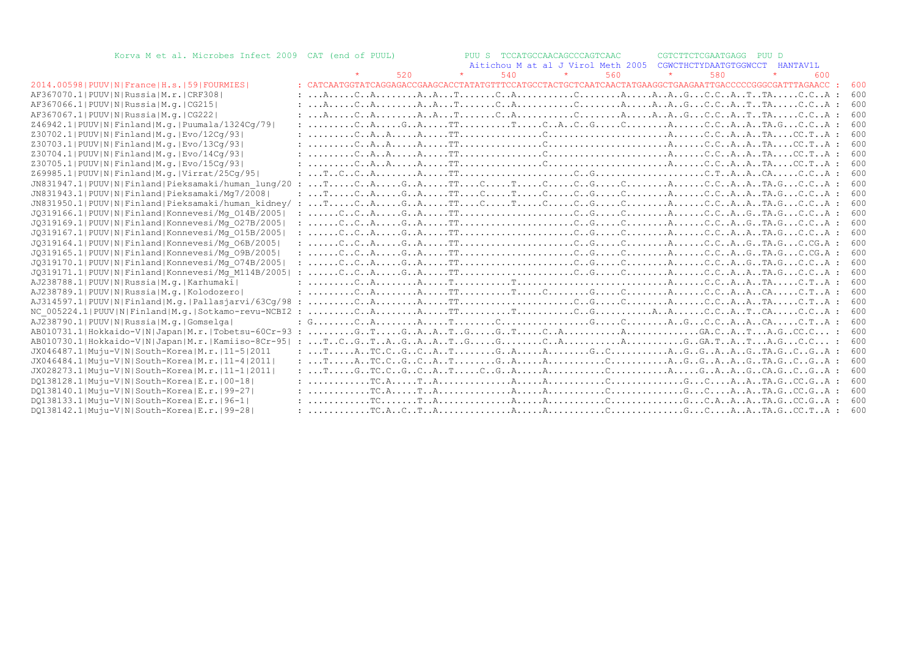| Korva M et al. Microbes Infect 2009 CAT (end of PUUL)          |  |     |     | PUU S TCCATGCCAACAGCCCAGTCAAC |                                                                                                                                                                                                                                                                                                                                                                                                                                                                                                             | CGTCTTCTCGAATGAGG PUU D        |     |     |  |
|----------------------------------------------------------------|--|-----|-----|-------------------------------|-------------------------------------------------------------------------------------------------------------------------------------------------------------------------------------------------------------------------------------------------------------------------------------------------------------------------------------------------------------------------------------------------------------------------------------------------------------------------------------------------------------|--------------------------------|-----|-----|--|
|                                                                |  |     |     |                               | Aitichou M at al J Virol Meth 2005                                                                                                                                                                                                                                                                                                                                                                                                                                                                          | CGWCTHCTYDAATGTGGWCCT HANTAV1L |     |     |  |
|                                                                |  | 520 | 540 |                               | 560                                                                                                                                                                                                                                                                                                                                                                                                                                                                                                         | 580                            | 600 |     |  |
| 2014.00598   PUUV   N   France   H.s.   59   FOURMIES          |  |     |     |                               |                                                                                                                                                                                                                                                                                                                                                                                                                                                                                                             |                                |     | 600 |  |
| AF367070.1 PUUV N Russia M.r. CRF308                           |  |     |     |                               | $: \ldots A, \ldots, C, A, \ldots, A, A, \ldots, T, \ldots, C, A, \ldots, C, \ldots, C, \ldots, A, \ldots, A, \ldots, A, \ldots, C, C, \ldots A, \ldots, T, \ldots, C, C, \ldots A$                                                                                                                                                                                                                                                                                                                         |                                |     | 600 |  |
| AF367066.1 PUUV N Russia M.q. CG215                            |  |     |     |                               | $: \ldots A, \ldots, C, A, \ldots, A, \ldots A, \ldots, C, \ldots A, \ldots, C, \ldots, C, \ldots, A, \ldots, A, \ldots, C, \ldots, A, \ldots, C, C, \ldots A, \ldots, C, C, \ldots A, \ldots, C, C, \ldots A, \ldots, C, \ldots A, \ldots, C, \ldots A, \ldots, C, \ldots A, \ldots, C, \ldots A, \ldots, C, \ldots A, \ldots, C, \ldots A, \ldots, C, \ldots A, \ldots, C, \ldots A, \ldots, C, \ldots A, \ldots, C, \ldots,$                                                                             |                                |     | 600 |  |
| AF367067.1  PUUV   N   Russia   M.q.   CG222                   |  |     |     |                               |                                                                                                                                                                                                                                                                                                                                                                                                                                                                                                             |                                |     | 600 |  |
| Z46942.1  PUUV   N   Finland   M.q.   Puumala/1324Cq/79        |  |     |     |                               | : CAGATTTCACGCAC.CAATA.GC.CA :                                                                                                                                                                                                                                                                                                                                                                                                                                                                              |                                |     | 600 |  |
| Z30702.1  PUUV   N   Finland   M.g.   Evo / 12Cg / 93          |  |     |     |                               |                                                                                                                                                                                                                                                                                                                                                                                                                                                                                                             |                                |     | 600 |  |
| Z30703.1 PUUV N Finland M.g. Evo/13Cq/93                       |  |     |     |                               |                                                                                                                                                                                                                                                                                                                                                                                                                                                                                                             |                                |     | 600 |  |
| Z30704.1 PUUV N Finland M.g. Evo/14Cq/93                       |  |     |     |                               |                                                                                                                                                                                                                                                                                                                                                                                                                                                                                                             |                                |     | 600 |  |
| Z30705.1 PUUV N Finland M.g. Evo/15Cq/93                       |  |     |     |                               |                                                                                                                                                                                                                                                                                                                                                                                                                                                                                                             |                                |     | 600 |  |
| Z69985.1 PUUV N Finland M.g. Virrat/25Cq/95                    |  |     |     |                               |                                                                                                                                                                                                                                                                                                                                                                                                                                                                                                             |                                |     | 600 |  |
|                                                                |  |     |     |                               |                                                                                                                                                                                                                                                                                                                                                                                                                                                                                                             |                                |     | 600 |  |
| JN831943.1 PUUV N Finland Pieksamaki/Mq7/2008                  |  |     |     |                               | $: \ldots$ $T \ldots$ $C \ldots A \ldots G \ldots G \ldots T \ldots C \ldots T \ldots C \ldots C \ldots C \ldots C \ldots C \ldots A \ldots A \ldots C \ldots A \ldots A \ldots T A \ldots C \ldots A \ldots C \ldots A \ldots C \ldots A \ldots C \ldots A \ldots C \ldots A \ldots C \ldots A \ldots C \ldots A \ldots C \ldots A \ldots C \ldots A \ldots C \ldots A \ldots C \ldots A \ldots C \ldots A \ldots C \ldots A \ldots C \ldots A \ldots C \ldots A \ldots C \ldots A \ldots C \ldots A$      |                                |     | 600 |  |
|                                                                |  |     |     |                               |                                                                                                                                                                                                                                                                                                                                                                                                                                                                                                             |                                |     | 600 |  |
| JQ319166.1 PUUV N Finland Konnevesi/Mq 014B/2005               |  |     |     |                               |                                                                                                                                                                                                                                                                                                                                                                                                                                                                                                             |                                |     | 600 |  |
| JQ319169.1 PUUV N Finland Konnevesi/Mq 027B/2005               |  |     |     |                               |                                                                                                                                                                                                                                                                                                                                                                                                                                                                                                             |                                |     | 600 |  |
| JQ319167.1 PUUV N Finland Konnevesi/Mq 015B/2005               |  |     |     |                               |                                                                                                                                                                                                                                                                                                                                                                                                                                                                                                             |                                |     | 600 |  |
| JQ319164.1 PUUV N Finland Konnevesi/Mq 06B/2005                |  |     |     |                               |                                                                                                                                                                                                                                                                                                                                                                                                                                                                                                             |                                |     | 600 |  |
| JQ319165.1 PUUV N Finland Konnevesi/Mq 09B/2005                |  |     |     |                               |                                                                                                                                                                                                                                                                                                                                                                                                                                                                                                             |                                |     | 600 |  |
| JQ319170.1 PUUV N Finland Konnevesi/Mq 074B/2005               |  |     |     |                               |                                                                                                                                                                                                                                                                                                                                                                                                                                                                                                             |                                |     | 600 |  |
| JQ319171.1 PUUV N Finland Konnevesi/Mq M114B/2005              |  |     |     |                               |                                                                                                                                                                                                                                                                                                                                                                                                                                                                                                             |                                |     | 600 |  |
| AJ238788.1 PUUV N Russia M.g. Karhumaki                        |  |     |     |                               |                                                                                                                                                                                                                                                                                                                                                                                                                                                                                                             |                                |     | 600 |  |
| AJ238789.1 PUUV N Russia M.q. Kolodozero                       |  |     |     |                               |                                                                                                                                                                                                                                                                                                                                                                                                                                                                                                             |                                |     | 600 |  |
| AJ314597.1  PUUV   N   Finland   M. g.   Pallasjarvi/63Cq/98 : |  |     |     |                               | $\ldots \ldots \ldots \ldots$ . A. $\ldots \ldots \ldots$ . TT $\ldots \ldots \ldots \ldots \ldots \ldots \ldots \ldots \ldots \ldots \ldots \ldots$ . A. $\ldots \ldots \ldots \ldots \ldots$ . A. $\ldots \ldots \ldots$ . A. $\ldots \ldots \ldots \ldots \ldots$                                                                                                                                                                                                                                        |                                |     | 600 |  |
| NC 005224.1 PUUV N Finland M.g. Sotkamo-revu-NCBI2 :           |  |     |     |                               | $\ldots \ldots \ldots \ldots$ . A. $\ldots \ldots \ldots$ . T $\ldots \ldots \ldots \ldots \ldots \ldots \ldots$ . A. $\ldots \ldots \ldots \ldots \ldots \ldots$ . A. $\ldots \ldots \ldots \ldots$ . A. $\ldots \ldots \ldots \ldots$ . A. $\ldots \ldots \ldots \ldots$ . A. $\ldots \ldots \ldots$ . A. $\ldots \ldots \ldots$ . A. $\ldots \ldots \ldots$ . A. $\ldots \ldots \ldots \ldots$                                                                                                           |                                |     | 600 |  |
| AJ238790.1 PUUV N Russia M.q. Gomselga                         |  |     |     |                               |                                                                                                                                                                                                                                                                                                                                                                                                                                                                                                             |                                |     | 600 |  |
| AB010731.1 Hokkaido-V N Japan M.r. Tobetsu-60Cr-93 :           |  |     |     |                               |                                                                                                                                                                                                                                                                                                                                                                                                                                                                                                             |                                |     | 600 |  |
| AB010730.1 Hokkaido-V N Japan M.r. Kamiiso-8Cr-95  :           |  |     |     |                               |                                                                                                                                                                                                                                                                                                                                                                                                                                                                                                             |                                |     | 600 |  |
| JX046487.1 Muju-V N South-Korea M.r. 11-5 2011                 |  |     |     |                               |                                                                                                                                                                                                                                                                                                                                                                                                                                                                                                             |                                |     | 600 |  |
| JX046484.1 Muju-V N South-Korea M.r.   11-4  2011              |  |     |     |                               |                                                                                                                                                                                                                                                                                                                                                                                                                                                                                                             |                                |     | 600 |  |
| JX028273.1 Muju-V N South-Korea M.r. 11-1 2011                 |  |     |     |                               | $: \ldots$ $T \ldots G \ldots T \ldots G \ldots G \ldots G \ldots A \ldots C \ldots A \ldots A \ldots C \ldots C \ldots A \ldots G \ldots G \ldots A \ldots G \ldots G \ldots G \ldots G \ldots G \ldots A \ldots C \ldots G \ldots A \ldots C \ldots G \ldots A \ldots C \ldots G \ldots A \ldots C \ldots G \ldots A \ldots C \ldots C \ldots G \ldots A \ldots C \ldots C \ldots A \ldots C \ldots A \ldots C \ldots C \ldots A \ldots C \ldots C \ldots A \ldots C \ldots C \ldots A \ldots C \ldots C$ |                                |     | 600 |  |
| DQ138128.1 Muju-V N South-Korea E.r. 00-18                     |  |     |     |                               |                                                                                                                                                                                                                                                                                                                                                                                                                                                                                                             |                                |     | 600 |  |
| DQ138140.1 Muju-V N South-Korea E.r. 99-27                     |  |     |     |                               |                                                                                                                                                                                                                                                                                                                                                                                                                                                                                                             |                                |     | 600 |  |
| DQ138133.1 Muju-V N South-Korea E.r. 96-1                      |  |     |     |                               |                                                                                                                                                                                                                                                                                                                                                                                                                                                                                                             |                                |     | 600 |  |
| DQ138142.1 Muju-V N South-Korea E.r. 99-28                     |  |     |     |                               | $: \ldots \ldots \ldots \ldots \text{TCA}.c \ldots \text{T.A}, \ldots \ldots \ldots \text{A}, \ldots \text{A}, \ldots \text{A}, \ldots \text{A}, \ldots \text{A}, \ldots \text{A}, \ldots \text{A}, \ldots \text{A}, \ldots \text{A}, \ldots \text{A}, \ldots \text{A}, \ldots \text{A}, \ldots \text{A}, \ldots \text{A}, \ldots \text{A}, \ldots \text{A}, \ldots \text{A}, \ldots \text{A}, \ldots \text{A}, \ldots \text{A}, \ldots \text{$                                                             |                                |     | 600 |  |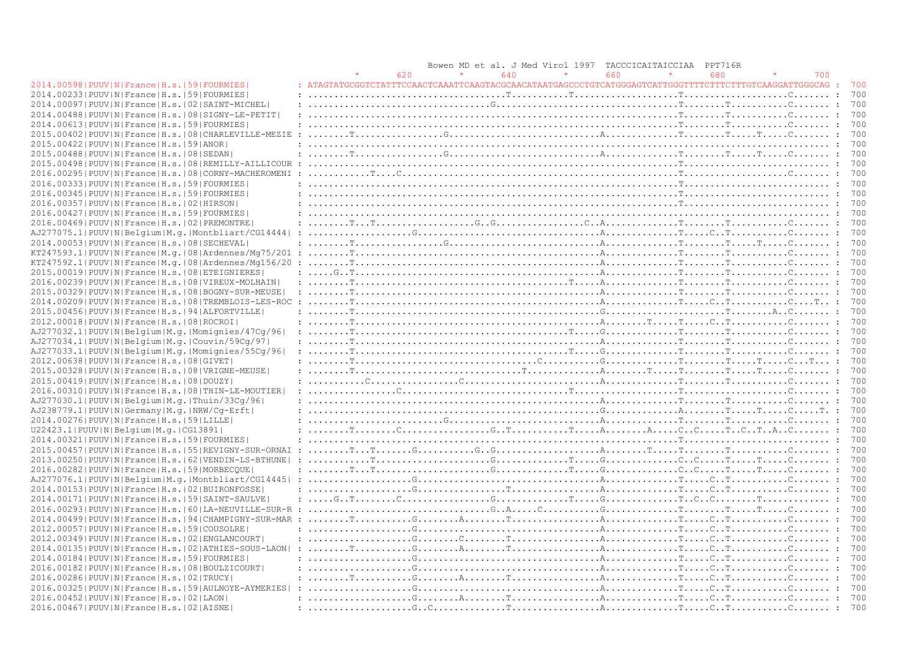|                                                                |                                                                                                                                                                                                                                                                                                                                                                                                                                                                        | Bowen MD | et al. J Med Virol 1997       | TACCCICAITAICCIAA | PPT716R |     |                |
|----------------------------------------------------------------|------------------------------------------------------------------------------------------------------------------------------------------------------------------------------------------------------------------------------------------------------------------------------------------------------------------------------------------------------------------------------------------------------------------------------------------------------------------------|----------|-------------------------------|-------------------|---------|-----|----------------|
|                                                                | 620                                                                                                                                                                                                                                                                                                                                                                                                                                                                    |          | 640                           | 660               | 680     | 700 |                |
| 2014.00598   PUUV   N   France   H.s.   59   FOURMIES          |                                                                                                                                                                                                                                                                                                                                                                                                                                                                        |          |                               |                   |         |     | 700            |
| 2014.002331PUUVINIFranceIH.s.1591FOURMIESI                     |                                                                                                                                                                                                                                                                                                                                                                                                                                                                        |          |                               |                   |         |     | 700            |
| 2014.00097   PUUV   N   France   H.s.   02   SAINT-MICHEL      |                                                                                                                                                                                                                                                                                                                                                                                                                                                                        |          |                               |                   |         |     | 700            |
| 2014.00488   PUUV   N   France   H.s.   08   SIGNY-LE-PETIT    |                                                                                                                                                                                                                                                                                                                                                                                                                                                                        |          |                               |                   |         |     | 700            |
| 2014.00613 PUUV N France H.s. 59 FOURMIES                      |                                                                                                                                                                                                                                                                                                                                                                                                                                                                        |          |                               |                   |         |     | 700            |
|                                                                |                                                                                                                                                                                                                                                                                                                                                                                                                                                                        |          |                               |                   |         |     | 700            |
| 2015.00402   PUUV   N   France   H.s.   08   CHARLEVILLE-MEZIE |                                                                                                                                                                                                                                                                                                                                                                                                                                                                        |          |                               |                   |         |     | 700            |
| 2015.00422 PUUV N France H.s. 59 ANOR                          |                                                                                                                                                                                                                                                                                                                                                                                                                                                                        |          |                               |                   |         |     |                |
| 2015.00488 PUUV N France H.s. 08 SEDAN                         |                                                                                                                                                                                                                                                                                                                                                                                                                                                                        |          |                               |                   |         |     | 700            |
| 2015.00498   PUUV   N   France   H.s.   08   REMILLY-AILLICOUR |                                                                                                                                                                                                                                                                                                                                                                                                                                                                        |          |                               |                   |         |     | 700            |
| 2016.00295 PUUV N France H.s. 08 CORNY-MACHEROMENI             |                                                                                                                                                                                                                                                                                                                                                                                                                                                                        |          |                               |                   |         |     | 700            |
| 2016.00333 PUUV N France H.s. 59 FOURMIES                      |                                                                                                                                                                                                                                                                                                                                                                                                                                                                        |          |                               |                   |         |     | 700            |
| 2016.00345 PUUV N France H.s. 59 FOURMIES                      |                                                                                                                                                                                                                                                                                                                                                                                                                                                                        |          |                               |                   |         |     | 700            |
| 2016.00357 PUUV N France H.s. 02 HIRSON                        |                                                                                                                                                                                                                                                                                                                                                                                                                                                                        |          |                               |                   |         |     | 700            |
| 2016.00427   PUUV   N   France   H.s.   59   FOURMIES          |                                                                                                                                                                                                                                                                                                                                                                                                                                                                        |          |                               |                   |         |     | 700            |
| 2016.00469 PUUV N France H.s. 02 PREMONTRE                     |                                                                                                                                                                                                                                                                                                                                                                                                                                                                        |          |                               |                   |         |     | 700            |
| AJ277075.1 PUUV N Belgium M.g. Montbliart/CG14444              |                                                                                                                                                                                                                                                                                                                                                                                                                                                                        |          |                               |                   |         |     | 700            |
| 2014.00053 PUUV N France H.s. 08 SECHEVAL                      |                                                                                                                                                                                                                                                                                                                                                                                                                                                                        |          |                               |                   |         |     | 700            |
| KT247593.1 PUUV N France M.q. 08 Ardennes/Mq75/201             |                                                                                                                                                                                                                                                                                                                                                                                                                                                                        |          |                               |                   |         |     | 700            |
| $KT247592.1 PUUV N France M,q. 08 Ardennes/Mq156/20$           |                                                                                                                                                                                                                                                                                                                                                                                                                                                                        |          |                               |                   |         |     | 700            |
| 2015.00019 PUUV N France H.s. 08 ETEIGNIERES                   |                                                                                                                                                                                                                                                                                                                                                                                                                                                                        |          |                               |                   |         |     | 700            |
| 2016.00239   PUUV   N   France   H.s.   08   VIREUX-MOLHAIN    |                                                                                                                                                                                                                                                                                                                                                                                                                                                                        |          |                               |                   |         |     | 700            |
| 2015.00329   PUUV   N   France   H.s.   08   BOGNY-SUR-MEUSE   |                                                                                                                                                                                                                                                                                                                                                                                                                                                                        |          |                               |                   |         |     | 700            |
| 2014.00209 PUUV N France H.s. 08 TREMBLOIS-LES-ROC             | <b>Service Start</b>                                                                                                                                                                                                                                                                                                                                                                                                                                                   |          |                               |                   |         |     | 700            |
| 2015.00456 PUUV N France H.s. 94 ALFORTVILLE                   |                                                                                                                                                                                                                                                                                                                                                                                                                                                                        |          |                               |                   |         |     | 700            |
| 2012.00018 PUUV N France H.s. 08 ROCROI                        |                                                                                                                                                                                                                                                                                                                                                                                                                                                                        |          |                               |                   |         |     | 700            |
| AJ277032.1 PUUV N Belgium M.g. Momignies/47Cg/96               |                                                                                                                                                                                                                                                                                                                                                                                                                                                                        |          |                               |                   |         |     | 700            |
| AJ277034.1 PUUV N Belgium M.g. Couvin/59Cq/97                  |                                                                                                                                                                                                                                                                                                                                                                                                                                                                        |          |                               |                   |         |     | 700            |
| AJ277033.1 PUUV N Belgium M.g. Momignies/55Cg/96               |                                                                                                                                                                                                                                                                                                                                                                                                                                                                        |          |                               |                   |         |     | 700            |
| 2012.00638 PUUV N France H.s. 08 GIVET                         |                                                                                                                                                                                                                                                                                                                                                                                                                                                                        |          |                               |                   |         |     | 700            |
| 2015.00328   PUUV   N   France   H.s.   08   VRIGNE-MEUSE      |                                                                                                                                                                                                                                                                                                                                                                                                                                                                        |          |                               |                   |         |     | 700            |
|                                                                |                                                                                                                                                                                                                                                                                                                                                                                                                                                                        |          |                               |                   |         |     | 700            |
| 2015.00419 PUUV N France H.s. 08 DOUZY                         |                                                                                                                                                                                                                                                                                                                                                                                                                                                                        |          |                               |                   |         |     |                |
| 2016.00310   PUUV   N   France   H.s.   08   THIN-LE-MOUTIER   |                                                                                                                                                                                                                                                                                                                                                                                                                                                                        |          | $\ldots \ldots \ldots \ldots$ |                   |         |     | 700            |
| AJ277030.1 PUUV N Belgium M.g. Thuin/33Cq/96                   |                                                                                                                                                                                                                                                                                                                                                                                                                                                                        |          |                               |                   |         |     | 700            |
| AJ238779.1 PUUV N Germany M.q. NRW/Cq-Erft                     |                                                                                                                                                                                                                                                                                                                                                                                                                                                                        |          |                               |                   |         |     | 700            |
| 2014.00276  PUUV  N   France   H.s.   59   LILLE               |                                                                                                                                                                                                                                                                                                                                                                                                                                                                        |          |                               |                   |         |     | 700            |
| U22423.1 PUUV N Belgium M.g. CG13891                           |                                                                                                                                                                                                                                                                                                                                                                                                                                                                        |          |                               |                   |         |     | 700            |
| 2014.00321 PUUV N France H.s. 59 FOURMIES                      |                                                                                                                                                                                                                                                                                                                                                                                                                                                                        |          |                               |                   |         |     | 700            |
| 2015.00457 PUUV N France H.s. 55 REVIGNY-SUR-ORNAI             |                                                                                                                                                                                                                                                                                                                                                                                                                                                                        |          |                               |                   |         |     | 700            |
| 2013.00250   PUUV   N   France   H.s.   62   VENDIN-LS-BTHUNE  |                                                                                                                                                                                                                                                                                                                                                                                                                                                                        |          |                               |                   |         |     | 700            |
| 2016.00282 PUUV N France H.s. 59 MORBECQUE                     |                                                                                                                                                                                                                                                                                                                                                                                                                                                                        |          |                               |                   |         |     | 700            |
| AJ277076.1 PUUV N Belgium M.g. Montbliart/CG14445              |                                                                                                                                                                                                                                                                                                                                                                                                                                                                        |          |                               |                   |         |     | 700            |
| 2014.00153 PUUV N France H.s. 02 BUIRONFOSSE                   |                                                                                                                                                                                                                                                                                                                                                                                                                                                                        |          |                               |                   |         |     | 700            |
| 2014.00171 PUUV N France H.s. 59 SAINT-SAULVE                  | : $G_{\cdot}, T_{\cdot}, \ldots, T_{\cdot}, T_{\cdot}, \ldots, T_{\cdot}, \ldots, T_{\cdot}, \ldots, T_{\cdot}, \ldots, T_{\cdot}, \ldots, T_{\cdot}, \ldots, T_{\cdot}, \ldots, T_{\cdot}, \ldots, T_{\cdot}, \ldots, T_{\cdot}, \ldots, T_{\cdot}, \ldots, T_{\cdot}, \ldots, T_{\cdot}, \ldots, T_{\cdot}, \ldots, T_{\cdot}, \ldots, T_{\cdot}, \ldots, T_{\cdot}, \ldots, T_{\cdot}, \ldots, T_{\cdot}, \ldots, T_{\cdot}, \ldots, T_{\cdot}, \ldots, T_{\cdot},$ |          |                               |                   |         |     | 700            |
| 2016.00293 PUUV N France H.s. 60 LA-NEUVILLE-SUR-R             |                                                                                                                                                                                                                                                                                                                                                                                                                                                                        |          |                               |                   |         |     | $\ldots$ : 700 |
| 2014.004991PUUVINIFranceIH.s.194ICHAMPIGNY-SUR-MAR             |                                                                                                                                                                                                                                                                                                                                                                                                                                                                        |          |                               |                   |         |     | 700            |
| 2012.00057 PUUV N France H.s. 59 COUSOLRE                      |                                                                                                                                                                                                                                                                                                                                                                                                                                                                        |          |                               |                   |         |     | 700            |
| 2012.00349   PUUV   N   France   H.s.   02   ENGLANCOURT       |                                                                                                                                                                                                                                                                                                                                                                                                                                                                        |          |                               |                   |         |     | 700            |
| 2014.00135 PUUV N France H.s. 02 ATHIES-SOUS-LAON              |                                                                                                                                                                                                                                                                                                                                                                                                                                                                        |          |                               |                   |         |     |                |
| 2014.00184 PUUV N France H.s. 59 FOURMIES                      |                                                                                                                                                                                                                                                                                                                                                                                                                                                                        |          |                               |                   |         |     | 700            |
| 2016.00182   PUUV   N   France   H.s.   08   BOULZICOURT       | $: \ldots, \ldots, \ldots, \mathbb{G}, \ldots, \mathbb{G}, \ldots, \ldots, \mathbb{G}, \ldots, \mathbb{G}, \ldots, \mathbb{G}, \ldots, \mathbb{G}, \ldots, \mathbb{G}, \ldots, \mathbb{G}, \ldots, \mathbb{G}, \ldots, \mathbb{G}, \ldots, \mathbb{G}, \ldots, \mathbb{G}, \ldots, \mathbb{G}, \ldots, \mathbb{G}, \ldots, \mathbb{G}, \ldots, \mathbb{G}, \ldots, \mathbb{G}, \ldots, \mathbb{G}, \ldots, \mathbb{G}, \ldots, \mathbb{G}, \ldots, \mathbb$            |          |                               |                   |         |     | 700            |
| 2016.00286 PUUV N France H.s. 02 TRUCY                         |                                                                                                                                                                                                                                                                                                                                                                                                                                                                        |          |                               |                   |         |     | 700            |
| 2016.00325   PUUV   N   France   H.s.   59   AULNOYE-AYMERIES  | $\ldots \ldots \ldots \ldots \ldots \ldots \ldots$                                                                                                                                                                                                                                                                                                                                                                                                                     |          |                               |                   |         |     | 700            |
| 2016.00452 PUUV N France H.s. 02 LAON                          |                                                                                                                                                                                                                                                                                                                                                                                                                                                                        |          |                               |                   |         |     | 700            |
| 2016.00467   PUUV   N   France   H.s.   02   AISNE             |                                                                                                                                                                                                                                                                                                                                                                                                                                                                        |          |                               |                   |         |     | 700            |
|                                                                |                                                                                                                                                                                                                                                                                                                                                                                                                                                                        |          |                               |                   |         |     |                |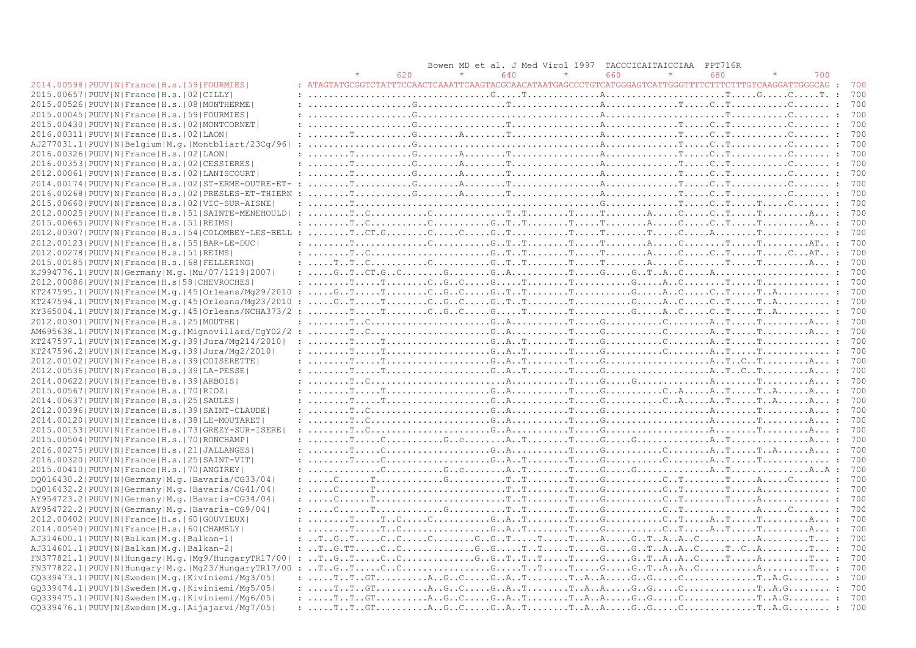|                                                                |                                                                                                                                                                                                                                                                                                                                                                                                                                                                                        | Bowen MD et al. J Med Virol 1997 | <b>TACCCICAITAICCIAA</b> | PPT716R |     |
|----------------------------------------------------------------|----------------------------------------------------------------------------------------------------------------------------------------------------------------------------------------------------------------------------------------------------------------------------------------------------------------------------------------------------------------------------------------------------------------------------------------------------------------------------------------|----------------------------------|--------------------------|---------|-----|
|                                                                | 620                                                                                                                                                                                                                                                                                                                                                                                                                                                                                    | 640                              | 660                      | 680     | 700 |
| 2014.00598   PUUV   N   France   H.s.   59   FOURMIES          | : $ATAGTATGCGGTCTATTTCCAACTCAAATTCAAGTACGCAACATAATGAGCCCTGTCATGGGAGTCATTGGGGTTTTCTTTTTCTTTCTTCAAGGATTGGGCAG$ :                                                                                                                                                                                                                                                                                                                                                                         |                                  |                          |         | 700 |
| 2015.00657 PUUV N France H.s. 02 CILLY                         |                                                                                                                                                                                                                                                                                                                                                                                                                                                                                        |                                  |                          |         | 700 |
| 2015.00526 PUUV N France H.s. 08 MONTHERME                     |                                                                                                                                                                                                                                                                                                                                                                                                                                                                                        |                                  |                          |         | 700 |
| 2015.00045 PUUV N France H.s. 59 FOURMIES                      |                                                                                                                                                                                                                                                                                                                                                                                                                                                                                        |                                  |                          |         | 700 |
|                                                                |                                                                                                                                                                                                                                                                                                                                                                                                                                                                                        |                                  |                          |         |     |
| 2015.00430 PUUV N France H.s. 02 MONTCORNET                    |                                                                                                                                                                                                                                                                                                                                                                                                                                                                                        |                                  |                          |         | 700 |
| 2016.00311 PUUV N France H.s. 02 LAON                          |                                                                                                                                                                                                                                                                                                                                                                                                                                                                                        |                                  |                          |         | 700 |
| AJ277031.1 PUUV N Belgium M.g. Montbliart/23Cq/96              | $: \ldots, \ldots, \ldots, \ldots, \mathbb{G}, \ldots, \ldots, \ldots, \ldots, \ldots, \ldots, \ldots, \mathbb{Q}, \ldots, \mathbb{Q}, \ldots, \mathbb{Q}, \ldots, \mathbb{Q}, \ldots, \mathbb{Q}, \ldots, \mathbb{Q}, \ldots, \mathbb{Q}, \ldots, \mathbb{Q}, \ldots, \mathbb{Q}, \ldots, \mathbb{Q}, \ldots, \mathbb{Q}, \ldots, \mathbb{Q}, \ldots, \mathbb{Q}, \ldots, \mathbb{Q}, \ldots, \mathbb{Q}, \ldots, \mathbb{Q}, \ldots, \mathbb{Q}, \ldots$                             |                                  |                          |         | 700 |
| 2016.00326  PUUV  N   France   H.s.   02   LAON                |                                                                                                                                                                                                                                                                                                                                                                                                                                                                                        |                                  |                          |         | 700 |
| 2016.00353 PUUV N France H.s. 02 CESSIERES                     |                                                                                                                                                                                                                                                                                                                                                                                                                                                                                        |                                  |                          |         | 700 |
| 2012.00061 PUUV N France H.s. 02 LANISCOURT                    |                                                                                                                                                                                                                                                                                                                                                                                                                                                                                        |                                  |                          |         | 700 |
| 2014.00174   PUUV   N   France   H.s.   02   ST-ERME-OUTRE-ET- | $\cdot$ :                                                                                                                                                                                                                                                                                                                                                                                                                                                                              |                                  |                          |         |     |
| 2016.00268 PUUV N France H.s. 02 PRESLES-ET-THIERN             |                                                                                                                                                                                                                                                                                                                                                                                                                                                                                        |                                  |                          |         | 700 |
| 2015.00660 PUUV N France H.s. 02 VIC-SUR-AISNE                 |                                                                                                                                                                                                                                                                                                                                                                                                                                                                                        |                                  |                          |         | 700 |
| 2012.00025 PUUV N France H.s. 51 SAINTE-MENEHOULD              |                                                                                                                                                                                                                                                                                                                                                                                                                                                                                        |                                  |                          |         | 700 |
| 2015.00665  PUUV   N   France   H.s.   51   REIMS              |                                                                                                                                                                                                                                                                                                                                                                                                                                                                                        |                                  |                          |         | 700 |
| 2012.00307   PUUV   N   France   H.s.   54   COLOMBEY-LES-BELL |                                                                                                                                                                                                                                                                                                                                                                                                                                                                                        |                                  |                          |         | 700 |
| 2012.00123 PUUV N France H.s. 55 BAR-LE-DUC                    |                                                                                                                                                                                                                                                                                                                                                                                                                                                                                        |                                  |                          |         | 700 |
|                                                                |                                                                                                                                                                                                                                                                                                                                                                                                                                                                                        |                                  |                          |         |     |
| 2012.00278   PUUV   N   France   H.s.   51   REIMS             |                                                                                                                                                                                                                                                                                                                                                                                                                                                                                        |                                  |                          |         | 700 |
| 2015.00185 PUUV N France H.s. 68 FELLERING                     |                                                                                                                                                                                                                                                                                                                                                                                                                                                                                        |                                  |                          |         | 700 |
| KJ994776.1   PUUV   N   Germany   M.q.   Mu / 07 / 1219   2007 |                                                                                                                                                                                                                                                                                                                                                                                                                                                                                        |                                  |                          |         | 700 |
| 2012.00086 PUUV N France H.s 58 CHEVROCHES                     |                                                                                                                                                                                                                                                                                                                                                                                                                                                                                        |                                  |                          |         | 700 |
| $KT247595.1 PUUV N France M.q. 45  Orleans/Mq29/2010$          | : $G_{\cdot}, T_{\cdot}, \ldots, T_{\cdot}, \ldots, T_{\cdot}, \ldots, G_{\cdot}, G_{\cdot}, \ldots, G_{\cdot}, T_{\cdot}, \ldots, T_{\cdot}, \ldots, T_{\cdot}, \ldots, G_{\cdot}, \ldots, \ldots, G_{\cdot}, \ldots, T_{\cdot}, \ldots, T_{\cdot}, \ldots, T_{\cdot}, \ldots, T_{\cdot}, \ldots, T_{\cdot}, \ldots, T_{\cdot}, \ldots, T_{\cdot}, \ldots, T_{\cdot}, \ldots, T_{\cdot}, \ldots, T_{\cdot}, \ldots, T_{\cdot}, \ldots, T_{\cdot}, \ldots, T_{\cdot},$                 |                                  |                          |         | 700 |
| KT247594.1 PUUV N France M.g. 45 Orleans/Mg23/2010             | $\ldots, G_{\cdot}, T_{\cdot}, \ldots, T_{\cdot}, \ldots, C_{\cdot}, C_{\cdot}, G_{\cdot}, C_{\cdot}, \ldots, G_{\cdot}, T_{\cdot}, T_{\cdot}, \ldots, T_{\cdot}, \ldots, T_{\cdot}, \ldots, G_{\cdot}, \ldots, G_{\cdot}, T_{\cdot}, \ldots, T_{\cdot}, A_{\cdot}, \ldots, \ldots, T_{\cdot}, A_{\cdot}, \ldots, \ldots, T_{\cdot}, A_{\cdot}, \ldots, \ldots, T_{\cdot}, A_{\cdot}, \ldots, C_{\cdot}, T_{\cdot}, \ldots, T_{\cdot}, \ldots, T_{\cdot}, A_{\cdot}, \ldots, T_{\cdot$ |                                  |                          |         | 700 |
| KY365004.1 PUUV N France M.g. 45 Orleans/NCHA373/2             |                                                                                                                                                                                                                                                                                                                                                                                                                                                                                        |                                  |                          |         | 700 |
| 2012.00301 PUUV N France H.s. 25 MOUTHE                        |                                                                                                                                                                                                                                                                                                                                                                                                                                                                                        |                                  |                          |         | 700 |
| AM695638.1 PUUV N France M.g. Mignovillard/CgY02/2             |                                                                                                                                                                                                                                                                                                                                                                                                                                                                                        |                                  |                          |         | 700 |
| KT247597.1 PUUV N France M.g. 39 Jura/Mg214/2010               |                                                                                                                                                                                                                                                                                                                                                                                                                                                                                        |                                  |                          |         | 700 |
| KT247596.2 PUUV N France M.q. 39 Jura/Mq2/2010                 |                                                                                                                                                                                                                                                                                                                                                                                                                                                                                        |                                  |                          |         | 700 |
| 2012.00102 PUUV N France H.s. 39 COISERETTE                    |                                                                                                                                                                                                                                                                                                                                                                                                                                                                                        |                                  |                          |         | 700 |
| 2012.00536  PUUV   N   France   H.s.   39   LA-PESSE           |                                                                                                                                                                                                                                                                                                                                                                                                                                                                                        |                                  |                          |         | 700 |
| 2014.00622 PUUV N France H.s. 39 ARBOIS                        |                                                                                                                                                                                                                                                                                                                                                                                                                                                                                        |                                  |                          |         | 700 |
| 2015.00567   PUUV   N   France   H.s.   70   RIOZ              |                                                                                                                                                                                                                                                                                                                                                                                                                                                                                        |                                  |                          |         | 700 |
|                                                                |                                                                                                                                                                                                                                                                                                                                                                                                                                                                                        |                                  |                          |         | 700 |
| 2014.00637 PUUV N France H.s. 25 SAULES                        |                                                                                                                                                                                                                                                                                                                                                                                                                                                                                        |                                  |                          |         |     |
| 2012.00396 PUUV N France H.s. 39 SAINT-CLAUDE                  |                                                                                                                                                                                                                                                                                                                                                                                                                                                                                        |                                  |                          |         | 700 |
| 2014.00120 PUUV N France H.s. 38 LE-MOUTARET                   |                                                                                                                                                                                                                                                                                                                                                                                                                                                                                        |                                  |                          |         | 700 |
| 2015.00153   PUUV   N   France   H.s.   73   GREZY-SUR-ISERE   |                                                                                                                                                                                                                                                                                                                                                                                                                                                                                        |                                  |                          |         | 700 |
| 2015.00504   PUUV   N   France   H.s.   70   RONCHAMP          |                                                                                                                                                                                                                                                                                                                                                                                                                                                                                        |                                  |                          |         | 700 |
| 2016.00275 PUUV N France H.s. 21 JALLANGES                     |                                                                                                                                                                                                                                                                                                                                                                                                                                                                                        |                                  |                          |         | 700 |
| 2016.00320 PUUV N France H.s. 25 SAINT-VIT                     |                                                                                                                                                                                                                                                                                                                                                                                                                                                                                        |                                  |                          |         | 700 |
| 2015.00410 PUUV N France H.s. 70 ANGIREY                       |                                                                                                                                                                                                                                                                                                                                                                                                                                                                                        |                                  |                          |         | 700 |
| DQ016430.2   PUUV   N   Germany   M.q.   Bavaria/CG33/04       |                                                                                                                                                                                                                                                                                                                                                                                                                                                                                        |                                  |                          |         | 700 |
| DQ016432.2   PUUV   N   Germany   M.q.   Bavaria/CG41/04       |                                                                                                                                                                                                                                                                                                                                                                                                                                                                                        |                                  |                          |         | 700 |
| AY954723.2   PUUV   N   Germany   M. g.   Bavaria-CG34/04      |                                                                                                                                                                                                                                                                                                                                                                                                                                                                                        |                                  |                          |         | 700 |
| AY954722.2   PUUV   N   Germany   M.q.   Bavaria-CG9/04        |                                                                                                                                                                                                                                                                                                                                                                                                                                                                                        |                                  |                          |         | 700 |
| 2012.00402 PUUV N France H.s. 60 GOUVIEUX                      |                                                                                                                                                                                                                                                                                                                                                                                                                                                                                        |                                  |                          |         | 700 |
| 2014.00540 PUUV N France H.s. 60 CHAMBLY                       |                                                                                                                                                                                                                                                                                                                                                                                                                                                                                        |                                  |                          |         | 700 |
| AJ314600.1 PUUV N Balkan M.g. Balkan-1                         |                                                                                                                                                                                                                                                                                                                                                                                                                                                                                        |                                  |                          |         | 700 |
| AJ314601.1  PUUV  N  Balkan   M.q.   Balkan-2                  |                                                                                                                                                                                                                                                                                                                                                                                                                                                                                        |                                  |                          |         | 700 |
| FN377821.1 PUUV N Hungary M.g. Mg9/HungaryTR17/00              | $\ldots$ $\ldots$ $\ldots$ $\ldots$ $\ldots$ $\ldots$ $\ldots$ $\ldots$ $\ldots$ $\ldots$ $\ldots$ $\ldots$ $\ldots$ $\ldots$ $\ldots$ $\ldots$ $\ldots$ $\ldots$ $\ldots$ $\ldots$ $\ldots$ $\ldots$ $\ldots$ $\ldots$ $\ldots$ $\ldots$ $\ldots$ $\ldots$ $\ldots$ $\ldots$ $\ldots$ $\ldots$ $\ldots$ $\ldots$ $\ldots$ $\ldots$ $\ldots$                                                                                                                                           |                                  |                          |         | 700 |
| FN377822.1 PUUV N Hungary M.g. Mg23/HungaryTR17/00             |                                                                                                                                                                                                                                                                                                                                                                                                                                                                                        |                                  |                          |         | 700 |
| GQ339473.1 PUUV N Sweden M.q. Kiviniemi/Mq3/05                 |                                                                                                                                                                                                                                                                                                                                                                                                                                                                                        |                                  |                          |         | 700 |
|                                                                | $: \ldots, \text{T., } \text{T., } \text{GT., } \ldots, \text{G., } \text{G., } \text{G., } \text{G., } \text{G., } \text{G., } \text{G., } \text{G., } \text{G., } \text{G., } \text{G., } \text{G., } \text{G., } \text{G., } \text{G., } \text{G., } \text{G., } \text{G., } \text{G., } \text{G., } \text{G., } \text{G., } \text{G., } \text{G., } \text{G., } \text{G., } \text{G., } \text{G., } \text{G., } \text{G., } \text{G., } \text{G., } \text{$                        |                                  |                          |         | 700 |
| GO339474.1 PUUV N Sweden M.g. Kiviniemi/Mg5/05                 |                                                                                                                                                                                                                                                                                                                                                                                                                                                                                        |                                  |                          |         |     |
| GQ339475.1 PUUV N Sweden M.q. Kiviniemi/Mq6/05                 |                                                                                                                                                                                                                                                                                                                                                                                                                                                                                        |                                  |                          |         | 700 |
| GQ339476.1 PUUV N Sweden M.q. Aijajarvi/Mq7/05                 |                                                                                                                                                                                                                                                                                                                                                                                                                                                                                        |                                  |                          |         | 700 |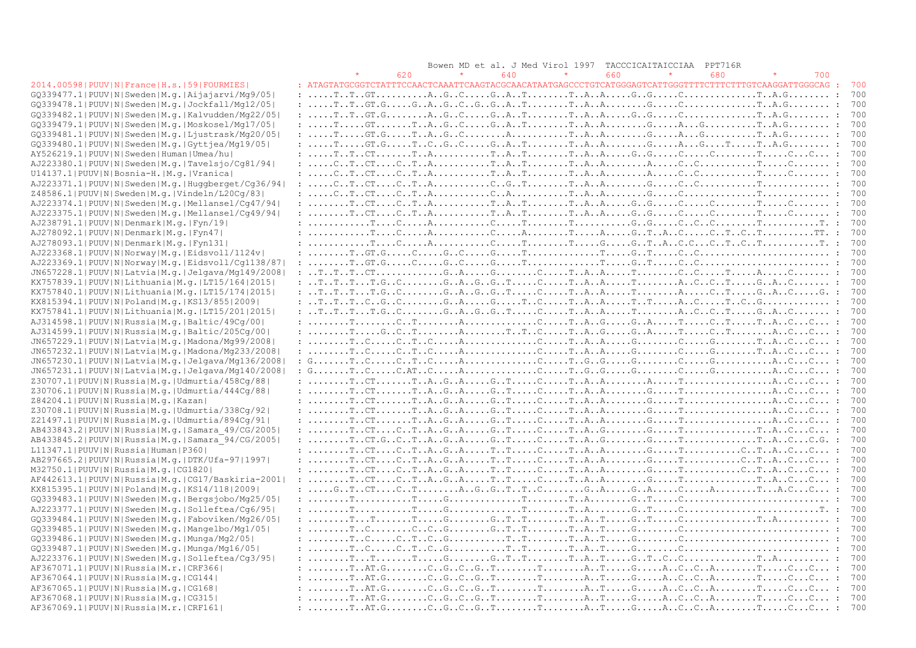|                                                            | Bowen MD et al. J Med Virol 1997<br>TACCCICAITAICCIAA<br>PPT716R                                                                                                                                                                                                                                                                                                                                                                                                |     |
|------------------------------------------------------------|-----------------------------------------------------------------------------------------------------------------------------------------------------------------------------------------------------------------------------------------------------------------------------------------------------------------------------------------------------------------------------------------------------------------------------------------------------------------|-----|
|                                                            | 640<br>660<br>680<br>620<br>700                                                                                                                                                                                                                                                                                                                                                                                                                                 |     |
| 2014.00598   PUUV   N   France   H.s.   59   FOURMIES      | : $ATAGTATGCGGTCTATTTCCAACTCAAATTCAAGTACGCAACATAATGAGCCCTGTCATGGGAGTCATTGGGTTTTCTTTCTTTTGTCAAGGATTGGGCAG:$                                                                                                                                                                                                                                                                                                                                                      | 700 |
| GQ339477.1 PUUV N Sweden M.g. Aijajarvi/Mg9/05             |                                                                                                                                                                                                                                                                                                                                                                                                                                                                 | 700 |
| $GQ339478.1 PUV N Sweden M,q. Jockfall/Mq12/05 $           |                                                                                                                                                                                                                                                                                                                                                                                                                                                                 | 700 |
| GQ339482.1 PUUV N Sweden M.q. Kalvudden/Mq22/05            |                                                                                                                                                                                                                                                                                                                                                                                                                                                                 | 700 |
| GQ339479.1 PUUV N Sweden M.g. Moskosel/Mq17/05             | $: \ldots, T, \ldots, GT, \ldots, T, A, G, C, \ldots, G, A, T, \ldots, T, A, A, \ldots, G, \ldots, G, \ldots, G, \ldots, T, A, G, \ldots, \ldots, T, A, G, \ldots, \ldots, T, A, G, \ldots, G, \ldots, G, \ldots, G, \ldots, G, \ldots, G, \ldots, G, \ldots, G, \ldots, G, \ldots, G, \ldots, G, \ldots, G, \ldots, G, \ldots, G, \ldots, G, \ldots, G, \ldots, G, \ldots, G, \ldots, G, \ldots, G, \ldots, G$                                                 | 700 |
| $GQ339481.1 PUUV N Sweden M.q. Ljustrask/Mq20/05$          |                                                                                                                                                                                                                                                                                                                                                                                                                                                                 | 700 |
| GQ339480.1 PUUV N Sweden M.q. Gyttjea/Mq19/05              |                                                                                                                                                                                                                                                                                                                                                                                                                                                                 | 700 |
| AY526219.1 PUUV N Sweden Human Umea/hu                     |                                                                                                                                                                                                                                                                                                                                                                                                                                                                 | 700 |
| AJ223380.1 PUUV N Sweden M.q. Tavelsjo/Cq81/94             | $: \ldots . \text{C.}. \text{T.}. \text{C} \text{T.} \ldots . \text{C.} \ldots . \text{A.} \ldots . \text{C.} \ldots . \text{C.} \ldots . \text{C.} \ldots . \text{C.} \ldots . \text{C.} \ldots . \text{C.} \ldots . \text{C.} \ldots . \text{C.} \ldots . \text{C.} \ldots . \text{C.} \ldots . \text{C.} \ldots . \text{C.} \ldots . \text{C.} \ldots . \text{C.} \ldots . \text{C.} \ldots . \text{C.} \ldots . \text{C.} \ldots .$                         | 700 |
| U14137.1 PUUV N Bosnia-H. M.g. Vranica                     |                                                                                                                                                                                                                                                                                                                                                                                                                                                                 | 700 |
| AJ223371.1 PUUV N Sweden M.g. Huqqberqet/Cq36/94           |                                                                                                                                                                                                                                                                                                                                                                                                                                                                 | 700 |
| Z48586.1 PUUV N Sweden M.g. Vindeln/L20Cq/83               |                                                                                                                                                                                                                                                                                                                                                                                                                                                                 | 700 |
| AJ223374.1 PUUV N Sweden M.g. Mellansel/Cg47/94            |                                                                                                                                                                                                                                                                                                                                                                                                                                                                 | 700 |
| AJ223375.1 PUUV N Sweden M.q. Mellansel/Cq49/94            |                                                                                                                                                                                                                                                                                                                                                                                                                                                                 | 700 |
| AJ238791.1 PUUV N Denmark M.q. Fyn/19                      |                                                                                                                                                                                                                                                                                                                                                                                                                                                                 | 700 |
| AJ278092.1 PUUV N Denmark M.q. Fyn47                       |                                                                                                                                                                                                                                                                                                                                                                                                                                                                 | 700 |
| AJ278093.1 PUUV N Denmark M.q. Fyn131                      |                                                                                                                                                                                                                                                                                                                                                                                                                                                                 | 700 |
| AJ223368.1 PUUV N Norway M.g. Eidsvoll/1124v               |                                                                                                                                                                                                                                                                                                                                                                                                                                                                 | 700 |
| AJ223369.1 PUUV N Norway M.g. Eidsvoll/Cg1138/87           |                                                                                                                                                                                                                                                                                                                                                                                                                                                                 | 700 |
| JN657228.1 PUUV N Latvia M.g. Jelgava/Mg149/2008           |                                                                                                                                                                                                                                                                                                                                                                                                                                                                 | 700 |
| $KX757839.1 PUUV N Lithuania M,q. LT15/164 2015 $          |                                                                                                                                                                                                                                                                                                                                                                                                                                                                 | 700 |
| KX757840.1  PUUV   N   Lithuania   M. g.   LT15/174   2015 | : TTTT.GCGAGGTCTAATACTGACG. :                                                                                                                                                                                                                                                                                                                                                                                                                                   | 700 |
| KX815394.1  PUUV   N   Poland   M.q.   KS13/855   2009     |                                                                                                                                                                                                                                                                                                                                                                                                                                                                 | 700 |
| KX757841.1 PUUV N Lithuania M.g. LT15/201 2015             |                                                                                                                                                                                                                                                                                                                                                                                                                                                                 | 700 |
| AJ314598.1 PUUV N Russia M.g. Baltic/49Cq/00               |                                                                                                                                                                                                                                                                                                                                                                                                                                                                 | 700 |
| AJ314599.1 PUUV N Russia M.g. Baltic/205Cg/00              |                                                                                                                                                                                                                                                                                                                                                                                                                                                                 | 700 |
| JN657229.1 PUUV N Latvia M.g. Madona/Mg99/2008             |                                                                                                                                                                                                                                                                                                                                                                                                                                                                 | 700 |
| JN657232.1 PUUV N Latvia M.g. Madona/Mg233/2008            |                                                                                                                                                                                                                                                                                                                                                                                                                                                                 | 700 |
| JN657230.1 PUUV N Latvia M.g. Jelgava/Mg136/2008           | $: \mathbb{G} \ldots \ldots \mathbb{T} \ldots \mathbb{C} \ldots \mathbb{C} \ldots \mathbb{C} \ldots \mathbb{A} \ldots \ldots \ldots \ldots \mathbb{C} \ldots \mathbb{C} \ldots \mathbb{C} \ldots \mathbb{G} \ldots \mathbb{C} \ldots \mathbb{G} \ldots \mathbb{C} \ldots \ldots \mathbb{A} \ldots \mathbb{C} \ldots \mathbb{C} \ldots \mathbb{C} \ldots \mathbb{C} \ldots \mathbb{C} \ldots \mathbb{C} \ldots \mathbb{C} \ldots \mathbb{C} \ldots \mathbb{C} \$ | 700 |
| JN657231.1 PUUV N Latvia M.g. Jelgava/Mg140/2008           |                                                                                                                                                                                                                                                                                                                                                                                                                                                                 | 700 |
| $Z30707.1$  PUUV N Russia M.g. Udmurtia/458Cg/88           |                                                                                                                                                                                                                                                                                                                                                                                                                                                                 | 700 |
| Z30706.1 PUUV N Russia M.g. Udmurtia/444Cq/88              |                                                                                                                                                                                                                                                                                                                                                                                                                                                                 | 700 |
| Z84204.1 PUUV N Russia M.g. Kazan                          |                                                                                                                                                                                                                                                                                                                                                                                                                                                                 | 700 |
| Z30708.1 PUUV N Russia M.g. Udmurtia/338Cg/92              |                                                                                                                                                                                                                                                                                                                                                                                                                                                                 | 700 |
| Z21497.1 PUUV N Russia M.g. Udmurtia/894Cg/91              |                                                                                                                                                                                                                                                                                                                                                                                                                                                                 | 700 |
| AB433843.2 PUUV N Russia M.g. Samara 49/CG/2005            |                                                                                                                                                                                                                                                                                                                                                                                                                                                                 | 700 |
| AB433845.2 PUUV N Russia M.g. Samara 94/CG/2005            | $: \ldots \ldots \ldots$ $T \ldots C T \ldots G \ldots T \ldots A \ldots G \ldots G \ldots T \ldots C \ldots T \ldots A \ldots G \ldots T \ldots G \ldots T \ldots C \ldots T \ldots A \ldots C \ldots C \ldots G.$                                                                                                                                                                                                                                             | 700 |
| L11347.1 PUUV N Russia Human P360                          |                                                                                                                                                                                                                                                                                                                                                                                                                                                                 | 700 |
| AB297665.2 PUUV N Russia M.g. DTK/Ufa-97 1997              |                                                                                                                                                                                                                                                                                                                                                                                                                                                                 | 700 |
| M32750.1 PUUV N Russia M.q. CG1820                         |                                                                                                                                                                                                                                                                                                                                                                                                                                                                 | 700 |
| $AF442613.1 PUUV N Russia M.q. CG17/Baskiria-2001 $        |                                                                                                                                                                                                                                                                                                                                                                                                                                                                 | 700 |
| KX815395.1 PUUV N Poland M.q. KS14/118 2009                | : $G_{\cdot}, T_{\cdot}$ .CT $\cdot$ CT $\cdot$ A $G_{\cdot}, G_{\cdot}, T_{\cdot}, T_{\cdot}, C_{\cdot}, \ldots, G_{\cdot}, A_{\cdot}, \ldots, G_{\cdot}, A_{\cdot}, \ldots, C_{\cdot}, \ldots, A_{\cdot}, C_{\cdot}, \ldots, C_{\cdot}, A_{\cdot}, C_{\cdot}, \ldots, C_{\cdot}, A_{\cdot}, C_{\cdot}, \ldots, C_{\cdot}, A_{\cdot}, C_{\cdot}, \ldots, C_{\cdot}, A_{\cdot}, C_{\cdot}, \ldots, C_{\cdot}, A_{\cdot}, C_{\cdot}, C$                          | 700 |
| GQ339483.1 PUUV N Sweden M.g. Bergsjobo/Mg25/05            |                                                                                                                                                                                                                                                                                                                                                                                                                                                                 | 700 |
| AJ223377.1 PUUV N Sweden M.q. Solleftea/Cq6/95             |                                                                                                                                                                                                                                                                                                                                                                                                                                                                 | 700 |
| GQ339484.1 PUUV N Sweden M.g. Faboviken/Mg26/05            |                                                                                                                                                                                                                                                                                                                                                                                                                                                                 | 700 |
| GQ339485.1 PUUV N Sweden M.g. Mangelbo/Mg1/05              |                                                                                                                                                                                                                                                                                                                                                                                                                                                                 | 700 |
| $GQ339486.1$   PUUV N Sweden M.q. Munga/Mg2/05             |                                                                                                                                                                                                                                                                                                                                                                                                                                                                 | 700 |
| GQ339487.1   PUUV   N   Sweden   M.g.   Munga/Mg16/05      |                                                                                                                                                                                                                                                                                                                                                                                                                                                                 | 700 |
| AJ223376.1 PUUV N Sweden M.q. Solleftea/Cq3/95             |                                                                                                                                                                                                                                                                                                                                                                                                                                                                 | 700 |
| AF367071.1 PUUV N Russia M.r. CRF366                       |                                                                                                                                                                                                                                                                                                                                                                                                                                                                 | 700 |
| AF367064.1  PUUV   N   Russia   M.g.   CG144               |                                                                                                                                                                                                                                                                                                                                                                                                                                                                 | 700 |
| AF367065.1 PUUV N Russia M.g. CG168                        |                                                                                                                                                                                                                                                                                                                                                                                                                                                                 | 700 |
| AF367068.1 PUUV N Russia M.g. CG315                        | : TAT.GCGCGTTATGACCATCC :                                                                                                                                                                                                                                                                                                                                                                                                                                       | 700 |
| AF367069.1  PUUV   N   Russia   M.r.   CRF161              |                                                                                                                                                                                                                                                                                                                                                                                                                                                                 | 700 |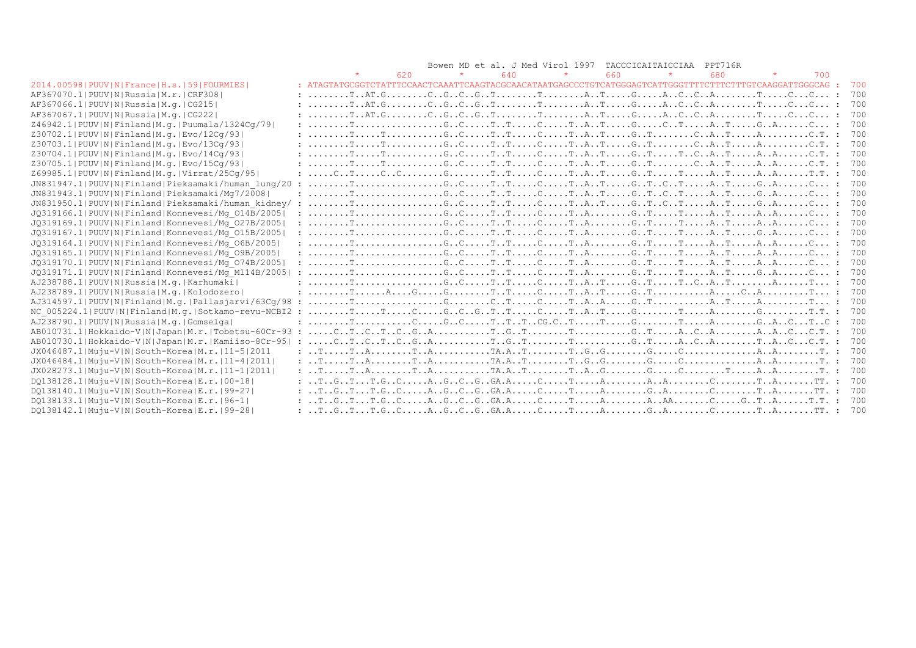|                                                        |                                                                                            |     |         |     | Bowen MD et al. J Med Virol 1997 TACCCICAITAICCIAA |     |         | PPT716R |     |     |
|--------------------------------------------------------|--------------------------------------------------------------------------------------------|-----|---------|-----|----------------------------------------------------|-----|---------|---------|-----|-----|
|                                                        |                                                                                            | 620 | $\star$ | 640 |                                                    | 660 | $\star$ | 680     | 700 |     |
| 2014.00598   PUUV   N   France   H.s.   59   FOURMIES  |                                                                                            |     |         |     |                                                    |     |         |         |     | 700 |
| AF367070.1 PUUV N Russia M.r. CRF308                   |                                                                                            |     |         |     |                                                    |     |         |         |     | 700 |
| AF367066.1 PUUV N Russia M.q. CG215                    |                                                                                            |     |         |     |                                                    |     |         |         |     | 700 |
| AF367067.1  PUUV   N   Russia   M. q.   CG222          |                                                                                            |     |         |     |                                                    |     |         |         |     |     |
| Z46942.1 PUUV N Finland M.g. Puumala/1324Cg/79         |                                                                                            |     |         |     |                                                    |     |         |         |     | 700 |
| Z30702.1 PUUV N Finland M.g. Evo/12Cq/93               |                                                                                            |     |         |     |                                                    |     |         |         |     |     |
| Z30703.1 PUUV N Finland M.g. Evo/13Cq/93               |                                                                                            |     |         |     |                                                    |     |         |         |     |     |
| Z30704.1 PUUV N Finland M.g. Evo/14Cq/93               |                                                                                            |     |         |     |                                                    |     |         |         |     | 700 |
| Z30705.1 PUUV N Finland M.g. Evo/15Cq/93               |                                                                                            |     |         |     |                                                    |     |         |         |     | 700 |
| Z69985.1 PUUV N Finland M.g. Virrat/25Cq/95            |                                                                                            |     |         |     |                                                    |     |         |         |     |     |
| JN831947.1 PUUV N Finland Pieksamaki/human lung/20 :   |                                                                                            |     |         |     |                                                    |     |         |         |     |     |
| JN831943.1 PUUV N Finland Pieksamaki/Mq7/2008          |                                                                                            |     |         |     |                                                    |     |         |         |     |     |
| JN831950.1 PUUV N Finland Pieksamaki/human kidney/ :   |                                                                                            |     |         |     |                                                    |     |         |         |     | 700 |
| JQ319166.1 PUUV N Finland Konnevesi/Mg 014B/2005       |                                                                                            |     |         |     |                                                    |     |         |         |     | 700 |
| JQ319169.1 PUUV N Finland Konnevesi/Mq 027B/2005       |                                                                                            |     |         |     |                                                    |     |         |         |     | 700 |
| JQ319167.1 PUUV N Finland Konnevesi/Mq 015B/2005       |                                                                                            |     |         |     |                                                    |     |         |         |     | 700 |
| JQ319164.1 PUUV N Finland Konnevesi/Mq 06B/2005        |                                                                                            |     |         |     |                                                    |     |         |         |     | 700 |
| JQ319165.1 PUUV N Finland Konnevesi/Mg 09B/2005        |                                                                                            |     |         |     |                                                    |     |         |         |     |     |
| JQ319170.1 PUUV N Finland Konnevesi/Mq 074B/2005       |                                                                                            |     |         |     |                                                    |     |         |         |     | 700 |
| JQ319171.1 PUUV N Finland Konnevesi/Mq M114B/2005      |                                                                                            |     |         |     |                                                    |     |         |         |     | 700 |
| AJ238788.1 PUUV N Russia M.q. Karhumaki                |                                                                                            |     |         |     |                                                    |     |         |         |     |     |
| AJ238789.1 PUUV N Russia M.g. Kolodozero               |                                                                                            |     |         |     |                                                    |     |         |         |     |     |
| $AJ314597.1 PUUV N Finland M,q. Pallasjarvi/63Cq/98$ : |                                                                                            |     |         |     |                                                    |     |         |         |     | 700 |
| NC 005224.1 PUUV N Finland M.q. Sotkamo-revu-NCBI2 :   |                                                                                            |     |         |     |                                                    |     |         |         |     | 700 |
| AJ238790.1 PUUV N Russia M.q. Gomselga                 |                                                                                            |     |         |     |                                                    |     |         |         |     | 700 |
| AB010731.1 Hokkaido-V N Japan M.r. Tobetsu-60Cr-93 :   |                                                                                            |     |         |     |                                                    |     |         |         |     |     |
| AB010730.1 Hokkaido-V N Japan M.r. Kamiiso-8Cr-95      |                                                                                            |     |         |     |                                                    |     |         |         |     |     |
| JX046487.1 Muju-V N South-Korea M.r. 11-5 2011         |                                                                                            |     |         |     |                                                    |     |         |         |     |     |
| JX046484.1 Muju-V N South-Korea M.r. 11-4 2011         |                                                                                            |     |         |     |                                                    |     |         |         |     |     |
| JX028273.1 Muju-V N South-Korea M.r. 11-1 2011         |                                                                                            |     |         |     |                                                    |     |         |         |     |     |
| DQ138128.1 Muju-V N South-Korea E.r. 00-18             |                                                                                            |     |         |     |                                                    |     |         |         |     |     |
| DO138140.1 Muju-V N South-Korea E.r. 99-27             | $: $ T $G$ T. $G$ C $C$ . $A$ G $C$ G $G.A$ $C$ $T$ $A$ $G$ $A$ $C$ $T$ T $A$ $TT.$ : 700  |     |         |     |                                                    |     |         |         |     |     |
| DQ138133.1 Muju-V N South-Korea E.r. 96-1              | $: $ T $G$ T. $G$ C $C$ . $A$ G $C$ G $G.A$ $C$ $T$ $A$ $A$ $A$ $C$ $G$ T $A$ $T.$ $: 700$ |     |         |     |                                                    |     |         |         |     |     |
| DQ138142.1 Muju-V N South-Korea E.r. 99-28             | $: $ TGTT.GCAGCGGA.ACTAGACTATT. : 700                                                      |     |         |     |                                                    |     |         |         |     |     |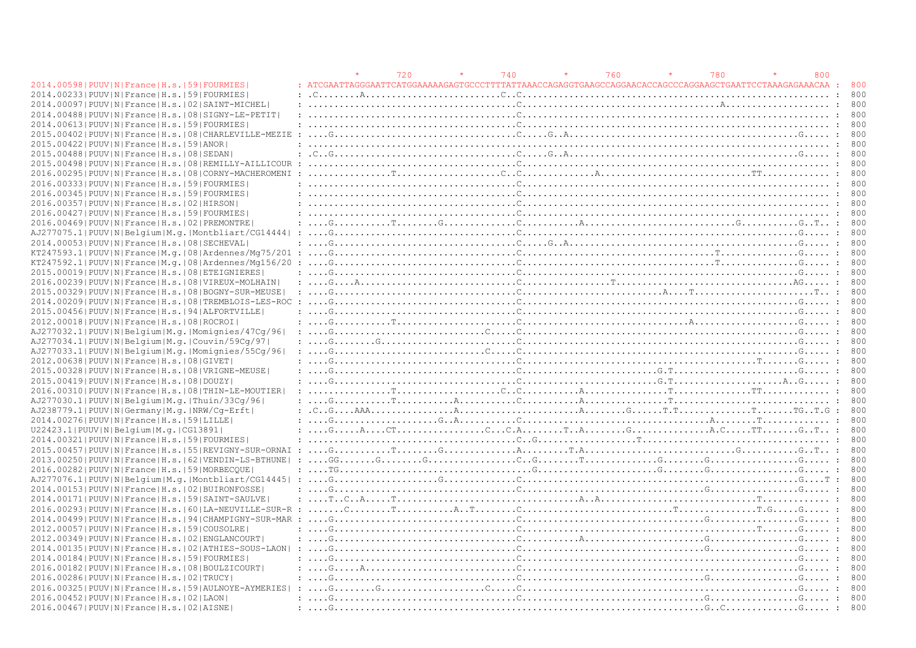|                                                                |                                                                                                                                                                                                                                                                                                                                                                                                                        | 720 | 740 | 760 | 780 | 800 |     |
|----------------------------------------------------------------|------------------------------------------------------------------------------------------------------------------------------------------------------------------------------------------------------------------------------------------------------------------------------------------------------------------------------------------------------------------------------------------------------------------------|-----|-----|-----|-----|-----|-----|
| 2014.00598   PUUV   N   France   H.s.   59   FOURMIES          |                                                                                                                                                                                                                                                                                                                                                                                                                        |     |     |     |     |     | 800 |
| 2014.002331PUUVINIFranceIH.s.1591FOURMIES                      |                                                                                                                                                                                                                                                                                                                                                                                                                        |     |     |     |     |     | 800 |
| 2014.00097 PUUV N France H.s. 02 SAINT-MICHEL                  |                                                                                                                                                                                                                                                                                                                                                                                                                        |     |     |     |     |     | 800 |
| 2014.00488   PUUV   N   France   H.s.   08   SIGNY-LE-PETIT    |                                                                                                                                                                                                                                                                                                                                                                                                                        |     |     |     |     |     | 800 |
| 2014.00613 PUUV N France H.s. 59 FOURMIES                      |                                                                                                                                                                                                                                                                                                                                                                                                                        |     |     |     |     |     | 800 |
| 2015.00402   PUUV   N   France   H.s.   08   CHARLEVILLE-MEZIE |                                                                                                                                                                                                                                                                                                                                                                                                                        |     |     |     |     |     |     |
| 2015.00422 PUUV N France H.s. 59 ANOR                          |                                                                                                                                                                                                                                                                                                                                                                                                                        |     |     |     |     |     | 800 |
| 2015.00488 PUUV N France H.s. 08 SEDAN                         |                                                                                                                                                                                                                                                                                                                                                                                                                        |     |     |     |     |     | 800 |
| 2015.00498 PUUV   N   France   H.s.   08   REMILLY-AILLICOUR   |                                                                                                                                                                                                                                                                                                                                                                                                                        |     |     |     |     |     |     |
| 2016.00295 PUUV N France H.s. 08 CORNY-MACHEROMENI             |                                                                                                                                                                                                                                                                                                                                                                                                                        |     |     |     |     |     |     |
| 2016.00333 PUUV N France H.s. 59 FOURMIES                      |                                                                                                                                                                                                                                                                                                                                                                                                                        |     |     |     |     |     | 800 |
| 2016.00345 PUUV N France H.s.  59 FOURMIES                     |                                                                                                                                                                                                                                                                                                                                                                                                                        |     |     |     |     |     |     |
| 2016.00357 PUUV N France H.s. 02 HIRSON                        |                                                                                                                                                                                                                                                                                                                                                                                                                        |     |     |     |     |     | 800 |
| 2016.00427 PUUV N France H.s. 59 FOURMIES                      | $\mathcal{C}$ . The contract of the contract of $\mathcal{C}$ . The contract of the contract of the contract of $\mathcal{C}$                                                                                                                                                                                                                                                                                          |     |     |     |     |     | 800 |
| 2016.00469 PUUV N France H.s. 02 PREMONTRE                     | $\ldots, G, \ldots, G, \ldots, T, \ldots, G, \ldots, G, \ldots, G, \ldots, G, \ldots, G, \ldots, G, \ldots, G, \ldots, G, \ldots, G, \ldots, G, \ldots, G, \ldots, G, \ldots, G, \ldots, G, \ldots, G, \ldots, G, \ldots, G, \ldots, G, \ldots, G, \ldots, G, \ldots, G, \ldots, G, \ldots, G, \ldots, G, \ldots, G, \ldots, G, \ldots, G, \ldots, G, \ldots, G, \ldots, G, \ldots, G, \ldots, G, \ldots, G, \ldots,$  |     |     |     |     |     |     |
|                                                                |                                                                                                                                                                                                                                                                                                                                                                                                                        |     |     |     |     |     |     |
| AJ277075.1 PUUV N Belgium M.g. Montbliart/CG14444              |                                                                                                                                                                                                                                                                                                                                                                                                                        |     |     |     |     |     | 800 |
| 2014.00053 PUUV N France H.s. 08 SECHEVAL                      | $\ldots$ . Given a sequence in the contract of $C_1, \ldots, C_{n-1}$ , $C_2, \ldots, C_{n-1}$ , and $C_3, \ldots, C_{n-1}$ , $C_4, \ldots, C_{n-1}$                                                                                                                                                                                                                                                                   |     |     |     |     |     |     |
| $KT247593.1$  PUUV N France M.q. 08 Ardennes/Mq75/201          |                                                                                                                                                                                                                                                                                                                                                                                                                        |     |     |     |     |     | 800 |
| KT247592.1 PUUV N France M.g. 08 Ardennes/Mg156/20             |                                                                                                                                                                                                                                                                                                                                                                                                                        |     |     |     |     |     | 800 |
| 2015.00019 PUUV N France H.s. 08 ETEIGNIERES                   |                                                                                                                                                                                                                                                                                                                                                                                                                        |     |     |     |     |     |     |
| 2016.00239   PUUV   N   France   H.s.   08   VIREUX-MOLHAIN    |                                                                                                                                                                                                                                                                                                                                                                                                                        |     |     |     |     |     | 800 |
| 2015.00329   PUUV   N   France   H.s.   08   BOGNY-SUR-MEUSE   |                                                                                                                                                                                                                                                                                                                                                                                                                        |     |     |     |     |     | 800 |
| 2014.00209   PUUV   N   France   H.s.   08   TREMBLOIS-LES-ROC | $\ldots$ . Given a set of the set of the set of $\mathbb{C}$ . The set of the set of the set of the set of the set of $\mathbb{C}$ . The set of the set of the set of the set of the set of the set of the set of the set of the set of                                                                                                                                                                                |     |     |     |     |     | 800 |
| 2015.00456 PUUV N France H.s. 94 ALFORTVILLE                   |                                                                                                                                                                                                                                                                                                                                                                                                                        |     |     |     |     |     |     |
| 2012.00018   PUUV   N   France   H.s.   08   ROCROI            |                                                                                                                                                                                                                                                                                                                                                                                                                        |     |     |     |     |     | 800 |
| AJ277032.1 PUUV N Belgium M.g. Momignies/47Cg/96               |                                                                                                                                                                                                                                                                                                                                                                                                                        |     |     |     |     |     | 800 |
| AJ277034.1 PUUV N Belgium M.g. Couvin/59Cq/97                  |                                                                                                                                                                                                                                                                                                                                                                                                                        |     |     |     |     |     | 800 |
| AJ277033.1 PUUV N Belgium M.g. Momignies/55Cq/96               |                                                                                                                                                                                                                                                                                                                                                                                                                        |     |     |     |     |     | 800 |
| 2012.00638   PUUV   N   France   H.s.   08   GIVET             |                                                                                                                                                                                                                                                                                                                                                                                                                        |     |     |     |     |     | 800 |
| 2015.00328   PUUV   N   France   H.s.   08   VRIGNE-MEUSE      |                                                                                                                                                                                                                                                                                                                                                                                                                        |     |     |     |     |     |     |
| 2015.00419 PUUV N France H.s. 08 DOUZY                         |                                                                                                                                                                                                                                                                                                                                                                                                                        |     |     |     |     |     | 800 |
| 2016.00310   PUUV   N   France   H.s.   08   THIN-LE-MOUTIER   |                                                                                                                                                                                                                                                                                                                                                                                                                        |     |     |     |     |     | 800 |
| AJ277030.1  PUUV  N  Belgium   M.g.   Thuin / 33Cq / 96        |                                                                                                                                                                                                                                                                                                                                                                                                                        |     |     |     |     |     | 800 |
| AJ238779.1 PUUV N Germany M.g. NRW/Cq-Erft                     |                                                                                                                                                                                                                                                                                                                                                                                                                        |     |     |     |     |     | 800 |
| 2014.00276  PUUV   N   France   H.s.   59   LILLE              |                                                                                                                                                                                                                                                                                                                                                                                                                        |     |     |     |     |     | 800 |
| U22423.1 PUUV N Belgium M.g. CG13891                           |                                                                                                                                                                                                                                                                                                                                                                                                                        |     |     |     |     |     | 800 |
| 2014.00321 PUUV N France H.s. 59 FOURMIES                      |                                                                                                                                                                                                                                                                                                                                                                                                                        |     |     |     |     |     | 800 |
| 2015.00457   PUUV   N   France   H.s.   55   REVIGNY-SUR-ORNAI | $G_{1}, \ldots, G_{n}, \ldots, G_{n}, \ldots, G_{n}, \ldots, G_{n}, \ldots, G_{n}, \ldots, G_{n}, \ldots, G_{n}, \ldots, G_{n}, \ldots, G_{n}, \ldots, G_{n}, \ldots, G_{n}, \ldots, G_{n}, \ldots, G_{n}, \ldots, G_{n}, \ldots, G_{n}, \ldots, G_{n}, \ldots, G_{n}, \ldots, G_{n}, \ldots, G_{n}, \ldots, G_{n}, \ldots, G_{n}, \ldots, G_{n}, \ldots, G_{n}, \ldots, G_{n}, \ldots, G_{n}, \ldots, G_{n}, \ldots,$ |     |     |     |     |     |     |
| 2013.00250   PUUV   N   France   H.s.   62   VENDIN-LS-BTHUNE  |                                                                                                                                                                                                                                                                                                                                                                                                                        |     |     |     |     |     | 800 |
| 2016.00282 PUUV N France H.s. 59 MORBECOUE                     |                                                                                                                                                                                                                                                                                                                                                                                                                        |     |     |     |     |     | 800 |
| AJ277076.1 PUUV N Belgium M.g. Montbliart/CG14445  :           |                                                                                                                                                                                                                                                                                                                                                                                                                        |     |     |     |     |     | 800 |
| 2014.00153 PUUV N France H.s. 02 BUIRONFOSSE                   |                                                                                                                                                                                                                                                                                                                                                                                                                        |     |     |     |     |     | 800 |
|                                                                |                                                                                                                                                                                                                                                                                                                                                                                                                        |     |     |     |     |     | 800 |
| 2014.00171 PUUV N France H.s. 59 SAINT-SAULVE                  |                                                                                                                                                                                                                                                                                                                                                                                                                        |     |     |     |     |     |     |
| 2016.00293 PUUV N France H.s. 60 LA-NEUVILLE-SUR-R             | $\cdot$ .                                                                                                                                                                                                                                                                                                                                                                                                              |     |     |     |     |     | 800 |
| 2014.00499   PUUV   N   France   H.s.   94   CHAMPIGNY-SUR-MAR |                                                                                                                                                                                                                                                                                                                                                                                                                        |     |     |     |     |     |     |
| 2012.00057 PUUV N France H.s. 59 COUSOLRE                      |                                                                                                                                                                                                                                                                                                                                                                                                                        |     |     |     |     |     | 800 |
| 2012.00349 PUUV N France H.s. 02 ENGLANCOURT                   |                                                                                                                                                                                                                                                                                                                                                                                                                        |     |     |     |     |     | 800 |
| 2014.00135 PUUV N France H.s. 02 ATHIES-SOUS-LAON              |                                                                                                                                                                                                                                                                                                                                                                                                                        |     |     |     |     |     | 800 |
| 2014.00184 PUUV N France H.s. 59 FOURMIES                      |                                                                                                                                                                                                                                                                                                                                                                                                                        |     |     |     |     |     | 800 |
| 2016.00182   PUUV   N   France   H.s.   08   BOULZICOURT       |                                                                                                                                                                                                                                                                                                                                                                                                                        |     |     |     |     |     | 800 |
| 2016.00286 PUUV N France H.s. 02 TRUCY                         |                                                                                                                                                                                                                                                                                                                                                                                                                        |     |     |     |     |     | 800 |
| 2016.00325   PUUV   N   France   H.s.   59   AULNOYE-AYMERIES  |                                                                                                                                                                                                                                                                                                                                                                                                                        |     |     |     |     |     |     |
| 2016.00452   PUUV   N   France   H.s.   02   LAON              |                                                                                                                                                                                                                                                                                                                                                                                                                        |     |     |     |     |     | 800 |
| 2016.00467   PUUV   N   France   H.s.   02   AISNE             |                                                                                                                                                                                                                                                                                                                                                                                                                        |     |     |     |     |     | 800 |
|                                                                |                                                                                                                                                                                                                                                                                                                                                                                                                        |     |     |     |     |     |     |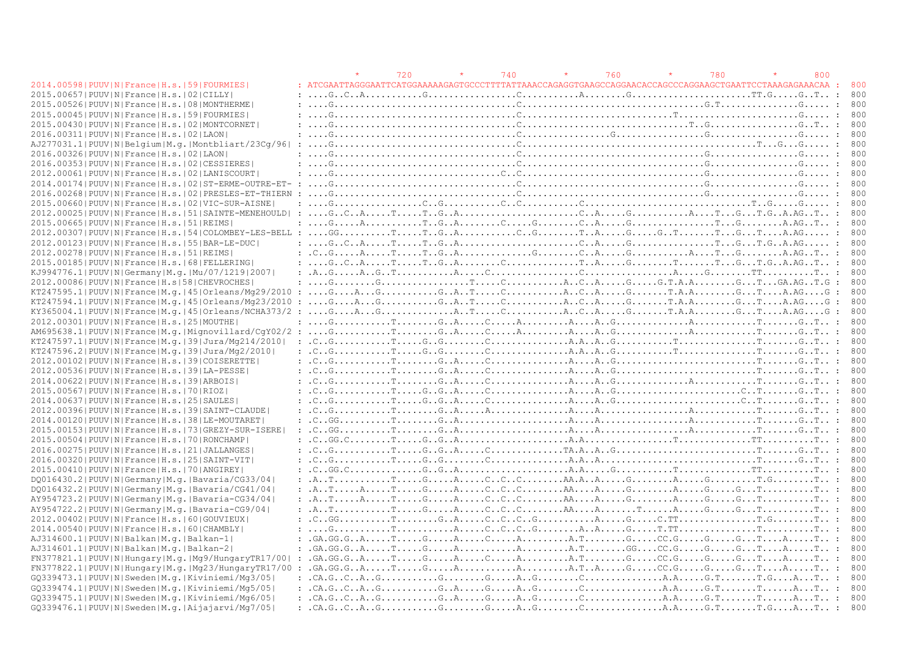|                                                                                  |                                                                                                                                                                                                                                                                                                                                                                                                                                                            | 720 | 740 | 760 | 780 | 800          |     |
|----------------------------------------------------------------------------------|------------------------------------------------------------------------------------------------------------------------------------------------------------------------------------------------------------------------------------------------------------------------------------------------------------------------------------------------------------------------------------------------------------------------------------------------------------|-----|-----|-----|-----|--------------|-----|
| 2014.00598   PUUV   N   France   H.s.   59   FOURMIES                            |                                                                                                                                                                                                                                                                                                                                                                                                                                                            |     |     |     |     |              | 800 |
| 2015.00657   PUUV   N   France   H.s.   02   CILLY                               |                                                                                                                                                                                                                                                                                                                                                                                                                                                            |     |     |     |     |              | 800 |
| 2015.00526 PUUV N France H.s. 08 MONTHERME                                       |                                                                                                                                                                                                                                                                                                                                                                                                                                                            |     |     |     |     |              | 800 |
| 2015.00045 PUUV N France H.s. 59 FOURMIES                                        |                                                                                                                                                                                                                                                                                                                                                                                                                                                            |     |     |     |     |              | 800 |
| 2015.00430   PUUV   N   France   H.s.   02   MONTCORNET                          |                                                                                                                                                                                                                                                                                                                                                                                                                                                            |     |     |     |     |              | 800 |
| 2016.00311 PUUV N France H.s. 02 LAON                                            |                                                                                                                                                                                                                                                                                                                                                                                                                                                            |     |     |     |     |              | 800 |
| AJ277031.1 PUUV N Belgium M.g. Montbliart/23Cq/96                                |                                                                                                                                                                                                                                                                                                                                                                                                                                                            |     |     |     |     |              | 800 |
| 2016.00326 PUUV N France H.s. 02 LAON                                            |                                                                                                                                                                                                                                                                                                                                                                                                                                                            |     |     |     |     |              | 800 |
| 2016.00353 PUUV N France H.s. 02 CESSIERES                                       |                                                                                                                                                                                                                                                                                                                                                                                                                                                            |     |     |     |     |              | 800 |
| 2012.00061   PUUV   N   France   H.s.   02   LANISCOURT                          |                                                                                                                                                                                                                                                                                                                                                                                                                                                            |     |     |     |     |              | 800 |
| 2014.00174   PUUV   N   France   H.s.   02   ST-ERME-OUTRE-ET- :                 |                                                                                                                                                                                                                                                                                                                                                                                                                                                            |     |     |     |     |              | 800 |
| 2016.00268 PUUV N France H.s. 02 PRESLES-ET-THIERN                               |                                                                                                                                                                                                                                                                                                                                                                                                                                                            |     |     |     |     |              | 800 |
| 2015.00660   PUUV   N   France   H.s.   02   VIC-SUR-AISNE                       |                                                                                                                                                                                                                                                                                                                                                                                                                                                            |     |     |     |     |              | 800 |
| 2012.00025 PUUV N France H.s. 51 SAINTE-MENEHOULD                                | $\ldots, G \ldots, C \ldots, R \ldots, T \ldots, T \ldots, G \ldots, A \ldots, \ldots, \ldots, C \ldots, A \ldots, G \ldots, A \ldots, \ldots, A \ldots, T \ldots, G \ldots, T \ldots, A \ldots, T \ldots, A \ldots, T \ldots, A \ldots, T \ldots, A \ldots, T \ldots, A \ldots, T \ldots, A \ldots, T \ldots, T \ldots, G \ldots, A \ldots, T \ldots, T \ldots, G \ldots, A \ldots, T \ldots, T \ldots, G \ldots, T \ldots, T \ldots, G \ldots, T \ldots$ |     |     |     |     |              | 800 |
| 2015.00665 PUUV N France H.s. 51 REIMS                                           | $: \ldots, G, \ldots, A, \ldots, \ldots, T, G, A, \ldots, G, \ldots, G, \ldots, G, A, \ldots, G, \ldots, G, \ldots, G, \ldots, G, \ldots, G, \ldots, G, \ldots, G, A, \ldots, G, \ldots, G, \ldots, G, \ldots, G, \ldots, G, \ldots, G, \ldots, G, \ldots, G, \ldots, G, \ldots, G, \ldots, G, \ldots, G, \ldots, G, \ldots, G, \ldots, G, \ldots, G, \ldots, G, \ldots, G, \ldots, G, \ldots, G, \ldots, G, \ldots$                                       |     |     |     |     |              | 800 |
| $2012.00307$  PUUV N France H.s. 54 COLOMBEY-LES-BELL: GGTTGACGTAGGTGTGTGTA.AG : |                                                                                                                                                                                                                                                                                                                                                                                                                                                            |     |     |     |     |              | 800 |
| 2012.00123  PUUV   N   France   H.s.   55   BAR-LE-DUC                           |                                                                                                                                                                                                                                                                                                                                                                                                                                                            |     |     |     |     |              | 800 |
| 2012.00278   PUUV   N   France   H.s.   51   REIMS                               |                                                                                                                                                                                                                                                                                                                                                                                                                                                            |     |     |     |     |              | 800 |
| 2015.00185 PUUV N France H.s. 68 FELLERING                                       | : $GCATTTGACCTTAGTTTGTGA.AT$                                                                                                                                                                                                                                                                                                                                                                                                                               |     |     |     |     |              | 800 |
| KJ994776.1  PUUV   N   Germany   M. q.   Mu / 07 / 1219   2007                   | : $A_{1}, G_{2}, \ldots, A_{n}, G_{2}, T_{1}, \ldots, T_{n}, A_{n}, \ldots, G_{n}, \ldots, G_{n}, \ldots, G_{n}, \ldots, G_{n}, \ldots, G_{n}, \ldots, G_{n}, \ldots, G_{n}, \ldots, G_{n}, \ldots, G_{n}, \ldots, G_{n}, \ldots, G_{n}, \ldots, G_{n}, \ldots, G_{n}, \ldots, G_{n}, \ldots, G_{n}, \ldots, G_{n}, \ldots, G_{n}, \ldots, G_{n}, \ldots, G_{n}, \ldots, G_{n}, \ldots, G_{n}, \ldots, G_{n}, \ldots, G_{$                                 |     |     |     |     |              | 800 |
| 2012.00086 PUUV N France H.s 58 CHEVROCHES                                       |                                                                                                                                                                                                                                                                                                                                                                                                                                                            |     |     |     |     |              | 800 |
| KT247595.1 PUUV N France M.g. 45 Orleans/Mg29/2010                               | $\ldots, G, \ldots, A, \ldots, G, \ldots, G, \ldots, G, \ldots, G, \ldots, G, \ldots, G, \ldots, G, \ldots, G, \ldots, G, \ldots, G, \ldots, G, \ldots, G, \ldots, G, \ldots, G, \ldots, G, \ldots, G, \ldots, G, \ldots, G, \ldots, G, \ldots, G, \ldots, G, \ldots, G, \ldots, G, \ldots, G, \ldots, G, \ldots, G, \ldots, G, \ldots, G, \ldots, G, \ldots, G, \ldots, G, \ldots, G, \ldots, G, \ldots, G, \ldots,$<br>$\cdot$ .                         |     |     |     |     | $\mathbf{r}$ | 800 |
| $KT247594.1 PUUV N Frame M,q. 45 Orleans/Mq23/2010$                              | $\ldots$ . G. $\ldots$ . A. $\ldots$ . G. $\ldots$ . G. $\ldots$ . T. $\ldots$ . C. $\ldots$ . $\ldots$ . A. $\ldots$ . G. $\ldots$ . T. $\ldots$ . G. $\ldots$ . $\ldots$ . G. $\ldots$ . G. $\ldots$ . G. $\ldots$ . G. $\ldots$ . G. $\ldots$ . G. $\ldots$ . G. $\ldots$ . G. $\ldots$ . G. $\ldots$ . G. $\ldots$ .                                                                                                                                   |     |     |     |     |              | 800 |
| KY365004.1 PUUV N France M.g. 45 Orleans/NCHA373/2:GAGATCACAGT.A.AGT.A.AGTA.AGG: |                                                                                                                                                                                                                                                                                                                                                                                                                                                            |     |     |     |     |              | 800 |
| 2012.00301 PUUV N France H.s. 25 MOUTHE                                          | : $G_{1},,G_{n},,T_{n},,G_{n},A_{n},,C_{n},,A_{n},,A_{n},,G_{n},,G_{n},,A_{n},,A_{n},,A_{n},,A_{n},,T_{n},,G_{n},T_{n},$                                                                                                                                                                                                                                                                                                                                   |     |     |     |     |              | 800 |
| AM695638.1 PUUV N France M.q. Mignovillard/CqY02/2                               |                                                                                                                                                                                                                                                                                                                                                                                                                                                            |     |     |     |     |              | 800 |
| KT247597.1 PUUV N France M.g. 39 Jura/Mg214/2010                                 |                                                                                                                                                                                                                                                                                                                                                                                                                                                            |     |     |     |     |              | 800 |
| KT247596.2 PUUV N France M.q. 39 Jura/Mq2/2010                                   | : $C_{1}, C_{2}, C_{3}, C_{4}, C_{5}, C_{5}, C_{6}, C_{7}, C_{8}, C_{9}, C_{10}, C_{11}, C_{12}, C_{13}, C_{14}, C_{15}, C_{16}, C_{17}, C_{18}, C_{19}, C_{10}, C_{11}, C_{12}, C_{13}, C_{14}, C_{15}, C_{16}, C_{17}, C_{18}, C_{19}, C_{10}, C_{11}, C_{12}, C_{13}, C_{14}, C_{15}, C_{16}, C_{17}, C_{18}, C_{19}, C_{10}, C_{10}, C_{11}, C_{12}, C_{13}, C_{1$                                                                                     |     |     |     |     |              | 800 |
|                                                                                  |                                                                                                                                                                                                                                                                                                                                                                                                                                                            |     |     |     |     |              | 800 |
| 2012.00102   PUUV   N   France   H.s.   39   COISERETTE                          |                                                                                                                                                                                                                                                                                                                                                                                                                                                            |     |     |     |     |              | 800 |
| 2012.00536   PUUV   N   France   H.s.   39   LA-PESSE                            |                                                                                                                                                                                                                                                                                                                                                                                                                                                            |     |     |     |     |              |     |
| 2014.00622 PUUV N France H.s. 39 ARBOIS                                          |                                                                                                                                                                                                                                                                                                                                                                                                                                                            |     |     |     |     |              | 800 |
| 2015.00567   PUUV   N   France   H.s.   70   RIOZ                                |                                                                                                                                                                                                                                                                                                                                                                                                                                                            |     |     |     |     |              | 800 |
| 2014.00637 PUUV N France H.s. 25 SAULES                                          |                                                                                                                                                                                                                                                                                                                                                                                                                                                            |     |     |     |     |              | 800 |
| 2012.00396   PUUV   N   France   H.s.   39   SAINT-CLAUDE                        |                                                                                                                                                                                                                                                                                                                                                                                                                                                            |     |     |     |     |              | 800 |
| 2014.00120   PUUV   N   France   H.s.   38   LE-MOUTARET                         | : $C_{1.0}$ $G_{2.1}$ $G_{3.1}$ $G_{4.1}$ $G_{5.1}$ $G_{6.1}$ $G_{7.1}$ $G_{8.1}$ $G_{9.1}$ $G_{1.1}$ $G_{1.2}$ $G_{1.3}$ $G_{1.4}$ $G_{1.5}$ $G_{1.6}$ $G_{1.7}$ $G_{1.8}$ $G_{1.9}$ $G_{1.1}$ $G_{1.1}$ $G_{1.1}$ $G_{1.1}$ $G_{1.1}$ $G_{1.1}$ $G_{$                                                                                                                                                                                                    |     |     |     |     |              | 800 |
| 2015.00153 PUUV N France H.s. 73 GREZY-SUR-ISERE                                 | : $C. G. G. \ldots, \ldots, T. \ldots, G. A. \ldots, \ldots, \ldots, \ldots, A. \ldots, A. \ldots, \ldots, A. \ldots, \ldots, A. \ldots, \ldots, T. \ldots, G. T. \ldots;$                                                                                                                                                                                                                                                                                 |     |     |     |     |              | 800 |
| 2015.00504   PUUV   N   France   H.s.   70   RONCHAMP                            |                                                                                                                                                                                                                                                                                                                                                                                                                                                            |     |     |     |     |              | 800 |
| 2016.00275 PUUV N France H.s. 21 JALLANGES                                       |                                                                                                                                                                                                                                                                                                                                                                                                                                                            |     |     |     |     |              | 800 |
| 2016.00320   PUUV   N   France   H.s.   25   SAINT-VIT                           |                                                                                                                                                                                                                                                                                                                                                                                                                                                            |     |     |     |     |              |     |
| 2015.00410 PUUV N France H.s. 70 ANGIREY                                         |                                                                                                                                                                                                                                                                                                                                                                                                                                                            |     |     |     |     |              | 800 |
| DO016430.2   PUUV   N   Germany   M. g.   Bavaria/CG33/04                        | $\ldots$ $\ldots$ $\ldots$ $\ldots$ $\ldots$ $\ldots$ $\ldots$ $\ldots$ $\ldots$ $\ldots$ $\ldots$ $\ldots$ $\ldots$ $\ldots$ $\ldots$ $\ldots$ $\ldots$ $\ldots$ $\ldots$ $\ldots$ $\ldots$ $\ldots$ $\ldots$ $\ldots$ $\ldots$ $\ldots$ $\ldots$ $\ldots$ $\ldots$ $\ldots$ $\ldots$ $\ldots$ $\ldots$ $\ldots$ $\ldots$ $\ldots$ $\ldots$                                                                                                               |     |     |     |     |              | 800 |
| DQ016432.2 PUUV N Germany M.g. Bavaria/CG41/04                                   | : $A_{1}, T_{1}, \ldots, A_{1}, \ldots, T_{1}, \ldots, G_{1}, \ldots, A_{1}, \ldots, C_{1}, C_{1}, C_{1}, \ldots, A_{n}, \ldots, G_{1}, \ldots, A_{1}, \ldots, G_{1}, \ldots, G_{1}, \ldots, G_{1}, \ldots, G_{1}, \ldots, G_{1}, \ldots, G_{1}, \ldots, G_{1}, \ldots, G_{1}, \ldots, G_{1}, \ldots, G_{1}, \ldots, G_{1}, \ldots, G_{1}, \ldots, G_{1}, \ldots, G_{1}, \ldots, G_{1}, \ldots, G_{1}, \ldots, G_{1}, \ld$                                 |     |     |     |     |              | 800 |
| AY954723.2   PUUV   N   Germany   M.g.   Bavaria-CG34/04                         |                                                                                                                                                                                                                                                                                                                                                                                                                                                            |     |     |     |     |              | 800 |
| AY954722.2   PUUV   N   Germany   M. g.   Bavaria-CG9/04                         | $\ldots$ $\ldots$ $\ldots$ $\ldots$ $\ldots$ $\ldots$ $\ldots$ $\ldots$ $\ldots$ $\ldots$ $\ldots$ $\ldots$ $\ldots$ $\ldots$ $\ldots$ $\ldots$ $\ldots$ $\ldots$ $\ldots$ $\ldots$ $\ldots$ $\ldots$ $\ldots$ $\ldots$ $\ldots$ $\ldots$ $\ldots$ $\ldots$ $\ldots$ $\ldots$ $\ldots$ $\ldots$ $\ldots$ $\ldots$ $\ldots$ $\ldots$ $\ldots$                                                                                                               |     |     |     |     |              | 800 |
| 2012.00402 PUUV N France H.s. 60 GOUVIEUX                                        |                                                                                                                                                                                                                                                                                                                                                                                                                                                            |     |     |     |     |              |     |
| 2014.00540 PUUV N France H.s. 60 CHAMBLY                                         |                                                                                                                                                                                                                                                                                                                                                                                                                                                            |     |     |     |     |              |     |
| AJ314600.1 PUUV N Balkan M.g. Balkan-1                                           | $G.A.G.G.G.G.A.$ $T.$ $G.$ $A.$ $C.$ $A.$ $A.$ $G.$ $G.$ $G.$ $G.$ $G.$ $A.$ $T.$                                                                                                                                                                                                                                                                                                                                                                          |     |     |     |     |              | 800 |
| AJ314601.1 PUUV N Balkan M.q. Balkan-2                                           |                                                                                                                                                                                                                                                                                                                                                                                                                                                            |     |     |     |     |              | 800 |
| FN377821.1  PUUV   N   Hungary   M.g.   Mg9/ Hungary TR17/00                     | $G.A.G.G.GG. A. \ldots, T. \ldots, G. \ldots, A. \ldots, C. \ldots, A. \ldots, A. T. \ldots, G. \ldots, G. \ldots, G. \ldots, G. \ldots, G. \ldots, A. \ldots, T. \ldots, T. \ldots, T. \ldots, A. \ldots, T. \ldots, A. \ldots, T. \ldots, A. \ldots, T. \ldots, A. \ldots, T. \ldots, A. \ldots, T. \ldots, A. \ldots, T. \ldots, T. \ldots, T. \ldots, T. \ldots, T. \ldots, T. \ldots, T. \ldots, T. \ldots,$                                          |     |     |     |     |              | 800 |
| FN377822.1 PUUV N Hungary M.g. Mg23/HungaryTR17/00                               | $G.A.GG.G. A. \ldots, T. \ldots, G. \ldots, A. \ldots, A. \ldots, A. T. A. \ldots, G. \ldots, C. G. \ldots, G. \ldots, G. \ldots, G. \ldots, A. \ldots, T. \ldots, T. \ldots, T.$                                                                                                                                                                                                                                                                          |     |     |     |     |              | 800 |
| GO339473.1 PUUV N Sweden M.g. Kiviniemi/Mg3/05                                   |                                                                                                                                                                                                                                                                                                                                                                                                                                                            |     |     |     |     |              | 800 |
| GO339474.1 PUUV N Sweden M.g. Kiviniemi/Mg5/05                                   |                                                                                                                                                                                                                                                                                                                                                                                                                                                            |     |     |     |     |              | 800 |
| GQ339475.1 PUUV N Sweden M.g. Kiviniemi/Mg6/05                                   | $C. C.A.G. C. A. G. \ldots A. G. \ldots G. A. \ldots G. \ldots A. G. \ldots C. \ldots C. \ldots C. \ldots A. A. \ldots G. T. \ldots T. \ldots A. \ldots T. \ldots A. \ldots T.$                                                                                                                                                                                                                                                                            |     |     |     |     |              | 800 |
| GQ339476.1 PUUV N Sweden M.g. Aijajarvi/Mq7/05                                   |                                                                                                                                                                                                                                                                                                                                                                                                                                                            |     |     |     |     |              | 800 |
|                                                                                  |                                                                                                                                                                                                                                                                                                                                                                                                                                                            |     |     |     |     |              |     |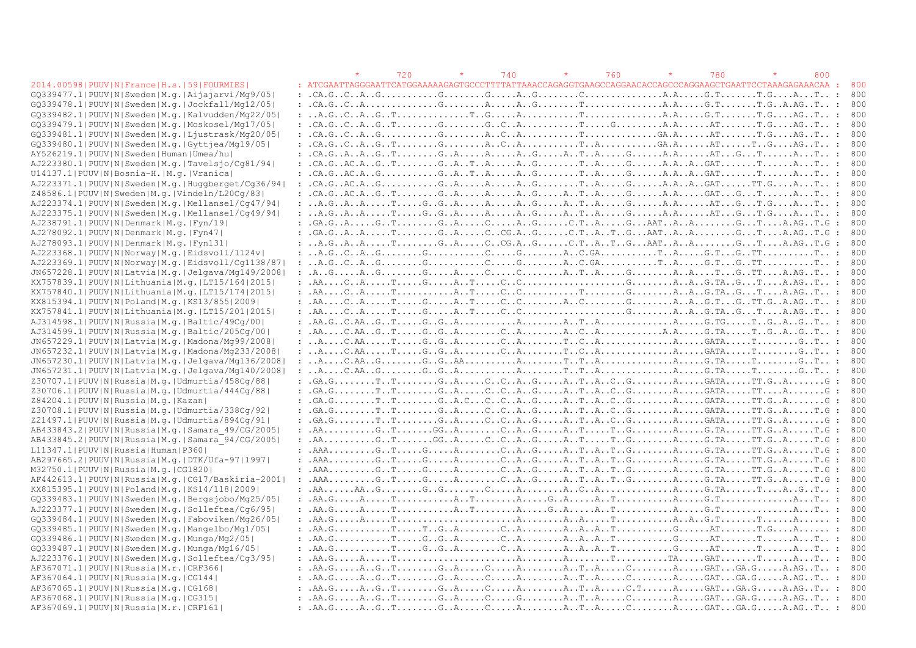#### 2014.00598| PUUV|N|France|H.s.|59|FOURMIES|

|                                                            |  | 720 | 740 | 760 |                                                                                                                                                                                                                                                                                                                                                                                                                                                                                                                      | 780 | 800 |                   |            |
|------------------------------------------------------------|--|-----|-----|-----|----------------------------------------------------------------------------------------------------------------------------------------------------------------------------------------------------------------------------------------------------------------------------------------------------------------------------------------------------------------------------------------------------------------------------------------------------------------------------------------------------------------------|-----|-----|-------------------|------------|
| 2014.00598   PUUV   N   France   H.s.   59   FOURMIES      |  |     |     |     | : ATCGAATTAGGGAATTCATGGAAAAAGAGTGCCCTTTTATTAAACCAGAGGTGAAGCCAGGAACACCAGCCCAGGAAGCTGAATTCCTAAAGAGAAACAA                                                                                                                                                                                                                                                                                                                                                                                                               |     |     | - 11              | - 800      |
| GQ339477.1 PUUV N Sweden M.g. Aijajarvi/Mg9/05             |  |     |     |     | $: .CA.G. C. A. G. \ldots$                                                                                                                                                                                                                                                                                                                                                                                                                                                                                           |     |     |                   | 800        |
| GQ339478.1 PUUV N Sweden M.g. Jockfall/Mg12/05             |  |     |     |     |                                                                                                                                                                                                                                                                                                                                                                                                                                                                                                                      |     |     |                   | 800        |
| GQ339482.1 PUUV N Sweden M.g. Kalvudden/Mg22/05            |  |     |     |     |                                                                                                                                                                                                                                                                                                                                                                                                                                                                                                                      |     |     |                   | 800        |
| GO339479.1 PUUV N Sweden M.g. Moskosel/Mg17/05             |  |     |     |     |                                                                                                                                                                                                                                                                                                                                                                                                                                                                                                                      |     |     |                   | 800        |
| GQ339481.1 PUUV N Sweden M.q. Ljustrask/Mq20/05            |  |     |     |     | $: .CA.G. C. A. G. \ldots G. \ldots G. \ldots G. A. C. A. \ldots G. A. \ldots T. \ldots G. A. \ldots G. A. \ldots A T. \ldots T. G. \ldots AG. T. \ldots G.$                                                                                                                                                                                                                                                                                                                                                         |     |     |                   | 800        |
| GQ339480.1 PUUV N Sweden M.g. Gyttjea/Mg19/05              |  |     |     |     | $: .CA.G. C. A. G. T. \ldots G. \ldots G. \ldots A. C. A. \ldots \ldots T. A. \ldots A. \ldots G. A. \ldots G. A. \ldots A T. \ldots T. G. \ldots A G. T. \ldots G.$                                                                                                                                                                                                                                                                                                                                                 |     |     |                   | 800        |
| AY526219.1 PUUV N Sweden Human Umea/hu                     |  |     |     |     | $\ldots A. G. A. A. A. G. T. \ldots \ldots G. A. \ldots A. \ldots A. G. \ldots A. T. A. \ldots G. \ldots A. A. \ldots A. A. \ldots A. T. \ldots G. \ldots A. \ldots A. \ldots T. \ldots A.$                                                                                                                                                                                                                                                                                                                          |     |     |                   | 800        |
| AJ223380.1 PUUV N Sweden M.g. Tavelsjo/Cq81/94             |  |     |     |     |                                                                                                                                                                                                                                                                                                                                                                                                                                                                                                                      |     |     |                   | 800        |
| U14137.1 PUUV N Bosnia-H. M.g. Vranica                     |  |     |     |     |                                                                                                                                                                                                                                                                                                                                                                                                                                                                                                                      |     |     |                   | 800        |
| AJ223371.1 PUUV N Sweden M.q. Huqqberqet/Cq36/94           |  |     |     |     |                                                                                                                                                                                                                                                                                                                                                                                                                                                                                                                      |     |     |                   | 800        |
| Z48586.1 PUUV N Sweden M.g. Vindeln/L20Cq/83               |  |     |     |     |                                                                                                                                                                                                                                                                                                                                                                                                                                                                                                                      |     |     |                   | 800        |
| AJ223374.1 PUUV N Sweden M.g. Mellansel/Cq47/94            |  |     |     |     |                                                                                                                                                                                                                                                                                                                                                                                                                                                                                                                      |     |     |                   | 800        |
| AJ223375.1 PUUV N Sweden M.q. Mellansel/Cq49/94            |  |     |     |     |                                                                                                                                                                                                                                                                                                                                                                                                                                                                                                                      |     |     |                   | 800        |
| AJ238791.1 PUUV N Denmark M.q. Fyn/19                      |  |     |     |     |                                                                                                                                                                                                                                                                                                                                                                                                                                                                                                                      |     |     |                   | 800        |
| AJ278092.1 PUUV N Denmark M.q. Fyn47                       |  |     |     |     |                                                                                                                                                                                                                                                                                                                                                                                                                                                                                                                      |     |     |                   | 800        |
| AJ278093.1 PUUV N Denmark M.q. Fyn131                      |  |     |     |     |                                                                                                                                                                                                                                                                                                                                                                                                                                                                                                                      |     |     |                   | 800        |
| AJ223368.1 PUUV N Norway M.q. Eidsvoll/1124v               |  |     |     |     |                                                                                                                                                                                                                                                                                                                                                                                                                                                                                                                      |     |     |                   | 800        |
| AJ223369.1 PUUV N Norway M.g. Eidsvoll/Cq1138/87           |  |     |     |     |                                                                                                                                                                                                                                                                                                                                                                                                                                                                                                                      |     |     |                   | 800        |
| JN657228.1 PUUV N Latvia M.g. Jelgava/Mg149/2008           |  |     |     |     |                                                                                                                                                                                                                                                                                                                                                                                                                                                                                                                      |     |     |                   | 800        |
| KX757839.1  PUUV   N   Lithuania   M. q.   LT15/164   2015 |  |     |     |     |                                                                                                                                                                                                                                                                                                                                                                                                                                                                                                                      |     |     |                   | 800        |
| KX757840.1 PUUV N Lithuania M.q. LT15/174 2015             |  |     |     |     |                                                                                                                                                                                                                                                                                                                                                                                                                                                                                                                      |     |     |                   | 800        |
| KX815394.1 PUUV N Poland M.q. KS13/855 2009                |  |     |     |     |                                                                                                                                                                                                                                                                                                                                                                                                                                                                                                                      |     |     |                   | 800        |
| KX757841.1  PUUV   N   Lithuania   M. g.   LT15/201   2015 |  |     |     |     |                                                                                                                                                                                                                                                                                                                                                                                                                                                                                                                      |     |     |                   | 800        |
| AJ314598.1 PUUV N Russia M.q. Baltic/49Cq/00               |  |     |     |     |                                                                                                                                                                                                                                                                                                                                                                                                                                                                                                                      |     |     |                   | 800        |
| AJ314599.1  PUUV   N   Russia   M.g.   Baltic/205Cg/00     |  |     |     |     | $\ldots$ . AA $\ldots$ . C. AA $\ldots$ G. T $\ldots$ . G. G. A $\ldots$ . C. A $\ldots$ . A. A. C. A $\ldots$ . A. A. $\ldots$ . G. TA $\ldots$ . G. A. G. T. $\ldots$ :                                                                                                                                                                                                                                                                                                                                            |     |     |                   | 800        |
| JN657229.1  PUUV   N   Latvia   M.g.   Madona/Mg99/2008    |  |     |     |     |                                                                                                                                                                                                                                                                                                                                                                                                                                                                                                                      |     |     |                   | 800        |
| JN657232.1 PUUV N Latvia M.g. Madona/Mg233/2008            |  |     |     |     |                                                                                                                                                                                                                                                                                                                                                                                                                                                                                                                      |     |     |                   |            |
| JN657230.1 PUUV N Latvia M.g. Jelgava/Mg136/2008           |  |     |     |     |                                                                                                                                                                                                                                                                                                                                                                                                                                                                                                                      |     |     |                   | 800<br>800 |
|                                                            |  |     |     |     |                                                                                                                                                                                                                                                                                                                                                                                                                                                                                                                      |     |     |                   |            |
| JN657231.1 PUUV N Latvia M.g. Jelgava/Mg140/2008           |  |     |     |     |                                                                                                                                                                                                                                                                                                                                                                                                                                                                                                                      |     |     |                   | 800        |
| Z30707.1 PUUV N Russia M.g. Udmurtia/458Cq/88              |  |     |     |     | $: .GA.G. \ldots \ldots \ldots \ldots \ldots \ldots G. A. \ldots \ldots C. \ldots A. \ldots G. \ldots A. \ldots G. \ldots G. \ldots A. \ldots A. \ldots A. \ldots A. \ldots G. A \ldots \ldots \ldots G. A \ldots \ldots G.$                                                                                                                                                                                                                                                                                         |     |     |                   | 800        |
| Z30706.1 PUUV N Russia M.g. Udmurtia/444Cq/88              |  |     |     |     |                                                                                                                                                                                                                                                                                                                                                                                                                                                                                                                      |     |     |                   | 800        |
| Z84204.1 PUUV N Russia M.g. Kazan                          |  |     |     |     |                                                                                                                                                                                                                                                                                                                                                                                                                                                                                                                      |     |     |                   | - 800      |
| Z30708.1 PUUV N Russia M.g. Udmurtia/338Cq/92              |  |     |     |     |                                                                                                                                                                                                                                                                                                                                                                                                                                                                                                                      |     |     |                   | 800        |
| Z21497.1 PUUV N Russia M.g. Udmurtia/894Cq/91              |  |     |     |     | $: .GA.G. \ldots \ldots \ldots \ldots \ldots \ldots G. A \ldots \ldots \ldots C \ldots C \ldots A \ldots G \ldots A \ldots \ldots G \ldots A \ldots \ldots A \ldots \ldots A \ldots \ldots A \ldots \ldots G A \ldots \ldots \ldots \ldots G \ldots A \ldots \ldots \ldots G \ldots A \ldots \ldots \ldots G \ldots A \ldots \ldots \ldots G \ldots A \ldots \ldots \ldots A \ldots \ldots A \ldots \ldots \ldots G \ldots A \ldots \ldots \ldots G \ldots A \ldots \ldots \ldots \ldots G \ldots \ldots \ldots \ld$ |     |     | : 800             |            |
| AB433843.2 PUUV N Russia M.g. Samara 49/CG/2005            |  |     |     |     |                                                                                                                                                                                                                                                                                                                                                                                                                                                                                                                      |     |     |                   | 800        |
| AB433845.2 PUUV N Russia M.g. Samara 94/CG/2005            |  |     |     |     |                                                                                                                                                                                                                                                                                                                                                                                                                                                                                                                      |     |     |                   | 800        |
| L11347.1 PUUV N Russia Human P360                          |  |     |     |     |                                                                                                                                                                                                                                                                                                                                                                                                                                                                                                                      |     |     | $\ddot{\cdot}$    | 800        |
| AB297665.2 PUUV N Russia M.g. DTK/Ufa-97 1997              |  |     |     |     |                                                                                                                                                                                                                                                                                                                                                                                                                                                                                                                      |     |     |                   | 800        |
| M32750.1 PUUV N Russia M.q. CG1820                         |  |     |     |     | $: AAA.$ $G.$ $T.$ $G.$ $A.$ C. $A.$ . $G.$ $A.$ . $T.$ . $A.$ . $T.$ . $G.$ $A.$ $G.$ $T.$ $T.$ . $G.$ $T.$ $G.$                                                                                                                                                                                                                                                                                                                                                                                                    |     |     |                   | 800        |
| AF442613.1 PUUV N Russia M.q. CG17/Baskiria-2001           |  |     |     |     |                                                                                                                                                                                                                                                                                                                                                                                                                                                                                                                      |     |     |                   |            |
| KX815395.1 PUUV N Poland M.q. KS14/118 2009                |  |     |     |     | $\ldots$ . AA $\ldots$ . AA $\ldots$ . G $\ldots$ . G $\ldots$ . G $\ldots$ . $\ldots$ . A $\ldots$ . A $\ldots$ . A $\ldots$ . A $\ldots$ . A $\ldots$ . A $\ldots$ . G $\ldots$ . A $\ldots$ . G $\ldots$ . A $\ldots$ . G $\ldots$ . T $\ldots$ . A $\ldots$ . G $\ldots$ . T $\ldots$                                                                                                                                                                                                                            |     |     |                   | - 800      |
| GQ339483.1 PUUV N Sweden M.q. Bergsjobo/Mg25/05            |  |     |     |     |                                                                                                                                                                                                                                                                                                                                                                                                                                                                                                                      |     |     |                   | 800        |
| AJ223377.1 PUUV N Sweden M.q. Solleftea/Cq6/95             |  |     |     |     |                                                                                                                                                                                                                                                                                                                                                                                                                                                                                                                      |     |     |                   | 800        |
| GO339484.1 PUUV N Sweden M.g. Faboviken/Mg26/05            |  |     |     |     |                                                                                                                                                                                                                                                                                                                                                                                                                                                                                                                      |     |     |                   | 800        |
| GQ339485.1 PUUV N Sweden M.g. Mangelbo/Mg1/05              |  |     |     |     |                                                                                                                                                                                                                                                                                                                                                                                                                                                                                                                      |     |     |                   | 800        |
| GQ339486.1 PUUV N Sweden M.q. Munga/Mg2/05                 |  |     |     |     |                                                                                                                                                                                                                                                                                                                                                                                                                                                                                                                      |     |     |                   | 800        |
| GQ339487.1 PUUV N Sweden M.q. Munga/Mg16/05                |  |     |     |     |                                                                                                                                                                                                                                                                                                                                                                                                                                                                                                                      |     |     |                   | 800        |
| AJ223376.1 PUUV N Sweden M.g. Solleftea/Cq3/95             |  |     |     |     |                                                                                                                                                                                                                                                                                                                                                                                                                                                                                                                      |     |     |                   | 800        |
| AF367071.1  PUUV   N   Russia   M.r.   CRF366              |  |     |     |     |                                                                                                                                                                                                                                                                                                                                                                                                                                                                                                                      |     |     |                   | 800        |
| AF367064.1  PUUV   N   Russia   M.q.   CG144               |  |     |     |     |                                                                                                                                                                                                                                                                                                                                                                                                                                                                                                                      |     |     |                   | 800        |
| AF367065.1 PUUV N Russia M.g. CG168                        |  |     |     |     |                                                                                                                                                                                                                                                                                                                                                                                                                                                                                                                      |     |     |                   | 800        |
| AF367068.1 PUUV N Russia M.g.   CG315                      |  |     |     |     |                                                                                                                                                                                                                                                                                                                                                                                                                                                                                                                      |     |     |                   | - 800      |
| AF367069.11PUUVINIRussialM.r.ICRF161                       |  |     |     |     |                                                                                                                                                                                                                                                                                                                                                                                                                                                                                                                      |     |     | $\sim$ 100 $\sim$ | 800        |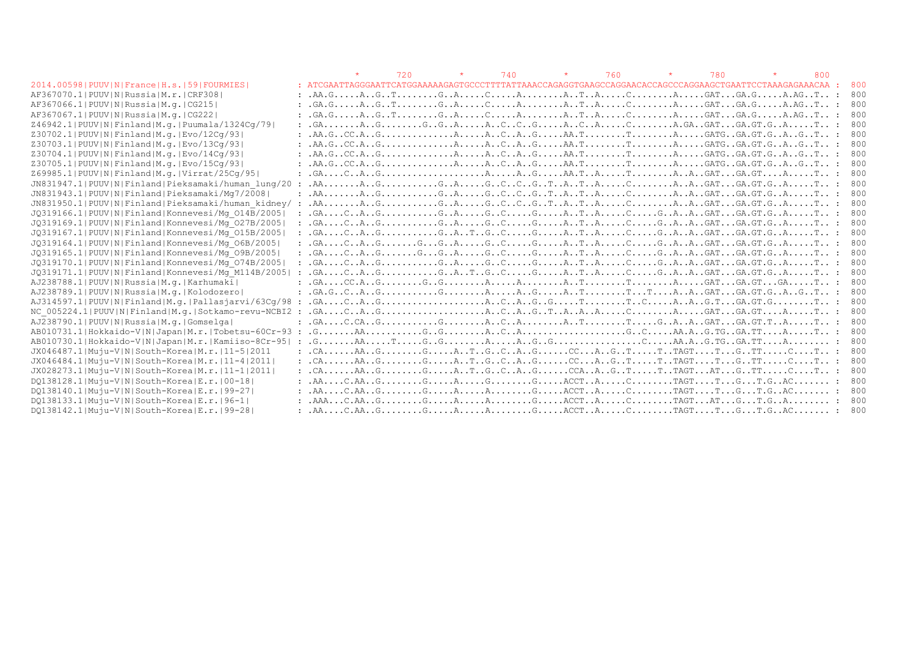|                                                       |                                                                                                                                                                                                                                                                                                                                                                                                                                                                                                                     | 720 | 740 | 760 | 780 | 800 |     |
|-------------------------------------------------------|---------------------------------------------------------------------------------------------------------------------------------------------------------------------------------------------------------------------------------------------------------------------------------------------------------------------------------------------------------------------------------------------------------------------------------------------------------------------------------------------------------------------|-----|-----|-----|-----|-----|-----|
| 2014.00598   PUUV   N   France   H.s.   59   FOURMIES | : ATCGAATTAGGGAATTCATGGAAAAAGAGTGCCCTTTTATTAAACCAGAGGTGAAGCCAGGAACACCCAGGCCAGGAAGCTGAATTCCTAAGAGAAACAA :                                                                                                                                                                                                                                                                                                                                                                                                            |     |     |     |     |     | 800 |
| AF367070.1 PUUV N Russia M.r. CRF308                  |                                                                                                                                                                                                                                                                                                                                                                                                                                                                                                                     |     |     |     |     |     | 800 |
| AF367066.1 PUUV N Russia M.g. CG215                   | $G.A.G. \ldots A. G. \ldots T. \ldots . G. A. \ldots C. \ldots A. \ldots A. \ldots T. A. \ldots C. \ldots C. \ldots A. \ldots G. G. \ldots G. G. \ldots A. \ldots G. A. \ldots T. \ldots G.$                                                                                                                                                                                                                                                                                                                        |     |     |     |     |     | 800 |
| AF367067.1  PUUV   N   Russia   M.q.   CG222          | $G.A.G. \ldots A.G. T. \ldots G.A. \ldots G.A. \ldots A. \ldots A.A. T.A. \ldots G.A. \ldots A. \ldots GAT. \ldots G.A.G. \ldots A.A.G. T. \ldots G.A. \ldots G.A. \ldots G.A. \ldots G.A. \ldots G.A. \ldots G.A. \ldots G.A. \ldots G.A. \ldots G.A. \ldots G.A. \ldots G.A. \ldots G.A. \ldots G.A. \ldots G.A. \ldots G.A. \ldots G.A. \ldots G.A. \ldots G.A. \ldots G.A. \ldots G.A. \ldots G.A. \ldots G.A. \ldots G.A. \ldots G.A. \ldots G.A$                                                              |     |     |     |     |     | 800 |
| Z46942.1 PUUV N Finland M.q. Puumala/1324Cq/79        |                                                                                                                                                                                                                                                                                                                                                                                                                                                                                                                     |     |     |     |     |     | 800 |
| Z30702.1 PUUV N Finland M.g. Evo/12Cq/93              |                                                                                                                                                                                                                                                                                                                                                                                                                                                                                                                     |     |     |     |     |     | 800 |
| Z30703.1 PUUV N Finland M.g. Evo/13Cq/93              |                                                                                                                                                                                                                                                                                                                                                                                                                                                                                                                     |     |     |     |     |     | 800 |
| Z30704.1 PUUV N Finland M.g. Evo/14Cq/93              | : .AA.GCC.AGACAGAA.TTAGATGGA.GT.GAGT :                                                                                                                                                                                                                                                                                                                                                                                                                                                                              |     |     |     |     |     | 800 |
| Z30705.1 PUUV N Finland M.g. Evo/15Cq/93              |                                                                                                                                                                                                                                                                                                                                                                                                                                                                                                                     |     |     |     |     |     | 800 |
| Z69985.1 PUUV N Finland M.g. Virrat/25Cq/95           | $G.A. \ldots C.A. \ldots G. \ldots \ldots \ldots \ldots \ldots A \ldots A \ldots A \ldots G.A \ldots A \ldots T \ldots \ldots T \ldots \ldots A \ldots A \ldots GAT \ldots G.A. \ldots A \ldots \ldots T \ldots$                                                                                                                                                                                                                                                                                                    |     |     |     |     |     | 800 |
| JN831947.1 PUUV N Finland Pieksamaki/human lung/20    | .AAAGGAGCCGTATACAAGATGA.GT.GAT :                                                                                                                                                                                                                                                                                                                                                                                                                                                                                    |     |     |     |     |     | 800 |
| JN831943.1 PUUV N Finland Pieksamaki/Mq7/2008         | $\ldots$ . AA $\ldots \ldots \ldots$ . G $\ldots \ldots \ldots$ . G $\ldots$ A $\ldots \ldots$ . G $\ldots$ C $\ldots$ C $\ldots \ldots$ . A $\ldots$ C $\ldots \ldots$ . A $\ldots$ . A $\ldots$ . G $\ldots$ G $\ldots$ . G $\ldots$ . G $\ldots$ . A $\ldots \ldots$ . T $\ldots$                                                                                                                                                                                                                                |     |     |     |     |     | 800 |
| JN831950.1 PUUV N Finland Pieksamaki/human kidney/ :  | .AAAGGAGCCGTATACAAGATGA.GT.GAT :                                                                                                                                                                                                                                                                                                                                                                                                                                                                                    |     |     |     |     |     | 800 |
| JQ319166.1 PUUV N Finland Konnevesi/Mq 014B/2005      |                                                                                                                                                                                                                                                                                                                                                                                                                                                                                                                     |     |     |     |     |     | 800 |
| JQ319169.1 PUUV N Finland Konnevesi/Mq 027B/2005      |                                                                                                                                                                                                                                                                                                                                                                                                                                                                                                                     |     |     |     |     |     | 800 |
| JQ319167.1 PUUV N Finland Konnevesi/Mq 015B/2005      | $G.A. \ldots C.A. \ldots G. \ldots G.A. \ldots G.A. \ldots G. \ldots G. \ldots G.A. \ldots G.A. \ldots G.A. \ldots G.A. \ldots G.A. \ldots G.A. \ldots G.A. \ldots G.A. \ldots G.A. \ldots G.A. \ldots G.A. \ldots G.A. \ldots G.A. \ldots G.A. \ldots G.A. \ldots G.A. \ldots G.A. \ldots G.A. \ldots G.A. \ldots G.A. \ldots G.A. \ldots G.A. \ldots G.A. \ldots G.A. \ldots G.A. \ldots G.A. \ldots G.A. \ldots G.A. \ldots G.A. \ldots G.A. \ldots G$                                                           |     |     |     |     |     | 800 |
| JQ319164.1 PUUV N Finland Konnevesi/Mq 06B/2005       |                                                                                                                                                                                                                                                                                                                                                                                                                                                                                                                     |     |     |     |     |     | 800 |
| JQ319165.1 PUUV N Finland Konnevesi/Mq 09B/2005       |                                                                                                                                                                                                                                                                                                                                                                                                                                                                                                                     |     |     |     |     |     | 800 |
| JQ319170.1 PUUV N Finland Konnevesi/Mq 074B/2005      |                                                                                                                                                                                                                                                                                                                                                                                                                                                                                                                     |     |     |     |     |     |     |
| JQ319171.1 PUUV N Finland Konnevesi/Mq M114B/2005     | $\texttt{.GA} \dots \texttt{.C} \dots \texttt{.A} \dots \texttt{.G} \dots \texttt{.G} \dots \texttt{.G} \dots \texttt{.G} \dots \texttt{.G} \dots \texttt{.A} \dots \texttt{.T} \dots \texttt{.A} \dots \texttt{.G} \dots \texttt{.G} \dots \texttt{.G} \dots \texttt{.G} \dots \texttt{.G} \dots \texttt{.G} \dots \texttt{.G} \dots \texttt{.G} \dots \texttt{.G} \dots \texttt{.G} \dots \texttt{.G} \dots \texttt{.G} \dots \texttt{.G} \dots \texttt{$                                                         |     |     |     |     |     | 800 |
| AJ238788.1 PUUV N Russia M.q. Karhumaki               |                                                                                                                                                                                                                                                                                                                                                                                                                                                                                                                     |     |     |     |     |     | 800 |
| AJ238789.1 PUUV N Russia M.g. Kolodozero              |                                                                                                                                                                                                                                                                                                                                                                                                                                                                                                                     |     |     |     |     |     | 800 |
| $AJ314597.1 PUV N Finland M,q. Pallasjarvi/63Cq/98$   |                                                                                                                                                                                                                                                                                                                                                                                                                                                                                                                     |     |     |     |     |     | 800 |
| NC 005224.1 PUUV N Finland M.g. Sotkamo-revu-NCBI2    | $G.A. \ldots C. \ldots G. \ldots G. \ldots \ldots \ldots \ldots \ldots A \ldots C \ldots A \ldots G \ldots T \ldots A \ldots A \ldots C \ldots \ldots C \ldots \ldots A \ldots \ldots G A \ldots G A \ldots G \ldots A \ldots \ldots \ldots \ldots \ldots \ldots A \ldots \ldots \ldots \ldots A \ldots \ldots \ldots A \ldots \ldots \ldots A \ldots \ldots \ldots A \ldots \ldots \ldots A \ldots \ldots \ldots A \ldots \ldots \ldots A \ldots \ldots \ldots A \ldots \ldots \ldots \ldots \ldots \ldots \ldots$ |     |     |     |     |     | 800 |
| AJ238790.1 PUUV N Russia M.g. Gomselga                |                                                                                                                                                                                                                                                                                                                                                                                                                                                                                                                     |     |     |     |     |     | 800 |
| AB010731.1 Hokkaido-V N Japan M.r. Tobetsu-60Cr-93 :  |                                                                                                                                                                                                                                                                                                                                                                                                                                                                                                                     |     |     |     |     |     |     |
| AB010730.1 Hokkaido-V N Japan M.r. Kamiiso-8Cr-95  :  | $G_1, G_2, \ldots, A, \ldots, T, \ldots, G, G, G, \ldots, A, \ldots, A, G, G, G, \ldots, G, \ldots, G, \ldots, A, \ldots, G, \ldots, G, \ldots, A, \ldots, A, \ldots, G, \ldots, G, \ldots, A, \ldots, G, \ldots, A, \ldots, G, \ldots, A, \ldots, G, \ldots, G, \ldots, G, \ldots, G, \ldots, G, \ldots, G, \ldots, G, \ldots, G, \ldots, G, \ldots, G, \ldots, G, \ldots, G, \ldots, G, \ldots, G, \ldots,$                                                                                                       |     |     |     |     |     | 800 |
| JX046487.1 Muju-V N South-Korea M.r. 11-5 2011        |                                                                                                                                                                                                                                                                                                                                                                                                                                                                                                                     |     |     |     |     |     | 800 |
| JX046484.1 Muju-V N South-Korea M.r. 11-4 2011        | $\ldots$ . CA AA G G A T G C A G CC A G T T TAGT T G TT C T: 800                                                                                                                                                                                                                                                                                                                                                                                                                                                    |     |     |     |     |     |     |
| JX028273.1 Muju-V N South-Korea M.r. 11-1 2011        | $\ldots$ . CAAA GGA T G C A GCCA A G TT TAGT AT G TTCT :                                                                                                                                                                                                                                                                                                                                                                                                                                                            |     |     |     |     |     | 800 |
| DQ138128.1 Muju-V N South-Korea E.r. 00-18            |                                                                                                                                                                                                                                                                                                                                                                                                                                                                                                                     |     |     |     |     |     | 800 |
| DO138140.1 Muju-V N South-Korea E.r. 99-27            |                                                                                                                                                                                                                                                                                                                                                                                                                                                                                                                     |     |     |     |     |     | 800 |
| DQ138133.1 Muju-V N South-Korea E.r. 96-1             | $\ldots$ . AAA $\ldots$ . C. AA $\ldots$ G $\ldots$ . G $\ldots$ . G $\ldots$ . A $\ldots$ . A $\ldots$ . G $\ldots$ . G. A $\ldots$ . G. $\ldots$ . G. $\ldots$ . G. $\ldots$ . G. $\ldots$ . G. $\ldots$ . G. $\ldots$ . G. $\ldots$ . G. $\ldots$ . G. $\ldots$ . G. $\ldots$ . G. $\ldots$ . G. $\ldots$ . G. $\ldots$ . G. $\$                                                                                                                                                                                 |     |     |     |     |     | 800 |
| DQ138142.1 Muju-V N South-Korea E.r. 99-28            |                                                                                                                                                                                                                                                                                                                                                                                                                                                                                                                     |     |     |     |     |     | 800 |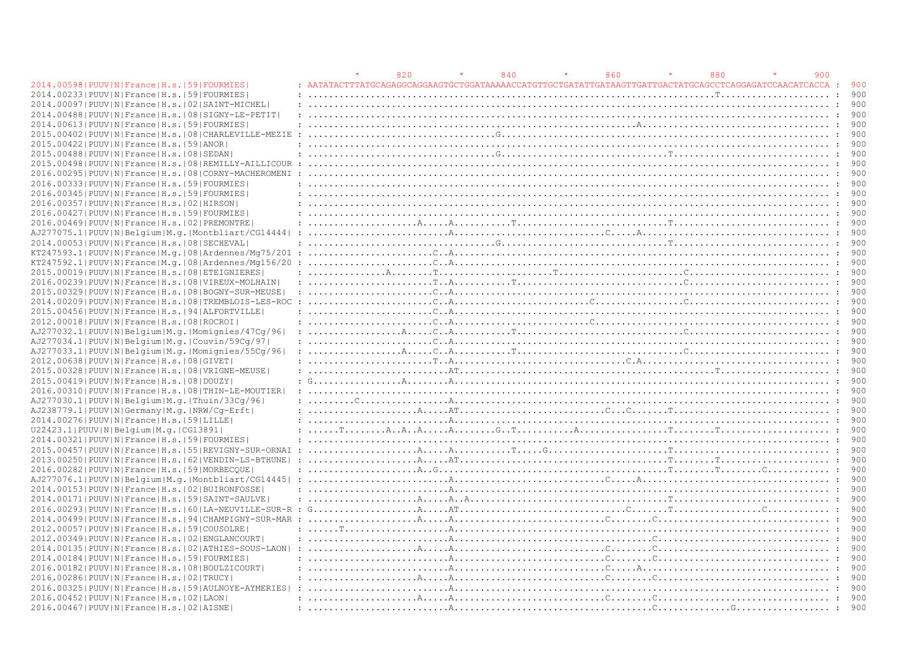|                                                                |                                                                                                                                                                                                                                                                                                                                                                                                                                                                                                                                                      | 820 |                                      | 840 | 860 | 880 | 900 |       |
|----------------------------------------------------------------|------------------------------------------------------------------------------------------------------------------------------------------------------------------------------------------------------------------------------------------------------------------------------------------------------------------------------------------------------------------------------------------------------------------------------------------------------------------------------------------------------------------------------------------------------|-----|--------------------------------------|-----|-----|-----|-----|-------|
| 2014.00598   PUUV   N   France   H.s.   59   FOURMIES          |                                                                                                                                                                                                                                                                                                                                                                                                                                                                                                                                                      |     |                                      |     |     |     |     | 900   |
| 2014.00233 PUUV N France H.s.  59 FOURMIES                     |                                                                                                                                                                                                                                                                                                                                                                                                                                                                                                                                                      |     |                                      |     |     |     |     | 900   |
| 2014.00097 PUUV N France H.s. 02 SAINT-MICHEL                  |                                                                                                                                                                                                                                                                                                                                                                                                                                                                                                                                                      |     |                                      |     |     |     |     | 900   |
| 2014.00488   PUUV   N   France   H.s.   08   SIGNY-LE-PETIT    |                                                                                                                                                                                                                                                                                                                                                                                                                                                                                                                                                      |     |                                      |     |     |     |     | 900   |
| 2014.00613 PUUV N France H.s. 59 FOURMIES                      |                                                                                                                                                                                                                                                                                                                                                                                                                                                                                                                                                      |     |                                      |     |     |     |     |       |
| 2015.00402   PUUV   N   France   H.s.   08   CHARLEVILLE-MEZIE |                                                                                                                                                                                                                                                                                                                                                                                                                                                                                                                                                      |     |                                      |     |     |     |     |       |
| 2015.00422 PUUV N France H.s.   59   ANOR                      |                                                                                                                                                                                                                                                                                                                                                                                                                                                                                                                                                      |     |                                      |     |     |     |     | 900   |
| 2015.00488 PUUV N France H.s. 08 SEDAN                         |                                                                                                                                                                                                                                                                                                                                                                                                                                                                                                                                                      |     |                                      |     |     |     |     | 900   |
| 2015.00498   PUUV   N   France   H.s.   08   REMILLY-AILLICOUR |                                                                                                                                                                                                                                                                                                                                                                                                                                                                                                                                                      |     |                                      |     |     |     |     |       |
| 2016.00295 PUUV N France H.s. 08 CORNY-MACHEROMENI             |                                                                                                                                                                                                                                                                                                                                                                                                                                                                                                                                                      |     |                                      |     |     |     |     | 900   |
| 2016.00333 PUUV N France H.s. 59 FOURMIES                      |                                                                                                                                                                                                                                                                                                                                                                                                                                                                                                                                                      |     |                                      |     |     |     |     | 900   |
| 2016.00345 PUUV N France H.s.  59 FOURMIES                     |                                                                                                                                                                                                                                                                                                                                                                                                                                                                                                                                                      |     |                                      |     |     |     |     |       |
| 2016.00357   PUUV   N   France   H.s.   02   HIRSON            |                                                                                                                                                                                                                                                                                                                                                                                                                                                                                                                                                      |     |                                      |     |     |     |     | 900   |
| 2016.00427 PUUV N France H.s. 59 FOURMIES                      |                                                                                                                                                                                                                                                                                                                                                                                                                                                                                                                                                      |     |                                      |     |     |     |     | 900   |
|                                                                |                                                                                                                                                                                                                                                                                                                                                                                                                                                                                                                                                      |     |                                      |     |     |     |     | 900   |
| 2016.00469   PUUV   N   France   H.s.   02   PREMONTRE         |                                                                                                                                                                                                                                                                                                                                                                                                                                                                                                                                                      |     |                                      |     |     |     |     |       |
| AJ277075.1 PUUV N Belgium M.g. Montbliart/CG14444              |                                                                                                                                                                                                                                                                                                                                                                                                                                                                                                                                                      |     |                                      |     |     |     |     | 900   |
| 2014.00053 PUUV N France H.s. 08 SECHEVAL                      |                                                                                                                                                                                                                                                                                                                                                                                                                                                                                                                                                      |     |                                      |     |     |     |     |       |
| KT247593.1 PUUV N France M.q. 08 Ardennes/Mq75/201             |                                                                                                                                                                                                                                                                                                                                                                                                                                                                                                                                                      |     |                                      |     |     |     |     | 900   |
| KT247592.1 PUUV N France M.q. 08 Ardennes/Mq156/20             |                                                                                                                                                                                                                                                                                                                                                                                                                                                                                                                                                      |     |                                      |     |     |     |     |       |
| 2015.00019 PUUV N France H.s. 08 ETEIGNIERES                   |                                                                                                                                                                                                                                                                                                                                                                                                                                                                                                                                                      |     |                                      |     |     |     |     | 900   |
| 2016.00239   PUUV   N   France   H.s.   08   VIREUX-MOLHAIN    |                                                                                                                                                                                                                                                                                                                                                                                                                                                                                                                                                      |     |                                      |     |     |     |     | 900   |
| 2015.00329   PUUV   N   France   H.s.   08   BOGNY-SUR-MEUSE   |                                                                                                                                                                                                                                                                                                                                                                                                                                                                                                                                                      |     | $\ldots \ldots \ldots \ldots \ldots$ |     |     |     |     | 900   |
| 2014.00209   PUUV   N   France   H.s.   08   TREMBLOIS-LES-ROC |                                                                                                                                                                                                                                                                                                                                                                                                                                                                                                                                                      |     |                                      |     |     |     |     |       |
| 2015.00456 PUUV N France H.s. 94 ALFORTVILLE                   |                                                                                                                                                                                                                                                                                                                                                                                                                                                                                                                                                      |     |                                      |     |     |     |     | 900   |
| 2012.00018   PUUV   N   France   H.s.   08   ROCROI            |                                                                                                                                                                                                                                                                                                                                                                                                                                                                                                                                                      |     |                                      |     |     |     |     | - 900 |
| AJ277032.1 PUUV N Belgium M.g. Momignies/47Cq/96               |                                                                                                                                                                                                                                                                                                                                                                                                                                                                                                                                                      |     |                                      |     |     |     |     | 900   |
| AJ277034.1 PUUV N Belgium M.g. Couvin/59Cq/97                  |                                                                                                                                                                                                                                                                                                                                                                                                                                                                                                                                                      |     |                                      |     |     |     |     | 900   |
| AJ277033.1 PUUV N Belgium M.g. Momignies/55Cg/96               |                                                                                                                                                                                                                                                                                                                                                                                                                                                                                                                                                      |     |                                      |     |     |     |     | 900   |
| 2012.00638 PUUV N France H.s. 08 GIVET                         |                                                                                                                                                                                                                                                                                                                                                                                                                                                                                                                                                      |     |                                      |     |     |     |     | 900   |
| 2015.00328   PUUV   N   France   H.s.   08   VRIGNE-MEUSE      |                                                                                                                                                                                                                                                                                                                                                                                                                                                                                                                                                      |     |                                      |     |     |     |     |       |
| 2015.00419 PUUV N France H.s. 08 DOUZY                         |                                                                                                                                                                                                                                                                                                                                                                                                                                                                                                                                                      |     |                                      |     |     |     |     |       |
| 2016.00310   PUUV   N   France   H.s.   08   THIN-LE-MOUTIER   |                                                                                                                                                                                                                                                                                                                                                                                                                                                                                                                                                      |     |                                      |     |     |     |     | - 900 |
| AJ277030.1  PUUV  N  Belgium   M.g.   Thuin / 33Cq / 96        |                                                                                                                                                                                                                                                                                                                                                                                                                                                                                                                                                      |     |                                      |     |     |     |     | 900   |
| AJ238779.1 PUUV N Germany M.g. NRW/Cq-Erft                     |                                                                                                                                                                                                                                                                                                                                                                                                                                                                                                                                                      |     |                                      |     |     |     |     |       |
| 2014.00276 PUUV   N   France   H.s.   59   LILLE               |                                                                                                                                                                                                                                                                                                                                                                                                                                                                                                                                                      |     |                                      |     |     |     |     | 900   |
| U22423.1 PUUV N Belgium M.g. CG13891                           |                                                                                                                                                                                                                                                                                                                                                                                                                                                                                                                                                      |     |                                      |     |     |     |     | 900   |
| 2014.00321 PUUV N France H.s. 59 FOURMIES                      |                                                                                                                                                                                                                                                                                                                                                                                                                                                                                                                                                      |     |                                      |     |     |     |     | 900   |
| 2015.00457 PUUV N France H.s. 55 REVIGNY-SUR-ORNAI             |                                                                                                                                                                                                                                                                                                                                                                                                                                                                                                                                                      |     |                                      |     |     |     |     | 900   |
| 2013.00250   PUUV   N   France   H.s.   62   VENDIN-LS-BTHUNE  |                                                                                                                                                                                                                                                                                                                                                                                                                                                                                                                                                      |     |                                      |     |     |     |     | 900   |
| 2016.00282   PUUV   N   France   H.s.   59   MORBECQUE         |                                                                                                                                                                                                                                                                                                                                                                                                                                                                                                                                                      |     |                                      |     |     |     |     | 900   |
| AJ277076.1 PUUV N Belgium M.g. Montbliart/CG14445  :           | $\ldots \ldots \ldots \ldots \ldots \ldots \ldots$                                                                                                                                                                                                                                                                                                                                                                                                                                                                                                   |     |                                      |     |     |     |     | 900   |
| 2014.001531PUUVINIFranceIH.s.1021BUIRONFOSSE                   |                                                                                                                                                                                                                                                                                                                                                                                                                                                                                                                                                      |     |                                      |     |     |     |     | 900   |
| 2014.00171 PUUV N France H.s. 59 SAINT-SAULVE                  |                                                                                                                                                                                                                                                                                                                                                                                                                                                                                                                                                      |     |                                      |     |     |     |     | 900   |
|                                                                |                                                                                                                                                                                                                                                                                                                                                                                                                                                                                                                                                      |     |                                      |     |     |     |     |       |
|                                                                |                                                                                                                                                                                                                                                                                                                                                                                                                                                                                                                                                      |     |                                      |     |     |     |     |       |
| 2014.00499   PUUV   N   France   H.s.   94   CHAMPIGNY-SUR-MAR |                                                                                                                                                                                                                                                                                                                                                                                                                                                                                                                                                      |     |                                      |     |     |     |     | 900   |
| 2012.00057 PUUV N France H.s. 59 COUSOLRE                      | $\ldots \ldots \overset{\tau}{\cdot} \ldots \overset{\tau}{\cdot} \ldots \overset{\tau}{\cdot} \ldots \overset{\tau}{\cdot} \ldots \overset{\tau}{\cdot} \ldots \overset{\tau}{\cdot} \ldots \overset{\tau}{\cdot} \ldots \overset{\tau}{\cdot} \ldots \overset{\tau}{\cdot} \ldots \overset{\tau}{\cdot} \ldots \overset{\tau}{\cdot} \ldots \overset{\tau}{\cdot} \ldots \overset{\tau}{\cdot} \ldots \overset{\tau}{\cdot} \vdots \overset{\tau}{\cdot} \vdots \overset{\tau}{\cdot} \vdots \overset{\tau}{\cdot} \vdots \overset{\tau}{\cdot} \$ |     |                                      |     |     |     |     | 900   |
| 2012.00349   PUUV   N   France   H.s.   02   ENGLANCOURT       |                                                                                                                                                                                                                                                                                                                                                                                                                                                                                                                                                      |     |                                      |     |     |     |     | 900   |
| 2014.00135 PUUV N France H.s.   02 ATHIES-SOUS-LAON            |                                                                                                                                                                                                                                                                                                                                                                                                                                                                                                                                                      |     |                                      |     |     |     |     |       |
| 2014.00184   PUUV   N   France   H.s.   59   FOURMIES          |                                                                                                                                                                                                                                                                                                                                                                                                                                                                                                                                                      |     |                                      |     |     |     |     | 900   |
| 2016.00182   PUUV   N   France   H.s.   08   BOULZICOURT       |                                                                                                                                                                                                                                                                                                                                                                                                                                                                                                                                                      |     |                                      |     |     |     |     | 900   |
| 2016.00286 PUUV   N   France   H.s.   02   TRUCY               |                                                                                                                                                                                                                                                                                                                                                                                                                                                                                                                                                      |     |                                      |     |     |     |     |       |
| 2016.00325 PUUV N France H.s. 59 AULNOYE-AYMERIES              |                                                                                                                                                                                                                                                                                                                                                                                                                                                                                                                                                      |     |                                      |     |     |     |     |       |
| 2016.00452   PUUV   N   France   H.s.   02   LAON              |                                                                                                                                                                                                                                                                                                                                                                                                                                                                                                                                                      |     |                                      |     |     |     |     | 900   |
| 2016.00467   PUUV   N   France   H.s.   02   ATSNE             |                                                                                                                                                                                                                                                                                                                                                                                                                                                                                                                                                      |     |                                      |     |     |     |     | 900   |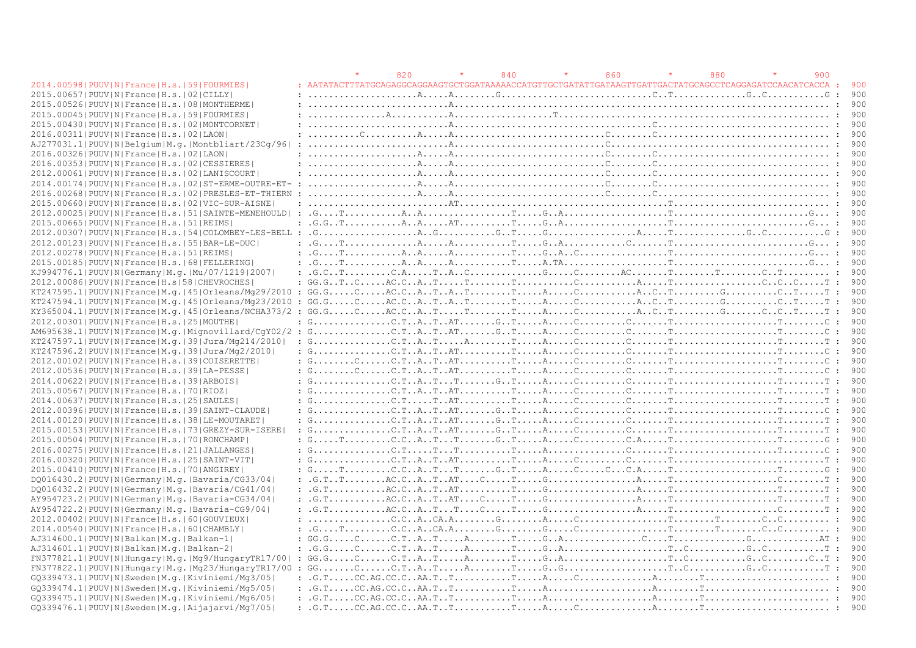|                                                                                                                                                                                                                                                                                                                                                                                                  |         | 820 | 840 | 860 | 880 |                                                                                                                                                                                                                                                                                                                                                                                                                                                           | 900 |              |       |
|--------------------------------------------------------------------------------------------------------------------------------------------------------------------------------------------------------------------------------------------------------------------------------------------------------------------------------------------------------------------------------------------------|---------|-----|-----|-----|-----|-----------------------------------------------------------------------------------------------------------------------------------------------------------------------------------------------------------------------------------------------------------------------------------------------------------------------------------------------------------------------------------------------------------------------------------------------------------|-----|--------------|-------|
| 2014.00598   PUUV   N   France   H.s.   59   FOURMIES                                                                                                                                                                                                                                                                                                                                            |         |     |     |     |     |                                                                                                                                                                                                                                                                                                                                                                                                                                                           |     |              | 900   |
| 2015.00657 PUUV N France H.s. 02 CILLY                                                                                                                                                                                                                                                                                                                                                           |         |     |     |     |     |                                                                                                                                                                                                                                                                                                                                                                                                                                                           |     |              | 900   |
| 2015.00526  PUUV   N   France   H.s.   08   MONTHERME                                                                                                                                                                                                                                                                                                                                            |         |     |     |     |     |                                                                                                                                                                                                                                                                                                                                                                                                                                                           |     |              | 900   |
| 2015.00045 PUUV N France H.s. 59 FOURMIES                                                                                                                                                                                                                                                                                                                                                        |         |     |     |     |     |                                                                                                                                                                                                                                                                                                                                                                                                                                                           |     |              | 900   |
| 2015.00430   PUUV   N   France   H.s.   02   MONTCORNET                                                                                                                                                                                                                                                                                                                                          |         |     |     |     |     |                                                                                                                                                                                                                                                                                                                                                                                                                                                           |     |              |       |
| 2016.00311 PUUV N France H.s. 02 LAON                                                                                                                                                                                                                                                                                                                                                            |         |     |     |     |     |                                                                                                                                                                                                                                                                                                                                                                                                                                                           |     |              |       |
| AJ277031.1 PUUV N Belgium M.g. Montbliart/23Cq/96                                                                                                                                                                                                                                                                                                                                                |         |     |     |     |     | $\ldots \ldots \ldots \ldots \ldots \ldots \ldots$                                                                                                                                                                                                                                                                                                                                                                                                        |     |              | 900   |
| 2016.00326 PUUV N France H.s. 02 LAON                                                                                                                                                                                                                                                                                                                                                            |         |     |     |     |     | $: \ldots, \ldots, \ldots, \ldots, \mathbb{A}, \ldots, \mathbb{A}, \ldots, \ldots, \ldots, \ldots, \ldots, \mathbb{C}, \ldots, \mathbb{C}, \ldots, \ldots, \ldots, \ldots, \ldots, \ldots, \mathbb{C}, \ldots, \mathbb{C}, \ldots, \mathbb{C}, \ldots, \mathbb{C}, \ldots, \mathbb{C}, \ldots, \mathbb{C}, \ldots, \mathbb{C}, \ldots, \mathbb{C}, \ldots, \mathbb{C}, \ldots, \mathbb{C}, \ldots, \mathbb{C}, \ldots, \mathbb{C}, \ldots, \mathbb{C}, \$ |     |              | 900   |
| 2016.00353 PUUV N France H.s. 02 CESSIERES                                                                                                                                                                                                                                                                                                                                                       |         |     |     |     |     |                                                                                                                                                                                                                                                                                                                                                                                                                                                           |     |              |       |
| 2012.00061 PUUV N France H.s. 02 LANISCOURT                                                                                                                                                                                                                                                                                                                                                      |         |     |     |     |     | $: \ldots, \ldots, \ldots, \ldots, \mathbb{A}, \ldots, \mathbb{A}, \ldots, \ldots, \ldots, \ldots, \ldots, \mathbb{C}, \ldots, \mathbb{C}, \ldots, \mathbb{C}, \ldots, \ldots, \ldots, \ldots, \ldots, \ldots, \mathbb{C}, \ldots, \mathbb{C}, \ldots, \mathbb{C}, \ldots, \mathbb{C}, \ldots, \mathbb{C}, \ldots, \mathbb{C}, \ldots, \mathbb{C}, \ldots, \mathbb{C}, \ldots, \mathbb{C}, \ldots, \mathbb{C}, \ldots, \mathbb{C}, \ldots, \mathbb{C}, \$ |     |              | 900   |
| 2014.00174 PUUV N France H.s.   02  ST-ERME-OUTRE-ET- :                                                                                                                                                                                                                                                                                                                                          |         |     |     |     |     |                                                                                                                                                                                                                                                                                                                                                                                                                                                           |     |              | 900   |
| 2016.00268   PUUV   N   France   H.s.   02   PRESLES-ET-THIERN                                                                                                                                                                                                                                                                                                                                   |         |     |     |     |     |                                                                                                                                                                                                                                                                                                                                                                                                                                                           |     |              |       |
| 2015.00660 PUUV N France H.s. 02 VIC-SUR-AISNE                                                                                                                                                                                                                                                                                                                                                   |         |     |     |     |     |                                                                                                                                                                                                                                                                                                                                                                                                                                                           |     |              | 900   |
| 2012.00025 PUUV N France H.s. 51 SAINTE-MENEHOULD  :                                                                                                                                                                                                                                                                                                                                             |         |     |     |     |     | $G_1, G_2, \ldots, G_1, \ldots, G_2, A_1, \ldots, G_2, \ldots, G_1, \ldots, G_2, A_1, \ldots, G_2, \ldots, G_1, \ldots, G_2, \ldots, G_1, \ldots, G_2, \ldots, G_1, \ldots, G_2, \ldots, G_2, \ldots, G_2, \ldots, G_2, \ldots, G_2, \ldots, G_2, \ldots, G_2, \ldots, G_2, \ldots, G_2, \ldots, G_2, \ldots, G_2, \ldots, G_2, \ldots, G_2, \ldots, G_2, \ldots,$                                                                                        |     |              | 900   |
| 2015.00665 PUUV N France H.s. 51 REIMS                                                                                                                                                                                                                                                                                                                                                           | $\cdot$ |     |     |     |     | $G.G. T. \ldots, A. A. A. \ldots AT. \ldots, T. \ldots, G. A. \ldots, A. \ldots, T. \ldots, T. \ldots, T. \ldots, T. \ldots, T. \ldots, T. \ldots, T. \ldots, T. \ldots, T. \ldots, T. \ldots, T. \ldots, T. \ldots, T. \ldots, T. \ldots, T. \ldots, T. \ldots, T. \ldots, T. \ldots, T. \ldots, T. \ldots, T. \ldots, T. \ldots, T. \ldots, T. \ldots, T. \ldots, T. \ldots, T. \ldots, T. \ldots, T. \ldots, T.$                                       |     |              | 900   |
| $2012.00307$  PUUV N France H.s. 54 COLOMBEY-LES-BELL: $G.\ldots,\ldots,\ldots,\ldots,A.\;G.\ldots,\ldots,\ldots,G.\;T.\ldots,\;G.\ldots,\ldots,\ldots,\ldots,A.\ldots,\;T.\ldots,\ldots,\ldots,\ldots,G.\;C.\ldots,\ldots,\ldots,G.\;T.\ldots,\;T.\ldots,\;T.\ldots,\;T.\ldots,\;T.\ldots,\;T.\ldots,\;T.\ldots,\;T.\ldots,\;T.\ldots,\;T.\ldots,\;T.\ldots,\;T.\ldots,\;T.\ldots,\;T.\ldots,\$ |         |     |     |     |     |                                                                                                                                                                                                                                                                                                                                                                                                                                                           |     | : 900        |       |
| 2012.00123  PUUV   N   France   H.s.   55   BAR-LE-DUC                                                                                                                                                                                                                                                                                                                                           |         |     |     |     |     |                                                                                                                                                                                                                                                                                                                                                                                                                                                           |     |              |       |
| 2012.00278   PUUV   N   France   H.s.   51   REIMS                                                                                                                                                                                                                                                                                                                                               |         |     |     |     |     | : $GTAAATTGG$                                                                                                                                                                                                                                                                                                                                                                                                                                             |     |              | 900   |
| 2015.00185 PUUV N France H.s. 68 FELLERING                                                                                                                                                                                                                                                                                                                                                       |         |     |     |     |     |                                                                                                                                                                                                                                                                                                                                                                                                                                                           |     |              |       |
| KJ994776.1 PUUV N Germany M.q. Mu/07/1219 2007                                                                                                                                                                                                                                                                                                                                                   |         |     |     |     |     | : $G.C., T. \ldots, C.A., \ldots, T.A., C. \ldots, \ldots, G. \ldots, G. \ldots, C. \ldots, AC. \ldots, T. \ldots, T. \ldots, C. \ldots, T. \ldots, \ldots, C. \ldots, \ldots, \ldots, T. \ldots, C. \ldots, C. \ldots, C. \ldots, C. \ldots, C. \ldots, C. \ldots, C. \ldots, C. \ldots, C. \ldots, C. \ldots, C. \ldots, C. \ldots, C. \ldots, C. \ldots, C. \ldots, C. \ldots, C. \ldots, C. \ldots, C. \ldots, C. \$                                  |     |              | 900   |
| 2012.00086   PUUV   N   France   H.s   58   CHEVROCHES                                                                                                                                                                                                                                                                                                                                           |         |     |     |     |     |                                                                                                                                                                                                                                                                                                                                                                                                                                                           |     |              | 900   |
|                                                                                                                                                                                                                                                                                                                                                                                                  |         |     |     |     |     |                                                                                                                                                                                                                                                                                                                                                                                                                                                           |     | $\cdot$ .    | 900   |
| $KT247594.1 PUUV N France M,q.  45  Orleans/Mq23/2010:$                                                                                                                                                                                                                                                                                                                                          |         |     |     |     |     | $GG.G. \ldots, C, \ldots, AC, C, A, .T, .A, .T, \ldots, T, \ldots, A, \ldots, C, \ldots, A, .C, .T, \ldots, \ldots, G, \ldots, C, .T, \ldots, T, \ldots, T$                                                                                                                                                                                                                                                                                               |     |              | 900   |
|                                                                                                                                                                                                                                                                                                                                                                                                  |         |     |     |     |     |                                                                                                                                                                                                                                                                                                                                                                                                                                                           |     | : 900        |       |
| 2012.00301 PUUV N France H.s. 25 MOUTHE                                                                                                                                                                                                                                                                                                                                                          |         |     |     |     |     |                                                                                                                                                                                                                                                                                                                                                                                                                                                           |     | $\mathbf{r}$ | 900   |
| $AM695638.1 PUUV N France M,q. Midnovillard/CqY02/2$                                                                                                                                                                                                                                                                                                                                             |         |     |     |     |     | $G_1, \ldots, G_2, \ldots, G_r, \ldots, G_r, \ldots, G_r, \ldots, G_r, \ldots, G_r, \ldots, G_r, \ldots, G_r, \ldots, G_r, \ldots, G_r, \ldots, G_r, \ldots, G_r, \ldots, G_r, \ldots, G_r, \ldots, G_r, \ldots, G_r, \ldots, G_r, \ldots, G_r, \ldots, G_r, \ldots, G_r, \ldots, G_r, \ldots, G_r, \ldots, G_r, \ldots, G_r, \ldots, G_r, \ldots, G_r, \ldots, G_r, \ldots, G_r, \ldots, G_r, \ldots, G_r, \ldots, G$                                    |     | $\mathbf{r}$ | 900   |
| KT247597.1 PUUV N France M.g. 39 Jura/Mg214/2010                                                                                                                                                                                                                                                                                                                                                 |         |     |     |     |     |                                                                                                                                                                                                                                                                                                                                                                                                                                                           |     |              | 900   |
| KT247596.2 PUUV N France M.q. 39 Jura/Mq2/2010                                                                                                                                                                                                                                                                                                                                                   |         |     |     |     |     | : $G_{\ldots,\ldots,\ldots,\ldots,\ldots,\ldots,\Lambda}$ . $C, T, A, T, A, T, \ldots, T, \ldots, T, \ldots, T, \ldots, T, \ldots, T, \ldots, T, \ldots, T, \ldots, T, \ldots, T, \ldots, T, \ldots, T, \ldots, T, \ldots, T, \ldots, T, \ldots, T, \ldots, T, \ldots, T, \ldots, T, \ldots, T, \ldots, T, \ldots, T, \ldots, T, \ldots, T, \ldots, T, \ldots, T, \ldots, T, \ldots, T, \ldots, T, \ldots, T, \ldots,$                                    |     |              | 900   |
| 2012.00102 PUUV N France H.s. 39 COISERETTE                                                                                                                                                                                                                                                                                                                                                      |         |     |     |     |     |                                                                                                                                                                                                                                                                                                                                                                                                                                                           |     | $\cdot$ .    | 900   |
|                                                                                                                                                                                                                                                                                                                                                                                                  |         |     |     |     |     | : $G_1, \ldots, G_r, \ldots, G_r, \ldots, G_r, \ldots, G_1, \ldots, G_r, \ldots, G_r, \ldots, G_r, \ldots, G_r, \ldots, G_r, \ldots, G_r, \ldots, G_r, \ldots, G_r, \ldots, G_r, \ldots, G_r, \ldots, G_r, \ldots, G_r, \ldots, G_r, \ldots, G_r, \ldots, G_r, \ldots, G_r, \ldots, G_r, \ldots, G_r, \ldots, G_r, \ldots, G_r, \ldots, G_r, \ldots, G_r, \ldots, G_r, \ldots, G_r, \ldots, G_r, \ldots, G_r, \ldots$                                     |     | .900         |       |
| 2012.00536 PUUV N France H.s. 39 LA-PESSE                                                                                                                                                                                                                                                                                                                                                        |         |     |     |     |     | : $G_{1}, \ldots, G_{n}, G_{1}, G_{2}, \ldots, G_{n}, T_{1}, \ldots, G_{n}, T_{1}, \ldots, T_{n}, \ldots, G_{n}, \ldots, G_{n}, \ldots, T_{n}, \ldots, G_{n}, T_{n}, \ldots, T_{n}, \ldots, T_{n}, \ldots, T_{n}, \ldots, T_{n}, \ldots, T_{n}, \ldots, T_{n}, \ldots, T_{n}, \ldots, T_{n}, \ldots, T_{n}, \ldots, T_{n}, \ldots, T_{n}, \ldots, T_{n}, \ldots, T_{n}, \ldots, T_{n}, \ldots, T_{n}, \ldots, T_{n}, \ld$                                 |     |              |       |
| 2014.00622 PUUV N France H.s. 39 ARBOIS                                                                                                                                                                                                                                                                                                                                                          |         |     |     |     |     |                                                                                                                                                                                                                                                                                                                                                                                                                                                           |     |              | 900   |
| 2015.00567 PUUV N France H.s. 70 RIOZ                                                                                                                                                                                                                                                                                                                                                            |         |     |     |     |     |                                                                                                                                                                                                                                                                                                                                                                                                                                                           |     |              | 900   |
| 2014.00637 PUUV N France H.s. 25 SAULES                                                                                                                                                                                                                                                                                                                                                          |         |     |     |     |     | : $G_{1}, \ldots, G_{n}, G_{1}, \ldots, G_{n}, G_{1}, \ldots, G_{n}, G_{1}, \ldots, G_{n}, G_{1}, \ldots, G_{n}, G_{1}, \ldots, G_{n}, G_{1}, \ldots, G_{n}, G_{1}, \ldots, G_{n}, G_{1}, \ldots, G_{n}, G_{1}, \ldots, G_{n}, G_{1}, \ldots, G_{n}, G_{1}, \ldots, G_{n}, G_{1}, \ldots, G_{n}, G_{1}, \ldots, G_{n}, G_{1}, \ldots, G_{n}, G_{1}, \ldots, G_{n}, G_{1}, \ldots, G_{n}, G_{1}, \ldots, G_{n}, G_{$                                       |     |              | 900   |
| 2012.00396 PUUV N France H.s. 39 SAINT-CLAUDE                                                                                                                                                                                                                                                                                                                                                    |         |     |     |     |     |                                                                                                                                                                                                                                                                                                                                                                                                                                                           |     | $\mathbf{r}$ | 900   |
| 2014.00120 PUUV N France H.s. 38 LE-MOUTARET                                                                                                                                                                                                                                                                                                                                                     |         |     |     |     |     |                                                                                                                                                                                                                                                                                                                                                                                                                                                           |     |              | 900   |
| 2015.00153 PUUV N France H.s. 73 GREZY-SUR-ISERE                                                                                                                                                                                                                                                                                                                                                 |         |     |     |     |     | : $G_1, \ldots, G_n, \ldots, G_n, \ldots, G_n, \ldots, G_n, \ldots, G_n, \ldots, G_n, \ldots, G_n, \ldots, G_n, \ldots, G_n, \ldots, G_n, \ldots, G_n, \ldots, G_n, \ldots, G_n, \ldots, G_n, \ldots, G_n, \ldots, G_n, \ldots, G_n, \ldots, G_n, \ldots, G_n, \ldots, G_n, \ldots, G_n, \ldots, G_n, \ldots, G_n, \ldots, G_n, \ldots, G_n, \ldots, G_n, \ldots, G_n, \ldots, G_n, \ldots, G_n, \ldots, G_n, \ldots,$                                    |     |              | 900   |
| 2015.00504   PUUV   N   France   H.s.   70   RONCHAMP                                                                                                                                                                                                                                                                                                                                            |         |     |     |     |     |                                                                                                                                                                                                                                                                                                                                                                                                                                                           |     |              | 900   |
| 2016.00275   PUUV   N   France   H.s.   21   JALLANGES                                                                                                                                                                                                                                                                                                                                           |         |     |     |     |     | : $G_{1}, \ldots, G_{n}, G_{1}, \ldots, G_{n}, G_{1}, \ldots, G_{n}, G_{1}, \ldots, G_{n}, G_{1}, \ldots, G_{n}, G_{1}, \ldots, G_{n}, G_{1}, \ldots, G_{n}, G_{1}, \ldots, G_{n}, G_{1}, \ldots, G_{n}, G_{1}, \ldots, G_{n}, G_{1}, \ldots, G_{n}, G_{1}, \ldots, G_{n}, G_{1}, \ldots, G_{n}, G_{1}, \ldots, G_{n}, G_{1}, \ldots, G_{n}, G_{1}, \ldots, G_{n}, G_{1}, \ldots, G_{n}, G_{1}, \ldots, G_{n}, G_{$                                       |     |              | 900   |
| 2016.00320 PUUV N France H.s. 25 SAINT-VIT                                                                                                                                                                                                                                                                                                                                                       |         |     |     |     |     |                                                                                                                                                                                                                                                                                                                                                                                                                                                           |     |              | 900   |
| 2015.00410 PUUV N France H.s. 70 ANGIREY                                                                                                                                                                                                                                                                                                                                                         |         |     |     |     |     | : $G.\ldots,T.\ldots.\ldots. C.C.\ldots A.\ldots T.\ldots. G.\ldots A.\ldots.C.\ldots.C.\ldots.C.\ldots. T.\ldots.\ldots. T.\ldots.\ldots. T.\ldots.\ldots. G.$                                                                                                                                                                                                                                                                                           |     |              | 900   |
| DO016430.2   PUUV   N   Germany   M.g.   Bavaria/CG33/04                                                                                                                                                                                                                                                                                                                                         |         |     |     |     |     |                                                                                                                                                                                                                                                                                                                                                                                                                                                           |     |              | 900   |
| DO016432.2   PUUV   N   Germany   M.g.   Bavaria/CG41/04                                                                                                                                                                                                                                                                                                                                         |         |     |     |     |     |                                                                                                                                                                                                                                                                                                                                                                                                                                                           |     |              | 900   |
| AY954723.2   PUUV   N   Germany   M.g.   Bavaria-CG34/04                                                                                                                                                                                                                                                                                                                                         |         |     |     |     |     | $: .G.T. \ldots \ldots \ldots . A C.C. \ldots A \ldots T \ldots A T \ldots \ldots C \ldots \ldots T \ldots \ldots G \ldots \ldots \ldots \ldots \ldots A \ldots \ldots T \ldots \ldots \ldots \ldots \ldots \ldots T \ldots \ldots \ldots T$                                                                                                                                                                                                              |     |              | 900   |
| AY954722.2   PUUV   N   Germany   M. g.   Bavaria-CG9/04                                                                                                                                                                                                                                                                                                                                         |         |     |     |     |     | : $G, T, \ldots, \ldots, A C, C, A, T, \ldots, T, \ldots, C, \ldots, T, \ldots, G, \ldots, \ldots, \ldots, A, \ldots, T, \ldots, \ldots, \ldots, \ldots, C, \ldots, \ldots, T$                                                                                                                                                                                                                                                                            |     | .900         |       |
| 2012.00402 PUUV N France H.s. 60 GOUVIEUX                                                                                                                                                                                                                                                                                                                                                        |         |     |     |     |     |                                                                                                                                                                                                                                                                                                                                                                                                                                                           |     |              | 900   |
| 2014.00540 PUUV N France H.s. 60 CHAMBLY                                                                                                                                                                                                                                                                                                                                                         |         |     |     |     |     | : $G, \ldots, T, \ldots, \ldots, C, C, A, \ldots, C, A, A, \ldots, G, \ldots, G, \ldots, G, \ldots, C, \ldots, \ldots, C, \ldots, T, \ldots, \ldots, T, \ldots, \ldots, C, \ldots, \ldots, C, \ldots, \ldots, T, \ldots, C, \ldots, C, \ldots, \ldots, C, \ldots, C, \ldots, C, \ldots, C, \ldots, C, \ldots, C, \ldots, C, \ldots, C, \ldots, C, \ldots, C, \ldots, C, \ldots, C, \ldots, C, \ldots, C, \ldots, C,$                                      |     |              | 900   |
| AJ314600.1  PUUV   N   Balkan   M.q.   Balkan-1                                                                                                                                                                                                                                                                                                                                                  |         |     |     |     |     | : $GG.G. \ldots C. \ldots C.T.A. \ldots A \ldots A \ldots T \ldots G.A \ldots \ldots \ldots C \ldots T \ldots T \ldots \ldots \ldots G \ldots \ldots C \ldots A T$                                                                                                                                                                                                                                                                                        |     | $\cdot$ .    | 900   |
| AJ314601.1 PUUV N Balkan M.q. Balkan-2                                                                                                                                                                                                                                                                                                                                                           |         |     |     |     |     |                                                                                                                                                                                                                                                                                                                                                                                                                                                           |     |              | 900   |
| FN377821.1 PUUV N Hungary M.g. Mg9/HungaryTR17/00                                                                                                                                                                                                                                                                                                                                                |         |     |     |     |     | $: G G. G. \ldots C. \ldots C. T. A. . T. \ldots A. \ldots T. \ldots G. A. \ldots \ldots \ldots \ldots \ldots T. C. \ldots \ldots \ldots G. C. \ldots \ldots C. . T.$                                                                                                                                                                                                                                                                                     |     |              | - 900 |
|                                                                                                                                                                                                                                                                                                                                                                                                  |         |     |     |     |     |                                                                                                                                                                                                                                                                                                                                                                                                                                                           |     |              | 900   |
| GO339473.1 PUUV N Sweden M.g. Kiviniemi/Mg3/05                                                                                                                                                                                                                                                                                                                                                   |         |     |     |     |     |                                                                                                                                                                                                                                                                                                                                                                                                                                                           |     |              | 900   |
| GO339474.1 PUUV N Sweden M.g. Kiviniemi/Mg5/05                                                                                                                                                                                                                                                                                                                                                   |         |     |     |     |     | : $.G.TCCAG.C.CAA.TTTTAATT$                                                                                                                                                                                                                                                                                                                                                                                                                               |     |              | 900   |
| GO339475.1 PUUV N Sweden M.g. Kiviniemi/Mg6/05                                                                                                                                                                                                                                                                                                                                                   |         |     |     |     |     | : $.G.TCCAG.C.CAA.TTTTAAAT$                                                                                                                                                                                                                                                                                                                                                                                                                               |     |              | 900   |
| GO339476.1 PUUV N Sweden M.g. Aijajarvi/Mg7/05                                                                                                                                                                                                                                                                                                                                                   |         |     |     |     |     | $\mathbf{F}$ , $\mathbf{G}$ , $\mathbf{F}$ , $\mathbf{C}$ , $\mathbf{C}$ , $\mathbf{A}$ , $\mathbf{C}$ , $\mathbf{C}$ , $\mathbf{A}$ , $\mathbf{T}$ , $\mathbf{F}$ , $\mathbf{C}$ , $\mathbf{C}$ , $\mathbf{C}$ , $\mathbf{C}$ , $\mathbf{C}$ , $\mathbf{A}$ , $\mathbf{T}$ , $\mathbf{C}$ , $\mathbf{C}$ , $\mathbf{C}$ , $\mathbf{C}$ , $\math$                                                                                                         |     |              | 900   |
|                                                                                                                                                                                                                                                                                                                                                                                                  |         |     |     |     |     |                                                                                                                                                                                                                                                                                                                                                                                                                                                           |     |              |       |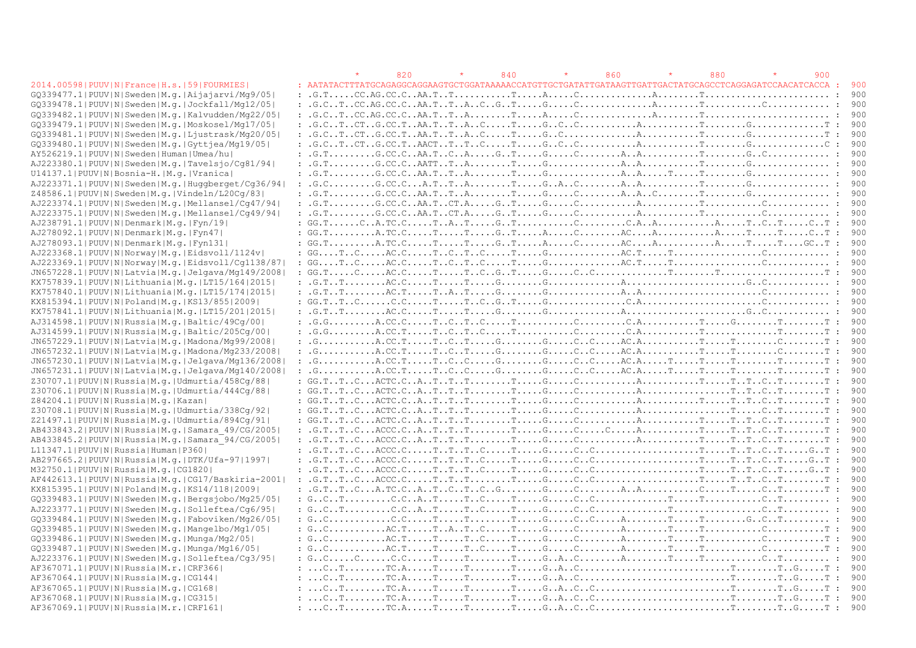|                                                            |                                                                                                                                                                                                                                                                                                                                                                                                                                                                                                               | 820 | 840 | 860 | 880 | 900 |                        |
|------------------------------------------------------------|---------------------------------------------------------------------------------------------------------------------------------------------------------------------------------------------------------------------------------------------------------------------------------------------------------------------------------------------------------------------------------------------------------------------------------------------------------------------------------------------------------------|-----|-----|-----|-----|-----|------------------------|
| 2014.00598   PUUV   N   France   H.s.   59   FOURMIES      |                                                                                                                                                                                                                                                                                                                                                                                                                                                                                                               |     |     |     |     |     | - 900                  |
| GQ339477.1   PUUV   N   Sweden   M.q.   Aijajarvi/Mq9/05   |                                                                                                                                                                                                                                                                                                                                                                                                                                                                                                               |     |     |     |     |     | 900                    |
| GQ339478.1 PUUV N Sweden M.g. Jockfall/Mq12/05             |                                                                                                                                                                                                                                                                                                                                                                                                                                                                                                               |     |     |     |     |     | 900                    |
| GQ339482.1 PUUV N Sweden M.g. Kalvudden/Mg22/05            |                                                                                                                                                                                                                                                                                                                                                                                                                                                                                                               |     |     |     |     |     |                        |
| GQ339479.1 PUUV N Sweden M.q. Moskosel/Mq17/05             |                                                                                                                                                                                                                                                                                                                                                                                                                                                                                                               |     |     |     |     |     | $\colon$ 900           |
| GQ339481.1 PUUV N Sweden M.q. Ljustrask/Mq20/05            |                                                                                                                                                                                                                                                                                                                                                                                                                                                                                                               |     |     |     |     |     | - 900                  |
| GQ339480.1 PUUV N Sweden M.q. Gyttjea/Mq19/05              |                                                                                                                                                                                                                                                                                                                                                                                                                                                                                                               |     |     |     |     |     | : 900                  |
| AY526219.1 PUUV N Sweden Human Umea/hu                     |                                                                                                                                                                                                                                                                                                                                                                                                                                                                                                               |     |     |     |     |     | - 900                  |
| AJ223380.1 PUUV N Sweden M.g. Tavelsjo/Cq81/94             |                                                                                                                                                                                                                                                                                                                                                                                                                                                                                                               |     |     |     |     |     | - 900                  |
| U14137.1 PUUV N Bosnia-H. M.g. Vranica                     |                                                                                                                                                                                                                                                                                                                                                                                                                                                                                                               |     |     |     |     |     | 900                    |
| AJ223371.1 PUUV N Sweden M.g. Huggberget/Cg36/94           |                                                                                                                                                                                                                                                                                                                                                                                                                                                                                                               |     |     |     |     |     | 900                    |
| Z48586.1 PUUV N Sweden M.g. Vindeln/L20Cq/83               | : $G.T. \ldots \ldots \ldots G.C.C. \ldots A A.T. \ldots A \ldots \ldots \ldots G \ldots \ldots G \ldots \ldots \ldots A \ldots A \ldots C \ldots \ldots \ldots \ldots \ldots G \ldots \ldots \ldots \ldots \ldots \ldots \ldots \ldots$                                                                                                                                                                                                                                                                      |     |     |     |     |     | 900                    |
| AJ223374.1 PUUV N Sweden M.g. Mellansel/Cq47/94            |                                                                                                                                                                                                                                                                                                                                                                                                                                                                                                               |     |     |     |     |     | 900                    |
| AJ223375.1 PUUV N Sweden M.g. Mellansel/Cq49/94            |                                                                                                                                                                                                                                                                                                                                                                                                                                                                                                               |     |     |     |     |     | - 900                  |
| AJ238791.1 PUUV N Denmark M.q. Fyn/19                      | $: GG.T. \ldots C.A.TC.C. \ldots T.A. \ldots G.A.T. \ldots C. \ldots C.A.A. \ldots C.A. \ldots A. \ldots T. \ldots C. \ldots T. \ldots C. \ldots T.$                                                                                                                                                                                                                                                                                                                                                          |     |     |     |     |     | : 900                  |
|                                                            |                                                                                                                                                                                                                                                                                                                                                                                                                                                                                                               |     |     |     |     |     | 900                    |
| AJ278092.1 PUUV N Denmark M.q. Fyn47                       | $: GG.T.\ldots\dots A.TC.C.\ldots.T.\ldots.T.\ldots.G.\ldots.A.\ldots.C.\ldots.A.\ldots.A.\ldots.A.\ldots.A.\ldots.T.\ldots.T.\ldots.C.\ldots.T.\ldots.c.\ldots.T.\ldots.c.\ldots.T.\ldots.A.\ldots.c.\ldots.A.\ldots.A.\ldots.A.\ldots.A.\ldots.T.\ldots.c.\ldots.T.\ldots.c.\ldots.T.\ldots.c.\ldots.T.\ldots.A.\ldots.c.\ldots.T.\ldots.c.\ldots.T.\ldots.c.\ldots.T.\ldots.c.\ldots.T.\ldots.a.\ldots.c.\ldots.T.\ldots.c.\ldots.T.\ldots.c.\ldots.T.\ldots.c.\ldots.T.\ldots.c.\ldots.T.\ldots.c.\ldots$ |     |     |     |     |     |                        |
| AJ278093.1 PUUV N Denmark M.q. Fyn131                      | : $\mathsf{GG.T.}\dots\dots\mathsf{A.TC.C.}\dots\mathsf{T}\dots\mathsf{T}\dots\mathsf{G.\ldots}\mathsf{T}\dots\mathsf{A}\dots\mathsf{A}\dots\mathsf{C}\dots\mathsf{A}\dots\mathsf{A}\dots\mathsf{A}\dots\mathsf{A}\dots\mathsf{A}\dots\mathsf{A}\dots\mathsf{T}\dots\mathsf{T}\dots\mathsf{G}\mathsf{C}\cdot\mathsf{T}$                                                                                                                                                                                       |     |     |     |     |     | : 900                  |
| AJ223368.1 PUUV N Norway M.q. Eidsvoll/1124v               | : $\mathbb{G} \mathbb{G} \ldots \mathbb{T} \ldots \mathbb{C} \ldots \ldots \mathbb{C} \mathbb{C} \ldots \mathbb{T} \ldots \mathbb{C} \ldots \mathbb{C} \ldots \mathbb{C} \ldots \mathbb{C} \ldots \mathbb{C} \ldots \mathbb{C} \ldots \mathbb{C} \ldots \mathbb{C} \ldots \ldots \mathbb{C} \ldots \mathbb{C} \ldots \ldots \mathbb{C} \ldots \mathbb{C} \ldots \ldots \mathbb{C} \ldots \ldots \ldots \mathbb{C} \ldots \mathbb{C} \ldots \mathbb{C} \ldots \$                                               |     |     |     |     |     | 900                    |
| AJ223369.1 PUUV N Norway M.g. Eidsvoll/Cq1138/87           | : $GGTCAC.CTCTCTGGAC.TTCCC$                                                                                                                                                                                                                                                                                                                                                                                                                                                                                   |     |     |     |     |     | 900                    |
| JN657228.1  PUUV   N   Latvia   M.g.   Jelgava/Mg149/2008  |                                                                                                                                                                                                                                                                                                                                                                                                                                                                                                               |     |     |     |     |     | -900                   |
| KX757839.1  PUUV   N   Lithuania   M. q.   LT15/164   2015 |                                                                                                                                                                                                                                                                                                                                                                                                                                                                                                               |     |     |     |     |     | - 900                  |
| KX757840.1  PUUV   N   Lithuania   M. g.   LT15/174   2015 |                                                                                                                                                                                                                                                                                                                                                                                                                                                                                                               |     |     |     |     |     | 900                    |
| KX815394.1  PUUV   N   Poland   M. q.   KS13/855   2009    | : $GG.TTCC.CTTTCGTGC.AC$                                                                                                                                                                                                                                                                                                                                                                                                                                                                                      |     |     |     |     |     | - 900                  |
| KX757841.1  PUUV   N   Lithuania   M.q.   LT15/201   2015  | : $G.TTAC.CTTGGGAGC$                                                                                                                                                                                                                                                                                                                                                                                                                                                                                          |     |     |     |     |     | - 900                  |
| AJ314598.1 PUUV N Russia M.q. Baltic/49Cq/00               | $: .G.G. \ldots . A.C.C.C. \ldots . T. C. \ldots . T. \ldots . T. \ldots C. \ldots . C. A. \ldots T. \ldots . G. \ldots T. \ldots T. \ldots T. \ldots . T. \ldots . T. \ldots . T. \ldots . T. \ldots . T. \ldots . T. \ldots . T. \ldots . T. \ldots . T. \ldots . T. \ldots . T. \ldots . T. \ldots . T. \ldots . T. \ldots . T. \ldots . T. \ldots . T. \ldots . T. \ldots . T. \ldots . T. \ldots . T. \ldots . T. \ldots . T$                                                                            |     |     |     |     |     | 900                    |
| AJ314599.1 PUUV N Russia M.g. Baltic/205Cq/00              | $\colon G. G. \ldots \ldots \ldots A. CC. T \ldots \ldots T \ldots C \ldots T \ldots T \ldots \ldots \ldots \ldots C \ldots C \ldots C A \ldots \ldots \ldots T \ldots \ldots \ldots T \ldots \ldots \ldots T$                                                                                                                                                                                                                                                                                                |     |     |     |     |     | -900                   |
| JN657229.1 PUUV N Latvia M.q. Madona/Mq99/2008             |                                                                                                                                                                                                                                                                                                                                                                                                                                                                                                               |     |     |     |     |     | 900                    |
| JN657232.1 PUUV N Latvia M.g. Madona/Mg233/2008            | $\colon G_1, \ldots, G_r, \ldots, A, \mathbb{CC}, \mathbb{T}, \ldots, \mathbb{T}, \ldots, G_1, \ldots, G_r, \ldots, G_r, \ldots, G_r, \ldots, A, \mathbb{CC}, \mathbb{R}, \ldots, G_r, \ldots, \mathbb{C}, \ldots, G_r, \ldots, G_r, \ldots, G_r, \ldots, G_r, \ldots, G_r, \ldots, G_r, \ldots, G_r, \ldots, G_r, \ldots, G_r, \ldots, G_r, \ldots, G_r, \ldots, G_r, \ldots, G_r, \ldots, G_r, \ldots, G_r, \ldots, G_r, \ldots, G$                                                                         |     |     |     |     |     | 900                    |
| JN657230.1  PUUV   N   Latvia   M. g.   Jelgava/Mg136/2008 | $: G. \ldots \ldots \ldots A.C.C.T.\ldots \ldots C.\ldots G \ldots G \ldots G \ldots G \ldots C. C \ldots A C.A.\ldots T \ldots T \ldots T \ldots T \ldots T \ldots T \ldots \ldots T$                                                                                                                                                                                                                                                                                                                        |     |     |     |     |     | - 900                  |
| JN657231.1  PUUV   N   Latvia   M.g.   Jelgava/Mg140/2008  |                                                                                                                                                                                                                                                                                                                                                                                                                                                                                                               |     |     |     |     |     | 900                    |
| Z30707.1 PUUV N Russia M.g. Udmurtia/458Cg/88              | $: GG.TTCACTC.CATTTTGCAATTTTCTT$                                                                                                                                                                                                                                                                                                                                                                                                                                                                              |     |     |     |     |     | 900                    |
| Z30706.1 PUUV N Russia M.g. Udmurtia/444Cq/88              | $: GG.TTCACTC.CATTTTGCATTTCTT$                                                                                                                                                                                                                                                                                                                                                                                                                                                                                |     |     |     |     |     | $\mathcal{L}$<br>- 900 |
| Z84204.1 PUUV N Russia M.q. Kazan                          |                                                                                                                                                                                                                                                                                                                                                                                                                                                                                                               |     |     |     |     |     | $\mathcal{L}$<br>900   |
| Z30708.1 PUUV N Russia M.g. Udmurtia/338Cg/92              |                                                                                                                                                                                                                                                                                                                                                                                                                                                                                                               |     |     |     |     |     | 900                    |
| Z21497.1 PUUV N Russia M.g. Udmurtia/894Cq/91              | $: GG.TTCACTC.CATTTTGCATTTTCTT$                                                                                                                                                                                                                                                                                                                                                                                                                                                                               |     |     |     |     |     | $\mathbf{r}$<br>900    |
| AB433843.2   PUUV   N   Russia   M.g.   Samara 49/CG/2005  |                                                                                                                                                                                                                                                                                                                                                                                                                                                                                                               |     |     |     |     |     | 900                    |
| AB433845.2   PUUV   N   Russia   M.g.   Samara 94/CG/2005  |                                                                                                                                                                                                                                                                                                                                                                                                                                                                                                               |     |     |     |     |     | 900                    |
| L11347.1 PUUV N Russia Human P360                          |                                                                                                                                                                                                                                                                                                                                                                                                                                                                                                               |     |     |     |     |     | $\mathbf{r}$<br>900    |
| AB297665.2 PUUV N Russia M.q. DTK/Ufa-97 1997              |                                                                                                                                                                                                                                                                                                                                                                                                                                                                                                               |     |     |     |     |     | 900<br>$\mathbf{r}$    |
| M32750.1 PUUV N Russia M.g. CG1820                         |                                                                                                                                                                                                                                                                                                                                                                                                                                                                                                               |     |     |     |     |     | 900                    |
| AF442613.1 PUUV N Russia M.g. CG17/Baskiria-2001           |                                                                                                                                                                                                                                                                                                                                                                                                                                                                                                               |     |     |     |     |     | $\mathbf{r}$<br>900    |
| KX815395.1  PUUV   N   Poland   M.q.   KS14/118   2009     |                                                                                                                                                                                                                                                                                                                                                                                                                                                                                                               |     |     |     |     |     | 900<br>$\mathcal{L}$   |
| GQ339483.1   PUUV   N   Sweden   M.g.   Bergsjobo/Mg25/05  | : $G_{\bullet}$ , $C_{\bullet}$ , $T_{\bullet}$ , $\ldots$ , $C_{\bullet}$ , $C_{\bullet}$ , $A_{\bullet}$ , $T_{\bullet}$ , $\ldots$ , $T_{\bullet}$ , $\ldots$ , $T_{\bullet}$ , $\ldots$ , $T_{\bullet}$ , $\ldots$ , $C_{\bullet}$ , $T_{\bullet}$ , $\ldots$ , $C_{\bullet}$ , $T_{\bullet}$ , $\ldots$ , $\ldots$ , $T_{\bullet}$ , $\ldots$ , $\ldots$ , $\ldots$ , $\ldots$ ,                                                                                                                         |     |     |     |     |     | - 900                  |
| AJ223377.1 PUUV N Sweden M.q. Solleftea/Cq6/95             |                                                                                                                                                                                                                                                                                                                                                                                                                                                                                                               |     |     |     |     |     | 900                    |
| GQ339484.1 PUUV N Sweden M.q. Faboviken/Mq26/05            | $: G. C. \ldots \ldots \ldots C. C. \ldots \ldots T. \ldots \ldots T. \ldots G. \ldots G. \ldots C. \ldots A. \ldots \ldots T. \ldots \ldots T. \ldots \ldots G. C. \ldots T. \ldots \ldots \ldots :$                                                                                                                                                                                                                                                                                                         |     |     |     |     |     | 900                    |
| GQ339485.1 PUUV N Sweden M.g. Mangelbo/Mg1/05              | : $G.C. \ldots \ldots \ldots \ldots \text{AC.T.} \ldots \text{T.A.} \ldots \text{C.} \ldots \text{T.A.} \ldots \text{C.} \ldots \text{C.} \ldots \text{C.} \ldots \text{C.} \ldots \text{C.} \ldots \text{C.} \ldots \text{C.} \ldots \text{C.} \ldots \text{C.} \ldots \text{C.} \ldots \text{C.} \ldots \text{C.} \ldots \text{C.} \ldots \text{C.} \ldots \text{C.} \ldots \text{C.} \ldots \text{C.} \ldots \text{C.} \ldots \text{C$                                                                     |     |     |     |     |     | : 900                  |
| GQ339486.1 PUUV N Sweden M.g. Munga/Mg2/05                 |                                                                                                                                                                                                                                                                                                                                                                                                                                                                                                               |     |     |     |     |     | : 900                  |
| GQ339487.1   PUUV   N   Sweden   M.g.   Munga/Mg16/05      |                                                                                                                                                                                                                                                                                                                                                                                                                                                                                                               |     |     |     |     |     | - 900                  |
| AJ223376.1 PUUV N Sweden M.g. Solleftea/Cq3/95             |                                                                                                                                                                                                                                                                                                                                                                                                                                                                                                               |     |     |     |     |     | -900                   |
| AF367071.1  PUUV   N   Russia   M.r.   CRF366              |                                                                                                                                                                                                                                                                                                                                                                                                                                                                                                               |     |     |     |     |     | 900                    |
| AF367064.1  PUUV   N   Russia   M.q.   CG144               |                                                                                                                                                                                                                                                                                                                                                                                                                                                                                                               |     |     |     |     |     | 900                    |
| AF367065.1 PUUV N Russia M.g.   CG168                      |                                                                                                                                                                                                                                                                                                                                                                                                                                                                                                               |     |     |     |     |     | -900                   |
| AF367068.1 PUUV N Russia M.q. CG315                        |                                                                                                                                                                                                                                                                                                                                                                                                                                                                                                               |     |     |     |     |     | 900                    |
| AF367069.1 PUUV N Russia M.r. CRF161                       |                                                                                                                                                                                                                                                                                                                                                                                                                                                                                                               |     |     |     |     |     |                        |
|                                                            |                                                                                                                                                                                                                                                                                                                                                                                                                                                                                                               |     |     |     |     |     |                        |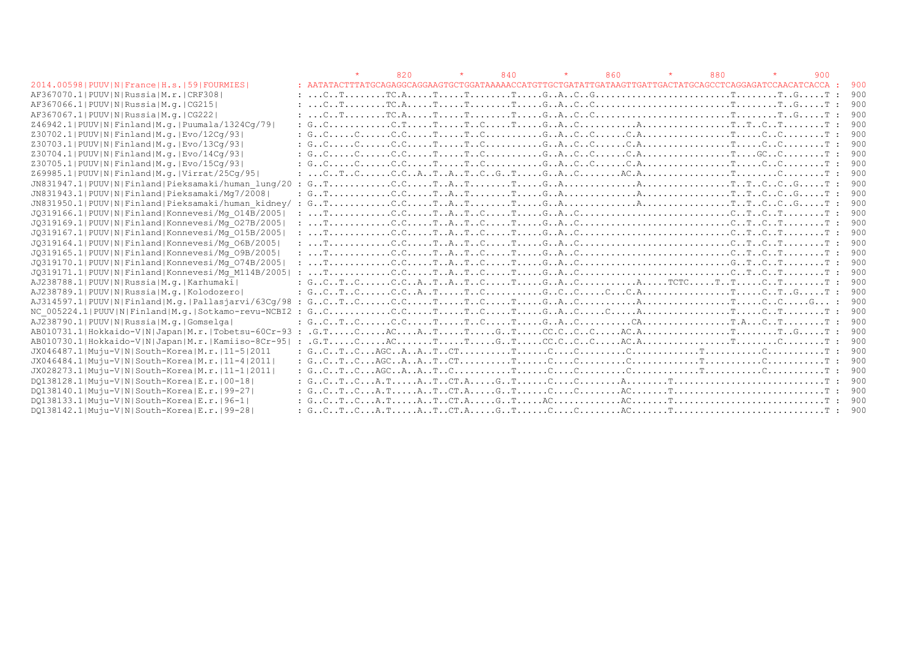|                                                       |       | 820 | 840 | 860 | 880                                                                                                                                                                                                                                                                                                                                                                                                                                                                                                                        | 900 |       |
|-------------------------------------------------------|-------|-----|-----|-----|----------------------------------------------------------------------------------------------------------------------------------------------------------------------------------------------------------------------------------------------------------------------------------------------------------------------------------------------------------------------------------------------------------------------------------------------------------------------------------------------------------------------------|-----|-------|
| 2014.00598   PUUV   N   France   H.s.   59   FOURMIES |       |     |     |     |                                                                                                                                                                                                                                                                                                                                                                                                                                                                                                                            |     | 900   |
| AF367070.1 PUUV N Russia M.r. CRF308                  |       |     |     |     |                                                                                                                                                                                                                                                                                                                                                                                                                                                                                                                            |     | 900   |
| AF367066.1 PUUV N Russia M.g.   CG215                 |       |     |     |     |                                                                                                                                                                                                                                                                                                                                                                                                                                                                                                                            |     | 900   |
| AF367067.1 PUUV N Russia M.g.   CG222                 |       |     |     |     |                                                                                                                                                                                                                                                                                                                                                                                                                                                                                                                            |     | 900   |
| Z46942.1 PUUV N Finland M.g. Puumala/1324Cg/79        |       |     |     |     |                                                                                                                                                                                                                                                                                                                                                                                                                                                                                                                            |     | 900   |
| Z30702.1 PUUV N Finland M.g. Evo/12Cq/93              |       |     |     |     |                                                                                                                                                                                                                                                                                                                                                                                                                                                                                                                            |     | 900   |
| Z30703.1 PUUV N Finland M.g. Evo/13Cq/93              |       |     |     |     | $: G.C. \ldots . C. \ldots . C.C. \ldots . T. \ldots . T. C. \ldots . \ldots . G. A. \ldots . C. \ldots . C. A. \ldots . \ldots . \ldots . \ldots . T. \ldots . C. \ldots . \ldots . T.$                                                                                                                                                                                                                                                                                                                                   |     | 900   |
| Z30704.1 PUUV N Finland M.g. Evo/14Cq/93              |       |     |     |     | $: G. C. \ldots C. C. \ldots C. C. \ldots T. \ldots T. C. \ldots \ldots G. A. C. C. \ldots C. A. \ldots C. A. \ldots \ldots \ldots \ldots T. \ldots GC. C. \ldots \ldots T.$                                                                                                                                                                                                                                                                                                                                               |     | 900   |
| Z30705.1 PUUV N Finland M.g. Evo/15Cq/93              |       |     |     |     |                                                                                                                                                                                                                                                                                                                                                                                                                                                                                                                            |     | 900   |
| Z69985.1 PUUV N Finland M.g. Virrat/25Cq/95           |       |     |     |     |                                                                                                                                                                                                                                                                                                                                                                                                                                                                                                                            |     | 900   |
| JN831947.1 PUUV N Finland Pieksamaki/human lung/20    | : G T |     |     |     |                                                                                                                                                                                                                                                                                                                                                                                                                                                                                                                            |     | 900   |
| JN831943.1 PUUV N Finland Pieksamaki/Mg7/2008         |       |     |     |     | $: G_1, \ldots, \ldots, G_r, \ldots, \mathbb{C}, \ldots, \mathbb{C}, \ldots, \mathbb{C}, \ldots, \mathbb{C}, \ldots, \mathbb{C}, \ldots, G_r, \ldots, \mathbb{C}, \ldots, \mathbb{C}, \ldots, \mathbb{C}, \ldots, \mathbb{C}, \ldots, \mathbb{C}, \ldots, \mathbb{C}, \ldots, \mathbb{C}, \ldots, \mathbb{C}, \ldots, \mathbb{C}, \ldots, \mathbb{C}, \ldots, \mathbb{C}, \ldots, \mathbb{C}, \ldots, \mathbb{C}, \ldots, \mathbb{C}, \ldots, \mathbb$                                                                     |     | 900   |
|                                                       |       |     |     |     |                                                                                                                                                                                                                                                                                                                                                                                                                                                                                                                            |     | 900   |
| JQ319166.1 PUUV N Finland Konnevesi/Mq 014B/2005      |       |     |     |     | $\ldots \texttt{T} \ldots \ldots \ldots \texttt{C} \ldots \texttt{C} \ldots \texttt{T} \ldots \texttt{R} \ldots \texttt{T} \ldots \texttt{C} \ldots \texttt{T} \ldots \texttt{C} \ldots \texttt{G} \ldots \texttt{G} \ldots \texttt{G} \ldots \texttt{G} \ldots \texttt{G} \ldots \texttt{T} \ldots \texttt{C} \ldots \texttt{T} \ldots \texttt{G} \ldots \texttt{T} \ldots \texttt{G} \ldots \texttt{T} \ldots \texttt{G} \ldots \texttt{T} \ldots \texttt{G} \ldots \texttt{T$                                           |     | 900   |
| JQ319169.1 PUUV N Finland Konnevesi/Mq 027B/2005      |       |     |     |     |                                                                                                                                                                                                                                                                                                                                                                                                                                                                                                                            |     | 900   |
| JQ319167.1 PUUV N Finland Konnevesi/Mq 015B/2005      |       |     |     |     |                                                                                                                                                                                                                                                                                                                                                                                                                                                                                                                            |     | 900   |
| JQ319164.1 PUUV N Finland Konnevesi/Mq 06B/2005       |       |     |     |     | : $T_1, \ldots, T_n, \ldots, T_n, \ldots, T_n, \ldots, T_n, \ldots, T_n, \ldots, T_n, \ldots, T_n, \ldots, T_n, \ldots, T_n, \ldots, T_n, \ldots, T_n, \ldots, T_n, \ldots, T_n, \ldots, T_n, \ldots, T_n, \ldots, T_n, \ldots, T_n, \ldots, T_n, \ldots, T_n, \ldots, T_n, \ldots, T_n, \ldots, T_n, \ldots, T_n, \ldots, T_n, \ldots, T_n, \ldots, T_n, \ldots, T_n, \ldots, T_n, \ldots, T_n, \ldots, T_n,$                                                                                                             |     | 900   |
| JQ319165.1 PUUV N Finland Konnevesi/Mq 09B/2005       |       |     |     |     |                                                                                                                                                                                                                                                                                                                                                                                                                                                                                                                            |     | 900   |
| JQ319170.1 PUUV N Finland Konnevesi/Mq 074B/2005      |       |     |     |     |                                                                                                                                                                                                                                                                                                                                                                                                                                                                                                                            |     | 900   |
| JQ319171.1 PUUV N Finland Konnevesi/Mq M114B/2005     |       |     |     |     |                                                                                                                                                                                                                                                                                                                                                                                                                                                                                                                            |     | 900   |
| AJ238788.1 PUUV N Russia M.q. Karhumaki               |       |     |     |     | $: G.CTC. \ldots C.C.AT.AT.AC. \ldots T. \ldots G.AC. \ldots \ldots A. \ldots T CTC. \ldots T. \ldots C. \ldots T. \ldots \ldots T.$                                                                                                                                                                                                                                                                                                                                                                                       |     | 900   |
| AJ238789.1 PUUV N Russia M.g. Kolodozero              |       |     |     |     |                                                                                                                                                                                                                                                                                                                                                                                                                                                                                                                            |     | 900   |
|                                                       |       |     |     |     |                                                                                                                                                                                                                                                                                                                                                                                                                                                                                                                            |     | 900   |
|                                                       |       |     |     |     |                                                                                                                                                                                                                                                                                                                                                                                                                                                                                                                            |     | 900   |
| AJ238790.1 PUUV N Russia M.q. Gomselga                |       |     |     |     |                                                                                                                                                                                                                                                                                                                                                                                                                                                                                                                            |     | 900   |
| AB010731.1 Hokkaido-V N Japan M.r. Tobetsu-60Cr-93 :  |       |     |     |     | $G.\mathbb{T} \ldots \ldots \ldots \ldots \mathbb{A} C \ldots \ldots A \ldots \mathbb{T} \ldots \ldots \mathbb{T} \ldots \ldots \mathbb{G} C \ldots \mathbb{C} C \ldots \mathbb{C} C \ldots \ldots \mathbb{A} C \ldots \mathbb{A} C \ldots \ldots \ldots \ldots \ldots \ldots \ldots \ldots \ldots \mathbb{T} \ldots \ldots \ldots \mathbb{T} \ldots \mathbb{G} \ldots \ldots \mathbb{T}$                                                                                                                                  |     | : 900 |
| AB010730.1 Hokkaido-V N Japan M.r. Kamiiso-8Cr-95  :  |       |     |     |     | $G.\mathbb{T} \ldots \ldots C \ldots \ldots AC \ldots \ldots \mathbb{T} \ldots \ldots C \ldots \mathbb{T} \ldots \ldots C \ldots C \ldots C \ldots C \ldots C \ldots \ldots AC \ldots \ldots \ldots \ldots \ldots \ldots \ldots \mathbb{T} \ldots \ldots \ldots C \ldots \ldots \mathbb{T} \ldots \ldots \ldots \mathbb{T} \ldots \ldots \ldots \mathbb{T} \ldots \ldots \ldots \mathbb{T} \ldots \ldots \ldots \mathbb{T} \ldots \ldots \ldots \mathbb{T} \ldots \ldots \ldots \mathbb{T} \ldots \ldots \ldots \mathbb{T$ |     | .900  |
| JX046487.1 Muju-V N South-Korea M.r. 11-5 2011        |       |     |     |     |                                                                                                                                                                                                                                                                                                                                                                                                                                                                                                                            |     | 900   |
| JX046484.1 Muju-V N South-Korea M.r.  11-4 2011       |       |     |     |     |                                                                                                                                                                                                                                                                                                                                                                                                                                                                                                                            |     | 900   |
| JX028273.1 Muju-V N South-Korea M.r. 11-1 2011        |       |     |     |     |                                                                                                                                                                                                                                                                                                                                                                                                                                                                                                                            |     | 900   |
| DQ138128.1 Muju-V N South-Korea E.r. 00-18            |       |     |     |     |                                                                                                                                                                                                                                                                                                                                                                                                                                                                                                                            |     | 900   |
| DO138140.1 Muju-V N South-Korea E.r. 99-27            |       |     |     |     |                                                                                                                                                                                                                                                                                                                                                                                                                                                                                                                            |     | : 900 |
| DQ138133.1 Muju-V N South-Korea E.r. 96-1             |       |     |     |     |                                                                                                                                                                                                                                                                                                                                                                                                                                                                                                                            |     | .900  |
| DQ138142.1 Muju-V N South-Korea E.r. 99-28            |       |     |     |     |                                                                                                                                                                                                                                                                                                                                                                                                                                                                                                                            |     |       |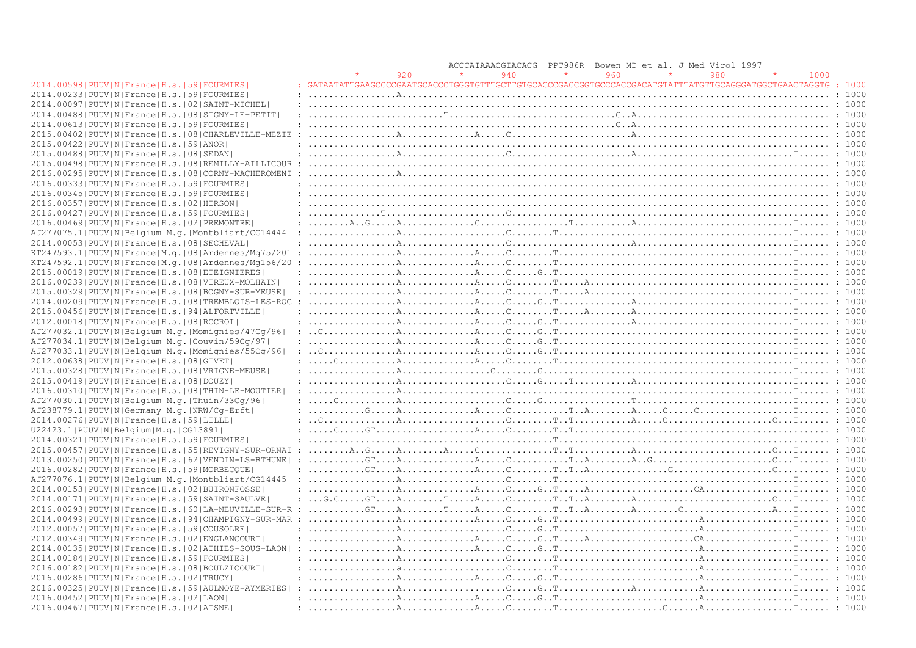|                                                                |                                                                                                                                                                                                                                                                                                                                                                                                                                          |     | ACCCAIAAACGIACACG |     | PPT986R |     | Bowen MD et al. J Med Virol 1997 |     |      |        |
|----------------------------------------------------------------|------------------------------------------------------------------------------------------------------------------------------------------------------------------------------------------------------------------------------------------------------------------------------------------------------------------------------------------------------------------------------------------------------------------------------------------|-----|-------------------|-----|---------|-----|----------------------------------|-----|------|--------|
|                                                                |                                                                                                                                                                                                                                                                                                                                                                                                                                          | 920 |                   | 940 |         | 960 |                                  | 980 | 1000 |        |
| 2014.00598   PUUV   N   France   H.s.   59   FOURMIES          | GATAATATTGAAGCCCCGAATGCACCCTGGGTGTTTGCTTGTGCACCCGACCGGTGCCCACCGACATGTATTTATGTTGCAGGGATGGCTGAACTAGGTG: 1000                                                                                                                                                                                                                                                                                                                               |     |                   |     |         |     |                                  |     |      |        |
| 2014.002331PUUVINIFranceIH.s.1591FOURMIES                      |                                                                                                                                                                                                                                                                                                                                                                                                                                          |     |                   |     |         |     |                                  |     |      |        |
| 2014.00097 PUUV N France H.s. 02 SAINT-MICHEL                  |                                                                                                                                                                                                                                                                                                                                                                                                                                          |     |                   |     |         |     |                                  |     |      |        |
| 2014.00488   PUUV   N   France   H.s.   08   SIGNY-LE-PETIT    |                                                                                                                                                                                                                                                                                                                                                                                                                                          |     |                   |     |         |     |                                  |     |      |        |
|                                                                |                                                                                                                                                                                                                                                                                                                                                                                                                                          |     |                   |     |         |     |                                  |     |      |        |
| 2014.00613 PUUV N France H.s. 59 FOURMIES                      |                                                                                                                                                                                                                                                                                                                                                                                                                                          |     |                   |     |         |     |                                  |     |      |        |
| 2015.00402   PUUV   N   France   H.s.   08   CHARLEVILLE-MEZIE |                                                                                                                                                                                                                                                                                                                                                                                                                                          |     |                   |     |         |     |                                  |     |      |        |
| 2015.00422   PUUV   N   France   H.s.   59   ANOR              |                                                                                                                                                                                                                                                                                                                                                                                                                                          |     |                   |     |         |     |                                  |     |      |        |
| 2015.00488   PUUV   N   France   H.s.   08   SEDAN             |                                                                                                                                                                                                                                                                                                                                                                                                                                          |     |                   |     |         |     |                                  |     |      |        |
| 2015.00498 PUUV N France H.s. 08 REMILLY-AILLICOUR             |                                                                                                                                                                                                                                                                                                                                                                                                                                          |     |                   |     |         |     |                                  |     |      |        |
| 2016.00295   PUUV   N   France   H.s.   08   CORNY-MACHEROMENI |                                                                                                                                                                                                                                                                                                                                                                                                                                          |     |                   |     |         |     |                                  |     |      |        |
| 2016.00333  PUUV  N   France   H.s.   59   FOURMIES            |                                                                                                                                                                                                                                                                                                                                                                                                                                          |     |                   |     |         |     |                                  |     |      |        |
| 2016.00345 PUUV N France H.s. 59 FOURMIES                      |                                                                                                                                                                                                                                                                                                                                                                                                                                          |     |                   |     |         |     |                                  |     |      |        |
| 2016.00357 PUUV N France H.s. 02 HIRSON                        |                                                                                                                                                                                                                                                                                                                                                                                                                                          |     |                   |     |         |     |                                  |     |      |        |
|                                                                |                                                                                                                                                                                                                                                                                                                                                                                                                                          |     |                   |     |         |     |                                  |     |      | : 1000 |
| 2016.00427 PUUV N France H.s. 59 FOURMIES                      |                                                                                                                                                                                                                                                                                                                                                                                                                                          |     |                   |     |         |     |                                  |     |      |        |
| 2016.00469 PUUV N France H.s. 02 PREMONTRE                     |                                                                                                                                                                                                                                                                                                                                                                                                                                          |     |                   |     |         |     |                                  |     |      |        |
| AJ277075.1 PUUV N Belgium M.g. Montbliart/CG14444              |                                                                                                                                                                                                                                                                                                                                                                                                                                          |     |                   |     |         |     |                                  |     |      |        |
| 2014.00053 PUUV N France H.s. 08 SECHEVAL                      |                                                                                                                                                                                                                                                                                                                                                                                                                                          |     |                   |     |         |     |                                  |     |      |        |
| KT247593.1 PUUV N France M.q. 08 Ardennes/Mq75/201             |                                                                                                                                                                                                                                                                                                                                                                                                                                          |     |                   |     |         |     |                                  |     |      |        |
| $KT247592.1 PUUV N France M.q. 08 Ardennes/Mq156/20$           |                                                                                                                                                                                                                                                                                                                                                                                                                                          |     |                   |     |         |     |                                  |     |      |        |
| 2015.00019   PUUV   N   France   H.s.   08   ETEIGNIERES       |                                                                                                                                                                                                                                                                                                                                                                                                                                          |     |                   |     |         |     |                                  |     |      | 1000   |
| 2016.00239   PUUV   N   France   H.s.   08   VIREUX-MOLHAIN    |                                                                                                                                                                                                                                                                                                                                                                                                                                          |     |                   |     |         |     |                                  |     |      |        |
| 2015.00329   PUUV   N   France   H.s.   08   BOGNY-SUR-MEUSE   | 1000                                                                                                                                                                                                                                                                                                                                                                                                                                     |     |                   |     |         |     |                                  |     |      |        |
| 2014.00209 PUUV N France H.s. 08 TREMBLOIS-LES-ROC             |                                                                                                                                                                                                                                                                                                                                                                                                                                          |     |                   |     |         |     |                                  |     |      |        |
|                                                                |                                                                                                                                                                                                                                                                                                                                                                                                                                          |     |                   |     |         |     |                                  |     |      |        |
| 2015.00456 PUUV N France H.s. 94 ALFORTVILLE                   |                                                                                                                                                                                                                                                                                                                                                                                                                                          |     |                   |     |         |     |                                  |     |      |        |
| 2012.00018   PUUV   N   France   H.s.   08   ROCROI            |                                                                                                                                                                                                                                                                                                                                                                                                                                          |     |                   |     |         |     |                                  |     |      |        |
| AJ277032.1 PUUV N Belgium M.g. Momignies/47Cg/96               |                                                                                                                                                                                                                                                                                                                                                                                                                                          |     |                   |     |         |     |                                  |     |      | 1000   |
| AJ277034.1 PUUV N Belgium M.g. Couvin/59Cq/97                  |                                                                                                                                                                                                                                                                                                                                                                                                                                          |     |                   |     |         |     |                                  |     |      |        |
| AJ277033.1 PUUV N Belgium M.g. Momignies/55Cq/96               |                                                                                                                                                                                                                                                                                                                                                                                                                                          |     |                   |     |         |     |                                  |     |      |        |
| 2012.00638 PUUV N France H.s. 08 GIVET                         |                                                                                                                                                                                                                                                                                                                                                                                                                                          |     |                   |     |         |     |                                  |     |      | : 1000 |
| 2015.00328   PUUV   N   France   H.s.   08   VRIGNE-MEUSE      |                                                                                                                                                                                                                                                                                                                                                                                                                                          |     |                   |     |         |     |                                  |     |      |        |
| 2015.00419 PUUV N France H.s. 08 DOUZY                         |                                                                                                                                                                                                                                                                                                                                                                                                                                          |     |                   |     |         |     |                                  |     |      |        |
| 2016.00310   PUUV   N   France   H.s.   08   THIN-LE-MOUTIER   | $\ldots \ldots \ldots \ldots \ldots$                                                                                                                                                                                                                                                                                                                                                                                                     |     |                   |     |         |     |                                  |     |      | : 1000 |
| AJ277030.1 PUUV N Belgium M.g. Thuin/33Cq/96                   |                                                                                                                                                                                                                                                                                                                                                                                                                                          |     |                   |     |         |     |                                  |     |      |        |
|                                                                |                                                                                                                                                                                                                                                                                                                                                                                                                                          |     |                   |     |         |     |                                  |     |      |        |
| AJ238779.1 PUUV N Germany M.g. NRW/Cq-Erft                     |                                                                                                                                                                                                                                                                                                                                                                                                                                          |     |                   |     |         |     |                                  |     |      |        |
| 2014.00276  PUUV  N   France   H.s.   59   LILLE               |                                                                                                                                                                                                                                                                                                                                                                                                                                          |     |                   |     |         |     |                                  |     |      |        |
| U22423.1 PUUV N Belgium M.g. CG13891                           |                                                                                                                                                                                                                                                                                                                                                                                                                                          |     |                   |     |         |     |                                  |     |      |        |
| 2014.00321 PUUV N France H.s. 59 FOURMIES                      |                                                                                                                                                                                                                                                                                                                                                                                                                                          |     |                   |     |         |     |                                  |     |      |        |
| 2015.00457 PUUV N France H.s. 55 REVIGNY-SUR-ORNAI             |                                                                                                                                                                                                                                                                                                                                                                                                                                          |     |                   |     |         |     |                                  |     |      |        |
| 2013.00250 PUUV N France H.s. 62 VENDIN-LS-BTHUNE              | $: \ldots, \ldots, \mathbb{G}^{\mathsf{T}} \ldots \mathbb{A} \ldots, \ldots, \ldots, \mathbb{A} \ldots, \mathbb{C} \ldots, \mathbb{C} \ldots, \mathbb{C} \ldots, \mathbb{A} \ldots, \mathbb{A} \ldots, \mathbb{A} \ldots, \mathbb{C} \ldots, \ldots, \ldots, \mathbb{C} \ldots, \mathbb{C} \ldots, \mathbb{C} \ldots, \mathbb{C} \ldots, \mathbb{C} \ldots, \mathbb{C} \ldots, \mathbb{C} \ldots, \mathbb{C} \ldots, \mathbb{C} \ldots,$ |     |                   |     |         |     |                                  |     |      |        |
| 2016.00282   PUUV   N   France   H.s.   59   MORBECQUE         |                                                                                                                                                                                                                                                                                                                                                                                                                                          |     |                   |     |         |     |                                  |     |      |        |
| AJ277076.1 PUUV N Belgium M.g. Montbliart/CG14445              |                                                                                                                                                                                                                                                                                                                                                                                                                                          |     |                   |     |         |     |                                  |     |      | : 1000 |
| 2014.00153 PUUV N France H.s. 02 BUIRONFOSSE                   |                                                                                                                                                                                                                                                                                                                                                                                                                                          |     |                   |     |         |     |                                  |     |      |        |
| 2014.00171 PUUV N France H.s. 59 SAINT-SAULVE                  |                                                                                                                                                                                                                                                                                                                                                                                                                                          |     |                   |     |         |     |                                  |     |      |        |
| 2016.00293 PUUV N France H.s. 60 LA-NEUVILLE-SUR-R             |                                                                                                                                                                                                                                                                                                                                                                                                                                          |     |                   |     |         |     |                                  |     |      | : 1000 |
|                                                                |                                                                                                                                                                                                                                                                                                                                                                                                                                          |     |                   |     |         |     |                                  |     |      |        |
| 2014.00499 PUUV N France H.s. 94 CHAMPIGNY-SUR-MAR             |                                                                                                                                                                                                                                                                                                                                                                                                                                          |     |                   |     |         |     |                                  |     |      |        |
| 2012.00057 PUUV N France H.s. 59 COUSOLRE                      |                                                                                                                                                                                                                                                                                                                                                                                                                                          |     |                   |     |         |     |                                  |     |      |        |
| 2012.00349   PUUV   N   France   H.s.   02   ENGLANCOURT       |                                                                                                                                                                                                                                                                                                                                                                                                                                          |     |                   |     |         |     |                                  |     |      |        |
| 2014.00135 PUUV N France H.s.   02 ATHIES-SOUS-LAON            |                                                                                                                                                                                                                                                                                                                                                                                                                                          |     |                   |     |         |     |                                  |     |      |        |
| 2014.00184 PUUV N France H.s. 59 FOURMIES                      |                                                                                                                                                                                                                                                                                                                                                                                                                                          |     |                   |     |         |     |                                  |     |      |        |
| 2016.00182   PUUV   N   France   H.s.   08   BOULZICOURT       |                                                                                                                                                                                                                                                                                                                                                                                                                                          |     |                   |     |         |     |                                  |     |      |        |
| 2016.00286 PUUV N France H.s. 02 TRUCY                         |                                                                                                                                                                                                                                                                                                                                                                                                                                          |     |                   |     |         |     |                                  |     |      |        |
| 2016.00325 PUUV N France H.s. 59 AULNOYE-AYMERIES              |                                                                                                                                                                                                                                                                                                                                                                                                                                          |     |                   |     |         |     |                                  |     |      |        |
| 2016.00452   PUUV   N   France   H.s.   02   LAON              | $: \ldots, \ldots, \ldots, \mathbb{A}, \ldots, \ldots, \mathbb{A}, \ldots, \mathbb{C}, \ldots, \mathbb{G}, \mathbb{T}, \ldots, \ldots, \ldots, \ldots, \ldots, \mathbb{A}, \ldots, \ldots, \ldots, \ldots, \mathbb{T}, \ldots, \mathbb{I} \text{ 1000}$                                                                                                                                                                                  |     |                   |     |         |     |                                  |     |      |        |
| 2016.00467 PUUV N France H.s. 02 AISNE                         |                                                                                                                                                                                                                                                                                                                                                                                                                                          |     |                   |     |         |     |                                  |     |      |        |
|                                                                |                                                                                                                                                                                                                                                                                                                                                                                                                                          |     |                   |     |         |     |                                  |     |      |        |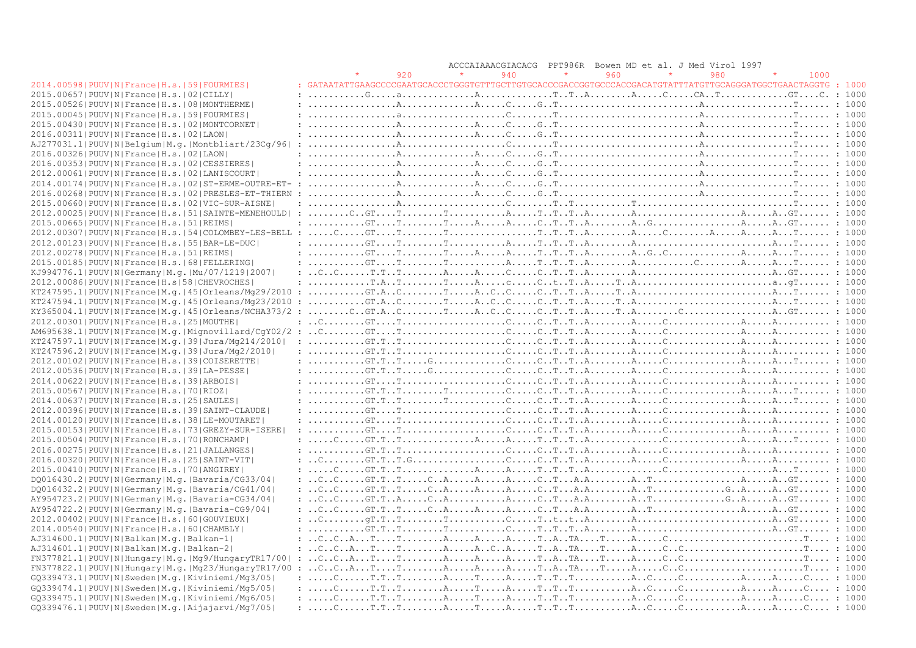|                                                                  |                                                                                                                                                                                                                                                                                                                                                                                                                                                                         |     | ACCCAIAAACGIACACG | PPT986R |     | Bowen MD et al. J Med Virol 1997 |     |        |  |
|------------------------------------------------------------------|-------------------------------------------------------------------------------------------------------------------------------------------------------------------------------------------------------------------------------------------------------------------------------------------------------------------------------------------------------------------------------------------------------------------------------------------------------------------------|-----|-------------------|---------|-----|----------------------------------|-----|--------|--|
|                                                                  |                                                                                                                                                                                                                                                                                                                                                                                                                                                                         | 920 | 940               |         | 960 |                                  | 980 | 1000   |  |
| 2014.00598   PUUV   N   France   H.s.   59   FOURMIES            | : GATAATATTGAAGCCCCCGAATGCACCCTGGGTGTTTGCTTGTGCACCCGACCGGTGCCCACCGACATGTATTTATGTTGCAGGGATGGCTGAACTAGGTG : 1000                                                                                                                                                                                                                                                                                                                                                          |     |                   |         |     |                                  |     |        |  |
| 2015.00657 PUUV N France H.s.   02   CILLY                       |                                                                                                                                                                                                                                                                                                                                                                                                                                                                         |     |                   |         |     |                                  |     |        |  |
| 2015.00526 PUUV N France H.s. 08 MONTHERME                       |                                                                                                                                                                                                                                                                                                                                                                                                                                                                         |     |                   |         |     |                                  |     |        |  |
| 2015.00045 PUUV N France H.s. 59 FOURMIES                        |                                                                                                                                                                                                                                                                                                                                                                                                                                                                         |     |                   |         |     |                                  |     |        |  |
| 2015.00430 PUUV N France H.s. 02 MONTCORNET                      |                                                                                                                                                                                                                                                                                                                                                                                                                                                                         |     |                   |         |     |                                  |     |        |  |
| 2016.00311 PUUV N France H.s. 02 LAON                            |                                                                                                                                                                                                                                                                                                                                                                                                                                                                         |     |                   |         |     |                                  |     |        |  |
| AJ277031.1 PUUV N Belgium M.g. Montbliart/23Cq/96                | $: \ldots, \ldots, \ldots, \mathbb{A}, \ldots, \ldots, \ldots, \ldots, \mathbb{C}, \ldots, \mathbb{T}, \ldots, \mathbb{T}, \ldots, \mathbb{C}, \ldots, \mathbb{C}, \ldots, \mathbb{C}, \ldots, \mathbb{A}, \ldots, \mathbb{C}, \ldots, \mathbb{C}, \ldots, \mathbb{C}, \ldots, \mathbb{C}, \ldots, \mathbb{C}, \ldots, \mathbb{C}, \ldots, \mathbb{C}, \ldots, \mathbb{C}, \ldots, \mathbb{C}, \ldots, \mathbb{C}, \ldots, \mathbb{C}, \ldots, \mathbb{C}, \$           |     |                   |         |     |                                  |     |        |  |
| 2016.00326 PUUV N France H.s. 02 LAON                            |                                                                                                                                                                                                                                                                                                                                                                                                                                                                         |     |                   |         |     |                                  |     |        |  |
| 2016.00353 PUUV N France H.s. 02 CESSIERES                       |                                                                                                                                                                                                                                                                                                                                                                                                                                                                         |     |                   |         |     |                                  |     |        |  |
| 2012.00061 PUUV N France H.s. 02 LANISCOURT                      |                                                                                                                                                                                                                                                                                                                                                                                                                                                                         |     |                   |         |     |                                  |     |        |  |
| 2014.00174   PUUV   N   France   H.s.   02   ST-ERME-OUTRE-ET- : |                                                                                                                                                                                                                                                                                                                                                                                                                                                                         |     |                   |         |     |                                  |     |        |  |
| 2016.00268   PUUV   N   France   H.s.   02   PRESLES-ET-THIERN   |                                                                                                                                                                                                                                                                                                                                                                                                                                                                         |     |                   |         |     |                                  |     |        |  |
| 2015.00660   PUUV   N   France   H.s.   02   VIC-SUR-AISNE       |                                                                                                                                                                                                                                                                                                                                                                                                                                                                         |     |                   |         |     |                                  |     |        |  |
| 2012.00025 PUUV N France H.s. 51 SAINTE-MENEHOULD                |                                                                                                                                                                                                                                                                                                                                                                                                                                                                         |     |                   |         |     |                                  |     |        |  |
| 2015.00665 PUUV N France H.s. 51 REIMS                           |                                                                                                                                                                                                                                                                                                                                                                                                                                                                         |     |                   |         |     |                                  |     |        |  |
| 2012.00307 PUUV N France H.s. 54 COLOMBEY-LES-BELL               |                                                                                                                                                                                                                                                                                                                                                                                                                                                                         |     |                   |         |     |                                  |     |        |  |
| 2012.00123 PUUV N France H.s. 55 BAR-LE-DUC                      |                                                                                                                                                                                                                                                                                                                                                                                                                                                                         |     |                   |         |     |                                  |     |        |  |
| 2012.00278   PUUV   N   France   H.s.   51   REIMS               |                                                                                                                                                                                                                                                                                                                                                                                                                                                                         |     |                   |         |     |                                  |     |        |  |
|                                                                  |                                                                                                                                                                                                                                                                                                                                                                                                                                                                         |     |                   |         |     |                                  |     |        |  |
| 2015.00185 PUUV N France H.s. 68 FELLERING                       |                                                                                                                                                                                                                                                                                                                                                                                                                                                                         |     |                   |         |     |                                  |     |        |  |
| KJ994776.1   PUUV   N   Germany   M.q.   Mu/07/1219   2007       |                                                                                                                                                                                                                                                                                                                                                                                                                                                                         |     |                   |         |     |                                  |     |        |  |
| 2012.00086  PUUV   N   France   H.s   58   CHEVROCHES            |                                                                                                                                                                                                                                                                                                                                                                                                                                                                         |     |                   |         |     |                                  |     |        |  |
| KT247595.1 PUUV N France M.g. 45 Orleans/Mg29/2010               |                                                                                                                                                                                                                                                                                                                                                                                                                                                                         |     |                   |         |     |                                  |     |        |  |
| KT247594.1 PUUV N France M.q. 45 Orleans/Mg23/2010               |                                                                                                                                                                                                                                                                                                                                                                                                                                                                         |     |                   |         |     |                                  |     |        |  |
| KY365004.1 PUUV N France M.g. 45 Orleans/NCHA373/2               |                                                                                                                                                                                                                                                                                                                                                                                                                                                                         |     |                   |         |     |                                  |     |        |  |
| 2012.00301 PUUV N France H.s. 25 MOUTHE                          |                                                                                                                                                                                                                                                                                                                                                                                                                                                                         |     |                   |         |     |                                  |     |        |  |
|                                                                  |                                                                                                                                                                                                                                                                                                                                                                                                                                                                         |     |                   |         |     |                                  |     |        |  |
| KT247597.1 PUUV N France M.q. 39 Jura/Mg214/2010                 |                                                                                                                                                                                                                                                                                                                                                                                                                                                                         |     |                   |         |     |                                  |     |        |  |
| KT247596.2 PUUV N France M.q. 39 Jura/Mq2/2010                   |                                                                                                                                                                                                                                                                                                                                                                                                                                                                         |     |                   |         |     |                                  |     |        |  |
| 2012.00102 PUUV N France H.s. 39 COISERETTE                      |                                                                                                                                                                                                                                                                                                                                                                                                                                                                         |     |                   |         |     |                                  |     |        |  |
| 2012.00536 PUUV N France H.s. 39 LA-PESSE                        |                                                                                                                                                                                                                                                                                                                                                                                                                                                                         |     |                   |         |     |                                  |     |        |  |
| 2014.00622 PUUV N France H.s. 39 ARBOIS                          |                                                                                                                                                                                                                                                                                                                                                                                                                                                                         |     |                   |         |     |                                  |     |        |  |
| 2015.00567 PUUV N France H.s. 70 RIOZ                            |                                                                                                                                                                                                                                                                                                                                                                                                                                                                         |     |                   |         |     |                                  |     |        |  |
| 2014.00637 PUUV N France H.s. 25 SAULES                          |                                                                                                                                                                                                                                                                                                                                                                                                                                                                         |     |                   |         |     |                                  |     |        |  |
| 2012.00396 PUUV N France H.s. 39 SAINT-CLAUDE                    |                                                                                                                                                                                                                                                                                                                                                                                                                                                                         |     |                   |         |     |                                  |     |        |  |
| 2014.00120 PUUV N France H.s. 38 LE-MOUTARET                     |                                                                                                                                                                                                                                                                                                                                                                                                                                                                         |     |                   |         |     |                                  |     |        |  |
| 2015.00153 PUUV N France H.s. 73 GREZY-SUR-ISERE                 |                                                                                                                                                                                                                                                                                                                                                                                                                                                                         |     |                   |         |     |                                  |     |        |  |
| 2015.00504   PUUV   N   France   H.s.   70   RONCHAMP            |                                                                                                                                                                                                                                                                                                                                                                                                                                                                         |     |                   |         |     |                                  |     |        |  |
| 2016.00275   PUUV   N   France   H.s.   21   JALLANGES           | $: \ldots, \ldots, \text{GT.T.} \ldots, \text{ST.} \ldots, \ldots, \ldots, \text{ST.} \ldots, \text{ST.} \ldots, \text{ST.} \ldots, \text{ST.} \ldots, \text{ST.} \ldots, \text{ST.} \ldots, \text{ST.} \ldots, \text{ST.} \ldots, \text{ST.} \ldots, \text{ST.} \ldots, \text{ST.} \ldots, \text{ST.} \ldots, \text{ST.} \ldots, \text{ST.} \ldots, \text{ST.} \ldots, \text{ST.} \ldots, \text{ST.} \ldots, \text{ST.} \ldots, \text$                                 |     |                   |         |     |                                  |     |        |  |
| 2016.00320 PUUV N France H.s. 25 SAINT-VIT                       |                                                                                                                                                                                                                                                                                                                                                                                                                                                                         |     |                   |         |     |                                  |     |        |  |
| 2015.00410 PUUV N France H.s. 70 ANGIREY                         |                                                                                                                                                                                                                                                                                                                                                                                                                                                                         |     |                   |         |     |                                  |     |        |  |
| DQ016430.2 PUUV N Germany M.q. Bavaria/CG33/04                   |                                                                                                                                                                                                                                                                                                                                                                                                                                                                         |     |                   |         |     |                                  |     |        |  |
| DQ016432.2   PUUV   N   Germany   M.q.   Bavaria/CG41/04         |                                                                                                                                                                                                                                                                                                                                                                                                                                                                         |     |                   |         |     |                                  |     |        |  |
| AY954723.2   PUUV   N   Germany   M. g.   Bavaria-CG34/04        |                                                                                                                                                                                                                                                                                                                                                                                                                                                                         |     |                   |         |     |                                  |     |        |  |
| AY954722.2   PUUV   N   Germany   M.g.   Bavaria-CG9/04          |                                                                                                                                                                                                                                                                                                                                                                                                                                                                         |     |                   |         |     |                                  |     |        |  |
| 2012.00402 PUUV N France H.s. 60 GOUVIEUX                        |                                                                                                                                                                                                                                                                                                                                                                                                                                                                         |     |                   |         |     |                                  |     |        |  |
| 2014.00540 PUUV N France H.s. 60 CHAMBLY                         |                                                                                                                                                                                                                                                                                                                                                                                                                                                                         |     |                   |         |     |                                  |     |        |  |
| AJ314600.1 PUUV N Balkan M.q. Balkan-1                           |                                                                                                                                                                                                                                                                                                                                                                                                                                                                         |     |                   |         |     |                                  |     |        |  |
| AJ314601.1 PUUV N Balkan M.g. Balkan-2                           |                                                                                                                                                                                                                                                                                                                                                                                                                                                                         |     |                   |         |     |                                  |     |        |  |
| FN377821.1  PUUV   N   Hungary   M.g.   Mg9/ Hungary TR17/00     |                                                                                                                                                                                                                                                                                                                                                                                                                                                                         |     |                   |         |     |                                  |     |        |  |
| FN377822.1 PUUV N Hungary M.g. Mg23/HungaryTR17/00               |                                                                                                                                                                                                                                                                                                                                                                                                                                                                         |     |                   |         |     |                                  |     |        |  |
| GQ339473.1 PUUV N Sweden M.q. Kiviniemi/Mq3/05                   |                                                                                                                                                                                                                                                                                                                                                                                                                                                                         |     |                   |         |     |                                  |     | : 1000 |  |
| GQ339474.1 PUUV N Sweden M.g. Kiviniemi/Mg5/05                   | $: \ldots, \mathbb{C}, \ldots, \mathbb{T}, \mathbb{T}, \ldots, \mathbb{T}, \ldots, \mathbb{A}, \ldots, \mathbb{T}, \ldots, \mathbb{T}, \ldots, \mathbb{T}, \ldots, \mathbb{T}, \ldots, \mathbb{A}, \ldots, \mathbb{C}, \ldots, \mathbb{C}, \ldots, \mathbb{A}, \ldots, \mathbb{A}, \ldots, \mathbb{C}, \ldots, \mathbb{C}, \ldots, \mathbb{C}, \ldots, \mathbb{C}, \ldots, \mathbb{C}, \ldots, \mathbb{C}, \ldots, \mathbb{C}, \ldots, \mathbb{C}, \ldots, \mathbb{C},$ |     |                   |         |     |                                  |     |        |  |
| GQ339475.1 PUUV N Sweden M.q. Kiviniemi/Mq6/05                   |                                                                                                                                                                                                                                                                                                                                                                                                                                                                         |     |                   |         |     |                                  |     |        |  |
| GQ339476.1 PUUV N Sweden M.q. Aijajarvi/Mq7/05                   |                                                                                                                                                                                                                                                                                                                                                                                                                                                                         |     |                   |         |     |                                  |     |        |  |
|                                                                  |                                                                                                                                                                                                                                                                                                                                                                                                                                                                         |     |                   |         |     |                                  |     |        |  |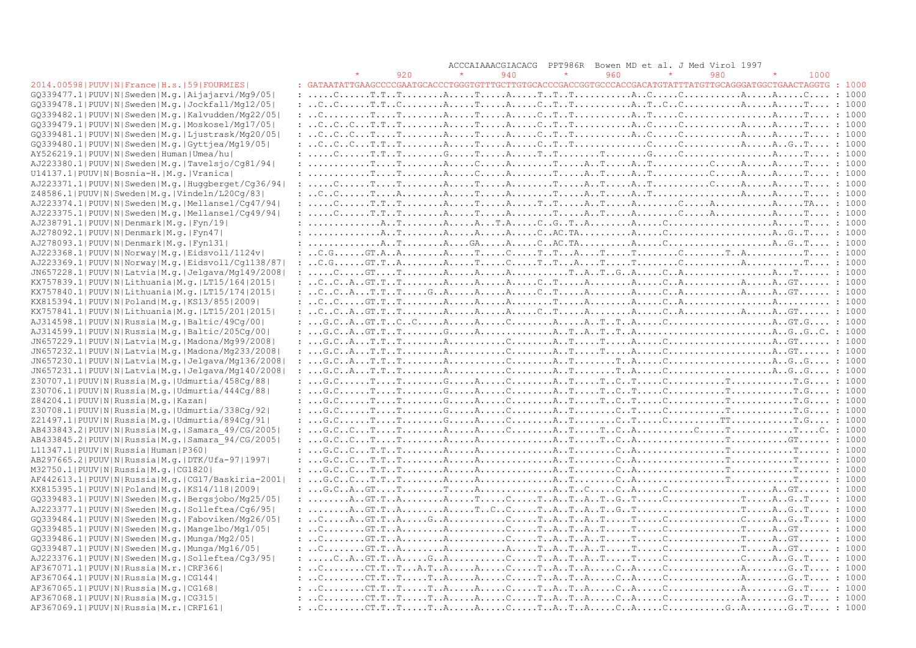|                                                            | ACCCAIAAACGIACACG PPT986R Bowen MD et al. J Med Virol 1997                                                                                                                                                                                                                                                                                                                                                           |  |
|------------------------------------------------------------|----------------------------------------------------------------------------------------------------------------------------------------------------------------------------------------------------------------------------------------------------------------------------------------------------------------------------------------------------------------------------------------------------------------------|--|
|                                                            | $\star$<br>960<br>980<br>920<br>940<br>$\star$<br>$\star$<br>1000                                                                                                                                                                                                                                                                                                                                                    |  |
| 2014.00598 PUUV N France H.s. 59 FOURMIES                  | : GATAATATTGAAGCCCCGAATGCACCCTGGGTGTTTGCTTGTGCACCCGACCGGTGCCCACCGACATGTATTTATGTTGCAGGGATGGCTGAACTAGGTG : 1000                                                                                                                                                                                                                                                                                                        |  |
| GQ339477.1   PUUV   N   Sweden   M.g.   Aijajarvi/Mg9/05   |                                                                                                                                                                                                                                                                                                                                                                                                                      |  |
| $GQ339478.1 PUUV N Sweden M.q. Jockfall/Mq12/05 $          |                                                                                                                                                                                                                                                                                                                                                                                                                      |  |
| GQ339482.1 PUUV N Sweden M.q. Kalvudden/Mq22/05            |                                                                                                                                                                                                                                                                                                                                                                                                                      |  |
| GQ339479.1 PUUV N Sweden M.g. Moskosel/Mg17/05             |                                                                                                                                                                                                                                                                                                                                                                                                                      |  |
| GQ339481.1 PUUV N Sweden M.q. Ljustrask/Mq20/05            |                                                                                                                                                                                                                                                                                                                                                                                                                      |  |
| GQ339480.1 PUUV N Sweden M.q. Gyttjea/Mq19/05              |                                                                                                                                                                                                                                                                                                                                                                                                                      |  |
| AY526219.1 PUUV N Sweden Human Umea/hu                     |                                                                                                                                                                                                                                                                                                                                                                                                                      |  |
| AJ223380.1   PUUV   N   Sweden   M.g.   Tavelsjo/Cq81/94   |                                                                                                                                                                                                                                                                                                                                                                                                                      |  |
| U14137.1 PUUV N Bosnia-H. M.g. Vranica                     |                                                                                                                                                                                                                                                                                                                                                                                                                      |  |
| AJ223371.1 PUUV N Sweden M.g. Huggberget/Cg36/94           |                                                                                                                                                                                                                                                                                                                                                                                                                      |  |
| Z48586.1 PUUV N Sweden M.g. Vindeln/L20Cg/83               |                                                                                                                                                                                                                                                                                                                                                                                                                      |  |
| AJ223374.1 PUUV N Sweden M.g. Mellansel/Cg47/94            |                                                                                                                                                                                                                                                                                                                                                                                                                      |  |
| AJ223375.1 PUUV N Sweden M.q. Mellansel/Cq49/94            |                                                                                                                                                                                                                                                                                                                                                                                                                      |  |
| AJ238791.1 PUUV N Denmark M.q. Fyn/19                      |                                                                                                                                                                                                                                                                                                                                                                                                                      |  |
| AJ278092.1 PUUV N Denmark M.q. Fyn47                       |                                                                                                                                                                                                                                                                                                                                                                                                                      |  |
| AJ278093.1 PUUV N Denmark M.q. Fyn131                      |                                                                                                                                                                                                                                                                                                                                                                                                                      |  |
| AJ223368.1 PUUV N Norway M.g. Eidsvoll/1124v               |                                                                                                                                                                                                                                                                                                                                                                                                                      |  |
| AJ223369.1 PUUV N Norway M.g. Eidsvoll/Cg1138/87           |                                                                                                                                                                                                                                                                                                                                                                                                                      |  |
| JN657228.1 PUUV N Latvia M.g. Jelgava/Mg149/2008           |                                                                                                                                                                                                                                                                                                                                                                                                                      |  |
|                                                            |                                                                                                                                                                                                                                                                                                                                                                                                                      |  |
| KX757839.1  PUUV   N   Lithuania   M. g.   LT15/164   2015 |                                                                                                                                                                                                                                                                                                                                                                                                                      |  |
| KX757840.1 PUUV N Lithuania M.q. LT15/174 2015             |                                                                                                                                                                                                                                                                                                                                                                                                                      |  |
| KX815394.1  PUUV   N   Poland   M.q.   KS13/855   2009     |                                                                                                                                                                                                                                                                                                                                                                                                                      |  |
| KX757841.1 PUUV N Lithuania M.q. LT15/201 2015             |                                                                                                                                                                                                                                                                                                                                                                                                                      |  |
| AJ314598.1  PUUV  N  Russia   M.g.   Baltic/49Cq/00        |                                                                                                                                                                                                                                                                                                                                                                                                                      |  |
| AJ314599.1  PUUV   N   Russia   M.g.   Baltic/205Cg/00     |                                                                                                                                                                                                                                                                                                                                                                                                                      |  |
| JN657229.1  PUUV   N   Latvia   M.g.   Madona/Mg99/2008    |                                                                                                                                                                                                                                                                                                                                                                                                                      |  |
| JN657232.1 PUUV N Latvia M.g. Madona/Mg233/2008            |                                                                                                                                                                                                                                                                                                                                                                                                                      |  |
| JN657230.1 PUUV N Latvia M.g. Jelgava/Mg136/2008           |                                                                                                                                                                                                                                                                                                                                                                                                                      |  |
| JN657231.1  PUUV   N   Latvia   M.g.   Jelgava/Mg140/2008  |                                                                                                                                                                                                                                                                                                                                                                                                                      |  |
| Z30707.1 PUUV N Russia M.g. Udmurtia/458Cg/88              |                                                                                                                                                                                                                                                                                                                                                                                                                      |  |
| Z30706.1 PUUV N Russia M.g. Udmurtia/444Cq/88              | : $G.C. \ldots \ldots T. \ldots \ldots T. \ldots \ldots G. \ldots A. \ldots C. \ldots A. \ldots T. \ldots T. \ldots C. \ldots C. \ldots C. \ldots \ldots T. \ldots \ldots T. \ldots \ldots T. G. \ldots$ : 1000                                                                                                                                                                                                      |  |
| Z84204.1 PUUV N Russia M.q. Kazan                          | : $G.C. \ldots \ldots T. \ldots \ldots T. \ldots \ldots G. \ldots A. \ldots C. \ldots A. \ldots T. \ldots T. \ldots C. \ldots C. \ldots C. \ldots \ldots T. \ldots \ldots T. \ldots \ldots T. G. \ldots$ : 1000                                                                                                                                                                                                      |  |
| Z30708.1 PUUV N Russia M.g. Udmurtia/338Cq/92              |                                                                                                                                                                                                                                                                                                                                                                                                                      |  |
| Z21497.1  PUUV   N   Russia   M.g.   Udmurtia / 894Cg / 91 |                                                                                                                                                                                                                                                                                                                                                                                                                      |  |
| AB433843.2 PUUV N Russia M.g. Samara 49/CG/2005            | $\ldots, G.C.,.C.,.T. \ldots, T. \ldots, A. \ldots, A. \ldots, C. \ldots, A. \ldots, T. \ldots, T. \ldots, C. \ldots, A. \ldots, T. \ldots, C. \ldots, T. \ldots, T. \ldots, C. \ldots, A. \ldots, A. \ldots, C. \ldots, A. \ldots, A. \ldots, A. \ldots, A. \ldots, T. \ldots, T. \ldots, C. \ldots, A. \ldots, A. \ldots, A. \ldots, A. \ldots, T. \ldots, T. \ldots, C. \ldots, A. \ldots, A. \ldots, A. \ldots,$ |  |
| AB433845.2 PUUV N Russia M.q. Samara 94/CG/2005            |                                                                                                                                                                                                                                                                                                                                                                                                                      |  |
| L11347.1 PUUV N Russia Human P360                          |                                                                                                                                                                                                                                                                                                                                                                                                                      |  |
| AB297665.2 PUUV N Russia M.q. DTK/Ufa-97 1997              |                                                                                                                                                                                                                                                                                                                                                                                                                      |  |
| M32750.1 PUUV N Russia M.q. CG1820                         |                                                                                                                                                                                                                                                                                                                                                                                                                      |  |
| $AF442613.1 PUUV N Russia M.q. CG17/Baskiria-2001 $        |                                                                                                                                                                                                                                                                                                                                                                                                                      |  |
| KX815395.1 PUUV N Poland M.g. KS14/118 2009                | : $G.C., A., GT. T. R. A., T. . C. A. C. A. A. GT. : 1000$                                                                                                                                                                                                                                                                                                                                                           |  |
| GQ339483.1 PUUV N Sweden M.g. Bergsjobo/Mg25/05            |                                                                                                                                                                                                                                                                                                                                                                                                                      |  |
| AJ223377.1 PUUV N Sweden M.q. Solleftea/Cq6/95             |                                                                                                                                                                                                                                                                                                                                                                                                                      |  |
| GQ339484.1 PUUV N Sweden M.g. Faboviken/Mg26/05            | $:  C. A. G. T. T. . A. G. . A. C. T. A. T. A. T. C. C. A. . G. . T. : 1000$                                                                                                                                                                                                                                                                                                                                         |  |
| GQ339485.1 PUUV N Sweden M.q. Mangelbo/Mg1/05              |                                                                                                                                                                                                                                                                                                                                                                                                                      |  |
| $GQ339486.1$   PUUV N Sweden M.q. Munga/Mg2/05             |                                                                                                                                                                                                                                                                                                                                                                                                                      |  |
| GQ339487.1 PUUV N Sweden M.g. Munga/Mg16/05                |                                                                                                                                                                                                                                                                                                                                                                                                                      |  |
| AJ223376.1 PUUV N Sweden M.g. Solleftea/Cg3/95             |                                                                                                                                                                                                                                                                                                                                                                                                                      |  |
| AF367071.1  PUUV   N   Russia   M.r.   CRF366              |                                                                                                                                                                                                                                                                                                                                                                                                                      |  |
| AF367064.1 PUUV N Russia M.g. CG144                        |                                                                                                                                                                                                                                                                                                                                                                                                                      |  |
| AF367065.1 PUUV N Russia M.g. CG168                        |                                                                                                                                                                                                                                                                                                                                                                                                                      |  |
| AF367068.1 PUUV N Russia M.g. CG315                        |                                                                                                                                                                                                                                                                                                                                                                                                                      |  |
| AF367069.1 PUUV N Russia M.r. CRF161                       |                                                                                                                                                                                                                                                                                                                                                                                                                      |  |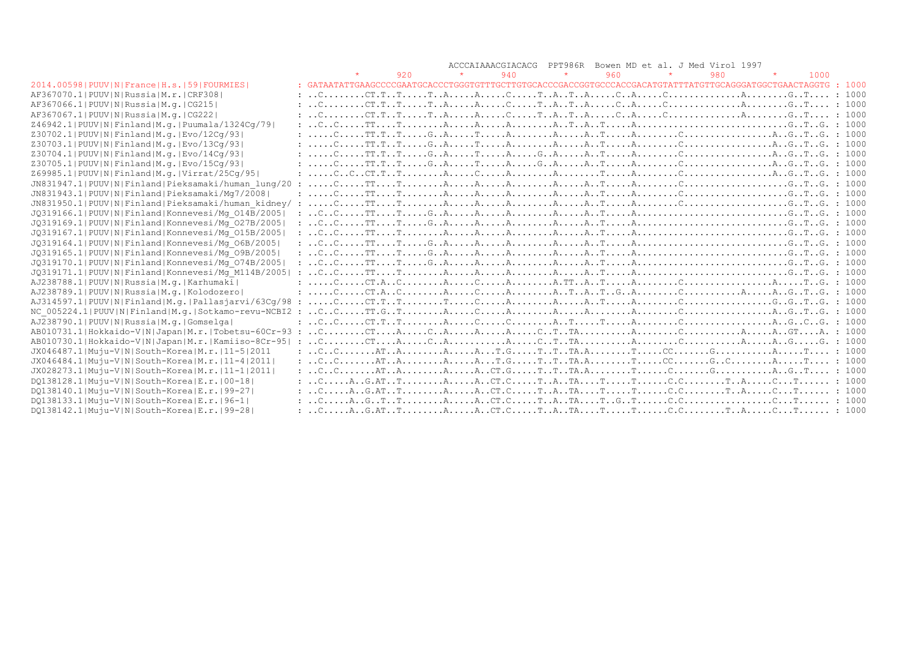|                                                       |                                                                                                                                                                                                                                                                                                        |     |         |     | ACCCAIAAACGIACACG PPT986R Bowen MD et al. J Med Virol 1997                                                                                                                                                                                                                                                                                                                                                                                                                                           |     |         |     |         |      |  |
|-------------------------------------------------------|--------------------------------------------------------------------------------------------------------------------------------------------------------------------------------------------------------------------------------------------------------------------------------------------------------|-----|---------|-----|------------------------------------------------------------------------------------------------------------------------------------------------------------------------------------------------------------------------------------------------------------------------------------------------------------------------------------------------------------------------------------------------------------------------------------------------------------------------------------------------------|-----|---------|-----|---------|------|--|
|                                                       |                                                                                                                                                                                                                                                                                                        | 920 | $\star$ | 940 | $\star$                                                                                                                                                                                                                                                                                                                                                                                                                                                                                              | 960 | $\star$ | 980 | $\star$ | 1000 |  |
| 2014.00598   PUUV   N   France   H.s.   59   FOURMIES | : GATAATATTGAAGCCCCGAATGCACCCTGGGTGTTTGCTTGTGCACCCGACCGGTGCCCACCGACATGTATTTATGTTGCAGGGATGGCTGAACTAGGTG : 1000                                                                                                                                                                                          |     |         |     |                                                                                                                                                                                                                                                                                                                                                                                                                                                                                                      |     |         |     |         |      |  |
| AF367070.11PUUVINIRussialM.r.ICRF3081                 |                                                                                                                                                                                                                                                                                                        |     |         |     |                                                                                                                                                                                                                                                                                                                                                                                                                                                                                                      |     |         |     |         |      |  |
| AF367066.1 PUUV N Russia M.q. CG215                   |                                                                                                                                                                                                                                                                                                        |     |         |     |                                                                                                                                                                                                                                                                                                                                                                                                                                                                                                      |     |         |     |         |      |  |
| AF367067.1  PUUV   N   Russia   M. q.   CG222         |                                                                                                                                                                                                                                                                                                        |     |         |     |                                                                                                                                                                                                                                                                                                                                                                                                                                                                                                      |     |         |     |         |      |  |
| Z46942.1 PUUV N Finland M.g. Puumala/1324Cq/79        |                                                                                                                                                                                                                                                                                                        |     |         |     |                                                                                                                                                                                                                                                                                                                                                                                                                                                                                                      |     |         |     |         |      |  |
| Z30702.1 PUUV N Finland M.g. Evo/12Cg/93              | $: \ldots \ldots \ldots \ldots \text{T.T.} \ldots \ldots \text{G.} \text{A.} \ldots \ldots \text{A.} \ldots \ldots \text{A.} \ldots \text{A.} \ldots \text{A.} \ldots \ldots \text{A.} \ldots \text{C.} \ldots \ldots \text{A.} \text{G.} \text{A.} \text{G.} \text{A.} \text{G.} \text{B.} \text{C.}$ |     |         |     |                                                                                                                                                                                                                                                                                                                                                                                                                                                                                                      |     |         |     |         |      |  |
| Z30703.1 PUUV N Finland M.g. Evo/13Cq/93              | $: \ldots, C, \ldots, TT, T, T, \ldots, G, A, \ldots, T, \ldots, A, \ldots, A, \ldots, A, T, \ldots, A, \ldots, C, \ldots, C, \ldots, C, \ldots, A, G, T, .G, 1000$                                                                                                                                    |     |         |     |                                                                                                                                                                                                                                                                                                                                                                                                                                                                                                      |     |         |     |         |      |  |
| Z30704.1  PUUV   N   Finland   M.q.   Evo / 14Cq / 93 | $: \ldots, C, \ldots, TT, T, T, \ldots, G, A, \ldots, T, \ldots, A, \ldots, G, A, \ldots, A, T, \ldots, A, \ldots, C, \ldots, C, \ldots, C, \ldots, A, G, T, .G, 1000$                                                                                                                                 |     |         |     |                                                                                                                                                                                                                                                                                                                                                                                                                                                                                                      |     |         |     |         |      |  |
| Z30705.1 PUUV N Finland M.g. Evo/15Cg/93              |                                                                                                                                                                                                                                                                                                        |     |         |     |                                                                                                                                                                                                                                                                                                                                                                                                                                                                                                      |     |         |     |         |      |  |
| Z69985.1 PUUV N Finland M.g. Virrat/25Cq/95           |                                                                                                                                                                                                                                                                                                        |     |         |     |                                                                                                                                                                                                                                                                                                                                                                                                                                                                                                      |     |         |     |         |      |  |
| JN831947.1 PUUV N Finland Pieksamaki/human lung/20 :  |                                                                                                                                                                                                                                                                                                        |     |         |     |                                                                                                                                                                                                                                                                                                                                                                                                                                                                                                      |     |         |     |         |      |  |
| JN831943.1 PUUV N Finland Pieksamaki/Mq7/2008         |                                                                                                                                                                                                                                                                                                        |     |         |     |                                                                                                                                                                                                                                                                                                                                                                                                                                                                                                      |     |         |     |         |      |  |
| JN831950.1 PUUV N Finland Pieksamaki/human kidney/ :  |                                                                                                                                                                                                                                                                                                        |     |         |     |                                                                                                                                                                                                                                                                                                                                                                                                                                                                                                      |     |         |     |         |      |  |
| JQ319166.1 PUUV N Finland Konnevesi/Mq 014B/2005      |                                                                                                                                                                                                                                                                                                        |     |         |     |                                                                                                                                                                                                                                                                                                                                                                                                                                                                                                      |     |         |     |         |      |  |
| JQ319169.1 PUUV N Finland Konnevesi/Mq 027B/2005      |                                                                                                                                                                                                                                                                                                        |     |         |     |                                                                                                                                                                                                                                                                                                                                                                                                                                                                                                      |     |         |     |         |      |  |
| JQ319167.1 PUUV N Finland Konnevesi/Mq 015B/2005      |                                                                                                                                                                                                                                                                                                        |     |         |     |                                                                                                                                                                                                                                                                                                                                                                                                                                                                                                      |     |         |     |         |      |  |
| JQ319164.1 PUUV N Finland Konnevesi/Mq 06B/2005       |                                                                                                                                                                                                                                                                                                        |     |         |     |                                                                                                                                                                                                                                                                                                                                                                                                                                                                                                      |     |         |     |         |      |  |
| JQ319165.1 PUUV N Finland Konnevesi/Mq 09B/2005       |                                                                                                                                                                                                                                                                                                        |     |         |     |                                                                                                                                                                                                                                                                                                                                                                                                                                                                                                      |     |         |     |         |      |  |
| JQ319170.1 PUUV N Finland Konnevesi/Mq 074B/2005      |                                                                                                                                                                                                                                                                                                        |     |         |     |                                                                                                                                                                                                                                                                                                                                                                                                                                                                                                      |     |         |     |         |      |  |
| JQ319171.1 PUUV N Finland Konnevesi/Mq M114B/2005     |                                                                                                                                                                                                                                                                                                        |     |         |     |                                                                                                                                                                                                                                                                                                                                                                                                                                                                                                      |     |         |     |         |      |  |
| AJ238788.1 PUUV N Russia M.q. Karhumaki               |                                                                                                                                                                                                                                                                                                        |     |         |     |                                                                                                                                                                                                                                                                                                                                                                                                                                                                                                      |     |         |     |         |      |  |
| AJ238789.1 PUUV N Russia M.g. Kolodozero              |                                                                                                                                                                                                                                                                                                        |     |         |     |                                                                                                                                                                                                                                                                                                                                                                                                                                                                                                      |     |         |     |         |      |  |
| AJ314597.1 PUUV N Finland M.q. Pallasjarvi/63Cq/98 :  |                                                                                                                                                                                                                                                                                                        |     |         |     | $C \ldots C \ldots T \ldots T \ldots T \ldots T \ldots T \ldots C \ldots A \ldots A \ldots A \ldots A \ldots T \ldots A \ldots A \ldots A \ldots C \ldots C \ldots C \ldots T \ldots G \ldots G \ldots T \ldots G \ldots T \ldots G \ldots T \ldots T \ldots T \ldots C \ldots A \ldots A \ldots T \ldots A \ldots A \ldots C \ldots C \ldots C \ldots C \ldots C \ldots T \ldots G \ldots T \ldots G \ldots T \ldots T \ldots C \ldots C \ldots A \ldots A \ldots A \ldots A \ldots C \ldots C \ld$ |     |         |     |         |      |  |
| NC 005224.1 PUUV N Finland M.q. Sotkamo-revu-NCBI2 :  |                                                                                                                                                                                                                                                                                                        |     |         |     |                                                                                                                                                                                                                                                                                                                                                                                                                                                                                                      |     |         |     |         |      |  |
| AJ238790.1 PUUV N Russia M.q. Gomselga                |                                                                                                                                                                                                                                                                                                        |     |         |     |                                                                                                                                                                                                                                                                                                                                                                                                                                                                                                      |     |         |     |         |      |  |
| AB010731.1 Hokkaido-V N Japan M.r. Tobetsu-60Cr-93 :  |                                                                                                                                                                                                                                                                                                        |     |         |     |                                                                                                                                                                                                                                                                                                                                                                                                                                                                                                      |     |         |     |         |      |  |
| AB010730.1 Hokkaido-V N Japan M.r. Kamiiso-8Cr-95     |                                                                                                                                                                                                                                                                                                        |     |         |     |                                                                                                                                                                                                                                                                                                                                                                                                                                                                                                      |     |         |     |         |      |  |
| JX046487.1 Muju-V N South-Korea M.r. 11-5 2011        |                                                                                                                                                                                                                                                                                                        |     |         |     |                                                                                                                                                                                                                                                                                                                                                                                                                                                                                                      |     |         |     |         |      |  |
| JX046484.1 Muju-V N South-Korea M.r. 11-4 2011        |                                                                                                                                                                                                                                                                                                        |     |         |     |                                                                                                                                                                                                                                                                                                                                                                                                                                                                                                      |     |         |     |         |      |  |
| JX028273.1 Muju-V N South-Korea M.r. 11-1 2011        |                                                                                                                                                                                                                                                                                                        |     |         |     |                                                                                                                                                                                                                                                                                                                                                                                                                                                                                                      |     |         |     |         |      |  |
| DQ138128.1 Muju-V N South-Korea E.r. 00-18            |                                                                                                                                                                                                                                                                                                        |     |         |     |                                                                                                                                                                                                                                                                                                                                                                                                                                                                                                      |     |         |     |         |      |  |
| DO138140.1 Muju-V N South-Korea E.r. 99-27            |                                                                                                                                                                                                                                                                                                        |     |         |     |                                                                                                                                                                                                                                                                                                                                                                                                                                                                                                      |     |         |     |         |      |  |
| DQ138133.1 Muju-V N South-Korea E.r. 96-1             |                                                                                                                                                                                                                                                                                                        |     |         |     |                                                                                                                                                                                                                                                                                                                                                                                                                                                                                                      |     |         |     |         |      |  |
| DQ138142.1 Muju-V N South-Korea E.r. 99-28            | $:  C. \ldots A. .G. AT. . T. \ldots A. A.C. C. \ldots T. . A.T. \ldots T. \ldots T. T. . A. C. \ldots T. . A. C. \ldots T. : 1000$                                                                                                                                                                    |     |         |     |                                                                                                                                                                                                                                                                                                                                                                                                                                                                                                      |     |         |     |         |      |  |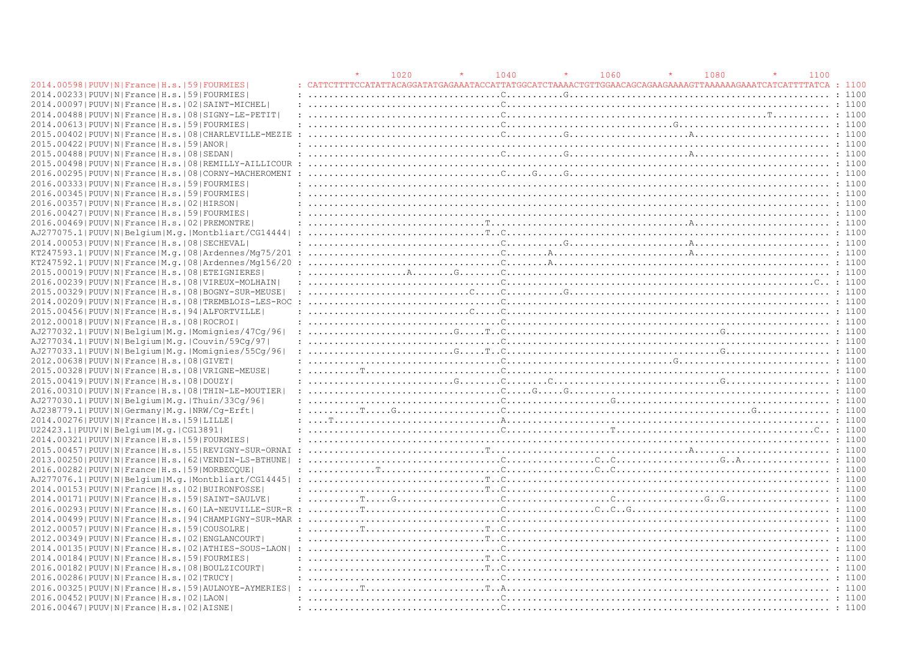|                                                                | 1020 | 1040 | 1060 |                                                                                                                                                                                                                                                | 1080 | 1100 |        |
|----------------------------------------------------------------|------|------|------|------------------------------------------------------------------------------------------------------------------------------------------------------------------------------------------------------------------------------------------------|------|------|--------|
| 2014.00598   PUUV   N   France   H.s.   59   FOURMIES          |      |      |      | TTTCCATATTACAGGATATGAGAAATACCATTATGGCATCTAAAACTGTTGGAACAGCAGAAGAAAAGTTAAAAAGAAATCATCATTTATCA                                                                                                                                                   |      |      | : 1100 |
| 2014.00233 PUUV N France H.s. 59 FOURMIES                      |      |      |      |                                                                                                                                                                                                                                                |      |      |        |
| 2014.00097   PUUV   N   France   H.s.   02   SAINT-MICHEL      |      |      |      |                                                                                                                                                                                                                                                |      |      |        |
| 2014.00488   PUUV   N   France   H.s.   08   SIGNY-LE-PETIT    |      |      |      |                                                                                                                                                                                                                                                |      |      |        |
| 2014.00613 PUUV N France H.s. 59 FOURMIES                      |      |      |      |                                                                                                                                                                                                                                                |      |      |        |
| 2015.00402   PUUV   N   France   H.s.   08   CHARLEVILLE-MEZIE |      |      |      |                                                                                                                                                                                                                                                |      |      |        |
| 2015.00422   PUUV   N   France   H.s.   59   ANOR              |      |      |      |                                                                                                                                                                                                                                                |      |      |        |
| 2015.00488 PUUV N France H.s. 08 SEDAN                         |      |      |      |                                                                                                                                                                                                                                                |      |      |        |
| 2015.00498   PUUV   N   France   H.s.   08   REMILLY-AILLICOUR |      |      |      |                                                                                                                                                                                                                                                |      |      |        |
| 2016.00295 PUUV N France H.s. 08 CORNY-MACHEROMENI :           |      |      |      | 1000                                                                                                                                                                                                                                           |      |      |        |
| 2016.00333 PUUV N France H.s. 59 FOURMIES                      |      |      |      |                                                                                                                                                                                                                                                |      |      |        |
| 2016.00345 PUUV N France H.s. 59 FOURMIES                      |      |      |      |                                                                                                                                                                                                                                                |      |      |        |
| 2016.00357   PUUV   N   France   H.s.   02   HIRSON            |      |      |      |                                                                                                                                                                                                                                                |      |      |        |
| 2016.00427 PUUV N France H.s. 59 FOURMIES                      |      |      |      |                                                                                                                                                                                                                                                |      |      |        |
| 2016.00469   PUUV   N   France   H.s.   02   PREMONTRE         |      |      |      |                                                                                                                                                                                                                                                |      |      |        |
|                                                                |      |      |      |                                                                                                                                                                                                                                                |      |      |        |
| 2014.00053 PUUV N France H.s. 08 SECHEVAL                      |      |      |      |                                                                                                                                                                                                                                                |      |      |        |
| KT247593.1 PUUV N France M.q. 08 Ardennes/Mq75/201 :           |      |      |      |                                                                                                                                                                                                                                                |      |      |        |
|                                                                |      |      |      |                                                                                                                                                                                                                                                |      |      |        |
| 2015.00019   PUUV   N   France   H.s.   08   ETEIGNIERES       |      |      |      |                                                                                                                                                                                                                                                |      |      |        |
| 2016.00239   PUUV   N   France   H.s.   08   VIREUX-MOLHAIN    |      |      |      |                                                                                                                                                                                                                                                |      |      |        |
| 2015.00329 PUUV N France H.s. 08 BOGNY-SUR-MEUSE               |      |      |      |                                                                                                                                                                                                                                                |      |      |        |
| 2014.00209 PUUV   N   France   H.s.   08   TREMBLOIS-LES-ROC   |      |      |      |                                                                                                                                                                                                                                                |      |      |        |
| 2015.00456 PUUV N France H.s. 94 ALFORTVILLE                   |      |      |      |                                                                                                                                                                                                                                                |      |      |        |
| 2012.00018   PUUV   N   France   H.s.   08   ROCROI            |      |      |      |                                                                                                                                                                                                                                                |      |      |        |
| AJ277032.1 PUUV N Belgium M.g. Momignies/47Cg/96               |      |      |      |                                                                                                                                                                                                                                                |      |      |        |
| AJ277034.1 PUUV N Belgium M.g. Couvin/59Cq/97                  |      |      |      |                                                                                                                                                                                                                                                |      |      |        |
| AJ277033.1 PUUV N Belgium M.g. Momignies/55Cq/96               |      |      |      | $: \ldots, \ldots, \ldots, \ldots, \ldots, \mathbb{G}, \ldots, \mathbb{T} \cdot \mathbb{G}, \ldots, \ldots, \ldots, \ldots, \ldots, \ldots, \ldots, \ldots, \mathbb{G}, \ldots, \ldots, \ldots, \ldots, \ldots, \ldots, \mathbb{T} \cdot 1100$ |      |      |        |
| 2012.00638 PUUV N France H.s. 08 GIVET                         |      |      |      |                                                                                                                                                                                                                                                |      |      |        |
| 2015.00328   PUUV   N   France   H.s.   08   VRIGNE-MEUSE      |      |      |      |                                                                                                                                                                                                                                                |      |      |        |
| 2015.00419 PUUV N France H.s. 08 DOUZY                         |      |      |      |                                                                                                                                                                                                                                                |      |      |        |
| 2016.00310 PUUV N France H.s. 08 THIN-LE-MOUTIER               |      |      |      |                                                                                                                                                                                                                                                |      |      |        |
| AJ277030.1 PUUV N Belgium M.g. Thuin/33Cq/96                   |      |      |      |                                                                                                                                                                                                                                                |      |      |        |
| AJ238779.1  PUUV   N   Germany   M. q.   NRW/Cq-Erft           |      |      |      |                                                                                                                                                                                                                                                |      |      |        |
| 2014.00276   PUUV   N   France   H.s.   59   LILLE             |      |      |      |                                                                                                                                                                                                                                                |      |      |        |
| U22423.1 PUUV N Belgium M.g. CG13891                           |      |      |      |                                                                                                                                                                                                                                                |      |      |        |
| 2014.00321 PUUV N France H.s. 59 FOURMIES                      |      |      |      |                                                                                                                                                                                                                                                |      |      |        |
| 2015.00457 PUUV N France H.s. 55 REVIGNY-SUR-ORNAI             |      |      |      |                                                                                                                                                                                                                                                |      |      |        |
|                                                                |      |      |      |                                                                                                                                                                                                                                                |      |      |        |
| 2013.00250 PUUV N France H.s. 62 VENDIN-LS-BTHUNE  :           |      |      |      |                                                                                                                                                                                                                                                |      |      |        |
| 2016.00282   PUUV   N   France   H.s.   59   MORBECQUE         |      |      |      |                                                                                                                                                                                                                                                |      |      |        |
| 2014.001531PUUVINIFranceIH.s.1021BUIRONFOSSE                   |      |      |      |                                                                                                                                                                                                                                                |      |      |        |
|                                                                |      |      |      |                                                                                                                                                                                                                                                |      |      |        |
| 2014.00171 PUUV N France H.s. 59 SAINT-SAULVE                  |      |      |      |                                                                                                                                                                                                                                                |      |      |        |
|                                                                |      |      |      |                                                                                                                                                                                                                                                |      |      |        |
| 2014.00499 PUUV N France H.s. 94 CHAMPIGNY-SUR-MAR             |      |      |      |                                                                                                                                                                                                                                                |      |      |        |
| 2012.00057 PUUV N France H.s. 59 COUSOLRE                      |      |      |      |                                                                                                                                                                                                                                                |      |      |        |
| 2012.00349   PUUV   N   France   H.s.   02   ENGLANCOURT       |      |      |      |                                                                                                                                                                                                                                                |      |      |        |
| 2014.00135 PUUV N France H.s. 02 ATHIES-SOUS-LAON              |      |      |      | : 100                                                                                                                                                                                                                                          |      |      |        |
| 2014.00184   PUUV   N   France   H.s.   59   FOURMIES          |      |      |      |                                                                                                                                                                                                                                                |      |      |        |
| 2016.00182   PUUV   N   France   H.s.   08   BOULZICOURT       |      |      |      |                                                                                                                                                                                                                                                |      |      |        |
| 2016.00286   PUUV   N   France   H.s.   02   TRUCY             |      |      |      |                                                                                                                                                                                                                                                |      |      |        |
|                                                                |      |      |      |                                                                                                                                                                                                                                                |      |      |        |
| 2016.00452   PUUV   N   France   H.s.   02   LAON              |      |      |      |                                                                                                                                                                                                                                                |      |      |        |
| 2016.00467   PUUV   N   France   H.s.   02   AISNE             |      |      |      |                                                                                                                                                                                                                                                |      |      |        |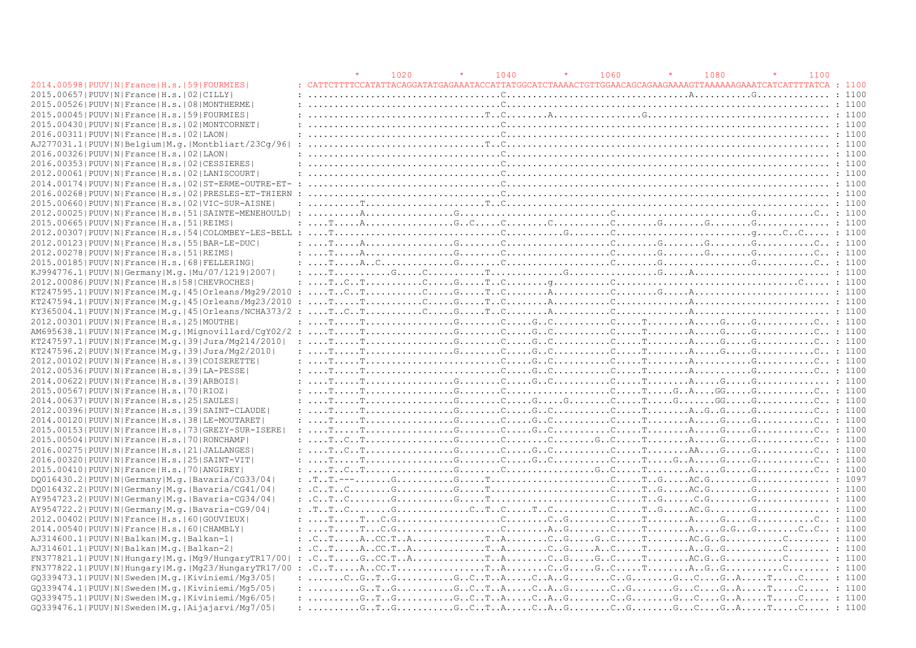|                                                                                                                                                                                                                                                                                                             |                                                                                                                                                                                                                                                                                                                                                                                                                                                                                                       | 1020 | 1040 |                                                                                                         | 1060 | 1080 | 1100 |  |
|-------------------------------------------------------------------------------------------------------------------------------------------------------------------------------------------------------------------------------------------------------------------------------------------------------------|-------------------------------------------------------------------------------------------------------------------------------------------------------------------------------------------------------------------------------------------------------------------------------------------------------------------------------------------------------------------------------------------------------------------------------------------------------------------------------------------------------|------|------|---------------------------------------------------------------------------------------------------------|------|------|------|--|
| 2014.00598   PUUV   N   France   H.s.   59   FOURMIES                                                                                                                                                                                                                                                       |                                                                                                                                                                                                                                                                                                                                                                                                                                                                                                       |      |      | CATTCTTTTCCATATTACAGGATATGAGAAATACCATTATGGCATCTAAAACTGTTGGAACAGCAGAAAAAGTTAAAAAAGAAATCATCATTTATCA: 1100 |      |      |      |  |
| 2015.00657 PUUV N France H.s. 02 CILLY                                                                                                                                                                                                                                                                      | $: \ldots, \ldots, \ldots, \ldots, \ldots, \ldots, \mathbb{C}, \ldots, \ldots, \ldots, \ldots, \ldots, \ldots, \ldots, \mathbb{C}, \ldots, \ldots, \mathbb{C}, \ldots, \ldots, \ldots, \mathbb{C}$                                                                                                                                                                                                                                                                                                    |      |      |                                                                                                         |      |      |      |  |
| 2015.00526 PUUV IN France H.s. 108 IMONTHERME                                                                                                                                                                                                                                                               | : 1100                                                                                                                                                                                                                                                                                                                                                                                                                                                                                                |      |      |                                                                                                         |      |      |      |  |
| 2015.00045 PUUV N France H.s. 59 FOURMIES                                                                                                                                                                                                                                                                   |                                                                                                                                                                                                                                                                                                                                                                                                                                                                                                       |      |      |                                                                                                         |      |      |      |  |
| 2015.00430   PUUV   N   France   H.s.   02   MONTCORNET                                                                                                                                                                                                                                                     |                                                                                                                                                                                                                                                                                                                                                                                                                                                                                                       |      |      |                                                                                                         |      |      |      |  |
| 2016.00311 PUUV N France H.s. 02 LAON                                                                                                                                                                                                                                                                       |                                                                                                                                                                                                                                                                                                                                                                                                                                                                                                       |      |      |                                                                                                         |      |      |      |  |
| AJ277031.1 PUUV N Belgium M.g. Montbliart/23Cq/96                                                                                                                                                                                                                                                           |                                                                                                                                                                                                                                                                                                                                                                                                                                                                                                       |      |      |                                                                                                         |      |      |      |  |
| 2016.00326 PUUV   N   France   H.s.   02   LAON                                                                                                                                                                                                                                                             |                                                                                                                                                                                                                                                                                                                                                                                                                                                                                                       |      |      |                                                                                                         |      |      |      |  |
| 2016.00353 PUUV N France H.s. 02 CESSIERES                                                                                                                                                                                                                                                                  |                                                                                                                                                                                                                                                                                                                                                                                                                                                                                                       |      |      |                                                                                                         |      |      |      |  |
| 2012.00061 PUUV N France H.s. 02 LANISCOURT                                                                                                                                                                                                                                                                 |                                                                                                                                                                                                                                                                                                                                                                                                                                                                                                       |      |      |                                                                                                         |      |      |      |  |
| 2014.00174   PUUV   N   France   H.s.   02   ST-ERME-OUTRE-ET- :                                                                                                                                                                                                                                            |                                                                                                                                                                                                                                                                                                                                                                                                                                                                                                       |      |      |                                                                                                         |      |      |      |  |
|                                                                                                                                                                                                                                                                                                             |                                                                                                                                                                                                                                                                                                                                                                                                                                                                                                       |      |      |                                                                                                         |      |      |      |  |
| 2015.00660 PUUV N France H.s. 02 VIC-SUR-AISNE                                                                                                                                                                                                                                                              |                                                                                                                                                                                                                                                                                                                                                                                                                                                                                                       |      |      |                                                                                                         |      |      |      |  |
|                                                                                                                                                                                                                                                                                                             |                                                                                                                                                                                                                                                                                                                                                                                                                                                                                                       |      |      |                                                                                                         |      |      |      |  |
| 2015.00665 PUUV N France H.s. 51 REIMS                                                                                                                                                                                                                                                                      | $: \ldots, \mathbb{F}, \ldots, \mathbb{A}, \ldots, \ldots, \mathbb{C}, \ldots, \mathbb{C}, \ldots, \mathbb{C}, \ldots, \mathbb{C}, \ldots, \mathbb{C}, \ldots, \mathbb{C}, \ldots, \mathbb{C}, \ldots, \mathbb{C}, \ldots, \mathbb{C}, \ldots, \mathbb{C}, \ldots, \mathbb{C}, \ldots, \mathbb{C}, \ldots, \mathbb{C}, \ldots, \mathbb{C}, \ldots, \mathbb{C}, \ldots, \mathbb{C}, \ldots, \mathbb{C}, \ldots, \mathbb{C}, \ldots, \mathbb{C}, \ldots, \$                                             |      |      |                                                                                                         |      |      |      |  |
|                                                                                                                                                                                                                                                                                                             |                                                                                                                                                                                                                                                                                                                                                                                                                                                                                                       |      |      |                                                                                                         |      |      |      |  |
| 2012.00123  PUUV   N   France   H.s.   55   BAR-LE-DUC                                                                                                                                                                                                                                                      |                                                                                                                                                                                                                                                                                                                                                                                                                                                                                                       |      |      |                                                                                                         |      |      |      |  |
| 2012.00278   PUUV   N   France   H.s.   51   REIMS                                                                                                                                                                                                                                                          |                                                                                                                                                                                                                                                                                                                                                                                                                                                                                                       |      |      |                                                                                                         |      |      |      |  |
| 2015.00185 PUUV N France H.s. 68 FELLERING                                                                                                                                                                                                                                                                  |                                                                                                                                                                                                                                                                                                                                                                                                                                                                                                       |      |      |                                                                                                         |      |      |      |  |
| KJ994776.1  PUUV   N   Germany   M.q.   Mu / 07 / 1219   2007                                                                                                                                                                                                                                               |                                                                                                                                                                                                                                                                                                                                                                                                                                                                                                       |      |      |                                                                                                         |      |      |      |  |
| 2012.00086 PUUV N France H.s 58 CHEVROCHES                                                                                                                                                                                                                                                                  |                                                                                                                                                                                                                                                                                                                                                                                                                                                                                                       |      |      |                                                                                                         |      |      |      |  |
|                                                                                                                                                                                                                                                                                                             |                                                                                                                                                                                                                                                                                                                                                                                                                                                                                                       |      |      |                                                                                                         |      |      |      |  |
| $KT247594.1 PUUV N Frame M,q. 45 Orleans/Mq23/2010$                                                                                                                                                                                                                                                         |                                                                                                                                                                                                                                                                                                                                                                                                                                                                                                       |      |      |                                                                                                         |      |      |      |  |
| $KY365004.1 PUUV N France M,q,  45 Orleans/NCHA373/2: \ldots,T.\,C.\,T.\,V.\,V.\,C.\,V.\,T.\,C.\,V.\,T.\,C.\,V.\,T.\,C.\,V.\,T.\,C.\,V.\,T.\,C.\,V.\,T.\,C.\,V.\,T.\,C.\,V.\,T.\,C.\,V.\,T.\,C.\,V.\,T.\,C.\,V.\,T.\,C.\,T.\,T.\,T.\,C.\,T.\,T.\,T.\,C.\,T.\,T.\,T.\,C.\,T.\,T.\,C.\,T.\,T.\,T.\,C.\,T.\,T$ |                                                                                                                                                                                                                                                                                                                                                                                                                                                                                                       |      |      |                                                                                                         |      |      |      |  |
| 2012.00301 PUUV N France H.s. 25 MOUTHE                                                                                                                                                                                                                                                                     | $: \ldots, \mathbb{T}, \ldots, \mathbb{T}, \ldots, \ldots, \ldots, \mathbb{G}, \ldots, \mathbb{G}, \ldots, \mathbb{G}, \ldots, \mathbb{G}, \ldots, \mathbb{G}, \ldots, \mathbb{G}, \ldots, \mathbb{G}, \ldots, \mathbb{G}, \ldots, \mathbb{G}, \ldots, \mathbb{G}, \ldots, \mathbb{G}, \ldots, \mathbb{G}, \ldots, \mathbb{G}, \ldots, \mathbb{G}, \ldots, \mathbb{G}, \ldots, \mathbb{G}, \ldots, \mathbb{G}, \ldots, \mathbb{G}, \ldots, \mathbb{G}, \ldots$                                        |      |      |                                                                                                         |      |      |      |  |
|                                                                                                                                                                                                                                                                                                             |                                                                                                                                                                                                                                                                                                                                                                                                                                                                                                       |      |      |                                                                                                         |      |      |      |  |
| KT247597.1 PUUV N France M.g. 39 Jura/Mg214/2010                                                                                                                                                                                                                                                            | $: \ldots, \text{T}, \ldots, \text{T}, \ldots, \ldots, \text{C}, \ldots, \text{C}, \ldots, \text{C}, \ldots, \text{C}, \ldots, \text{C}, \ldots, \text{C}, \ldots, \text{C}, \ldots, \text{C}, \ldots, \text{C}, \ldots, \text{C}, \ldots, \text{C}, \ldots, \text{C}, \ldots, \text{C}, \ldots, \text{C}, \ldots, \text{C}, \ldots, \text{C}, \ldots, \text{C}, \ldots, \text{C}, \ldots, \text{C}, \ldots, \text{C}, \ldots, \text{C}, \ldots, \text{C}, \$                                         |      |      |                                                                                                         |      |      |      |  |
| KT247596.2 PUUV N France M.g. 39 Jura/Mg2/2010                                                                                                                                                                                                                                                              |                                                                                                                                                                                                                                                                                                                                                                                                                                                                                                       |      |      |                                                                                                         |      |      |      |  |
| 2012.00102   PUUV   N   France   H.s.   39   COISERETTE                                                                                                                                                                                                                                                     | $: \ldots, \mathbb{T}, \ldots, \mathbb{T}, \ldots, \ldots, \ldots, \ldots, \ldots, \mathbb{T}, \ldots, \mathbb{T}, \ldots, \mathbb{T}, \ldots, \mathbb{T}, \ldots, \mathbb{T}, \ldots, \mathbb{T}, \ldots, \mathbb{T}, \ldots, \mathbb{T}, \ldots, \mathbb{T}, \ldots, \mathbb{T}, \ldots, \mathbb{T}, \ldots, \mathbb{T}, \ldots, \mathbb{T}, \ldots, \mathbb{T}, \ldots, \mathbb{T}, \ldots, \mathbb{T}, \ldots, \mathbb{T}, \ldots, \mathbb{T}, \ldots, \mathbb{T}, \ldots, \mathbb{T}, \ldots, \$ |      |      |                                                                                                         |      |      |      |  |
| 2012.00536 PUUV N France H.s. 39 LA-PESSE                                                                                                                                                                                                                                                                   |                                                                                                                                                                                                                                                                                                                                                                                                                                                                                                       |      |      |                                                                                                         |      |      |      |  |
| 2014.00622 PUUV N France H.s. 39 ARBOIS                                                                                                                                                                                                                                                                     |                                                                                                                                                                                                                                                                                                                                                                                                                                                                                                       |      |      |                                                                                                         |      |      |      |  |
| 2015.00567 PUUV N France H.s. 70 RIOZ                                                                                                                                                                                                                                                                       |                                                                                                                                                                                                                                                                                                                                                                                                                                                                                                       |      |      |                                                                                                         |      |      |      |  |
| 2014.00637   PUUV   N   France   H.s.   25   SAULES                                                                                                                                                                                                                                                         |                                                                                                                                                                                                                                                                                                                                                                                                                                                                                                       |      |      |                                                                                                         |      |      |      |  |
| 2012.00396 PUUV N France H.s. 39 SAINT-CLAUDE                                                                                                                                                                                                                                                               |                                                                                                                                                                                                                                                                                                                                                                                                                                                                                                       |      |      |                                                                                                         |      |      |      |  |
| 2014.00120 PUUV N France H.s. 38 LE-MOUTARET                                                                                                                                                                                                                                                                |                                                                                                                                                                                                                                                                                                                                                                                                                                                                                                       |      |      |                                                                                                         |      |      |      |  |
| 2015.00153 PUUV N France H.s. 73 GREZY-SUR-ISERE                                                                                                                                                                                                                                                            |                                                                                                                                                                                                                                                                                                                                                                                                                                                                                                       |      |      |                                                                                                         |      |      |      |  |
| 2015.00504   PUUV   N   France   H.s.   70   RONCHAMP                                                                                                                                                                                                                                                       |                                                                                                                                                                                                                                                                                                                                                                                                                                                                                                       |      |      |                                                                                                         |      |      |      |  |
| 2016.00275   PUUV   N   France   H.s.   21   JALLANGES                                                                                                                                                                                                                                                      |                                                                                                                                                                                                                                                                                                                                                                                                                                                                                                       |      |      |                                                                                                         |      |      |      |  |
| 2016.00320 PUUV N France H.s. 25 SAINT-VIT                                                                                                                                                                                                                                                                  |                                                                                                                                                                                                                                                                                                                                                                                                                                                                                                       |      |      |                                                                                                         |      |      |      |  |
| 2015.00410 PUUV N France H.s. 70 ANGIREY                                                                                                                                                                                                                                                                    | $: \ldots, \text{T} \ldots, \text{C} \ldots, \text{C} \ldots, \text{C} \ldots, \text{C} \ldots, \text{C} \ldots, \text{C} \ldots, \text{C} \ldots, \text{C} \ldots, \text{C} \ldots, \text{C} \ldots, \text{C} \ldots, \text{C} \ldots, \text{C} \ldots, \text{C} \ldots, \text{C} \ldots, \text{C} \ldots, \text{C} \ldots, \text{C} \ldots, \text{C} \ldots, \text{C} \ldots, \text{C} \ldots, \text{C} \ldots, \text{C} \ldots,$                                                                   |      |      |                                                                                                         |      |      |      |  |
| DQ016430.2 PUUV N Germany M.q. Bavaria/CG33/04                                                                                                                                                                                                                                                              |                                                                                                                                                                                                                                                                                                                                                                                                                                                                                                       |      |      |                                                                                                         |      |      |      |  |
| DO016432.2   PUUV   N   Germany   M.g.   Bavaria/CG41/04                                                                                                                                                                                                                                                    |                                                                                                                                                                                                                                                                                                                                                                                                                                                                                                       |      |      |                                                                                                         |      |      |      |  |
| AY954723.2   PUUV   N   Germany   M.q.   Bavaria-CG34/04                                                                                                                                                                                                                                                    |                                                                                                                                                                                                                                                                                                                                                                                                                                                                                                       |      |      |                                                                                                         |      |      |      |  |
| AY954722.2   PUUV   N   Germany   M. g.   Bavaria-CG9/04                                                                                                                                                                                                                                                    |                                                                                                                                                                                                                                                                                                                                                                                                                                                                                                       |      |      |                                                                                                         |      |      |      |  |
| 2012.00402   PUUV   N   France   H.s.   60   GOUVIEUX                                                                                                                                                                                                                                                       | $: \ldots, \mathbb{T}, \ldots, \mathbb{C}, G, \ldots, \ldots, \ldots, G, \ldots, G, \ldots, G, \ldots, G, \ldots, G, \ldots, G, \ldots, G, \ldots, G, \ldots, G, \ldots, G, \ldots, G, \ldots, G, \ldots, G, \ldots, G, \ldots, G, \ldots, G, \ldots, G, \ldots, G, \ldots, G, \ldots, G, \ldots, G, \ldots, G, \ldots, G, \ldots, G, \ldots, G, \ldots, G, \ldots, G, \ldots, G, \ldots, G, \ldots, G, \ldots, G, \ldots,$                                                                           |      |      |                                                                                                         |      |      |      |  |
| 2014.00540 PUUV N France H.s. 60 CHAMBLY                                                                                                                                                                                                                                                                    |                                                                                                                                                                                                                                                                                                                                                                                                                                                                                                       |      |      |                                                                                                         |      |      |      |  |
| AJ314600.1  PUUV   N   Balkan   M. g.   Balkan-1                                                                                                                                                                                                                                                            |                                                                                                                                                                                                                                                                                                                                                                                                                                                                                                       |      |      |                                                                                                         |      |      |      |  |
| AJ314601.1 PUUV N Balkan M.g. Balkan-2                                                                                                                                                                                                                                                                      | $\ldots$ $\ldots$ $\ldots$ $\ldots$ $\ldots$ $\ldots$ $\ldots$ $\ldots$ $\ldots$ $\ldots$ $\ldots$ $\ldots$ $\ldots$ $\ldots$ $\ldots$ $\ldots$ $\ldots$ $\ldots$ $\ldots$ $\ldots$ $\ldots$ $\ldots$ $\ldots$ $\ldots$ $\ldots$ $\ldots$ $\ldots$ $\ldots$ $\ldots$ $\ldots$ $\ldots$ $\ldots$ $\ldots$ $\ldots$ $\ldots$ $\ldots$ $\ldots$                                                                                                                                                          |      |      |                                                                                                         |      |      |      |  |
|                                                                                                                                                                                                                                                                                                             |                                                                                                                                                                                                                                                                                                                                                                                                                                                                                                       |      |      |                                                                                                         |      |      |      |  |
|                                                                                                                                                                                                                                                                                                             |                                                                                                                                                                                                                                                                                                                                                                                                                                                                                                       |      |      |                                                                                                         |      |      |      |  |
| GQ339473.1 PUUV N Sweden M.q. Kiviniemi/Mq3/05                                                                                                                                                                                                                                                              |                                                                                                                                                                                                                                                                                                                                                                                                                                                                                                       |      |      |                                                                                                         |      |      |      |  |
| GO339474.1 PUUV N Sweden M.g. Kiviniemi/Mg5/05                                                                                                                                                                                                                                                              | : $G_{\cdot}, T_{\cdot}, G_{\cdot}, \ldots, G_{\cdot}, G_{\cdot}, G_{\cdot}, T_{\cdot}, A_{\cdot}, \ldots, C_{\cdot}, A_{\cdot}, G_{\cdot}, \ldots, G_{\cdot}, G_{\cdot}, \ldots, G_{\cdot}, G_{\cdot}, A_{\cdot}, \ldots, T_{\cdot}, \ldots, C_{\cdot}, \ldots, \ldots; 1100$                                                                                                                                                                                                                        |      |      |                                                                                                         |      |      |      |  |
| GO339475.1 PUUV N Sweden M.g. Kiviniemi/Mg6/05                                                                                                                                                                                                                                                              |                                                                                                                                                                                                                                                                                                                                                                                                                                                                                                       |      |      |                                                                                                         |      |      |      |  |
|                                                                                                                                                                                                                                                                                                             |                                                                                                                                                                                                                                                                                                                                                                                                                                                                                                       |      |      |                                                                                                         |      |      |      |  |
| GQ339476.1 PUUV N Sweden M.q. Aijajarvi/Mq7/05                                                                                                                                                                                                                                                              |                                                                                                                                                                                                                                                                                                                                                                                                                                                                                                       |      |      |                                                                                                         |      |      |      |  |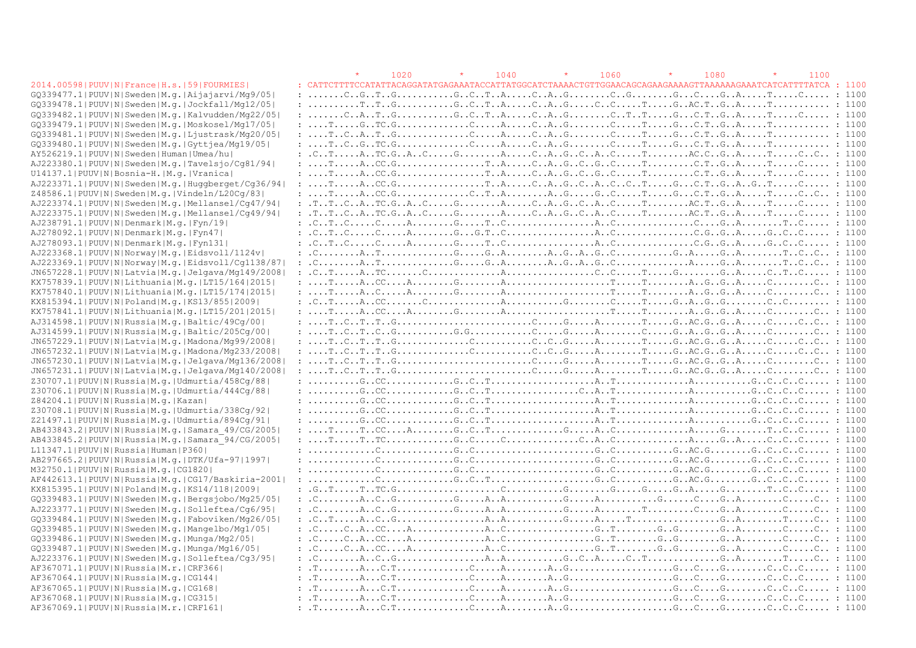#### GQ339477.1|PUUV|N|Sweden|M.g.|Aijajarvi/Mg9/05| : .......C..G..T..G...........G..C..T..A.....C..A..G........C..G........G...C....G..A.....T.....C..... : 1100 GQ339478.1|PUUV|N|Sweden|M.g.|Jockfall/Mg12/05| : ..........T..T..G...........G..C..T..A.....C..A..G.....C..C.....T.....G..AC.T..G..A.....T........... : 1100 GQ339482.1|PUUV|N|Sweden|M.g.|Kalvudden/Mg22/05| : .......C..A..T..G...........G..C..T..A.....C..A..G........C..T..T.....G...C.T..G..A.....T.....C..... : 1100 GQ339479.1|PUUV|N|Sweden|M.g.|Moskosel/Mg17/05| : ....T.....G..TC.G..............C.....A.....C..A..G........C.....T.....G...C.T..G..A.....T........... : 1100 GQ339481.1|PUUV|N|Sweden|M.g.|Ljustrask/Mg20/05| : ....T..C..A..T..G..............C.....A.....C..A..G........C.....T.....G...C.T..G..A.....T........... : 1100 GQ339480.1|PUUV|N|Sweden|M.g.|Gyttjea/Mg19/05| : ....T..C..G..TC.G..............C.....A.....C..A..G........C.....T.....G...C.T..G..A.....T........... : 1100 AY526219.1|PUUV|N|Sweden|Human|Umea/hu| : .C..T.....A..TC.G..A..C.....G........A.....C..A..G..C..A..C.....T........AC.C..G..A.....T.....C..C.. : 1100 AJ223380.1|PUUV|N|Sweden|M.g.|Tavelsjo/Cg81/94| : ....T.....A..CC.G.................T..A.....C..A..G..C..G..C.....T.........C.T..G..A.....T.....C..... : 1100 U14137.1|PUUV|N|Bosnia-H.|M.g.|Vranica| : ....T.....A..CC.G.................T..A.....C..A..G..C..G..C.....T.........C.T..G..A.....T.....C..... : 1100 AJ223371.1|PUUV|N|Sweden|M.g.|Huggberget/Cg36/94| : ....T.....A..CC.G.................T..A.....C..A..G..C..A..C..C..T.....G...C.T..G..A..G..T.....C..... : 1100 Z48586.1|PUUV|N|Sweden|M.g.|Vindeln/L20Cg/83| : ....T.....A..CC.G..............C..T..A........A..G.....G..C.....T.....G...C.T..G..A.....T.....C..C.. : 1100 AJ223374.1|PUUV|N|Sweden|M.g.|Mellansel/Cg47/94| : .T..T..C..A..TC.G..A..C.....G........A.....C..A..G..C..A..C.....T........AC.T..G..A.....T.....C..... : 1100 AJ223375.1|PUUV|N|Sweden|M.g.|Mellansel/Cg49/94| : .T..T..C..A..TC.G..A..C.....G........A.....C..A..G..C..A..C.....T........AC.T..G..A.....T.....C..... : 1100 AJ238791.1|PUUV|N|Denmark|M.g.|Fyn/19| : .C..T..C.....C.....A........G.....T..C.................A..C...............C....G..A........T..C..... : 1100 AJ278092.1|PUUV|N|Denmark|M.g.|Fyn47| : .C..T..C.....C.....A........G...G.T..C.................A..C...............C.G..G..A.....G..C..C..... : 1100 AJ278093.1|PUUV|N|Denmark|M.g.|Fyn131| : .C..T..C.....C.....A........G.....T..C.................A..C...............C.G..G..A.....G..C..C..... : 1100 AJ223368.1|PUUV|N|Norway|M.g.|Eidsvoll/1124v| : .C........A..T..............G.....G..A........A..G..A..G..C...........G..A.....G..A........T..C..C.. : 1100  $A_1, A_2, A_3, A_4, A_5, A_6, A_7, A_8, A_9, A_1, A_1, A_2, A_2, A_3, A_4, A_5, A_6, A_7, A_8, A_9, A_1, A_2, A_3, A_4, A_5, A_6, A_7, A_8, A_9, A_1, A_2, A_3, A_4, A_5, A_6, A_7, A_8, A_9, A_1, A_2, A_3, A_4, A_5, A_6, A_7, A_8, A_9, A_1, A_2, A_3, A_4, A_5, A_6, A_7, A_8,$ JN657228.1|PUUV|N|Latvia|M.g.|Jelgava/Mg149/2008| : .C..T.....A..TC.......C..............A.................C..C.....T.....G........G..A.....C..T..C..... : 1100 KX757839.1|PUUV|N|Lithuania|M.g.|LT15/164|2015| : ....T.....A..CC....A........G........A....................T.....T........A..G..G..A.....C........C.. : 1100 KX757840.1|PUUV|N|Lithuania|M.g.|LT15/174|2015| : ....T.....A..C.....A........G........A....................T.....T........A..G..G..A.....C........C.. : 1100 KX815394.1|PUUV|N|Poland|M.g.|KS13/855|2009| : .C..T.....A..CC.......C..............A...........G........C.....T.....G..A..G..G........C..C........ : 1100 KX757841.1|PUUV|N|Lithuania|M.g.|LT15/201|2015| : ....T.....A..CC....A........G........A....................T.....T........A..G..G..A.....C........C.. : 1100 AJ314598.1|PUUV|N|Russia|M.g.|Baltic/49Cg/00| : ....T..C..T..T..G..........................C.....G.....A........T.....G..AC.G..G..A.....C.....C..C.. : 1100 AJ314599.1|PUUV|N|Russia|M.g.|Baltic/205Cg/00| : ....T..C..T..C..G...........G.G............C.....G.....A........C.....G..A..G..G..A.....C........C.. : 1100 JN657229.1|PUUV|N|Latvia|M.g.|Madona/Mg99/2008| : ....T..C..T..T..G..............C...........C..C..G.....A........T.....G..AC.G..G..A.....C.....C..C.. : 1100 JN657232.1|PUUV|N|Latvia|M.g.|Madona/Mg233/2008| : ....T..C..T..T..G..............C...........C..C..G.....A........T.....G..AC.G..G..A.....C.....C..C.. : 1100 JN657230.1|PUUV|N|Latvia|M.g.|Jelgava/Mg136/2008| : ....T..C..T..T..G..........................C.....G.....A........T.....G..AC.G..G..A.....C........C.. : 1100 JN657231.1|PUUV|N|Latvia|M.g.|Jelgava/Mg140/2008| : ....T..C..T..T..G..........................C.....G.....A........T.....G..AC.G..G..A.....C........C.. : 1100 Z30707.1|PUUV|N|Russia|M.g.|Udmurtia/458Cg/88| : ..........G..CC.............G..C..T....................A..T..............A...........G..C..C..C..... : 1100 Z30706.1|PUUV|N|Russia|M.g.|Udmurtia/444Cg/88| : ..........G..CC.............G..C..T.................C..A..T..............A...........G..C..C..C..... : 1100 Z84204.1|PUUV|N|Russia|M.g.|Kazan| : ..........G..CC.............G..C..T....................A..T..............A...........G..C..C..C..... : 1100 Z30708.1|PUUV|N|Russia|M.g.|Udmurtia/338Cg/92| : ..........G..CC.............G..C..T....................A..T..............A...........G..C..C..C..... : 1100 Z21497.1|PUUV|N|Russia|M.g.|Udmurtia/894Cg/91| : ..........G..CC.............G..C..T....................A..T..............A...........G..C..C..C..... : 1100 AB433843.2|PUUV|N|Russia|M.g.|Samara\_49/CG/2005| : ....T.....T..CC....A........G..C..T..............G.....A..C..............A.....G........T..C..C..... : 1100 AB433845.2|PUUV|N|Russia|M.g.|Samara\_94/CG/2005| : ....T.....T..TC.............G..C.....C..............C..A..C..............A.....G..A.....C..C..C..... : 1100 L11347.1|PUUV|N|Russia|Human|P360| : .............C..............G..C.......................G..C...........G..AC.G........G..C..C..C..... : 1100 AB297665.2|PUUV|N|Russia|M.g.|DTK/Ufa-97|1997| : .............C..............G..C.......................G..C...........G..AC.G........G..C..C..C..... : 1100 M32750.1|PUUV|N|Russia|M.g.|CG1820| : .............C..............G..C.......................G..C...........G..AC.G........G..C..C..C..... : 1100 AF442613.1|PUUV|N|Russia|M.g.|CG17/Baskiria-2001| : .............C..............G..C..T....................G..C...........G..AC.G........G..C..C..C..... : 1100 KX815395.1|PUUV|N|Poland|M.g.|KS14/118|2009| : .G..T.....T..TC.G....................C...........G........G.....G.....G..A.....G........T..C..C..... : 1100 GQ339483.1|PUUV|N|Sweden|M.g.|Bergsjobo/Mg25/05| : .C........A..C..G...........G.....A..A...........G.....A...........G......C....G..A........C.....C.. : 1100 AJ223377.1|PUUV|N|Sweden|M.g.|Solleftea/Cg6/95| : .C........A..C..G...........G.....A..A...........G.....A........T.........C....G..A........C.....C.. : 1100 GQ339484.1|PUUV|N|Sweden|M.g.|Faboviken/Mg26/05| : .C..T.....A..C..G.................A..A...........G.....A.....T.................G..A........T.....C.. : 1100 GQ339485.1|PUUV|N|Sweden|M.g.|Mangelbo/Mg1/05| : .C.....C..A..CC....A..............A..C.................G..T........G..G........G..A........C.....C.. : 1100 GQ339486.1|PUUV|N|Sweden|M.g.|Munga/Mg2/05| : .C.....C..A..CC....A..............A..C.................G..T........G..G........G..A........C.....C.. : 1100 GQ339487.1|PUUV|N|Sweden|M.g.|Munga/Mg16/05| : .C.....C..A..CC....A..............A..C.................G..T........G..G........G..A........C.....C.. : 1100 AJ223376.1|PUUV|N|Sweden|M.g.|Solleftea/Cg3/95| : .C........A..C..G.................A..A...........G..C..A.....C..T..............G..A........T.....C.. : 1100

 $\star$   $1020$   $\star$   $1040$   $\star$   $1060$   $\star$   $1080$   $\star$   $1100$ 2014.00598|PUUV|N|France|H.s.|59|FOURMIES| : CATTCTTTTCCATATTACAGGATATGAGAAATACCATTATGGCATCTAAAACTGTTGGAACAGCAGAAGAAAAGTTAAAAAAGAAATCATCATTTTATCA : 1100

 $A$ F367071.1|PUUV|N|Russia|M.r.|CRF366| :  $T_{1}, \ldots, T_{k}$ , ...... $A_{k+1}, C_{k+1}, \ldots, C_{k+1}, \ldots, C_{k+1}, C_{k+1}, \ldots, C_{k+1}, \ldots, C_{k+1}, C_{k+1}, \ldots, C_{k+1}, C_{k+1}, \ldots, C_{k+1}, C_{k+1}, \ldots, C_{k+1}, C_{k+1}, \ldots, C_{k+1}, C_{k+1}, \ldots, C_{k+1}, C_{k+1}, \ldots, C_{k+1}, C_{$ AF367064.1|PUUV|N|Russia|M.g.|CG144| : .T........A...C.T..............C.....A........A..G....................G...C....G........C..C..C..... : 1100 AF367065.1|PUUV|N|Russia|M.g.|CG168| : .T........A...C.T..............C.....A........A..G....................G...C....G........C..C..C..... : 1100 AF367068.1|PUUV|N|Russia|M.g.|CG315| : .T........A...C.T..............C.....A........A..G....................G...C....G........C..C..C..... : 1100 AF367069.1|PUUV|N|Russia|M.r.|CRF161| : .T........A...C.T..............C.....A........A..G....................G...C....G........C..C..C..... : 1100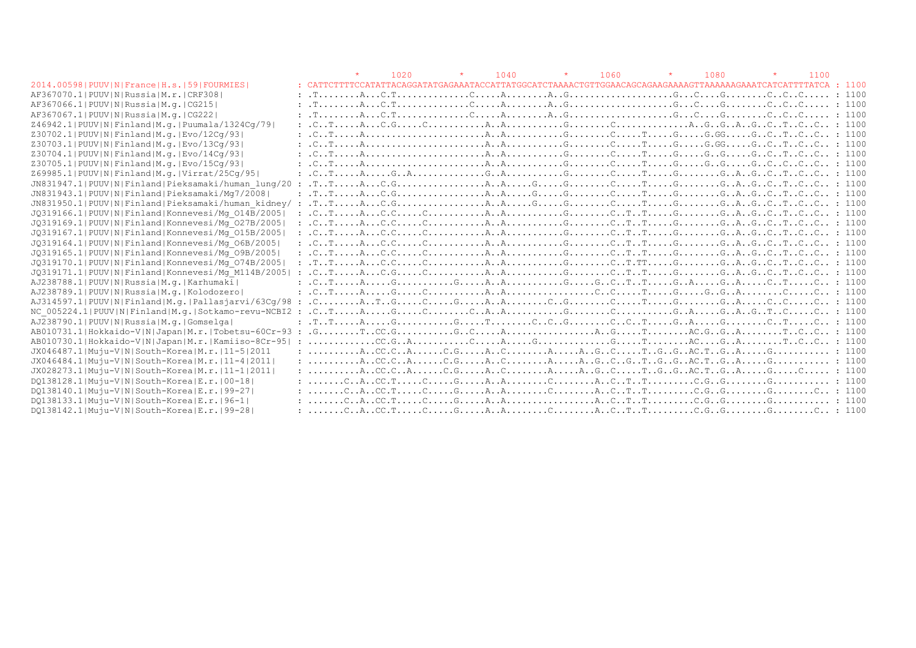|                                                       |                                                                                                                                                                                                                                                                                                                                                                                                                                                           | 1020 | $\star$ | 1040 | $\star$ | 1060 |  | 1080 | 1100 |  |
|-------------------------------------------------------|-----------------------------------------------------------------------------------------------------------------------------------------------------------------------------------------------------------------------------------------------------------------------------------------------------------------------------------------------------------------------------------------------------------------------------------------------------------|------|---------|------|---------|------|--|------|------|--|
| 2014.00598   PUUV   N   France   H.s.   59   FOURMIES | : CATTCTTTTCCATATTACAGGATATGAGAAATACCATTATGGCATCTAAAACTGTTGGAACAGCAGAAGAAAGTTAAAAAGAAATCATCATTTTATCA : 1100                                                                                                                                                                                                                                                                                                                                               |      |         |      |         |      |  |      |      |  |
| AF367070.1 PUUV N Russia M.r. CRF308                  |                                                                                                                                                                                                                                                                                                                                                                                                                                                           |      |         |      |         |      |  |      |      |  |
| AF367066.1 PUUV N Russia M.g.   CG215                 | $: 1100$ $: 1100$                                                                                                                                                                                                                                                                                                                                                                                                                                         |      |         |      |         |      |  |      |      |  |
| AF367067.1 PUUV N Russia M.g.   CG222                 | : 1100                                                                                                                                                                                                                                                                                                                                                                                                                                                    |      |         |      |         |      |  |      |      |  |
| Z46942.1 PUUV N Finland M.g. Puumala/1324Cq/79        |                                                                                                                                                                                                                                                                                                                                                                                                                                                           |      |         |      |         |      |  |      |      |  |
| Z30702.1 PUUV N Finland M.g. Evo/12Cq/93              |                                                                                                                                                                                                                                                                                                                                                                                                                                                           |      |         |      |         |      |  |      |      |  |
| Z30703.1 PUUV N Finland M.g. Evo/13Cq/93              |                                                                                                                                                                                                                                                                                                                                                                                                                                                           |      |         |      |         |      |  |      |      |  |
| Z30704.1 PUUV N Finland M.g. Evo/14Cq/93              |                                                                                                                                                                                                                                                                                                                                                                                                                                                           |      |         |      |         |      |  |      |      |  |
| Z30705.1 PUUV N Finland M.g. Evo/15Cq/93              |                                                                                                                                                                                                                                                                                                                                                                                                                                                           |      |         |      |         |      |  |      |      |  |
| Z69985.1 PUUV N Finland M.q. Virrat/25Cq/95           |                                                                                                                                                                                                                                                                                                                                                                                                                                                           |      |         |      |         |      |  |      |      |  |
| JN831947.1 PUUV N Finland Pieksamaki/human lung/20    |                                                                                                                                                                                                                                                                                                                                                                                                                                                           |      |         |      |         |      |  |      |      |  |
| JN831943.1 PUUV N Finland Pieksamaki/Mq7/2008         |                                                                                                                                                                                                                                                                                                                                                                                                                                                           |      |         |      |         |      |  |      |      |  |
| JN831950.1 PUUV N Finland Pieksamaki/human kidney/ :  | $T_{1}.T_{2}.T_{3}.T_{4}.T_{5}.T_{5}.T_{6}.T_{7}.T_{8}.T_{9}.T_{10}.T_{11}.T_{11}.T_{12}.T_{13}.T_{14}.T_{15}.T_{16}.T_{17}.T_{18}.T_{19}.T_{10}.T_{11}.T_{11}.T_{12}.T_{13}.T_{14}.T_{15}.T_{16}.T_{17}.T_{18}.T_{19}.T_{10}.T_{11}.T_{11}.T_{12}.T_{13}.T_{14}.T_{15}.T_{16}.T_{17}.T_{18}.T_{19}.T_{10}.T_{11}.T_{11}.$                                                                                                                                |      |         |      |         |      |  |      |      |  |
| JQ319166.1 PUUV N Finland Konnevesi/Mg 014B/2005      |                                                                                                                                                                                                                                                                                                                                                                                                                                                           |      |         |      |         |      |  |      |      |  |
| JQ319169.1 PUUV N Finland Konnevesi/Mq 027B/2005      |                                                                                                                                                                                                                                                                                                                                                                                                                                                           |      |         |      |         |      |  |      |      |  |
| JQ319167.1 PUUV N Finland Konnevesi/Mq 015B/2005      | $: C_{1}, C_{2}, C_{3}, C_{4}, C_{5}, C_{5}, C_{6}, C_{7}, C_{8}, C_{9}, C_{10}$                                                                                                                                                                                                                                                                                                                                                                          |      |         |      |         |      |  |      |      |  |
| JQ319164.1 PUUV N Finland Konnevesi/Mq 06B/2005       |                                                                                                                                                                                                                                                                                                                                                                                                                                                           |      |         |      |         |      |  |      |      |  |
| JQ319165.1 PUUV N Finland Konnevesi/Mq 09B/2005       |                                                                                                                                                                                                                                                                                                                                                                                                                                                           |      |         |      |         |      |  |      |      |  |
| JO319170.1 PUUV N Finland Konnevesi/Mq 074B/2005      | $: 1100$ $: 1100$ $: 1000$ $: 1000$ $: 1000$ $: 1000$ $: 1000$ $: 1000$ $: 1000$ $: 1000$ $: 1000$ $: 1000$ $: 1000$                                                                                                                                                                                                                                                                                                                                      |      |         |      |         |      |  |      |      |  |
| JQ319171.1 PUUV N Finland Konnevesi/Mq M114B/2005     |                                                                                                                                                                                                                                                                                                                                                                                                                                                           |      |         |      |         |      |  |      |      |  |
| AJ238788.1 PUUV N Russia M.g. Karhumaki               |                                                                                                                                                                                                                                                                                                                                                                                                                                                           |      |         |      |         |      |  |      |      |  |
| AJ238789.1 PUUV N Russia M.q. Kolodozero              |                                                                                                                                                                                                                                                                                                                                                                                                                                                           |      |         |      |         |      |  |      |      |  |
| $AJ314597.1 PUUV N Finland M,q. Pallasjarvi/63Cq/98:$ |                                                                                                                                                                                                                                                                                                                                                                                                                                                           |      |         |      |         |      |  |      |      |  |
| NC 005224.1 PUUV N Finland M.q. Sotkamo-revu-NCBI2 :  | $C_{1}, C_{2}, \ldots, A_{n}, \ldots, G_{n}, \ldots, C_{n}, A_{n}, A_{n}, \ldots, G_{n}, \ldots, G_{n}, A_{n}, \ldots, G_{n}, A_{n}, \ldots, G_{n}, A_{n}, G_{n}, \ldots, G_{n}, A_{n}, \ldots, G_{n}, A_{n}, \ldots, G_{n}, A_{n}, \ldots, G_{n}, A_{n}, \ldots, A_{n}, \ldots, G_{n}, A_{n}, \ldots, G_{n}, A_{n}, \ldots, G_{n}, A_{n}, \ldots, G_{n}, A_{n}, \ldots, G_{n}, A_{n}, \ldots, A_{n}, \ldots, G_{n},$                                     |      |         |      |         |      |  |      |      |  |
| AJ238790.1 PUUV N Russia M.q. Gomselga                |                                                                                                                                                                                                                                                                                                                                                                                                                                                           |      |         |      |         |      |  |      |      |  |
|                                                       |                                                                                                                                                                                                                                                                                                                                                                                                                                                           |      |         |      |         |      |  |      |      |  |
| AB010730.1 Hokkaido-V N Japan M.r. Kamiiso-8Cr-95     | $\ldots \ldots \ldots \ldots \text{CC.G. } A \ldots \text{C} \ldots \ldots \text{C} \ldots \text{C} \ldots \text{A} \ldots \text{G} \ldots \text{G} \ldots \text{C} \ldots \text{C} \ldots \text{C} \ldots \text{A} \ldots \text{C} \ldots \text{C} \ldots \text{C} \ldots \text{C} \ldots \text{C} \text{C} \ldots \text{C} \text{C} \ldots \text{C} \text{C} \text{C} \ldots \text{C} \text{C} \text{C} \ldots \text{C} \text{C} \text{C} \ldots \text$ |      |         |      |         |      |  |      |      |  |
| JX046487.1 Muju-V N South-Korea M.r. 11-5 2011        |                                                                                                                                                                                                                                                                                                                                                                                                                                                           |      |         |      |         |      |  |      |      |  |
| JX046484.1 Muju-V N South-Korea M.r.   11-4   2011    |                                                                                                                                                                                                                                                                                                                                                                                                                                                           |      |         |      |         |      |  |      |      |  |
| JX028273.1 Muju-V N South-Korea M.r. 11-1 2011        |                                                                                                                                                                                                                                                                                                                                                                                                                                                           |      |         |      |         |      |  |      |      |  |
| DQ138128.1 Muju-V N South-Korea E.r. 00-18            |                                                                                                                                                                                                                                                                                                                                                                                                                                                           |      |         |      |         |      |  |      |      |  |
| DQ138140.1 Muju-V N South-Korea E.r. 99-27            |                                                                                                                                                                                                                                                                                                                                                                                                                                                           |      |         |      |         |      |  |      |      |  |
| DQ138133.1 Muju-V N South-Korea E.r. 96-1             |                                                                                                                                                                                                                                                                                                                                                                                                                                                           |      |         |      |         |      |  |      |      |  |
| DQ138142.1 Muju-V N South-Korea E.r. 99-28            |                                                                                                                                                                                                                                                                                                                                                                                                                                                           |      |         |      |         |      |  |      |      |  |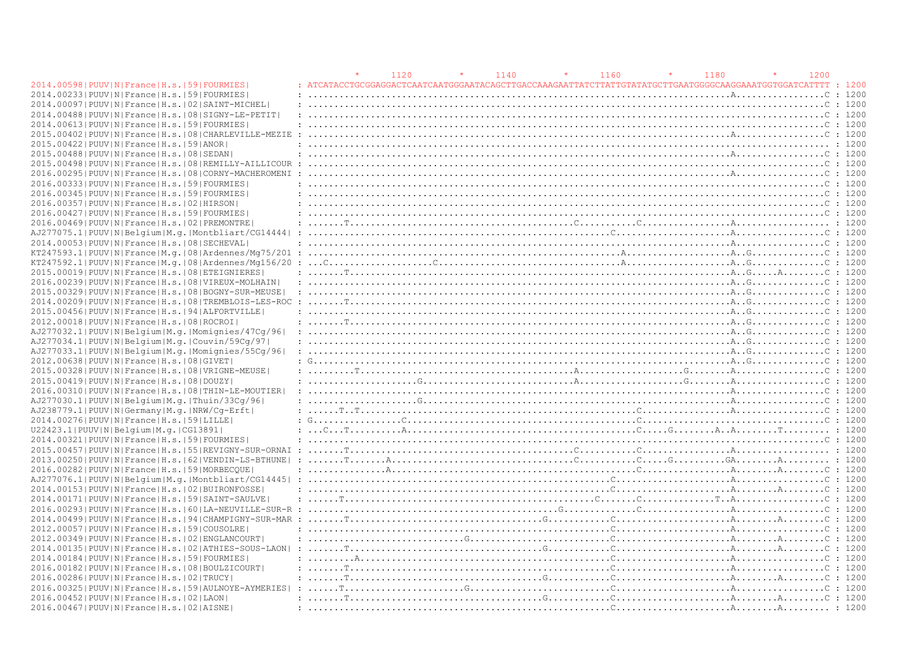|                                                                | 1120 | 1140 | 1160 | 1180                                                                                                                                                                                                                             | 1200 |              |
|----------------------------------------------------------------|------|------|------|----------------------------------------------------------------------------------------------------------------------------------------------------------------------------------------------------------------------------------|------|--------------|
| 2014.00598   PUUV   N   France   H.s.   59   FOURMIES          |      |      |      | : ATCATACCTGCGGAGGACTCAATCAATGGGAATACAGCTTGACCAAAGAATTATCTTATTGTATATGCTTGAATGGGGCAAGGAAATGGTGGATCATTTT                                                                                                                           |      | $\cdot$ 1200 |
| 2014.00233 PUUV N France H.s. 59 FOURMIES                      |      |      |      |                                                                                                                                                                                                                                  |      | : 1200       |
| 2014.00097   PUUV   N   France   H.s.   02   SAINT-MICHEL      |      |      |      |                                                                                                                                                                                                                                  |      | : 1200       |
| 2014.00488   PUUV   N   France   H.s.   08   SIGNY-LE-PETIT    |      |      |      |                                                                                                                                                                                                                                  |      | : 1200       |
| 2014.00613 PUUV N France H.s. 59 FOURMIES                      |      |      |      |                                                                                                                                                                                                                                  |      | : 1200       |
| 2015.00402   PUUV   N   France   H.s.   08   CHARLEVILLE-MEZIE |      |      |      |                                                                                                                                                                                                                                  |      | : 1200       |
| 2015.00422   PUUV   N   France   H.s.   59   ANOR              |      |      |      |                                                                                                                                                                                                                                  |      |              |
| 2015.00488   PUUV   N   France   H.s.   08   SEDAN             |      |      |      |                                                                                                                                                                                                                                  |      |              |
| 2015.00498   PUUV   N   France   H.s.   08   REMILLY-AILLICOUR |      |      |      |                                                                                                                                                                                                                                  |      |              |
| 2016.00295   PUUV   N   France   H.s.   08   CORNY-MACHEROMENI |      |      |      |                                                                                                                                                                                                                                  |      | $\cdot$ 1200 |
| 2016.00333 PUUV N France H.s. 59 FOURMIES                      |      |      |      |                                                                                                                                                                                                                                  |      | : 1200       |
| 2016.00345 PUUV N France H.s.  59 FOURMIES                     |      |      |      |                                                                                                                                                                                                                                  |      | : 1200       |
| 2016.00357 PUUV N France H.s. 02 HIRSON                        |      |      |      |                                                                                                                                                                                                                                  |      | $\cdot$ 1200 |
| 2016.00427 PUUV N France H.s. 59 FOURMIES                      |      |      |      |                                                                                                                                                                                                                                  |      |              |
| 2016.00469 PUUV N France H.s. 02 PREMONTRE                     |      |      |      |                                                                                                                                                                                                                                  |      |              |
| AJ277075.1 PUUV N Belgium M.g. Montbliart/CG14444  :           |      |      |      |                                                                                                                                                                                                                                  |      | : 1200       |
| 2014.000531PUUVINIFranceIH.s.1081SECHEVAL                      |      |      |      |                                                                                                                                                                                                                                  |      |              |
| KT247593.1 PUUV N France M.q. 08 Ardennes/Mq75/201 :           |      |      |      |                                                                                                                                                                                                                                  |      | $\cdot$ 1200 |
|                                                                |      |      |      |                                                                                                                                                                                                                                  |      | : 1200       |
| 2015.00019   PUUV   N   France   H.s.   08   ETEIGNIERES       |      |      |      |                                                                                                                                                                                                                                  |      |              |
| 2016.00239   PUUV   N   France   H.s.   08   VIREUX-MOLHAIN    |      |      |      |                                                                                                                                                                                                                                  |      | : 1200       |
| 2015.00329   PUUV   N   France   H.s.   08   BOGNY-SUR-MEUSE   |      |      |      |                                                                                                                                                                                                                                  |      | : 1200       |
| 2014.00209 PUUV N France H.s. 08 TREMBLOIS-LES-ROC             |      |      |      |                                                                                                                                                                                                                                  |      | : 1200       |
| 2015.00456 PUUV N France H.s. 94 ALFORTVILLE                   |      |      |      |                                                                                                                                                                                                                                  |      | : 1200       |
| 2012.00018   PUUV   N   France   H.s.   08   ROCROI            |      |      |      |                                                                                                                                                                                                                                  |      | : 1200       |
| AJ277032.1 PUUV N Belgium M.g. Momignies/47Cq/96               |      |      |      |                                                                                                                                                                                                                                  |      | : 1200       |
| AJ277034.1 PUUV N Belgium M.g. Couvin/59Cg/97                  |      |      |      |                                                                                                                                                                                                                                  |      | : 1200       |
| AJ277033.1 PUUV N Belgium M.g. Momignies/55Cq/96               |      |      |      |                                                                                                                                                                                                                                  |      |              |
| 2012.00638   PUUV   N   France   H.s.   08   GIVET             |      |      |      | : $G_{1}, \ldots, G_{n}, \ldots, G_{n}, \ldots, G_{n}$                                                                                                                                                                           |      | : 1200       |
| 2015.00328   PUUV   N   France   H.s.   08   VRIGNE-MEUSE      |      |      |      |                                                                                                                                                                                                                                  |      | $\cdot$ 1200 |
| 2015.00419 PUUV N France H.s. 08 DOUZY                         |      |      |      |                                                                                                                                                                                                                                  |      |              |
| 2016.00310   PUUV   N   France   H.s.   08   THIN-LE-MOUTIER   |      |      |      |                                                                                                                                                                                                                                  |      | $\cdot$ 1200 |
| AJ277030.1 PUUV N Belgium M.g. Thuin/33Cg/96                   |      |      |      |                                                                                                                                                                                                                                  |      | : 1200       |
| AJ238779.1 PUUV N Germany M.g. NRW/Cq-Erft                     |      |      |      |                                                                                                                                                                                                                                  |      |              |
| 2014.00276  PUUV   N   France   H.s.   59   LILLE              |      |      |      |                                                                                                                                                                                                                                  |      |              |
| U22423.1 PUUV N Belgium M.g. CG13891                           |      |      |      |                                                                                                                                                                                                                                  |      |              |
| 2014.00321 PUUV N France H.s. 59 FOURMIES                      |      |      |      |                                                                                                                                                                                                                                  |      |              |
|                                                                |      |      |      |                                                                                                                                                                                                                                  |      |              |
|                                                                |      |      |      |                                                                                                                                                                                                                                  |      |              |
| 2016.00282   PUUV   N   France   H.s.   59   MORBECOUE         |      |      |      |                                                                                                                                                                                                                                  |      | : 1200       |
|                                                                |      |      |      |                                                                                                                                                                                                                                  |      | : 1200       |
| 2014.00153 PUUV N France H.s. 02 BUIRONFOSSE                   |      |      |      |                                                                                                                                                                                                                                  |      | $\cdot$ 1200 |
| 2014.00171 PUUV N France H.s. 59 SAINT-SAULVE                  |      |      |      |                                                                                                                                                                                                                                  |      | : 1200       |
|                                                                |      |      |      |                                                                                                                                                                                                                                  |      | : 1200       |
| 2014.00499 PUUV N France H.s. 94 CHAMPIGNY-SUR-MAR             |      |      |      | $\ldots$ . The continuum continuum continuum continuum continuum continuum continuum continuum continuum continuum continuum continuum continuum continuum continuum continuum continuum continuum continuum continuum continuum |      |              |
|                                                                |      |      |      |                                                                                                                                                                                                                                  |      |              |
| 2012.00057 PUUV N France H.s. 59 COUSOLRE                      |      |      |      |                                                                                                                                                                                                                                  |      |              |
| 2012.00349   PUUV   N   France   H.s.   02   ENGLANCOURT       |      |      |      |                                                                                                                                                                                                                                  |      | : 1200       |
| 2014.00135 PUUV N France H.s. 02 ATHIES-SOUS-LAON              |      |      |      |                                                                                                                                                                                                                                  |      |              |
| 2014.00184   PUUV   N   France   H.s.   59   FOURMIES          |      |      |      |                                                                                                                                                                                                                                  |      |              |
| 2016.00182   PUUV   N   France   H.s.   08   BOULZICOURT       |      |      |      |                                                                                                                                                                                                                                  |      |              |
| 2016.00286   PUUV   N   France   H.s.   02   TRUCY             |      |      |      |                                                                                                                                                                                                                                  |      | : 1200       |
| 2016.00325 PUUV N France H.s. 59 AULNOYE-AYMERIES              |      |      |      |                                                                                                                                                                                                                                  |      |              |
| 2016.00452   PUUV   N   France   H.s.   02   LAON              |      |      |      |                                                                                                                                                                                                                                  |      |              |
| 2016.00467 PUUV N France H.s. 02 AISNE                         |      |      |      |                                                                                                                                                                                                                                  |      |              |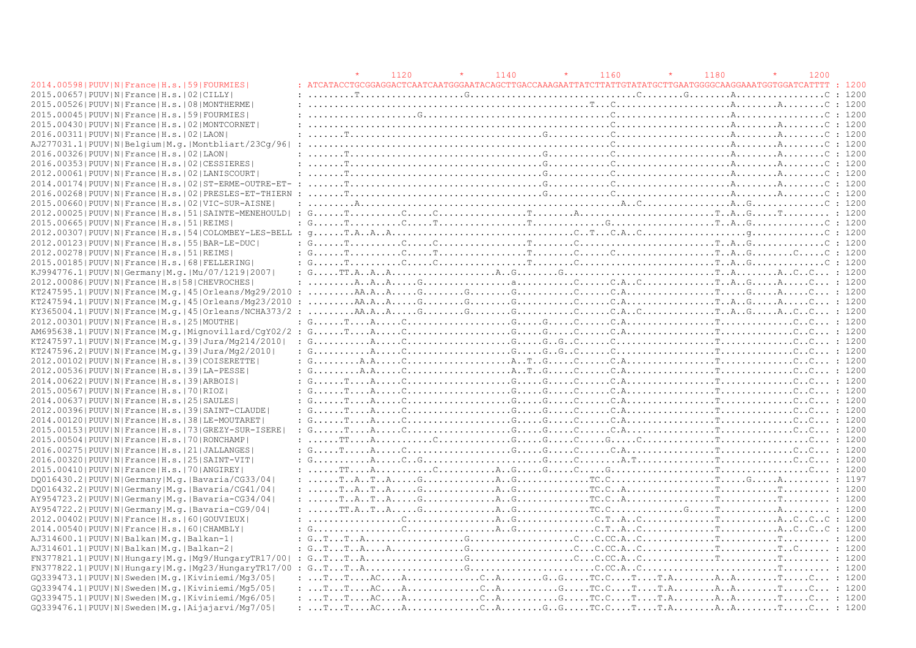|                                                                | 1120 | 1140 | 1160                                                                                                                                                                                                                                                                                                                                                                                                                                                                                    | 1180 | 1200 |              |
|----------------------------------------------------------------|------|------|-----------------------------------------------------------------------------------------------------------------------------------------------------------------------------------------------------------------------------------------------------------------------------------------------------------------------------------------------------------------------------------------------------------------------------------------------------------------------------------------|------|------|--------------|
| 2014.00598   PUUV   N   France   H.s.   59   FOURMIES          |      |      | : ATCATACCTGCGGAGGACTCAATCAATGGGAATACAGCTTGACCAAAGAATTATCTTATTGTATATGCTTGAATGGGGCAAGGAAATGGTGGATCATTTT                                                                                                                                                                                                                                                                                                                                                                                  |      |      | : 1200       |
| 2015.00657 PUUV N France H.s.   02 CILLY                       |      |      |                                                                                                                                                                                                                                                                                                                                                                                                                                                                                         |      |      | : 1200       |
| 2015.00526   PUUV   N   France   H.s.   08   MONTHERME         |      |      |                                                                                                                                                                                                                                                                                                                                                                                                                                                                                         |      |      | : 1200       |
| 2015.00045 PUUV N France H.s. 59 FOURMIES                      |      |      |                                                                                                                                                                                                                                                                                                                                                                                                                                                                                         |      |      | : 1200       |
| 2015.00430   PUUV   N   France   H.s.   02   MONTCORNET        |      |      |                                                                                                                                                                                                                                                                                                                                                                                                                                                                                         |      |      |              |
| 2016.00311 PUUV N France H.s. 02 LAON                          |      |      |                                                                                                                                                                                                                                                                                                                                                                                                                                                                                         |      |      | : 1200       |
| AJ277031.1 PUUV N Belgium M.g. Montbliart/23Cq/96              |      |      |                                                                                                                                                                                                                                                                                                                                                                                                                                                                                         |      |      | : 1200       |
| 2016.00326  PUUV   N   France   H.s.   02   LAON               |      |      |                                                                                                                                                                                                                                                                                                                                                                                                                                                                                         |      |      | : 1200       |
| 2016.00353 PUUV N France H.s. 02 CESSIERES                     |      |      |                                                                                                                                                                                                                                                                                                                                                                                                                                                                                         |      |      | $\cdot$ 1200 |
| 2012.00061   PUUV   N   France   H.s.   02   LANISCOURT        |      |      |                                                                                                                                                                                                                                                                                                                                                                                                                                                                                         |      |      |              |
|                                                                |      |      |                                                                                                                                                                                                                                                                                                                                                                                                                                                                                         |      |      | : 1200       |
| 2016.00268   PUUV   N   France   H.s.   02   PRESLES-ET-THIERN |      |      |                                                                                                                                                                                                                                                                                                                                                                                                                                                                                         |      |      | : 1200       |
| 2015.00660   PUUV   N   France   H.s.   02   VIC-SUR-AISNE     |      |      |                                                                                                                                                                                                                                                                                                                                                                                                                                                                                         |      |      |              |
|                                                                |      |      |                                                                                                                                                                                                                                                                                                                                                                                                                                                                                         |      |      |              |
|                                                                |      |      |                                                                                                                                                                                                                                                                                                                                                                                                                                                                                         |      |      |              |
| 2015.00665 PUUV N France H.s. 51 REIMS                         |      |      | : $G_{1}, \ldots, T_{i}, \ldots, T_{i}, \ldots, T_{i}, \ldots, T_{i}, \ldots, T_{i}, \ldots, T_{i}, \ldots, T_{i}, \ldots, T_{i}, \ldots, T_{i}, \ldots, T_{i}, \ldots, T_{i}, \ldots, T_{i}, \ldots, T_{i}, \ldots, T_{i}, \ldots, T_{i}, \ldots, T_{i}, \ldots, T_{i}, \ldots, T_{i}, \ldots, T_{i}, \ldots, T_{i}, \ldots, T_{i}, \ldots, T_{i}, \ldots, T_{i}, \ldots, T_{i}, \ldots, T_{i}, \ldots, T_{i}, \ldots, T_{$                                                            |      |      | : 1200       |
|                                                                |      |      |                                                                                                                                                                                                                                                                                                                                                                                                                                                                                         |      |      | : 1200       |
| 2012.00123  PUUV   N   France   H.s.   55   BAR-LE-DUC         |      |      | : $G_1, \ldots, T_{i_1}, \ldots, C_{i_2}, \ldots, C_{i_2}, \ldots, C_{i_1}, \ldots, C_{i_2}, \ldots, C_{i_2}, \ldots, C_{i_2}, \ldots, C_{i_2}, \ldots, C_{i_2}, \ldots, C_{i_2}, \ldots, C_{i_2}, \ldots, C_{i_2}, \ldots, C_{i_2}, \ldots, C_{i_2}, \ldots, C_{i_2}, \ldots, C_{i_2}, \ldots, C_{i_2}, \ldots, C_{i_2}, \ldots, C_{i_2}, \ldots, C_{i_2}, \ldots, C_{i_2}, \ldots,$                                                                                                   |      |      | $\div$ 1200  |
| 2012.00278   PUUV   N   France   H.s.   51   REIMS             |      |      | : $G_1, \ldots, T, \ldots, G_k, \ldots, T, \ldots, T, \ldots, T, \ldots, T, \ldots, G_k, \ldots, G_k, \ldots, T, \ldots, T, \ldots, T, \ldots, G_k, \ldots, G_k, \ldots, G_k, \ldots, G_k, \ldots, G_k, \ldots, G_k, \ldots, G_k, \ldots, G_k, \ldots, G_k, \ldots, G_k, \ldots, G_k, \ldots, G_k, \ldots, G_k, \ldots, G_k, \ldots, G_k, \ldots, G_k, \ldots, G_k, \ldots, G_k, \ldots, G_k, \ldots, G_k, \ldots, G$                                                                   |      |      | : 1200       |
| 2015.00185 PUUV N France H.s. 68 FELLERING                     |      |      | : $G_{1}, \ldots, T_{i}, \ldots, G_{i}, \ldots, G_{i}, \ldots, G_{i}, \ldots, G_{i}, \ldots, G_{i}, \ldots, G_{i}, \ldots, G_{i}, \ldots, G_{i}, \ldots, G_{i}, \ldots, G_{i}, \ldots, G_{i}, \ldots, G_{i}, \ldots, G_{i}, \ldots, G_{i}, \ldots, G_{i}, \ldots, G_{i}, \ldots, G_{i}, \ldots, G_{i}, \ldots, G_{i}, \ldots, G_{i}, \ldots, G_{i}, \ldots, G_{i}, \ldots, G_{i}, \ldots, G_{i}, \ldots, G_{i}, \ldots, G_{$                                                            |      |      | : 1200       |
| KJ994776.1 PUUV N Germany M.q. Mu/07/1219 2007                 |      |      |                                                                                                                                                                                                                                                                                                                                                                                                                                                                                         |      |      |              |
| 2012.00086 PUUV N France H.s 58 CHEVROCHES                     |      |      | $: \ldots, A, A, A, A, \ldots, G, \ldots, G, \ldots, G, \ldots, G, \ldots, G, G, \ldots, G, \ldots, G, \ldots, G, \ldots, G, \ldots, G, \ldots, G, \ldots, G, \ldots, G, \ldots, G, \ldots, G, \ldots, G, \ldots, G, \ldots, G, \ldots, G, \ldots, G, \ldots, G, \ldots, G, \ldots, G, \ldots, G, \ldots, G, \ldots, G, \ldots, G, \ldots, G, \ldots, G, \ldots, G, \ldots, G, \ldots, G, \ldots, G, \ldots, G, \$                                                                      |      |      |              |
|                                                                |      |      |                                                                                                                                                                                                                                                                                                                                                                                                                                                                                         |      |      |              |
|                                                                |      |      |                                                                                                                                                                                                                                                                                                                                                                                                                                                                                         |      |      |              |
|                                                                |      |      |                                                                                                                                                                                                                                                                                                                                                                                                                                                                                         |      |      |              |
| 2012.00301 PUUV N France H.s. 25 MOUTHE                        |      |      | : $G_1, \ldots, T_{i+1}, A_{i+1}, \ldots, C_{i+1}, \ldots, C_{i+1}, \ldots, C_{i+1}, \ldots, C_{i+1}, \ldots, C_{i+1}, \ldots, C_{i+1}, \ldots, C_{i+1}, \ldots, C_{i+1}, \ldots, C_{i+1}, \ldots, C_{i+1}, \ldots, C_{i+1}, \ldots, C_{i+1}, \ldots, C_{i+1}, \ldots, C_{i+1}, \ldots, C_{i+1}, \ldots, C_{i+1}, \ldots, C_{i+1}, \ldots, C_{i+1}, \ldots, C_{i+1}, \ldots, C_{i+$                                                                                                     |      |      |              |
|                                                                |      |      |                                                                                                                                                                                                                                                                                                                                                                                                                                                                                         |      |      |              |
| KT247597.1 PUUV N France M.g. 39 Jura/Mg214/2010               |      |      | : $G_{1}, \ldots, G_{n}, G_{1}, \ldots, G_{n}, G_{1}, \ldots, G_{n}, G_{1}, G_{2}, \ldots, G_{n}, G_{n}, G_{1}, \ldots, G_{n}, G_{1}, \ldots, G_{n}, G_{1}, G_{1}, \ldots, G_{n}, G_{1}, G_{1}, \ldots, G_{n}, G_{1}, G_{1}, \ldots, G_{n}, G_{1}, G_{1}, \ldots, G_{n}, G_{1}, G_{1}, \ldots, G_{n}, G_{1}, G_{1}, \ldots, G_{n}, G_{1}, G_{1}, \ldots, G_{n}, G_{1}, G_{1}, \ldots, G_{n}, G_{1}, G_{1}, \ld$                                                                         |      |      |              |
| KT247596.2 PUUV N France M.g. 39 Jura/Mg2/2010                 |      |      |                                                                                                                                                                                                                                                                                                                                                                                                                                                                                         |      |      |              |
| 2012.00102   PUUV   N   France   H.s.   39   COISERETTE        |      |      | $: G_{1}, \ldots, A_{n}, A_{n}, \ldots, C_{n}, \ldots, C_{n}, \ldots, A_{n}, \ldots, C_{n}, \ldots, C_{n}, \ldots, C_{n}, \ldots, C_{n}, \ldots, C_{n}, \ldots, C_{n}, \ldots, C_{n}, C_{n}, \ldots, C_{n}, C_{n}, \ldots, C_{n}, C_{n}, \ldots, C_{n}, C_{n}, \ldots, C_{n}, C_{n}, \ldots, C_{n}, C_{n}, \ldots, C_{n}, C_{n}, \ldots, C_{n}, C_{n}, \ldots, C_{n}, C_{n}, \ldots, C_{n}, C_{n}, \ldots, C_{n}, C_{n$                                                                 |      |      |              |
| 2012.00536  PUUV  N   France   H.s.   39   LA-PESSE            |      |      | $: G_{1}, \ldots, A_{n}, \ldots, C_{1}, \ldots, C_{n}, \ldots, A_{n}, \ldots, C_{n}, \ldots, C_{n}, \ldots, C_{n}, \ldots, C_{n}, \ldots, C_{n}, \ldots, C_{n}, \ldots, C_{n}, \ldots, C_{n}, \ldots, C_{n}, \ldots, C_{n}, \ldots, C_{n}, \ldots, C_{n}, \ldots, C_{n}, \ldots, C_{n}, \ldots, C_{n}, \ldots, C_{n}, \ldots, C_{n}, \ldots, C_{n}, \ldots, C_{n}, \ldots, C_{n}, \ldots, C_{n}, \ldots, C_{n}, \ldots, C_{n$                                                           |      |      |              |
| 2014.00622 PUUV N France H.s. 39 ARBOIS                        |      |      | : $G_{1}, \ldots, T_{i}, A_{i}, \ldots, C_{i}, \ldots, C_{i}, \ldots, C_{i}, \ldots, C_{i}, \ldots, C_{i}, C_{i}, \ldots, C_{i}, \ldots, C_{i}, \ldots, C_{i}, \ldots, C_{i}, \ldots, C_{i}, \ldots, C_{i}, C_{i}, \ldots, C_{i}, C_{i}, \ldots, C_{i}, C_{i}, \ldots, C_{i}, C_{i}, \ldots, C_{i}, C_{i}, \ldots, C_{i}, C_{i}, \ldots, C_{i}, C_{i}, \ldots, C_{i}, C_{i}, \ldots, C_{i}, C_{i}, \ldots, C_{i}, C_{$                                                                  |      |      |              |
| 2015.00567 PUUV N France H.s. 70 RIOZ                          |      |      | : $G_1, \ldots, T_{i+1}, A_{i+1}, \ldots, C_{i+1}, \ldots, C_{i+1}, \ldots, C_{i+1}, \ldots, C_{i+1}, \ldots, C_{i+1}, \ldots, C_{i+1}, \ldots, C_{i+1}, \ldots, C_{i+1}, \ldots, C_{i+1}, \ldots, C_{i+1}, \ldots, C_{i+1}, \ldots, C_{i+1}, \ldots, C_{i+1}, \ldots, C_{i+1}, \ldots, C_{i+1}, \ldots, C_{i+1}, \ldots, C_{i+1}, \ldots, C_{i+1}, \ldots, C_{i+1}, \ldots, C_{i+$                                                                                                     |      |      |              |
| 2014.00637   PUUV   N   France   H.s.   25   SAULES            |      |      | : $G_1, \ldots, T, \ldots, A, \ldots, C, \ldots, \ldots, \ldots, \ldots, G, \ldots, G, \ldots, G, \ldots, G, \ldots, C, \ldots, \ldots, \ldots, \ldots, \ldots, \ldots, \ldots, \ldots, \ldots, C, \ldots, \ldots, C, \ldots, \ldots, C, \ldots, \ldots, C, \ldots, \ldots, C, \ldots, \ldots, C, \ldots, \ldots, C, \ldots, \ldots, C, \ldots, \ldots, C, \ldots, \ldots, \ldots, \ldots, \ldots, C, \ldots, \ldots, \ldots, C,$                                                       |      |      |              |
| 2012.00396 PUUV N France H.s. 39 SAINT-CLAUDE                  |      |      | $: G_{1}, \ldots, T_{i}, A_{i}, \ldots, C_{i}, \ldots, C_{i}, \ldots, C_{i}, \ldots, C_{i}, \ldots, C_{i}, \ldots, C_{i}, \ldots, C_{i}, \ldots, C_{i}, \ldots, C_{i}, \ldots, C_{i}, \ldots, C_{i}, \ldots, C_{i}, \ldots, C_{i}, \ldots, C_{i}, \ldots, C_{i}, \ldots, C_{i}, \ldots, C_{i}, \ldots, C_{i}, \ldots, C_{i}, \ldots, C_{i}, \ldots, C_{i}, \ldots, C_{i}, \ldots, C_{i}, \ldots, C_{i}, \ldots, C_{i}, \ldots$                                                          |      |      |              |
| 2014.00120 PUUV N France H.s. 38 LE-MOUTARET                   |      |      | $: G_{1}, \ldots, T_{i}, A_{i}, \ldots, C_{i}, \ldots, C_{i}, \ldots, C_{i}, \ldots, C_{i}, \ldots, C_{i}, \ldots, C_{i}, \ldots, C_{i}, \ldots, C_{i}, \ldots, C_{i}, \ldots, C_{i}, \ldots, C_{i}, \ldots, C_{i}, \ldots, C_{i}, \ldots, C_{i}, \ldots, C_{i}, \ldots, C_{i}, \ldots, C_{i}, \ldots, C_{i}, \ldots, C_{i}, \ldots, C_{i}, \ldots, C_{i}, \ldots, C_{i}, \ldots, C_{i}, \ldots, C_{i}, \ldots, C_{i}, \ldots$                                                          |      |      |              |
| 2015.00153   PUUV   N   France   H.s.   73   GREZY-SUR-ISERE   |      |      | : $G_1, \ldots, T, \ldots, A, \ldots, C, \ldots, \ldots, \ldots, \ldots, G, \ldots, G, \ldots, G, \ldots, C, A, \ldots, \ldots, \ldots, \ldots, \ldots, \ldots, \ldots, \ldots, C, \ldots, \ldots, C, \ldots, \ldots, C, \ldots, \ldots, C, \ldots, \ldots, C, \ldots, \ldots, C, \ldots, \ldots, C, \ldots, \ldots, C, \ldots, \ldots, C, \ldots, \ldots, C, \ldots, \ldots, C, \ldots, \ldots, C, \ldots, \ldots, C, \ldots,$                                                         |      |      |              |
| 2015.00504   PUUV   N   France   H.s.   70   RONCHAMP          |      |      |                                                                                                                                                                                                                                                                                                                                                                                                                                                                                         |      |      |              |
| 2016.00275 PUUV N France H.s. 21 JALLANGES                     |      |      | : $G_{1}, \ldots, T_{i}, \ldots, R_{i}, \ldots, C_{i}, \ldots, C_{i}, \ldots, G_{i}, \ldots, G_{i}, \ldots, C_{i}, \ldots, C_{i}, \ldots, C_{i}, \ldots, C_{i}, \ldots, C_{i}, \ldots, C_{i}, \ldots, C_{i}, \ldots, C_{i}, \ldots, C_{i}, \ldots, C_{i}, \ldots, C_{i}, \ldots, C_{i}, \ldots, C_{i}, \ldots, C_{i}, \ldots, C_{i}, \ldots, C_{i}, \ldots, C_{i}, \ldots, C_{i}, \ldots, C_{i}, \ldots, C_{i}, \ldots, C_{$                                                            |      |      |              |
| 2016.00320 PUUV N France H.s. 25 SAINT-VIT                     |      |      | $: G_1, \ldots, G_n, G_1, \ldots, G_n, \ldots, G_n, \ldots, G_n, \ldots, G_n, G_n, \ldots, G_n, G_1, \ldots, G_n, G_1, \ldots, G_n, G_1, \ldots, G_n, G_1, \ldots, G_n, G_1, \ldots, G_n, G_1, \ldots, G_n, G_1, \ldots, G_n, G_1, \ldots, G_n, G_1, \ldots, G_n, G_1, \ldots, G_n, G_1, \ldots, G_n, G_1, \ldots, G_n, G_1, \ldots, G_n, G_1, \ldots, G_n, G_1, \ldots, G_n, G$                                                                                                        |      |      |              |
| 2015.00410   PUUV   N   France   H.s.   70   ANGIREY           |      |      |                                                                                                                                                                                                                                                                                                                                                                                                                                                                                         |      |      |              |
| DO016430.2   PUUV   N   Germany   M.g.   Bavaria/CG33/04       |      |      |                                                                                                                                                                                                                                                                                                                                                                                                                                                                                         |      |      |              |
|                                                                |      |      |                                                                                                                                                                                                                                                                                                                                                                                                                                                                                         |      |      |              |
| DQ016432.2 PUUV N Germany M.q. Bavaria/CG41/04                 |      |      |                                                                                                                                                                                                                                                                                                                                                                                                                                                                                         |      |      |              |
| AY954723.2   PUUV   N   Germany   M.g.   Bavaria-CG34/04       |      |      |                                                                                                                                                                                                                                                                                                                                                                                                                                                                                         |      |      |              |
| AY954722.2   PUUV   N   Germany   M. g.   Bavaria-CG9/04       |      |      |                                                                                                                                                                                                                                                                                                                                                                                                                                                                                         |      |      |              |
| 2012.00402   PUUV   N   France   H.s.   60   GOUVIEUX          |      |      | $: \ldots, \ldots, \ldots, \ldots, \mathbb{C}, \ldots, \ldots, \ldots, \mathbb{A} \cdot \mathbb{G}, \ldots, \ldots, \ldots, \mathbb{C}, \mathbb{T} \cdot \mathbb{A} \cdot \mathbb{C}, \ldots, \ldots, \ldots, \mathbb{C}, \ldots, \mathbb{A} \cdot \mathbb{C} \cdot \mathbb{C} \cdot \mathbb{C} \cdot \mathbb{C}$                                                                                                                                                                       |      |      | : 1200       |
| 2014.00540 PUUV N France H.s. 60 CHAMBLY                       |      |      |                                                                                                                                                                                                                                                                                                                                                                                                                                                                                         |      |      |              |
| AJ314600.1 PUUV N Balkan M.g. Balkan-1                         |      |      | : $G_{\cdot}, T_{\cdot}, T_{\cdot}, A_{\cdot}, \ldots, A_{\cdot}, T_{\cdot}, \ldots, T_{\cdot}, T_{\cdot}, \ldots, T_{\cdot}, T_{\cdot}, \ldots, T_{\cdot}, T_{\cdot}, \ldots, T_{\cdot}, \ldots, T_{\cdot}, \ldots, T_{\cdot}, T_{\cdot}, \ldots, T_{\cdot}, T_{\cdot}, \ldots, T_{\cdot}, T_{\cdot}, \ldots, T_{\cdot}, T_{\cdot}, \ldots, T_{\cdot}, T_{\cdot}, \ldots, T_{\cdot}, T_{\cdot}, \ldots, T_{\cdot}, T_{\cdot}, T_{\cdot}, \ldots, T_{\cdot}, T_{\cdot}, T_{\cdot}, T_{$ |      |      |              |
| AJ314601.1 PUUV N Balkan M.g. Balkan-2                         |      |      |                                                                                                                                                                                                                                                                                                                                                                                                                                                                                         |      |      |              |
|                                                                |      |      |                                                                                                                                                                                                                                                                                                                                                                                                                                                                                         |      |      |              |
|                                                                |      |      |                                                                                                                                                                                                                                                                                                                                                                                                                                                                                         |      |      |              |
| GO339473.1 PUUV N Sweden M.g. Kiviniemi/Mg3/05                 |      |      |                                                                                                                                                                                                                                                                                                                                                                                                                                                                                         |      |      |              |
| GO339474.1 PUUV N Sweden M.g. Kiviniemi/Mg5/05                 |      |      |                                                                                                                                                                                                                                                                                                                                                                                                                                                                                         |      |      |              |
| GQ339475.1 PUUV N Sweden M.g. Kiviniemi/Mg6/05                 |      |      |                                                                                                                                                                                                                                                                                                                                                                                                                                                                                         |      |      |              |
| GO339476.1 PUUV N Sweden M.g. Aijajarvi/Mg7/05                 |      |      |                                                                                                                                                                                                                                                                                                                                                                                                                                                                                         |      |      |              |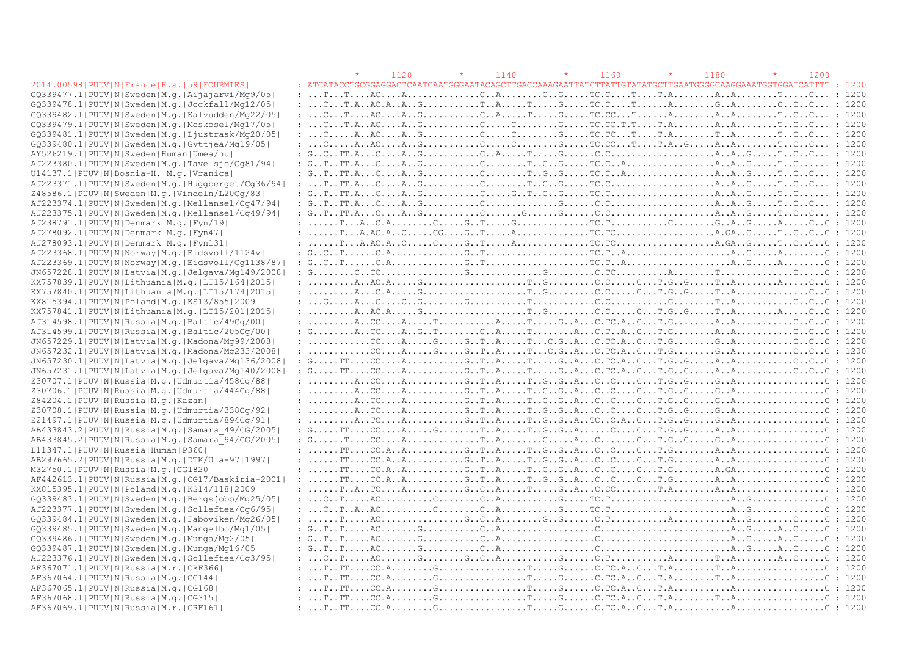|                                                             | 1120                                                                                                                                                                                                                                                                                                                                                                                                                                                                                  | $\star$<br>1140 | $\star$<br>1160 | $\star$<br>1180 | $\star$<br>1200 |        |
|-------------------------------------------------------------|---------------------------------------------------------------------------------------------------------------------------------------------------------------------------------------------------------------------------------------------------------------------------------------------------------------------------------------------------------------------------------------------------------------------------------------------------------------------------------------|-----------------|-----------------|-----------------|-----------------|--------|
| 2014.00598   PUUV   N   France   H.s.   59   FOURMIES       | : ATCATACCTGCGGAGGACTCAATCAATGGGAATACAGCTTGACCAAAGAATTATCTTATTGTATATGCTTGAATGGGGCAAGGAAATGGTGGATCATTTT                                                                                                                                                                                                                                                                                                                                                                                |                 |                 |                 |                 | : 1200 |
| GQ339477.1 PUUV N Sweden M.g. Aijajarvi/Mg9/05              |                                                                                                                                                                                                                                                                                                                                                                                                                                                                                       |                 |                 |                 |                 |        |
| GQ339478.1 PUUV N Sweden M.g. Jockfall/Mg12/05              | : CT.AAC.AAGTATGTC.CTAGACCC : 1200                                                                                                                                                                                                                                                                                                                                                                                                                                                    |                 |                 |                 |                 |        |
| GQ339482.1 PUUV N Sweden M.q. Kalvudden/Mq22/05             |                                                                                                                                                                                                                                                                                                                                                                                                                                                                                       |                 |                 |                 |                 |        |
| GQ339479.1 PUUV N Sweden M.q. Moskosel/Mq17/05              |                                                                                                                                                                                                                                                                                                                                                                                                                                                                                       |                 |                 |                 |                 |        |
| GQ339481.1 PUUV N Sweden M.g. Ljustrask/Mq20/05             |                                                                                                                                                                                                                                                                                                                                                                                                                                                                                       |                 |                 |                 |                 |        |
| GQ339480.1 PUUV N Sweden M.g. Gyttjea/Mq19/05               |                                                                                                                                                                                                                                                                                                                                                                                                                                                                                       |                 |                 |                 |                 |        |
| AY526219.1 PUUV N Sweden Human Umea/hu                      |                                                                                                                                                                                                                                                                                                                                                                                                                                                                                       |                 |                 |                 |                 |        |
| AJ223380.1 PUUV N Sweden M.q. Tavelsjo/Cq81/94              | : $GTTT.ACAGCCTTGTTCAAAGTC$ : 1200                                                                                                                                                                                                                                                                                                                                                                                                                                                    |                 |                 |                 |                 |        |
| U14137.1 PUUV N Bosnia-H. M.g. Vranica                      |                                                                                                                                                                                                                                                                                                                                                                                                                                                                                       |                 |                 |                 |                 |        |
| AJ223371.1 PUUV N Sweden M.g. Huggberget/Cg36/94            |                                                                                                                                                                                                                                                                                                                                                                                                                                                                                       |                 |                 |                 |                 |        |
| Z48586.1 PUUV N Sweden M.g. Vindeln/L20Cq/83                |                                                                                                                                                                                                                                                                                                                                                                                                                                                                                       |                 |                 |                 |                 |        |
| AJ223374.1 PUUV N Sweden M.q. Mellansel/Cq47/94             |                                                                                                                                                                                                                                                                                                                                                                                                                                                                                       |                 |                 |                 |                 |        |
| AJ223375.1 PUUV N Sweden M.g. Mellansel/Cq49/94             |                                                                                                                                                                                                                                                                                                                                                                                                                                                                                       |                 |                 |                 |                 | : 1200 |
| AJ238791.1 PUUV N Denmark M.q. Fyn/19                       |                                                                                                                                                                                                                                                                                                                                                                                                                                                                                       |                 |                 |                 |                 | : 1200 |
| AJ278092.1 PUUV N Denmark M.g. Fyn47                        |                                                                                                                                                                                                                                                                                                                                                                                                                                                                                       |                 |                 |                 |                 | : 1200 |
| AJ278093.1 PUUV N Denmark M.g. Fyn131                       |                                                                                                                                                                                                                                                                                                                                                                                                                                                                                       |                 |                 |                 |                 | : 1200 |
| AJ223368.1 PUUV N Norway M.q. Eidsvoll/1124v                |                                                                                                                                                                                                                                                                                                                                                                                                                                                                                       |                 |                 |                 |                 | : 1200 |
| AJ223369.1 PUUV N Norway M.g. Eidsvoll/Cg1138/87            |                                                                                                                                                                                                                                                                                                                                                                                                                                                                                       |                 |                 |                 |                 | : 1200 |
| JN657228.1 PUUV N Latvia M.g. Jelgava/Mg149/2008            | : $G_{1},\ldots, G_{n}, C_{2},\ldots, C_{n},\ldots, G_{n},\ldots, G_{n},\ldots, G_{n},\ldots, G_{n},\ldots, G_{n},\ldots, G_{n},\ldots, G_{n},\ldots, G_{n},\ldots, G_{n},\ldots, G_{n},\ldots, G_{n},\ldots, G_{n},\ldots, G_{n},\ldots, G_{n},\ldots, G_{n},\ldots, G_{n},\ldots, G_{n},\ldots, G_{n},\ldots, G_{n},\ldots, G_{n},\ldots, G_{n},\ldots, G_{n},\ldots, G_{n},\ldots, G_{n},\ld$                                                                                      |                 |                 |                 |                 | : 1200 |
| KX757839.1 PUUV N Lithuania M.q. LT15/164 2015              |                                                                                                                                                                                                                                                                                                                                                                                                                                                                                       |                 |                 |                 |                 | : 1200 |
| KX757840.1 PUUV N Lithuania M.g. LT15/174 2015              |                                                                                                                                                                                                                                                                                                                                                                                                                                                                                       |                 |                 |                 |                 | : 1200 |
| KX815394.1  PUUV   N   Poland   M.q.   KS13/855   2009      |                                                                                                                                                                                                                                                                                                                                                                                                                                                                                       |                 |                 |                 |                 | : 1200 |
| KX757841.1 PUUV N Lithuania M.g. LT15/201 2015              |                                                                                                                                                                                                                                                                                                                                                                                                                                                                                       |                 |                 |                 |                 | : 1200 |
| AJ314598.1 PUUV N Russia M.q. Baltic/49Cq/00                | $: \ldots \ldots \ldots$ . $\ldots$ . $\ldots$ . $\ldots$ . $\ldots$ . $\ldots$ . $\ldots$ . $\ldots$ . $\ldots$ . $\ldots$ . $\ldots$ . $\ldots$ . $\ldots$ . $\ldots$ . $\ldots$ . $\ldots$ . $\ldots$ . $\ldots$ . $\ldots$                                                                                                                                                                                                                                                        |                 |                 |                 |                 | : 1200 |
| AJ314599.1 PUUV N Russia M.g. Baltic/205Cg/00               |                                                                                                                                                                                                                                                                                                                                                                                                                                                                                       |                 |                 |                 |                 | : 1200 |
| JN657229.1 PUUV N Latvia M.g. Madona/Mq99/2008              | $: \ldots \ldots \ldots \ldots \ldots$ C $\ldots$ . A $\ldots \ldots G \ldots G \ldots T \ldots A \ldots T \ldots C \ldots A \ldots C \ldots T \ldots A \ldots C \ldots C \ldots C \ldots C \ldots C \ldots$                                                                                                                                                                                                                                                                          |                 |                 |                 |                 | : 1200 |
| JN657232.1 PUUV N Latvia M.g. Madona/Mg233/2008             |                                                                                                                                                                                                                                                                                                                                                                                                                                                                                       |                 |                 |                 |                 |        |
| JN657230.1  PUUV   N   Latvia   M.g.   Jelgava/Mg136/2008   | $: G.\ldots$ . TT $\dots$ . CC $\dots$ . A $\dots$ . $\dots$ . G $.$ T $\dots$ A $\dots$ . T $\dots$ . G $\dots$ A $\dots$ C $\dots$ C $\dots$ C $\dots$ C $\dots$ C $\dots$ C $\dots$ C $\dots$ C $\dots$ C $\dots$ C $\dots$ C $\dots$ C $\dots$ C $\dots$ C $\dots$ C $\dots$ C $\dots$ C $\dots$ C $\dots$ C $\dots$ C                                                                                                                                                            |                 |                 |                 |                 | : 1200 |
| JN657231.1 PUUV N Latvia M.g. Jelgava/Mg140/2008            | $: G \ldots \ldots \texttt{TT} \ldots \texttt{CC} \ldots \texttt{A} \ldots \ldots \ldots \texttt{G} \ldots \texttt{B} \ldots \texttt{B} \ldots \texttt{A} \ldots \texttt{C} \ldots \texttt{G} \ldots \texttt{C} \ldots \texttt{C} \ldots \texttt{C} \ldots \texttt{G} \ldots \texttt{C} \ldots \texttt{C} \ldots \texttt{C} \ldots \texttt{C} \ldots \texttt{C} \ldots \texttt{C} \ldots \texttt{C} \ldots \texttt{C} \ldots \texttt{C} \ldots \texttt{C} \ld$                        |                 |                 |                 |                 | : 1200 |
| Z30707.1  PUUV   N   Russia   M. g.   Udmurtia / 458Cg / 88 |                                                                                                                                                                                                                                                                                                                                                                                                                                                                                       |                 |                 |                 |                 | : 1200 |
| Z30706.1 PUUV N Russia M.g. Udmurtia/444Cg/88               |                                                                                                                                                                                                                                                                                                                                                                                                                                                                                       |                 |                 |                 |                 | : 1200 |
| Z84204.1 PUUV N Russia M.g. Kazan                           | $: \ldots \ldots \ldots$ . $C. \ldots A. \ldots \ldots \ldots G. \ldots T. \ldots A. \ldots T. \ldots G. \ldots A. \ldots C. \ldots C. \ldots T. \ldots G. \ldots G. \ldots G. \ldots A. \ldots \ldots \ldots C.$                                                                                                                                                                                                                                                                     |                 |                 |                 |                 | : 1200 |
| Z30708.1 PUUV N Russia M.g. Udmurtia/338Cg/92               |                                                                                                                                                                                                                                                                                                                                                                                                                                                                                       |                 |                 |                 |                 | : 1200 |
| Z21497.1 PUUV N Russia M.g. Udmurtia/894Cg/91               |                                                                                                                                                                                                                                                                                                                                                                                                                                                                                       |                 |                 |                 |                 | : 1200 |
| AB433843.2 PUUV N Russia M.g. Samara 49/CG/2005             | $: G \ldots \ldots \texttt{TT} \ldots \texttt{CC} \ldots \texttt{A} \ldots \ldots G \ldots \texttt{T} \ldots \texttt{A} \ldots \texttt{T} \ldots G \ldots G \ldots G \ldots G \ldots \texttt{C} \ldots \texttt{C} \ldots \texttt{A} \ldots \texttt{A} \ldots \texttt{A} \ldots \texttt{A} \ldots \texttt{A} \ldots \texttt{A} \ldots \texttt{A} \ldots \texttt{A} \ldots \texttt{A} \ldots \texttt{A} \ldots \texttt{A} \ldots \texttt{A} \ldots \texttt{A} \ldots$                   |                 |                 |                 |                 | : 1200 |
| AB433845.2 PUUV N Russia M.g. Samara 94/CG/2005             | $: G. \ldots . T. \ldots . C. \ldots . A. \ldots . \ldots . T. \ldots . T. \ldots . G. \ldots . A. \ldots . C. \ldots . C. \ldots . C. \ldots . G. \ldots . G. \ldots . G. \ldots . G. \ldots . D. \ldots . C. \ldots . D. \ldots . D. \ldots . D. \ldots . D. \ldots . D. \ldots . D. \ldots . D. \ldots . D. \ldots . D. \ldots . D. \ldots . D. \ldots . D. \ldots . D. \ldots . D. \ldots . D. \ldots . D. \ldots . D. \ldots . D. \ldots . D. \ldots$                            |                 |                 |                 |                 | : 1200 |
| L11347.1  PUUV   N   Russia   Human   P360                  | $: \ldots \ldots \ldots \mathbb{T}$ $\mathbb{C}C.A. . A. \ldots \ldots \ldots G. . \mathbb{T} A. \ldots \mathbb{T} G. . G. . A. C. . C. \mathbb{T} . G. \ldots \ldots A. . A. \ldots \ldots \ldots \ldots \mathbb{T} . C.$                                                                                                                                                                                                                                                            |                 |                 |                 |                 | : 1200 |
| AB297665.2 PUUV N Russia M.g. DTK/Ufa-97 1997               |                                                                                                                                                                                                                                                                                                                                                                                                                                                                                       |                 |                 |                 |                 |        |
| M32750.1 PUUV N Russia M.q. CG1820                          | $: \ldots \ldots \ldots \text{TT} \ldots \text{CC.A.}.$ A. $\dots \ldots \ldots \text{G.} \ldots \text{R} \ldots \text{CT} \ldots \text{G.} \ldots \text{G.} \ldots \text{G.} \ldots \text{C} \ldots \text{C} \ldots \text{CT} \ldots \text{G.} \ldots \text{C} \ldots \text{CT} \ldots \text{G.} \ldots \text{C} \ldots \text{C} \ldots \text{C} \ldots \text{C} \ldots \text{C} \ldots \text{C} \ldots \text{C} \ldots \text{C} \ldots \text{C} \ld$                                |                 |                 |                 |                 | : 1200 |
| AF442613.1 PUUV N Russia M.q. CG17/Baskiria-2001            | $: \ldots \ldots \text{TT} \ldots \text{CC}. \text{A} \ldots \text{A} \ldots \ldots \text{C} \ldots \text{G} \ldots \text{A} \ldots \text{A} \ldots \text{A} \ldots \text{C} \ldots \text{A} \ldots \text{C} \ldots \text{C} \ldots \text{A} \ldots \text{A} \ldots \text{A} \ldots \text{A} \ldots \text{A} \ldots \text{A} \ldots \text{A} \ldots \text{A} \ldots \text{A} \ldots \text{A} \ldots \text{A} \ldots \text{A} \ldots \text{A} \ldots \text{A}$                         |                 |                 |                 |                 | : 1200 |
| KX815395.1  PUUV   N   Poland   M.g.   KS14/118   2009      |                                                                                                                                                                                                                                                                                                                                                                                                                                                                                       |                 |                 |                 |                 | : 1200 |
| GQ339483.1 PUUV N Sweden M.g. Bergsjobo/Mg25/05             | $: \ldots$ C $\ldots$ T $\ldots \ldots$ AC $\ldots \ldots \ldots$ C $\ldots \ldots \ldots$ C $\ldots \ldots \ldots \ldots \ldots \ldots$ TC $\ldots \ldots \ldots \ldots \ldots \ldots \ldots \ldots \ldots \ldots$                                                                                                                                                                                                                                                                   |                 |                 |                 |                 | : 1200 |
| AJ223377.1 PUUV N Sweden M.q. Solleftea/Cq6/95              |                                                                                                                                                                                                                                                                                                                                                                                                                                                                                       |                 |                 |                 |                 | : 1200 |
| GQ339484.1 PUUV N Sweden M.g. Faboviken/Mg26/05             |                                                                                                                                                                                                                                                                                                                                                                                                                                                                                       |                 |                 |                 |                 | : 1200 |
| GQ339485.1 PUUV N Sweden M.q. Mangelbo/Mg1/05               | : $G_{\cdot}, T_{\cdot}, T_{\cdot}, \ldots, A C_{\cdot}, \ldots, G_{\cdot}, G_{\cdot}, \ldots, G_{\cdot}, A \cdot, \ldots, G_{\cdot}, \ldots, G_{\cdot}, \ldots, G_{\cdot}, \ldots, G_{\cdot}, \ldots, G_{\cdot}, G_{\cdot}, \ldots, G_{\cdot}, G_{\cdot}, \ldots, G_{\cdot}, G_{\cdot}, \ldots, G_{\cdot}, G_{\cdot}, \ldots, G_{\cdot}, G_{\cdot}, \ldots, G_{\cdot}, G_{\cdot}, \ldots, G_{\cdot}, G_{\cdot}, \ldots, G_{\cdot}, G_{\cdot}, \ldots, G_{\cdot}, G_{\cdot}, \ldots,$ |                 |                 |                 |                 | : 1200 |
| GQ339486.1 PUUV N Sweden M.g. Munga/Mg2/05                  |                                                                                                                                                                                                                                                                                                                                                                                                                                                                                       |                 |                 |                 |                 | : 1200 |
| GQ339487.1   PUUV   N   Sweden   M.g.   Munga/Mg16/05       |                                                                                                                                                                                                                                                                                                                                                                                                                                                                                       |                 |                 |                 |                 | : 1200 |
| AJ223376.1 PUUV N Sweden M.g. Solleftea/Cq3/95              |                                                                                                                                                                                                                                                                                                                                                                                                                                                                                       |                 |                 |                 |                 | : 1200 |
| AF367071.1  PUUV   N   Russia   M.r.   CRF366               |                                                                                                                                                                                                                                                                                                                                                                                                                                                                                       |                 |                 |                 |                 | : 1200 |
| AF367064.1  PUUV   N   Russia   M. g.   CG144               |                                                                                                                                                                                                                                                                                                                                                                                                                                                                                       |                 |                 |                 |                 | : 1200 |
| AF367065.1 PUUV N Russia M.g. CG168                         |                                                                                                                                                                                                                                                                                                                                                                                                                                                                                       |                 |                 |                 |                 | : 1200 |
| AF367068.1 PUUV N Russia M.g. CG315                         |                                                                                                                                                                                                                                                                                                                                                                                                                                                                                       |                 |                 |                 |                 | : 1200 |
| AF367069.1 PUUV N Russia M.r. CRF161                        |                                                                                                                                                                                                                                                                                                                                                                                                                                                                                       |                 |                 |                 |                 | : 1200 |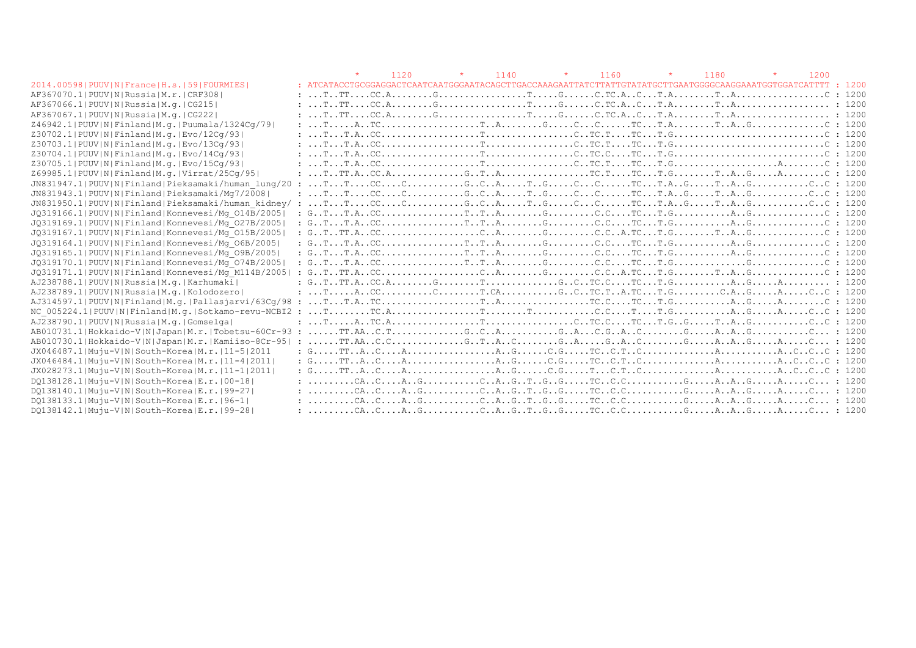|                                                       |                                                                                                                                                                                                                                                                                                                                                                                                                                                                                                 | 1120 | $\star$ | 1140 | $\star$ | 1160 | 1180 |  | 1200 |        |
|-------------------------------------------------------|-------------------------------------------------------------------------------------------------------------------------------------------------------------------------------------------------------------------------------------------------------------------------------------------------------------------------------------------------------------------------------------------------------------------------------------------------------------------------------------------------|------|---------|------|---------|------|------|--|------|--------|
| 2014.00598   PUUV   N   France   H.s.   59   FOURMIES | : ATCATACCTGCGGAGGACTCAATCAATGGGAATACAGCTTGACCAAAGAATTATCTTATTGTATATGCTTGAATGGGGCAAGGAAATGGTGGATCATTTT                                                                                                                                                                                                                                                                                                                                                                                          |      |         |      |         |      |      |  |      | : 1200 |
| AF367070.1 PUUV N Russia M.r. CRF308                  |                                                                                                                                                                                                                                                                                                                                                                                                                                                                                                 |      |         |      |         |      |      |  |      |        |
| AF367066.1 PUUV N Russia M.q. CG215                   |                                                                                                                                                                                                                                                                                                                                                                                                                                                                                                 |      |         |      |         |      |      |  |      |        |
| AF367067.1  PUUV   N   Russia   M.q.   CG222          |                                                                                                                                                                                                                                                                                                                                                                                                                                                                                                 |      |         |      |         |      |      |  |      |        |
| Z46942.1 PUUV N Finland M.g. Puumala/1324Cq/79        |                                                                                                                                                                                                                                                                                                                                                                                                                                                                                                 |      |         |      |         |      |      |  |      |        |
| Z30702.1 PUUV N Finland M.g. Evo/12Cq/93              |                                                                                                                                                                                                                                                                                                                                                                                                                                                                                                 |      |         |      |         |      |      |  |      |        |
| Z30703.1 PUUV N Finland M.g. Evo/13Cq/93              |                                                                                                                                                                                                                                                                                                                                                                                                                                                                                                 |      |         |      |         |      |      |  |      |        |
| Z30704.1 PUUV N Finland M.g. Evo/14Cq/93              |                                                                                                                                                                                                                                                                                                                                                                                                                                                                                                 |      |         |      |         |      |      |  |      |        |
| Z30705.1 PUUV N Finland M.g. Evo/15Cq/93              |                                                                                                                                                                                                                                                                                                                                                                                                                                                                                                 |      |         |      |         |      |      |  |      |        |
| Z69985.1 PUUV N Finland M.g. Virrat/25Cq/95           |                                                                                                                                                                                                                                                                                                                                                                                                                                                                                                 |      |         |      |         |      |      |  |      | : 1200 |
| JN831947.1 PUUV N Finland Pieksamaki/human lung/20    | $\cdot$ :                                                                                                                                                                                                                                                                                                                                                                                                                                                                                       |      |         |      |         |      |      |  |      |        |
| JN831943.1 PUUV N Finland Pieksamaki/Mq7/2008         |                                                                                                                                                                                                                                                                                                                                                                                                                                                                                                 |      |         |      |         |      |      |  |      |        |
| JN831950.1 PUUV N Finland Pieksamaki/human kidney/ :  |                                                                                                                                                                                                                                                                                                                                                                                                                                                                                                 |      |         |      |         |      |      |  |      |        |
| JQ319166.1 PUUV N Finland Konnevesi/Mq 014B/2005      |                                                                                                                                                                                                                                                                                                                                                                                                                                                                                                 |      |         |      |         |      |      |  |      |        |
| JQ319169.1 PUUV N Finland Konnevesi/Mq 027B/2005      |                                                                                                                                                                                                                                                                                                                                                                                                                                                                                                 |      |         |      |         |      |      |  |      |        |
| JQ319167.1 PUUV N Finland Konnevesi/Mq 015B/2005      |                                                                                                                                                                                                                                                                                                                                                                                                                                                                                                 |      |         |      |         |      |      |  |      |        |
| JQ319164.1 PUUV N Finland Konnevesi/Mq 06B/2005       |                                                                                                                                                                                                                                                                                                                                                                                                                                                                                                 |      |         |      |         |      |      |  |      |        |
| JQ319165.1 PUUV N Finland Konnevesi/Mq 09B/2005       |                                                                                                                                                                                                                                                                                                                                                                                                                                                                                                 |      |         |      |         |      |      |  |      |        |
| JQ319170.1 PUUV N Finland Konnevesi/Mq 074B/2005      | : $G_{\cdot}, T_{\cdot}, T_{\cdot}, A_{\cdot}, CC_{\cdot}, \ldots, C_{\cdot}, T_{\cdot}, T_{\cdot}, T_{\cdot}, A_{\cdot}, \ldots, C_{\cdot}, C_{\cdot}, C_{\cdot}, C_{\cdot}, C_{\cdot}, T_{\cdot}, C_{\cdot}, T_{\cdot}, G_{\cdot}, \ldots, C_{\cdot}, T_{\cdot}, G_{\cdot}, \ldots, C_{\cdot}, T_{\cdot}, T_{\cdot}, A_{\cdot}, C_{\cdot}, T_{\cdot}, T_{\cdot}, A_{\cdot}, \ldots, C_{\cdot}, T_{\cdot}, T_{\cdot}, T_{\cdot}, A_{\cdot}, \ldots, T_{\cdot}, T_{\cdot}, T_{\cdot}, T_{\cdot$ |      |         |      |         |      |      |  |      |        |
| JQ319171.1 PUUV N Finland Konnevesi/Mq M114B/2005     |                                                                                                                                                                                                                                                                                                                                                                                                                                                                                                 |      |         |      |         |      |      |  |      |        |
| AJ238788.1 PUUV N Russia M.q. Karhumaki               | : $GTTT.ACC.AGTGCTCTTTAGA$ : 1200                                                                                                                                                                                                                                                                                                                                                                                                                                                               |      |         |      |         |      |      |  |      |        |
| AJ238789.1 PUUV N Russia M.q. Kolodozero              |                                                                                                                                                                                                                                                                                                                                                                                                                                                                                                 |      |         |      |         |      |      |  |      |        |
|                                                       |                                                                                                                                                                                                                                                                                                                                                                                                                                                                                                 |      |         |      |         |      |      |  |      |        |
| NC 005224.1 PUUV N Finland M.q. Sotkamo-revu-NCBI2 :  |                                                                                                                                                                                                                                                                                                                                                                                                                                                                                                 |      |         |      |         |      |      |  |      |        |
| AJ238790.1 PUUV N Russia M.g. Gomselga                |                                                                                                                                                                                                                                                                                                                                                                                                                                                                                                 |      |         |      |         |      |      |  |      |        |
|                                                       |                                                                                                                                                                                                                                                                                                                                                                                                                                                                                                 |      |         |      |         |      |      |  |      |        |
| AB010730.1 Hokkaido-V N Japan M.r. Kamiiso-8Cr-95     |                                                                                                                                                                                                                                                                                                                                                                                                                                                                                                 |      |         |      |         |      |      |  |      |        |
| JX046487.1 Muju-V N South-Korea M.r. 11-5 2011        |                                                                                                                                                                                                                                                                                                                                                                                                                                                                                                 |      |         |      |         |      |      |  |      |        |
| JX046484.1 Muju-V N South-Korea M.r.   11-4  2011     |                                                                                                                                                                                                                                                                                                                                                                                                                                                                                                 |      |         |      |         |      |      |  |      |        |
| JX028273.1 Muju-V N South-Korea M.r. 11-1 2011        |                                                                                                                                                                                                                                                                                                                                                                                                                                                                                                 |      |         |      |         |      |      |  |      |        |
| DQ138128.1 Muju-V N South-Korea E.r. 00-18            |                                                                                                                                                                                                                                                                                                                                                                                                                                                                                                 |      |         |      |         |      |      |  |      |        |
| DO138140.1 Muju-V N South-Korea E.r. 99-27            |                                                                                                                                                                                                                                                                                                                                                                                                                                                                                                 |      |         |      |         |      |      |  |      |        |
| DQ138133.1 Muju-V N South-Korea E.r. 96-1             |                                                                                                                                                                                                                                                                                                                                                                                                                                                                                                 |      |         |      |         |      |      |  |      |        |
| DQ138142.1 Muju-V N South-Korea E.r. 99-28            |                                                                                                                                                                                                                                                                                                                                                                                                                                                                                                 |      |         |      |         |      |      |  |      |        |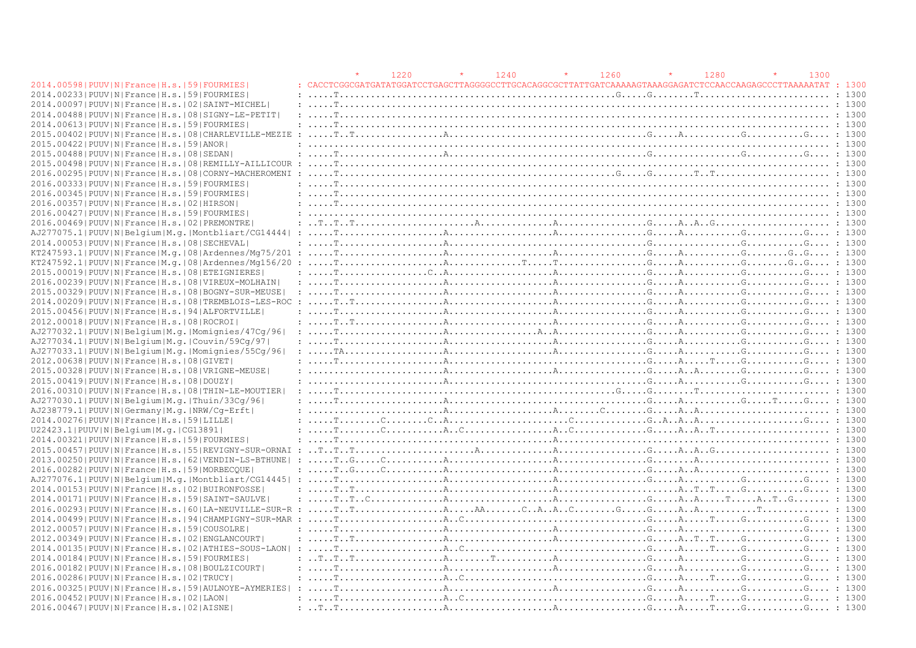|                                                                |                                                                                                                                                                                                                                                                                                                                                                                                                                                                                 | 1220 | 1240 | 1260 | 1280 | 1300 |  |
|----------------------------------------------------------------|---------------------------------------------------------------------------------------------------------------------------------------------------------------------------------------------------------------------------------------------------------------------------------------------------------------------------------------------------------------------------------------------------------------------------------------------------------------------------------|------|------|------|------|------|--|
| 2014.00598   PUUV   N   France   H.s.   59   FOURMIES          |                                                                                                                                                                                                                                                                                                                                                                                                                                                                                 |      |      |      |      |      |  |
| 2014.002331PUUVINIFranceIH.s.1591FOURMIES                      | $: \ldots . \texttt{r}, \ldots . \texttt{r}, \ldots . \texttt{r}, \ldots . \texttt{r}, \ldots . \texttt{r}, \ldots . \texttt{r}, \ldots . \texttt{r}, \ldots . \texttt{r}, \ldots . \texttt{r}, \ldots . \texttt{r}, \ldots . \texttt{r}, \ldots . \texttt{r}, \ldots . \texttt{r}, \ldots . \texttt{r}, \ldots . \texttt{r}, \ldots . \texttt{r}, \ldots . \texttt{r}, \ldots . \texttt{r}, \ldots . \texttt{r}, \ldots . \texttt{r}, \ldots . \texttt{r}, \ldots . \texttt{r$ |      |      |      |      |      |  |
| 2014.00097   PUUV   N   France   H.s.   02   SAINT-MICHEL      |                                                                                                                                                                                                                                                                                                                                                                                                                                                                                 |      |      |      |      |      |  |
| 2014.00488   PUUV   N   France   H.s.   08   SIGNY-LE-PETIT    |                                                                                                                                                                                                                                                                                                                                                                                                                                                                                 |      |      |      |      |      |  |
| 2014.00613  PUUV   N   France   H.s.   59   FOURMIES           |                                                                                                                                                                                                                                                                                                                                                                                                                                                                                 |      |      |      |      |      |  |
| 2015.00402   PUUV   N   France   H.s.   08   CHARLEVILLE-MEZIE |                                                                                                                                                                                                                                                                                                                                                                                                                                                                                 |      |      |      |      |      |  |
| 2015.00422 PUUV N France H.s. 59 ANOR                          |                                                                                                                                                                                                                                                                                                                                                                                                                                                                                 |      |      |      |      |      |  |
| 2015.00488   PUUV   N   France   H.s.   08   SEDAN             |                                                                                                                                                                                                                                                                                                                                                                                                                                                                                 |      |      |      |      |      |  |
| 2015.00498   PUUV   N   France   H.s.   08   REMILLY-AILLICOUR |                                                                                                                                                                                                                                                                                                                                                                                                                                                                                 |      |      |      |      |      |  |
| 2016.00295   PUUV   N   France   H.s.   08   CORNY-MACHEROMENI |                                                                                                                                                                                                                                                                                                                                                                                                                                                                                 |      |      |      |      |      |  |
| 2016.00333 PUUV N France H.s. 59 FOURMIES                      |                                                                                                                                                                                                                                                                                                                                                                                                                                                                                 |      |      |      |      |      |  |
| 2016.00345 PUUV N France H.s.  59 FOURMIES                     |                                                                                                                                                                                                                                                                                                                                                                                                                                                                                 |      |      |      |      |      |  |
| 2016.00357 PUUV N France H.s. 02 HIRSON                        |                                                                                                                                                                                                                                                                                                                                                                                                                                                                                 |      |      |      |      |      |  |
| 2016.00427 PUUV N France H.s. 59 FOURMIES                      |                                                                                                                                                                                                                                                                                                                                                                                                                                                                                 |      |      |      |      |      |  |
| 2016.00469   PUUV   N   France   H.s.   02   PREMONTRE         |                                                                                                                                                                                                                                                                                                                                                                                                                                                                                 |      |      |      |      |      |  |
|                                                                |                                                                                                                                                                                                                                                                                                                                                                                                                                                                                 |      |      |      |      |      |  |
| 2014.000531PUUVINIFranceIH.s.1081SECHEVAL                      |                                                                                                                                                                                                                                                                                                                                                                                                                                                                                 |      |      |      |      |      |  |
| KT247593.1 PUUV N France M.q. 08 Ardennes/Mq75/201 :           |                                                                                                                                                                                                                                                                                                                                                                                                                                                                                 |      |      |      |      |      |  |
|                                                                |                                                                                                                                                                                                                                                                                                                                                                                                                                                                                 |      |      |      |      |      |  |
| 2015.00019   PUUV   N   France   H.s.   08   ETEIGNIERES       |                                                                                                                                                                                                                                                                                                                                                                                                                                                                                 |      |      |      |      |      |  |
| 2016.00239   PUUV   N   France   H.s.   08   VIREUX-MOLHAIN    |                                                                                                                                                                                                                                                                                                                                                                                                                                                                                 |      |      |      |      |      |  |
| 2015.00329   PUUV   N   France   H.s.   08   BOGNY-SUR-MEUSE   |                                                                                                                                                                                                                                                                                                                                                                                                                                                                                 |      |      |      |      |      |  |
| 2014.00209 PUUV N France H.s. 08 TREMBLOIS-LES-ROC             | 1300                                                                                                                                                                                                                                                                                                                                                                                                                                                                            |      |      |      |      |      |  |
| 2015.00456 PUUV N France H.s. 94 ALFORTVILLE                   |                                                                                                                                                                                                                                                                                                                                                                                                                                                                                 |      |      |      |      |      |  |
| 2012.00018   PUUV   N   France   H.s.   08   ROCROI            |                                                                                                                                                                                                                                                                                                                                                                                                                                                                                 |      |      |      |      |      |  |
| AJ277032.1 PUUV N Belgium M.g. Momignies/47Cq/96               | $: \ldots, \text{T}, \ldots, \text{C}, \ldots, \text{C}, \ldots, \text{C}, \ldots, \text{C}, \ldots, \text{C}, \ldots, \text{C}, \ldots, \text{C}, \ldots, \text{C}, \ldots, \text{C}, \ldots, \text{C}, \ldots, \text{C}, \ldots, \text{C}, \ldots, \text{C}, \ldots, \text{C}, \ldots, \text{C}, \ldots, \text{C}, \ldots, \text{C}, \ldots, \text{C}, \ldots, \text{C}, \ldots, \text{C}, \ldots, \text{C}, \ldots, \text{C}, \ldots, \text{C}, \ldots,$                     |      |      |      |      |      |  |
| AJ277034.1 PUUV N Belgium M.g. Couvin/59Cq/97                  |                                                                                                                                                                                                                                                                                                                                                                                                                                                                                 |      |      |      |      |      |  |
| AJ277033.1 PUUV N Belgium M.g. Momignies/55Cq/96               |                                                                                                                                                                                                                                                                                                                                                                                                                                                                                 |      |      |      |      |      |  |
| 2012.00638   PUUV   N   France   H.s.   08   GIVET             | $: \ldots, \text{T}, \ldots, \ldots, \text{C}, \ldots, \text{A}, \ldots, \text{C}, \ldots, \text{C}, \ldots, \text{C}, \ldots, \text{C}, \ldots, \text{C}, \ldots, \text{C}, \ldots, \text{C}, \ldots, \text{C}, \ldots, \text{C}, \ldots, \text{C}, \ldots, \text{C}, \text{C}, \ldots, \text{C}, \ldots, \text{C}, \ldots, \text{C}, \ldots, \text{C}, \ldots, \text{C}, \ldots, \text{C}, \ldots, \text{C}, \ldots, \text{C}, \ldots, \text{C}, \ldots,$                     |      |      |      |      |      |  |
| 2015.00328   PUUV   N   France   H.s.   08   VRIGNE-MEUSE      |                                                                                                                                                                                                                                                                                                                                                                                                                                                                                 |      |      |      |      |      |  |
| 2015.00419 PUUV N France H.s. 08 DOUZY                         | $: \ldots \ldots \ldots \ldots \ldots \ldots$                                                                                                                                                                                                                                                                                                                                                                                                                                   |      |      |      |      |      |  |
| 2016.00310   PUUV   N   France   H.s.   08   THIN-LE-MOUTIER   |                                                                                                                                                                                                                                                                                                                                                                                                                                                                                 |      |      |      |      |      |  |
| AJ277030.1 PUUV N Belgium M.g. Thuin/33Cg/96                   | $: \ldots, \text{T}, \ldots, \text{C}, \ldots, \text{C}, \ldots, \text{C}, \ldots, \text{C}, \ldots, \text{C}, \ldots, \text{C}, \ldots, \text{C}, \ldots, \text{C}, \ldots, \text{T}, \ldots, \text{C}, \ldots, \text{C}, \ldots, \text{C}, \ldots, \text{C}, \ldots, \text{C}, \ldots, \text{C}, \ldots, \text{C}, \ldots, \text{C}, \ldots, \text{C}, \ldots, \text{C}, \ldots, \text{C}, \ldots, \text{C}, \ldots, \text{C}, \ldots, \text{C}, \ldots, \$                   |      |      |      |      |      |  |
| AJ238779.1 PUUV N Germany M.q. NRW/Cq-Erft                     |                                                                                                                                                                                                                                                                                                                                                                                                                                                                                 |      |      |      |      |      |  |
| 2014.00276  PUUV   N   France   H.s.   59   LILLE              |                                                                                                                                                                                                                                                                                                                                                                                                                                                                                 |      |      |      |      |      |  |
| U22423.1 PUUV N Belgium M.g. CG13891                           | $: \ldots, \mathbb{T}, \ldots, \mathbb{C}, \ldots, \mathbb{C}, \ldots, \mathbb{A}, \mathbb{C}, \ldots, \mathbb{C}, \ldots, \mathbb{A}, \mathbb{C}, \ldots, \mathbb{C}, \ldots, \mathbb{C}, \ldots, \mathbb{A}, \mathbb{A}, \mathbb{T}, \ldots, \ldots, \ldots, \mathbb{C}, \ldots, \mathbb{C}, \mathbb{C}$                                                                                                                                                                      |      |      |      |      |      |  |
| 2014.00321  PUUV   N   France   H.s.   59   FOURMIES           |                                                                                                                                                                                                                                                                                                                                                                                                                                                                                 |      |      |      |      |      |  |
|                                                                |                                                                                                                                                                                                                                                                                                                                                                                                                                                                                 |      |      |      |      |      |  |
| 2013.00250   PUUV   N   France   H.s.   62   VENDIN-LS-BTHUNE  |                                                                                                                                                                                                                                                                                                                                                                                                                                                                                 |      |      |      |      |      |  |
| 2016.00282   PUUV   N   France   H.s.   59   MORBECOUE         | $: \ldots, \mathbb{F} \ldots \mathbb{G} \ldots \ldots \mathbb{G} \ldots \mathbb{G} \ldots \mathbb{G} \ldots \mathbb{G} \ldots \mathbb{G} \ldots \mathbb{G} \ldots \mathbb{G} \ldots \mathbb{G} \ldots \mathbb{G} \ldots \mathbb{G} \ldots \mathbb{G} \ldots \mathbb{G} \ldots \mathbb{G} \ldots \mathbb{G} \ldots \mathbb{G} \ldots \mathbb{G} \ldots \mathbb{G} \ldots \mathbb{G} \ldots \mathbb{G} \ldots \mathbb{G} \ldots \mathbb{G} \ldots \mathbb{G$                      |      |      |      |      |      |  |
|                                                                |                                                                                                                                                                                                                                                                                                                                                                                                                                                                                 |      |      |      |      |      |  |
| 2014.00153 PUUV N France H.s. 02 BUIRONFOSSE                   |                                                                                                                                                                                                                                                                                                                                                                                                                                                                                 |      |      |      |      |      |  |
| 2014.00171 PUUV N France H.s. 59 SAINT-SAULVE                  |                                                                                                                                                                                                                                                                                                                                                                                                                                                                                 |      |      |      |      |      |  |
|                                                                |                                                                                                                                                                                                                                                                                                                                                                                                                                                                                 |      |      |      |      |      |  |
|                                                                |                                                                                                                                                                                                                                                                                                                                                                                                                                                                                 |      |      |      |      |      |  |
| 2014.00499 PUUV N France H.s. 94 CHAMPIGNY-SUR-MAR             |                                                                                                                                                                                                                                                                                                                                                                                                                                                                                 |      |      |      |      |      |  |
| 2012.00057 PUUV N France H.s. 59 COUSOLRE                      |                                                                                                                                                                                                                                                                                                                                                                                                                                                                                 |      |      |      |      |      |  |
| 2012.00349   PUUV   N   France   H.s.   02   ENGLANCOURT       |                                                                                                                                                                                                                                                                                                                                                                                                                                                                                 |      |      |      |      |      |  |
| 2014.00135 PUUV N France H.s.   02 ATHIES-SOUS-LAON            |                                                                                                                                                                                                                                                                                                                                                                                                                                                                                 |      |      |      |      |      |  |
| 2014.00184   PUUV   N   France   H.s.   59   FOURMIES          |                                                                                                                                                                                                                                                                                                                                                                                                                                                                                 |      |      |      |      |      |  |
| 2016.00182   PUUV   N   France   H.s.   08   BOULZICOURT       |                                                                                                                                                                                                                                                                                                                                                                                                                                                                                 |      |      |      |      |      |  |
| 2016.00286   PUUV   N   France   H.s.   02   TRUCY             |                                                                                                                                                                                                                                                                                                                                                                                                                                                                                 |      |      |      |      |      |  |
| 2016.00325 PUUV N France H.s. 59 AULNOYE-AYMERIES              |                                                                                                                                                                                                                                                                                                                                                                                                                                                                                 |      |      |      |      |      |  |
| 2016.00452   PUUV   N   France   H.s.   02   LAON              |                                                                                                                                                                                                                                                                                                                                                                                                                                                                                 |      |      |      |      |      |  |
| 2016.00467 PUUV N France H.s. 02 AISNE                         | : $T_{\rm t}$ , $T_{\rm t}$ , $T_{\rm t}$ , $T_{\rm t}$ , $T_{\rm t}$ , $T_{\rm t}$ , $T_{\rm t}$ , $T_{\rm t}$ , $T_{\rm t}$ , $T_{\rm t}$ , $T_{\rm t}$ , $T_{\rm t}$ , $T_{\rm t}$ , $T_{\rm t}$ , $T_{\rm t}$ , $T_{\rm t}$ , $T_{\rm t}$ , $T_{\rm t}$ , $T_{\rm t}$ , $T_{\rm t}$ , $T_{\rm t}$ , $T_{\rm t}$ ,                                                                                                                                                           |      |      |      |      |      |  |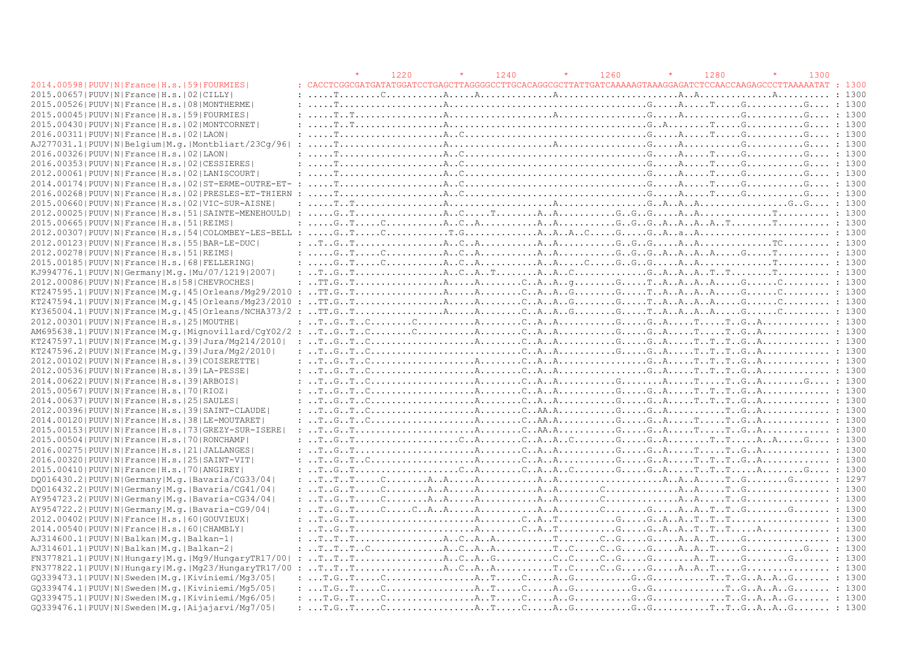|                                                                                                  |                                                                                                                                                                                                                                                                                                                                                                                                                                                             | 1220 | 1240 | 1260 | 1280 | 1300 |        |
|--------------------------------------------------------------------------------------------------|-------------------------------------------------------------------------------------------------------------------------------------------------------------------------------------------------------------------------------------------------------------------------------------------------------------------------------------------------------------------------------------------------------------------------------------------------------------|------|------|------|------|------|--------|
| 2014.00598   PUUV   N   France   H.s.   59   FOURMIES                                            |                                                                                                                                                                                                                                                                                                                                                                                                                                                             |      |      |      |      |      | : 1300 |
| 2015.00657 PUUV N France H.s. 02 CILLY                                                           | $: \ldots, \mathbb{T}, \ldots, \ldots, \mathbb{C}, \ldots, \ldots, \mathbb{A}, \ldots, \mathbb{A}, \ldots, \mathbb{A}, \ldots, \mathbb{A}, \ldots, \mathbb{A}, \ldots, \mathbb{A}, \ldots, \mathbb{A}, \ldots, \mathbb{A}, \ldots, \mathbb{A}, \ldots, \mathbb{A}, \ldots, \mathbb{A}, \ldots, \mathbb{A}, \ldots, \mathbb{A}, \ldots, \mathbb{A}, \ldots, \mathbb{A}, \ldots, \mathbb{A}, \ldots, \mathbb{A}, \ldots, \mathbb{A}, \ldots, \mathbb{A}, \ld$ |      |      |      |      |      |        |
| 2015.00526   PUUV   N   France   H.s.   08   MONTHERME                                           |                                                                                                                                                                                                                                                                                                                                                                                                                                                             |      |      |      |      |      |        |
| 2015.00045 PUUV N France H.s. 59 FOURMIES                                                        |                                                                                                                                                                                                                                                                                                                                                                                                                                                             |      |      |      |      |      |        |
| 2015.00430   PUUV   N   France   H.s.   02   MONTCORNET                                          |                                                                                                                                                                                                                                                                                                                                                                                                                                                             |      |      |      |      |      |        |
| 2016.00311 PUUV N France H.s. 02 LAON                                                            | $: \ldots, \text{T}, \ldots, \ldots, \text{C}, \ldots, \text{C}, \ldots, \text{C}, \ldots, \text{C}, \ldots, \text{C}, \ldots, \text{C}, \ldots, \text{C}, \ldots, \text{C}, \ldots, \text{C}, \ldots, \text{C}, \ldots, \text{C}, \ldots, \text{C}, \ldots, \text{C}, \ldots, \text{C}, \ldots, \text{C}, \ldots, \text{C}, \ldots, \text{C}, \ldots, \text{C}, \ldots, \text{C}, \ldots, \text{C}, \ldots, \text{C}, \ldots, \text{C}, \ldots, \text{C},$ |      |      |      |      |      |        |
| AJ277031.1 PUUV N Belgium M.g. Montbliart/23Cq/96                                                |                                                                                                                                                                                                                                                                                                                                                                                                                                                             |      |      |      |      |      |        |
| 2016.00326  PUUV   N   France   H.s.   02   LAON                                                 |                                                                                                                                                                                                                                                                                                                                                                                                                                                             |      |      |      |      |      |        |
| 2016.00353 PUUV N France H.s. 02 CESSIERES                                                       |                                                                                                                                                                                                                                                                                                                                                                                                                                                             |      |      |      |      |      |        |
| 2012.00061   PUUV   N   France   H.s.   02   LANISCOURT                                          | $: \ldots, \text{T}, \ldots, \ldots, \text{C}, \ldots, \text{C}, \ldots, \text{C}, \ldots, \text{C}, \ldots, \text{C}, \ldots, \text{C}, \ldots, \text{C}, \ldots, \text{C}, \ldots, \text{C}, \ldots, \text{C}, \ldots, \text{C}, \ldots, \text{C}, \ldots, \text{C}, \ldots, \text{C}, \ldots, \text{C}, \ldots, \text{C}, \ldots, \text{C}, \ldots, \text{C}, \ldots, \text{C}, \ldots, \text{C}, \ldots, \text{C}, \ldots, \text{C}, \ldots, \text{C},$ |      |      |      |      |      |        |
| 2014.00174   PUUV   N   France   H.s.   02   ST-ERME-OUTRE-ET- :                                 |                                                                                                                                                                                                                                                                                                                                                                                                                                                             |      |      |      |      |      |        |
| 2016.00268   PUUV   N   France   H.s.   02   PRESLES-ET-THIERN<br>$\cdot$ .                      |                                                                                                                                                                                                                                                                                                                                                                                                                                                             |      |      |      |      |      |        |
| 2015.00660   PUUV   N   France   H.s.   02   VIC-SUR-AISNE                                       |                                                                                                                                                                                                                                                                                                                                                                                                                                                             |      |      |      |      |      |        |
| 2012.00025 PUUV N France H.s. 51 SAINTE-MENEHOULD                                                |                                                                                                                                                                                                                                                                                                                                                                                                                                                             |      |      |      |      |      |        |
| 2015.00665  PUUV   N   France   H.s.   51   REIMS                                                | $: \ldots, G, T, \ldots, C, \ldots, \ldots, A, C, A, \ldots, \ldots, A, A, \ldots, \ldots, G, G, G, A, A, A, A, A, T, \ldots, \ldots, T, \ldots, \ldots, 1300$                                                                                                                                                                                                                                                                                              |      |      |      |      |      |        |
|                                                                                                  |                                                                                                                                                                                                                                                                                                                                                                                                                                                             |      |      |      |      |      |        |
| 2012.00123  PUUV   N   France   H.s.   55   BAR-LE-DUC                                           | $\ldots$ $\ldots$ $\ldots$ $\ldots$ $\ldots$ $\ldots$ $\ldots$ $\ldots$ $\ldots$ $\ldots$ $\ldots$ $\ldots$ $\ldots$ $\ldots$ $\ldots$ $\ldots$ $\ldots$ $\ldots$ $\ldots$ $\ldots$ $\ldots$ $\ldots$ $\ldots$ $\ldots$ $\ldots$ $\ldots$ $\ldots$ $\ldots$ $\ldots$ $\ldots$ $\ldots$ $\ldots$ $\ldots$ $\ldots$ $\ldots$ $\ldots$ $\ldots$                                                                                                                |      |      |      |      |      |        |
| 2012.00278   PUUV   N   France   H.s.   51   REIMS                                               |                                                                                                                                                                                                                                                                                                                                                                                                                                                             |      |      |      |      |      |        |
| 2015.00185 PUUV N France H.s. 68 FELLERING                                                       | 1.300                                                                                                                                                                                                                                                                                                                                                                                                                                                       |      |      |      |      |      |        |
| KJ994776.1  PUUV   N   Germany   M.g.   Mu / 07 / 1219   2007                                    |                                                                                                                                                                                                                                                                                                                                                                                                                                                             |      |      |      |      |      |        |
| 2012.00086 PUUV N France H.s 58 CHEVROCHES                                                       |                                                                                                                                                                                                                                                                                                                                                                                                                                                             |      |      |      |      |      |        |
|                                                                                                  |                                                                                                                                                                                                                                                                                                                                                                                                                                                             |      |      |      |      |      |        |
| $KT247594.1 PUUV N France M,q. 45 Orleans/Mq23/2010$                                             |                                                                                                                                                                                                                                                                                                                                                                                                                                                             |      |      |      |      |      |        |
|                                                                                                  |                                                                                                                                                                                                                                                                                                                                                                                                                                                             |      |      |      |      |      |        |
| 2012.00301 PUUV N France H.s. 25 MOUTHE                                                          |                                                                                                                                                                                                                                                                                                                                                                                                                                                             |      |      |      |      |      |        |
|                                                                                                  |                                                                                                                                                                                                                                                                                                                                                                                                                                                             |      |      |      |      |      |        |
| KT247597.1 PUUV N France M.q. 39 Jura/Mq214/2010                                                 |                                                                                                                                                                                                                                                                                                                                                                                                                                                             |      |      |      |      |      |        |
| KT247596.2 PUUV N France M.q. 39 Jura/Mq2/2010                                                   |                                                                                                                                                                                                                                                                                                                                                                                                                                                             |      |      |      |      |      |        |
| 2012.00102 PUUV N France H.s. 39 COISERETTE                                                      |                                                                                                                                                                                                                                                                                                                                                                                                                                                             |      |      |      |      |      |        |
| 2012.00536  PUUV  N   France   H.s.   39   LA-PESSE                                              |                                                                                                                                                                                                                                                                                                                                                                                                                                                             |      |      |      |      |      |        |
| 2014.00622 PUUV N France H.s.   39 ARBOIS                                                        |                                                                                                                                                                                                                                                                                                                                                                                                                                                             |      |      |      |      |      |        |
| 2015.00567 PUUV N France H.s. 70 RIOZ                                                            |                                                                                                                                                                                                                                                                                                                                                                                                                                                             |      |      |      |      |      |        |
| 2014.00637 PUUV N France H.s. 25 SAULES                                                          | $: $ T $G$ T $C$                                                                                                                                                                                                                                                                                                                                                                                                                                            |      |      |      |      |      |        |
| 2012.00396 PUUV   N   France   H.s.   39   SAINT-CLAUDE                                          |                                                                                                                                                                                                                                                                                                                                                                                                                                                             |      |      |      |      |      |        |
|                                                                                                  |                                                                                                                                                                                                                                                                                                                                                                                                                                                             |      |      |      |      |      |        |
| 2014.00120 PUUV N France H.s. 38 LE-MOUTARET<br>2015.00153 PUUV N France H.s. 73 GREZY-SUR-ISERE | $\ldots$ $\ldots$ $\ldots$ $\ldots$ $\ldots$ $\ldots$ $\ldots$ $\ldots$ $\ldots$ $\ldots$ $\ldots$ $\ldots$ $\ldots$ $\ldots$ $\ldots$ $\ldots$ $\ldots$ $\ldots$ $\ldots$ $\ldots$ $\ldots$ $\ldots$ $\ldots$ $\ldots$ $\ldots$ $\ldots$ $\ldots$ $\ldots$ $\ldots$ $\ldots$ $\ldots$ $\ldots$ $\ldots$ $\ldots$ $\ldots$ $\ldots$ $\ldots$                                                                                                                |      |      |      |      |      |        |
|                                                                                                  |                                                                                                                                                                                                                                                                                                                                                                                                                                                             |      |      |      |      |      |        |
| 2015.00504   PUUV   N   France   H.s.   70   RONCHAMP                                            | $\ldots$ $\ldots$ $\ldots$ $\ldots$ $\ldots$ $\ldots$ $\ldots$ $\ldots$ $\ldots$ $\ldots$ $\ldots$ $\ldots$ $\ldots$ $\ldots$ $\ldots$ $\ldots$ $\ldots$ $\ldots$ $\ldots$ $\ldots$ $\ldots$ $\ldots$ $\ldots$ $\ldots$ $\ldots$ $\ldots$ $\ldots$ $\ldots$ $\ldots$ $\ldots$ $\ldots$ $\ldots$ $\ldots$ $\ldots$ $\ldots$ $\ldots$ $\ldots$                                                                                                                |      |      |      |      |      |        |
| 2016.00275   PUUV   N   France   H.s.   21   JALLANGES                                           |                                                                                                                                                                                                                                                                                                                                                                                                                                                             |      |      |      |      |      |        |
| 2016.00320 PUUV N France H.s. 25 SAINT-VIT                                                       | $\ldots$ $\ldots$ $\ldots$ $\ldots$ $\ldots$ $\ldots$ $\ldots$ $\ldots$ $\ldots$ $\ldots$ $\ldots$ $\ldots$ $\ldots$ $\ldots$ $\ldots$ $\ldots$ $\ldots$ $\ldots$ $\ldots$ $\ldots$ $\ldots$ $\ldots$ $\ldots$ $\ldots$ $\ldots$ $\ldots$ $\ldots$ $\ldots$ $\ldots$ $\ldots$ $\ldots$ $\ldots$ $\ldots$ $\ldots$ $\ldots$ $\ldots$ $\ldots$                                                                                                                |      |      |      |      |      |        |
| 2015.00410 PUUV N France H.s. 70 ANGIREY                                                         |                                                                                                                                                                                                                                                                                                                                                                                                                                                             |      |      |      |      |      |        |
| DO016430.2   PUUV   N   Germany   M.g.   Bavaria/CG33/04                                         |                                                                                                                                                                                                                                                                                                                                                                                                                                                             |      |      |      |      |      |        |
| DO016432.2   PUUV   N   Germany   M.q.   Bavaria/CG41/04                                         | $\ldots$ $\ldots$ $\ldots$ $\ldots$ $\ldots$ $\ldots$ $\ldots$ $\ldots$ $\ldots$ $\ldots$ $\ldots$ $\ldots$ $\ldots$ $\ldots$ $\ldots$ $\ldots$ $\ldots$ $\ldots$ $\ldots$ $\ldots$ $\ldots$ $\ldots$ $\ldots$ $\ldots$ $\ldots$ $\ldots$ $\ldots$ $\ldots$ $\ldots$ $\ldots$ $\ldots$ $\ldots$ $\ldots$ $\ldots$ $\ldots$ $\ldots$ $\ldots$                                                                                                                |      |      |      |      |      |        |
| AY954723.2   PUUV   N   Germany   M.g.   Bavaria-CG34/04                                         |                                                                                                                                                                                                                                                                                                                                                                                                                                                             |      |      |      |      |      |        |
| AY954722.2   PUUV   N   Germany   M. g.   Bavaria-CG9/04                                         | $\ldots$ $T \ldots G \ldots T \ldots C \ldots C \ldots A \ldots A \ldots A \ldots A \ldots A \ldots A \ldots C \ldots C \ldots C \ldots C \ldots A \ldots A \ldots A \ldots T \ldots T \ldots G \ldots \ldots G \ldots \ldots$                                                                                                                                                                                                                              |      |      |      |      |      |        |
| 2012.00402   PUUV   N   France   H.s.   60   GOUVIEUX                                            |                                                                                                                                                                                                                                                                                                                                                                                                                                                             |      |      |      |      |      |        |
| 2014.00540 PUUV N France H.s. 60 CHAMBLY                                                         |                                                                                                                                                                                                                                                                                                                                                                                                                                                             |      |      |      |      |      |        |
| AJ314600.1 PUUV N Balkan M.q. Balkan-1                                                           | $\ldots$ $\ldots$ $\ldots$ $\ldots$ $\ldots$ $\ldots$ $\ldots$ $\ldots$ $\ldots$ $\ldots$ $\ldots$ $\ldots$ $\ldots$ $\ldots$ $\ldots$ $\ldots$ $\ldots$ $\ldots$ $\ldots$ $\ldots$ $\ldots$ $\ldots$ $\ldots$ $\ldots$ $\ldots$ $\ldots$ $\ldots$ $\ldots$ $\ldots$ $\ldots$ $\ldots$ $\ldots$ $\ldots$ $\ldots$ $\ldots$ $\ldots$ $\ldots$                                                                                                                |      |      |      |      |      |        |
| AJ314601.1 PUUV N Balkan M.g. Balkan-2                                                           |                                                                                                                                                                                                                                                                                                                                                                                                                                                             |      |      |      |      |      |        |
| FN377821.1 PUUV N Hungary M.g. Mg9/HungaryTR17/00                                                | $: \ldots$ $\overline{T} \ldots \overline{T} \ldots \overline{T} \ldots \overline{T} \ldots \ldots$ $: \ldots$ $: \ldots$ $\Delta \ldots \overline{C} \ldots \overline{A} \ldots \overline{C} \ldots \overline{C} \ldots \overline{C} \ldots \overline{C} \ldots \ldots \overline{C} \ldots \ldots \ldots \overline{A} \ldots \overline{T} \ldots \ldots \overline{C} \ldots \ldots \ldots \overline{C} \ldots \ldots \ldots$                               |      |      |      |      |      |        |
| FN377822.1 PUUV N Hungary M.g. Mg23/HungaryTR17/00                                               | $\ldots$ , $\ldots$ , $\ldots$ , $\ldots$ , $\ldots$ , $\ldots$ $\ldots$ $\ldots$ $\ldots$ $\ldots$ $\ldots$ $\ldots$ $\ldots$ $\ldots$ $\ldots$ $\ldots$ $\ldots$ $\ldots$ $\ldots$ $\ldots$ $\ldots$ $\ldots$ $\ldots$ $\ldots$ $\ldots$ $\ldots$ $\ldots$ $\ldots$ $\ldots$ $\ldots$ $\ldots$ $\ldots$ $\ldots$ $\ldots$ $\ldots$                                                                                                                        |      |      |      |      |      |        |
| GQ339473.1 PUUV N Sweden M.g. Kiviniemi/Mg3/05                                                   |                                                                                                                                                                                                                                                                                                                                                                                                                                                             |      |      |      |      |      |        |
| GO339474.1 PUUV N Sweden M.g. Kiviniemi/Mg5/05                                                   |                                                                                                                                                                                                                                                                                                                                                                                                                                                             |      |      |      |      |      |        |
| GQ339475.1 PUUV N Sweden M.g. Kiviniemi/Mg6/05                                                   |                                                                                                                                                                                                                                                                                                                                                                                                                                                             |      |      |      |      |      |        |
| GO339476.1 PUUV N Sweden M.g. Aijajarvi/Mg7/05                                                   |                                                                                                                                                                                                                                                                                                                                                                                                                                                             |      |      |      |      |      |        |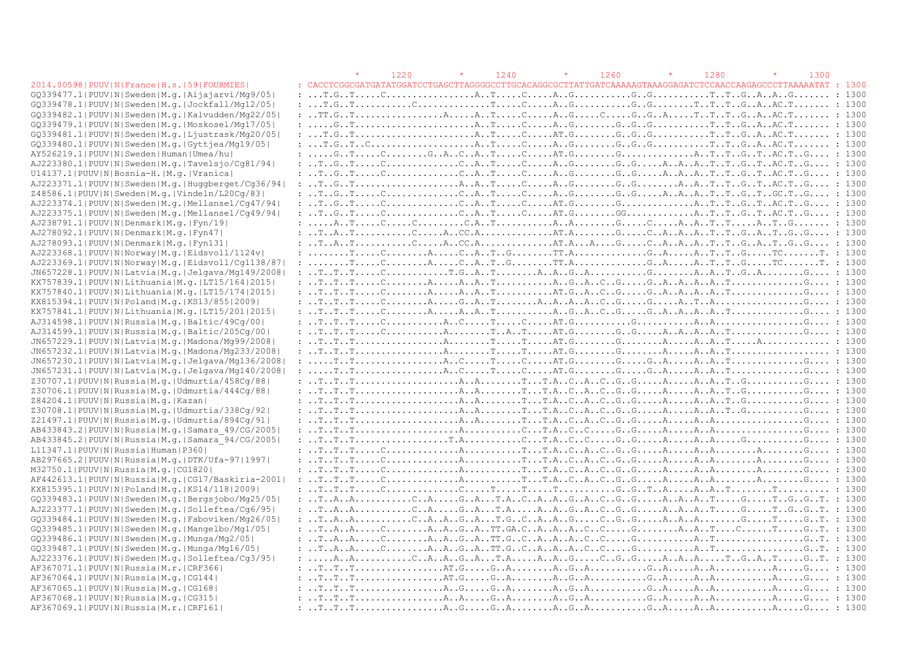#### 2014.00598| PUUV|N|France|H.s.|59|FOURMIES|

|                                                  |  | 1220 | 1240 | 1260 | 1280                                                                                                                                                                                                                                                      | 1300 |  |
|--------------------------------------------------|--|------|------|------|-----------------------------------------------------------------------------------------------------------------------------------------------------------------------------------------------------------------------------------------------------------|------|--|
| 2014.00598 PUUV N France H.s. 59 FOURMIES        |  |      |      |      |                                                                                                                                                                                                                                                           |      |  |
| GQ339477.1 PUUV N Sweden M.g. Aijajarvi/Mg9/05   |  |      |      |      |                                                                                                                                                                                                                                                           |      |  |
| GQ339478.1 PUUV N Sweden M.g. Jockfall/Mg12/05   |  |      |      |      |                                                                                                                                                                                                                                                           |      |  |
| GQ339482.1 PUUV N Sweden M.g. Kalvudden/Mg22/05  |  |      |      |      |                                                                                                                                                                                                                                                           |      |  |
| GQ339479.1 PUUV N Sweden M.q. Moskosel/Mq17/05   |  |      |      |      |                                                                                                                                                                                                                                                           |      |  |
| GQ339481.1 PUUV N Sweden M.q. Ljustrask/Mq20/05  |  |      |      |      |                                                                                                                                                                                                                                                           |      |  |
| GQ339480.1 PUUV N Sweden M.g. Gyttjea/Mg19/05    |  |      |      |      |                                                                                                                                                                                                                                                           |      |  |
| AY526219.1 PUUV N Sweden Human Umea/hu           |  |      |      |      |                                                                                                                                                                                                                                                           |      |  |
| AJ223380.1 PUUV N Sweden M.g. Tavelsjo/Cg81/94   |  |      |      |      |                                                                                                                                                                                                                                                           |      |  |
| U14137.1 PUUV N Bosnia-H. M.q. Vranica           |  |      |      |      |                                                                                                                                                                                                                                                           |      |  |
| AJ223371.1 PUUV N Sweden M.g. Huggberget/Cg36/94 |  |      |      |      |                                                                                                                                                                                                                                                           |      |  |
| Z48586.1 PUUV N Sweden M.g. Vindeln/L20Cg/83     |  |      |      |      |                                                                                                                                                                                                                                                           |      |  |
| AJ223374.1 PUUV N Sweden M.g. Mellansel/Cg47/94  |  |      |      |      |                                                                                                                                                                                                                                                           |      |  |
| AJ223375.1 PUUV N Sweden M.g. Mellansel/Cg49/94  |  |      |      |      |                                                                                                                                                                                                                                                           |      |  |
| AJ238791.1 PUUV N Denmark M.q. Fyn/19            |  |      |      |      |                                                                                                                                                                                                                                                           |      |  |
| AJ278092.1 PUUV N Denmark M.q. Fyn47             |  |      |      |      |                                                                                                                                                                                                                                                           |      |  |
| AJ278093.1 PUUV N Denmark M.g. Fyn131            |  |      |      |      |                                                                                                                                                                                                                                                           |      |  |
| AJ223368.1 PUUV N Norway M.g. Eidsvoll/1124v     |  |      |      |      |                                                                                                                                                                                                                                                           |      |  |
| AJ223369.1 PUUV N Norway M.g. Eidsvoll/Cq1138/87 |  |      |      |      |                                                                                                                                                                                                                                                           |      |  |
| JN657228.1 PUUV N Latvia M.g. Jelgava/Mg149/2008 |  |      |      |      |                                                                                                                                                                                                                                                           |      |  |
| KX757839.1 PUUV N Lithuania M.g. LT15/164 2015   |  |      |      |      |                                                                                                                                                                                                                                                           |      |  |
| KX757840.1 PUUV N Lithuania M.g. LT15/174 2015   |  |      |      |      |                                                                                                                                                                                                                                                           |      |  |
| KX815394.1 PUUV N Poland M.g. KS13/855 2009      |  |      |      |      |                                                                                                                                                                                                                                                           |      |  |
| KX757841.1 PUUV N Lithuania M.g. LT15/201 2015   |  |      |      |      |                                                                                                                                                                                                                                                           |      |  |
| AJ314598.1 PUUV N Russia M.q. Baltic/49Cq/00     |  |      |      |      |                                                                                                                                                                                                                                                           |      |  |
| AJ314599.1 PUUV N Russia M.g. Baltic/205Cg/00    |  |      |      |      |                                                                                                                                                                                                                                                           |      |  |
| JN657229.1 PUUV N Latvia M.g. Madona/Mg99/2008   |  |      |      |      |                                                                                                                                                                                                                                                           |      |  |
| JN657232.1 PUUV N Latvia M.g. Madona/Mg233/2008  |  |      |      |      |                                                                                                                                                                                                                                                           |      |  |
| JN657230.1 PUUV N Latvia M.g. Jelgava/Mg136/2008 |  |      |      |      |                                                                                                                                                                                                                                                           |      |  |
| JN657231.1 PUUV N Latvia M.g. Jelgava/Mg140/2008 |  |      |      |      |                                                                                                                                                                                                                                                           |      |  |
| Z30707.1 PUUV N Russia M.g. Udmurtia/458Cg/88    |  |      |      |      |                                                                                                                                                                                                                                                           |      |  |
| Z30706.1 PUUV N Russia M.g. Udmurtia/444Cg/88    |  |      |      |      |                                                                                                                                                                                                                                                           |      |  |
| Z84204.1 PUUV N Russia M.g. Kazan                |  |      |      |      |                                                                                                                                                                                                                                                           |      |  |
| Z30708.1 PUUV N Russia M.g. Udmurtia/338Cg/92    |  |      |      |      |                                                                                                                                                                                                                                                           |      |  |
| Z21497.1 PUUV N Russia M.g. Udmurtia/894Cg/91    |  |      |      |      |                                                                                                                                                                                                                                                           |      |  |
| AB433843.2 PUUV N Russia M.g. Samara 49/CG/2005  |  |      |      |      |                                                                                                                                                                                                                                                           |      |  |
| AB433845.2 PUUV N Russia M.g. Samara 94/CG/2005  |  |      |      |      |                                                                                                                                                                                                                                                           |      |  |
| L11347.1 PUUV N Russia Human P360                |  |      |      |      | $: T. T. A. T. T. . A. . C. . A. . C. . G. . G. A. A. A. G. : 1300$                                                                                                                                                                                       |      |  |
| AB297665.2 PUUV N Russia M.g. DTK/Ufa-97 1997    |  |      |      |      |                                                                                                                                                                                                                                                           |      |  |
| M32750.1 PUUV N Russia M.g. CG1820               |  |      |      |      |                                                                                                                                                                                                                                                           |      |  |
| AF442613.1 PUUV N Russia M.q. CG17/Baskiria-2001 |  |      |      |      |                                                                                                                                                                                                                                                           |      |  |
| KX815395.1 PUUV N Poland M.g. KS14/118 2009      |  |      |      |      |                                                                                                                                                                                                                                                           |      |  |
| GQ339483.1 PUUV N Sweden M.g. Bergsjobo/Mg25/05  |  |      |      |      | $: T. A. A. A. G. . A. T. A. . C. . A. G. . A. G. G. A. . A. . A. . A. T. G. T. G. T. : 1300$                                                                                                                                                             |      |  |
| AJ223377.1 PUUV N Sweden M.g. Solleftea/Cq6/95   |  |      |      |      |                                                                                                                                                                                                                                                           |      |  |
| GQ339484.1 PUUV N Sweden M.g. Faboviken/Mg26/05  |  |      |      |      | $: T. A. . A. A. . A. . G. . A. T. G. . C. . A. . A. . G. G. . G. A. . A. . A. A. A. G. T. G. . T. : 1300$                                                                                                                                                |      |  |
| GQ339485.1 PUUV N Sweden M.q. Mangelbo/Mg1/05    |  |      |      |      |                                                                                                                                                                                                                                                           |      |  |
| GQ339486.1 PUUV N Sweden M.q. Munga/Mg2/05       |  |      |      |      |                                                                                                                                                                                                                                                           |      |  |
| GQ339487.1 PUUV N Sweden M.g. Munga/Mg16/05      |  |      |      |      |                                                                                                                                                                                                                                                           |      |  |
| AJ223376.1 PUUV N Sweden M.g. Solleftea/Cq3/95   |  |      |      |      | $: \ldots A \ldots A \ldots \ldots \ldots C \ldots A \ldots A \ldots G \ldots T \ldots A \ldots A \ldots G \ldots C \ldots G \ldots G \ldots A \ldots A \ldots A \ldots \ldots T \ldots G \ldots T \ldots G \ldots T \ldots G \ldots T \ldots G \ldots T$ |      |  |
| AF367071.1 PUUV N Russia M.r. CRF366             |  |      |      |      |                                                                                                                                                                                                                                                           |      |  |
| AF367064.1 PUUV N Russia M.q. CG144              |  |      |      |      |                                                                                                                                                                                                                                                           |      |  |
| AF367065.1 PUUV N Russia M.g. CG168              |  |      |      |      |                                                                                                                                                                                                                                                           |      |  |
| AF367068.1 PUUV N Russia M.q. CG315              |  |      |      |      |                                                                                                                                                                                                                                                           |      |  |
| AF367069 11 PHHVINIRussialM r ICRF161            |  |      |      |      |                                                                                                                                                                                                                                                           |      |  |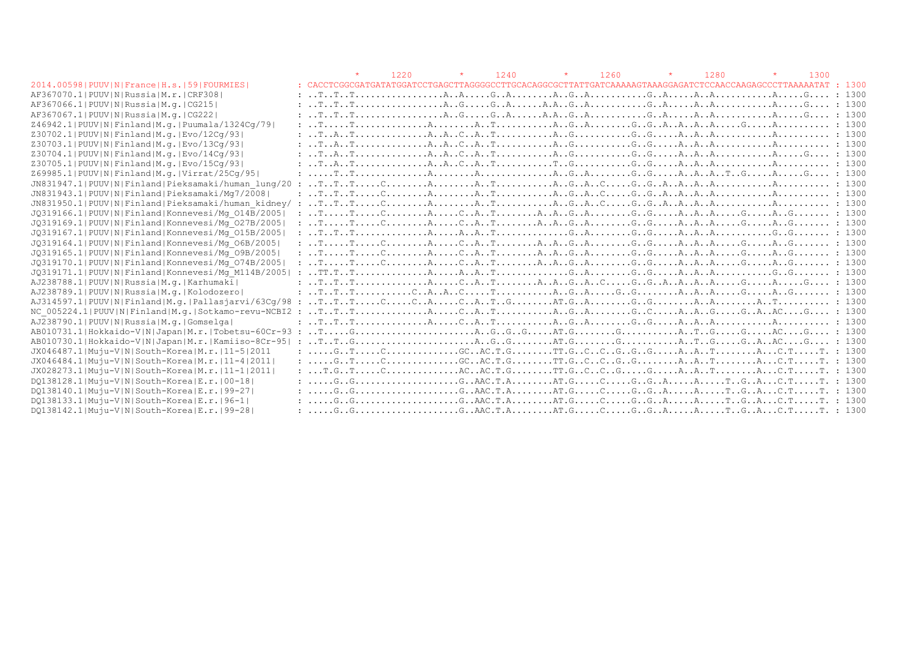|                                                        |                                                                                                                                                                                                                                                                                                                                                              | 1220 | $\star$ | 1240 | $\star$ | 1260 | 1280 | 1300 |        |
|--------------------------------------------------------|--------------------------------------------------------------------------------------------------------------------------------------------------------------------------------------------------------------------------------------------------------------------------------------------------------------------------------------------------------------|------|---------|------|---------|------|------|------|--------|
| 2014.00598   PUUV   N   France   H.s.   59   FOURMIES  |                                                                                                                                                                                                                                                                                                                                                              |      |         |      |         |      |      |      |        |
| AF367070.1 PUUV N Russia M.r. CRF308                   |                                                                                                                                                                                                                                                                                                                                                              |      |         |      |         |      |      |      |        |
| AF367066.1 PUUV N Russia M.g.   CG215                  |                                                                                                                                                                                                                                                                                                                                                              |      |         |      |         |      |      |      |        |
| AF367067.1  PUUV   N   Russia   M.q.   CG222           |                                                                                                                                                                                                                                                                                                                                                              |      |         |      |         |      |      |      |        |
| Z46942.1 PUUV N Finland M.g. Puumala/1324Cq/79         |                                                                                                                                                                                                                                                                                                                                                              |      |         |      |         |      |      |      |        |
| Z30702.1 PUUV N Finland M.g. Evo/12Cq/93               |                                                                                                                                                                                                                                                                                                                                                              |      |         |      |         |      |      |      |        |
| Z30703.1 PUUV N Finland M.g. Evo/13Cq/93               |                                                                                                                                                                                                                                                                                                                                                              |      |         |      |         |      |      |      |        |
| Z30704.1 PUUV N Finland M.g. Evo/14Cq/93               |                                                                                                                                                                                                                                                                                                                                                              |      |         |      |         |      |      |      |        |
| Z30705.1 PUUV N Finland M.g. Evo/15Cq/93               |                                                                                                                                                                                                                                                                                                                                                              |      |         |      |         |      |      |      |        |
| Z69985.1 PUUV N Finland M.g. Virrat/25Cq/95            | $: \ldots, \text{T, T, T, \ldots, \ldots, \ldots, A, \ldots, A, \ldots, \ldots, A, G, A, \ldots, G, G, \ldots, A, A, A, A, A, T, G, \ldots, A, \ldots, G, \ldots, I}$ 1300                                                                                                                                                                                   |      |         |      |         |      |      |      |        |
| JN831947.1 PUUV N Finland Pieksamaki/human lung/20     | $\mathbf{r}$                                                                                                                                                                                                                                                                                                                                                 |      |         |      |         |      |      |      |        |
| JN831943.1 PUUV N Finland Pieksamaki/Mq7/2008          |                                                                                                                                                                                                                                                                                                                                                              |      |         |      |         |      |      |      |        |
| JN831950.1 PUUV N Finland Pieksamaki/human kidney/:    |                                                                                                                                                                                                                                                                                                                                                              |      |         |      |         |      |      |      |        |
| JQ319166.1 PUUV N Finland Konnevesi/Mq 014B/2005       |                                                                                                                                                                                                                                                                                                                                                              |      |         |      |         |      |      |      |        |
| JQ319169.1 PUUV N Finland Konnevesi/Mq 027B/2005       | $: \ldots$ $: \ldots$ $: \ldots$ $: \ldots$ $: \ldots$ $: \ldots$ $: \ldots$ $: \ldots$ $: \ldots$ $: \ldots$ $: \ldots$ $: \ldots$ $: \ldots$ $: \ldots$ $: \ldots$ $: \ldots$ $: \ldots$ $: \ldots$ $: \ldots$ $: \ldots$ $: \ldots$ $: \ldots$ $: \ldots$ $: \ldots$ $: \ldots$ $: \ldots$ $: \ldots$ $: \ldots$ $: \ldots$ $: \ldots$ $: \ldots$ $: \ld$ |      |         |      |         |      |      |      |        |
| JQ319167.1 PUUV N Finland Konnevesi/Mq 015B/2005       |                                                                                                                                                                                                                                                                                                                                                              |      |         |      |         |      |      |      |        |
| JQ319164.1 PUUV N Finland Konnevesi/Mq 06B/2005        |                                                                                                                                                                                                                                                                                                                                                              |      |         |      |         |      |      |      |        |
| JQ319165.1 PUUV N Finland Konnevesi/Mq 09B/2005        |                                                                                                                                                                                                                                                                                                                                                              |      |         |      |         |      |      |      |        |
| JQ319170.1 PUUV N Finland Konnevesi/Mq 074B/2005       |                                                                                                                                                                                                                                                                                                                                                              |      |         |      |         |      |      |      |        |
| JQ319171.1 PUUV N Finland Konnevesi/Mq M114B/2005      |                                                                                                                                                                                                                                                                                                                                                              |      |         |      |         |      |      |      |        |
| AJ238788.1 PUUV N Russia M.q. Karhumaki                |                                                                                                                                                                                                                                                                                                                                                              |      |         |      |         |      |      |      |        |
| AJ238789.1 PUUV N Russia M.q. Kolodozero               |                                                                                                                                                                                                                                                                                                                                                              |      |         |      |         |      |      |      |        |
| $AJ314597.1 PUUV N Finland M,q. Pallasjarvi/63Cq/98$ : |                                                                                                                                                                                                                                                                                                                                                              |      |         |      |         |      |      |      | : 1300 |
| NC 005224.1 PUUV N Finland M.q. Sotkamo-revu-NCBI2 :   |                                                                                                                                                                                                                                                                                                                                                              |      |         |      |         |      |      |      |        |
| AJ238790.1 PUUV N Russia M.g. Gomselga                 |                                                                                                                                                                                                                                                                                                                                                              |      |         |      |         |      |      |      |        |
|                                                        |                                                                                                                                                                                                                                                                                                                                                              |      |         |      |         |      |      |      |        |
| AB010730.1 Hokkaido-V N Japan M.r. Kamiiso-8Cr-95      |                                                                                                                                                                                                                                                                                                                                                              |      |         |      |         |      |      |      |        |
| JX046487.1 Muju-V N South-Korea M.r. 11-5 2011         | $: \ldots . G. . T. \ldots . C. \ldots . \ldots . G. . A C. . T. G. \ldots . T. G. . C. . G. . G. . G. . G. . G. . G. . A. . A. . T. \ldots . A. . C. T. \ldots . T. : 1300$                                                                                                                                                                                 |      |         |      |         |      |      |      |        |
| JX046484.1 Muju-V N South-Korea M.r. 11-4 2011         | $: \ldots . G. . T. \ldots . C. \ldots . \ldots . G. . A C. . T. G. \ldots . T. G. . C. . G. . G. . G. . G. \ldots . A. . A. . T. \ldots . A. . C. T. \ldots . T. : 1300$                                                                                                                                                                                    |      |         |      |         |      |      |      |        |
| JX028273.1 Muju-V N South-Korea M.r. 11-1 2011         |                                                                                                                                                                                                                                                                                                                                                              |      |         |      |         |      |      |      |        |
| DQ138128.1 Muju-V N South-Korea E.r. 00-18             |                                                                                                                                                                                                                                                                                                                                                              |      |         |      |         |      |      |      |        |
| DO138140.1 Muju-V N South-Korea E.r. 99-27             | : $GGGGAAC.T.AAT.GCGGAATGAC.TT.$ : 1300                                                                                                                                                                                                                                                                                                                      |      |         |      |         |      |      |      |        |
| DQ138133.1 Muju-V N South-Korea E.r. 96-1              | $: \ldots . G. G. G. \ldots . \ldots . \ldots . G. AAC.T.A. \ldots . A T. G. \ldots . C \ldots . G. G. A \ldots . A \ldots . T. G. A \ldots . T. \ldots . T. \ldots . T. \; : \; 1300$                                                                                                                                                                       |      |         |      |         |      |      |      |        |
| DQ138142.1 Muju-V N South-Korea E.r. 99-28             | $: \ldots. G. G. \ldots. \ldots. \ldots. G. AAC.T.A. \ldots. AT.G. \ldots. C. \ldots. G. A. \ldots. A. \ldots. T. G. A. \ldots. T. \ldots. T. : 1300$                                                                                                                                                                                                        |      |         |      |         |      |      |      |        |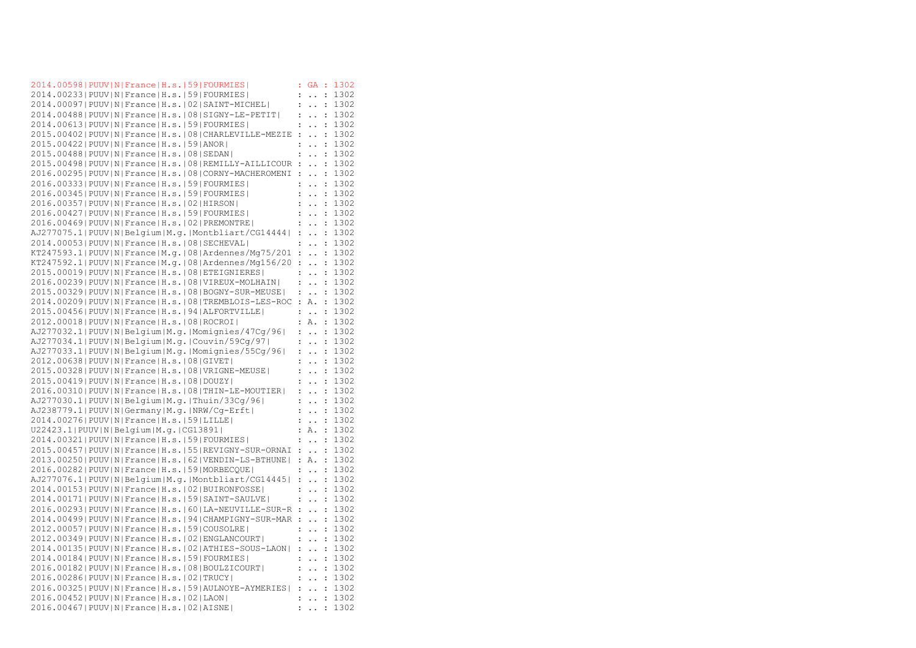|  |                                                    | 2014.00598 PUUV N France H.s. 59 FOURMIES                      |                      | <b>GA</b>                             | $\cdot$ :            | 1302 |
|--|----------------------------------------------------|----------------------------------------------------------------|----------------------|---------------------------------------|----------------------|------|
|  |                                                    | 2014.00233 PUUV N France H.s. 59 FOURMIES                      | :                    | $\ddot{\phantom{0}}$                  | $\ddot{\cdot}$       | 1302 |
|  |                                                    | 2014.00097 PUUV N France H.s. 02 SAINT-MICHEL                  |                      | $\mathbb{R}^2 \rightarrow \mathbb{R}$ | $\ddot{\cdot}$       | 1302 |
|  |                                                    | 2014.00488   PUUV   N   France   H.s.   08   SIGNY-LE-PETIT    | $\ddot{\cdot}$       | $\ddot{\phantom{0}}$                  | $\ddot{\cdot}$       | 1302 |
|  |                                                    | 2014.00613  PUUV   N   France   H.s.   59   FOURMIES           | $\ddot{\cdot}$       | $\ddot{\phantom{a}}$                  | $\ddot{\cdot}$       | 1302 |
|  |                                                    | 2015.00402   PUUV   N   France   H.s.   08   CHARLEVILLE-MEZIE | $\ddot{\phantom{a}}$ | $\ddot{\phantom{a}}$                  | $\ddot{\phantom{a}}$ | 1302 |
|  | 2015.00422   PUUV   N   France   H.s.   59   ANOR  |                                                                |                      | $\ddot{\phantom{0}}$                  | $\ddot{\cdot}$       | 1302 |
|  | 2015.00488   PUUV   N   France   H.s.   08   SEDAN |                                                                | $\ddot{\cdot}$       | $\ddot{\phantom{0}}$                  | $\ddot{\cdot}$       | 1302 |
|  |                                                    | 2015.00498 PUUV N France H.s. 08 REMILLY-AILLICOUR :           |                      | $\ddot{\phantom{a}}$                  | $\ddot{\cdot}$       | 1302 |
|  |                                                    | 2016.00295 PUUV N France H.s. 08 CORNY-MACHEROMENI             | $\ddot{\phantom{a}}$ | $\ddot{\phantom{a}}$                  | $\ddot{\cdot}$       | 1302 |
|  |                                                    | 2016.00333  PUUV   N   France   H.s.   59   FOURMIES           | $\ddot{\cdot}$       | $\ddot{\phantom{a}}$                  | $\ddot{\cdot}$       | 1302 |
|  |                                                    | 2016.00345 PUUV N France H.s. 59 FOURMIES                      | $\ddot{\cdot}$       | $\ddot{\phantom{0}}$                  | $\ddot{\cdot}$       | 1302 |
|  | 2016.00357 PUUV N France H.s. 02 HIRSON            |                                                                | $\ddot{\cdot}$       | $\ddot{\phantom{0}}$                  | $\ddot{\phantom{a}}$ | 1302 |
|  |                                                    | 2016.00427   PUUV   N   France   H.s.   59   FOURMIES          | $\ddot{\cdot}$       | $\ddot{\phantom{a}}$                  | $\ddot{\cdot}$       | 1302 |
|  |                                                    | 2016.00469 PUUV N France H.s. 02 PREMONTRE                     | $\ddot{\phantom{a}}$ | $\ddotsc$                             | :                    | 1302 |
|  |                                                    |                                                                |                      |                                       |                      | 1302 |
|  |                                                    | AJ277075.1 PUUV N Belgium M.g. Montbliart/CG14444              |                      | $\mathbb{R}^2$                        | $\ddot{\cdot}$       |      |
|  |                                                    | 2014.00053 PUUV N France H.s. 08 SECHEVAL                      | $\ddot{\phantom{a}}$ | $\ddot{\phantom{a}}$                  | :                    | 1302 |
|  |                                                    | $KT247593.1 PUUV N France M.q. 08 Ardennes/Mq75/201$           | $\ddot{\cdot}$       | $\ddot{\phantom{a}}$                  | $\ddot{\cdot}$       | 1302 |
|  |                                                    | $KT247592.1 PUUV N France M,q. 08 Ardennes/Mq156/20$           | $\ddot{\cdot}$       | $\ddot{\phantom{0}}$                  | $\ddot{\cdot}$       | 1302 |
|  |                                                    | 2015.00019 PUUV N France H.s. 08 ETEIGNIERES                   | $\ddot{\cdot}$       | $\ddot{\phantom{0}}$                  | :                    | 1302 |
|  |                                                    | 2016.00239 PUUV N France H.s. 08 VIREUX-MOLHAIN                |                      | $\mathbf{1}$                          | $\ddot{\cdot}$       | 1302 |
|  |                                                    | 2015.00329 PUUV N France H.s. 08 BOGNY-SUR-MEUSE               | $\ddot{\cdot}$       | $\ddot{\phantom{a}}$                  | $\ddot{\phantom{a}}$ | 1302 |
|  |                                                    | 2014.00209 PUUV N France H.s. 08 TREMBLOIS-LES-ROC             | $\ddot{\cdot}$       | Α.                                    | $\ddot{\cdot}$       | 1302 |
|  |                                                    | 2015.00456 PUUV N France H.s. 94 ALFORTVILLE                   | $\ddot{\phantom{a}}$ | $\ddotsc$                             | $\ddot{\cdot}$       | 1302 |
|  | 2012.00018 PUUV N France H.s. 08 ROCROI            |                                                                |                      | : A.                                  | $\ddot{\cdot}$       | 1302 |
|  |                                                    | AJ277032.1 PUUV N Belgium M.g. Momignies/47Cg/96               | $\ddot{\phantom{a}}$ | $\ddotsc$                             | $\ddot{\cdot}$       | 1302 |
|  |                                                    | AJ277034.1 PUUV N Belgium M.g. Couvin/59Cg/97                  | $\ddot{\cdot}$       | $\ddot{\phantom{a}}$                  | $\ddot{\cdot}$       | 1302 |
|  |                                                    | AJ277033.1 PUUV N Belgium M.g. Momignies/55Cg/96               | $\ddot{\cdot}$       | $\ddotsc$                             | :                    | 1302 |
|  | 2012.00638   PUUV   N   France   H.s.   08   GIVET |                                                                | $\ddot{\phantom{a}}$ | $\ddot{\phantom{0}}$                  | $\ddot{\cdot}$       | 1302 |
|  |                                                    | 2015.00328   PUUV   N   France   H.s.   08   VRIGNE-MEUSE      | $\ddot{\cdot}$       | $\ddot{\phantom{a}}$                  | $\ddot{\phantom{a}}$ | 1302 |
|  | 2015.00419 PUUV N France H.s. 08 DOUZY             |                                                                | $\ddot{\cdot}$       | $\ddot{\phantom{a}}$                  | $\ddot{\phantom{a}}$ | 1302 |
|  |                                                    | 2016.00310   PUUV   N   France   H.s.   08   THIN-LE-MOUTIER   | $\ddot{\cdot}$       | $\ddot{\phantom{a}}$                  | $\ddot{\cdot}$       | 1302 |
|  |                                                    | AJ277030.1 PUUV N Belgium M.g. Thuin/33Cg/96                   | $\ddot{\phantom{a}}$ | $\ddot{\phantom{0}}$                  | $\ddot{\cdot}$       | 1302 |
|  |                                                    | AJ238779.1 PUUV N Germany M.g. NRW/Cg-Erft                     | $\ddot{\phantom{a}}$ | $\ddot{\phantom{a}}$                  | $\ddot{\cdot}$       | 1302 |
|  | 2014.00276 PUUV N France H.s. 59 LILLE             |                                                                | $\ddot{\phantom{a}}$ | $\ddot{\phantom{0}}$                  | $\ddot{\cdot}$       | 1302 |
|  | U22423.1 PUUV N Belgium M.g. CG13891               |                                                                | $\ddot{\phantom{0}}$ | Α.                                    | $\ddot{\cdot}$       | 1302 |
|  |                                                    | 2014.00321 PUUV N France H.s. 59 FOURMIES                      | $\ddot{\cdot}$       | $\ddotsc$                             | $\ddot{\cdot}$       | 1302 |
|  |                                                    | 2015.00457 PUUV N France H.s. 55 REVIGNY-SUR-ORNAI             |                      | $\mathcal{L}^{\text{max}}$            | $\cdot$ :            | 1302 |
|  |                                                    | 2013.00250 PUUV N France H.s. 62 VENDIN-LS-BTHUNE              |                      | : A.                                  | $\ddot{\cdot}$       | 1302 |
|  |                                                    | 2016.00282   PUUV   N   France   H.s.   59   MORBECQUE         |                      | $\ddotsc$                             | $\ddot{\cdot}$       | 1302 |
|  |                                                    | AJ277076.1 PUUV N Belgium M.g. Montbliart/CG14445              |                      | $\mathbb{R}^n$                        | $\ddot{\cdot}$       | 1302 |
|  |                                                    | 2014.00153 PUUV N France H.s. 02 BUIRONFOSSE                   | $\ddot{\cdot}$       |                                       | :                    | 1302 |
|  |                                                    |                                                                |                      | $\ddot{\phantom{0}}$                  |                      |      |
|  |                                                    | 2014.00171   PUUV   N   France   H.s.   59   SAINT-SAULVE      | $\ddot{\cdot}$       | $\ddot{\phantom{0}}$                  | $\ddot{\cdot}$       | 1302 |
|  |                                                    | 2016.00293 PUUV N France H.s. 60 LA-NEUVILLE-SUR-R :           |                      |                                       | $\sim$               | 1302 |
|  |                                                    | 2014.00499 PUUV N France H.s. 94 CHAMPIGNY-SUR-MAR :           |                      | $\ddot{\phantom{a}}$                  | $\cdot$ :            | 1302 |
|  |                                                    | 2012.00057   PUUV   N   France   H.s.   59   COUSOLRE          |                      | $\ddot{\phantom{0}}$                  | :                    | 1302 |
|  |                                                    | 2012.00349 PUUV N France H.s. 02 ENGLANCOURT                   |                      | $\mathbb{Z}^n$ . $\mathbb{Z}^n$       | $\ddot{\phantom{a}}$ | 1302 |
|  |                                                    | 2014.00135 PUUV N France H.s. 02 ATHIES-SOUS-LAON              | $\ddot{\cdot}$       | $\ddotsc$                             | $\cdot$              | 1302 |
|  |                                                    | 2014.00184   PUUV   N   France   H.s.   59   FOURMIES          | $\ddot{\phantom{a}}$ | $\ddot{\phantom{0}}$                  | :                    | 1302 |
|  |                                                    | 2016.00182   PUUV   N   France   H.s.   08   BOULZICOURT       | $\ddot{\cdot}$       | $\ddotsc$                             | $\ddot{\cdot}$       | 1302 |
|  | 2016.00286  PUUV   N   France   H.s.   02   TRUCY  |                                                                | $\ddot{\cdot}$       | $\ddot{\phantom{0}}$                  | $\ddot{\cdot}$       | 1302 |
|  |                                                    | 2016.00325 PUUV N France H.s. 59 AULNOYE-AYMERIES              | $\ddot{\phantom{a}}$ | $\ddot{\phantom{0}}$                  | $\ddot{\cdot}$       | 1302 |
|  | 2016.00452 PUUV N France H.s. 02 LAON              |                                                                |                      | $\ddot{\phantom{a}}$                  | $\cdot$              | 1302 |
|  | 2016.00467 PUUV N France H.s. 02 AISNE             |                                                                | $\ddot{\cdot}$       | $\ddot{\phantom{0}}$                  | $\ddot{\cdot}$       | 1302 |
|  |                                                    |                                                                |                      |                                       |                      |      |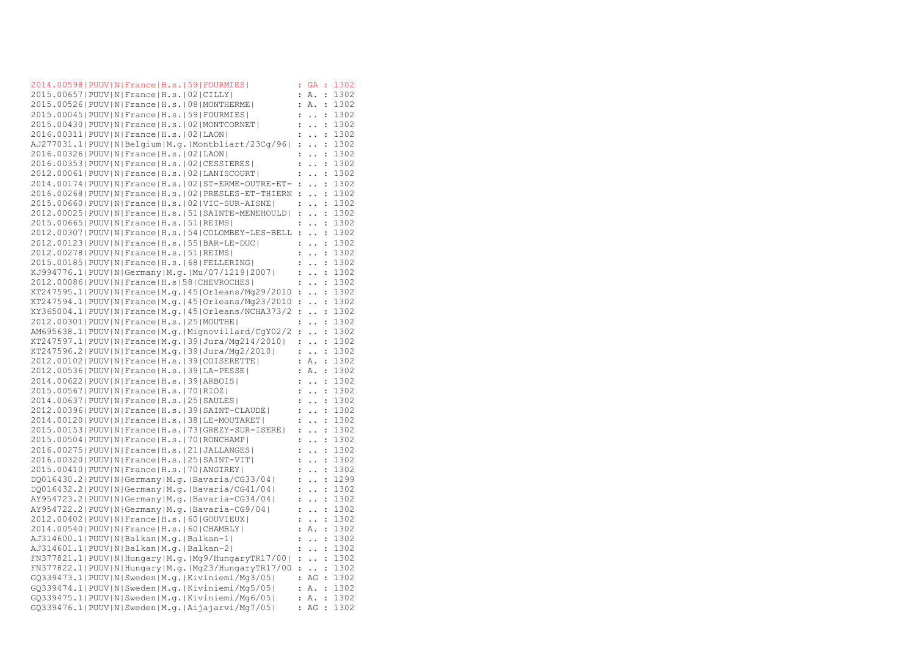| 2014.00598 PUUV N France H.s. 59 FOURMIES                      | ÷                    | GA                                     | ÷                    | 1302 |
|----------------------------------------------------------------|----------------------|----------------------------------------|----------------------|------|
| 2015.00657 PUUV N France H.s. 02 CILLY                         | $\ddot{\cdot}$       | Α.                                     | :                    | 1302 |
| 2015.00526 PUUV N France H.s. 08 MONTHERME                     | $\ddot{\phantom{a}}$ | Α.                                     | $\ddot{\cdot}$       | 1302 |
| 2015.00045 PUUV N France H.s. 59 FOURMIES                      | :                    | $\ddot{\phantom{a}}$                   | $\ddot{\cdot}$       | 1302 |
| 2015.00430 PUUV N France H.s. 02 MONTCORNET                    | :                    | $\ddot{\phantom{a}}$                   | $\ddot{\cdot}$       | 1302 |
| 2016.00311 PUUV N France H.s. 02 LAON                          | $\ddot{\cdot}$       | $\ddot{\phantom{0}}$                   | $\ddot{\cdot}$       | 1302 |
| $AJ277031.1 PUUV N Belqium M,q. Montbliart/23Cq/96 $           | :                    | $\ddot{\phantom{0}}$                   | :                    | 1302 |
| 2016.00326 PUUV N France H.s. 02 LAON                          | $\ddot{\cdot}$       | $\ddot{\phantom{a}}$                   | $\ddot{\cdot}$       | 1302 |
| 2016.00353 PUUV N France H.s. 02 CESSIERES                     | $\ddot{\cdot}$       | $\ddot{\phantom{a}}$                   | $\ddot{\cdot}$       | 1302 |
| 2012.00061 PUUV N France H.s. 02 LANISCOURT                    | :                    | $\ddot{\phantom{a}}$                   | $\ddot{\cdot}$       | 1302 |
| 2014.00174   PUUV   N   France   H.s.   02   ST-ERME-OUTRE-ET- | $\ddot{\cdot}$       | $\ddot{\phantom{0}}$                   | $\ddot{\cdot}$       | 1302 |
| 2016.00268   PUUV   N   France   H.s.   02   PRESLES-ET-THIERN | $\ddot{\phantom{a}}$ | $\ddot{\phantom{a}}$                   | $\ddot{\cdot}$       | 1302 |
| 2015.00660   PUUV   N   France   H.s.   02   VIC-SUR-AISNE     | $\ddot{\cdot}$       | $\ddot{\phantom{0}}$                   | $\ddot{\cdot}$       | 1302 |
| 2012.00025 PUUV N France H.s. 51 SAINTE-MENEHOULD              | :                    | $\ddot{\phantom{a}}$                   | $\ddot{\cdot}$       | 1302 |
|                                                                |                      |                                        |                      |      |
| 2015.00665 PUUV N France H.s. 51 REIMS                         | $\ddot{\cdot}$       | $\ddot{\phantom{a}}$                   | :                    | 1302 |
| 2012.00307 PUUV N France H.s. 54 COLOMBEY-LES-BELL             | $\ddot{\phantom{a}}$ | $\ddot{\phantom{0}}$                   | $\ddot{\cdot}$       | 1302 |
| 2012.00123 PUUV N France H.s. 55 BAR-LE-DUC                    | $\ddot{\phantom{a}}$ | $\ddot{\phantom{a}}$                   | $\ddot{\phantom{a}}$ | 1302 |
| 2012.00278 PUUV N France H.s. 51 REIMS                         | $\ddot{\cdot}$       | $\ddot{\phantom{a}}$                   | :                    | 1302 |
| 2015.00185 PUUV N France H.s. 68 FELLERING                     | $\ddot{\cdot}$       | $\ddot{\phantom{0}}$                   | $\ddot{\phantom{a}}$ | 1302 |
| KJ994776.1  PUUV   N   Germany   M.g.   Mu/07/1219   2007      | $\ddot{\cdot}$       | $\ddot{\phantom{a}}$                   | :                    | 1302 |
| 2012.00086 PUUV N France H.s 58 CHEVROCHES                     | $\mathcal{L}$        | $\ddotsc$                              | $\ddot{\cdot}$       | 1302 |
| $KT247595.1 PUUV N France M,q. 45 Orleans/Mq29/2010$           | :                    | $\ddot{\phantom{a}}$                   | :                    | 1302 |
| $KT247594.1 PUUV N France M,q. 45 Orleans/Mq23/2010$           | :                    | $\ddot{\phantom{0}}$                   | :                    | 1302 |
| $KY365004.1 PUUV N France M.q. 45 Orleans/NCHA373/2$           | $\ddot{\cdot}$       | $\ddot{\phantom{0}}$                   | $\ddot{\phantom{a}}$ | 1302 |
| 2012.00301 PUUV N France H.s. 25 MOUTHE                        | $\ddot{\cdot}$       | $\ddot{\phantom{a}}$                   | :                    | 1302 |
| AM695638.1 PUUV N France M.g. Mignovillard/CgY02/2             | $\ddot{\cdot}$       | $\ddot{\phantom{0}}$                   | :                    | 1302 |
| $KT247597.1$  PUUV N France M.q. 39 Jura/Mq214/2010            | $\ddot{\cdot}$       | $\ddot{\phantom{0}}$                   | :                    | 1302 |
| $KT247596.2$  PUUV N France M.q. 39 Jura/Mg2/2010              | $\ddot{\phantom{a}}$ | $\ddot{\phantom{a}}$                   | :                    | 1302 |
| 2012.00102 PUUV N France H.s. 39 COISERETTE                    | $\ddot{\phantom{a}}$ | Α.                                     | $\ddot{\cdot}$       | 1302 |
| 2012.00536 PUUV N France H.s. 39 LA-PESSE                      | $\ddot{\phantom{a}}$ | Α.                                     | $\ddot{\cdot}$       | 1302 |
| 2014.00622 PUUV N France H.s. 39 ARBOIS                        | $\ddot{\cdot}$       | $\ddot{\phantom{a}}$                   | :                    | 1302 |
| 2015.00567 PUUV N France H.s. 70 RIOZ                          | $\ddot{\cdot}$       | $\ddot{\phantom{0}}$                   | $\ddot{\cdot}$       | 1302 |
| 2014.00637 PUUV N France H.s. 25 SAULES                        | $\ddot{\phantom{a}}$ | $\ddot{\phantom{a}}$                   | :                    | 1302 |
| 2012.00396 PUUV N France H.s. 39 SAINT-CLAUDE                  | $\mathcal{L}$        | $\ddot{\phantom{0}}$                   | $\ddot{\phantom{a}}$ | 1302 |
| 2014.00120   PUUV   N   France   H.s.   38   LE-MOUTARET       | $\ddot{\phantom{a}}$ | $\ddot{\phantom{a}}$                   | $\ddot{\cdot}$       | 1302 |
| 2015.00153 PUUV N France H.s. 73 GREZY-SUR-ISERE               | $\ddot{\cdot}$       | $\ddot{\phantom{a}}$                   | $\ddot{\cdot}$       | 1302 |
| 2015.00504   PUUV   N   France   H.s.   70   RONCHAMP          | $\ddot{\phantom{a}}$ | $\ddot{\phantom{0}}$                   | $\ddot{\phantom{a}}$ | 1302 |
| 2016.00275 PUUV N France H.s. 21 JALLANGES                     | $\ddot{\cdot}$       | $\ddot{\phantom{0}}$                   | $\ddot{\cdot}$       | 1302 |
| 2016.00320 PUUV N France H.s. 25 SAINT-VIT                     | $\ddot{\phantom{a}}$ | $\ddot{\phantom{0}}$                   | $\ddot{\cdot}$       | 1302 |
| 2015.00410   PUUV   N   France   H.s.   70   ANGIREY           | $\ddot{\cdot}$       | $\ddot{\phantom{0}}$                   | $\ddot{\phantom{a}}$ | 1302 |
| DQ016430.2 PUUV N Germany M.g. Bavaria/CG33/04                 | $\ddot{\phantom{a}}$ | $\ddot{\phantom{0}}$                   | $\ddot{\cdot}$       | 1299 |
| DQ016432.2 PUUV N Germany M.g. Bavaria/CG41/04                 | $\mathbf{r}$         | $\ddot{\phantom{0}}$                   | $\ddot{\cdot}$       | 1302 |
|                                                                | $\ddot{\cdot}$       | $\ddot{\phantom{a}}$                   | $\ddot{\phantom{a}}$ | 1302 |
| AY954723.2 PUUV N Germany M.g. Bavaria-CG34/04                 |                      |                                        |                      |      |
| AY954722.2   PUUV   N   Germany   M.g.   Bavaria-CG9/04        | $\ddot{\cdot}$       | $\ddot{\phantom{0}}$                   | $\ddot{\cdot}$       | 1302 |
| 2012.00402 PUUV N France H.s. 60 GOUVIEUX                      | $\ddot{\cdot}$       | $\ddot{\phantom{0}}$                   | $\ddot{\cdot}$       | 1302 |
| 2014.00540 PUUV N France H.s. 60 CHAMBLY                       | $\ddot{\cdot}$       | Α.                                     | :                    | 1302 |
| AJ314600.1 PUUV N Balkan M.g. Balkan-1                         |                      | $\mathbb{Z}^n$ . In the $\mathbb{Z}^n$ | $\ddot{\phantom{a}}$ | 1302 |
| AJ314601.1 PUUV N Balkan M.g. Balkan-2                         |                      | $\ddot{\phantom{0}}$                   | $\ddot{\cdot}$       | 1302 |
| FN377821.1 PUUV N Hungary M.g. Mg9/HungaryTR17/00              | $\ddot{\cdot}$       | $\ddot{\phantom{0}}$                   | :                    | 1302 |
| FN377822.1   PUUV   N   Hungary   M.g.   Mg23/HungaryTR17/00   | $\ddot{\cdot}$       | $\ddot{\phantom{a}}$ .                 | $\ddot{\phantom{a}}$ | 1302 |
| $GQ339473.1 PUUV N Sweden M,q. Kiviniemi/Mq3/05 $              | $\ddot{\cdot}$       | AG :                                   |                      | 1302 |
| $GQ339474.1 PUUV N Sweden M,q. Kiviniemi/Mq5/05 $              | $\ddot{\cdot}$       | Α.                                     | $\ddot{\cdot}$       | 1302 |
| $GQ339475.1 PUUV N Sweden M,q. Kiviniemi/Mq6/05 $              | $\ddot{\cdot}$       | Α.                                     | $\ddot{\cdot}$       | 1302 |
| GQ339476.1 PUUV N Sweden M.g. Aijajarvi/Mg7/05                 | $\ddot{\cdot}$       | AG :                                   |                      | 1302 |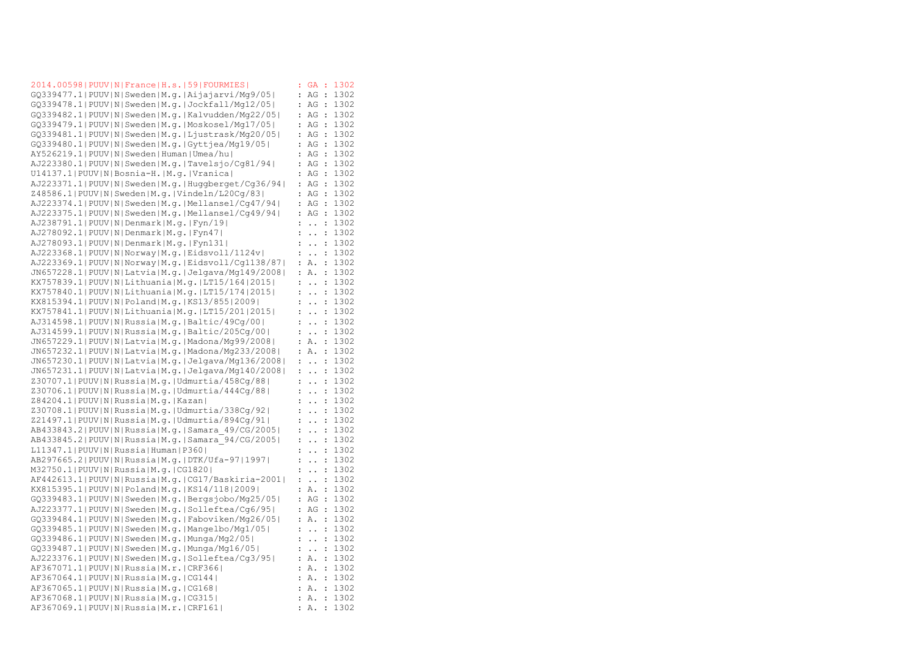|                                               | 2014.00598   PUUV   N   France   H.s.   59   FOURMIES   | ÷                    | GA                     | ÷                    | 1302 |
|-----------------------------------------------|---------------------------------------------------------|----------------------|------------------------|----------------------|------|
|                                               | GQ339477.1 PUUV N Sweden M.g. Aijajarvi/Mg9/05          | $\ddot{\cdot}$       | ΑG                     | $\ddot{\cdot}$       | 1302 |
|                                               | GQ339478.1 PUUV N Sweden M.g. Jockfall/Mg12/05          | $\ddot{\cdot}$       | AG                     | $\cdot$              | 1302 |
|                                               | $GQ339482.1 PUV N Sweden M,q. Kalvudden/Mq22/05 $       | $\ddot{\cdot}$       | AG                     | $\ddot{\phantom{a}}$ | 1302 |
|                                               | GQ339479.1 PUUV N Sweden M.q. Moskosel/Mq17/05          | $\ddot{\cdot}$       | AG                     | $\ddot{\phantom{a}}$ | 1302 |
|                                               | GQ339481.1 PUUV N Sweden M.g. Ljustrask/Mg20/05         | $\ddot{\cdot}$       | AG                     | $\ddot{\cdot}$       | 1302 |
|                                               | GQ339480.1 PUUV N Sweden M.g. Gyttjea/Mg19/05           |                      | ΑG                     | $\ddot{\phantom{a}}$ | 1302 |
|                                               | AY526219.1 PUUV N Sweden Human Umea/hu                  | $\ddot{\cdot}$       | AG                     | $\ddot{\cdot}$       | 1302 |
|                                               | AJ223380.1 PUUV N Sweden M.g. Tavelsjo/Cg81/94          | $\ddot{\cdot}$       | AG                     | $\ddot{\phantom{a}}$ | 1302 |
|                                               | U14137.1 PUUV N Bosnia-H. M.q. Vranica                  | $\ddot{\cdot}$       | AG                     | $\ddot{\cdot}$       | 1302 |
|                                               | AJ223371.1 PUUV N Sweden M.g. Huggberget/Cg36/94        | $\ddot{\cdot}$       | AG                     | $\ddot{\phantom{a}}$ | 1302 |
|                                               | Z48586.1 PUUV N Sweden M.q. Vindeln/L20Cq/83            | $\ddot{\cdot}$       | ΑG                     | $\ddot{\phantom{a}}$ | 1302 |
|                                               | AJ223374.1 PUUV N Sweden M.g. Mellansel/Cg47/94         | $\ddot{\cdot}$       | AG                     | $\ddot{\cdot}$       | 1302 |
|                                               | AJ223375.1 PUUV N Sweden M.g. Mellansel/Cg49/94         | $\ddot{\cdot}$       | AG                     | $\ddot{\cdot}$       | 1302 |
|                                               |                                                         |                      |                        |                      |      |
| AJ238791.1 PUUV N Denmark M.q. Fyn/19         |                                                         | $\ddot{\cdot}$       | $\ddot{\phantom{0}}$   | $\ddot{\cdot}$       | 1302 |
| AJ278092.1 PUUV N Denmark M.q. Fyn47          |                                                         | $\ddot{\cdot}$       | $\ddot{\phantom{0}}$   | $\ddot{\cdot}$       | 1302 |
| AJ278093.1 PUUV N Denmark M.q. Fyn131         |                                                         | $\ddot{\cdot}$       | $\ddot{\phantom{0}}$   | $\ddot{\cdot}$       | 1302 |
|                                               | AJ223368.1 PUUV N Norway M.g. Eidsvoll/1124v            | $\ddot{\cdot}$       | $\ddot{\phantom{a}}$   | $\ddot{\cdot}$       | 1302 |
|                                               | AJ223369.1 PUUV N Norway M.g. Eidsvoll/Cq1138/87        | $\ddot{\cdot}$       | Α.                     | :                    | 1302 |
|                                               | JN657228.1 PUUV N Latvia M.g. Jelgava/Mg149/2008        | $\ddot{\cdot}$       | Α.                     | $\ddot{\cdot}$       | 1302 |
|                                               | KX757839.1 PUUV N Lithuania M.g. LT15/164 2015          | $\ddot{\cdot}$       | $\ddot{\phantom{a}}$   | $\ddot{\cdot}$       | 1302 |
|                                               | KX757840.1 PUUV N Lithuania M.g. LT15/174 2015          | $\ddot{\cdot}$       | $\ddot{\phantom{a}}$   | $\ddot{\cdot}$       | 1302 |
|                                               | KX815394.1 PUUV N Poland M.q. KS13/855 2009             | $\ddot{\cdot}$       | $\ddot{\phantom{a}}$   | :                    | 1302 |
|                                               | KX757841.1 PUUV N Lithuania M.g. LT15/201 2015          | $\ddot{\cdot}$       | $\ddot{\phantom{0}}$   | :                    | 1302 |
|                                               | AJ314598.1 PUUV N Russia M.g. Baltic/49Cq/00            | $\ddot{\cdot}$       | $\ddot{\phantom{0}}$   | $\ddot{\cdot}$       | 1302 |
|                                               | AJ314599.1 PUUV N Russia M.g. Baltic/205Cg/00           | $\ddot{\cdot}$       | $\ddot{\phantom{1}}$ . | :                    | 1302 |
|                                               | JN657229.1 PUUV N Latvia M.g. Madona/Mg99/2008          | $\ddot{\cdot}$       | Α.                     | $\ddot{\phantom{a}}$ | 1302 |
|                                               | JN657232.1 PUUV N Latvia M.g. Madona/Mg233/2008         | $\ddot{\cdot}$       | Α.                     | $\ddot{\cdot}$       | 1302 |
|                                               | JN657230.1 PUUV N Latvia M.g. Jelgava/Mg136/2008        | $\ddot{\cdot}$       | $\ddotsc$              | $\ddot{\cdot}$       | 1302 |
|                                               | JN657231.1 PUUV N Latvia M.g. Jelgava/Mg140/2008        | $\ddot{\cdot}$       | $\ddot{\phantom{a}}$   | $\ddot{\phantom{a}}$ | 1302 |
|                                               | Z30707.1 PUUV N Russia M.g. Udmurtia/458Cg/88           | $\ddot{\cdot}$       | $\ddot{\phantom{0}}$   | $\ddot{\cdot}$       | 1302 |
|                                               | Z30706.1   PUUV   N   Russia   M.g.   Udmurtia/444Cg/88 | $\ddot{\cdot}$       | $\ddot{\phantom{a}}$   | $\colon$             | 1302 |
| Z84204.1 PUUV N Russia M.g. Kazan             |                                                         | $\ddot{\phantom{a}}$ | $\ddot{\phantom{0}}$   | :                    | 1302 |
|                                               | Z30708.1   PUUV   N   Russia   M.g.   Udmurtia/338Cg/92 | $\ddot{\cdot}$       | $\ddot{\phantom{0}}$   | $\ddot{\cdot}$       | 1302 |
|                                               | Z21497.1 PUUV N Russia M.g. Udmurtia/894Cg/91           | $\ddot{\cdot}$       | $\ddot{\phantom{a}}$   | $\ddot{\phantom{a}}$ | 1302 |
|                                               | AB433843.2 PUUV N Russia M.g. Samara 49/CG/2005         | $\ddot{\cdot}$       | $\ddot{\phantom{0}}$   | :                    | 1302 |
|                                               |                                                         | $\ddot{\cdot}$       |                        |                      | 1302 |
|                                               | AB433845.2 PUUV N Russia M.g. Samara 94/CG/2005         |                      | $\ddot{\phantom{0}}$   | $\ddot{\cdot}$       |      |
| L11347.1 PUUV N Russia Human P360             |                                                         | $\ddot{\cdot}$       | $\ddot{\phantom{a}}$   | $\ddot{\cdot}$       | 1302 |
|                                               | AB297665.2 PUUV N Russia M.g. DTK/Ufa-97 1997           | $\ddot{\cdot}$       | $\ddot{\phantom{0}}$   | :                    | 1302 |
| M32750.1 PUUV N Russia M.g. CG1820            |                                                         |                      | $\ddot{\phantom{a}}$   | :                    | 1302 |
|                                               | AF442613.1 PUUV N Russia M.g. CG17/Baskiria-2001        | $\ddot{\cdot}$       | $\ddot{\phantom{0}}$   | :                    | 1302 |
|                                               | KX815395.1 PUUV N Poland M.g. KS14/118 2009             | $\ddot{\cdot}$       | Α.                     | $\ddot{\cdot}$       | 1302 |
|                                               | $GQ339483.1 PUUV N Sweden M.q. Bergsjobo/Mq25/05 $      | $\ddot{\cdot}$       | AG                     | $\ddot{\cdot}$       | 1302 |
|                                               | AJ223377.1 PUUV N Sweden M.g. Solleftea/Cq6/95          | $\ddot{\cdot}$       | AG                     | $\ddot{\cdot}$       | 1302 |
|                                               | GQ339484.1 PUUV N Sweden M.g. Faboviken/Mg26/05         | $\ddot{\cdot}$       | Α.                     | $\ddot{\cdot}$       | 1302 |
|                                               | $GQ339485.1$  PUUV N Sweden M.g. Mangelbo/Mg1/05        | :                    | $\ddot{\phantom{0}}$   | $\ddot{\cdot}$       | 1302 |
|                                               | GQ339486.1 PUUV N Sweden M.g. Munga/Mg2/05              | $\ddot{\cdot}$       | $\ddot{\phantom{0}}$   | $\colon$             | 1302 |
|                                               | GQ339487.1 PUUV N Sweden M.g. Munga/Mg16/05             | :                    | $\ddot{\phantom{0}}$   | :                    | 1302 |
|                                               | AJ223376.1 PUUV N Sweden M.g. Solleftea/Cg3/95          | $\ddot{\cdot}$       | Α.                     | :                    | 1302 |
| AF367071.1 PUUV N Russia M.r. CRF366          |                                                         | $\ddot{\cdot}$       | Α.                     | :                    | 1302 |
| AF367064.1 PUUV N Russia M.g. CG144           |                                                         | $\ddot{\cdot}$       | Α.                     | $\ddot{\cdot}$       | 1302 |
| AF367065.1 PUUV N Russia M.g. CG168           |                                                         | $\ddot{\cdot}$       | Α.                     | :                    | 1302 |
| AF367068.1  PUUV   N   Russia   M.g.   CG315  |                                                         | $\ddot{\cdot}$       | Α.                     | :                    | 1302 |
| AF367069.1  PUUV   N   Russia   M.r.   CRF161 |                                                         | :                    | Α.                     | :                    | 1302 |
|                                               |                                                         |                      |                        |                      |      |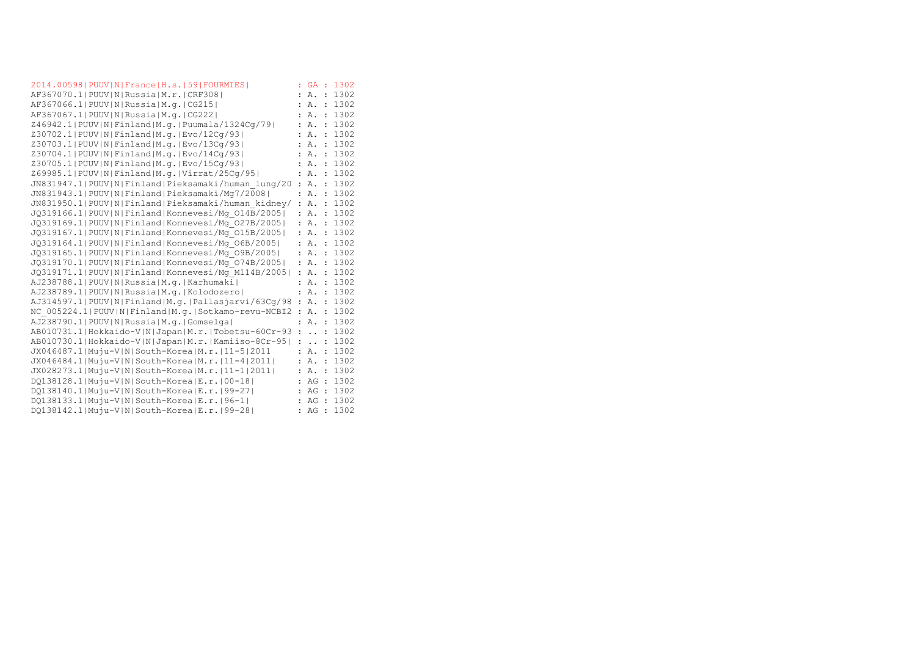| 2014.00598   PUUV   N   France   H.s.   59   FOURMIES    |                | <b>GA</b>            |                      | : 1302 |
|----------------------------------------------------------|----------------|----------------------|----------------------|--------|
| AF367070.1  PUUV   N   Russia   M.r.   CRF308            |                | Α.                   | $\ddot{\phantom{a}}$ | 1302   |
| AF367066.1 PUUV N Russia M.q. CG215                      |                | Α.                   | $\ddot{\phantom{a}}$ | 1302   |
| AF367067.1  PUUV   N   Russia   M. g.   CG222            |                | Α.                   | $\cdot$              | 1302   |
| Z46942.1 PUUV N Finland M.g. Puumala/1324Cq/79           |                | Α.                   | $\ddot{\phantom{a}}$ | 1302   |
| Z30702.1 PUUV N Finland M.g. Evo/12Cq/93                 |                | Α.                   | $\ddot{\cdot}$       | 1302   |
| Z30703.1 PUUV N Finland M.g. Evo/13Cq/93                 |                | Α.                   | $\ddot{\phantom{a}}$ | 1302   |
| Z30704.1  PUUV   N   Finland   M. q.   Evo/14Cq/93       |                | Α.                   | $\ddot{\cdot}$       | 1302   |
| Z30705.1 PUUV N Finland M.g. Evo/15Cq/93                 |                | Α.                   | $\ddot{\phantom{a}}$ | 1302   |
| Z69985.1  PUUV   N   Finland   M.g.   Virrat / 25Cq / 95 |                | Α.                   | $\ddot{\cdot}$       | 1302   |
| JN831947.1 PUUV N Finland Pieksamaki/human lung/20       |                | <b>A.</b>            | $\cdot$              | 1302   |
| JN831943.1 PUUV N Finland Pieksamaki/Mg7/2008            |                | Α.                   | $\ddot{\cdot}$       | 1302   |
| JN831950.1 PUUV N Finland Pieksamaki/human kidney/       |                | : A.                 | $\cdot$              | 1302   |
| JQ319166.1 PUUV N Finland Konnevesi/Mq 014B/2005         |                | : A.                 | $\cdot$              | 1302   |
| JQ319169.1 PUUV N Finland Konnevesi/Mq 027B/2005         |                | Α.                   | $\ddot{\cdot}$       | 1302   |
| JQ319167.1 PUUV N Finland Konnevesi/Mq 015B/2005         | ÷              | Α.                   | $\ddot{\cdot}$       | 1302   |
| JQ319164.1 PUUV N Finland Konnevesi/Mq 06B/2005          | ÷              | Α.                   | $\ddot{\cdot}$       | 1302   |
| JQ319165.1 PUUV N Finland Konnevesi/Mq 09B/2005          | ÷              | Α.                   | $\cdot$              | 1302   |
| JQ319170.1 PUUV N Finland Konnevesi/Mq 074B/2005         | ÷              | Α.                   | $\ddot{\phantom{a}}$ | 1302   |
| JQ319171.1 PUUV N Finland Konnevesi/Mq M114B/2005        |                | Α.                   | $\ddot{\cdot}$       | 1302   |
| AJ238788.1 PUUV N Russia M.q. Karhumaki                  |                | Α.                   | $\ddot{\cdot}$       | 1302   |
| AJ238789.1 PUUV N Russia M.q. Kolodozero                 |                | Α.                   | $\ddot{\phantom{a}}$ | 1302   |
| AJ314597.1 PUUV N Finland M.q. Pallasjarvi/63Cq/98       | $\ddot{\cdot}$ | Α.                   | $\mathbf{r}$         | 1302   |
| NC 005224.1 PUUV N Finland M.q. Sotkamo-revu-NCBI2       | $\ddot{\cdot}$ | Α.                   | $\cdot$              | 1302   |
| AJ238790.1 PUUV N Russia M.g. Gomselga                   |                | Α.                   | $\ddot{\phantom{a}}$ | 1302   |
| AB010731.1 Hokkaido-V N Japan M.r. Tobetsu-60Cr-93       |                | $\ddot{\phantom{a}}$ | $\ddot{\phantom{a}}$ | 1302   |
| AB010730.1 Hokkaido-V N Japan M.r. Kamiiso-8Cr-95        |                | $\ddot{\phantom{a}}$ | $\ddot{\phantom{a}}$ | 1302   |
| JX046487.1 Muju-V N South-Korea M.r. 11-5 2011           | ÷              | Α.                   | $\ddot{\cdot}$       | 1302   |
| JX046484.1 Muju-V N South-Korea M.r.   11-4  2011        |                | Α.                   | $\ddot{\phantom{a}}$ | 1302   |
| JX028273.1 Muju-V N South-Korea M.r. 11-1 2011           |                | : A.                 | $\ddot{\phantom{a}}$ | 1302   |
| $DQ138128.1$  Muju-V N South-Korea E.r. 00-18            |                | AG                   | $\cdot$ :            | 1302   |
| DO138140.1 Muju-V N South-Korea E.r. 99-27               |                | AG                   | $\cdot$ :            | 1302   |
| DO138133.1 Muju-V N South-Korea E.r. 96-1                | ÷              | AG                   | $\cdot$              | 1302   |
| DO138142.1 Muju-V N South-Korea E.r. 99-28               | ÷              | AG                   | $\cdot$              | 1302   |